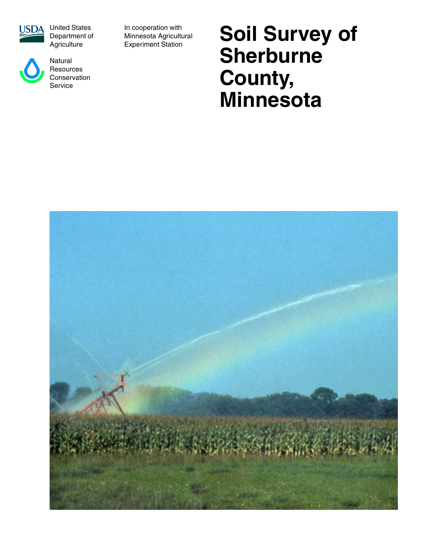



Natural **Resources Conservation** Service

In cooperation with Minnesota Agricultural Experiment Station

# **Soil Survey of Sherburne County, Minnesota**

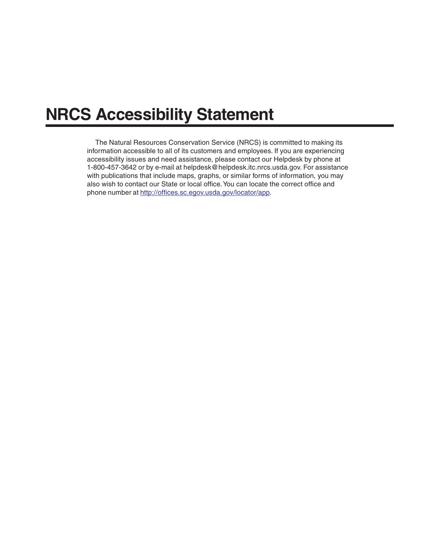## **NRCS Accessibility Statement**

The Natural Resources Conservation Service (NRCS) is committed to making its information accessible to all of its customers and employees. If you are experiencing accessibility issues and need assistance, please contact our Helpdesk by phone at 1-800-457-3642 or by e-mail a[t helpdesk@helpdesk.itc.nrcs.usda.gov.](mailto:helpdesk@helpdesk.itc.nrcs.usda.gov) For assistance with publications that include maps, graphs, or similar forms of information, you may also wish to contact our State or local office. You can locate the correct office and phone number at [http://offices.sc.egov.usda.gov/locator/app.](http://offices.sc.egov.usda.gov/locator/app)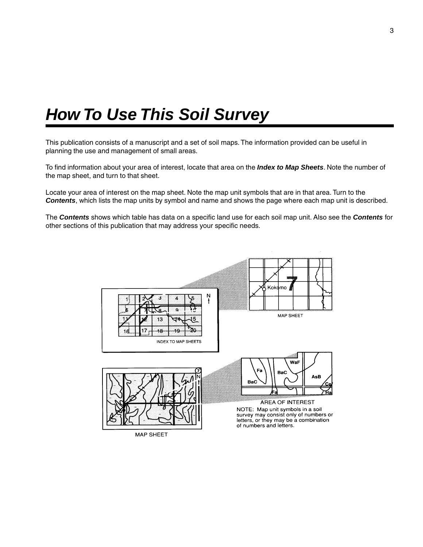## <span id="page-2-0"></span>*How To Use This Soil Survey*

This publication consists of a manuscript and a set of soil maps. The information provided can be useful in planning the use and management of small areas.

To find information about your area of interest, locate that area on the *Index to Map Sheets*. Note the number of the map sheet, and turn to that sheet.

Locate your area of interest on the map sheet. Note the map unit symbols that are in that area. Turn to the *Contents*, which lists the map units by symbol and name and shows the page where each map unit is described.

The *Contents* shows which table has data on a specific land use for each soil map unit. Also see the *Contents* for other sections of this publication that may address your specific needs.

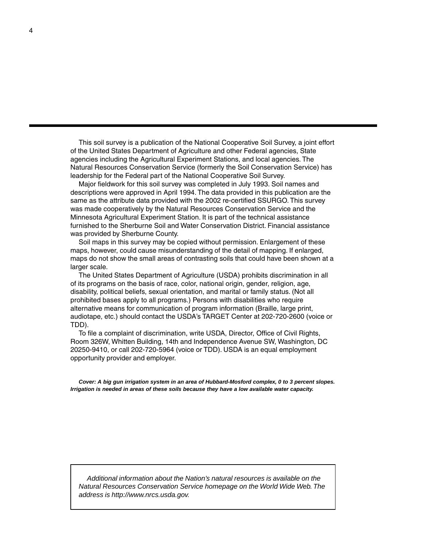This soil survey is a publication of the National Cooperative Soil Survey, a joint effort of the United States Department of Agriculture and other Federal agencies, State agencies including the Agricultural Experiment Stations, and local agencies. The Natural Resources Conservation Service (formerly the Soil Conservation Service) has leadership for the Federal part of the National Cooperative Soil Survey.

Major fieldwork for this soil survey was completed in July 1993. Soil names and descriptions were approved in April 1994. The data provided in this publication are the same as the attribute data provided with the 2002 re-certified SSURGO. This survey was made cooperatively by the Natural Resources Conservation Service and the Minnesota Agricultural Experiment Station. It is part of the technical assistance furnished to the Sherburne Soil and Water Conservation District. Financial assistance was provided by Sherburne County.

Soil maps in this survey may be copied without permission. Enlargement of these maps, however, could cause misunderstanding of the detail of mapping. If enlarged, maps do not show the small areas of contrasting soils that could have been shown at a larger scale.

The United States Department of Agriculture (USDA) prohibits discrimination in all of its programs on the basis of race, color, national origin, gender, religion, age, disability, political beliefs, sexual orientation, and marital or family status. (Not all prohibited bases apply to all programs.) Persons with disabilities who require alternative means for communication of program information (Braille, large print, audiotape, etc.) should contact the USDA's TARGET Center at 202-720-2600 (voice or TDD).

To file a complaint of discrimination, write USDA, Director, Office of Civil Rights, Room 326W, Whitten Building, 14th and Independence Avenue SW, Washington, DC 20250-9410, or call 202-720-5964 (voice or TDD). USDA is an equal employment opportunity provider and employer.

*Cover: A big gun irrigation system in an area of Hubbard-Mosford complex, 0 to 3 percent slopes. Irrigation is needed in areas of these soils because they have a low available water capacity.*

*Additional information about the Nation's natural resources is available on the Natural Resources Conservation Service homepage on the World Wide Web. The address is http://www.nrcs.usda.gov.*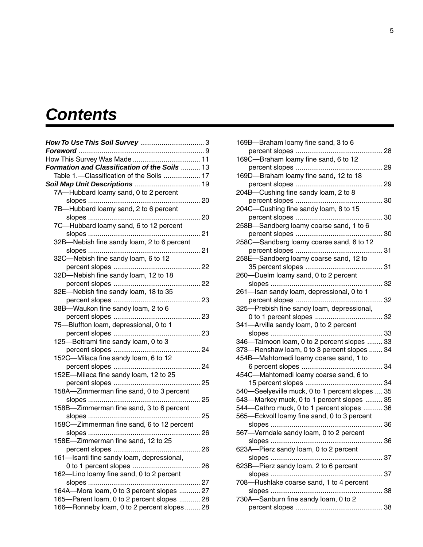## <span id="page-4-0"></span>*Contents*

| Formation and Classification of the Soils  13 |     |
|-----------------------------------------------|-----|
| Table 1.-Classification of the Soils  17      |     |
|                                               |     |
| 7A-Hubbard loamy sand, 0 to 2 percent         |     |
|                                               | 20  |
| 7B-Hubbard loamy sand, 2 to 6 percent         |     |
|                                               | 20  |
| 7C-Hubbard loamy sand, 6 to 12 percent        |     |
|                                               | 21  |
| 32B-Nebish fine sandy loam, 2 to 6 percent    |     |
|                                               | 21  |
| 32C-Nebish fine sandy loam, 6 to 12           |     |
|                                               | 22  |
| 32D-Nebish fine sandy loam, 12 to 18          |     |
| percent slopes                                | 22  |
| 32E-Nebish fine sandy loam, 18 to 35          |     |
|                                               | 23  |
| 38B-Waukon fine sandy loam, 2 to 6            |     |
|                                               | 23  |
| 75-Bluffton loam, depressional, 0 to 1        |     |
|                                               | 23  |
| 125-Beltrami fine sandy loam, 0 to 3          |     |
|                                               | 24  |
| 152C-Milaca fine sandy loam, 6 to 12          |     |
| percent slopes                                | 24  |
| 152E-Milaca fine sandy loam, 12 to 25         |     |
|                                               | 25  |
| 158A-Zimmerman fine sand, 0 to 3 percent      |     |
|                                               | 25  |
| 158B-Zimmerman fine sand, 3 to 6 percent      |     |
|                                               | 25  |
| 158C-Zimmerman fine sand, 6 to 12 percent     |     |
|                                               | -26 |
| 158E-Zimmerman fine sand, 12 to 25            |     |
|                                               |     |
| 161-Isanti fine sandy loam, depressional,     |     |
|                                               |     |
| 162-Lino loamy fine sand, 0 to 2 percent      |     |
|                                               |     |
| 164A-Mora loam, 0 to 3 percent slopes  27     |     |
| 165-Parent loam, 0 to 2 percent slopes  28    |     |
| 166-Ronneby loam, 0 to 2 percent slopes  28   |     |

| 169B-Braham loamy fine sand, 3 to 6                        |    |
|------------------------------------------------------------|----|
| percent slopes                                             | 28 |
| 169C-Braham loamy fine sand, 6 to 12                       |    |
| percent slopes                                             | 29 |
| 169D-Braham loamy fine sand, 12 to 18                      |    |
| percent slopes                                             | 29 |
| 204B-Cushing fine sandy loam, 2 to 8                       |    |
| percent slopes<br>204C-Cushing fine sandy loam, 8 to 15    | 30 |
| percent slopes                                             | 30 |
| 258B-Sandberg loamy coarse sand, 1 to 6                    |    |
|                                                            | 30 |
| 258C-Sandberg loamy coarse sand, 6 to 12                   |    |
|                                                            | 31 |
| 258E-Sandberg loamy coarse sand, 12 to                     |    |
|                                                            | 31 |
| 260-Duelm loamy sand, 0 to 2 percent                       |    |
|                                                            | 32 |
| 261-Isan sandy loam, depressional, 0 to 1                  |    |
|                                                            | 32 |
| 325-Prebish fine sandy loam, depressional,                 |    |
|                                                            | 32 |
| 341-Arvilla sandy loam, 0 to 2 percent                     |    |
|                                                            | 33 |
| 346-Talmoon loam, 0 to 2 percent slopes  33                |    |
| 373-Renshaw loam, 0 to 3 percent slopes  34                |    |
| 454B-Mahtomedi loamy coarse sand, 1 to<br>6 percent slopes | 34 |
| 454C-Mahtomedi loamy coarse sand, 6 to                     |    |
|                                                            | 34 |
| 540-Seelyeville muck, 0 to 1 percent slopes  35            |    |
| 543-Markey muck, 0 to 1 percent slopes  35                 |    |
| 544-Cathro muck, 0 to 1 percent slopes  36                 |    |
| 565-Eckvoll loamy fine sand, 0 to 3 percent                |    |
| slopes<br>.                                                | 36 |
| 567-Verndale sandy loam, 0 to 2 percent                    |    |
|                                                            | 36 |
| 623A-Pierz sandy loam, 0 to 2 percent                      |    |
|                                                            |    |
| 623B-Pierz sandy loam, 2 to 6 percent                      |    |
|                                                            |    |
| 708-Rushlake coarse sand, 1 to 4 percent                   |    |
|                                                            |    |
| 730A-Sanburn fine sandy loam, 0 to 2                       |    |
|                                                            |    |
|                                                            |    |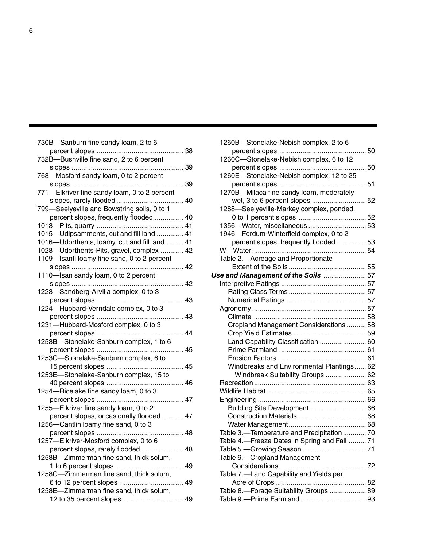| 730B-Sanburn fine sandy loam, 2 to 6          |     |
|-----------------------------------------------|-----|
|                                               | 38  |
| 732B-Bushville fine sand, 2 to 6 percent      |     |
|                                               | 39  |
| 768-Mosford sandy loam, 0 to 2 percent        |     |
|                                               | 39  |
| 771-Elkriver fine sandy loam, 0 to 2 percent  |     |
|                                               | 40  |
| 799-Seelyeville and Bowstring soils, 0 to 1   |     |
| percent slopes, frequently flooded  40        |     |
|                                               |     |
| 1015-Udipsamments, cut and fill land  41      |     |
| 1016-Udorthents, loamy, cut and fill land  41 |     |
| 1028-Udorthents-Pits, gravel, complex  42     |     |
| 1109-Isanti loamy fine sand, 0 to 2 percent   |     |
| 42<br>slopes                                  |     |
| 1110-Isan sandy loam, 0 to 2 percent          |     |
| slopes                                        | 42  |
| 1223-Sandberg-Arvilla complex, 0 to 3         |     |
| percent slopes                                | 43  |
| 1224-Hubbard-Verndale complex, 0 to 3         |     |
| percent slopes                                | 43  |
| 1231-Hubbard-Mosford complex, 0 to 3          |     |
| percent slopes                                | 44  |
| 1253B-Stonelake-Sanburn complex, 1 to 6       |     |
| percent slopes                                | 45  |
| 1253C-Stonelake-Sanburn complex, 6 to         |     |
| 15 percent slopes                             | 45  |
| 1253E-Stonelake-Sanburn complex, 15 to        |     |
| 40 percent slopes                             | 46  |
| 1254-Ricelake fine sandy loam, 0 to 3         |     |
| percent slopes                                | 47  |
| 1255-Elkriver fine sandy loam, 0 to 2         |     |
| percent slopes, occasionally flooded  47      |     |
| 1256-Cantlin loamy fine sand, 0 to 3          |     |
| percent slopes                                | .48 |
| 1257-Elkriver-Mosford complex, 0 to 6         |     |
| percent slopes, rarely flooded                | 48  |
| 1258B-Zimmerman fine sand, thick solum,       |     |
|                                               |     |
| 1258C-Zimmerman fine sand, thick solum,       |     |
|                                               |     |
| 1258E-Zimmerman fine sand, thick solum,       |     |
| 12 to 35 percent slopes 49                    |     |
|                                               |     |

| 1260B-Stonelake-Nebish complex, 2 to 6       |  |
|----------------------------------------------|--|
|                                              |  |
| 1260C-Stonelake-Nebish complex, 6 to 12      |  |
|                                              |  |
| 1260E-Stonelake-Nebish complex, 12 to 25     |  |
|                                              |  |
| 1270B-Milaca fine sandy loam, moderately     |  |
|                                              |  |
| 1288-Seelyeville-Markey complex, ponded,     |  |
|                                              |  |
| 1356-Water, miscellaneous  53                |  |
| 1946-Fordum-Winterfield complex, 0 to 2      |  |
| percent slopes, frequently flooded  53       |  |
|                                              |  |
| Table 2.-Acreage and Proportionate           |  |
|                                              |  |
| Use and Management of the Soils  57          |  |
|                                              |  |
|                                              |  |
|                                              |  |
|                                              |  |
|                                              |  |
| Cropland Management Considerations  58       |  |
|                                              |  |
| Land Capability Classification  60           |  |
|                                              |  |
|                                              |  |
| Windbreaks and Environmental Plantings 62    |  |
| Windbreak Suitability Groups  62             |  |
|                                              |  |
|                                              |  |
|                                              |  |
| Building Site Development  66                |  |
|                                              |  |
|                                              |  |
| Table 3.-Temperature and Precipitation  70   |  |
| Table 4.-Freeze Dates in Spring and Fall  71 |  |
|                                              |  |
| Table 6.-Cropland Management                 |  |
|                                              |  |
| Table 7.-Land Capability and Yields per      |  |
|                                              |  |
| Table 8.-Forage Suitability Groups  89       |  |
|                                              |  |
|                                              |  |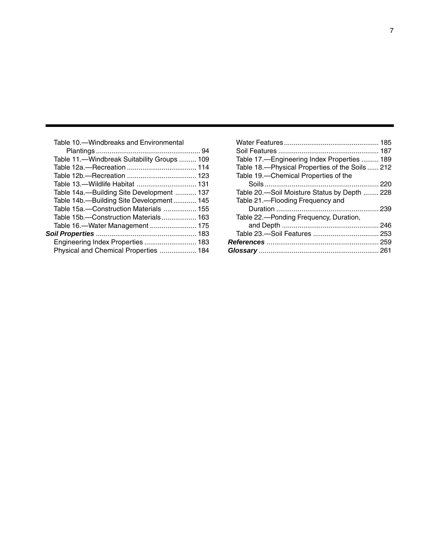| Table 10.-Windbreaks and Environmental      |  |
|---------------------------------------------|--|
|                                             |  |
| Table 11.—Windbreak Suitability Groups  109 |  |
|                                             |  |
|                                             |  |
| Table 13.-Wildlife Habitat  131             |  |
| Table 14a.--Building Site Development  137  |  |
| Table 14b.-Building Site Development 145    |  |
| Table 15a.-Construction Materials  155      |  |
| Table 15b.-Construction Materials 163       |  |
| Table 16.-Water Management  175             |  |
|                                             |  |
| Engineering Index Properties  183           |  |
| Physical and Chemical Properties  184       |  |
|                                             |  |

| Table 17.—Engineering Index Properties  189    |  |
|------------------------------------------------|--|
| Table 18.-Physical Properties of the Soils 212 |  |
| Table 19.—Chemical Properties of the           |  |
|                                                |  |
| Table 20 .— Soil Moisture Status by Depth  228 |  |
| Table 21.—Flooding Frequency and               |  |
|                                                |  |
| Table 22.—Ponding Frequency, Duration,         |  |
|                                                |  |
|                                                |  |
|                                                |  |
|                                                |  |
|                                                |  |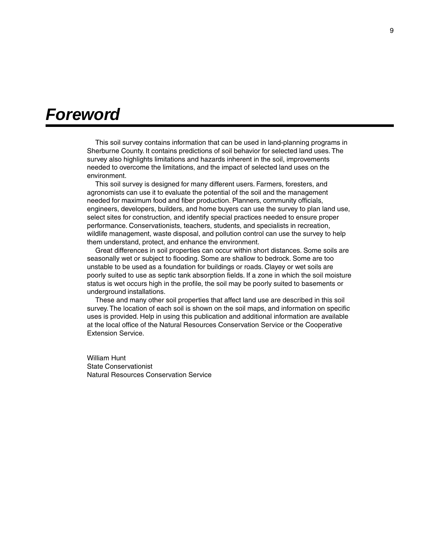## <span id="page-8-0"></span>*Foreword*

This soil survey contains information that can be used in land-planning programs in Sherburne County. It contains predictions of soil behavior for selected land uses. The survey also highlights limitations and hazards inherent in the soil, improvements needed to overcome the limitations, and the impact of selected land uses on the environment.

This soil survey is designed for many different users. Farmers, foresters, and agronomists can use it to evaluate the potential of the soil and the management needed for maximum food and fiber production. Planners, community officials, engineers, developers, builders, and home buyers can use the survey to plan land use, select sites for construction, and identify special practices needed to ensure proper performance. Conservationists, teachers, students, and specialists in recreation, wildlife management, waste disposal, and pollution control can use the survey to help them understand, protect, and enhance the environment.

Great differences in soil properties can occur within short distances. Some soils are seasonally wet or subject to flooding. Some are shallow to bedrock. Some are too unstable to be used as a foundation for buildings or roads. Clayey or wet soils are poorly suited to use as septic tank absorption fields. If a zone in which the soil moisture status is wet occurs high in the profile, the soil may be poorly suited to basements or underground installations.

These and many other soil properties that affect land use are described in this soil survey. The location of each soil is shown on the soil maps, and information on specific uses is provided. Help in using this publication and additional information are available at the local office of the Natural Resources Conservation Service or the Cooperative Extension Service.

William Hunt State Conservationist Natural Resources Conservation Service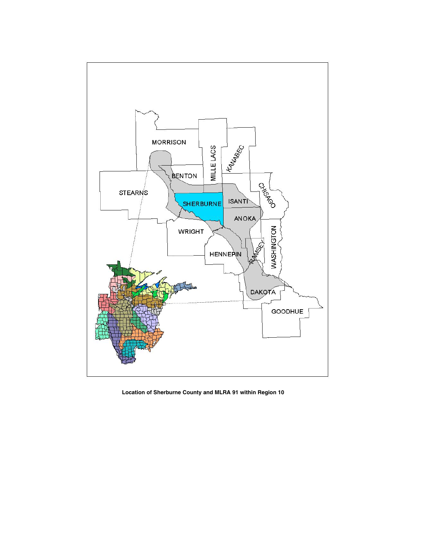

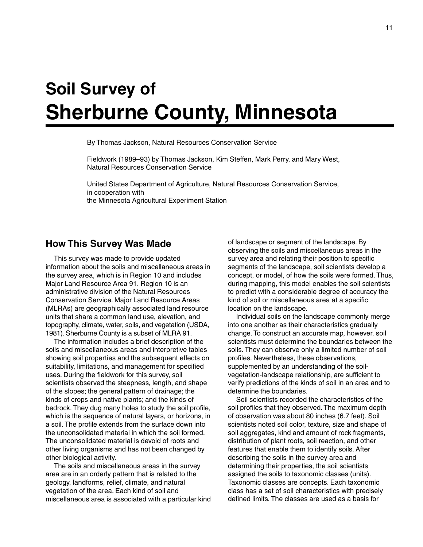# <span id="page-10-0"></span>**Soil Survey of Sherburne County, Minnesota**

By Thomas Jackson, Natural Resources Conservation Service

Fieldwork (1989–93) by Thomas Jackson, Kim Steffen, Mark Perry, and Mary West, Natural Resources Conservation Service

United States Department of Agriculture, Natural Resources Conservation Service, in cooperation with the Minnesota Agricultural Experiment Station

## **How This Survey Was Made**

This survey was made to provide updated information about the soils and miscellaneous areas in the survey area, which is in Region 10 and includes Major Land Resource Area 91. Region 10 is an administrative division of the Natural Resources Conservation Service. Major Land Resource Areas (MLRAs) are geographically associated land resource units that share a common land use, elevation, and topography, climate, water, soils, and vegetation (USDA, 1981). Sherburne County is a subset of MLRA 91.

The information includes a brief description of the soils and miscellaneous areas and interpretive tables showing soil properties and the subsequent effects on suitability, limitations, and management for specified uses. During the fieldwork for this survey, soil scientists observed the steepness, length, and shape of the slopes; the general pattern of drainage; the kinds of crops and native plants; and the kinds of bedrock. They dug many holes to study the soil profile, which is the sequence of natural layers, or horizons, in a soil. The profile extends from the surface down into the unconsolidated material in which the soil formed. The unconsolidated material is devoid of roots and other living organisms and has not been changed by other biological activity.

The soils and miscellaneous areas in the survey area are in an orderly pattern that is related to the geology, landforms, relief, climate, and natural vegetation of the area. Each kind of soil and miscellaneous area is associated with a particular kind of landscape or segment of the landscape. By observing the soils and miscellaneous areas in the survey area and relating their position to specific segments of the landscape, soil scientists develop a concept, or model, of how the soils were formed. Thus, during mapping, this model enables the soil scientists to predict with a considerable degree of accuracy the kind of soil or miscellaneous area at a specific location on the landscape.

Individual soils on the landscape commonly merge into one another as their characteristics gradually change. To construct an accurate map, however, soil scientists must determine the boundaries between the soils. They can observe only a limited number of soil profiles. Nevertheless, these observations, supplemented by an understanding of the soilvegetation-landscape relationship, are sufficient to verify predictions of the kinds of soil in an area and to determine the boundaries.

Soil scientists recorded the characteristics of the soil profiles that they observed. The maximum depth of observation was about 80 inches (6.7 feet). Soil scientists noted soil color, texture, size and shape of soil aggregates, kind and amount of rock fragments, distribution of plant roots, soil reaction, and other features that enable them to identify soils. After describing the soils in the survey area and determining their properties, the soil scientists assigned the soils to taxonomic classes (units). Taxonomic classes are concepts. Each taxonomic class has a set of soil characteristics with precisely defined limits. The classes are used as a basis for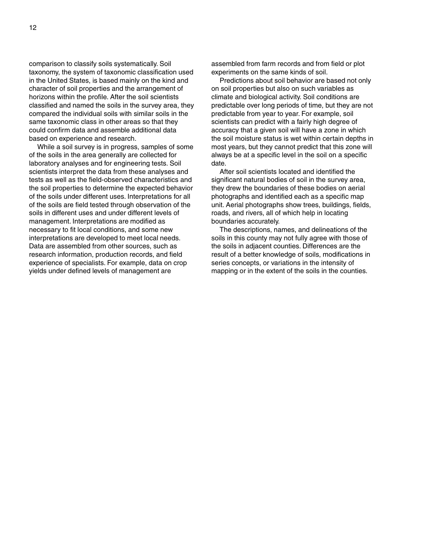comparison to classify soils systematically. Soil taxonomy, the system of taxonomic classification used in the United States, is based mainly on the kind and character of soil properties and the arrangement of horizons within the profile. After the soil scientists classified and named the soils in the survey area, they compared the individual soils with similar soils in the same taxonomic class in other areas so that they could confirm data and assemble additional data based on experience and research.

While a soil survey is in progress, samples of some of the soils in the area generally are collected for laboratory analyses and for engineering tests. Soil scientists interpret the data from these analyses and tests as well as the field-observed characteristics and the soil properties to determine the expected behavior of the soils under different uses. Interpretations for all of the soils are field tested through observation of the soils in different uses and under different levels of management. Interpretations are modified as necessary to fit local conditions, and some new interpretations are developed to meet local needs. Data are assembled from other sources, such as research information, production records, and field experience of specialists. For example, data on crop yields under defined levels of management are

assembled from farm records and from field or plot experiments on the same kinds of soil.

Predictions about soil behavior are based not only on soil properties but also on such variables as climate and biological activity. Soil conditions are predictable over long periods of time, but they are not predictable from year to year. For example, soil scientists can predict with a fairly high degree of accuracy that a given soil will have a zone in which the soil moisture status is wet within certain depths in most years, but they cannot predict that this zone will always be at a specific level in the soil on a specific date.

After soil scientists located and identified the significant natural bodies of soil in the survey area. they drew the boundaries of these bodies on aerial photographs and identified each as a specific map unit. Aerial photographs show trees, buildings, fields, roads, and rivers, all of which help in locating boundaries accurately.

The descriptions, names, and delineations of the soils in this county may not fully agree with those of the soils in adjacent counties. Differences are the result of a better knowledge of soils, modifications in series concepts, or variations in the intensity of mapping or in the extent of the soils in the counties.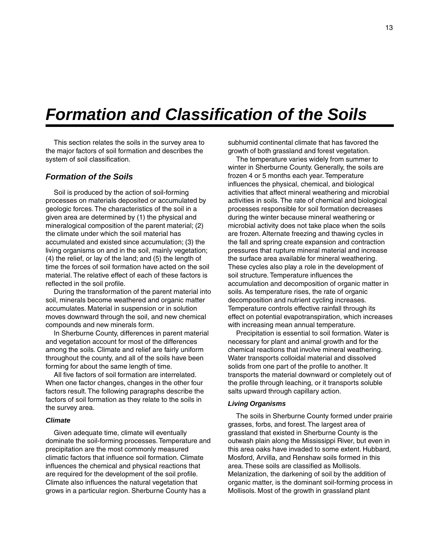## <span id="page-12-0"></span>*Formation and Classification of the Soils*

This section relates the soils in the survey area to the major factors of soil formation and describes the system of soil classification.

## *Formation of the Soils*

Soil is produced by the action of soil-forming processes on materials deposited or accumulated by geologic forces. The characteristics of the soil in a given area are determined by (1) the physical and mineralogical composition of the parent material; (2) the climate under which the soil material has accumulated and existed since accumulation; (3) the living organisms on and in the soil, mainly vegetation; (4) the relief, or lay of the land; and (5) the length of time the forces of soil formation have acted on the soil material. The relative effect of each of these factors is reflected in the soil profile.

During the transformation of the parent material into soil, minerals become weathered and organic matter accumulates. Material in suspension or in solution moves downward through the soil, and new chemical compounds and new minerals form.

In Sherburne County, differences in parent material and vegetation account for most of the differences among the soils. Climate and relief are fairly uniform throughout the county, and all of the soils have been forming for about the same length of time.

All five factors of soil formation are interrelated. When one factor changes, changes in the other four factors result. The following paragraphs describe the factors of soil formation as they relate to the soils in the survey area.

#### *Climate*

Given adequate time, climate will eventually dominate the soil-forming processes. Temperature and precipitation are the most commonly measured climatic factors that influence soil formation. Climate influences the chemical and physical reactions that are required for the development of the soil profile. Climate also influences the natural vegetation that grows in a particular region. Sherburne County has a

subhumid continental climate that has favored the growth of both grassland and forest vegetation.

The temperature varies widely from summer to winter in Sherburne County. Generally, the soils are frozen 4 or 5 months each year. Temperature influences the physical, chemical, and biological activities that affect mineral weathering and microbial activities in soils. The rate of chemical and biological processes responsible for soil formation decreases during the winter because mineral weathering or microbial activity does not take place when the soils are frozen. Alternate freezing and thawing cycles in the fall and spring create expansion and contraction pressures that rupture mineral material and increase the surface area available for mineral weathering. These cycles also play a role in the development of soil structure. Temperature influences the accumulation and decomposition of organic matter in soils. As temperature rises, the rate of organic decomposition and nutrient cycling increases. Temperature controls effective rainfall through its effect on potential evapotranspiration, which increases with increasing mean annual temperature.

Precipitation is essential to soil formation. Water is necessary for plant and animal growth and for the chemical reactions that involve mineral weathering. Water transports colloidal material and dissolved solids from one part of the profile to another. It transports the material downward or completely out of the profile through leaching, or it transports soluble salts upward through capillary action.

#### *Living Organisms*

The soils in Sherburne County formed under prairie grasses, forbs, and forest. The largest area of grassland that existed in Sherburne County is the outwash plain along the Mississippi River, but even in this area oaks have invaded to some extent. Hubbard, Mosford, Arvilla, and Renshaw soils formed in this area. These soils are classified as Mollisols. Melanization, the darkening of soil by the addition of organic matter, is the dominant soil-forming process in Mollisols. Most of the growth in grassland plant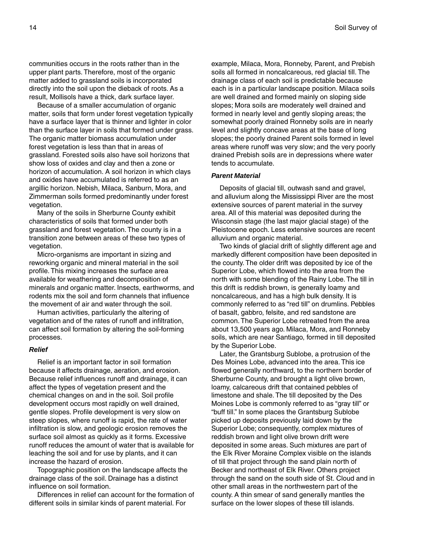communities occurs in the roots rather than in the upper plant parts. Therefore, most of the organic matter added to grassland soils is incorporated directly into the soil upon the dieback of roots. As a result, Mollisols have a thick, dark surface layer.

Because of a smaller accumulation of organic matter, soils that form under forest vegetation typically have a surface layer that is thinner and lighter in color than the surface layer in soils that formed under grass. The organic matter biomass accumulation under forest vegetation is less than that in areas of grassland. Forested soils also have soil horizons that show loss of oxides and clay and then a zone or horizon of accumulation. A soil horizon in which clays and oxides have accumulated is referred to as an argillic horizon. Nebish, Milaca, Sanburn, Mora, and Zimmerman soils formed predominantly under forest vegetation.

Many of the soils in Sherburne County exhibit characteristics of soils that formed under both grassland and forest vegetation. The county is in a transition zone between areas of these two types of vegetation.

Micro-organisms are important in sizing and reworking organic and mineral material in the soil profile. This mixing increases the surface area available for weathering and decomposition of minerals and organic matter. Insects, earthworms, and rodents mix the soil and form channels that influence the movement of air and water through the soil.

Human activities, particularly the altering of vegetation and of the rates of runoff and infiltration, can affect soil formation by altering the soil-forming processes.

#### *Relief*

Relief is an important factor in soil formation because it affects drainage, aeration, and erosion. Because relief influences runoff and drainage, it can affect the types of vegetation present and the chemical changes on and in the soil. Soil profile development occurs most rapidly on well drained, gentle slopes. Profile development is very slow on steep slopes, where runoff is rapid, the rate of water infiltration is slow, and geologic erosion removes the surface soil almost as quickly as it forms. Excessive runoff reduces the amount of water that is available for leaching the soil and for use by plants, and it can increase the hazard of erosion.

Topographic position on the landscape affects the drainage class of the soil. Drainage has a distinct influence on soil formation.

Differences in relief can account for the formation of different soils in similar kinds of parent material. For

example, Milaca, Mora, Ronneby, Parent, and Prebish soils all formed in noncalcareous, red glacial till. The drainage class of each soil is predictable because each is in a particular landscape position. Milaca soils are well drained and formed mainly on sloping side slopes; Mora soils are moderately well drained and formed in nearly level and gently sloping areas; the somewhat poorly drained Ronneby soils are in nearly level and slightly concave areas at the base of long slopes; the poorly drained Parent soils formed in level areas where runoff was very slow; and the very poorly drained Prebish soils are in depressions where water tends to accumulate.

#### *Parent Material*

Deposits of glacial till, outwash sand and gravel, and alluvium along the Mississippi River are the most extensive sources of parent material in the survey area. All of this material was deposited during the Wisconsin stage (the last major glacial stage) of the Pleistocene epoch. Less extensive sources are recent alluvium and organic material.

Two kinds of glacial drift of slightly different age and markedly different composition have been deposited in the county. The older drift was deposited by ice of the Superior Lobe, which flowed into the area from the north with some blending of the Rainy Lobe. The till in this drift is reddish brown, is generally loamy and noncalcareous, and has a high bulk density. It is commonly referred to as "red till" on drumlins. Pebbles of basalt, gabbro, felsite, and red sandstone are common. The Superior Lobe retreated from the area about 13,500 years ago. Milaca, Mora, and Ronneby soils, which are near Santiago, formed in till deposited by the Superior Lobe.

Later, the Grantsburg Sublobe, a protrusion of the Des Moines Lobe, advanced into the area. This ice flowed generally northward, to the northern border of Sherburne County, and brought a light olive brown, loamy, calcareous drift that contained pebbles of limestone and shale. The till deposited by the Des Moines Lobe is commonly referred to as "gray till" or "buff till." In some places the Grantsburg Sublobe picked up deposits previously laid down by the Superior Lobe; consequently, complex mixtures of reddish brown and light olive brown drift were deposited in some areas. Such mixtures are part of the Elk River Moraine Complex visible on the islands of till that project through the sand plain north of Becker and northeast of Elk River. Others project through the sand on the south side of St. Cloud and in other small areas in the northwestern part of the county. A thin smear of sand generally mantles the surface on the lower slopes of these till islands.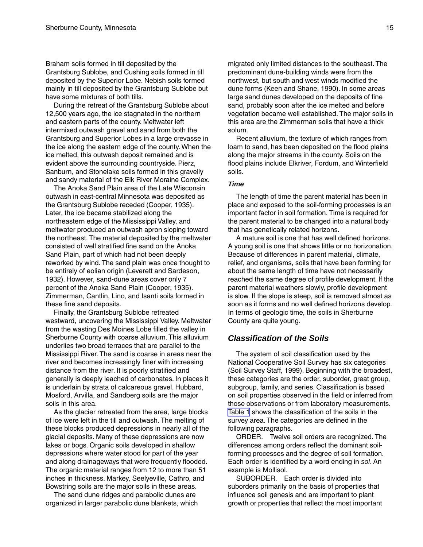Braham soils formed in till deposited by the Grantsburg Sublobe, and Cushing soils formed in till deposited by the Superior Lobe. Nebish soils formed mainly in till deposited by the Grantsburg Sublobe but have some mixtures of both tills.

During the retreat of the Grantsburg Sublobe about 12,500 years ago, the ice stagnated in the northern and eastern parts of the county. Meltwater left intermixed outwash gravel and sand from both the Grantsburg and Superior Lobes in a large crevasse in the ice along the eastern edge of the county. When the ice melted, this outwash deposit remained and is evident above the surrounding countryside. Pierz, Sanburn, and Stonelake soils formed in this gravelly and sandy material of the Elk River Moraine Complex.

The Anoka Sand Plain area of the Late Wisconsin outwash in east-central Minnesota was deposited as the Grantsburg Sublobe receded (Cooper, 1935). Later, the ice became stabilized along the northeastern edge of the Mississippi Valley, and meltwater produced an outwash apron sloping toward the northeast. The material deposited by the meltwater consisted of well stratified fine sand on the Anoka Sand Plain, part of which had not been deeply reworked by wind. The sand plain was once thought to be entirely of eolian origin (Leverett and Sardeson, 1932). However, sand-dune areas cover only 7 percent of the Anoka Sand Plain (Cooper, 1935). Zimmerman, Cantlin, Lino, and Isanti soils formed in these fine sand deposits.

Finally, the Grantsburg Sublobe retreated westward, uncovering the Mississippi Valley. Meltwater from the wasting Des Moines Lobe filled the valley in Sherburne County with coarse alluvium. This alluvium underlies two broad terraces that are parallel to the Mississippi River. The sand is coarse in areas near the river and becomes increasingly finer with increasing distance from the river. It is poorly stratified and generally is deeply leached of carbonates. In places it is underlain by strata of calcareous gravel. Hubbard, Mosford, Arvilla, and Sandberg soils are the major soils in this area.

As the glacier retreated from the area, large blocks of ice were left in the till and outwash. The melting of these blocks produced depressions in nearly all of the glacial deposits. Many of these depressions are now lakes or bogs. Organic soils developed in shallow depressions where water stood for part of the year and along drainageways that were frequently flooded. The organic material ranges from 12 to more than 51 inches in thickness. Markey, Seelyeville, Cathro, and Bowstring soils are the major soils in these areas.

The sand dune ridges and parabolic dunes are organized in larger parabolic dune blankets, which

migrated only limited distances to the southeast. The predominant dune-building winds were from the northwest, but south and west winds modified the dune forms (Keen and Shane, 1990). In some areas large sand dunes developed on the deposits of fine sand, probably soon after the ice melted and before vegetation became well established. The major soils in this area are the Zimmerman soils that have a thick solum.

Recent alluvium, the texture of which ranges from loam to sand, has been deposited on the flood plains along the major streams in the county. Soils on the flood plains include Elkriver, Fordum, and Winterfield soils.

#### *Time*

The length of time the parent material has been in place and exposed to the soil-forming processes is an important factor in soil formation. Time is required for the parent material to be changed into a natural body that has genetically related horizons.

A mature soil is one that has well defined horizons. A young soil is one that shows little or no horizonation. Because of differences in parent material, climate, relief, and organisms, soils that have been forming for about the same length of time have not necessarily reached the same degree of profile development. If the parent material weathers slowly, profile development is slow. If the slope is steep, soil is removed almost as soon as it forms and no well defined horizons develop. In terms of geologic time, the soils in Sherburne County are quite young.

## *Classification of the Soils*

The system of soil classification used by the National Cooperative Soil Survey has six categories (Soil Survey Staff, 1999). Beginning with the broadest, these categories are the order, suborder, great group, subgroup, family, and series. Classification is based on soil properties observed in the field or inferred from those observations or from laboratory measurements. [Table 1](#page-16-0) shows the classification of the soils in the survey area. The categories are defined in the following paragraphs.

ORDER. Twelve soil orders are recognized. The differences among orders reflect the dominant soilforming processes and the degree of soil formation. Each order is identified by a word ending in *sol*. An example is Mollisol.

SUBORDER. Each order is divided into suborders primarily on the basis of properties that influence soil genesis and are important to plant growth or properties that reflect the most important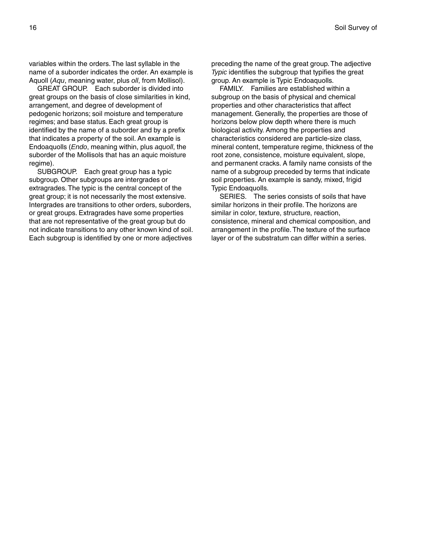variables within the orders. The last syllable in the name of a suborder indicates the order. An example is Aquoll (*Aqu*, meaning water, plus *oll*, from Mollisol).

GREAT GROUP. Each suborder is divided into great groups on the basis of close similarities in kind, arrangement, and degree of development of pedogenic horizons; soil moisture and temperature regimes; and base status. Each great group is identified by the name of a suborder and by a prefix that indicates a property of the soil. An example is Endoaquolls (*Endo*, meaning within, plus *aquoll*, the suborder of the Mollisols that has an aquic moisture regime).

SUBGROUP. Each great group has a typic subgroup. Other subgroups are intergrades or extragrades. The typic is the central concept of the great group; it is not necessarily the most extensive. Intergrades are transitions to other orders, suborders, or great groups. Extragrades have some properties that are not representative of the great group but do not indicate transitions to any other known kind of soil. Each subgroup is identified by one or more adjectives

preceding the name of the great group. The adjective *Typic* identifies the subgroup that typifies the great group. An example is Typic Endoaquolls.

FAMILY. Families are established within a subgroup on the basis of physical and chemical properties and other characteristics that affect management. Generally, the properties are those of horizons below plow depth where there is much biological activity. Among the properties and characteristics considered are particle-size class, mineral content, temperature regime, thickness of the root zone, consistence, moisture equivalent, slope, and permanent cracks. A family name consists of the name of a subgroup preceded by terms that indicate soil properties. An example is sandy, mixed, frigid Typic Endoaquolls.

SERIES. The series consists of soils that have similar horizons in their profile. The horizons are similar in color, texture, structure, reaction, consistence, mineral and chemical composition, and arrangement in the profile. The texture of the surface layer or of the substratum can differ within a series.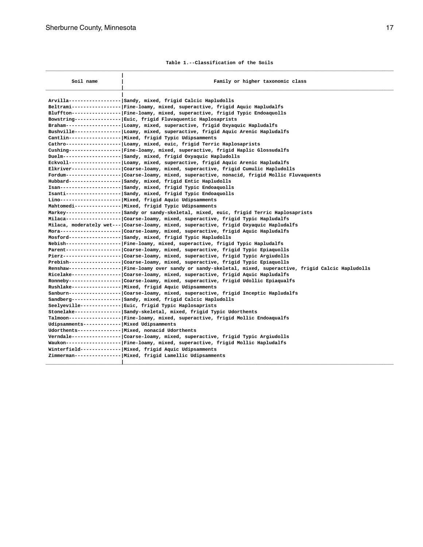**Table 1.--Classification of the Soils**

<span id="page-16-0"></span>

| Soil name                                   | Family or higher taxonomic class                                                                                                                                                                                                                                                                                                                                                                                                                                                                                                                                                                                                                                                                                                                                                                                                                                                                                                                                                                                                                                                                                                                                                                                                                                                                                                                                                                                                                                                                                                                                                                                                                                                                                                                                                                                                                    |
|---------------------------------------------|-----------------------------------------------------------------------------------------------------------------------------------------------------------------------------------------------------------------------------------------------------------------------------------------------------------------------------------------------------------------------------------------------------------------------------------------------------------------------------------------------------------------------------------------------------------------------------------------------------------------------------------------------------------------------------------------------------------------------------------------------------------------------------------------------------------------------------------------------------------------------------------------------------------------------------------------------------------------------------------------------------------------------------------------------------------------------------------------------------------------------------------------------------------------------------------------------------------------------------------------------------------------------------------------------------------------------------------------------------------------------------------------------------------------------------------------------------------------------------------------------------------------------------------------------------------------------------------------------------------------------------------------------------------------------------------------------------------------------------------------------------------------------------------------------------------------------------------------------------|
|                                             | Arvilla----------------- Sandy, mixed, frigid Calcic Hapludolls<br>Beltrami---------------- Fine-loamy, mixed, superactive, frigid Aquic Hapludalfs<br>Bluffton---------------- Fine-loamy, mixed, superactive, frigid Typic Endoaquolls<br>Bowstring---------------  Euic, frigid Fluvaquentic Haplosaprists<br>Braham------------------ Loamy, mixed, superactive, frigid Oxyaquic Hapludalfs<br>Bushville--------------- Loamy, mixed, superactive, frigid Aquic Arenic Hapludalfs<br>Cantlin----------------- Mixed, frigid Typic Udipsamments<br>Cathro------------------ Loamy, mixed, euic, frigid Terric Haplosaprists<br>Cushing---------------- Fine-loamy, mixed, superactive, frigid Haplic Glossudalfs<br>Duelm-------------------  Sandy, mixed, frigid Oxyaquic Hapludolls<br>Eckvoll----------------- Loamy, mixed, superactive, frigid Aquic Arenic Hapludalfs<br>Elkriver---------------- Coarse-loamy, mixed, superactive, frigid Cumulic Hapludolls<br>Fordum------------------ Coarse-loamy, mixed, superactive, nonacid, frigid Mollic Fluvaquents<br>Hubbard----------------- Sandy, mixed, frigid Entic Hapludolls<br>Isan-------------------- Sandy, mixed, frigid Typic Endoaquolls<br>Isanti------------------  Sandy, mixed, frigid Typic Endoaquolls<br>Lino---------------------  Mixed, frigid Aquic Udipsamments<br>Mahtomedi--------------- Mixed, frigid Typic Udipsamments<br>Markey------------------ Sandy or sandy-skeletal, mixed, euic, frigid Terric Haplosaprists<br>Milaca------------------ Coarse-loamy, mixed, superactive, frigid Typic Hapludalfs<br>Milaca, moderately wet--- Coarse-loamy, mixed, superactive, frigid Oxyaquic Hapludalfs<br>Mora-------------------- Coarse-loamy, mixed, superactive, frigid Aquic Hapludalfs<br>Mosford----------------- Sandy, mixed, frigid Typic Hapludolls |
| Udipsamments------------ Mixed Udipsamments | Nebish----------------- Fine-loamy, mixed, superactive, frigid Typic Hapludalfs<br>Parent----------------------- Coarse-loamy, mixed, superactive, frigid Typic Epiaquolls<br>Pierz------------------------ Coarse-loamy, mixed, superactive, frigid Typic Argiudolls<br>Prebish--------------------- Coarse-loamy, mixed, superactive, frigid Typic Epiaquolls<br>Renshaw---------------- Fine-loamy over sandy or sandy-skeletal, mixed, superactive, frigid Calcic Hapludolls<br>Ricelake---------------- Coarse-loamy, mixed, superactive, frigid Aquic Hapludalfs<br>Ronneby--------------------- Coarse-loamy, mixed, superactive, frigid Udollic Epiaqualfs<br>Rushlake---------------- Mixed, frigid Aquic Udipsamments<br>Sanburn-----------------  Coarse-loamy, mixed, superactive, frigid Inceptic Hapludalfs<br>Sandberg---------------- Sandy, mixed, frigid Calcic Hapludolls<br>Seelyeville------------- Euic, frigid Typic Haplosaprists<br>Stonelake--------------- Sandy-skeletal, mixed, frigid Typic Udorthents<br>Talmoon----------------- Fine-loamy, mixed, superactive, frigid Mollic Endoaqualfs<br>Udorthents--------------  Mixed, nonacid Udorthents<br>Verndale----------------  Coarse-loamy, mixed, superactive, frigid Typic Argiudolls<br>Waukon------------------ Fine-loamy, mixed, superactive, frigid Mollic Hapludalfs<br>Winterfield------------- Mixed, frigid Aquic Udipsamments<br>Zimmerman---------------- Mixed, frigid Lamellic Udipsamments                                                                                                                                                                                                                                                                                                                                                         |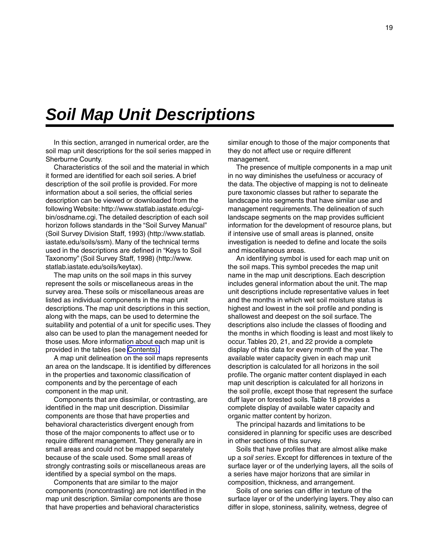## <span id="page-18-0"></span>*Soil Map Unit Descriptions*

In this section, arranged in numerical order, are the soil map unit descriptions for the soil series mapped in Sherburne County.

Characteristics of the soil and the material in which it formed are identified for each soil series. A brief description of the soil profile is provided. For more information about a soil series, the official series description can be viewed or downloaded from the following Website: http://www.statlab.iastate.edu/cgibin/osdname.cgi. The detailed description of each soil horizon follows standards in the "Soil Survey Manual" (Soil Survey Division Staff, 1993) (http://www.statlab. iastate.edu/soils/ssm). Many of the technical terms used in the descriptions are defined in "Keys to Soil Taxonomy" (Soil Survey Staff, 1998) (http://www. statlab.iastate.edu/soils/keytax).

The map units on the soil maps in this survey represent the soils or miscellaneous areas in the survey area. These soils or miscellaneous areas are listed as individual components in the map unit descriptions. The map unit descriptions in this section, along with the maps, can be used to determine the suitability and potential of a unit for specific uses. They also can be used to plan the management needed for those uses. More information about each map unit is provided in the tables (see [Contents\).](#page-4-0)

A map unit delineation on the soil maps represents an area on the landscape. It is identified by differences in the properties and taxonomic classification of components and by the percentage of each component in the map unit.

Components that are dissimilar, or contrasting, are identified in the map unit description. Dissimilar components are those that have properties and behavioral characteristics divergent enough from those of the major components to affect use or to require different management. They generally are in small areas and could not be mapped separately because of the scale used. Some small areas of strongly contrasting soils or miscellaneous areas are identified by a special symbol on the maps.

Components that are similar to the major components (noncontrasting) are not identified in the map unit description. Similar components are those that have properties and behavioral characteristics

similar enough to those of the major components that they do not affect use or require different management.

The presence of multiple components in a map unit in no way diminishes the usefulness or accuracy of the data. The objective of mapping is not to delineate pure taxonomic classes but rather to separate the landscape into segments that have similar use and management requirements. The delineation of such landscape segments on the map provides sufficient information for the development of resource plans, but if intensive use of small areas is planned, onsite investigation is needed to define and locate the soils and miscellaneous areas.

An identifying symbol is used for each map unit on the soil maps. This symbol precedes the map unit name in the map unit descriptions. Each description includes general information about the unit. The map unit descriptions include representative values in feet and the months in which wet soil moisture status is highest and lowest in the soil profile and ponding is shallowest and deepest on the soil surface. The descriptions also include the classes of flooding and the months in which flooding is least and most likely to occur. Tables 20, 21, and 22 provide a complete display of this data for every month of the year. The available water capacity given in each map unit description is calculated for all horizons in the soil profile. The organic matter content displayed in each map unit description is calculated for all horizons in the soil profile, except those that represent the surface duff layer on forested soils. Table 18 provides a complete display of available water capacity and organic matter content by horizon.

The principal hazards and limitations to be considered in planning for specific uses are described in other sections of this survey.

Soils that have profiles that are almost alike make up a *soil series*. Except for differences in texture of the surface layer or of the underlying layers, all the soils of a series have major horizons that are similar in composition, thickness, and arrangement.

Soils of one series can differ in texture of the surface layer or of the underlying layers. They also can differ in slope, stoniness, salinity, wetness, degree of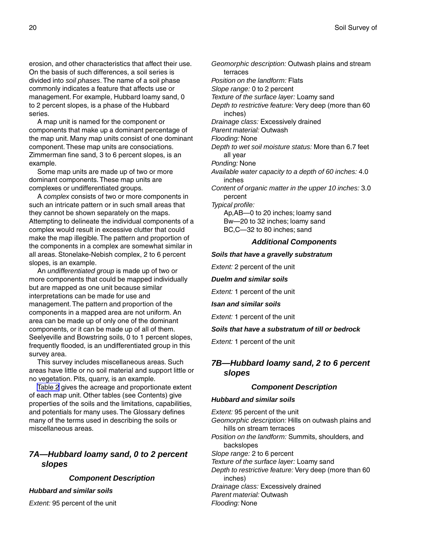<span id="page-19-0"></span>erosion, and other characteristics that affect their use. On the basis of such differences, a soil series is divided into *soil phases*. The name of a soil phase commonly indicates a feature that affects use or management. For example, Hubbard loamy sand, 0 to 2 percent slopes, is a phase of the Hubbard series.

A map unit is named for the component or components that make up a dominant percentage of the map unit. Many map units consist of one dominant component. These map units are consociations. Zimmerman fine sand, 3 to 6 percent slopes, is an example.

Some map units are made up of two or more dominant components. These map units are complexes or undifferentiated groups.

A *complex* consists of two or more components in such an intricate pattern or in such small areas that they cannot be shown separately on the maps. Attempting to delineate the individual components of a complex would result in excessive clutter that could make the map illegible. The pattern and proportion of the components in a complex are somewhat similar in all areas. Stonelake-Nebish complex, 2 to 6 percent slopes, is an example.

An *undifferentiated group* is made up of two or more components that could be mapped individually but are mapped as one unit because similar interpretations can be made for use and management. The pattern and proportion of the components in a mapped area are not uniform. An area can be made up of only one of the dominant components, or it can be made up of all of them. Seelyeville and Bowstring soils, 0 to 1 percent slopes, frequently flooded, is an undifferentiated group in this survey area.

This survey includes miscellaneous areas. Such areas have little or no soil material and support little or no vegetation. Pits, quarry, is an example.

[Table 2](#page-54-0) gives the acreage and proportionate extent of each map unit. Other tables (see Contents) give properties of the soils and the limitations, capabilities, and potentials for many uses. The Glossary defines many of the terms used in describing the soils or miscellaneous areas.

## *7A—Hubbard loamy sand, 0 to 2 percent slopes*

#### *Component Description*

#### *Hubbard and similar soils*

*Extent:* 95 percent of the unit

*Geomorphic description:* Outwash plains and stream terraces *Position on the landform:* Flats *Slope range:* 0 to 2 percent *Texture of the surface layer:* Loamy sand *Depth to restrictive feature:* Very deep (more than 60 inches) *Drainage class:* Excessively drained *Parent material:* Outwash *Flooding:* None *Depth to wet soil moisture status:* More than 6.7 feet all year *Ponding:* None *Available water capacity to a depth of 60 inches:* 4.0 inches *Content of organic matter in the upper 10 inches:* 3.0 percent *Typical profile:* Ap,AB—0 to 20 inches; loamy sand

> Bw—20 to 32 inches; loamy sand BC,C—32 to 80 inches; sand

#### *Additional Components*

#### *Soils that have a gravelly substratum*

*Extent:* 2 percent of the unit

*Duelm and similar soils*

*Extent:* 1 percent of the unit

*Isan and similar soils*

*Extent:* 1 percent of the unit

*Soils that have a substratum of till or bedrock*

*Extent:* 1 percent of the unit

## *7B—Hubbard loamy sand, 2 to 6 percent slopes*

## *Component Description*

#### *Hubbard and similar soils*

*Extent:* 95 percent of the unit *Geomorphic description:* Hills on outwash plains and hills on stream terraces *Position on the landform:* Summits, shoulders, and backslopes *Slope range:* 2 to 6 percent *Texture of the surface layer:* Loamy sand *Depth to restrictive feature:* Very deep (more than 60 inches) *Drainage class:* Excessively drained

*Parent material:* Outwash

*Flooding:* None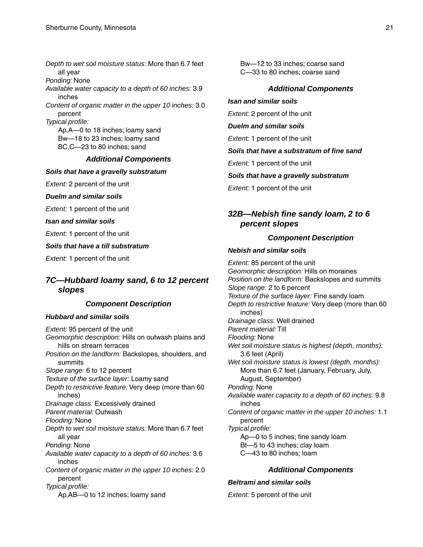<span id="page-20-0"></span>*Depth to wet soil moisture status:* More than 6.7 feet all year *Ponding:* None *Available water capacity to a depth of 60 inches:* 3.9 inches *Content of organic matter in the upper 10 inches:* 3.0 percent *Typical profile:* Ap,A—0 to 18 inches; loamy sand Bw—18 to 23 inches; loamy sand BC,C—23 to 80 inches; sand

#### *Additional Components*

#### *Soils that have a gravelly substratum*

*Extent:* 2 percent of the unit

*Duelm and similar soils*

*Extent:* 1 percent of the unit

*Isan and similar soils*

*Extent:* 1 percent of the unit

*Soils that have a till substratum*

*Extent:* 1 percent of the unit

## *7C—Hubbard loamy sand, 6 to 12 percent slopes*

#### *Component Description*

#### *Hubbard and similar soils*

*Extent:* 95 percent of the unit *Geomorphic description:* Hills on outwash plains and hills on stream terraces *Position on the landform:* Backslopes, shoulders, and summits *Slope range:* 6 to 12 percent *Texture of the surface layer:* Loamy sand *Depth to restrictive feature:* Very deep (more than 60 inches) *Drainage class:* Excessively drained *Parent material:* Outwash *Flooding:* None *Depth to wet soil moisture status:* More than 6.7 feet all year *Ponding:* None *Available water capacity to a depth of 60 inches:* 3.6 inches *Content of organic matter in the upper 10 inches:* 2.0 percent *Typical profile:* Ap,AB—0 to 12 inches; loamy sand

Bw—12 to 33 inches; coarse sand C—33 to 80 inches; coarse sand

## *Additional Components*

#### *Isan and similar soils*

*Extent:* 2 percent of the unit

*Duelm and similar soils*

*Extent:* 1 percent of the unit

*Soils that have a substratum of fine sand*

*Extent:* 1 percent of the unit

*Soils that have a gravelly substratum*

*Extent:* 1 percent of the unit

## *32B—Nebish fine sandy loam, 2 to 6 percent slopes*

## *Component Description*

#### *Nebish and similar soils*

*Extent:* 85 percent of the unit *Geomorphic description:* Hills on moraines *Position on the landform:* Backslopes and summits *Slope range:* 2 to 6 percent *Texture of the surface layer:* Fine sandy loam *Depth to restrictive feature:* Very deep (more than 60 inches) *Drainage class:* Well drained *Parent material:* Till *Flooding:* None *Wet soil moisture status is highest (depth, months):* 3.6 feet (April) *Wet soil moisture status is lowest (depth, months):* More than 6.7 feet (January, February, July, August, September) *Ponding:* None *Available water capacity to a depth of 60 inches:* 9.8 inches *Content of organic matter in the upper 10 inches:* 1.1 percent *Typical profile:* Ap—0 to 5 inches; fine sandy loam Bt—5 to 43 inches; clay loam C—43 to 80 inches; loam

## *Additional Components*

## *Beltrami and similar soils*

*Extent:* 5 percent of the unit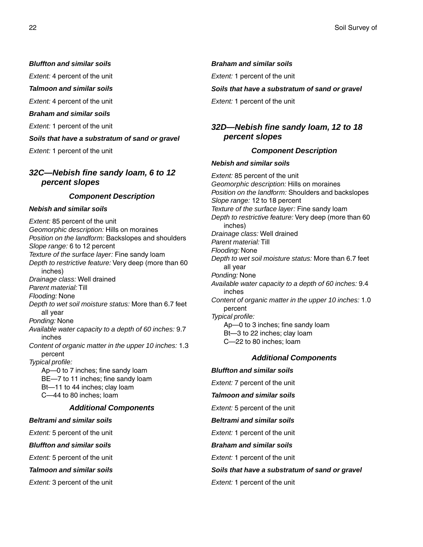#### <span id="page-21-0"></span>*Bluffton and similar soils*

*Extent:* 4 percent of the unit

*Talmoon and similar soils*

*Extent:* 4 percent of the unit

#### *Braham and similar soils*

*Extent:* 1 percent of the unit

#### *Soils that have a substratum of sand or gravel*

*Extent:* 1 percent of the unit

## *32C—Nebish fine sandy loam, 6 to 12 percent slopes*

#### *Component Description*

#### *Nebish and similar soils*

*Extent:* 85 percent of the unit *Geomorphic description:* Hills on moraines *Position on the landform:* Backslopes and shoulders *Slope range:* 6 to 12 percent *Texture of the surface layer:* Fine sandy loam *Depth to restrictive feature:* Very deep (more than 60 inches) *Drainage class:* Well drained *Parent material:* Till *Flooding:* None *Depth to wet soil moisture status:* More than 6.7 feet all year *Ponding:* None *Available water capacity to a depth of 60 inches:* 9.7 inches *Content of organic matter in the upper 10 inches:* 1.3 percent *Typical profile:* Ap—0 to 7 inches; fine sandy loam BE—7 to 11 inches; fine sandy loam Bt—11 to 44 inches; clay loam C—44 to 80 inches; loam *Additional Components Beltrami and similar soils Extent:* 5 percent of the unit

*Bluffton and similar soils*

*Extent:* 5 percent of the unit

*Talmoon and similar soils*

*Extent:* 3 percent of the unit

#### *Braham and similar soils*

*Extent:* 1 percent of the unit

#### *Soils that have a substratum of sand or gravel*

*Extent:* 1 percent of the unit

## *32D—Nebish fine sandy loam, 12 to 18 percent slopes*

#### *Component Description*

#### *Nebish and similar soils*

*Extent:* 85 percent of the unit *Geomorphic description:* Hills on moraines *Position on the landform:* Shoulders and backslopes *Slope range:* 12 to 18 percent *Texture of the surface layer:* Fine sandy loam *Depth to restrictive feature:* Very deep (more than 60 inches) *Drainage class:* Well drained *Parent material:* Till *Flooding:* None *Depth to wet soil moisture status:* More than 6.7 feet all year *Ponding:* None *Available water capacity to a depth of 60 inches:* 9.4 inches *Content of organic matter in the upper 10 inches:* 1.0 percent *Typical profile:* Ap—0 to 3 inches; fine sandy loam Bt—3 to 22 inches; clay loam C—22 to 80 inches; loam

## *Additional Components*

*Bluffton and similar soils Extent:* 7 percent of the unit *Talmoon and similar soils Extent:* 5 percent of the unit *Beltrami and similar soils Extent:* 1 percent of the unit *Braham and similar soils Extent:* 1 percent of the unit *Soils that have a substratum of sand or gravel*

*Extent:* 1 percent of the unit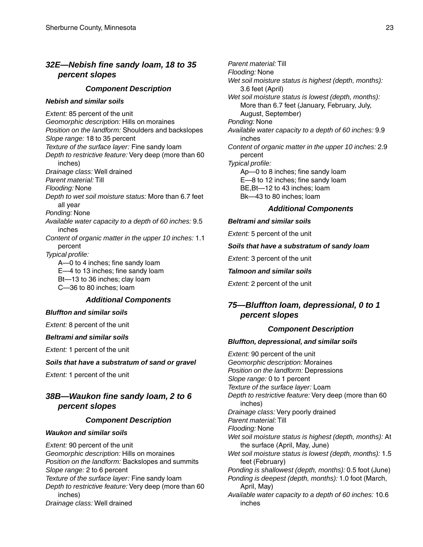## <span id="page-22-0"></span>*32E—Nebish fine sandy loam, 18 to 35 percent slopes*

#### *Component Description*

#### *Nebish and similar soils*

*Extent:* 85 percent of the unit *Geomorphic description:* Hills on moraines *Position on the landform:* Shoulders and backslopes *Slope range:* 18 to 35 percent *Texture of the surface layer:* Fine sandy loam *Depth to restrictive feature:* Very deep (more than 60 inches) *Drainage class:* Well drained *Parent material:* Till *Flooding:* None *Depth to wet soil moisture status:* More than 6.7 feet all year *Ponding:* None *Available water capacity to a depth of 60 inches:* 9.5 inches *Content of organic matter in the upper 10 inches:* 1.1 percent *Typical profile:* A—0 to 4 inches; fine sandy loam E—4 to 13 inches; fine sandy loam Bt—13 to 36 inches; clay loam C—36 to 80 inches; loam

### *Additional Components*

#### *Bluffton and similar soils*

*Extent:* 8 percent of the unit

#### *Beltrami and similar soils*

*Extent:* 1 percent of the unit

#### *Soils that have a substratum of sand or gravel*

*Extent:* 1 percent of the unit

## *38B—Waukon fine sandy loam, 2 to 6 percent slopes*

#### *Component Description*

#### *Waukon and similar soils*

*Extent:* 90 percent of the unit *Geomorphic description:* Hills on moraines *Position on the landform:* Backslopes and summits *Slope range:* 2 to 6 percent *Texture of the surface layer:* Fine sandy loam *Depth to restrictive feature:* Very deep (more than 60 inches) *Drainage class:* Well drained

*Parent material:* Till *Flooding:* None *Wet soil moisture status is highest (depth, months):* 3.6 feet (April) *Wet soil moisture status is lowest (depth, months):* More than 6.7 feet (January, February, July, August, September) *Ponding:* None *Available water capacity to a depth of 60 inches:* 9.9 inches *Content of organic matter in the upper 10 inches:* 2.9 percent *Typical profile:* Ap—0 to 8 inches; fine sandy loam E—8 to 12 inches; fine sandy loam BE,Bt—12 to 43 inches; loam Bk—43 to 80 inches; loam

#### *Additional Components*

#### *Beltrami and similar soils*

*Extent:* 5 percent of the unit

#### *Soils that have a substratum of sandy loam*

*Extent:* 3 percent of the unit

#### *Talmoon and similar soils*

*Extent:* 2 percent of the unit

## *75—Bluffton loam, depressional, 0 to 1 percent slopes*

#### *Component Description*

#### *Bluffton, depressional, and similar soils*

*Extent:* 90 percent of the unit *Geomorphic description:* Moraines *Position on the landform:* Depressions *Slope range:* 0 to 1 percent *Texture of the surface layer:* Loam *Depth to restrictive feature:* Very deep (more than 60 inches) *Drainage class:* Very poorly drained *Parent material:* Till *Flooding:* None *Wet soil moisture status is highest (depth, months):* At the surface (April, May, June) *Wet soil moisture status is lowest (depth, months):* 1.5 feet (February) *Ponding is shallowest (depth, months):* 0.5 foot (June) *Ponding is deepest (depth, months):* 1.0 foot (March, April, May) *Available water capacity to a depth of 60 inches:* 10.6 inches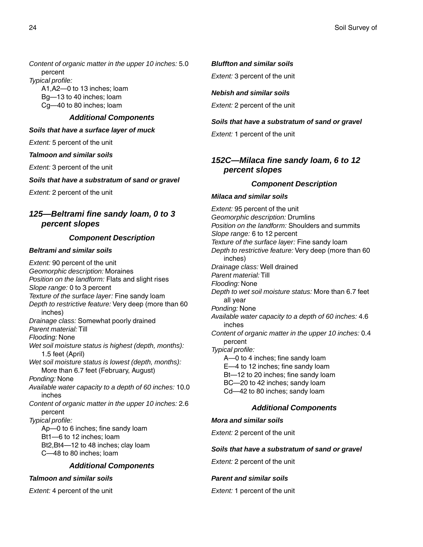<span id="page-23-0"></span>*Content of organic matter in the upper 10 inches:* 5.0 percent

*Typical profile:*

A1,A2—0 to 13 inches; loam Bg—13 to 40 inches; loam Cg—40 to 80 inches; loam

## *Additional Components*

#### *Soils that have a surface layer of muck*

*Extent:* 5 percent of the unit

#### *Talmoon and similar soils*

*Extent:* 3 percent of the unit

### *Soils that have a substratum of sand or gravel*

*Extent:* 2 percent of the unit

## *125—Beltrami fine sandy loam, 0 to 3 percent slopes*

## *Component Description*

## *Beltrami and similar soils*

*Extent:* 90 percent of the unit *Geomorphic description:* Moraines *Position on the landform:* Flats and slight rises *Slope range:* 0 to 3 percent *Texture of the surface layer:* Fine sandy loam *Depth to restrictive feature:* Very deep (more than 60 inches) *Drainage class:* Somewhat poorly drained *Parent material:* Till *Flooding:* None *Wet soil moisture status is highest (depth, months):* 1.5 feet (April) *Wet soil moisture status is lowest (depth, months):* More than 6.7 feet (February, August) *Ponding:* None *Available water capacity to a depth of 60 inches:* 10.0 inches *Content of organic matter in the upper 10 inches:* 2.6 percent *Typical profile:* Ap—0 to 6 inches; fine sandy loam Bt1—6 to 12 inches; loam Bt2,Bt4—12 to 48 inches; clay loam C—48 to 80 inches; loam

## *Additional Components*

#### *Talmoon and similar soils*

*Extent:* 4 percent of the unit

## *Bluffton and similar soils*

*Extent:* 3 percent of the unit

### *Nebish and similar soils*

*Extent:* 2 percent of the unit

## *Soils that have a substratum of sand or gravel*

*Extent:* 1 percent of the unit

## *152C—Milaca fine sandy loam, 6 to 12 percent slopes*

## *Component Description*

#### *Milaca and similar soils*

*Extent:* 95 percent of the unit *Geomorphic description:* Drumlins *Position on the landform:* Shoulders and summits *Slope range:* 6 to 12 percent *Texture of the surface layer:* Fine sandy loam *Depth to restrictive feature:* Very deep (more than 60 inches) *Drainage class:* Well drained *Parent material:* Till *Flooding:* None *Depth to wet soil moisture status:* More than 6.7 feet all year *Ponding:* None *Available water capacity to a depth of 60 inches:* 4.6 inches *Content of organic matter in the upper 10 inches:* 0.4 percent *Typical profile:* A—0 to 4 inches; fine sandy loam E—4 to 12 inches; fine sandy loam Bt—12 to 20 inches; fine sandy loam BC—20 to 42 inches; sandy loam Cd—42 to 80 inches; sandy loam

## *Additional Components*

## *Mora and similar soils*

*Extent:* 2 percent of the unit

#### *Soils that have a substratum of sand or gravel*

*Extent:* 2 percent of the unit

## *Parent and similar soils*

*Extent:* 1 percent of the unit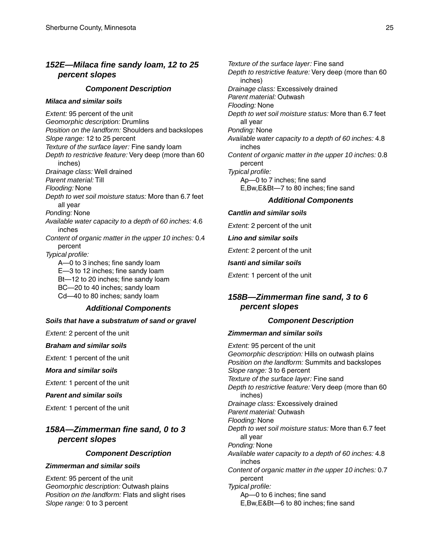## <span id="page-24-0"></span>*152E—Milaca fine sandy loam, 12 to 25 percent slopes*

#### *Component Description*

#### *Milaca and similar soils*

*Extent:* 95 percent of the unit *Geomorphic description:* Drumlins *Position on the landform:* Shoulders and backslopes *Slope range:* 12 to 25 percent *Texture of the surface layer:* Fine sandy loam *Depth to restrictive feature:* Very deep (more than 60 inches) *Drainage class:* Well drained *Parent material:* Till *Flooding:* None *Depth to wet soil moisture status:* More than 6.7 feet all year *Ponding:* None *Available water capacity to a depth of 60 inches:* 4.6 inches *Content of organic matter in the upper 10 inches:* 0.4 percent *Typical profile:* A—0 to 3 inches; fine sandy loam E—3 to 12 inches; fine sandy loam Bt—12 to 20 inches; fine sandy loam BC—20 to 40 inches; sandy loam Cd—40 to 80 inches; sandy loam *Additional Components*

## *Soils that have a substratum of sand or gravel*

*Extent:* 2 percent of the unit

#### *Braham and similar soils*

*Extent:* 1 percent of the unit

*Mora and similar soils*

*Extent:* 1 percent of the unit

#### *Parent and similar soils*

*Extent:* 1 percent of the unit

## *158A—Zimmerman fine sand, 0 to 3 percent slopes*

#### *Component Description*

#### *Zimmerman and similar soils*

*Extent:* 95 percent of the unit *Geomorphic description:* Outwash plains *Position on the landform:* Flats and slight rises *Slope range:* 0 to 3 percent

*Texture of the surface layer:* Fine sand *Depth to restrictive feature:* Very deep (more than 60 inches) *Drainage class:* Excessively drained *Parent material:* Outwash *Flooding:* None *Depth to wet soil moisture status:* More than 6.7 feet all year *Ponding:* None *Available water capacity to a depth of 60 inches:* 4.8 inches *Content of organic matter in the upper 10 inches:* 0.8 percent *Typical profile:* Ap—0 to 7 inches; fine sand E,Bw,E&Bt—7 to 80 inches; fine sand

#### *Additional Components*

#### *Cantlin and similar soils*

*Extent:* 2 percent of the unit

#### *Lino and similar soils*

*Extent:* 2 percent of the unit

#### *Isanti and similar soils*

*Extent:* 1 percent of the unit

## *158B—Zimmerman fine sand, 3 to 6 percent slopes*

#### *Component Description*

#### *Zimmerman and similar soils*

*Extent:* 95 percent of the unit *Geomorphic description:* Hills on outwash plains *Position on the landform:* Summits and backslopes *Slope range:* 3 to 6 percent *Texture of the surface layer:* Fine sand *Depth to restrictive feature:* Very deep (more than 60 inches) *Drainage class:* Excessively drained *Parent material:* Outwash *Flooding:* None *Depth to wet soil moisture status:* More than 6.7 feet all year *Ponding:* None *Available water capacity to a depth of 60 inches:* 4.8 inches *Content of organic matter in the upper 10 inches:* 0.7 percent *Typical profile:* Ap—0 to 6 inches; fine sand E,Bw,E&Bt—6 to 80 inches; fine sand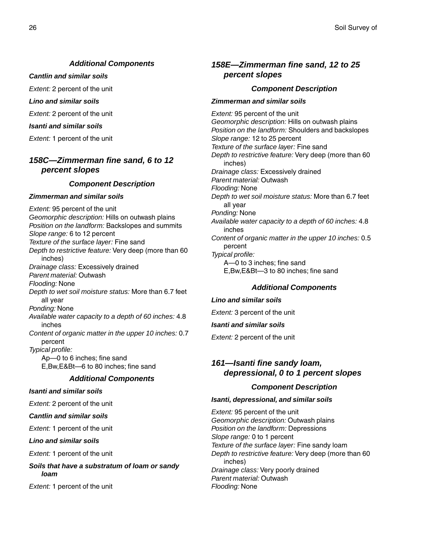## *Additional Components*

<span id="page-25-0"></span>*Cantlin and similar soils*

*Extent:* 2 percent of the unit

*Lino and similar soils*

*Extent:* 2 percent of the unit

*Isanti and similar soils*

*Extent:* 1 percent of the unit

## *158C—Zimmerman fine sand, 6 to 12 percent slopes*

#### *Component Description*

#### *Zimmerman and similar soils*

*Extent:* 95 percent of the unit *Geomorphic description:* Hills on outwash plains *Position on the landform:* Backslopes and summits *Slope range:* 6 to 12 percent *Texture of the surface layer:* Fine sand *Depth to restrictive feature:* Very deep (more than 60 inches) *Drainage class:* Excessively drained *Parent material:* Outwash *Flooding:* None *Depth to wet soil moisture status:* More than 6.7 feet all year *Ponding:* None *Available water capacity to a depth of 60 inches:* 4.8 inches *Content of organic matter in the upper 10 inches:* 0.7 percent *Typical profile:* Ap—0 to 6 inches; fine sand E,Bw,E&Bt—6 to 80 inches; fine sand

#### *Additional Components*

#### *Isanti and similar soils*

*Extent:* 2 percent of the unit

*Cantlin and similar soils*

*Extent:* 1 percent of the unit

*Lino and similar soils*

*Extent:* 1 percent of the unit

*Soils that have a substratum of loam or sandy loam*

*Extent:* 1 percent of the unit

## *158E—Zimmerman fine sand, 12 to 25 percent slopes*

#### *Component Description*

#### *Zimmerman and similar soils*

*Extent:* 95 percent of the unit *Geomorphic description:* Hills on outwash plains *Position on the landform:* Shoulders and backslopes *Slope range:* 12 to 25 percent *Texture of the surface layer:* Fine sand *Depth to restrictive feature:* Very deep (more than 60 inches) *Drainage class:* Excessively drained *Parent material:* Outwash *Flooding:* None *Depth to wet soil moisture status:* More than 6.7 feet all year *Ponding:* None *Available water capacity to a depth of 60 inches:* 4.8 inches *Content of organic matter in the upper 10 inches:* 0.5 percent *Typical profile:* A—0 to 3 inches; fine sand E,Bw,E&Bt—3 to 80 inches; fine sand

#### *Additional Components*

## *Lino and similar soils*

*Extent:* 3 percent of the unit

#### *Isanti and similar soils*

*Extent:* 2 percent of the unit

## *161—Isanti fine sandy loam, depressional, 0 to 1 percent slopes*

#### *Component Description*

#### *Isanti, depressional, and similar soils*

*Extent:* 95 percent of the unit *Geomorphic description:* Outwash plains *Position on the landform:* Depressions *Slope range:* 0 to 1 percent *Texture of the surface layer:* Fine sandy loam *Depth to restrictive feature:* Very deep (more than 60 inches) *Drainage class:* Very poorly drained *Parent material:* Outwash *Flooding:* None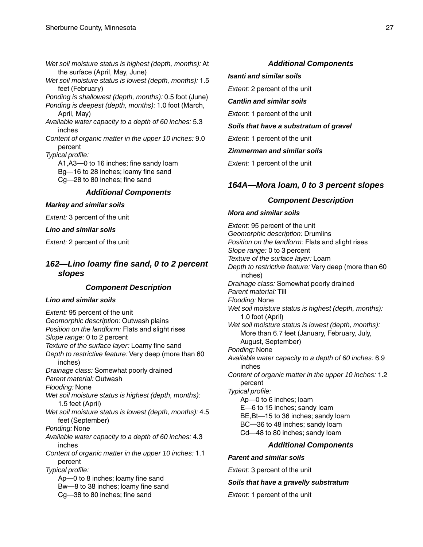<span id="page-26-0"></span>*Wet soil moisture status is highest (depth, months):* At the surface (April, May, June) *Wet soil moisture status is lowest (depth, months):* 1.5 feet (February) *Ponding is shallowest (depth, months):* 0.5 foot (June) *Ponding is deepest (depth, months):* 1.0 foot (March, April, May) *Available water capacity to a depth of 60 inches:* 5.3 inches *Content of organic matter in the upper 10 inches:* 9.0 percent *Typical profile:* A1,A3—0 to 16 inches; fine sandy loam Bg—16 to 28 inches; loamy fine sand Cg—28 to 80 inches; fine sand *Additional Components*

#### *Markey and similar soils*

*Extent:* 3 percent of the unit

#### *Lino and similar soils*

*Extent:* 2 percent of the unit

## *162—Lino loamy fine sand, 0 to 2 percent slopes*

## *Component Description*

### *Lino and similar soils*

*Extent:* 95 percent of the unit *Geomorphic description:* Outwash plains *Position on the landform:* Flats and slight rises *Slope range:* 0 to 2 percent *Texture of the surface layer:* Loamy fine sand *Depth to restrictive feature:* Very deep (more than 60 inches) *Drainage class:* Somewhat poorly drained *Parent material:* Outwash *Flooding:* None *Wet soil moisture status is highest (depth, months):* 1.5 feet (April) *Wet soil moisture status is lowest (depth, months):* 4.5 feet (September) *Ponding:* None *Available water capacity to a depth of 60 inches:* 4.3 inches *Content of organic matter in the upper 10 inches:* 1.1 percent *Typical profile:* Ap—0 to 8 inches; loamy fine sand Bw—8 to 38 inches; loamy fine sand Cg—38 to 80 inches; fine sand

## *Additional Components*

#### *Isanti and similar soils*

*Extent:* 2 percent of the unit

*Cantlin and similar soils*

*Extent:* 1 percent of the unit

*Soils that have a substratum of gravel*

*Extent:* 1 percent of the unit

#### *Zimmerman and similar soils*

*Extent:* 1 percent of the unit

## *164A—Mora loam, 0 to 3 percent slopes*

## *Component Description*

#### *Mora and similar soils*

*Extent:* 95 percent of the unit *Geomorphic description:* Drumlins *Position on the landform:* Flats and slight rises *Slope range:* 0 to 3 percent *Texture of the surface layer:* Loam *Depth to restrictive feature:* Very deep (more than 60 inches) *Drainage class:* Somewhat poorly drained *Parent material:* Till *Flooding:* None *Wet soil moisture status is highest (depth, months):* 1.0 foot (April) *Wet soil moisture status is lowest (depth, months):* More than 6.7 feet (January, February, July, August, September) *Ponding:* None *Available water capacity to a depth of 60 inches:* 6.9 inches *Content of organic matter in the upper 10 inches:* 1.2 percent *Typical profile:* Ap—0 to 6 inches; loam E—6 to 15 inches; sandy loam BE,Bt—15 to 36 inches; sandy loam BC—36 to 48 inches; sandy loam Cd—48 to 80 inches; sandy loam

## *Additional Components*

#### *Parent and similar soils*

*Extent:* 3 percent of the unit

#### *Soils that have a gravelly substratum*

*Extent:* 1 percent of the unit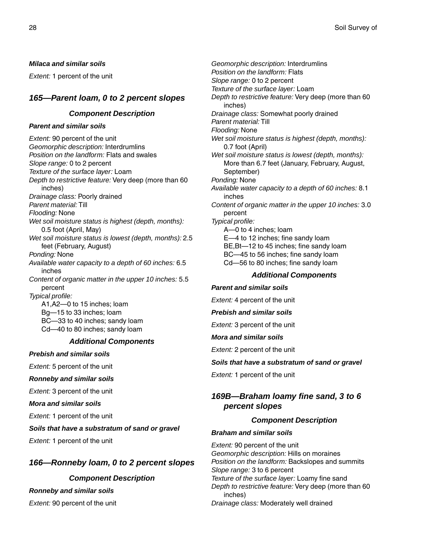#### <span id="page-27-0"></span>*Milaca and similar soils*

*Extent:* 1 percent of the unit

## *165—Parent loam, 0 to 2 percent slopes*

## *Component Description*

#### *Parent and similar soils*

*Extent:* 90 percent of the unit *Geomorphic description:* Interdrumlins *Position on the landform:* Flats and swales *Slope range:* 0 to 2 percent *Texture of the surface layer:* Loam *Depth to restrictive feature:* Very deep (more than 60 inches) *Drainage class:* Poorly drained *Parent material:* Till *Flooding:* None *Wet soil moisture status is highest (depth, months):* 0.5 foot (April, May) *Wet soil moisture status is lowest (depth, months):* 2.5 feet (February, August) *Ponding:* None *Available water capacity to a depth of 60 inches:* 6.5 inches *Content of organic matter in the upper 10 inches:* 5.5 percent *Typical profile:* A1,A2—0 to 15 inches; loam Bg—15 to 33 inches; loam BC—33 to 40 inches; sandy loam Cd—40 to 80 inches; sandy loam

#### *Additional Components*

#### *Prebish and similar soils*

*Extent:* 5 percent of the unit

#### *Ronneby and similar soils*

*Extent:* 3 percent of the unit

#### *Mora and similar soils*

*Extent:* 1 percent of the unit

#### *Soils that have a substratum of sand or gravel*

*Extent:* 1 percent of the unit

## *166—Ronneby loam, 0 to 2 percent slopes*

## *Component Description*

#### *Ronneby and similar soils*

*Extent:* 90 percent of the unit

*Geomorphic description:* Interdrumlins *Position on the landform:* Flats *Slope range:* 0 to 2 percent *Texture of the surface layer:* Loam *Depth to restrictive feature:* Very deep (more than 60 inches) *Drainage class:* Somewhat poorly drained *Parent material:* Till *Flooding:* None *Wet soil moisture status is highest (depth, months):* 0.7 foot (April) *Wet soil moisture status is lowest (depth, months):* More than 6.7 feet (January, February, August, September) *Ponding:* None *Available water capacity to a depth of 60 inches:* 8.1 inches *Content of organic matter in the upper 10 inches:* 3.0 percent *Typical profile:* A—0 to 4 inches; loam E—4 to 12 inches; fine sandy loam BE,Bt—12 to 45 inches; fine sandy loam BC—45 to 56 inches; fine sandy loam Cd—56 to 80 inches; fine sandy loam

### *Additional Components*

#### *Parent and similar soils*

*Extent:* 4 percent of the unit

*Prebish and similar soils*

*Extent:* 3 percent of the unit

#### *Mora and similar soils*

*Extent:* 2 percent of the unit

#### *Soils that have a substratum of sand or gravel*

*Extent:* 1 percent of the unit

## *169B—Braham loamy fine sand, 3 to 6 percent slopes*

## *Component Description*

#### *Braham and similar soils*

*Extent:* 90 percent of the unit *Geomorphic description:* Hills on moraines *Position on the landform:* Backslopes and summits *Slope range:* 3 to 6 percent *Texture of the surface layer:* Loamy fine sand *Depth to restrictive feature:* Very deep (more than 60 inches) *Drainage class:* Moderately well drained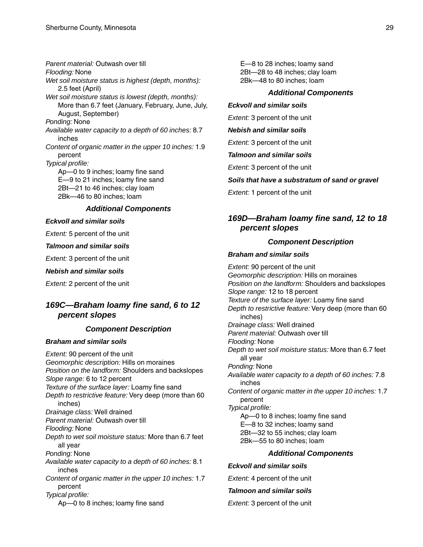<span id="page-28-0"></span>*Parent material:* Outwash over till *Flooding:* None *Wet soil moisture status is highest (depth, months):* 2.5 feet (April) *Wet soil moisture status is lowest (depth, months):* More than 6.7 feet (January, February, June, July, August, September) *Ponding:* None *Available water capacity to a depth of 60 inches:* 8.7 inches *Content of organic matter in the upper 10 inches:* 1.9 percent *Typical profile:* Ap—0 to 9 inches; loamy fine sand E—9 to 21 inches; loamy fine sand 2Bt—21 to 46 inches; clay loam 2Bk—46 to 80 inches; loam

## *Additional Components*

#### *Eckvoll and similar soils*

*Extent:* 5 percent of the unit

#### *Talmoon and similar soils*

*Extent:* 3 percent of the unit

#### *Nebish and similar soils*

*Extent:* 2 percent of the unit

## *169C—Braham loamy fine sand, 6 to 12 percent slopes*

## *Component Description*

#### *Braham and similar soils*

*Extent:* 90 percent of the unit *Geomorphic description:* Hills on moraines *Position on the landform:* Shoulders and backslopes *Slope range:* 6 to 12 percent *Texture of the surface layer:* Loamy fine sand *Depth to restrictive feature:* Very deep (more than 60 inches) *Drainage class:* Well drained *Parent material:* Outwash over till *Flooding:* None *Depth to wet soil moisture status:* More than 6.7 feet all year *Ponding:* None *Available water capacity to a depth of 60 inches:* 8.1 inches *Content of organic matter in the upper 10 inches:* 1.7 percent *Typical profile:* Ap—0 to 8 inches; loamy fine sand

E—8 to 28 inches; loamy sand 2Bt—28 to 48 inches; clay loam 2Bk—48 to 80 inches; loam

#### *Additional Components*

#### *Eckvoll and similar soils*

*Extent:* 3 percent of the unit

#### *Nebish and similar soils*

*Extent:* 3 percent of the unit

#### *Talmoon and similar soils*

*Extent:* 3 percent of the unit

## *Soils that have a substratum of sand or gravel*

*Extent:* 1 percent of the unit

## *169D—Braham loamy fine sand, 12 to 18 percent slopes*

#### *Component Description*

#### *Braham and similar soils*

*Extent:* 90 percent of the unit *Geomorphic description:* Hills on moraines *Position on the landform:* Shoulders and backslopes *Slope range:* 12 to 18 percent *Texture of the surface layer:* Loamy fine sand *Depth to restrictive feature:* Very deep (more than 60 inches) *Drainage class:* Well drained *Parent material:* Outwash over till *Flooding:* None *Depth to wet soil moisture status:* More than 6.7 feet all year *Ponding:* None *Available water capacity to a depth of 60 inches:* 7.8 inches *Content of organic matter in the upper 10 inches:* 1.7 percent *Typical profile:* Ap—0 to 8 inches; loamy fine sand E—8 to 32 inches; loamy sand 2Bt—32 to 55 inches; clay loam 2Bk—55 to 80 inches; loam

#### *Additional Components*

#### *Eckvoll and similar soils*

*Extent:* 4 percent of the unit

#### *Talmoon and similar soils*

*Extent:* 3 percent of the unit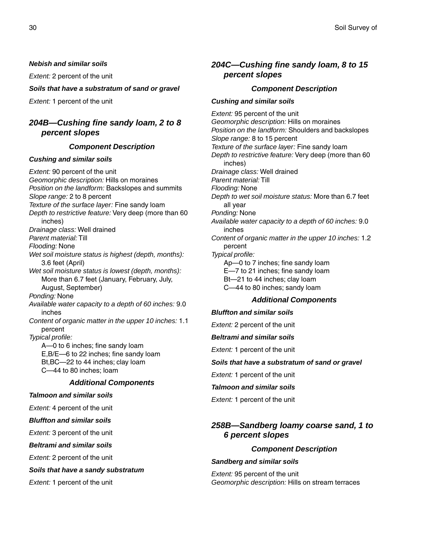#### <span id="page-29-0"></span>*Nebish and similar soils*

*Extent:* 2 percent of the unit

#### *Soils that have a substratum of sand or gravel*

*Extent:* 1 percent of the unit

## *204B—Cushing fine sandy loam, 2 to 8 percent slopes*

#### *Component Description*

#### *Cushing and similar soils*

*Extent:* 90 percent of the unit *Geomorphic description:* Hills on moraines *Position on the landform:* Backslopes and summits *Slope range:* 2 to 8 percent *Texture of the surface layer:* Fine sandy loam *Depth to restrictive feature:* Very deep (more than 60 inches) *Drainage class:* Well drained *Parent material:* Till *Flooding:* None *Wet soil moisture status is highest (depth, months):* 3.6 feet (April) *Wet soil moisture status is lowest (depth, months):* More than 6.7 feet (January, February, July, August, September) *Ponding:* None *Available water capacity to a depth of 60 inches:* 9.0 inches *Content of organic matter in the upper 10 inches:* 1.1 percent *Typical profile:* A—0 to 6 inches; fine sandy loam E,B/E—6 to 22 inches; fine sandy loam Bt,BC—22 to 44 inches; clay loam C—44 to 80 inches; loam *Additional Components Talmoon and similar soils Extent:* 4 percent of the unit *Bluffton and similar soils Extent:* 3 percent of the unit *Beltrami and similar soils Extent:* 2 percent of the unit

*Soils that have a sandy substratum*

*Extent:* 1 percent of the unit

## *204C—Cushing fine sandy loam, 8 to 15 percent slopes*

### *Component Description*

#### *Cushing and similar soils*

*Extent:* 95 percent of the unit *Geomorphic description:* Hills on moraines *Position on the landform:* Shoulders and backslopes *Slope range:* 8 to 15 percent *Texture of the surface layer:* Fine sandy loam *Depth to restrictive feature:* Very deep (more than 60 inches) *Drainage class:* Well drained *Parent material:* Till *Flooding:* None *Depth to wet soil moisture status:* More than 6.7 feet all year *Ponding:* None *Available water capacity to a depth of 60 inches:* 9.0 inches *Content of organic matter in the upper 10 inches:* 1.2 percent *Typical profile:* Ap—0 to 7 inches; fine sandy loam E—7 to 21 inches; fine sandy loam Bt—21 to 44 inches; clay loam C—44 to 80 inches; sandy loam

## *Additional Components*

#### *Bluffton and similar soils*

*Extent:* 2 percent of the unit

#### *Beltrami and similar soils*

*Extent:* 1 percent of the unit

#### *Soils that have a substratum of sand or gravel*

*Extent:* 1 percent of the unit

#### *Talmoon and similar soils*

*Extent:* 1 percent of the unit

## *258B—Sandberg loamy coarse sand, 1 to 6 percent slopes*

#### *Component Description*

#### *Sandberg and similar soils*

*Extent:* 95 percent of the unit *Geomorphic description:* Hills on stream terraces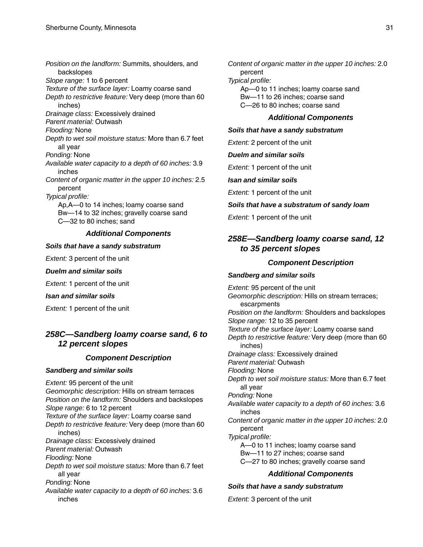<span id="page-30-0"></span>*Position on the landform:* Summits, shoulders, and backslopes *Slope range:* 1 to 6 percent *Texture of the surface layer:* Loamy coarse sand *Depth to restrictive feature:* Very deep (more than 60 inches) *Drainage class:* Excessively drained *Parent material:* Outwash *Flooding:* None *Depth to wet soil moisture status:* More than 6.7 feet all year *Ponding:* None *Available water capacity to a depth of 60 inches:* 3.9 inches *Content of organic matter in the upper 10 inches:* 2.5 percent *Typical profile:* Ap,A—0 to 14 inches; loamy coarse sand Bw—14 to 32 inches; gravelly coarse sand C—32 to 80 inches; sand *Additional Components*

#### *Soils that have a sandy substratum*

*Extent:* 3 percent of the unit

#### *Duelm and similar soils*

*Extent:* 1 percent of the unit

#### *Isan and similar soils*

*Extent:* 1 percent of the unit

## *258C—Sandberg loamy coarse sand, 6 to 12 percent slopes*

## *Component Description*

#### *Sandberg and similar soils*

*Extent:* 95 percent of the unit *Geomorphic description:* Hills on stream terraces *Position on the landform:* Shoulders and backslopes *Slope range:* 6 to 12 percent *Texture of the surface layer:* Loamy coarse sand *Depth to restrictive feature:* Very deep (more than 60 inches) *Drainage class:* Excessively drained *Parent material:* Outwash *Flooding:* None *Depth to wet soil moisture status:* More than 6.7 feet all year *Ponding:* None *Available water capacity to a depth of 60 inches:* 3.6 inches

*Content of organic matter in the upper 10 inches:* 2.0 percent

*Typical profile:*

Ap—0 to 11 inches; loamy coarse sand Bw—11 to 26 inches; coarse sand C—26 to 80 inches; coarse sand

#### *Additional Components*

#### *Soils that have a sandy substratum*

*Extent:* 2 percent of the unit

*Duelm and similar soils*

*Extent:* 1 percent of the unit

#### *Isan and similar soils*

*Extent:* 1 percent of the unit

#### *Soils that have a substratum of sandy loam*

*Extent:* 1 percent of the unit

## *258E—Sandberg loamy coarse sand, 12 to 35 percent slopes*

#### *Component Description*

#### *Sandberg and similar soils*

*Extent:* 95 percent of the unit *Geomorphic description:* Hills on stream terraces; escarpments *Position on the landform:* Shoulders and backslopes *Slope range:* 12 to 35 percent *Texture of the surface layer:* Loamy coarse sand *Depth to restrictive feature:* Very deep (more than 60 inches) *Drainage class:* Excessively drained *Parent material:* Outwash *Flooding:* None *Depth to wet soil moisture status:* More than 6.7 feet all year *Ponding:* None *Available water capacity to a depth of 60 inches:* 3.6 inches *Content of organic matter in the upper 10 inches:* 2.0 percent *Typical profile:* A—0 to 11 inches; loamy coarse sand Bw—11 to 27 inches; coarse sand C—27 to 80 inches; gravelly coarse sand

## *Additional Components*

#### *Soils that have a sandy substratum*

*Extent:* 3 percent of the unit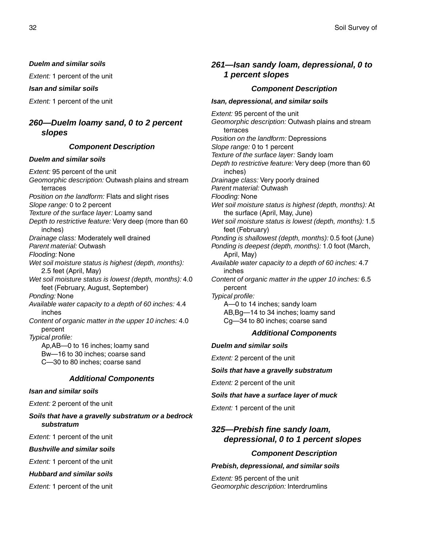#### <span id="page-31-0"></span>*Duelm and similar soils*

*Extent:* 1 percent of the unit

#### *Isan and similar soils*

*Extent:* 1 percent of the unit

## *260—Duelm loamy sand, 0 to 2 percent slopes*

#### *Component Description*

#### *Duelm and similar soils*

*Extent:* 95 percent of the unit *Geomorphic description:* Outwash plains and stream terraces *Position on the landform:* Flats and slight rises *Slope range:* 0 to 2 percent *Texture of the surface layer:* Loamy sand *Depth to restrictive feature:* Very deep (more than 60 inches) *Drainage class:* Moderately well drained *Parent material:* Outwash *Flooding:* None *Wet soil moisture status is highest (depth, months):* 2.5 feet (April, May) *Wet soil moisture status is lowest (depth, months):* 4.0 feet (February, August, September) *Ponding:* None *Available water capacity to a depth of 60 inches:* 4.4 inches *Content of organic matter in the upper 10 inches:* 4.0 percent *Typical profile:* Ap,AB—0 to 16 inches; loamy sand Bw—16 to 30 inches; coarse sand C—30 to 80 inches; coarse sand

#### *Additional Components*

## *Isan and similar soils*

*Extent:* 2 percent of the unit

*Soils that have a gravelly substratum or a bedrock substratum*

*Extent:* 1 percent of the unit

#### *Bushville and similar soils*

*Extent:* 1 percent of the unit

## *Hubbard and similar soils*

*Extent:* 1 percent of the unit

## *261—Isan sandy loam, depressional, 0 to 1 percent slopes*

## *Component Description*

#### *Isan, depressional, and similar soils*

*Extent:* 95 percent of the unit *Geomorphic description:* Outwash plains and stream terraces *Position on the landform:* Depressions *Slope range:* 0 to 1 percent *Texture of the surface layer:* Sandy loam *Depth to restrictive feature:* Very deep (more than 60 inches) *Drainage class:* Very poorly drained *Parent material:* Outwash *Flooding:* None *Wet soil moisture status is highest (depth, months):* At the surface (April, May, June) *Wet soil moisture status is lowest (depth, months):* 1.5 feet (February) *Ponding is shallowest (depth, months):* 0.5 foot (June) *Ponding is deepest (depth, months):* 1.0 foot (March, April, May) *Available water capacity to a depth of 60 inches:* 4.7 inches *Content of organic matter in the upper 10 inches:* 6.5 percent *Typical profile:* A—0 to 14 inches; sandy loam AB,Bg—14 to 34 inches; loamy sand Cg—34 to 80 inches; coarse sand *Additional Components Duelm and similar soils*

*Extent:* 2 percent of the unit

#### *Soils that have a gravelly substratum*

*Extent:* 2 percent of the unit

- *Soils that have a surface layer of muck*
- *Extent:* 1 percent of the unit

## *325—Prebish fine sandy loam, depressional, 0 to 1 percent slopes*

## *Component Description*

#### *Prebish, depressional, and similar soils*

*Extent:* 95 percent of the unit *Geomorphic description:* Interdrumlins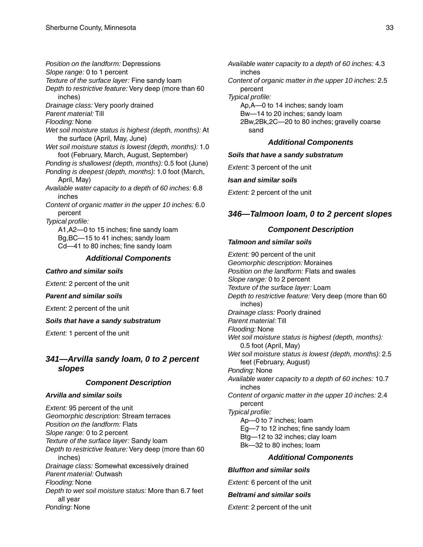<span id="page-32-0"></span>*Position on the landform:* Depressions *Slope range:* 0 to 1 percent *Texture of the surface layer:* Fine sandy loam

*Depth to restrictive feature:* Very deep (more than 60 inches)

*Drainage class:* Very poorly drained

*Parent material:* Till

*Flooding:* None

*Wet soil moisture status is highest (depth, months):* At the surface (April, May, June)

*Wet soil moisture status is lowest (depth, months):* 1.0 foot (February, March, August, September)

*Ponding is shallowest (depth, months):* 0.5 foot (June)

*Ponding is deepest (depth, months):* 1.0 foot (March, April, May)

*Available water capacity to a depth of 60 inches:* 6.8 inches

*Content of organic matter in the upper 10 inches:* 6.0 percent

*Typical profile:* A1,A2—0 to 15 inches; fine sandy loam Bg,BC—15 to 41 inches; sandy loam Cd—41 to 80 inches; fine sandy loam

## *Additional Components*

#### *Cathro and similar soils*

*Extent:* 2 percent of the unit

#### *Parent and similar soils*

*Extent:* 2 percent of the unit

#### *Soils that have a sandy substratum*

*Extent:* 1 percent of the unit

## *341—Arvilla sandy loam, 0 to 2 percent slopes*

## *Component Description*

## *Arvilla and similar soils*

*Extent:* 95 percent of the unit *Geomorphic description:* Stream terraces *Position on the landform:* Flats *Slope range:* 0 to 2 percent *Texture of the surface layer:* Sandy loam *Depth to restrictive feature:* Very deep (more than 60 inches) *Drainage class:* Somewhat excessively drained *Parent material:* Outwash *Flooding:* None *Depth to wet soil moisture status:* More than 6.7 feet all year *Ponding:* None

*Available water capacity to a depth of 60 inches:* 4.3 inches

*Content of organic matter in the upper 10 inches:* 2.5 percent

*Typical profile:*

Ap,A—0 to 14 inches; sandy loam Bw—14 to 20 inches; sandy loam 2Bw,2Bk,2C—20 to 80 inches; gravelly coarse sand

## *Additional Components*

## *Soils that have a sandy substratum*

*Extent:* 3 percent of the unit

#### *Isan and similar soils*

*Extent:* 2 percent of the unit

## *346—Talmoon loam, 0 to 2 percent slopes*

## *Component Description*

## *Talmoon and similar soils*

*Extent:* 90 percent of the unit *Geomorphic description:* Moraines *Position on the landform:* Flats and swales *Slope range:* 0 to 2 percent *Texture of the surface layer:* Loam *Depth to restrictive feature:* Very deep (more than 60 inches) *Drainage class:* Poorly drained *Parent material:* Till *Flooding:* None *Wet soil moisture status is highest (depth, months):* 0.5 foot (April, May) *Wet soil moisture status is lowest (depth, months):* 2.5 feet (February, August) *Ponding:* None *Available water capacity to a depth of 60 inches:* 10.7 inches *Content of organic matter in the upper 10 inches:* 2.4 percent *Typical profile:* Ap—0 to 7 inches; loam Eg—7 to 12 inches; fine sandy loam Btg—12 to 32 inches; clay loam Bk—32 to 80 inches; loam *Additional Components*

#### *Bluffton and similar soils*

*Extent:* 6 percent of the unit

*Beltrami and similar soils*

*Extent:* 2 percent of the unit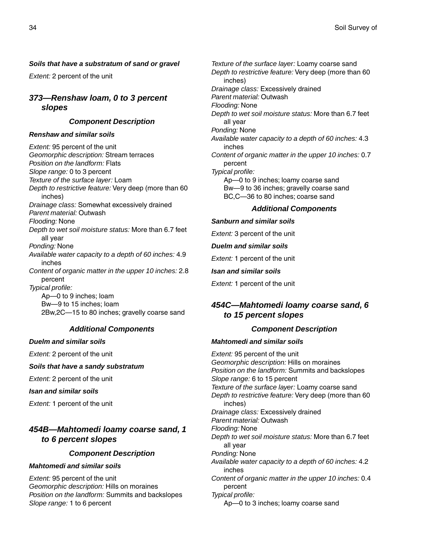## <span id="page-33-0"></span>*Soils that have a substratum of sand or gravel*

*Extent:* 2 percent of the unit

## *373—Renshaw loam, 0 to 3 percent slopes*

## *Component Description*

## *Renshaw and similar soils*

*Extent:* 95 percent of the unit *Geomorphic description:* Stream terraces *Position on the landform:* Flats *Slope range:* 0 to 3 percent *Texture of the surface layer:* Loam *Depth to restrictive feature:* Very deep (more than 60 inches) *Drainage class:* Somewhat excessively drained *Parent material:* Outwash *Flooding:* None *Depth to wet soil moisture status:* More than 6.7 feet all year *Ponding:* None *Available water capacity to a depth of 60 inches:* 4.9 inches *Content of organic matter in the upper 10 inches:* 2.8 percent *Typical profile:* Ap—0 to 9 inches; loam Bw—9 to 15 inches; loam 2Bw,2C—15 to 80 inches; gravelly coarse sand

## *Additional Components*

#### *Duelm and similar soils*

*Extent:* 2 percent of the unit

## *Soils that have a sandy substratum*

*Extent:* 2 percent of the unit

*Isan and similar soils*

*Extent:* 1 percent of the unit

## *454B—Mahtomedi loamy coarse sand, 1 to 6 percent slopes*

## *Component Description*

## *Mahtomedi and similar soils*

*Extent:* 95 percent of the unit *Geomorphic description:* Hills on moraines *Position on the landform:* Summits and backslopes *Slope range:* 1 to 6 percent

*Texture of the surface layer:* Loamy coarse sand *Depth to restrictive feature:* Very deep (more than 60 inches) *Drainage class:* Excessively drained *Parent material:* Outwash *Flooding:* None *Depth to wet soil moisture status:* More than 6.7 feet all year *Ponding:* None *Available water capacity to a depth of 60 inches:* 4.3 inches *Content of organic matter in the upper 10 inches:* 0.7 percent *Typical profile:* Ap—0 to 9 inches; loamy coarse sand Bw—9 to 36 inches; gravelly coarse sand BC,C—36 to 80 inches; coarse sand

## *Additional Components*

## *Sanburn and similar soils*

*Extent:* 3 percent of the unit

#### *Duelm and similar soils*

*Extent:* 1 percent of the unit

#### *Isan and similar soils*

*Extent:* 1 percent of the unit

## *454C—Mahtomedi loamy coarse sand, 6 to 15 percent slopes*

## *Component Description*

#### *Mahtomedi and similar soils*

*Extent:* 95 percent of the unit *Geomorphic description:* Hills on moraines *Position on the landform:* Summits and backslopes *Slope range:* 6 to 15 percent *Texture of the surface layer:* Loamy coarse sand *Depth to restrictive feature:* Very deep (more than 60 inches) *Drainage class:* Excessively drained *Parent material:* Outwash *Flooding:* None *Depth to wet soil moisture status:* More than 6.7 feet all year *Ponding:* None *Available water capacity to a depth of 60 inches:* 4.2 inches *Content of organic matter in the upper 10 inches:* 0.4 percent *Typical profile:* Ap—0 to 3 inches; loamy coarse sand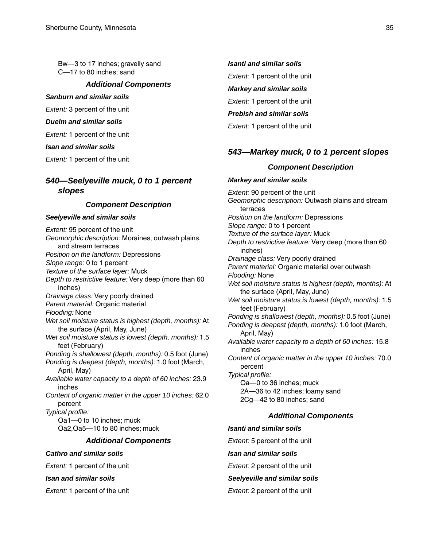<span id="page-34-0"></span>Bw—3 to 17 inches; gravelly sand C—17 to 80 inches; sand

#### *Additional Components*

#### *Sanburn and similar soils*

*Extent:* 3 percent of the unit

#### *Duelm and similar soils*

*Extent:* 1 percent of the unit

#### *Isan and similar soils*

*Extent:* 1 percent of the unit

## *540—Seelyeville muck, 0 to 1 percent slopes*

## *Component Description*

#### *Seelyeville and similar soils*

*Extent:* 95 percent of the unit *Geomorphic description:* Moraines, outwash plains, and stream terraces *Position on the landform:* Depressions *Slope range:* 0 to 1 percent *Texture of the surface layer:* Muck *Depth to restrictive feature:* Very deep (more than 60 inches) *Drainage class:* Very poorly drained *Parent material:* Organic material *Flooding:* None *Wet soil moisture status is highest (depth, months):* At the surface (April, May, June) *Wet soil moisture status is lowest (depth, months):* 1.5 feet (February) *Ponding is shallowest (depth, months):* 0.5 foot (June) *Ponding is deepest (depth, months):* 1.0 foot (March, April, May) *Available water capacity to a depth of 60 inches:* 23.9 inches *Content of organic matter in the upper 10 inches:* 62.0 percent *Typical profile:* Oa1—0 to 10 inches; muck Oa2,Oa5—10 to 80 inches; muck *Additional Components Cathro and similar soils*

*Extent:* 1 percent of the unit

#### *Isan and similar soils*

*Extent:* 1 percent of the unit

#### *Isanti and similar soils*

*Extent:* 1 percent of the unit

#### *Markey and similar soils*

*Extent:* 1 percent of the unit

## *Prebish and similar soils*

*Extent:* 1 percent of the unit

## *543—Markey muck, 0 to 1 percent slopes*

### *Component Description*

*Markey and similar soils Extent:* 90 percent of the unit *Geomorphic description:* Outwash plains and stream terraces *Position on the landform:* Depressions *Slope range:* 0 to 1 percent *Texture of the surface layer:* Muck *Depth to restrictive feature:* Very deep (more than 60 inches) *Drainage class:* Very poorly drained *Parent material:* Organic material over outwash *Flooding:* None *Wet soil moisture status is highest (depth, months):* At the surface (April, May, June) *Wet soil moisture status is lowest (depth, months):* 1.5 feet (February) *Ponding is shallowest (depth, months):* 0.5 foot (June) *Ponding is deepest (depth, months):* 1.0 foot (March, April, May) *Available water capacity to a depth of 60 inches:* 15.8 inches *Content of organic matter in the upper 10 inches:* 70.0 percent *Typical profile:* Oa—0 to 36 inches; muck 2A—36 to 42 inches; loamy sand 2Cg—42 to 80 inches; sand

#### *Additional Components*

#### *Isanti and similar soils*

*Extent:* 5 percent of the unit

#### *Isan and similar soils*

*Extent:* 2 percent of the unit

### *Seelyeville and similar soils*

#### *Extent:* 2 percent of the unit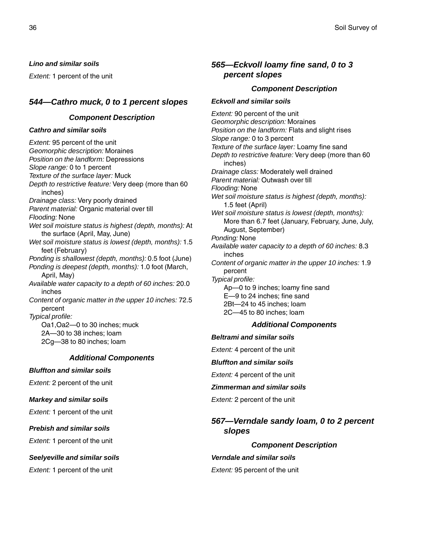<span id="page-35-0"></span>*Lino and similar soils*

*Extent:* 1 percent of the unit

## *544—Cathro muck, 0 to 1 percent slopes*

### *Component Description*

#### *Cathro and similar soils*

*Extent:* 95 percent of the unit *Geomorphic description:* Moraines *Position on the landform:* Depressions *Slope range:* 0 to 1 percent *Texture of the surface layer:* Muck *Depth to restrictive feature:* Very deep (more than 60 inches) *Drainage class:* Very poorly drained *Parent material:* Organic material over till *Flooding:* None *Wet soil moisture status is highest (depth, months):* At the surface (April, May, June) *Wet soil moisture status is lowest (depth, months):* 1.5 feet (February) *Ponding is shallowest (depth, months):* 0.5 foot (June) *Ponding is deepest (depth, months):* 1.0 foot (March, April, May) *Available water capacity to a depth of 60 inches:* 20.0 inches *Content of organic matter in the upper 10 inches:* 72.5 percent *Typical profile:* Oa1,Oa2—0 to 30 inches; muck 2A—30 to 38 inches; loam 2Cg—38 to 80 inches; loam *Additional Components*

*Bluffton and similar soils*

*Extent:* 2 percent of the unit

*Markey and similar soils*

*Extent:* 1 percent of the unit

#### *Prebish and similar soils*

*Extent:* 1 percent of the unit

## *Seelyeville and similar soils*

*Extent:* 1 percent of the unit

## *565—Eckvoll loamy fine sand, 0 to 3 percent slopes*

## *Component Description*

## *Eckvoll and similar soils*

*Extent:* 90 percent of the unit *Geomorphic description:* Moraines *Position on the landform:* Flats and slight rises *Slope range:* 0 to 3 percent *Texture of the surface layer:* Loamy fine sand *Depth to restrictive feature:* Very deep (more than 60 inches) *Drainage class:* Moderately well drained *Parent material:* Outwash over till *Flooding:* None *Wet soil moisture status is highest (depth, months):* 1.5 feet (April) *Wet soil moisture status is lowest (depth, months):* More than 6.7 feet (January, February, June, July, August, September) *Ponding:* None *Available water capacity to a depth of 60 inches:* 8.3 inches *Content of organic matter in the upper 10 inches:* 1.9 percent *Typical profile:* Ap—0 to 9 inches; loamy fine sand E—9 to 24 inches; fine sand 2Bt—24 to 45 inches; loam 2C—45 to 80 inches; loam *Additional Components Beltrami and similar soils*

*Extent:* 4 percent of the unit

## *Bluffton and similar soils*

*Extent:* 4 percent of the unit

#### *Zimmerman and similar soils*

*Extent:* 2 percent of the unit

## *567—Verndale sandy loam, 0 to 2 percent slopes*

## *Component Description*

#### *Verndale and similar soils*

*Extent:* 95 percent of the unit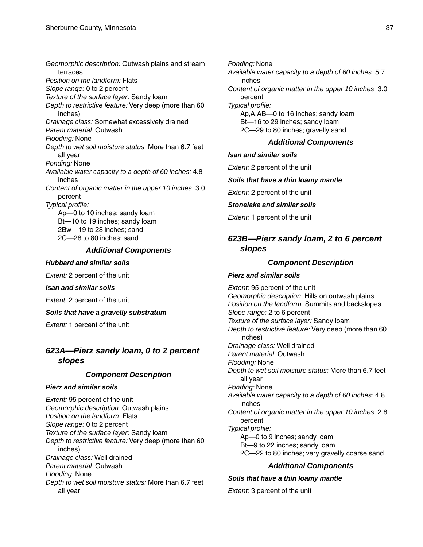*Geomorphic description:* Outwash plains and stream terraces *Position on the landform:* Flats *Slope range:* 0 to 2 percent *Texture of the surface layer:* Sandy loam *Depth to restrictive feature:* Very deep (more than 60 inches) *Drainage class:* Somewhat excessively drained *Parent material:* Outwash *Flooding:* None *Depth to wet soil moisture status:* More than 6.7 feet all year *Ponding:* None *Available water capacity to a depth of 60 inches:* 4.8 inches *Content of organic matter in the upper 10 inches:* 3.0 percent *Typical profile:* Ap—0 to 10 inches; sandy loam Bt—10 to 19 inches; sandy loam 2Bw—19 to 28 inches; sand 2C—28 to 80 inches; sand

### *Additional Components*

#### *Hubbard and similar soils*

*Extent:* 2 percent of the unit

#### *Isan and similar soils*

*Extent:* 2 percent of the unit

*Soils that have a gravelly substratum*

*Extent:* 1 percent of the unit

### *623A—Pierz sandy loam, 0 to 2 percent slopes*

#### *Component Description*

#### *Pierz and similar soils*

*Extent:* 95 percent of the unit *Geomorphic description:* Outwash plains *Position on the landform:* Flats *Slope range:* 0 to 2 percent *Texture of the surface layer:* Sandy loam *Depth to restrictive feature:* Very deep (more than 60 inches) *Drainage class:* Well drained *Parent material:* Outwash *Flooding:* None *Depth to wet soil moisture status:* More than 6.7 feet all year

*Ponding:* None *Available water capacity to a depth of 60 inches:* 5.7 inches *Content of organic matter in the upper 10 inches:* 3.0 percent *Typical profile:* Ap,A,AB—0 to 16 inches; sandy loam Bt—16 to 29 inches; sandy loam 2C—29 to 80 inches; gravelly sand

## *Additional Components*

#### *Isan and similar soils*

*Extent:* 2 percent of the unit

#### *Soils that have a thin loamy mantle*

*Extent:* 2 percent of the unit

### *Stonelake and similar soils*

*Extent:* 1 percent of the unit

### *623B—Pierz sandy loam, 2 to 6 percent slopes*

#### *Component Description*

#### *Pierz and similar soils*

*Extent:* 95 percent of the unit *Geomorphic description:* Hills on outwash plains *Position on the landform:* Summits and backslopes *Slope range:* 2 to 6 percent *Texture of the surface layer:* Sandy loam *Depth to restrictive feature:* Very deep (more than 60 inches) *Drainage class:* Well drained *Parent material:* Outwash *Flooding:* None *Depth to wet soil moisture status:* More than 6.7 feet all year *Ponding:* None *Available water capacity to a depth of 60 inches:* 4.8 inches *Content of organic matter in the upper 10 inches:* 2.8 percent *Typical profile:* Ap—0 to 9 inches; sandy loam Bt—9 to 22 inches; sandy loam 2C—22 to 80 inches; very gravelly coarse sand *Additional Components*

## *Soils that have a thin loamy mantle*

*Extent:* 3 percent of the unit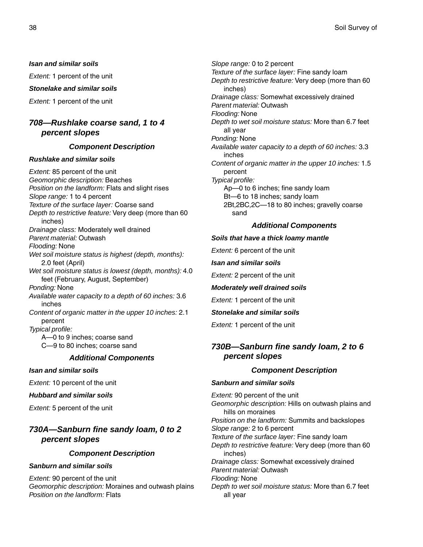*Isan and similar soils*

*Extent:* 1 percent of the unit

#### *Stonelake and similar soils*

*Extent:* 1 percent of the unit

### *708—Rushlake coarse sand, 1 to 4 percent slopes*

#### *Component Description*

#### *Rushlake and similar soils*

*Extent:* 85 percent of the unit *Geomorphic description:* Beaches *Position on the landform:* Flats and slight rises *Slope range:* 1 to 4 percent *Texture of the surface layer:* Coarse sand *Depth to restrictive feature:* Very deep (more than 60 inches) *Drainage class:* Moderately well drained *Parent material:* Outwash *Flooding:* None *Wet soil moisture status is highest (depth, months):* 2.0 feet (April) *Wet soil moisture status is lowest (depth, months):* 4.0 feet (February, August, September) *Ponding:* None *Available water capacity to a depth of 60 inches:* 3.6 inches *Content of organic matter in the upper 10 inches:* 2.1 percent *Typical profile:* A—0 to 9 inches; coarse sand C—9 to 80 inches; coarse sand *Additional Components*

*Isan and similar soils*

*Extent:* 10 percent of the unit

*Hubbard and similar soils*

*Extent:* 5 percent of the unit

### *730A—Sanburn fine sandy loam, 0 to 2 percent slopes*

#### *Component Description*

#### *Sanburn and similar soils*

*Extent:* 90 percent of the unit *Geomorphic description:* Moraines and outwash plains *Position on the landform:* Flats

*Slope range:* 0 to 2 percent *Texture of the surface layer:* Fine sandy loam *Depth to restrictive feature:* Very deep (more than 60 inches) *Drainage class:* Somewhat excessively drained *Parent material:* Outwash *Flooding:* None *Depth to wet soil moisture status:* More than 6.7 feet all year *Ponding:* None *Available water capacity to a depth of 60 inches:* 3.3 inches *Content of organic matter in the upper 10 inches:* 1.5 percent *Typical profile:* Ap—0 to 6 inches; fine sandy loam Bt—6 to 18 inches; sandy loam 2Bt,2BC,2C—18 to 80 inches; gravelly coarse sand

#### *Additional Components*

#### *Soils that have a thick loamy mantle*

*Extent:* 6 percent of the unit

*Isan and similar soils*

*Extent:* 2 percent of the unit

#### *Moderately well drained soils*

*Extent:* 1 percent of the unit

#### *Stonelake and similar soils*

*Extent:* 1 percent of the unit

### *730B—Sanburn fine sandy loam, 2 to 6 percent slopes*

#### *Component Description*

#### *Sanburn and similar soils*

*Extent:* 90 percent of the unit *Geomorphic description:* Hills on outwash plains and hills on moraines *Position on the landform:* Summits and backslopes *Slope range:* 2 to 6 percent *Texture of the surface layer:* Fine sandy loam *Depth to restrictive feature:* Very deep (more than 60 inches) *Drainage class:* Somewhat excessively drained *Parent material:* Outwash *Flooding:* None *Depth to wet soil moisture status:* More than 6.7 feet all year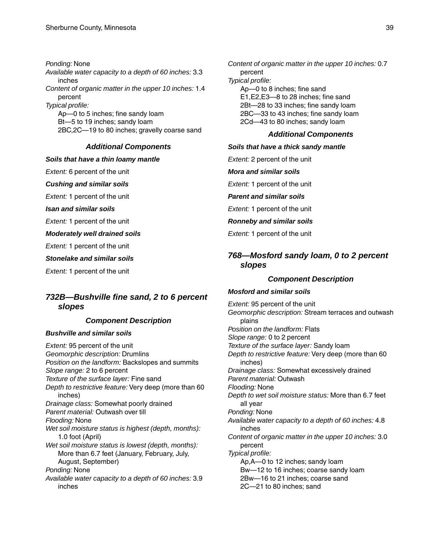*Ponding:* None *Available water capacity to a depth of 60 inches:* 3.3 inches *Content of organic matter in the upper 10 inches:* 1.4 percent *Typical profile:* Ap—0 to 5 inches; fine sandy loam Bt—5 to 19 inches; sandy loam 2BC,2C—19 to 80 inches; gravelly coarse sand

#### *Additional Components*

#### *Soils that have a thin loamy mantle*

*Extent:* 6 percent of the unit

#### *Cushing and similar soils*

*Extent:* 1 percent of the unit

*Isan and similar soils*

*Extent:* 1 percent of the unit

*Moderately well drained soils*

*Extent:* 1 percent of the unit

*Stonelake and similar soils*

*Extent:* 1 percent of the unit

### *732B—Bushville fine sand, 2 to 6 percent slopes*

#### *Component Description*

#### *Bushville and similar soils*

*Extent:* 95 percent of the unit *Geomorphic description:* Drumlins *Position on the landform:* Backslopes and summits *Slope range:* 2 to 6 percent *Texture of the surface layer:* Fine sand *Depth to restrictive feature:* Very deep (more than 60 inches) *Drainage class:* Somewhat poorly drained *Parent material:* Outwash over till *Flooding:* None *Wet soil moisture status is highest (depth, months):* 1.0 foot (April) *Wet soil moisture status is lowest (depth, months):* More than 6.7 feet (January, February, July, August, September) *Ponding:* None *Available water capacity to a depth of 60 inches:* 3.9 inches

*Content of organic matter in the upper 10 inches:* 0.7 percent *Typical profile:* Ap—0 to 8 inches; fine sand E1,E2,E3—8 to 28 inches; fine sand 2Bt—28 to 33 inches; fine sandy loam 2BC—33 to 43 inches; fine sandy loam 2Cd—43 to 80 inches; sandy loam

#### *Additional Components*

#### *Soils that have a thick sandy mantle*

*Extent:* 2 percent of the unit

*Mora and similar soils*

*Extent:* 1 percent of the unit

#### *Parent and similar soils*

*Extent:* 1 percent of the unit

*Ronneby and similar soils*

*Extent:* 1 percent of the unit

### *768—Mosford sandy loam, 0 to 2 percent slopes*

#### *Component Description*

#### *Mosford and similar soils*

*Extent:* 95 percent of the unit *Geomorphic description:* Stream terraces and outwash plains *Position on the landform:* Flats *Slope range:* 0 to 2 percent *Texture of the surface layer:* Sandy loam *Depth to restrictive feature:* Very deep (more than 60 inches) *Drainage class:* Somewhat excessively drained *Parent material:* Outwash *Flooding:* None *Depth to wet soil moisture status:* More than 6.7 feet all year *Ponding:* None *Available water capacity to a depth of 60 inches:* 4.8 inches *Content of organic matter in the upper 10 inches:* 3.0 percent *Typical profile:* Ap,A—0 to 12 inches; sandy loam Bw—12 to 16 inches; coarse sandy loam 2Bw—16 to 21 inches; coarse sand 2C—21 to 80 inches; sand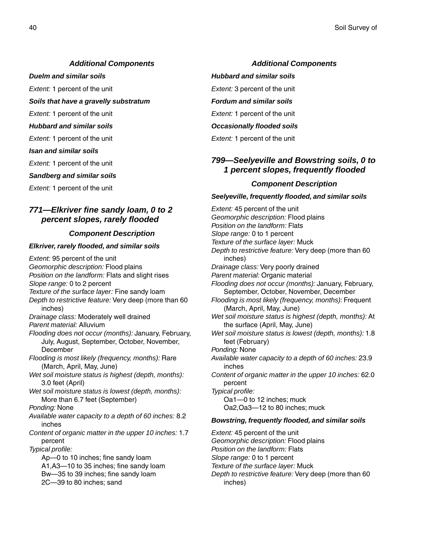#### *Additional Components*

*Duelm and similar soils*

*Extent:* 1 percent of the unit

*Soils that have a gravelly substratum*

- *Extent:* 1 percent of the unit
- *Hubbard and similar soils*

*Extent:* 1 percent of the unit

*Isan and similar soils*

*Extent:* 1 percent of the unit

*Sandberg and similar soils*

*Extent:* 1 percent of the unit

### *771—Elkriver fine sandy loam, 0 to 2 percent slopes, rarely flooded*

#### *Component Description*

#### *Elkriver, rarely flooded, and similar soils*

*Extent:* 95 percent of the unit *Geomorphic description:* Flood plains *Position on the landform:* Flats and slight rises *Slope range:* 0 to 2 percent *Texture of the surface layer:* Fine sandy loam *Depth to restrictive feature:* Very deep (more than 60 inches) *Drainage class:* Moderately well drained *Parent material:* Alluvium *Flooding does not occur (months):* January, February, July, August, September, October, November, **December** *Flooding is most likely (frequency, months):* Rare (March, April, May, June) *Wet soil moisture status is highest (depth, months):* 3.0 feet (April) *Wet soil moisture status is lowest (depth, months):* More than 6.7 feet (September) *Ponding:* None *Available water capacity to a depth of 60 inches:* 8.2 inches *Content of organic matter in the upper 10 inches:* 1.7 percent *Typical profile:* Ap—0 to 10 inches; fine sandy loam A1,A3—10 to 35 inches; fine sandy loam Bw—35 to 39 inches; fine sandy loam 2C—39 to 80 inches; sand

#### *Additional Components*

*Hubbard and similar soils*

*Extent:* 3 percent of the unit

*Fordum and similar soils*

*Extent:* 1 percent of the unit

*Occasionally flooded soils*

*Extent:* 1 percent of the unit

### *799—Seelyeville and Bowstring soils, 0 to 1 percent slopes, frequently flooded*

#### *Component Description*

#### *Seelyeville, frequently flooded, and similar soils*

*Extent:* 45 percent of the unit *Geomorphic description:* Flood plains *Position on the landform:* Flats *Slope range:* 0 to 1 percent *Texture of the surface layer:* Muck *Depth to restrictive feature:* Very deep (more than 60 inches) *Drainage class:* Very poorly drained *Parent material:* Organic material *Flooding does not occur (months):* January, February, September, October, November, December *Flooding is most likely (frequency, months):* Frequent (March, April, May, June) *Wet soil moisture status is highest (depth, months):* At the surface (April, May, June) *Wet soil moisture status is lowest (depth, months):* 1.8 feet (February) *Ponding:* None *Available water capacity to a depth of 60 inches:* 23.9 inches *Content of organic matter in the upper 10 inches:* 62.0 percent *Typical profile:* Oa1—0 to 12 inches; muck Oa2,Oa3—12 to 80 inches; muck *Bowstring, frequently flooded, and similar soils Extent:* 45 percent of the unit *Geomorphic description:* Flood plains *Position on the landform:* Flats *Slope range:* 0 to 1 percent *Texture of the surface layer:* Muck

*Depth to restrictive feature:* Very deep (more than 60 inches)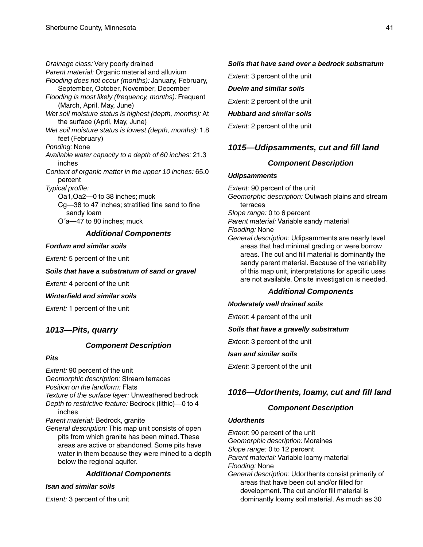*Drainage class:* Very poorly drained *Parent material:* Organic material and alluvium *Flooding does not occur (months):* January, February, September, October, November, December *Flooding is most likely (frequency, months):* Frequent (March, April, May, June) *Wet soil moisture status is highest (depth, months):* At the surface (April, May, June) *Wet soil moisture status is lowest (depth, months):* 1.8 feet (February) *Ponding:* None *Available water capacity to a depth of 60 inches:* 21.3 inches *Content of organic matter in the upper 10 inches:* 65.0 percent *Typical profile:* Oa1,Oa2—0 to 38 inches; muck Cg—38 to 47 inches; stratified fine sand to fine

sandy loam O´a—47 to 80 inches; muck

#### *Additional Components*

#### *Fordum and similar soils*

*Extent:* 5 percent of the unit

#### *Soils that have a substratum of sand or gravel*

*Extent:* 4 percent of the unit

#### *Winterfield and similar soils*

*Extent:* 1 percent of the unit

### *1013—Pits, quarry*

#### *Component Description*

#### *Pits*

*Extent:* 90 percent of the unit *Geomorphic description:* Stream terraces *Position on the landform:* Flats *Texture of the surface layer:* Unweathered bedrock *Depth to restrictive feature:* Bedrock (lithic)—0 to 4 inches

*Parent material:* Bedrock, granite

*General description:* This map unit consists of open pits from which granite has been mined. These areas are active or abandoned. Some pits have water in them because they were mined to a depth below the regional aquifer.

#### *Additional Components*

#### *Isan and similar soils*

*Extent:* 3 percent of the unit

### *Soils that have sand over a bedrock substratum*

*Extent:* 3 percent of the unit

#### *Duelm and similar soils*

*Extent:* 2 percent of the unit

*Hubbard and similar soils*

*Extent:* 2 percent of the unit

### *1015—Udipsamments, cut and fill land*

#### *Component Description*

#### *Udipsamments*

*Extent:* 90 percent of the unit *Geomorphic description:* Outwash plains and stream terraces *Slope range:* 0 to 6 percent *Parent material:* Variable sandy material *Flooding:* None *General description:* Udipsamments are nearly level areas that had minimal grading or were borrow areas. The cut and fill material is dominantly the sandy parent material. Because of the variability of this map unit, interpretations for specific uses are not available. Onsite investigation is needed.

#### *Additional Components*

#### *Moderately well drained soils*

*Extent:* 4 percent of the unit

#### *Soils that have a gravelly substratum*

*Extent:* 3 percent of the unit

#### *Isan and similar soils*

*Extent:* 3 percent of the unit

### *1016—Udorthents, loamy, cut and fill land*

#### *Component Description*

#### *Udorthents*

*Extent:* 90 percent of the unit *Geomorphic description:* Moraines *Slope range:* 0 to 12 percent *Parent material:* Variable loamy material *Flooding:* None *General description:* Udorthents consist primarily of areas that have been cut and/or filled for development. The cut and/or fill material is dominantly loamy soil material. As much as 30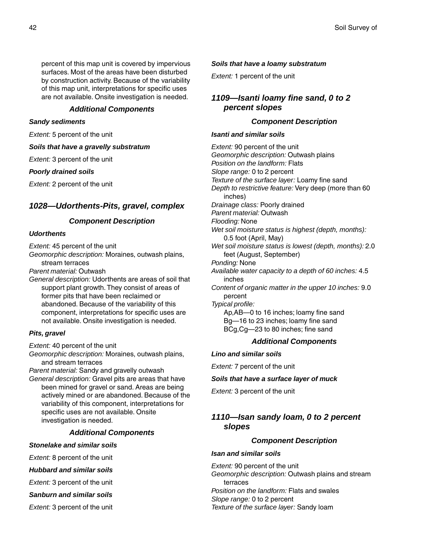percent of this map unit is covered by impervious surfaces. Most of the areas have been disturbed by construction activity. Because of the variability of this map unit, interpretations for specific uses are not available. Onsite investigation is needed.

#### *Additional Components*

#### *Sandy sediments*

*Extent:* 5 percent of the unit

*Soils that have a gravelly substratum*

*Extent:* 3 percent of the unit

#### *Poorly drained soils*

*Extent:* 2 percent of the unit

### *1028—Udorthents-Pits, gravel, complex*

#### *Component Description*

#### *Udorthents*

*Extent:* 45 percent of the unit

*Geomorphic description:* Moraines, outwash plains, stream terraces

*Parent material:* Outwash

*General description:* Udorthents are areas of soil that support plant growth. They consist of areas of former pits that have been reclaimed or abandoned. Because of the variability of this component, interpretations for specific uses are not available. Onsite investigation is needed.

#### *Pits, gravel*

*Extent:* 40 percent of the unit

*Geomorphic description:* Moraines, outwash plains, and stream terraces

*Parent material:* Sandy and gravelly outwash

*General description:* Gravel pits are areas that have been mined for gravel or sand. Areas are being actively mined or are abandoned. Because of the variability of this component, interpretations for specific uses are not available. Onsite investigation is needed.

### *Additional Components*

#### *Stonelake and similar soils*

*Extent:* 8 percent of the unit

- *Hubbard and similar soils*
- *Extent:* 3 percent of the unit

*Sanburn and similar soils*

*Extent:* 3 percent of the unit

#### *Soils that have a loamy substratum*

*Extent:* 1 percent of the unit

### *1109—Isanti loamy fine sand, 0 to 2 percent slopes*

#### *Component Description*

#### *Isanti and similar soils*

*Extent:* 90 percent of the unit *Geomorphic description:* Outwash plains *Position on the landform:* Flats *Slope range:* 0 to 2 percent *Texture of the surface layer:* Loamy fine sand *Depth to restrictive feature:* Very deep (more than 60 inches) *Drainage class:* Poorly drained *Parent material:* Outwash *Flooding:* None *Wet soil moisture status is highest (depth, months):* 0.5 foot (April, May) *Wet soil moisture status is lowest (depth, months):* 2.0 feet (August, September) *Ponding:* None *Available water capacity to a depth of 60 inches:* 4.5 inches *Content of organic matter in the upper 10 inches:* 9.0 percent *Typical profile:* Ap,AB—0 to 16 inches; loamy fine sand Bg—16 to 23 inches; loamy fine sand BCg,Cg—23 to 80 inches; fine sand

### *Additional Components*

*Lino and similar soils*

*Extent:* 7 percent of the unit

#### *Soils that have a surface layer of muck*

*Extent:* 3 percent of the unit

### *1110—Isan sandy loam, 0 to 2 percent slopes*

#### *Component Description*

#### *Isan and similar soils*

*Extent:* 90 percent of the unit *Geomorphic description:* Outwash plains and stream terraces *Position on the landform:* Flats and swales *Slope range:* 0 to 2 percent *Texture of the surface layer:* Sandy loam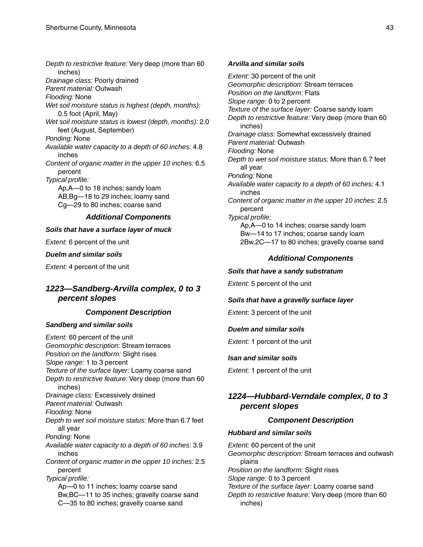*Depth to restrictive feature:* Very deep (more than 60 inches) *Drainage class:* Poorly drained *Parent material:* Outwash *Flooding:* None *Wet soil moisture status is highest (depth, months):* 0.5 foot (April, May) *Wet soil moisture status is lowest (depth, months):* 2.0 feet (August, September) *Ponding:* None *Available water capacity to a depth of 60 inches:* 4.8 inches *Content of organic matter in the upper 10 inches:* 6.5 percent *Typical profile:* Ap,A—0 to 18 inches; sandy loam AB,Bg—18 to 29 inches; loamy sand Cg—29 to 80 inches; coarse sand *Additional Components*

#### *Soils that have a surface layer of muck*

*Extent:* 6 percent of the unit

#### *Duelm and similar soils*

*Extent:* 4 percent of the unit

### *1223—Sandberg-Arvilla complex, 0 to 3 percent slopes*

#### *Component Description*

#### *Sandberg and similar soils*

*Extent:* 60 percent of the unit *Geomorphic description:* Stream terraces *Position on the landform:* Slight rises *Slope range:* 1 to 3 percent *Texture of the surface layer:* Loamy coarse sand *Depth to restrictive feature:* Very deep (more than 60 inches) *Drainage class:* Excessively drained *Parent material:* Outwash *Flooding:* None *Depth to wet soil moisture status:* More than 6.7 feet all year *Ponding:* None *Available water capacity to a depth of 60 inches:* 3.9 inches *Content of organic matter in the upper 10 inches:* 2.5 percent *Typical profile:* Ap—0 to 11 inches; loamy coarse sand Bw,BC—11 to 35 inches; gravelly coarse sand C—35 to 80 inches; gravelly coarse sand

#### *Arvilla and similar soils*

*Extent:* 30 percent of the unit *Geomorphic description:* Stream terraces *Position on the landform:* Flats *Slope range:* 0 to 2 percent *Texture of the surface layer:* Coarse sandy loam *Depth to restrictive feature:* Very deep (more than 60 inches) *Drainage class:* Somewhat excessively drained *Parent material:* Outwash *Flooding:* None *Depth to wet soil moisture status:* More than 6.7 feet all year *Ponding:* None *Available water capacity to a depth of 60 inches:* 4.1 inches *Content of organic matter in the upper 10 inches:* 2.5 percent *Typical profile:* Ap,A—0 to 14 inches; coarse sandy loam Bw—14 to 17 inches; coarse sandy loam 2Bw,2C—17 to 80 inches; gravelly coarse sand

#### *Additional Components*

#### *Soils that have a sandy substratum*

*Extent:* 5 percent of the unit

#### *Soils that have a gravelly surface layer*

*Extent:* 3 percent of the unit

#### *Duelm and similar soils*

*Extent:* 1 percent of the unit

#### *Isan and similar soils*

*Extent:* 1 percent of the unit

### *1224—Hubbard-Verndale complex, 0 to 3 percent slopes*

#### *Component Description*

#### *Hubbard and similar soils*

*Extent:* 60 percent of the unit *Geomorphic description:* Stream terraces and outwash plains *Position on the landform:* Slight rises *Slope range:* 0 to 3 percent *Texture of the surface layer:* Loamy coarse sand *Depth to restrictive feature:* Very deep (more than 60 inches)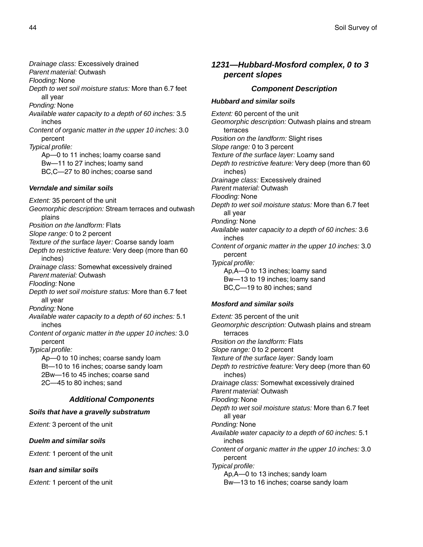*Drainage class:* Excessively drained *Parent material:* Outwash *Flooding:* None *Depth to wet soil moisture status:* More than 6.7 feet all year *Ponding:* None *Available water capacity to a depth of 60 inches:* 3.5 inches *Content of organic matter in the upper 10 inches:* 3.0 percent *Typical profile:* Ap—0 to 11 inches; loamy coarse sand Bw—11 to 27 inches; loamy sand BC,C—27 to 80 inches; coarse sand

#### *Verndale and similar soils*

*Extent:* 35 percent of the unit *Geomorphic description:* Stream terraces and outwash plains *Position on the landform:* Flats *Slope range:* 0 to 2 percent *Texture of the surface layer:* Coarse sandy loam *Depth to restrictive feature:* Very deep (more than 60 inches) *Drainage class:* Somewhat excessively drained *Parent material:* Outwash *Flooding:* None *Depth to wet soil moisture status:* More than 6.7 feet all year *Ponding:* None *Available water capacity to a depth of 60 inches:* 5.1 inches *Content of organic matter in the upper 10 inches:* 3.0 percent *Typical profile:* Ap—0 to 10 inches; coarse sandy loam Bt—10 to 16 inches; coarse sandy loam 2Bw—16 to 45 inches; coarse sand 2C—45 to 80 inches; sand *Additional Components Soils that have a gravelly substratum*

*Extent:* 3 percent of the unit

#### *Duelm and similar soils*

*Extent:* 1 percent of the unit

#### *Isan and similar soils*

*Extent:* 1 percent of the unit

### *1231—Hubbard-Mosford complex, 0 to 3 percent slopes*

### *Component Description*

#### *Hubbard and similar soils*

*Extent:* 60 percent of the unit *Geomorphic description:* Outwash plains and stream terraces *Position on the landform:* Slight rises *Slope range:* 0 to 3 percent *Texture of the surface layer:* Loamy sand *Depth to restrictive feature:* Very deep (more than 60 inches) *Drainage class:* Excessively drained *Parent material:* Outwash *Flooding:* None *Depth to wet soil moisture status:* More than 6.7 feet all year *Ponding:* None *Available water capacity to a depth of 60 inches:* 3.6 inches *Content of organic matter in the upper 10 inches:* 3.0 percent *Typical profile:* Ap,A—0 to 13 inches; loamy sand Bw—13 to 19 inches; loamy sand BC,C—19 to 80 inches; sand

#### *Mosford and similar soils*

*Extent:* 35 percent of the unit *Geomorphic description:* Outwash plains and stream terraces *Position on the landform:* Flats *Slope range:* 0 to 2 percent *Texture of the surface layer:* Sandy loam *Depth to restrictive feature:* Very deep (more than 60 inches) *Drainage class:* Somewhat excessively drained *Parent material:* Outwash *Flooding:* None *Depth to wet soil moisture status:* More than 6.7 feet all year *Ponding:* None *Available water capacity to a depth of 60 inches:* 5.1 inches *Content of organic matter in the upper 10 inches:* 3.0 percent *Typical profile:* Ap,A—0 to 13 inches; sandy loam Bw—13 to 16 inches; coarse sandy loam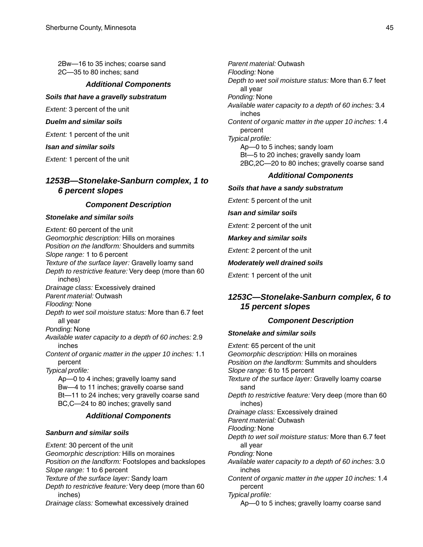2Bw—16 to 35 inches; coarse sand 2C—35 to 80 inches; sand

#### *Additional Components*

*Soils that have a gravelly substratum*

*Extent:* 3 percent of the unit

*Duelm and similar soils*

*Extent:* 1 percent of the unit

*Isan and similar soils*

*Extent:* 1 percent of the unit

### *1253B—Stonelake-Sanburn complex, 1 to 6 percent slopes*

### *Component Description*

#### *Stonelake and similar soils*

*Extent:* 60 percent of the unit *Geomorphic description:* Hills on moraines *Position on the landform:* Shoulders and summits *Slope range:* 1 to 6 percent *Texture of the surface layer:* Gravelly loamy sand *Depth to restrictive feature:* Very deep (more than 60 inches) *Drainage class:* Excessively drained *Parent material:* Outwash *Flooding:* None *Depth to wet soil moisture status:* More than 6.7 feet all year *Ponding:* None *Available water capacity to a depth of 60 inches:* 2.9 inches *Content of organic matter in the upper 10 inches:* 1.1 percent *Typical profile:* Ap—0 to 4 inches; gravelly loamy sand Bw—4 to 11 inches; gravelly coarse sand Bt—11 to 24 inches; very gravelly coarse sand BC,C—24 to 80 inches; gravelly sand

#### *Additional Components*

#### *Sanburn and similar soils*

*Extent:* 30 percent of the unit *Geomorphic description:* Hills on moraines *Position on the landform:* Footslopes and backslopes *Slope range:* 1 to 6 percent *Texture of the surface layer:* Sandy loam *Depth to restrictive feature:* Very deep (more than 60 inches) *Drainage class:* Somewhat excessively drained

*Parent material:* Outwash *Flooding:* None *Depth to wet soil moisture status:* More than 6.7 feet all year *Ponding:* None *Available water capacity to a depth of 60 inches:* 3.4 inches *Content of organic matter in the upper 10 inches:* 1.4 percent *Typical profile:* Ap—0 to 5 inches; sandy loam Bt—5 to 20 inches; gravelly sandy loam 2BC,2C—20 to 80 inches; gravelly coarse sand

### *Additional Components*

#### *Soils that have a sandy substratum*

*Extent:* 5 percent of the unit

*Isan and similar soils*

*Extent:* 2 percent of the unit

#### *Markey and similar soils*

*Extent:* 2 percent of the unit

#### *Moderately well drained soils*

*Extent:* 1 percent of the unit

### *1253C—Stonelake-Sanburn complex, 6 to 15 percent slopes*

#### *Component Description*

#### *Stonelake and similar soils*

*Extent:* 65 percent of the unit *Geomorphic description:* Hills on moraines *Position on the landform:* Summits and shoulders *Slope range:* 6 to 15 percent *Texture of the surface layer:* Gravelly loamy coarse sand *Depth to restrictive feature:* Very deep (more than 60 inches) *Drainage class:* Excessively drained *Parent material:* Outwash *Flooding:* None *Depth to wet soil moisture status:* More than 6.7 feet all year *Ponding:* None *Available water capacity to a depth of 60 inches:* 3.0 inches *Content of organic matter in the upper 10 inches:* 1.4 percent *Typical profile:* Ap—0 to 5 inches; gravelly loamy coarse sand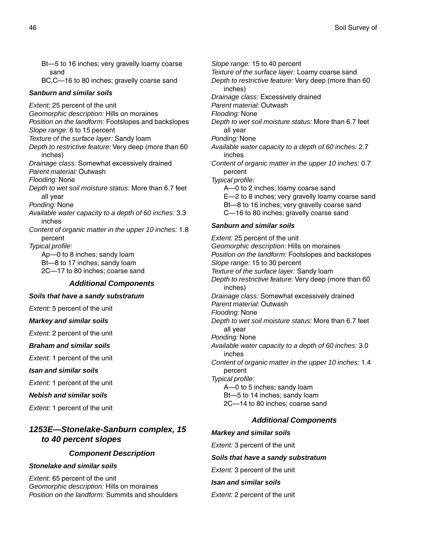Bt—5 to 16 inches; very gravelly loamy coarse sand

BC,C—16 to 80 inches; gravelly coarse sand

#### *Sanburn and similar soils*

*Extent:* 25 percent of the unit *Geomorphic description:* Hills on moraines *Position on the landform:* Footslopes and backslopes *Slope range:* 6 to 15 percent *Texture of the surface layer:* Sandy loam *Depth to restrictive feature:* Very deep (more than 60 inches) *Drainage class:* Somewhat excessively drained *Parent material:* Outwash *Flooding:* None *Depth to wet soil moisture status:* More than 6.7 feet all year *Ponding:* None *Available water capacity to a depth of 60 inches:* 3.3 inches *Content of organic matter in the upper 10 inches:* 1.8 percent *Typical profile:* Ap—0 to 8 inches; sandy loam Bt—8 to 17 inches; sandy loam 2C—17 to 80 inches; coarse sand *Additional Components Soils that have a sandy substratum*

*Extent:* 5 percent of the unit

*Markey and similar soils*

*Extent:* 2 percent of the unit

*Braham and similar soils*

*Extent:* 1 percent of the unit

*Isan and similar soils*

*Extent:* 1 percent of the unit

*Nebish and similar soils*

*Extent:* 1 percent of the unit

### *1253E—Stonelake-Sanburn complex, 15 to 40 percent slopes*

#### *Component Description*

#### *Stonelake and similar soils*

*Extent:* 65 percent of the unit *Geomorphic description:* Hills on moraines *Position on the landform:* Summits and shoulders *Slope range:* 15 to 40 percent *Texture of the surface layer:* Loamy coarse sand *Depth to restrictive feature:* Very deep (more than 60 inches) *Drainage class:* Excessively drained *Parent material:* Outwash *Flooding:* None *Depth to wet soil moisture status:* More than 6.7 feet all year *Ponding:* None *Available water capacity to a depth of 60 inches:* 2.7 inches *Content of organic matter in the upper 10 inches:* 0.7 percent *Typical profile:* A—0 to 2 inches; loamy coarse sand E—2 to 8 inches; very gravelly loamy coarse sand Bt—8 to 16 inches; very gravelly coarse sand C—16 to 80 inches; gravelly coarse sand *Sanburn and similar soils Extent:* 25 percent of the unit *Geomorphic description:* Hills on moraines *Position on the landform:* Footslopes and backslopes *Slope range:* 15 to 30 percent *Texture of the surface layer:* Sandy loam *Depth to restrictive feature:* Very deep (more than 60 inches) *Drainage class:* Somewhat excessively drained *Parent material:* Outwash *Flooding:* None *Depth to wet soil moisture status:* More than 6.7 feet all year *Ponding:* None *Available water capacity to a depth of 60 inches:* 3.0 inches *Content of organic matter in the upper 10 inches:* 1.4 percent *Typical profile:* A—0 to 5 inches; sandy loam Bt—5 to 14 inches; sandy loam 2C—14 to 80 inches; coarse sand

#### *Additional Components*

#### *Markey and similar soils*

*Extent:* 3 percent of the unit

#### *Soils that have a sandy substratum*

*Extent:* 3 percent of the unit

#### *Isan and similar soils*

*Extent:* 2 percent of the unit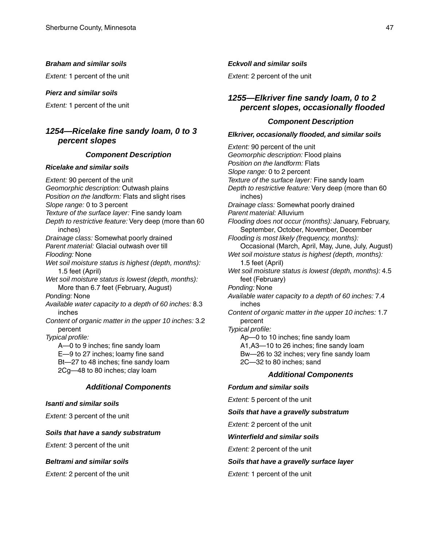#### *Braham and similar soils*

*Extent:* 1 percent of the unit

#### *Pierz and similar soils*

*Extent:* 1 percent of the unit

### *1254—Ricelake fine sandy loam, 0 to 3 percent slopes*

#### *Component Description*

#### *Ricelake and similar soils*

*Extent:* 90 percent of the unit *Geomorphic description:* Outwash plains *Position on the landform:* Flats and slight rises *Slope range:* 0 to 3 percent *Texture of the surface layer:* Fine sandy loam *Depth to restrictive feature:* Very deep (more than 60 inches) *Drainage class:* Somewhat poorly drained *Parent material:* Glacial outwash over till *Flooding:* None *Wet soil moisture status is highest (depth, months):* 1.5 feet (April) *Wet soil moisture status is lowest (depth, months):* More than 6.7 feet (February, August) *Ponding:* None *Available water capacity to a depth of 60 inches:* 8.3 inches *Content of organic matter in the upper 10 inches:* 3.2 percent *Typical profile:* A—0 to 9 inches; fine sandy loam E—9 to 27 inches; loamy fine sand Bt—27 to 48 inches; fine sandy loam 2Cg—48 to 80 inches; clay loam *Additional Components*

#### *Isanti and similar soils*

*Extent:* 3 percent of the unit

#### *Soils that have a sandy substratum*

*Extent:* 3 percent of the unit

#### *Beltrami and similar soils*

*Extent:* 2 percent of the unit

#### *Eckvoll and similar soils*

*Extent:* 2 percent of the unit

### *1255—Elkriver fine sandy loam, 0 to 2 percent slopes, occasionally flooded*

#### *Component Description*

#### *Elkriver, occasionally flooded, and similar soils*

*Extent:* 90 percent of the unit *Geomorphic description:* Flood plains *Position on the landform:* Flats *Slope range:* 0 to 2 percent *Texture of the surface layer:* Fine sandy loam *Depth to restrictive feature:* Very deep (more than 60 inches) *Drainage class:* Somewhat poorly drained *Parent material:* Alluvium *Flooding does not occur (months):* January, February, September, October, November, December *Flooding is most likely (frequency, months):* Occasional (March, April, May, June, July, August) *Wet soil moisture status is highest (depth, months):* 1.5 feet (April) *Wet soil moisture status is lowest (depth, months):* 4.5 feet (February) *Ponding:* None *Available water capacity to a depth of 60 inches:* 7.4 inches *Content of organic matter in the upper 10 inches:* 1.7 percent *Typical profile:* Ap—0 to 10 inches; fine sandy loam A1,A3—10 to 26 inches; fine sandy loam Bw—26 to 32 inches; very fine sandy loam 2C—32 to 80 inches; sand *Additional Components Fordum and similar soils*

### *Extent:* 5 percent of the unit

#### *Soils that have a gravelly substratum*

*Extent:* 2 percent of the unit

#### *Winterfield and similar soils*

*Extent:* 2 percent of the unit

#### *Soils that have a gravelly surface layer*

#### *Extent:* 1 percent of the unit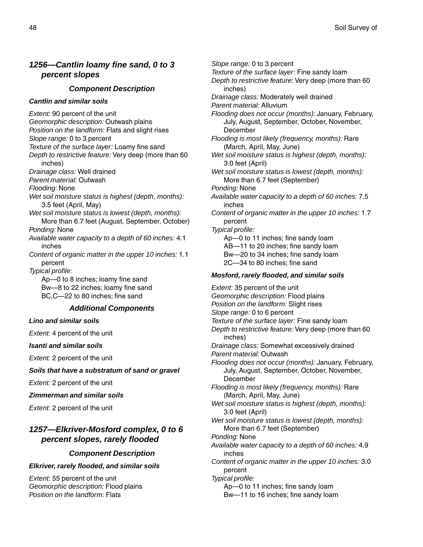### *1256—Cantlin loamy fine sand, 0 to 3 percent slopes*

#### *Component Description*

#### *Cantlin and similar soils*

*Extent:* 90 percent of the unit *Geomorphic description:* Outwash plains *Position on the landform:* Flats and slight rises *Slope range:* 0 to 3 percent *Texture of the surface layer:* Loamy fine sand *Depth to restrictive feature:* Very deep (more than 60 inches) *Drainage class:* Well drained *Parent material:* Outwash *Flooding:* None *Wet soil moisture status is highest (depth, months):* 3.5 feet (April, May) *Wet soil moisture status is lowest (depth, months):* More than 6.7 feet (August, September, October) *Ponding:* None *Available water capacity to a depth of 60 inches:* 4.1 inches *Content of organic matter in the upper 10 inches:* 1.1 percent *Typical profile:* Ap—0 to 8 inches; loamy fine sand Bw—8 to 22 inches; loamy fine sand BC,C—22 to 80 inches; fine sand *Additional Components Lino and similar soils Extent:* 4 percent of the unit *Isanti and similar soils Extent:* 2 percent of the unit *Soils that have a substratum of sand or gravel Extent:* 2 percent of the unit

*Zimmerman and similar soils*

*Extent:* 2 percent of the unit

### *1257—Elkriver-Mosford complex, 0 to 6 percent slopes, rarely flooded*

#### *Component Description*

#### *Elkriver, rarely flooded, and similar soils*

*Extent:* 55 percent of the unit *Geomorphic description:* Flood plains *Position on the landform:* Flats

*Slope range:* 0 to 3 percent *Texture of the surface layer:* Fine sandy loam *Depth to restrictive feature:* Very deep (more than 60 inches) *Drainage class:* Moderately well drained *Parent material:* Alluvium *Flooding does not occur (months):* January, February, July, August, September, October, November, December *Flooding is most likely (frequency, months):* Rare (March, April, May, June) *Wet soil moisture status is highest (depth, months):* 3.0 feet (April) *Wet soil moisture status is lowest (depth, months):* More than 6.7 feet (September) *Ponding:* None *Available water capacity to a depth of 60 inches:* 7.5 inches *Content of organic matter in the upper 10 inches:* 1.7 percent *Typical profile:* Ap—0 to 11 inches; fine sandy loam AB—11 to 20 inches; fine sandy loam Bw—20 to 34 inches; fine sandy loam 2C—34 to 80 inches; fine sand *Mosford, rarely flooded, and similar soils Extent:* 35 percent of the unit *Geomorphic description:* Flood plains *Position on the landform:* Slight rises *Slope range:* 0 to 6 percent *Texture of the surface layer:* Fine sandy loam *Depth to restrictive feature:* Very deep (more than 60 inches) *Drainage class:* Somewhat excessively drained *Parent material:* Outwash *Flooding does not occur (months):* January, February, July, August, September, October, November, December *Flooding is most likely (frequency, months):* Rare (March, April, May, June) *Wet soil moisture status is highest (depth, months):* 3.0 feet (April) *Wet soil moisture status is lowest (depth, months):* More than 6.7 feet (September) *Ponding:* None *Available water capacity to a depth of 60 inches:* 4.9 inches *Content of organic matter in the upper 10 inches:* 3.0 percent *Typical profile:*

> Ap—0 to 11 inches; fine sandy loam Bw—11 to 16 inches; fine sandy loam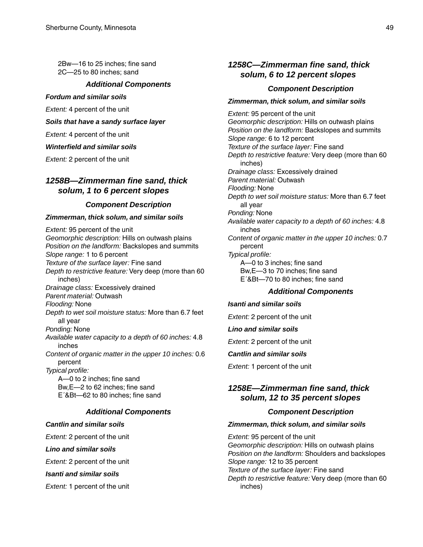2Bw—16 to 25 inches; fine sand 2C—25 to 80 inches; sand

#### *Additional Components*

#### *Fordum and similar soils*

*Extent:* 4 percent of the unit

#### *Soils that have a sandy surface layer*

*Extent:* 4 percent of the unit

#### *Winterfield and similar soils*

*Extent:* 2 percent of the unit

### *1258B—Zimmerman fine sand, thick solum, 1 to 6 percent slopes*

#### *Component Description*

#### *Zimmerman, thick solum, and similar soils*

*Extent:* 95 percent of the unit *Geomorphic description:* Hills on outwash plains *Position on the landform:* Backslopes and summits *Slope range:* 1 to 6 percent *Texture of the surface layer:* Fine sand *Depth to restrictive feature:* Very deep (more than 60 inches) *Drainage class:* Excessively drained *Parent material:* Outwash *Flooding:* None *Depth to wet soil moisture status:* More than 6.7 feet all year *Ponding:* None *Available water capacity to a depth of 60 inches:* 4.8 inches *Content of organic matter in the upper 10 inches:* 0.6 percent *Typical profile:* A—0 to 2 inches; fine sand Bw,E—2 to 62 inches; fine sand E´&Bt—62 to 80 inches; fine sand

### *Additional Components*

#### *Cantlin and similar soils*

*Extent:* 2 percent of the unit

#### *Lino and similar soils*

*Extent:* 2 percent of the unit

#### *Isanti and similar soils*

*Extent:* 1 percent of the unit

### *1258C—Zimmerman fine sand, thick solum, 6 to 12 percent slopes*

#### *Component Description*

#### *Zimmerman, thick solum, and similar soils*

*Extent:* 95 percent of the unit *Geomorphic description:* Hills on outwash plains *Position on the landform:* Backslopes and summits *Slope range:* 6 to 12 percent *Texture of the surface layer:* Fine sand *Depth to restrictive feature:* Very deep (more than 60 inches) *Drainage class:* Excessively drained *Parent material:* Outwash *Flooding:* None *Depth to wet soil moisture status:* More than 6.7 feet all year *Ponding:* None *Available water capacity to a depth of 60 inches:* 4.8 inches *Content of organic matter in the upper 10 inches:* 0.7 percent *Typical profile:* A—0 to 3 inches; fine sand Bw,E—3 to 70 inches; fine sand E´&Bt—70 to 80 inches; fine sand

#### *Additional Components*

#### *Isanti and similar soils*

*Extent:* 2 percent of the unit

#### *Lino and similar soils*

*Extent:* 2 percent of the unit

#### *Cantlin and similar soils*

*Extent:* 1 percent of the unit

### *1258E—Zimmerman fine sand, thick solum, 12 to 35 percent slopes*

#### *Component Description*

#### *Zimmerman, thick solum, and similar soils*

*Extent:* 95 percent of the unit *Geomorphic description:* Hills on outwash plains *Position on the landform:* Shoulders and backslopes *Slope range:* 12 to 35 percent *Texture of the surface layer:* Fine sand *Depth to restrictive feature:* Very deep (more than 60 inches)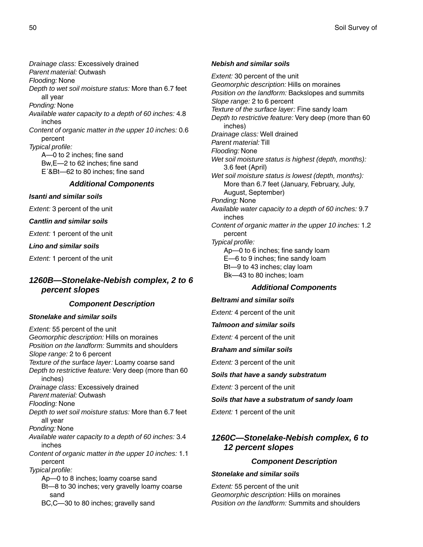*Drainage class:* Excessively drained *Parent material:* Outwash *Flooding:* None *Depth to wet soil moisture status:* More than 6.7 feet all year *Ponding:* None *Available water capacity to a depth of 60 inches:* 4.8 inches *Content of organic matter in the upper 10 inches:* 0.6 percent *Typical profile:* A—0 to 2 inches; fine sand Bw,E—2 to 62 inches; fine sand E´&Bt—62 to 80 inches; fine sand *Additional Components*

*Isanti and similar soils*

*Extent:* 3 percent of the unit

*Cantlin and similar soils*

*Extent:* 1 percent of the unit

*Lino and similar soils*

*Extent:* 1 percent of the unit

### *1260B—Stonelake-Nebish complex, 2 to 6 percent slopes*

### *Component Description*

#### *Stonelake and similar soils*

*Extent:* 55 percent of the unit *Geomorphic description:* Hills on moraines *Position on the landform:* Summits and shoulders *Slope range:* 2 to 6 percent *Texture of the surface layer:* Loamy coarse sand *Depth to restrictive feature:* Very deep (more than 60 inches) *Drainage class:* Excessively drained *Parent material:* Outwash *Flooding:* None *Depth to wet soil moisture status:* More than 6.7 feet all year *Ponding:* None *Available water capacity to a depth of 60 inches:* 3.4 inches *Content of organic matter in the upper 10 inches:* 1.1 percent *Typical profile:* Ap—0 to 8 inches; loamy coarse sand Bt—8 to 30 inches; very gravelly loamy coarse sand

BC,C—30 to 80 inches; gravelly sand

#### *Nebish and similar soils*

*Extent:* 30 percent of the unit *Geomorphic description:* Hills on moraines *Position on the landform:* Backslopes and summits *Slope range:* 2 to 6 percent *Texture of the surface layer:* Fine sandy loam *Depth to restrictive feature:* Very deep (more than 60 inches) *Drainage class:* Well drained *Parent material:* Till *Flooding:* None *Wet soil moisture status is highest (depth, months):* 3.6 feet (April) *Wet soil moisture status is lowest (depth, months):* More than 6.7 feet (January, February, July, August, September) *Ponding:* None *Available water capacity to a depth of 60 inches:* 9.7 inches *Content of organic matter in the upper 10 inches:* 1.2 percent *Typical profile:* Ap—0 to 6 inches; fine sandy loam E—6 to 9 inches; fine sandy loam Bt—9 to 43 inches; clay loam Bk—43 to 80 inches; loam

#### *Additional Components*

#### *Beltrami and similar soils*

*Extent:* 4 percent of the unit

#### *Talmoon and similar soils*

*Extent:* 4 percent of the unit

#### *Braham and similar soils*

*Extent:* 3 percent of the unit

*Soils that have a sandy substratum*

*Extent:* 3 percent of the unit

*Soils that have a substratum of sandy loam*

*Extent:* 1 percent of the unit

### *1260C—Stonelake-Nebish complex, 6 to 12 percent slopes*

### *Component Description*

#### *Stonelake and similar soils*

*Extent:* 55 percent of the unit *Geomorphic description:* Hills on moraines *Position on the landform:* Summits and shoulders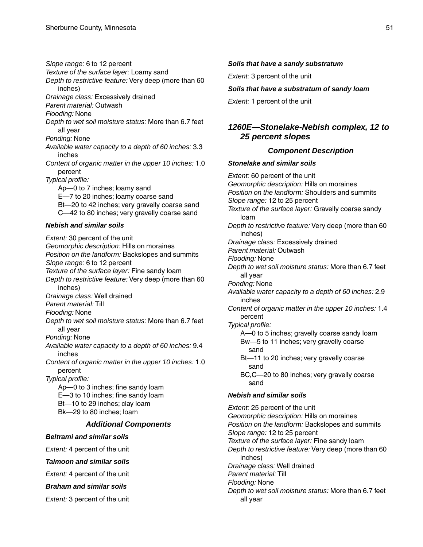*Slope range:* 6 to 12 percent

*Texture of the surface layer:* Loamy sand

*Depth to restrictive feature:* Very deep (more than 60 inches)

*Drainage class:* Excessively drained

*Parent material:* Outwash

*Flooding:* None

*Depth to wet soil moisture status:* More than 6.7 feet all year

*Ponding:* None

*Available water capacity to a depth of 60 inches:* 3.3 inches

*Content of organic matter in the upper 10 inches:* 1.0 percent

*Typical profile:*

Ap—0 to 7 inches; loamy sand E—7 to 20 inches; loamy coarse sand Bt—20 to 42 inches; very gravelly coarse sand C—42 to 80 inches; very gravelly coarse sand

### *Nebish and similar soils*

*Extent:* 30 percent of the unit *Geomorphic description:* Hills on moraines *Position on the landform:* Backslopes and summits *Slope range:* 6 to 12 percent *Texture of the surface layer:* Fine sandy loam *Depth to restrictive feature:* Very deep (more than 60 inches) *Drainage class:* Well drained *Parent material:* Till *Flooding:* None *Depth to wet soil moisture status:* More than 6.7 feet all year *Ponding:* None *Available water capacity to a depth of 60 inches:* 9.4 inches *Content of organic matter in the upper 10 inches:* 1.0 percent *Typical profile:* Ap—0 to 3 inches; fine sandy loam E—3 to 10 inches; fine sandy loam Bt—10 to 29 inches; clay loam Bk—29 to 80 inches; loam *Additional Components Beltrami and similar soils Extent:* 4 percent of the unit

*Talmoon and similar soils*

*Extent:* 4 percent of the unit

*Braham and similar soils*

*Extent:* 3 percent of the unit

#### *Soils that have a sandy substratum*

*Extent:* 3 percent of the unit

### *Soils that have a substratum of sandy loam*

*Extent:* 1 percent of the unit

### *1260E—Stonelake-Nebish complex, 12 to 25 percent slopes*

### *Component Description*

### *Stonelake and similar soils*

*Extent:* 60 percent of the unit *Geomorphic description:* Hills on moraines *Position on the landform:* Shoulders and summits *Slope range:* 12 to 25 percent *Texture of the surface layer:* Gravelly coarse sandy loam *Depth to restrictive feature:* Very deep (more than 60 inches) *Drainage class:* Excessively drained *Parent material:* Outwash *Flooding:* None *Depth to wet soil moisture status:* More than 6.7 feet all year *Ponding:* None *Available water capacity to a depth of 60 inches:* 2.9 inches *Content of organic matter in the upper 10 inches:* 1.4 percent *Typical profile:* A—0 to 5 inches; gravelly coarse sandy loam Bw—5 to 11 inches; very gravelly coarse sand Bt—11 to 20 inches; very gravelly coarse sand BC,C—20 to 80 inches; very gravelly coarse sand *Nebish and similar soils Extent:* 25 percent of the unit *Geomorphic description:* Hills on moraines *Position on the landform:* Backslopes and summits *Slope range:* 12 to 25 percent *Texture of the surface layer:* Fine sandy loam *Depth to restrictive feature:* Very deep (more than 60

inches) *Drainage class:* Well drained

*Parent material:* Till

*Flooding:* None

*Depth to wet soil moisture status:* More than 6.7 feet all year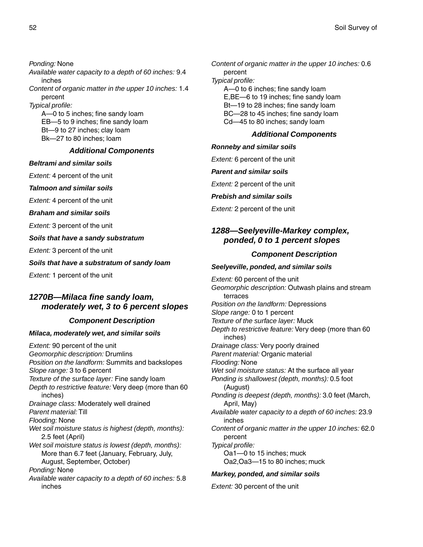*Ponding:* None *Available water capacity to a depth of 60 inches:* 9.4 inches *Content of organic matter in the upper 10 inches:* 1.4 percent *Typical profile:* A—0 to 5 inches; fine sandy loam EB—5 to 9 inches; fine sandy loam

Bt—9 to 27 inches; clay loam Bk—27 to 80 inches; loam

#### *Additional Components*

#### *Beltrami and similar soils*

*Extent:* 4 percent of the unit

*Talmoon and similar soils*

*Extent:* 4 percent of the unit

*Braham and similar soils*

*Extent:* 3 percent of the unit

*Soils that have a sandy substratum*

*Extent:* 3 percent of the unit

*Soils that have a substratum of sandy loam*

*Extent:* 1 percent of the unit

### *1270B—Milaca fine sandy loam, moderately wet, 3 to 6 percent slopes*

### *Component Description*

#### *Milaca, moderately wet, and similar soils*

*Extent:* 90 percent of the unit *Geomorphic description:* Drumlins *Position on the landform:* Summits and backslopes *Slope range:* 3 to 6 percent *Texture of the surface layer:* Fine sandy loam *Depth to restrictive feature:* Very deep (more than 60 inches) *Drainage class:* Moderately well drained *Parent material:* Till *Flooding:* None *Wet soil moisture status is highest (depth, months):* 2.5 feet (April) *Wet soil moisture status is lowest (depth, months):* More than 6.7 feet (January, February, July, August, September, October) *Ponding:* None *Available water capacity to a depth of 60 inches:* 5.8 inches

*Content of organic matter in the upper 10 inches:* 0.6 percent *Typical profile:* A—0 to 6 inches; fine sandy loam

E,BE—6 to 19 inches; fine sandy loam Bt—19 to 28 inches; fine sandy loam BC—28 to 45 inches; fine sandy loam Cd—45 to 80 inches; sandy loam

### *Additional Components*

#### *Ronneby and similar soils*

*Extent:* 6 percent of the unit

*Parent and similar soils*

*Extent:* 2 percent of the unit

#### *Prebish and similar soils*

*Extent:* 2 percent of the unit

### *1288—Seelyeville-Markey complex, ponded, 0 to 1 percent slopes*

### *Component Description*

#### *Seelyeville, ponded, and similar soils*

*Extent:* 60 percent of the unit *Geomorphic description:* Outwash plains and stream terraces *Position on the landform:* Depressions *Slope range:* 0 to 1 percent *Texture of the surface layer:* Muck *Depth to restrictive feature:* Very deep (more than 60 inches) *Drainage class:* Very poorly drained *Parent material:* Organic material *Flooding:* None *Wet soil moisture status:* At the surface all year *Ponding is shallowest (depth, months):* 0.5 foot (August) *Ponding is deepest (depth, months):* 3.0 feet (March, April, May) *Available water capacity to a depth of 60 inches:* 23.9 inches *Content of organic matter in the upper 10 inches:* 62.0 percent *Typical profile:* Oa1—0 to 15 inches; muck Oa2,Oa3—15 to 80 inches; muck

#### *Markey, ponded, and similar soils*

*Extent:* 30 percent of the unit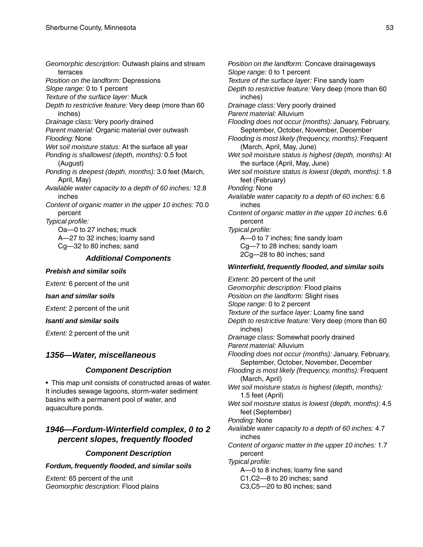*Geomorphic description:* Outwash plains and stream terraces *Position on the landform:* Depressions *Slope range:* 0 to 1 percent *Texture of the surface layer:* Muck *Depth to restrictive feature:* Very deep (more than 60 inches) *Drainage class:* Very poorly drained *Parent material:* Organic material over outwash *Flooding:* None *Wet soil moisture status:* At the surface all year *Ponding is shallowest (depth, months):* 0.5 foot (August) *Ponding is deepest (depth, months):* 3.0 feet (March, April, May) *Available water capacity to a depth of 60 inches:* 12.8 inches *Content of organic matter in the upper 10 inches:* 70.0 percent *Typical profile:* Oa—0 to 27 inches; muck A—27 to 32 inches; loamy sand Cg—32 to 80 inches; sand *Additional Components*

#### *Prebish and similar soils*

*Extent:* 6 percent of the unit

*Isan and similar soils*

*Extent:* 2 percent of the unit

*Isanti and similar soils*

*Extent:* 2 percent of the unit

### *1356—Water, miscellaneous*

#### *Component Description*

• This map unit consists of constructed areas of water. It includes sewage lagoons, storm-water sediment basins with a permanent pool of water, and aquaculture ponds.

### *1946—Fordum-Winterfield complex, 0 to 2 percent slopes, frequently flooded*

### *Component Description*

#### *Fordum, frequently flooded, and similar soils*

*Extent:* 65 percent of the unit *Geomorphic description:* Flood plains *Position on the landform:* Concave drainageways *Slope range:* 0 to 1 percent *Texture of the surface layer:* Fine sandy loam *Depth to restrictive feature:* Very deep (more than 60 inches) *Drainage class:* Very poorly drained *Parent material:* Alluvium *Flooding does not occur (months):* January, February, September, October, November, December *Flooding is most likely (frequency, months):* Frequent (March, April, May, June) *Wet soil moisture status is highest (depth, months):* At the surface (April, May, June) *Wet soil moisture status is lowest (depth, months):* 1.8 feet (February) *Ponding:* None *Available water capacity to a depth of 60 inches:* 6.6 inches *Content of organic matter in the upper 10 inches:* 6.6 percent *Typical profile:* A—0 to 7 inches; fine sandy loam Cg—7 to 28 inches; sandy loam 2Cg—28 to 80 inches; sand

### *Winterfield, frequently flooded, and similar soils*

*Extent:* 20 percent of the unit *Geomorphic description:* Flood plains *Position on the landform:* Slight rises *Slope range:* 0 to 2 percent *Texture of the surface layer:* Loamy fine sand *Depth to restrictive feature:* Very deep (more than 60 inches) *Drainage class:* Somewhat poorly drained *Parent material:* Alluvium *Flooding does not occur (months):* January, February, September, October, November, December *Flooding is most likely (frequency, months):* Frequent (March, April) *Wet soil moisture status is highest (depth, months):* 1.5 feet (April) *Wet soil moisture status is lowest (depth, months):* 4.5 feet (September) *Ponding:* None *Available water capacity to a depth of 60 inches:* 4.7 inches *Content of organic matter in the upper 10 inches:* 1.7 percent *Typical profile:* A—0 to 8 inches; loamy fine sand C1,C2—8 to 20 inches; sand C3,C5—20 to 80 inches; sand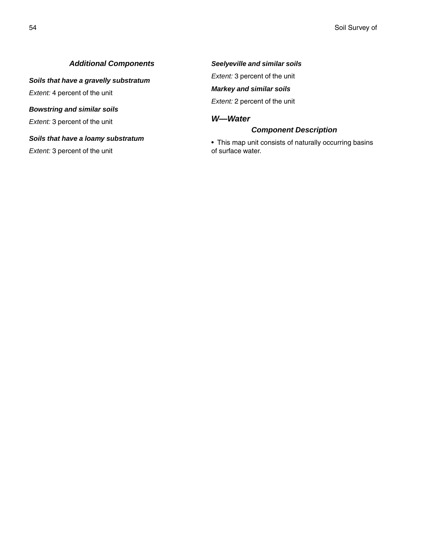### *Additional Components*

*Soils that have a gravelly substratum*

*Extent:* 4 percent of the unit

#### *Bowstring and similar soils*

*Extent:* 3 percent of the unit

#### *Soils that have a loamy substratum*

*Extent:* 3 percent of the unit

### *Seelyeville and similar soils*

*Extent:* 3 percent of the unit

### *Markey and similar soils*

*Extent:* 2 percent of the unit

### *W—Water*

### *Component Description*

• This map unit consists of naturally occurring basins of surface water.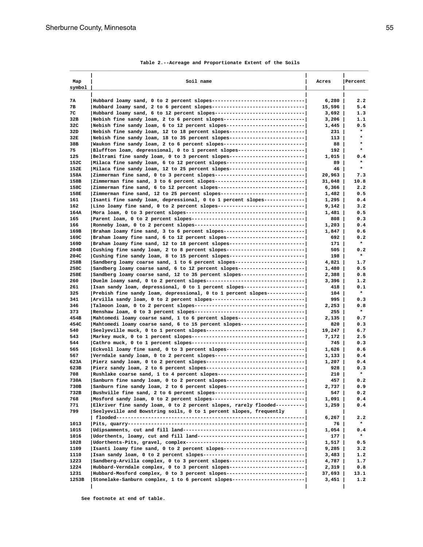| Map          | Soil name                                                                                                                                                | Acres            | Percent            |
|--------------|----------------------------------------------------------------------------------------------------------------------------------------------------------|------------------|--------------------|
| symbol       |                                                                                                                                                          |                  |                    |
| 7A           | Hubbard loamy sand, 0 to 2 percent slopes---------------------------------                                                                               | 6,280            | 2.2                |
| 7в           | Hubbard loamy sand, 2 to 6 percent slopes---------------------------------                                                                               | $15,596$         | 5.4                |
| 7C           | Hubbard loamy sand, 6 to 12 percent slopes--------------------------------                                                                               | 3,692            | 1.3                |
| 32B          | Nebish fine sandy loam, 2 to 6 percent slopes---------------------------                                                                                 | $3,206$          | 1.1                |
| 32C          | Nebish fine sandy loam, 6 to 12 percent slopes--------------------------                                                                                 | $1,445$          | 0.5                |
| 32D          | Nebish fine sandy loam, 12 to 18 percent slopes-------------------------                                                                                 | 231              | $\star$<br>$\star$ |
| 32E          | Nebish fine sandy loam, 18 to 35 percent slopes-------------------------                                                                                 | 113              | $\star$            |
| 38B<br>75    | Waukon fine sandy loam, 2 to 6 percent slopes---------------------------- <br> Bluffton loam, depressional, 0 to 1 percent slopes----------------------- | 88  <br>192      | $\star$            |
| 125          | Beltrami fine sandy loam, 0 to 3 percent slopes-------------------------                                                                                 | $1,015$          | 0.4                |
| 152C         | Milaca fine sandy loam, 6 to 12 percent slopes---------------------------                                                                                | 89               | $\star$            |
| 152E         | Milaca fine sandy loam, 12 to 25 percent slopes--------------------------                                                                                | 46               | $\star$            |
| 158A         | Zimmerman fine sand, 0 to 3 percent slopes------------------------------                                                                                 | 20,963           | 7.3                |
| 158B         | Zimmerman fine sand, 3 to 6 percent slopes------------------------------                                                                                 | $31,048$         | 10.8               |
| 158C         | Zimmerman fine sand, 6 to 12 percent slopes------------------------------                                                                                | 6,366            | 2.2                |
| 158E         | Zimmerman fine sand, 12 to 25 percent slopes----------------------------                                                                                 | $1,482$          | 0.5                |
| 161          | Isanti fine sandy loam, depressional, 0 to 1 percent slopes-------------                                                                                 | 1,295            | 0.4                |
| 162          | Lino loamy fine sand, 0 to 2 percent slopes------------------------------                                                                                | $9,142$          | 3.2                |
| 164A         |                                                                                                                                                          | 1,481            | 0.5                |
| 165          |                                                                                                                                                          | 808              | 0.3                |
| 166          |                                                                                                                                                          | 1,203            | 0.4                |
| 169B         | Braham loamy fine sand, 3 to 6 percent slopes---------------------------                                                                                 | $1,847$          | 0.6                |
| 169C         | Braham loamy fine sand, 6 to 12 percent slopes--------------------------                                                                                 | 692              | 0.2<br>$\star$     |
| 169D<br>204B | Braham loamy fine sand, 12 to 18 percent slopes------------------------- <br>  Cushing fine sandy loam, 2 to 8 percent slopes--------------------------  | 171  <br>505     | 0.2                |
| 204C         | Cushing fine sandy loam, 8 to 15 percent slopes-------------------------                                                                                 | 198              | $\star$            |
| 258B         | Sandberg loamy coarse sand, 1 to 6 percent slopes-----------------------                                                                                 | 4,821            | 1.7                |
| 258C         | Sandberg loamy coarse sand, 6 to 12 percent slopes----------------------                                                                                 | 1,480            | 0.5                |
| 258E         | Sandberg loamy coarse sand, 12 to 35 percent slopes---------------------                                                                                 | 2,388            | 0.8                |
| 260          | Duelm loamy sand, 0 to 2 percent slopes---------------------------------                                                                                 | $3,396$          | 1.2                |
| 261          | Isan sandy loam, depressional, 0 to 1 percent slopes--------------------                                                                                 | 418 l            | 0.1                |
| 325          | Prebish fine sandy loam, depressional, 0 to 1 percent slopes------------                                                                                 | 104              | $\star$            |
| 341          | Arvilla sandy loam, 0 to 2 percent slopes--------------------------------                                                                                | 995              | 0.3                |
| 346          |                                                                                                                                                          | $2,253$          | 0.8                |
| 373          |                                                                                                                                                          | 255              | $\star$            |
| 454B         | Mahtomedi loamy coarse sand, 1 to 6 percent slopes----------------------                                                                                 | $2,135$          | 0.7                |
| 454C         | Mahtomedi loamy coarse sand, 6 to 15 percent slopes---------------------                                                                                 | 820              | 0.3                |
| 540          | Seelyeville muck, 0 to 1 percent slopes----------------------------------                                                                                | 19,247           | 6.7                |
| 543<br>544   |                                                                                                                                                          | 7,172  <br>745   | 2.5<br>0.3         |
| 565          | Eckvoll loamy fine sand, 0 to 3 percent slopes--------------------------                                                                                 | $1,626$          | 0.6                |
| 567          | Verndale sandy loam, 0 to 2 percent slopes------------------------------                                                                                 | 1,133            | 0.4                |
| 623A         | Pierz sandy loam, 0 to 2 percent slopes----------------------------------                                                                                | 1,207            | 0.4                |
| 623B         | Pierz sandy loam, 2 to 6 percent slopes-----------------------------------                                                                               | 928              | 0.3                |
| 708          | Rushlake coarse sand, 1 to 4 percent slopes------------------------------                                                                                | 210              | $\star$            |
| 730A         | Sanburn fine sandy loam, 0 to 2 percent slopes--------------------------                                                                                 | 457              | 0.2                |
| 730B         | Sanburn fine sandy loam, 2 to 6 percent slopes--------------------------                                                                                 | 2,737            | 0.9                |
| 732B         | Bushville fine sand, 2 to 6 percent slopes------------------------------                                                                                 | 547              | 0.2                |
| 768          | Mosford sandy loam, 0 to 2 percent slopes--------------------------------                                                                                | 1,091            | 0.4                |
| 771<br>799   | Elkriver fine sandy loam, 0 to 2 percent slopes, rarely flooded--------- <br>Seelyeville and Bowstring soils, 0 to 1 percent slopes, frequently          | 1,259            | 0.4                |
|              |                                                                                                                                                          | 6,267            | 2.2                |
| 1013         |                                                                                                                                                          | 76               | $\star$            |
| 1015<br>1016 |                                                                                                                                                          | $1,054$  <br>177 | 0.4<br>$\star$     |
| 1028         |                                                                                                                                                          | 1,517            | 0.5                |
| 1109         | Isanti loamy fine sand, 0 to 2 percent slopes---------------------------                                                                                 | 9,285            | 3.2                |
| 1110         |                                                                                                                                                          | 3,483            | 1.2                |
| 1223         | Sandberg-Arvilla complex, 0 to 3 percent slopes-------------------------                                                                                 | 4,787            | 1.7                |
| 1224         | Hubbard-Verndale complex, 0 to 3 percent slopes-------------------------                                                                                 | 2,319            | 0.8                |
| 1231         | Hubbard-Mosford complex, 0 to 3 percent slopes--------------------------                                                                                 | 37,693           | 13.1               |
| 1253B        | Stonelake-Sanburn complex, 1 to 6 percent slopes------------------------                                                                                 | $3,451$          | 1.2                |
|              |                                                                                                                                                          |                  |                    |

#### **Table 2.--Acreage and Proportionate Extent of the Soils**

 **See footnote at end of table.**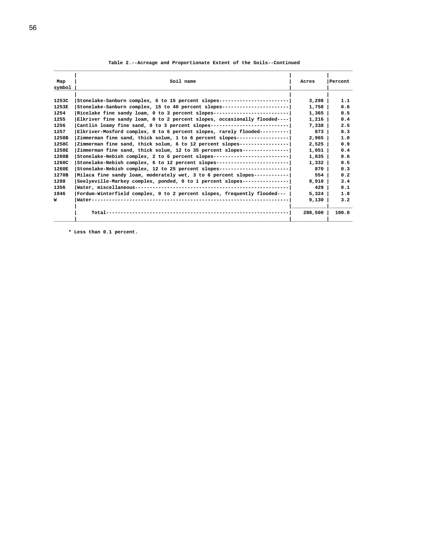|  |  |  |  |  |  |  | Table 2.--Acreage and Proportionate Extent of the Soils--Continued |
|--|--|--|--|--|--|--|--------------------------------------------------------------------|
|--|--|--|--|--|--|--|--------------------------------------------------------------------|

| Map    | Soil name                                                                  | Acres   | Percent |
|--------|----------------------------------------------------------------------------|---------|---------|
| symbol |                                                                            |         |         |
| 1253C  | Stonelake-Sanburn complex, 6 to 15 percent slopes------------------------  | 3,298   | 1.1     |
| 1253E  | Stonelake-Sanburn complex, 15 to 40 percent slopes----------------------   | 1,758   | 0.6     |
| 1254   | Ricelake fine sandy loam, $0$ to 3 percent slopes------------------------- | $1,365$ | 0.5     |
| 1255   | Elkriver fine sandy loam, 0 to 2 percent slopes, occasionally flooded----  | 1,216   | 0.4     |
| 1256   | Cantlin loamy fine sand, 0 to 3 percent slopes---------------------------  | $7,338$ | 2.5     |
| 1257   | Elkriver-Mosford complex, 0 to 6 percent slopes, rarely flooded----------  | 873     | 0.3     |
| 1258B  | Zimmerman fine sand, thick solum, 1 to 6 percent slopes-----------------   | 2,965   | 1.0     |
| 1258C  | Zimmerman fine sand, thick solum, 6 to 12 percent slopes----------------   | 2,525   | 0.9     |
| 1258E  | Zimmerman fine sand, thick solum, 12 to 35 percent slopes---------------   | $1,051$ | 0.4     |
| 1260B  | Stonelake-Nebish complex, 2 to 6 percent slopes--------------------------  | 1,835   | 0.6     |
| 1260C  | Stonelake-Nebish complex, 6 to 12 percent slopes------------------------   | $1,332$ | 0.5     |
| 1260E  | Stonelake-Nebish complex, 12 to 25 percent slopes-----------------------   | 870     | 0.3     |
| 1270B  | Milaca fine sandy loam, moderately wet, 3 to 6 percent slopes-----------   | 554 l   | 0.2     |
| 1288   | Seelyeville-Markey complex, ponded, 0 to 1 percent slopes---------------   | 9,910   | 3.4     |
| 1356   |                                                                            | 429     | 0.1     |
| 1946   | Fordum-Winterfield complex, 0 to 2 percent slopes, frequently flooded---   | 5,324   | 1.8     |
| W      |                                                                            | 9,130   | 3.2     |
|        |                                                                            | 288,500 | 100.0   |

 **\* Less than 0.1 percent.**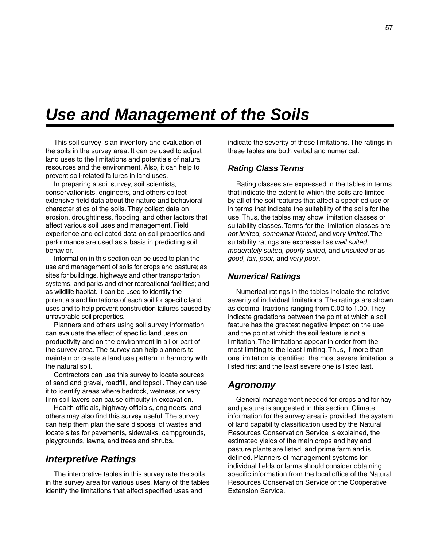# *Use and Management of the Soils*

This soil survey is an inventory and evaluation of the soils in the survey area. It can be used to adjust land uses to the limitations and potentials of natural resources and the environment. Also, it can help to prevent soil-related failures in land uses.

In preparing a soil survey, soil scientists, conservationists, engineers, and others collect extensive field data about the nature and behavioral characteristics of the soils. They collect data on erosion, droughtiness, flooding, and other factors that affect various soil uses and management. Field experience and collected data on soil properties and performance are used as a basis in predicting soil behavior.

Information in this section can be used to plan the use and management of soils for crops and pasture; as sites for buildings, highways and other transportation systems, and parks and other recreational facilities; and as wildlife habitat. It can be used to identify the potentials and limitations of each soil for specific land uses and to help prevent construction failures caused by unfavorable soil properties.

Planners and others using soil survey information can evaluate the effect of specific land uses on productivity and on the environment in all or part of the survey area. The survey can help planners to maintain or create a land use pattern in harmony with the natural soil.

Contractors can use this survey to locate sources of sand and gravel, roadfill, and topsoil. They can use it to identify areas where bedrock, wetness, or very firm soil layers can cause difficulty in excavation.

Health officials, highway officials, engineers, and others may also find this survey useful. The survey can help them plan the safe disposal of wastes and locate sites for pavements, sidewalks, campgrounds, playgrounds, lawns, and trees and shrubs.

### *Interpretive Ratings*

The interpretive tables in this survey rate the soils in the survey area for various uses. Many of the tables identify the limitations that affect specified uses and

indicate the severity of those limitations. The ratings in these tables are both verbal and numerical.

### *Rating Class Terms*

Rating classes are expressed in the tables in terms that indicate the extent to which the soils are limited by all of the soil features that affect a specified use or in terms that indicate the suitability of the soils for the use. Thus, the tables may show limitation classes or suitability classes. Terms for the limitation classes are *not limited, somewhat limited,* and *very limited*. The suitability ratings are expressed as *well suited, moderately suited, poorly suited,* and *unsuited* or as *good, fair, poor,* and *very poor*.

### *Numerical Ratings*

Numerical ratings in the tables indicate the relative severity of individual limitations. The ratings are shown as decimal fractions ranging from 0.00 to 1.00. They indicate gradations between the point at which a soil feature has the greatest negative impact on the use and the point at which the soil feature is not a limitation. The limitations appear in order from the most limiting to the least limiting. Thus, if more than one limitation is identified, the most severe limitation is listed first and the least severe one is listed last.

### *Agronomy*

General management needed for crops and for hay and pasture is suggested in this section. Climate information for the survey area is provided, the system of land capability classification used by the Natural Resources Conservation Service is explained, the estimated yields of the main crops and hay and pasture plants are listed, and prime farmland is defined. Planners of management systems for individual fields or farms should consider obtaining specific information from the local office of the Natural Resources Conservation Service or the Cooperative Extension Service.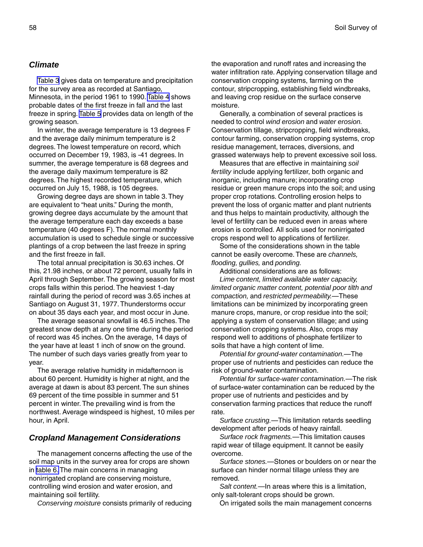### *Climate*

[Table 3](#page-69-0) gives data on temperature and precipitation for the survey area as recorded at Santiago, Minnesota, in the period 1961 to 1990. [Table 4](#page-70-0) shows probable dates of the first freeze in fall and the last freeze in spring. [Table 5](#page-70-0) provides data on length of the growing season.

In winter, the average temperature is 13 degrees F and the average daily minimum temperature is 2 degrees. The lowest temperature on record, which occurred on December 19, 1983, is -41 degrees. In summer, the average temperature is 68 degrees and the average daily maximum temperature is 82 degrees. The highest recorded temperature, which occurred on July 15, 1988, is 105 degrees.

Growing degree days are shown in table 3. They are equivalent to "heat units." During the month, growing degree days accumulate by the amount that the average temperature each day exceeds a base temperature (40 degrees F). The normal monthly accumulation is used to schedule single or successive plantings of a crop between the last freeze in spring and the first freeze in fall.

The total annual precipitation is 30.63 inches. Of this, 21.98 inches, or about 72 percent, usually falls in April through September. The growing season for most crops falls within this period. The heaviest 1-day rainfall during the period of record was 3.65 inches at Santiago on August 31, 1977. Thunderstorms occur on about 35 days each year, and most occur in June.

The average seasonal snowfall is 46.5 inches. The greatest snow depth at any one time during the period of record was 45 inches. On the average, 14 days of the year have at least 1 inch of snow on the ground. The number of such days varies greatly from year to year.

The average relative humidity in midafternoon is about 60 percent. Humidity is higher at night, and the average at dawn is about 83 percent. The sun shines 69 percent of the time possible in summer and 51 percent in winter. The prevailing wind is from the northwest. Average windspeed is highest, 10 miles per hour, in April.

### *Cropland Management Considerations*

The management concerns affecting the use of the soil map units in the survey area for crops are shown in [table 6.](#page-71-0) The main concerns in managing nonirrigated cropland are conserving moisture, controlling wind erosion and water erosion, and maintaining soil fertility.

*Conserving moisture* consists primarily of reducing

the evaporation and runoff rates and increasing the water infiltration rate. Applying conservation tillage and conservation cropping systems, farming on the contour, stripcropping, establishing field windbreaks, and leaving crop residue on the surface conserve moisture.

Generally, a combination of several practices is needed to control *wind erosion* and *water erosion.* Conservation tillage, stripcropping, field windbreaks, contour farming, conservation cropping systems, crop residue management, terraces, diversions, and grassed waterways help to prevent excessive soil loss.

Measures that are effective in maintaining *soil fertility* include applying fertilizer, both organic and inorganic, including manure; incorporating crop residue or green manure crops into the soil; and using proper crop rotations. Controlling erosion helps to prevent the loss of organic matter and plant nutrients and thus helps to maintain productivity, although the level of fertility can be reduced even in areas where erosion is controlled. All soils used for nonirrigated crops respond well to applications of fertilizer.

Some of the considerations shown in the table cannot be easily overcome. These are *channels, flooding, gullies,* and *ponding.*

Additional considerations are as follows:

*Lime content, limited available water capacity, limited organic matter content, potential poor tilth and compaction,* and *restricted permeability.*—These limitations can be minimized by incorporating green manure crops, manure, or crop residue into the soil; applying a system of conservation tillage; and using conservation cropping systems. Also, crops may respond well to additions of phosphate fertilizer to soils that have a high content of lime.

*Potential for ground-water contamination.*—The proper use of nutrients and pesticides can reduce the risk of ground-water contamination.

*Potential for surface-water contamination.*—The risk of surface-water contamination can be reduced by the proper use of nutrients and pesticides and by conservation farming practices that reduce the runoff rate.

*Surface crusting.*—This limitation retards seedling development after periods of heavy rainfall.

*Surface rock fragments.*—This limitation causes rapid wear of tillage equipment. It cannot be easily overcome.

*Surface stones.*—Stones or boulders on or near the surface can hinder normal tillage unless they are removed.

*Salt content.*—In areas where this is a limitation, only salt-tolerant crops should be grown.

On irrigated soils the main management concerns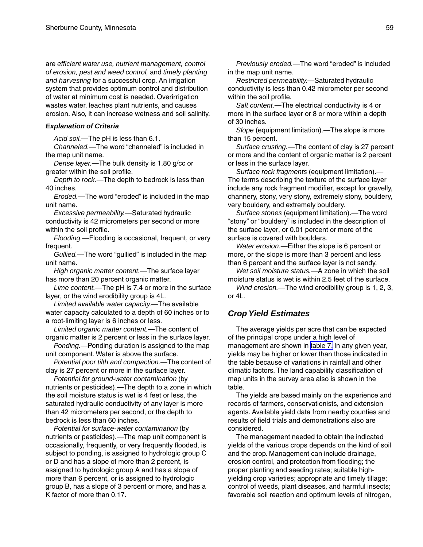are *efficient water use, nutrient management, control of erosion, pest and weed control,* and *timely planting and harvesting* for a successful crop. An irrigation system that provides optimum control and distribution of water at minimum cost is needed. Overirrigation wastes water, leaches plant nutrients, and causes erosion. Also, it can increase wetness and soil salinity.

#### *Explanation of Criteria*

*Acid soil.*—The pH is less than 6.1.

*Channeled.*—The word "channeled" is included in the map unit name.

*Dense layer.*—The bulk density is 1.80 g/cc or greater within the soil profile.

*Depth to rock.*—The depth to bedrock is less than 40 inches.

*Eroded.*—The word "eroded" is included in the map unit name.

*Excessive permeability.*—Saturated hydraulic conductivity is 42 micrometers per second or more within the soil profile.

*Flooding.*—Flooding is occasional, frequent, or very frequent.

*Gullied.*—The word "gullied" is included in the map unit name.

*High organic matter content.*—The surface layer has more than 20 percent organic matter.

*Lime content.*—The pH is 7.4 or more in the surface layer, or the wind erodibility group is 4L.

*Limited available water capacity.*—The available water capacity calculated to a depth of 60 inches or to a root-limiting layer is 6 inches or less.

*Limited organic matter content.*—The content of organic matter is 2 percent or less in the surface layer.

*Ponding.*—Ponding duration is assigned to the map unit component. Water is above the surface.

*Potential poor tilth and compaction.*—The content of clay is 27 percent or more in the surface layer.

*Potential for ground-water contamination* (by nutrients or pesticides).—The depth to a zone in which the soil moisture status is wet is 4 feet or less, the saturated hydraulic conductivity of any layer is more than 42 micrometers per second, or the depth to bedrock is less than 60 inches.

*Potential for surface-water contamination* (by nutrients or pesticides).—The map unit component is occasionally, frequently, or very frequently flooded, is subject to ponding, is assigned to hydrologic group C or D and has a slope of more than 2 percent, is assigned to hydrologic group A and has a slope of more than 6 percent, or is assigned to hydrologic group B, has a slope of 3 percent or more, and has a K factor of more than 0.17.

*Previously eroded.*—The word "eroded" is included in the map unit name.

*Restricted permeability.*—Saturated hydraulic conductivity is less than 0.42 micrometer per second within the soil profile.

*Salt content.*—The electrical conductivity is 4 or more in the surface layer or 8 or more within a depth of 30 inches.

*Slope* (equipment limitation).—The slope is more than 15 percent.

*Surface crusting.*—The content of clay is 27 percent or more and the content of organic matter is 2 percent or less in the surface layer.

*Surface rock fragments* (equipment limitation).— The terms describing the texture of the surface layer include any rock fragment modifier, except for gravelly, channery, stony, very stony, extremely stony, bouldery, very bouldery, and extremely bouldery.

*Surface stones* (equipment limitation).—The word "stony" or "bouldery" is included in the description of the surface layer, or 0.01 percent or more of the surface is covered with boulders.

*Water erosion.*—Either the slope is 6 percent or more, or the slope is more than 3 percent and less than 6 percent and the surface layer is not sandy.

*Wet soil moisture status.*—A zone in which the soil moisture status is wet is within 2.5 feet of the surface.

*Wind erosion.*—The wind erodibility group is 1, 2, 3, or 4L.

#### *Crop Yield Estimates*

The average yields per acre that can be expected of the principal crops under a high level of management are shown in [table 7.](#page-81-0) In any given year, yields may be higher or lower than those indicated in the table because of variations in rainfall and other climatic factors. The land capability classification of map units in the survey area also is shown in the table.

The yields are based mainly on the experience and records of farmers, conservationists, and extension agents. Available yield data from nearby counties and results of field trials and demonstrations also are considered.

The management needed to obtain the indicated yields of the various crops depends on the kind of soil and the crop. Management can include drainage, erosion control, and protection from flooding; the proper planting and seeding rates; suitable highyielding crop varieties; appropriate and timely tillage; control of weeds, plant diseases, and harmful insects; favorable soil reaction and optimum levels of nitrogen,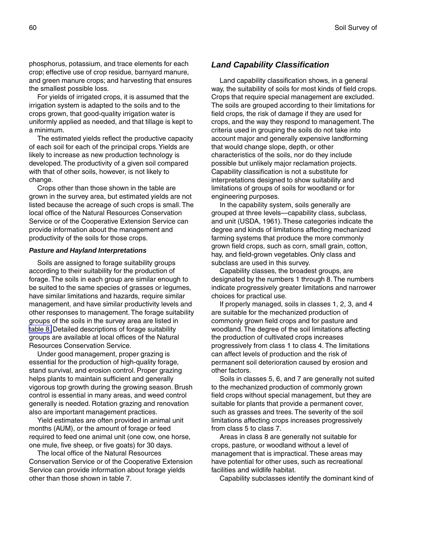phosphorus, potassium, and trace elements for each crop; effective use of crop residue, barnyard manure, and green manure crops; and harvesting that ensures the smallest possible loss.

For yields of irrigated crops, it is assumed that the irrigation system is adapted to the soils and to the crops grown, that good-quality irrigation water is uniformly applied as needed, and that tillage is kept to a minimum.

The estimated yields reflect the productive capacity of each soil for each of the principal crops. Yields are likely to increase as new production technology is developed. The productivity of a given soil compared with that of other soils, however, is not likely to change.

Crops other than those shown in the table are grown in the survey area, but estimated yields are not listed because the acreage of such crops is small. The local office of the Natural Resources Conservation Service or of the Cooperative Extension Service can provide information about the management and productivity of the soils for those crops.

#### *Pasture and Hayland Interpretations*

Soils are assigned to forage suitability groups according to their suitability for the production of forage. The soils in each group are similar enough to be suited to the same species of grasses or legumes, have similar limitations and hazards, require similar management, and have similar productivity levels and other responses to management. The forage suitability groups of the soils in the survey area are listed in [table 8.](#page-88-0) Detailed descriptions of forage suitability groups are available at local offices of the Natural Resources Conservation Service.

Under good management, proper grazing is essential for the production of high-quality forage, stand survival, and erosion control. Proper grazing helps plants to maintain sufficient and generally vigorous top growth during the growing season. Brush control is essential in many areas, and weed control generally is needed. Rotation grazing and renovation also are important management practices.

Yield estimates are often provided in animal unit months (AUM), or the amount of forage or feed required to feed one animal unit (one cow, one horse, one mule, five sheep, or five goats) for 30 days.

The local office of the Natural Resources Conservation Service or of the Cooperative Extension Service can provide information about forage yields other than those shown in table 7.

### *Land Capability Classification*

Land capability classification shows, in a general way, the suitability of soils for most kinds of field crops. Crops that require special management are excluded. The soils are grouped according to their limitations for field crops, the risk of damage if they are used for crops, and the way they respond to management. The criteria used in grouping the soils do not take into account major and generally expensive landforming that would change slope, depth, or other characteristics of the soils, nor do they include possible but unlikely major reclamation projects. Capability classification is not a substitute for interpretations designed to show suitability and limitations of groups of soils for woodland or for engineering purposes.

In the capability system, soils generally are grouped at three levels—capability class, subclass, and unit (USDA, 1961). These categories indicate the degree and kinds of limitations affecting mechanized farming systems that produce the more commonly grown field crops, such as corn, small grain, cotton, hay, and field-grown vegetables. Only class and subclass are used in this survey.

Capability classes, the broadest groups, are designated by the numbers 1 through 8. The numbers indicate progressively greater limitations and narrower choices for practical use.

If properly managed, soils in classes 1, 2, 3, and 4 are suitable for the mechanized production of commonly grown field crops and for pasture and woodland. The degree of the soil limitations affecting the production of cultivated crops increases progressively from class 1 to class 4. The limitations can affect levels of production and the risk of permanent soil deterioration caused by erosion and other factors.

Soils in classes 5, 6, and 7 are generally not suited to the mechanized production of commonly grown field crops without special management, but they are suitable for plants that provide a permanent cover, such as grasses and trees. The severity of the soil limitations affecting crops increases progressively from class 5 to class 7.

Areas in class 8 are generally not suitable for crops, pasture, or woodland without a level of management that is impractical. These areas may have potential for other uses, such as recreational facilities and wildlife habitat.

Capability subclasses identify the dominant kind of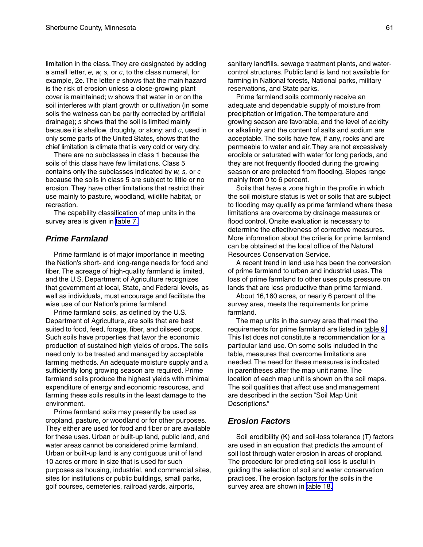limitation in the class. They are designated by adding a small letter, *e, w, s,* or *c*, to the class numeral, for example, 2e. The letter *e* shows that the main hazard is the risk of erosion unless a close-growing plant cover is maintained; *w* shows that water in or on the soil interferes with plant growth or cultivation (in some soils the wetness can be partly corrected by artificial drainage); *s* shows that the soil is limited mainly because it is shallow, droughty, or stony; and *c*, used in only some parts of the United States, shows that the chief limitation is climate that is very cold or very dry.

There are no subclasses in class 1 because the soils of this class have few limitations. Class 5 contains only the subclasses indicated by *w, s,* or *c* because the soils in class 5 are subject to little or no erosion. They have other limitations that restrict their use mainly to pasture, woodland, wildlife habitat, or recreation.

The capability classification of map units in the survey area is given in [table 7.](#page-81-0)

### *Prime Farmland*

Prime farmland is of major importance in meeting the Nation's short- and long-range needs for food and fiber. The acreage of high-quality farmland is limited, and the U.S. Department of Agriculture recognizes that government at local, State, and Federal levels, as well as individuals, must encourage and facilitate the wise use of our Nation's prime farmland.

Prime farmland soils, as defined by the U.S. Department of Agriculture, are soils that are best suited to food, feed, forage, fiber, and oilseed crops. Such soils have properties that favor the economic production of sustained high yields of crops. The soils need only to be treated and managed by acceptable farming methods. An adequate moisture supply and a sufficiently long growing season are required. Prime farmland soils produce the highest yields with minimal expenditure of energy and economic resources, and farming these soils results in the least damage to the environment.

Prime farmland soils may presently be used as cropland, pasture, or woodland or for other purposes. They either are used for food and fiber or are available for these uses. Urban or built-up land, public land, and water areas cannot be considered prime farmland. Urban or built-up land is any contiguous unit of land 10 acres or more in size that is used for such purposes as housing, industrial, and commercial sites, sites for institutions or public buildings, small parks, golf courses, cemeteries, railroad yards, airports,

sanitary landfills, sewage treatment plants, and watercontrol structures. Public land is land not available for farming in National forests, National parks, military reservations, and State parks.

Prime farmland soils commonly receive an adequate and dependable supply of moisture from precipitation or irrigation. The temperature and growing season are favorable, and the level of acidity or alkalinity and the content of salts and sodium are acceptable. The soils have few, if any, rocks and are permeable to water and air. They are not excessively erodible or saturated with water for long periods, and they are not frequently flooded during the growing season or are protected from flooding. Slopes range mainly from 0 to 6 percent.

Soils that have a zone high in the profile in which the soil moisture status is wet or soils that are subject to flooding may qualify as prime farmland where these limitations are overcome by drainage measures or flood control. Onsite evaluation is necessary to determine the effectiveness of corrective measures. More information about the criteria for prime farmland can be obtained at the local office of the Natural Resources Conservation Service.

A recent trend in land use has been the conversion of prime farmland to urban and industrial uses. The loss of prime farmland to other uses puts pressure on lands that are less productive than prime farmland.

About 16,160 acres, or nearly 6 percent of the survey area, meets the requirements for prime farmland.

The map units in the survey area that meet the requirements for prime farmland are listed in [table 9.](#page-92-0) This list does not constitute a recommendation for a particular land use. On some soils included in the table, measures that overcome limitations are needed. The need for these measures is indicated in parentheses after the map unit name. The location of each map unit is shown on the soil maps. The soil qualities that affect use and management are described in the section "Soil Map Unit Descriptions."

#### *Erosion Factors*

Soil erodibility (K) and soil-loss tolerance (T) factors are used in an equation that predicts the amount of soil lost through water erosion in areas of cropland. The procedure for predicting soil loss is useful in guiding the selection of soil and water conservation practices. The erosion factors for the soils in the survey area are shown in [table 18.](#page-211-0)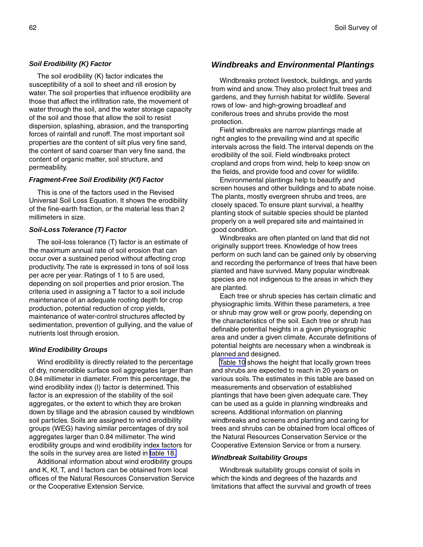#### *Soil Erodibility (K) Factor*

The soil erodibility (K) factor indicates the susceptibility of a soil to sheet and rill erosion by water. The soil properties that influence erodibility are those that affect the infiltration rate, the movement of water through the soil, and the water storage capacity of the soil and those that allow the soil to resist dispersion, splashing, abrasion, and the transporting forces of rainfall and runoff. The most important soil properties are the content of silt plus very fine sand, the content of sand coarser than very fine sand, the content of organic matter, soil structure, and permeability.

#### *Fragment-Free Soil Erodibility (Kf) Factor*

This is one of the factors used in the Revised Universal Soil Loss Equation. It shows the erodibility of the fine-earth fraction, or the material less than 2 millimeters in size.

#### *Soil-Loss Tolerance (T) Factor*

The soil-loss tolerance (T) factor is an estimate of the maximum annual rate of soil erosion that can occur over a sustained period without affecting crop productivity. The rate is expressed in tons of soil loss per acre per year. Ratings of 1 to 5 are used, depending on soil properties and prior erosion. The criteria used in assigning a T factor to a soil include maintenance of an adequate rooting depth for crop production, potential reduction of crop yields, maintenance of water-control structures affected by sedimentation, prevention of gullying, and the value of nutrients lost through erosion.

#### *Wind Erodibility Groups*

Wind erodibility is directly related to the percentage of dry, nonerodible surface soil aggregates larger than 0.84 millimeter in diameter. From this percentage, the wind erodibility index (I) factor is determined. This factor is an expression of the stability of the soil aggregates, or the extent to which they are broken down by tillage and the abrasion caused by windblown soil particles. Soils are assigned to wind erodibility groups (WEG) having similar percentages of dry soil aggregates larger than 0.84 millimeter. The wind erodibility groups and wind erodibility index factors for the soils in the survey area are listed in [table 18.](#page-211-0)

Additional information about wind erodibility groups and K, Kf, T, and I factors can be obtained from local offices of the Natural Resources Conservation Service or the Cooperative Extension Service.

### *Windbreaks and Environmental Plantings*

Windbreaks protect livestock, buildings, and yards from wind and snow. They also protect fruit trees and gardens, and they furnish habitat for wildlife. Several rows of low- and high-growing broadleaf and coniferous trees and shrubs provide the most protection.

Field windbreaks are narrow plantings made at right angles to the prevailing wind and at specific intervals across the field. The interval depends on the erodibility of the soil. Field windbreaks protect cropland and crops from wind, help to keep snow on the fields, and provide food and cover for wildlife.

Environmental plantings help to beautify and screen houses and other buildings and to abate noise. The plants, mostly evergreen shrubs and trees, are closely spaced. To ensure plant survival, a healthy planting stock of suitable species should be planted properly on a well prepared site and maintained in good condition.

Windbreaks are often planted on land that did not originally support trees. Knowledge of how trees perform on such land can be gained only by observing and recording the performance of trees that have been planted and have survived. Many popular windbreak species are not indigenous to the areas in which they are planted.

Each tree or shrub species has certain climatic and physiographic limits. Within these parameters, a tree or shrub may grow well or grow poorly, depending on the characteristics of the soil. Each tree or shrub has definable potential heights in a given physiographic area and under a given climate. Accurate definitions of potential heights are necessary when a windbreak is planned and designed.

[Table 10](#page-93-0) shows the height that locally grown trees and shrubs are expected to reach in 20 years on various soils. The estimates in this table are based on measurements and observation of established plantings that have been given adequate care. They can be used as a guide in planning windbreaks and screens. Additional information on planning windbreaks and screens and planting and caring for trees and shrubs can be obtained from local offices of the Natural Resources Conservation Service or the Cooperative Extension Service or from a nursery.

#### *Windbreak Suitability Groups*

Windbreak suitability groups consist of soils in which the kinds and degrees of the hazards and limitations that affect the survival and growth of trees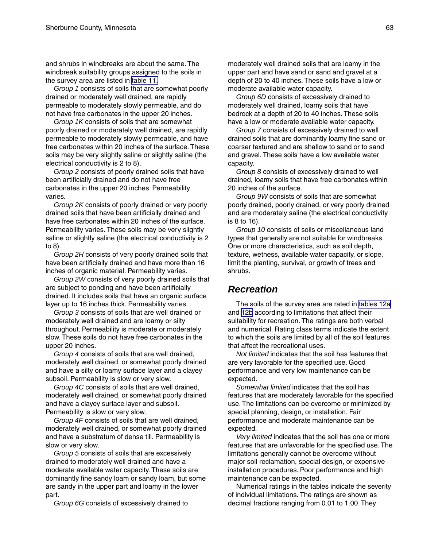and shrubs in windbreaks are about the same. The windbreak suitability groups assigned to the soils in the survey area are listed in [table 11.](#page-108-0)

*Group 1* consists of soils that are somewhat poorly drained or moderately well drained, are rapidly permeable to moderately slowly permeable, and do not have free carbonates in the upper 20 inches.

*Group 1K* consists of soils that are somewhat poorly drained or moderately well drained, are rapidly permeable to moderately slowly permeable, and have free carbonates within 20 inches of the surface. These soils may be very slightly saline or slightly saline (the electrical conductivity is 2 to 8).

*Group 2* consists of poorly drained soils that have been artificially drained and do not have free carbonates in the upper 20 inches. Permeability varies.

*Group 2K* consists of poorly drained or very poorly drained soils that have been artificially drained and have free carbonates within 20 inches of the surface. Permeability varies. These soils may be very slightly saline or slightly saline (the electrical conductivity is 2 to 8).

*Group 2H* consists of very poorly drained soils that have been artificially drained and have more than 16 inches of organic material. Permeability varies.

*Group 2W* consists of very poorly drained soils that are subject to ponding and have been artificially drained. It includes soils that have an organic surface layer up to 16 inches thick. Permeability varies.

*Group 3* consists of soils that are well drained or moderately well drained and are loamy or silty throughout. Permeability is moderate or moderately slow. These soils do not have free carbonates in the upper 20 inches.

*Group 4* consists of soils that are well drained, moderately well drained, or somewhat poorly drained and have a silty or loamy surface layer and a clayey subsoil. Permeability is slow or very slow.

*Group 4C* consists of soils that are well drained, moderately well drained, or somewhat poorly drained and have a clayey surface layer and subsoil. Permeability is slow or very slow.

*Group 4F* consists of soils that are well drained, moderately well drained, or somewhat poorly drained and have a substratum of dense till. Permeability is slow or very slow.

*Group 5* consists of soils that are excessively drained to moderately well drained and have a moderate available water capacity. These soils are dominantly fine sandy loam or sandy loam, but some are sandy in the upper part and loamy in the lower part.

*Group 6G* consists of excessively drained to

moderately well drained soils that are loamy in the upper part and have sand or sand and gravel at a depth of 20 to 40 inches. These soils have a low or moderate available water capacity.

*Group 6D* consists of excessively drained to moderately well drained, loamy soils that have bedrock at a depth of 20 to 40 inches. These soils have a low or moderate available water capacity.

*Group 7* consists of excessively drained to well drained soils that are dominantly loamy fine sand or coarser textured and are shallow to sand or to sand and gravel. These soils have a low available water capacity.

*Group 8* consists of excessively drained to well drained, loamy soils that have free carbonates within 20 inches of the surface.

*Group 9W* consists of soils that are somewhat poorly drained, poorly drained, or very poorly drained and are moderately saline (the electrical conductivity is 8 to 16).

*Group 10* consists of soils or miscellaneous land types that generally are not suitable for windbreaks. One or more characteristics, such as soil depth, texture, wetness, available water capacity, or slope, limit the planting, survival, or growth of trees and shrubs.

### *Recreation*

The soils of the survey area are rated in [tables 12a](#page-113-0) and [12b](#page-122-0) according to limitations that affect their suitability for recreation. The ratings are both verbal and numerical. Rating class terms indicate the extent to which the soils are limited by all of the soil features that affect the recreational uses.

*Not limited* indicates that the soil has features that are very favorable for the specified use. Good performance and very low maintenance can be expected.

*Somewhat limited* indicates that the soil has features that are moderately favorable for the specified use. The limitations can be overcome or minimized by special planning, design, or installation. Fair performance and moderate maintenance can be expected.

*Very limited* indicates that the soil has one or more features that are unfavorable for the specified use. The limitations generally cannot be overcome without major soil reclamation, special design, or expensive installation procedures. Poor performance and high maintenance can be expected.

Numerical ratings in the tables indicate the severity of individual limitations. The ratings are shown as decimal fractions ranging from 0.01 to 1.00. They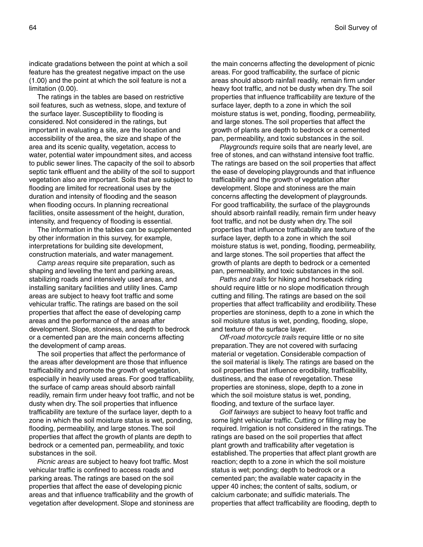indicate gradations between the point at which a soil feature has the greatest negative impact on the use (1.00) and the point at which the soil feature is not a limitation (0.00).

The ratings in the tables are based on restrictive soil features, such as wetness, slope, and texture of the surface layer. Susceptibility to flooding is considered. Not considered in the ratings, but important in evaluating a site, are the location and accessibility of the area, the size and shape of the area and its scenic quality, vegetation, access to water, potential water impoundment sites, and access to public sewer lines. The capacity of the soil to absorb septic tank effluent and the ability of the soil to support vegetation also are important. Soils that are subject to flooding are limited for recreational uses by the duration and intensity of flooding and the season when flooding occurs. In planning recreational facilities, onsite assessment of the height, duration, intensity, and frequency of flooding is essential.

The information in the tables can be supplemented by other information in this survey, for example, interpretations for building site development, construction materials, and water management.

*Camp areas* require site preparation, such as shaping and leveling the tent and parking areas, stabilizing roads and intensively used areas, and installing sanitary facilities and utility lines. Camp areas are subject to heavy foot traffic and some vehicular traffic. The ratings are based on the soil properties that affect the ease of developing camp areas and the performance of the areas after development. Slope, stoniness, and depth to bedrock or a cemented pan are the main concerns affecting the development of camp areas.

The soil properties that affect the performance of the areas after development are those that influence trafficability and promote the growth of vegetation, especially in heavily used areas. For good trafficability, the surface of camp areas should absorb rainfall readily, remain firm under heavy foot traffic, and not be dusty when dry. The soil properties that influence trafficability are texture of the surface layer, depth to a zone in which the soil moisture status is wet, ponding, flooding, permeability, and large stones. The soil properties that affect the growth of plants are depth to bedrock or a cemented pan, permeability, and toxic substances in the soil.

*Picnic areas* are subject to heavy foot traffic. Most vehicular traffic is confined to access roads and parking areas. The ratings are based on the soil properties that affect the ease of developing picnic areas and that influence trafficability and the growth of vegetation after development. Slope and stoniness are the main concerns affecting the development of picnic areas. For good trafficability, the surface of picnic areas should absorb rainfall readily, remain firm under heavy foot traffic, and not be dusty when dry. The soil properties that influence trafficability are texture of the surface layer, depth to a zone in which the soil moisture status is wet, ponding, flooding, permeability, and large stones. The soil properties that affect the growth of plants are depth to bedrock or a cemented pan, permeability, and toxic substances in the soil.

*Playgrounds* require soils that are nearly level, are free of stones, and can withstand intensive foot traffic. The ratings are based on the soil properties that affect the ease of developing playgrounds and that influence trafficability and the growth of vegetation after development. Slope and stoniness are the main concerns affecting the development of playgrounds. For good trafficability, the surface of the playgrounds should absorb rainfall readily, remain firm under heavy foot traffic, and not be dusty when dry. The soil properties that influence trafficability are texture of the surface layer, depth to a zone in which the soil moisture status is wet, ponding, flooding, permeability, and large stones. The soil properties that affect the growth of plants are depth to bedrock or a cemented pan, permeability, and toxic substances in the soil.

*Paths and trails* for hiking and horseback riding should require little or no slope modification through cutting and filling. The ratings are based on the soil properties that affect trafficability and erodibility. These properties are stoniness, depth to a zone in which the soil moisture status is wet, ponding, flooding, slope, and texture of the surface layer.

*Off-road motorcycle trails* require little or no site preparation. They are not covered with surfacing material or vegetation. Considerable compaction of the soil material is likely. The ratings are based on the soil properties that influence erodibility, trafficability, dustiness, and the ease of revegetation. These properties are stoniness, slope, depth to a zone in which the soil moisture status is wet, ponding, flooding, and texture of the surface layer.

*Golf fairways* are subject to heavy foot traffic and some light vehicular traffic. Cutting or filling may be required. Irrigation is not considered in the ratings. The ratings are based on the soil properties that affect plant growth and trafficability after vegetation is established. The properties that affect plant growth are reaction; depth to a zone in which the soil moisture status is wet; ponding; depth to bedrock or a cemented pan; the available water capacity in the upper 40 inches; the content of salts, sodium, or calcium carbonate; and sulfidic materials. The properties that affect trafficability are flooding, depth to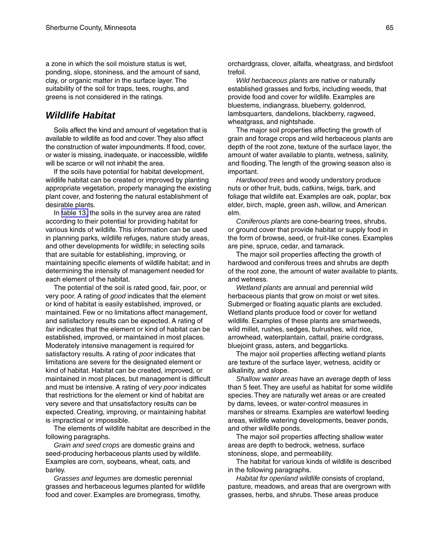a zone in which the soil moisture status is wet, ponding, slope, stoniness, and the amount of sand, clay, or organic matter in the surface layer. The suitability of the soil for traps, tees, roughs, and greens is not considered in the ratings.

### *Wildlife Habitat*

Soils affect the kind and amount of vegetation that is available to wildlife as food and cover. They also affect the construction of water impoundments. If food, cover, or water is missing, inadequate, or inaccessible, wildlife will be scarce or will not inhabit the area.

If the soils have potential for habitat development, wildlife habitat can be created or improved by planting appropriate vegetation, properly managing the existing plant cover, and fostering the natural establishment of desirable plants.

In [table 13,](#page-130-0) the soils in the survey area are rated according to their potential for providing habitat for various kinds of wildlife. This information can be used in planning parks, wildlife refuges, nature study areas, and other developments for wildlife; in selecting soils that are suitable for establishing, improving, or maintaining specific elements of wildlife habitat; and in determining the intensity of management needed for each element of the habitat.

The potential of the soil is rated good, fair, poor, or very poor. A rating of *good* indicates that the element or kind of habitat is easily established, improved, or maintained. Few or no limitations affect management, and satisfactory results can be expected. A rating of *fair* indicates that the element or kind of habitat can be established, improved, or maintained in most places. Moderately intensive management is required for satisfactory results. A rating of *poor* indicates that limitations are severe for the designated element or kind of habitat. Habitat can be created, improved, or maintained in most places, but management is difficult and must be intensive. A rating of *very poor* indicates that restrictions for the element or kind of habitat are very severe and that unsatisfactory results can be expected. Creating, improving, or maintaining habitat is impractical or impossible.

The elements of wildlife habitat are described in the following paragraphs.

*Grain and seed crops* are domestic grains and seed-producing herbaceous plants used by wildlife. Examples are corn, soybeans, wheat, oats, and barley.

*Grasses and legumes* are domestic perennial grasses and herbaceous legumes planted for wildlife food and cover. Examples are bromegrass, timothy,

orchardgrass, clover, alfalfa, wheatgrass, and birdsfoot trefoil.

*Wild herbaceous plants* are native or naturally established grasses and forbs, including weeds, that provide food and cover for wildlife. Examples are bluestems, indiangrass, blueberry, goldenrod, lambsquarters, dandelions, blackberry, ragweed, wheatgrass, and nightshade.

The major soil properties affecting the growth of grain and forage crops and wild herbaceous plants are depth of the root zone, texture of the surface layer, the amount of water available to plants, wetness, salinity, and flooding. The length of the growing season also is important.

*Hardwood trees* and woody understory produce nuts or other fruit, buds, catkins, twigs, bark, and foliage that wildlife eat. Examples are oak, poplar, box elder, birch, maple, green ash, willow, and American elm.

*Coniferous plants* are cone-bearing trees, shrubs, or ground cover that provide habitat or supply food in the form of browse, seed, or fruit-like cones. Examples are pine, spruce, cedar, and tamarack.

The major soil properties affecting the growth of hardwood and coniferous trees and shrubs are depth of the root zone, the amount of water available to plants, and wetness.

*Wetland plants* are annual and perennial wild herbaceous plants that grow on moist or wet sites. Submerged or floating aquatic plants are excluded. Wetland plants produce food or cover for wetland wildlife. Examples of these plants are smartweeds, wild millet, rushes, sedges, bulrushes, wild rice, arrowhead, waterplantain, cattail, prairie cordgrass, bluejoint grass, asters, and beggarticks.

The major soil properties affecting wetland plants are texture of the surface layer, wetness, acidity or alkalinity, and slope.

*Shallow water areas* have an average depth of less than 5 feet. They are useful as habitat for some wildlife species. They are naturally wet areas or are created by dams, levees, or water-control measures in marshes or streams. Examples are waterfowl feeding areas, wildlife watering developments, beaver ponds, and other wildlife ponds.

The major soil properties affecting shallow water areas are depth to bedrock, wetness, surface stoniness, slope, and permeability.

The habitat for various kinds of wildlife is described in the following paragraphs.

*Habitat for openland wildlife* consists of cropland, pasture, meadows, and areas that are overgrown with grasses, herbs, and shrubs. These areas produce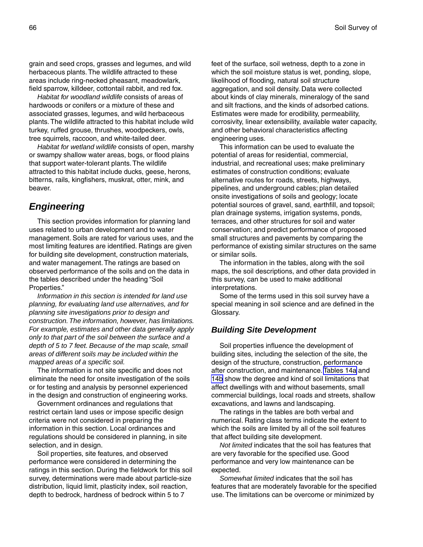grain and seed crops, grasses and legumes, and wild herbaceous plants. The wildlife attracted to these areas include ring-necked pheasant, meadowlark, field sparrow, killdeer, cottontail rabbit, and red fox.

*Habitat for woodland wildlife* consists of areas of hardwoods or conifers or a mixture of these and associated grasses, legumes, and wild herbaceous plants. The wildlife attracted to this habitat include wild turkey, ruffed grouse, thrushes, woodpeckers, owls, tree squirrels, raccoon, and white-tailed deer.

*Habitat for wetland wildlife* consists of open, marshy or swampy shallow water areas, bogs, or flood plains that support water-tolerant plants. The wildlife attracted to this habitat include ducks, geese, herons, bitterns, rails, kingfishers, muskrat, otter, mink, and beaver.

### *Engineering*

This section provides information for planning land uses related to urban development and to water management. Soils are rated for various uses, and the most limiting features are identified. Ratings are given for building site development, construction materials, and water management. The ratings are based on observed performance of the soils and on the data in the tables described under the heading "Soil Properties."

*Information in this section is intended for land use planning, for evaluating land use alternatives, and for planning site investigations prior to design and construction. The information, however, has limitations. For example, estimates and other data generally apply only to that part of the soil between the surface and a depth of 5 to 7 feet. Because of the map scale, small areas of different soils may be included within the mapped areas of a specific soil.*

The information is not site specific and does not eliminate the need for onsite investigation of the soils or for testing and analysis by personnel experienced in the design and construction of engineering works.

Government ordinances and regulations that restrict certain land uses or impose specific design criteria were not considered in preparing the information in this section. Local ordinances and regulations should be considered in planning, in site selection, and in design.

Soil properties, site features, and observed performance were considered in determining the ratings in this section. During the fieldwork for this soil survey, determinations were made about particle-size distribution, liquid limit, plasticity index, soil reaction, depth to bedrock, hardness of bedrock within 5 to 7

feet of the surface, soil wetness, depth to a zone in which the soil moisture status is wet, ponding, slope, likelihood of flooding, natural soil structure aggregation, and soil density. Data were collected about kinds of clay minerals, mineralogy of the sand and silt fractions, and the kinds of adsorbed cations. Estimates were made for erodibility, permeability, corrosivity, linear extensibility, available water capacity, and other behavioral characteristics affecting engineering uses.

This information can be used to evaluate the potential of areas for residential, commercial, industrial, and recreational uses; make preliminary estimates of construction conditions; evaluate alternative routes for roads, streets, highways, pipelines, and underground cables; plan detailed onsite investigations of soils and geology; locate potential sources of gravel, sand, earthfill, and topsoil; plan drainage systems, irrigation systems, ponds, terraces, and other structures for soil and water conservation; and predict performance of proposed small structures and pavements by comparing the performance of existing similar structures on the same or similar soils.

The information in the tables, along with the soil maps, the soil descriptions, and other data provided in this survey, can be used to make additional interpretations.

Some of the terms used in this soil survey have a special meaning in soil science and are defined in the Glossary.

### *Building Site Development*

Soil properties influence the development of building sites, including the selection of the site, the design of the structure, construction, performance after construction, and maintenance. [Tables 14a](#page-136-0) and [14b](#page-144-0) show the degree and kind of soil limitations that affect dwellings with and without basements, small commercial buildings, local roads and streets, shallow excavations, and lawns and landscaping.

The ratings in the tables are both verbal and numerical. Rating class terms indicate the extent to which the soils are limited by all of the soil features that affect building site development.

*Not limited* indicates that the soil has features that are very favorable for the specified use. Good performance and very low maintenance can be expected.

*Somewhat limited* indicates that the soil has features that are moderately favorable for the specified use. The limitations can be overcome or minimized by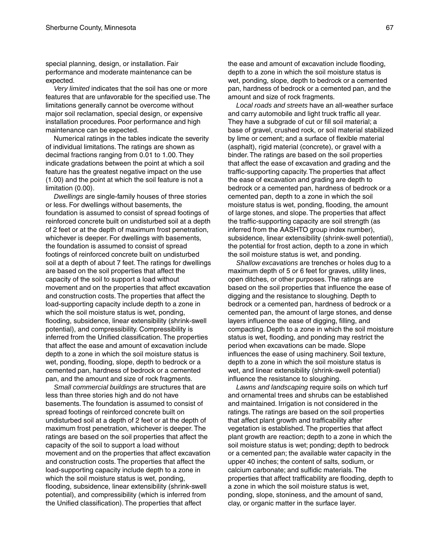special planning, design, or installation. Fair performance and moderate maintenance can be expected.

*Very limited* indicates that the soil has one or more features that are unfavorable for the specified use. The limitations generally cannot be overcome without major soil reclamation, special design, or expensive installation procedures. Poor performance and high maintenance can be expected.

Numerical ratings in the tables indicate the severity of individual limitations. The ratings are shown as decimal fractions ranging from 0.01 to 1.00. They indicate gradations between the point at which a soil feature has the greatest negative impact on the use (1.00) and the point at which the soil feature is not a limitation (0.00).

*Dwellings* are single-family houses of three stories or less. For dwellings without basements, the foundation is assumed to consist of spread footings of reinforced concrete built on undisturbed soil at a depth of 2 feet or at the depth of maximum frost penetration, whichever is deeper. For dwellings with basements, the foundation is assumed to consist of spread footings of reinforced concrete built on undisturbed soil at a depth of about 7 feet. The ratings for dwellings are based on the soil properties that affect the capacity of the soil to support a load without movement and on the properties that affect excavation and construction costs. The properties that affect the load-supporting capacity include depth to a zone in which the soil moisture status is wet, ponding, flooding, subsidence, linear extensibility (shrink-swell potential), and compressibility. Compressibility is inferred from the Unified classification. The properties that affect the ease and amount of excavation include depth to a zone in which the soil moisture status is wet, ponding, flooding, slope, depth to bedrock or a cemented pan, hardness of bedrock or a cemented pan, and the amount and size of rock fragments.

*Small commercial buildings* are structures that are less than three stories high and do not have basements. The foundation is assumed to consist of spread footings of reinforced concrete built on undisturbed soil at a depth of 2 feet or at the depth of maximum frost penetration, whichever is deeper. The ratings are based on the soil properties that affect the capacity of the soil to support a load without movement and on the properties that affect excavation and construction costs. The properties that affect the load-supporting capacity include depth to a zone in which the soil moisture status is wet, ponding, flooding, subsidence, linear extensibility (shrink-swell potential), and compressibility (which is inferred from the Unified classification). The properties that affect

the ease and amount of excavation include flooding, depth to a zone in which the soil moisture status is wet, ponding, slope, depth to bedrock or a cemented pan, hardness of bedrock or a cemented pan, and the amount and size of rock fragments.

*Local roads and streets* have an all-weather surface and carry automobile and light truck traffic all year. They have a subgrade of cut or fill soil material; a base of gravel, crushed rock, or soil material stabilized by lime or cement; and a surface of flexible material (asphalt), rigid material (concrete), or gravel with a binder. The ratings are based on the soil properties that affect the ease of excavation and grading and the traffic-supporting capacity. The properties that affect the ease of excavation and grading are depth to bedrock or a cemented pan, hardness of bedrock or a cemented pan, depth to a zone in which the soil moisture status is wet, ponding, flooding, the amount of large stones, and slope. The properties that affect the traffic-supporting capacity are soil strength (as inferred from the AASHTO group index number), subsidence, linear extensibility (shrink-swell potential), the potential for frost action, depth to a zone in which the soil moisture status is wet, and ponding.

*Shallow excavations* are trenches or holes dug to a maximum depth of 5 or 6 feet for graves, utility lines, open ditches, or other purposes. The ratings are based on the soil properties that influence the ease of digging and the resistance to sloughing. Depth to bedrock or a cemented pan, hardness of bedrock or a cemented pan, the amount of large stones, and dense layers influence the ease of digging, filling, and compacting. Depth to a zone in which the soil moisture status is wet, flooding, and ponding may restrict the period when excavations can be made. Slope influences the ease of using machinery. Soil texture, depth to a zone in which the soil moisture status is wet, and linear extensibility (shrink-swell potential) influence the resistance to sloughing.

*Lawns and landscaping* require soils on which turf and ornamental trees and shrubs can be established and maintained. Irrigation is not considered in the ratings. The ratings are based on the soil properties that affect plant growth and trafficability after vegetation is established. The properties that affect plant growth are reaction; depth to a zone in which the soil moisture status is wet; ponding; depth to bedrock or a cemented pan; the available water capacity in the upper 40 inches; the content of salts, sodium, or calcium carbonate; and sulfidic materials. The properties that affect trafficability are flooding, depth to a zone in which the soil moisture status is wet, ponding, slope, stoniness, and the amount of sand, clay, or organic matter in the surface layer.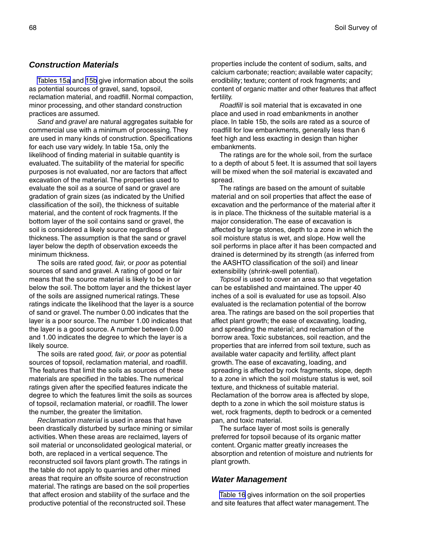### *Construction Materials*

[Tables 15a](#page-154-0) and [15b](#page-162-0) give information about the soils as potential sources of gravel, sand, topsoil, reclamation material, and roadfill. Normal compaction, minor processing, and other standard construction practices are assumed.

*Sand* and *gravel* are natural aggregates suitable for commercial use with a minimum of processing. They are used in many kinds of construction. Specifications for each use vary widely. In table 15a, only the likelihood of finding material in suitable quantity is evaluated. The suitability of the material for specific purposes is not evaluated, nor are factors that affect excavation of the material. The properties used to evaluate the soil as a source of sand or gravel are gradation of grain sizes (as indicated by the Unified classification of the soil), the thickness of suitable material, and the content of rock fragments. If the bottom layer of the soil contains sand or gravel, the soil is considered a likely source regardless of thickness. The assumption is that the sand or gravel layer below the depth of observation exceeds the minimum thickness.

The soils are rated *good, fair,* or *poor* as potential sources of sand and gravel. A rating of good or fair means that the source material is likely to be in or below the soil. The bottom layer and the thickest layer of the soils are assigned numerical ratings. These ratings indicate the likelihood that the layer is a source of sand or gravel. The number 0.00 indicates that the layer is a poor source. The number 1.00 indicates that the layer is a good source. A number between 0.00 and 1.00 indicates the degree to which the layer is a likely source.

The soils are rated *good, fair, or poor* as potential sources of topsoil, reclamation material, and roadfill. The features that limit the soils as sources of these materials are specified in the tables. The numerical ratings given after the specified features indicate the degree to which the features limit the soils as sources of topsoil, reclamation material, or roadfill. The lower the number, the greater the limitation.

*Reclamation material* is used in areas that have been drastically disturbed by surface mining or similar activities. When these areas are reclaimed, layers of soil material or unconsolidated geological material, or both, are replaced in a vertical sequence. The reconstructed soil favors plant growth. The ratings in the table do not apply to quarries and other mined areas that require an offsite source of reconstruction material. The ratings are based on the soil properties that affect erosion and stability of the surface and the productive potential of the reconstructed soil. These

properties include the content of sodium, salts, and calcium carbonate; reaction; available water capacity; erodibility; texture; content of rock fragments; and content of organic matter and other features that affect fertility.

*Roadfill* is soil material that is excavated in one place and used in road embankments in another place. In table 15b, the soils are rated as a source of roadfill for low embankments, generally less than 6 feet high and less exacting in design than higher embankments.

The ratings are for the whole soil, from the surface to a depth of about 5 feet. It is assumed that soil layers will be mixed when the soil material is excavated and spread.

The ratings are based on the amount of suitable material and on soil properties that affect the ease of excavation and the performance of the material after it is in place. The thickness of the suitable material is a major consideration. The ease of excavation is affected by large stones, depth to a zone in which the soil moisture status is wet, and slope. How well the soil performs in place after it has been compacted and drained is determined by its strength (as inferred from the AASHTO classification of the soil) and linear extensibility (shrink-swell potential).

*Topsoil* is used to cover an area so that vegetation can be established and maintained. The upper 40 inches of a soil is evaluated for use as topsoil. Also evaluated is the reclamation potential of the borrow area. The ratings are based on the soil properties that affect plant growth; the ease of excavating, loading, and spreading the material; and reclamation of the borrow area. Toxic substances, soil reaction, and the properties that are inferred from soil texture, such as available water capacity and fertility, affect plant growth. The ease of excavating, loading, and spreading is affected by rock fragments, slope, depth to a zone in which the soil moisture status is wet, soil texture, and thickness of suitable material. Reclamation of the borrow area is affected by slope, depth to a zone in which the soil moisture status is wet, rock fragments, depth to bedrock or a cemented pan, and toxic material.

The surface layer of most soils is generally preferred for topsoil because of its organic matter content. Organic matter greatly increases the absorption and retention of moisture and nutrients for plant growth.

#### *Water Management*

[Table 16](#page-174-0) gives information on the soil properties and site features that affect water management. The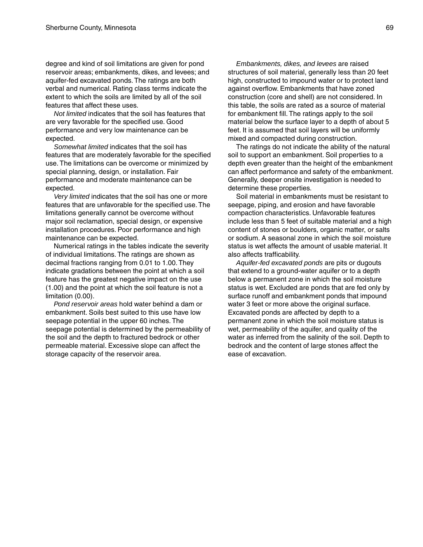degree and kind of soil limitations are given for pond reservoir areas; embankments, dikes, and levees; and aquifer-fed excavated ponds. The ratings are both verbal and numerical. Rating class terms indicate the extent to which the soils are limited by all of the soil features that affect these uses.

*Not limited* indicates that the soil has features that are very favorable for the specified use. Good performance and very low maintenance can be expected.

*Somewhat limited* indicates that the soil has features that are moderately favorable for the specified use. The limitations can be overcome or minimized by special planning, design, or installation. Fair performance and moderate maintenance can be expected.

*Very limited* indicates that the soil has one or more features that are unfavorable for the specified use. The limitations generally cannot be overcome without major soil reclamation, special design, or expensive installation procedures. Poor performance and high maintenance can be expected.

Numerical ratings in the tables indicate the severity of individual limitations. The ratings are shown as decimal fractions ranging from 0.01 to 1.00. They indicate gradations between the point at which a soil feature has the greatest negative impact on the use (1.00) and the point at which the soil feature is not a limitation (0.00).

*Pond reservoir areas* hold water behind a dam or embankment. Soils best suited to this use have low seepage potential in the upper 60 inches. The seepage potential is determined by the permeability of the soil and the depth to fractured bedrock or other permeable material. Excessive slope can affect the storage capacity of the reservoir area.

*Embankments, dikes, and levees* are raised structures of soil material, generally less than 20 feet high, constructed to impound water or to protect land against overflow. Embankments that have zoned construction (core and shell) are not considered. In this table, the soils are rated as a source of material for embankment fill. The ratings apply to the soil material below the surface layer to a depth of about 5 feet. It is assumed that soil layers will be uniformly mixed and compacted during construction.

The ratings do not indicate the ability of the natural soil to support an embankment. Soil properties to a depth even greater than the height of the embankment can affect performance and safety of the embankment. Generally, deeper onsite investigation is needed to determine these properties.

Soil material in embankments must be resistant to seepage, piping, and erosion and have favorable compaction characteristics. Unfavorable features include less than 5 feet of suitable material and a high content of stones or boulders, organic matter, or salts or sodium. A seasonal zone in which the soil moisture status is wet affects the amount of usable material. It also affects trafficability.

*Aquifer-fed excavated ponds* are pits or dugouts that extend to a ground-water aquifer or to a depth below a permanent zone in which the soil moisture status is wet. Excluded are ponds that are fed only by surface runoff and embankment ponds that impound water 3 feet or more above the original surface. Excavated ponds are affected by depth to a permanent zone in which the soil moisture status is wet, permeability of the aquifer, and quality of the water as inferred from the salinity of the soil. Depth to bedrock and the content of large stones affect the ease of excavation.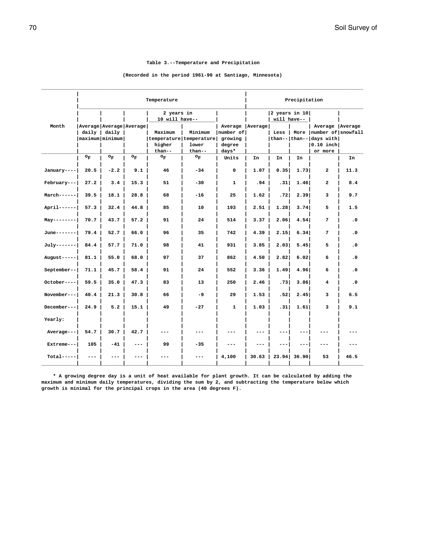#### **Table 3.--Temperature and Precipitation**

### <span id="page-69-0"></span> **(Recorded in the period 1961-90 at Santiago, Minnesota) \_\_\_\_\_\_\_\_\_\_\_\_\_\_\_\_\_\_\_\_\_\_\_\_\_\_\_\_\_\_\_\_\_\_\_\_\_\_\_\_\_\_\_\_\_\_\_\_\_\_\_\_\_\_\_\_\_\_\_\_\_\_\_\_\_\_\_\_\_\_\_\_\_\_\_\_\_\_\_\_\_\_\_\_\_\_\_\_\_\_\_\_\_\_\_\_\_\_\_\_\_\_\_\_\_\_\_\_\_\_\_**

|             | Temperature |                                   |                             |                                                        |                            |                                                                | Precipitation |                                |               |                                                                                                       |           |
|-------------|-------------|-----------------------------------|-----------------------------|--------------------------------------------------------|----------------------------|----------------------------------------------------------------|---------------|--------------------------------|---------------|-------------------------------------------------------------------------------------------------------|-----------|
|             |             |                                   |                             | 2 years in<br>10 will have--                           |                            |                                                                |               | 2 years in $10$<br>will have-- |               |                                                                                                       |           |
| Month       |             | daily   daily<br> maximum minimum | Average   Average   Average | Maximum<br>temperature temperature<br>higher<br>than-- | Minimum<br>lower<br>than-- | Average   Average  <br>number of<br>growing<br>degree<br>days* |               | Less                           |               | Average   Average<br>More   number of   snowfall<br>than-- than-- days with<br>$0.10$ inch<br>or more |           |
|             | $\circ_F$   | $\mathsf{o}_{\mathbf{F}}$         | $O_{\overline{F}}$          | $\circ_{\mathbb{F}}$                                   | $\circ_F$                  | Units                                                          | In            | In                             | In            |                                                                                                       | In        |
| January---- | 20.5        | $-2.2$                            | 9.1                         | 46                                                     | $-34$                      | 0                                                              | 1.07          | 0.351                          | 1.73          | $\overline{a}$                                                                                        | 11.3      |
| February--- | 27.2        | 3.4                               | 15.3                        | 51                                                     | $-30$                      | $\mathbf{1}$                                                   | .94           | .31                            | 1.46          | $\overline{a}$                                                                                        | 8.4       |
| March------ | 39.5        | 18.1                              | 28.8                        | 68                                                     | $-16$                      | 25                                                             | 1.62          | .72                            | 2.39          | 3                                                                                                     | 9.7       |
| April------ | 57.3        | 32.4                              | 44.8                        | 85                                                     | 10                         | 193                                                            | 2.51          | 1.28                           | 3.74          | 5                                                                                                     | 1.5       |
| $May-----$  | 70.7        | 43.7                              | 57.2                        | 91                                                     | 24                         | 514                                                            | 3.37          | 2.06                           | 4.54          | 7                                                                                                     | $\cdot$ 0 |
| June------- | 79.4        | 52.7                              | 66.0                        | 96                                                     | 35                         | 742                                                            | 4.39          | 2.15                           | 6.34          | 7                                                                                                     | $\cdot$ 0 |
| July------- | 84.4        | 57.7                              | 71.0                        | 98                                                     | 41                         | 931                                                            | 3.85          | 2.03                           | 5.45          | 5                                                                                                     | $\cdot$ 0 |
| August----- | 81.1        | 55.0                              | 68.0                        | 97                                                     | 37                         | 862                                                            | 4.50          | 2.82                           | 6.02          | 6                                                                                                     | $\cdot$ 0 |
| September-- | 71.1        | 45.7                              | 58.4                        | 91                                                     | 24                         | 552                                                            | 3.36          | 1.49                           | 4.96          | 6                                                                                                     | $\cdot$ 0 |
| October---- | 59.5        | 35.0                              | 47.3                        | 83                                                     | 13                         | 250                                                            | 2.46          | .73                            | 3.86          | 4                                                                                                     | $\cdot$ 0 |
| November--- | 40.4        | 21.3                              | 30.8                        | 66                                                     | $-9$                       | 29                                                             | 1.53          | .521                           | 2.45          | 3                                                                                                     | 6.5       |
| December--- | 24.9        | 5.2                               | 15.1                        | 49                                                     | $-27$                      | 1                                                              | 1.03          | .31                            | 1.61          | 3                                                                                                     | 9.1       |
| Yearly:     |             |                                   |                             |                                                        |                            |                                                                |               |                                |               |                                                                                                       |           |
| Average---  | 54.7        | 30.7                              | 42.7                        |                                                        |                            | ---                                                            | ---           |                                | ---           | ---                                                                                                   |           |
| Extreme---  | 105         | $-41$                             | $\frac{1}{2}$               | 99                                                     | $-35$                      | ---                                                            |               | ---                            | ---           | ---                                                                                                   |           |
| $Total---$  |             |                                   |                             |                                                        |                            | 4,100                                                          | 30.63         |                                | $23.94$ 36.90 | 53                                                                                                    | 46.5      |

 **\* A growing degree day is a unit of heat available for plant growth. It can be calculated by adding the maximum and minimum daily temperatures, dividing the sum by 2, and subtracting the temperature below which growth is minimal for the principal crops in the area (40 degrees F).**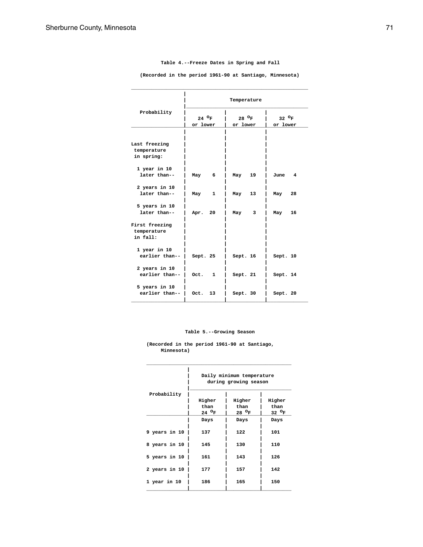|                                            |                             | Temperature                 |                             |  |  |  |
|--------------------------------------------|-----------------------------|-----------------------------|-----------------------------|--|--|--|
| Probability                                | 24 $^{\circ}$ F<br>or lower | 28 $^{\circ}$ F<br>or lower | 32 $^{\circ}$ F<br>or lower |  |  |  |
|                                            |                             |                             |                             |  |  |  |
| Last freezing<br>temperature<br>in spring: |                             |                             |                             |  |  |  |
| $1$ year in $10$                           |                             |                             |                             |  |  |  |
| later than--                               | 6<br>May                    | 19<br>May                   | 4<br>June                   |  |  |  |
| 2 years in 10                              |                             |                             |                             |  |  |  |
| later than--                               | $\mathbf{1}$<br>May         | 13<br>May                   | 28<br>May                   |  |  |  |
| 5 years in 10<br>later than--              | 20<br>Apr.                  | 3<br>May                    | May<br>16                   |  |  |  |
| First freezing<br>temperature<br>in fall:  |                             |                             |                             |  |  |  |
| 1 year in 10<br>earlier than--             | Sept. 25                    | Sept. 16                    | Sept. 10                    |  |  |  |
| 2 years in 10<br>earlier than--            | Oct.<br>1                   | Sept. 21                    | Sept. 14                    |  |  |  |
| 5 years in 10<br>earlier than--            | Oct.<br>13                  | Sept. 30                    | Sept. 20                    |  |  |  |

**Table 4.--Freeze Dates in Spring and Fall**

<span id="page-70-0"></span> **(Recorded in the period 1961-90 at Santiago, Minnesota) \_\_\_\_\_\_\_\_\_\_\_\_\_\_\_\_\_\_\_\_\_\_\_\_\_\_\_\_\_\_\_\_\_\_\_\_\_\_\_\_\_\_\_\_\_\_\_\_\_\_\_\_\_\_\_\_\_\_\_\_\_**

#### **Table 5.--Growing Season**

**\_\_\_\_\_\_\_\_\_\_\_\_\_\_\_\_\_\_\_\_\_\_\_\_\_\_\_\_\_\_\_\_\_\_\_\_\_\_\_\_\_\_\_\_\_\_\_\_\_\_**

**(Recorded in the period 1961-90 at Santiago, Minnesota)**

|               | Daily minimum temperature<br>during growing season |                 |                 |  |  |
|---------------|----------------------------------------------------|-----------------|-----------------|--|--|
| Probability   |                                                    |                 |                 |  |  |
|               | Higher                                             | Higher          | Higher          |  |  |
|               | than                                               | than            | than            |  |  |
|               | 24 $^{\circ}$ F                                    | 28 $^{\circ}$ F | 32 $^{\circ}$ F |  |  |
|               | Days                                               | Days            | Days            |  |  |
| 9 years in 10 | 137                                                | 122             | 101             |  |  |
| 8 years in 10 | 145                                                | 130             | 110             |  |  |
| 5 years in 10 | 161                                                | 143             | 126             |  |  |
| 2 years in 10 | 177                                                | 157             | 142             |  |  |
| 1 year in 10  | 186                                                | 165             | 150             |  |  |
|               |                                                    |                 |                 |  |  |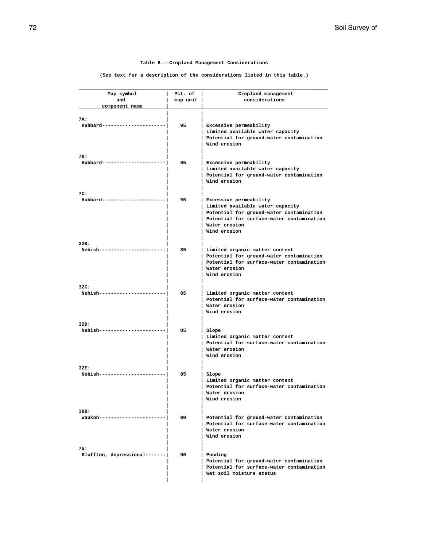#### **Table 6.--Cropland Management Considerations**

**(See text for a description of the considerations listed in this table.)**

<span id="page-71-0"></span>

| Map symbol<br>and             | Pct. of<br>map unit | Cropland management<br>considerations     |
|-------------------------------|---------------------|-------------------------------------------|
| component name                |                     |                                           |
|                               |                     |                                           |
| 7A:                           |                     |                                           |
| $Hubbard-----$                | 95                  | Excessive permeability                    |
|                               |                     | Limited available water capacity          |
|                               |                     | Potential for ground-water contamination  |
|                               |                     | Wind erosion                              |
|                               |                     |                                           |
| 7B:                           |                     |                                           |
| Hubbard-----------            | 95                  | Excessive permeability                    |
|                               |                     | Limited available water capacity          |
|                               |                     | Potential for ground-water contamination  |
|                               |                     | Wind erosion                              |
|                               |                     |                                           |
| 7C:                           |                     |                                           |
| Hubbard--------------         | 95                  | Excessive permeability                    |
|                               |                     | Limited available water capacity          |
|                               |                     | Potential for ground-water contamination  |
|                               |                     | Potential for surface-water contamination |
|                               |                     | Water erosion                             |
|                               |                     | Wind erosion                              |
|                               |                     |                                           |
| 32B:                          |                     |                                           |
| Nebish---------------         | 85                  | Limited organic matter content            |
|                               |                     | Potential for ground-water contamination  |
|                               |                     | Potential for surface-water contamination |
|                               |                     | Water erosion                             |
|                               |                     | Wind erosion                              |
|                               |                     |                                           |
| 32C:                          |                     |                                           |
| Nebish-------------           | 85                  | Limited organic matter content            |
|                               |                     | Potential for surface-water contamination |
|                               |                     | Water erosion                             |
|                               |                     | Wind erosion                              |
| 32D:                          |                     |                                           |
| Nebish---------               | 85                  | Slope                                     |
|                               |                     | Limited organic matter content            |
|                               |                     | Potential for surface-water contamination |
|                               |                     | Water erosion                             |
|                               |                     | Wind erosion                              |
|                               |                     |                                           |
| 32E:                          |                     |                                           |
| Nebish------------            | 85                  | Slope                                     |
|                               |                     | Limited organic matter content            |
|                               |                     | Potential for surface-water contamination |
|                               |                     | Water erosion                             |
|                               |                     | Wind erosion                              |
|                               |                     |                                           |
| 38B:                          |                     |                                           |
| Waukon-----------             | 90                  | Potential for ground-water contamination  |
|                               |                     | Potential for surface-water contamination |
|                               |                     | Water erosion                             |
|                               |                     | Wind erosion                              |
|                               |                     |                                           |
| 75:                           |                     |                                           |
| Bluffton, depressional------- | 90                  | Ponding                                   |
|                               |                     | Potential for ground-water contamination  |
|                               |                     | Potential for surface-water contamination |
|                               |                     | Wet soil moisture status                  |
|                               |                     |                                           |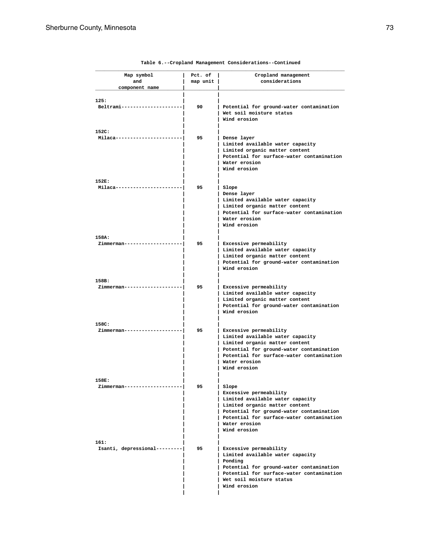| Map symbol                  | Pct. of  | Cropland management                                                                   |
|-----------------------------|----------|---------------------------------------------------------------------------------------|
| and                         | map unit | considerations                                                                        |
| component name              |          |                                                                                       |
|                             |          |                                                                                       |
| 125:<br>Beltrami-------     | 90       | Potential for ground-water contamination                                              |
|                             |          | Wet soil moisture status                                                              |
|                             |          | Wind erosion                                                                          |
|                             |          |                                                                                       |
| 152C:                       |          |                                                                                       |
| Milaca----------            | 95       | Dense layer                                                                           |
|                             |          | Limited available water capacity                                                      |
|                             |          | Limited organic matter content                                                        |
|                             |          | Potential for surface-water contamination                                             |
|                             |          | Water erosion<br>Wind erosion                                                         |
|                             |          |                                                                                       |
| 152E:                       |          |                                                                                       |
| Milaca----------            | 95       | Slope                                                                                 |
|                             |          | Dense layer                                                                           |
|                             |          | Limited available water capacity                                                      |
|                             |          | Limited organic matter content                                                        |
|                             |          | Potential for surface-water contamination                                             |
|                             |          | Water erosion                                                                         |
|                             |          | Wind erosion                                                                          |
| 158A:                       |          |                                                                                       |
| Zimmerman------             | 95       | Excessive permeability                                                                |
|                             |          | Limited available water capacity                                                      |
|                             |          | Limited organic matter content                                                        |
|                             |          | Potential for ground-water contamination                                              |
|                             |          | Wind erosion                                                                          |
|                             |          |                                                                                       |
| 158B:<br>Zimmerman--------- | 95       | Excessive permeability                                                                |
|                             |          | Limited available water capacity                                                      |
|                             |          | Limited organic matter content                                                        |
|                             |          | Potential for ground-water contamination                                              |
|                             |          | Wind erosion                                                                          |
|                             |          |                                                                                       |
| 158C:                       |          |                                                                                       |
| Zimmerman------             | 95       | Excessive permeability                                                                |
|                             |          | Limited available water capacity                                                      |
|                             |          | Limited organic matter content<br>Potential for ground-water contamination            |
|                             |          | Potential for surface-water contamination                                             |
|                             |          | Water erosion                                                                         |
|                             |          | Wind erosion                                                                          |
|                             |          |                                                                                       |
| 158E:                       |          |                                                                                       |
| Zimmerman---------          | 95       | Slope                                                                                 |
|                             |          | Excessive permeability                                                                |
|                             |          | Limited available water capacity<br>Limited organic matter content                    |
|                             |          | Potential for ground-water contamination                                              |
|                             |          | Potential for surface-water contamination                                             |
|                             |          | Water erosion                                                                         |
|                             |          | Wind erosion                                                                          |
|                             |          |                                                                                       |
| 161:                        |          |                                                                                       |
| Isanti, depressional------- | 95       | Excessive permeability                                                                |
|                             |          | Limited available water capacity                                                      |
|                             |          | Ponding                                                                               |
|                             |          | Potential for ground-water contamination<br>Potential for surface-water contamination |
|                             |          | Wet soil moisture status                                                              |
|                             |          | Wind erosion                                                                          |
|                             |          |                                                                                       |
|                             |          |                                                                                       |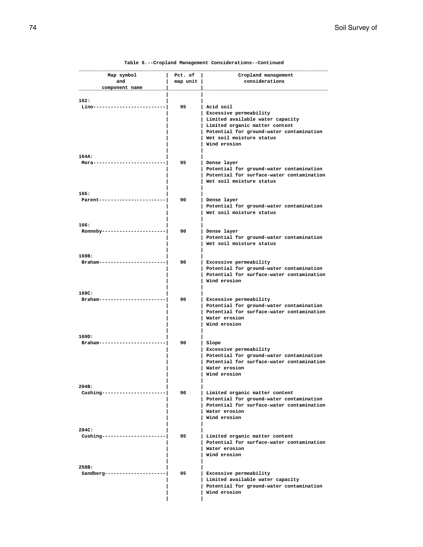| Map symbol<br>and          | Pct. of<br>map unit | Cropland management<br>considerations                                                 |
|----------------------------|---------------------|---------------------------------------------------------------------------------------|
| component name             |                     |                                                                                       |
|                            |                     |                                                                                       |
| 162:                       |                     |                                                                                       |
| Lino-------------          | 95                  | Acid soil                                                                             |
|                            |                     | Excessive permeability                                                                |
|                            |                     | Limited available water capacity                                                      |
|                            |                     | Limited organic matter content                                                        |
|                            |                     | Potential for ground-water contamination                                              |
|                            |                     | Wet soil moisture status                                                              |
|                            |                     | Wind erosion                                                                          |
| 164A:                      |                     |                                                                                       |
| $Mora------$               | 95                  | Dense layer                                                                           |
|                            |                     | Potential for ground-water contamination                                              |
|                            |                     | Potential for surface-water contamination                                             |
|                            |                     | Wet soil moisture status                                                              |
|                            |                     |                                                                                       |
| 165:                       |                     |                                                                                       |
| Parent-------------        | 90                  | Dense layer                                                                           |
|                            |                     | Potential for ground-water contamination                                              |
|                            |                     | Wet soil moisture status                                                              |
| 166:                       |                     |                                                                                       |
| Ronneby---------------     | 90                  | Dense layer                                                                           |
|                            |                     | Potential for ground-water contamination                                              |
|                            |                     | Wet soil moisture status                                                              |
|                            |                     |                                                                                       |
| 169B:                      |                     |                                                                                       |
| $Braham-------$            | 90                  | Excessive permeability                                                                |
|                            |                     | Potential for ground-water contamination                                              |
|                            |                     | Potential for surface-water contamination                                             |
|                            |                     | Wind erosion                                                                          |
| 169C:                      |                     |                                                                                       |
| Braham-----------          | 90                  | Excessive permeability                                                                |
|                            |                     | Potential for ground-water contamination                                              |
|                            |                     | Potential for surface-water contamination                                             |
|                            |                     | Water erosion                                                                         |
|                            |                     | Wind erosion                                                                          |
|                            |                     |                                                                                       |
| 169D:<br>$Braham-------$   | 90                  |                                                                                       |
|                            |                     | Slope<br>Excessive permeability                                                       |
|                            |                     | Potential for ground-water contamination                                              |
|                            |                     | Potential for surface-water contamination                                             |
|                            |                     | Water erosion                                                                         |
|                            |                     | Wind erosion                                                                          |
|                            |                     |                                                                                       |
| 204B:                      |                     |                                                                                       |
| $Cushing-----------------$ | 90                  | Limited organic matter content                                                        |
|                            |                     | Potential for ground-water contamination<br>Potential for surface-water contamination |
|                            |                     | Water erosion                                                                         |
|                            |                     | Wind erosion                                                                          |
|                            |                     |                                                                                       |
| 204C:                      |                     |                                                                                       |
| Cushing--------------      | 95                  | Limited organic matter content                                                        |
|                            |                     | Potential for surface-water contamination                                             |
|                            |                     | Water erosion                                                                         |
|                            |                     | Wind erosion                                                                          |
|                            |                     |                                                                                       |
| 258B:                      |                     |                                                                                       |
| Sandberg-------------      | 95                  | Excessive permeability<br>Limited available water capacity                            |
|                            |                     | Potential for ground-water contamination                                              |
|                            |                     | Wind erosion                                                                          |
|                            |                     |                                                                                       |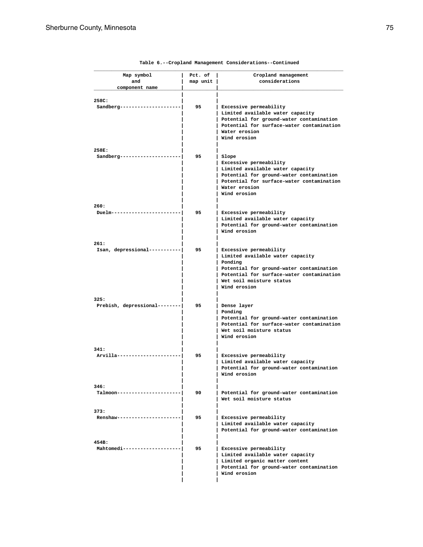| Map symbol                            | Pct. of  | Cropland management                                                                   |
|---------------------------------------|----------|---------------------------------------------------------------------------------------|
| and                                   | map unit | considerations                                                                        |
| component name                        |          |                                                                                       |
|                                       |          |                                                                                       |
| 258C:<br>Sandberg-----                | 95       | Excessive permeability                                                                |
|                                       |          | Limited available water capacity                                                      |
|                                       |          | Potential for ground-water contamination                                              |
|                                       |          | Potential for surface-water contamination                                             |
|                                       |          | Water erosion                                                                         |
|                                       |          | Wind erosion                                                                          |
|                                       |          |                                                                                       |
| 258E:                                 |          |                                                                                       |
| $Sandberg---$                         | 95       | Slope                                                                                 |
|                                       |          | Excessive permeability                                                                |
|                                       |          | Limited available water capacity                                                      |
|                                       |          | Potential for ground-water contamination<br>Potential for surface-water contamination |
|                                       |          | Water erosion                                                                         |
|                                       |          | Wind erosion                                                                          |
|                                       |          |                                                                                       |
| 260:                                  |          |                                                                                       |
| Duelm---------                        | 95       | Excessive permeability                                                                |
|                                       |          | Limited available water capacity                                                      |
|                                       |          | Potential for ground-water contamination                                              |
|                                       |          | Wind erosion                                                                          |
| 261:                                  |          |                                                                                       |
| Isan, depressional--------            | 95       | Excessive permeability                                                                |
|                                       |          | Limited available water capacity                                                      |
|                                       |          | Ponding                                                                               |
|                                       |          | Potential for ground-water contamination                                              |
|                                       |          | Potential for surface-water contamination                                             |
|                                       |          | Wet soil moisture status                                                              |
|                                       |          | Wind erosion                                                                          |
|                                       |          |                                                                                       |
| 325:<br>Prebish, depressional-------- | 95       |                                                                                       |
|                                       |          | Dense layer<br>Ponding                                                                |
|                                       |          | Potential for ground-water contamination                                              |
|                                       |          | Potential for surface-water contamination                                             |
|                                       |          | Wet soil moisture status                                                              |
|                                       |          | Wind erosion                                                                          |
|                                       |          |                                                                                       |
| 341:                                  |          |                                                                                       |
| Arvilla-------                        | 95       | Excessive permeability                                                                |
|                                       |          | Limited available water capacity                                                      |
|                                       |          | Potential for ground-water contamination<br>Wind erosion                              |
|                                       |          |                                                                                       |
| 346:                                  |          |                                                                                       |
| Talmoon----------                     | 90       | Potential for ground-water contamination                                              |
|                                       |          | Wet soil moisture status                                                              |
|                                       |          |                                                                                       |
| 373:                                  |          |                                                                                       |
| $Renshaw------$                       | 95       | Excessive permeability                                                                |
|                                       |          | Limited available water capacity                                                      |
|                                       |          | Potential for ground-water contamination                                              |
| 454B:                                 |          |                                                                                       |
| Mahtomedi-----------                  | 95       | Excessive permeability                                                                |
|                                       |          | Limited available water capacity                                                      |
|                                       |          | Limited organic matter content                                                        |
|                                       |          |                                                                                       |
|                                       |          | Potential for ground-water contamination                                              |
|                                       |          | Wind erosion                                                                          |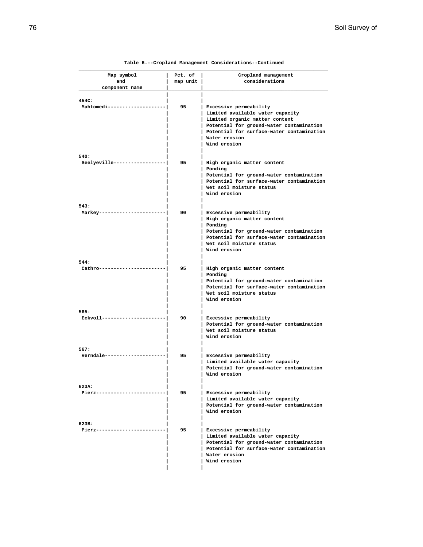| Table 6.--Cropland Management Considerations--Continued |  |
|---------------------------------------------------------|--|
|---------------------------------------------------------|--|

| Map symbol                    | Pct. of  | Cropland management                                                          |
|-------------------------------|----------|------------------------------------------------------------------------------|
| and                           | map unit | considerations                                                               |
| component name                |          |                                                                              |
|                               |          |                                                                              |
| 454C:<br>Mahtomedi----------- | 95       | Excessive permeability                                                       |
|                               |          | Limited available water capacity                                             |
|                               |          | Limited organic matter content<br>Potential for ground-water contamination   |
|                               |          | Potential for surface-water contamination                                    |
|                               |          | Water erosion                                                                |
|                               |          | Wind erosion                                                                 |
| 540:                          |          |                                                                              |
| Seelyeville---------          | 95       | High organic matter content                                                  |
|                               |          | Ponding                                                                      |
|                               |          | Potential for ground-water contamination                                     |
|                               |          | Potential for surface-water contamination<br>Wet soil moisture status        |
|                               |          | Wind erosion                                                                 |
|                               |          |                                                                              |
| 543:                          |          |                                                                              |
| Markey---------               | 90       | Excessive permeability<br>High organic matter content                        |
|                               |          | Ponding                                                                      |
|                               |          | Potential for ground-water contamination                                     |
|                               |          | Potential for surface-water contamination                                    |
|                               |          | Wet soil moisture status<br>Wind erosion                                     |
|                               |          |                                                                              |
| 544:                          |          |                                                                              |
| Cathro---------               | 95       | High organic matter content<br>Ponding                                       |
|                               |          | Potential for ground-water contamination                                     |
|                               |          | Potential for surface-water contamination                                    |
|                               |          | Wet soil moisture status                                                     |
|                               |          | Wind erosion                                                                 |
| 565:                          |          |                                                                              |
| Eckvoll ---------             | 90       | Excessive permeability                                                       |
|                               |          | Potential for ground-water contamination                                     |
|                               |          | Wet soil moisture status<br>Wind erosion                                     |
|                               |          |                                                                              |
| 567:                          |          |                                                                              |
| Verndale----------            | 95       | Excessive permeability                                                       |
|                               |          | Limited available water capacity<br>Potential for ground-water contamination |
|                               |          | Wind erosion                                                                 |
|                               |          |                                                                              |
| 623A:<br>Pierz--------------  | 95       | Excessive permeability                                                       |
|                               |          | Limited available water capacity                                             |
|                               |          | Potential for ground-water contamination                                     |
|                               |          | Wind erosion                                                                 |
|                               |          |                                                                              |
| 623B:<br>Pierz------------    | 95       | Excessive permeability                                                       |
|                               |          | Limited available water capacity                                             |
|                               |          | Potential for ground-water contamination                                     |
|                               |          | Potential for surface-water contamination                                    |
|                               |          | Water erosion<br>Wind erosion                                                |
|                               |          |                                                                              |
|                               |          |                                                                              |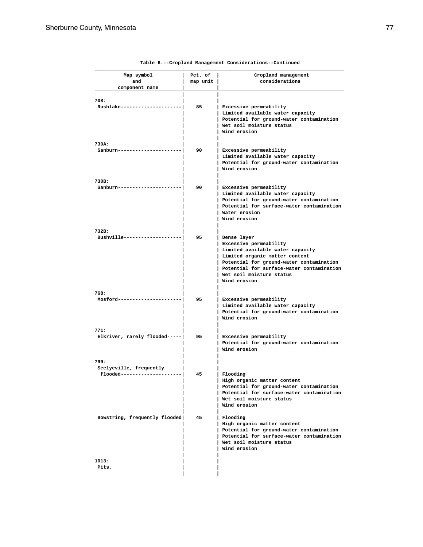| Map symbol                    | Pct. of  | Cropland management                                                   |
|-------------------------------|----------|-----------------------------------------------------------------------|
| and                           | map unit | considerations                                                        |
| component name                |          |                                                                       |
| 708:                          |          |                                                                       |
| Rushlake-----------------     | 85       | Excessive permeability                                                |
|                               |          | Limited available water capacity                                      |
|                               |          | Potential for ground-water contamination                              |
|                               |          | Wet soil moisture status                                              |
|                               |          | Wind erosion                                                          |
| 730A:                         |          |                                                                       |
| Sanburn------------           | 90       | Excessive permeability                                                |
|                               |          | Limited available water capacity                                      |
|                               |          | Potential for ground-water contamination                              |
|                               |          | Wind erosion                                                          |
| 730B:                         |          |                                                                       |
| Sanburn------------           | 90       | Excessive permeability                                                |
|                               |          | Limited available water capacity                                      |
|                               |          | Potential for ground-water contamination                              |
|                               |          | Potential for surface-water contamination                             |
|                               |          | Water erosion                                                         |
|                               |          | Wind erosion                                                          |
| 732B:                         |          |                                                                       |
| Bushville-----------          | 95       | Dense layer                                                           |
|                               |          | Excessive permeability                                                |
|                               |          | Limited available water capacity                                      |
|                               |          | Limited organic matter content                                        |
|                               |          | Potential for ground-water contamination                              |
|                               |          | Potential for surface-water contamination                             |
|                               |          | Wet soil moisture status<br>Wind erosion                              |
|                               |          |                                                                       |
| 768:                          |          |                                                                       |
| Mosford----------             | 95       | Excessive permeability                                                |
|                               |          | Limited available water capacity                                      |
|                               |          | Potential for ground-water contamination                              |
|                               |          | Wind erosion                                                          |
| 771:                          |          |                                                                       |
| Elkriver, rarely flooded----- | 95       | Excessive permeability                                                |
|                               |          | Potential for ground-water contamination<br>Wind erosion              |
|                               |          |                                                                       |
| 799:                          |          |                                                                       |
| Seelyeville, frequently       |          |                                                                       |
| flooded---------------------  | 45       | Flooding                                                              |
|                               |          | High organic matter content                                           |
|                               |          | Potential for ground-water contamination                              |
|                               |          | Potential for surface-water contamination<br>Wet soil moisture status |
|                               |          | Wind erosion                                                          |
|                               |          |                                                                       |
| Bowstring, frequently flooded | 45       | Flooding                                                              |
|                               |          | High organic matter content                                           |
|                               |          | Potential for ground-water contamination                              |
|                               |          | Potential for surface-water contamination                             |
|                               |          | Wet soil moisture status<br>Wind erosion                              |
|                               |          |                                                                       |
| 1013:                         |          |                                                                       |
| Pits.                         |          |                                                                       |
|                               |          |                                                                       |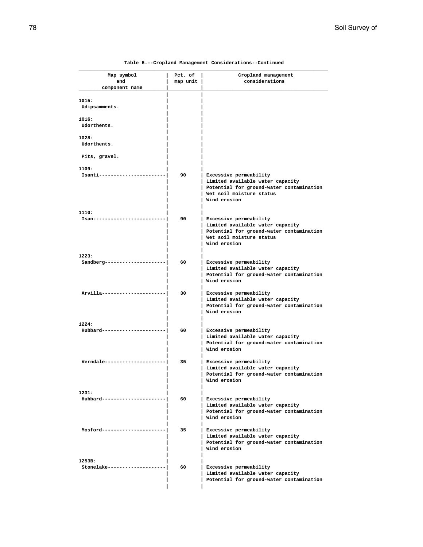| Map symbol                      | Pct. of  | Cropland management                                                          |
|---------------------------------|----------|------------------------------------------------------------------------------|
| and                             | map unit | considerations                                                               |
| component name                  |          |                                                                              |
| 1015:                           |          |                                                                              |
| Udipsamments.                   |          |                                                                              |
|                                 |          |                                                                              |
| 1016:                           |          |                                                                              |
| Udorthents.                     |          |                                                                              |
| 1028:                           |          |                                                                              |
| Udorthents.                     |          |                                                                              |
|                                 |          |                                                                              |
| Pits, gravel.                   |          |                                                                              |
| 1109:                           |          |                                                                              |
| Isanti------------              | 90       | Excessive permeability                                                       |
|                                 |          | Limited available water capacity                                             |
|                                 |          | Potential for ground-water contamination                                     |
|                                 |          | Wet soil moisture status                                                     |
|                                 |          | Wind erosion                                                                 |
| 1110:                           |          |                                                                              |
| $Isan---$                       | 90       | Excessive permeability                                                       |
|                                 |          | Limited available water capacity                                             |
|                                 |          | Potential for ground-water contamination                                     |
|                                 |          | Wet soil moisture status<br>Wind erosion                                     |
|                                 |          |                                                                              |
| 1223:                           |          |                                                                              |
| $Sandberg-----------$           | 60       | Excessive permeability                                                       |
|                                 |          | Limited available water capacity                                             |
|                                 |          | Potential for ground-water contamination                                     |
|                                 |          | Wind erosion                                                                 |
| Arvilla---------                | 30       | Excessive permeability                                                       |
|                                 |          | Limited available water capacity                                             |
|                                 |          | Potential for ground-water contamination                                     |
|                                 |          | Wind erosion                                                                 |
|                                 |          |                                                                              |
| 1224:<br>Hubbard--------        | 60       | Excessive permeability                                                       |
|                                 |          | Limited available water capacity                                             |
|                                 |          | Potential for ground-water contamination                                     |
|                                 |          | Wind erosion                                                                 |
|                                 |          |                                                                              |
| Verndale-----------             | 35       | Excessive permeability                                                       |
|                                 |          | Limited available water capacity<br>Potential for ground-water contamination |
|                                 |          | Wind erosion                                                                 |
|                                 |          |                                                                              |
| 1231:                           |          |                                                                              |
| Hubbard-------------------      | 60       | Excessive permeability                                                       |
|                                 |          | Limited available water capacity                                             |
|                                 |          | Potential for ground-water contamination<br>Wind erosion                     |
|                                 |          |                                                                              |
| Mosford--------------           | 35       | Excessive permeability                                                       |
|                                 |          | Limited available water capacity                                             |
|                                 |          | Potential for ground-water contamination                                     |
|                                 |          | Wind erosion                                                                 |
|                                 |          |                                                                              |
|                                 |          |                                                                              |
|                                 |          |                                                                              |
| 1253B:<br>Stonelake------------ | 60       | Excessive permeability<br>Limited available water capacity                   |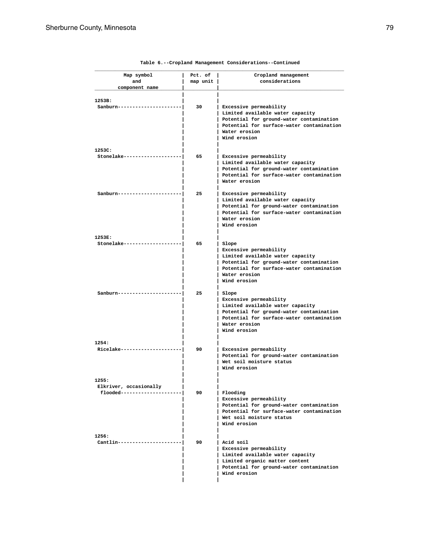| Map symbol                                              | Pct. of  | Cropland management                                                                                                                                                                           |
|---------------------------------------------------------|----------|-----------------------------------------------------------------------------------------------------------------------------------------------------------------------------------------------|
| and                                                     | map unit | considerations                                                                                                                                                                                |
| component name                                          |          |                                                                                                                                                                                               |
| 1253B:                                                  |          |                                                                                                                                                                                               |
| Sanburn----------                                       | 30       | Excessive permeability<br>Limited available water capacity<br>Potential for ground-water contamination<br>Potential for surface-water contamination<br>Water erosion<br>Wind erosion          |
| 1253C:                                                  |          |                                                                                                                                                                                               |
| Stonelake------------------                             | 65       | Excessive permeability<br>Limited available water capacity<br>Potential for ground-water contamination<br>Potential for surface-water contamination<br>Water erosion                          |
| Sanburn---------                                        | 25       | Excessive permeability<br>Limited available water capacity<br>Potential for ground-water contamination<br>Potential for surface-water contamination<br>Water erosion<br>Wind erosion          |
| 1253E:                                                  |          |                                                                                                                                                                                               |
| Stonelake---------                                      | 65       | Slope<br>Excessive permeability<br>Limited available water capacity<br>Potential for ground-water contamination<br>Potential for surface-water contamination<br>Water erosion<br>Wind erosion |
| Sanburn---------                                        | 25       | Slope<br>Excessive permeability<br>Limited available water capacity<br>Potential for ground-water contamination<br>Potential for surface-water contamination<br>Water erosion<br>Wind erosion |
| 1254:                                                   |          |                                                                                                                                                                                               |
| $Ricelake------$                                        | 90       | Excessive permeability<br>Potential for ground-water contamination<br>Wet soil moisture status<br>Wind erosion                                                                                |
| 1255:                                                   |          |                                                                                                                                                                                               |
| Elkriver, occasionally<br>flooded---------------------- | 90       | Flooding<br>  Excessive permeability<br>Potential for ground-water contamination<br>Potential for surface-water contamination<br>Wet soil moisture status<br>Wind erosion                     |
| 1256:<br>Cantlin---------------------                   | 90       | Acid soil<br>  Excessive permeability<br>Limited available water capacity<br>Limited organic matter content<br>Potential for ground-water contamination<br>Wind erosion                       |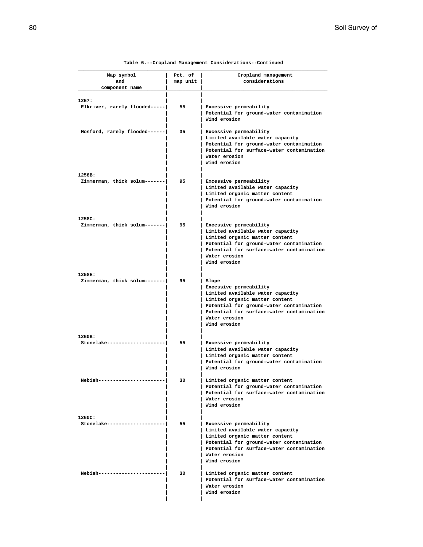| Map symbol                              | Pct. of  | Cropland management                                                                                                                                                                                                             |
|-----------------------------------------|----------|---------------------------------------------------------------------------------------------------------------------------------------------------------------------------------------------------------------------------------|
| and                                     | map unit | considerations                                                                                                                                                                                                                  |
| component name                          |          |                                                                                                                                                                                                                                 |
|                                         |          |                                                                                                                                                                                                                                 |
| 1257:<br>Elkriver, rarely flooded-----  | 55       | Excessive permeability<br>Potential for ground-water contamination<br>Wind erosion                                                                                                                                              |
| Mosford, rarely flooded------           | 35       | Excessive permeability<br>Limited available water capacity<br>Potential for ground-water contamination<br>Potential for surface-water contamination<br>Water erosion<br>Wind erosion                                            |
| 1258B:                                  |          |                                                                                                                                                                                                                                 |
| Zimmerman, thick solum------            | 95       | Excessive permeability<br>Limited available water capacity<br>Limited organic matter content<br>Potential for ground-water contamination<br>Wind erosion                                                                        |
| 1258C:<br>Zimmerman, thick solum------- | 95       | Excessive permeability<br>Limited available water capacity<br>Limited organic matter content<br>Potential for ground-water contamination<br>Potential for surface-water contamination<br>Water erosion<br>Wind erosion          |
| 1258E:                                  |          |                                                                                                                                                                                                                                 |
| Zimmerman, thick solum------            | 95       | Slope<br>Excessive permeability<br>Limited available water capacity<br>Limited organic matter content<br>Potential for ground-water contamination<br>Potential for surface-water contamination<br>Water erosion<br>Wind erosion |
| 1260B:                                  |          |                                                                                                                                                                                                                                 |
| Stonelake------                         | 55       | Excessive permeability<br>Limited available water capacity<br>Limited organic matter content<br>Potential for ground-water contamination<br>Wind erosion                                                                        |
| Nebish-----------------------           | 30       | Limited organic matter content<br>Potential for ground-water contamination<br>Potential for surface-water contamination<br>Water erosion<br>Wind erosion                                                                        |
| 1260C:                                  |          |                                                                                                                                                                                                                                 |
| Stonelake------------                   | 55       | Excessive permeability<br>  Limited available water capacity<br>  Limited organic matter content<br>Potential for ground-water contamination<br>Potential for surface-water contamination<br>  Water erosion<br>Wind erosion    |
| Nebish-------------                     | 30       | Limited organic matter content<br>Potential for surface-water contamination<br>Water erosion<br>Wind erosion                                                                                                                    |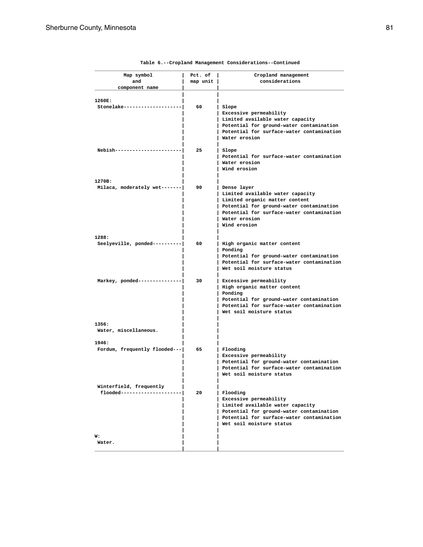| Map symbol                    | Pct. of  | Cropland management                                                                   |
|-------------------------------|----------|---------------------------------------------------------------------------------------|
| and                           | map unit | considerations                                                                        |
| component name                |          |                                                                                       |
| 1260E:                        |          |                                                                                       |
| Stonelake------------         | 60       | Slope                                                                                 |
|                               |          | Excessive permeability                                                                |
|                               |          | Limited available water capacity                                                      |
|                               |          | Potential for ground-water contamination                                              |
|                               |          | Potential for surface-water contamination                                             |
|                               |          | Water erosion                                                                         |
| Nebish-------                 | 25       | Slope                                                                                 |
|                               |          | Potential for surface-water contamination                                             |
|                               |          | Water erosion                                                                         |
|                               |          | Wind erosion                                                                          |
|                               |          |                                                                                       |
| 1270B:                        |          |                                                                                       |
| Milaca, moderately wet------- | 90       | Dense layer<br>Limited available water capacity                                       |
|                               |          | Limited organic matter content                                                        |
|                               |          | Potential for ground-water contamination                                              |
|                               |          | Potential for surface-water contamination                                             |
|                               |          | Water erosion                                                                         |
|                               |          | Wind erosion                                                                          |
| 1288:                         |          |                                                                                       |
| Seelyeville, ponded---------- | 60       | High organic matter content                                                           |
|                               |          | Ponding                                                                               |
|                               |          | Potential for ground-water contamination                                              |
|                               |          | Potential for surface-water contamination                                             |
|                               |          | Wet soil moisture status                                                              |
| Markey, ponded------------    | 30       | Excessive permeability                                                                |
|                               |          | High organic matter content                                                           |
|                               |          | Ponding                                                                               |
|                               |          | Potential for ground-water contamination                                              |
|                               |          | Potential for surface-water contamination                                             |
|                               |          | Wet soil moisture status                                                              |
| 1356:                         |          |                                                                                       |
| Water, miscellaneous.         |          |                                                                                       |
|                               |          |                                                                                       |
| 1946:                         |          |                                                                                       |
| Fordum, frequently flooded--- | 65       | Flooding                                                                              |
|                               |          | Excessive permeability                                                                |
|                               |          | Potential for ground-water contamination                                              |
|                               |          | Potential for surface-water contamination<br>Wet soil moisture status                 |
|                               |          |                                                                                       |
| Winterfield, frequently       |          |                                                                                       |
| flooded------------           | 20       | Flooding                                                                              |
|                               |          | Excessive permeability                                                                |
|                               |          | Limited available water capacity                                                      |
|                               |          | Potential for ground-water contamination<br>Potential for surface-water contamination |
|                               |          | Wet soil moisture status                                                              |
|                               |          |                                                                                       |
| w:                            |          |                                                                                       |
| Water.                        |          |                                                                                       |
|                               |          |                                                                                       |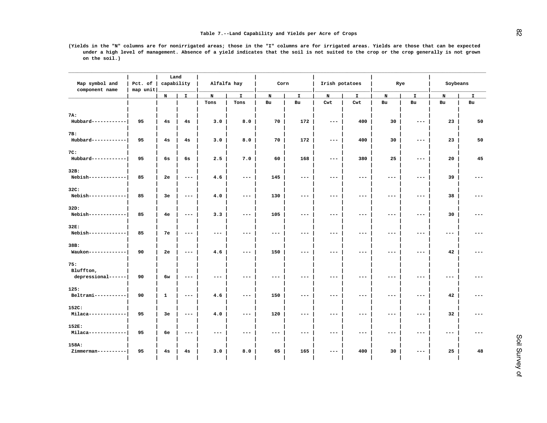|                                  |                     | Land       |                                                     | Alfalfa hay<br>Corn |                     |                     |                     |                                                     |                     |                     |                     |                     |       |
|----------------------------------|---------------------|------------|-----------------------------------------------------|---------------------|---------------------|---------------------|---------------------|-----------------------------------------------------|---------------------|---------------------|---------------------|---------------------|-------|
| Map symbol and<br>component name | Pct. of<br>map unit | capability |                                                     |                     |                     |                     |                     | Irish potatoes                                      |                     | Rye                 |                     | Soybeans            |       |
|                                  |                     | N          | $\mathbf{I}$                                        | N                   | $\mathbf I$         | N                   | I                   | N                                                   | $\mathbf I$         | N                   | I                   | $\mathbf N$         | I.    |
|                                  |                     |            |                                                     | Tons                | Tons                | Bu                  | Bu                  | Cwt                                                 | Cwt                 | Bu                  | Bu                  | Bu                  | Bu    |
| 7A:                              |                     |            |                                                     |                     |                     |                     |                     |                                                     |                     |                     |                     |                     |       |
| Hubbard------------              | 95                  | 4s         | 4s                                                  | 3.0                 | 8.0                 | 70                  | 172                 | $\qquad \qquad - -$                                 | 400                 | 30                  | $- -$               | 23                  | 50    |
| 7B:                              |                     |            |                                                     |                     |                     |                     |                     |                                                     |                     |                     |                     |                     |       |
| Hubbard------------              | 95                  | 4s         | 4s                                                  | 3.0                 | 8.0                 | 70                  | 172                 | $---$                                               | 400                 | 30                  | $---$               | 23                  | 50    |
| 7C:                              |                     |            |                                                     |                     |                     |                     |                     |                                                     |                     |                     |                     |                     |       |
| Hubbard------------              | 95                  | 6s         | 6s                                                  | 2.5                 | 7.0                 | 60                  | 168                 | $\qquad \qquad - -$                                 | 380                 | 25                  | $---$               | 20                  | 45    |
|                                  |                     |            |                                                     |                     |                     |                     |                     |                                                     |                     |                     |                     |                     |       |
| 32B:<br>Nebish-------------      | 85                  | 2e         | $\qquad \qquad - -$                                 | 4.6                 | $\qquad \qquad - -$ | 145                 | $---$               | $\qquad \qquad - -$                                 | $---$               | $\qquad \qquad - -$ | $\qquad \qquad - -$ | 39                  | $---$ |
|                                  |                     |            |                                                     |                     |                     |                     |                     |                                                     |                     |                     |                     |                     |       |
| 32C:<br>Nebish-------------      | 85                  | Зе         | $- -$                                               | 4.0                 | $\qquad \qquad - -$ | 130                 | $\qquad \qquad - -$ | $\overline{\phantom{m}}$ – $\overline{\phantom{m}}$ | $\qquad \qquad - -$ | $\qquad \qquad - -$ | $\qquad \qquad - -$ | 38                  | $---$ |
|                                  |                     |            |                                                     |                     |                     |                     |                     |                                                     |                     |                     |                     |                     |       |
| 32D:                             |                     |            |                                                     |                     |                     |                     |                     |                                                     |                     |                     |                     |                     |       |
| Nebish-------------              | 85                  | 4e         | $---$                                               | 3.3                 | $\qquad \qquad - -$ | 105                 | $---$               | ---                                                 | $---$               | ---                 | $- -$               | 30                  | ---   |
| 32E:                             |                     |            |                                                     |                     |                     |                     |                     |                                                     |                     |                     |                     |                     |       |
| Nebish-------------              | 85                  | 7е         | $\qquad \qquad - -$                                 | $\qquad \qquad - -$ | $\qquad \qquad - -$ | $\qquad \qquad - -$ | $---$               | $---$                                               | $---$               | $\qquad \qquad - -$ | $- -$               | $---$               | $---$ |
| 38B:                             |                     |            |                                                     |                     |                     |                     |                     |                                                     |                     |                     |                     |                     |       |
| Waukon-------------              | 90                  | 2е         | $\qquad \qquad - -$                                 | 4.6                 | $---$               | 150                 | $---$               | $\qquad \qquad - -$                                 | $---$               | $---$               | $---$               | 42                  | $---$ |
| 75:                              |                     |            |                                                     |                     |                     |                     |                     |                                                     |                     |                     |                     |                     |       |
| Bluffton,                        |                     |            |                                                     |                     |                     |                     |                     |                                                     |                     |                     |                     |                     |       |
| depressional------               | 90                  | 6w         | $\overline{\phantom{m}}$ – $\overline{\phantom{m}}$ | $--$                | $---$               | ---                 | $---$               | $---$                                               | $---$               | $- -$               | $--$                | $---$               | ---   |
| 125:                             |                     |            |                                                     |                     |                     |                     |                     |                                                     |                     |                     |                     |                     |       |
| ${\tt Beltrami-----}$            | 90                  | 1          | $\qquad \qquad - -$                                 | 4.6                 | $\qquad \qquad - -$ | 150                 | $---$               | $---$                                               | $---$               | $\qquad \qquad - -$ | $\qquad \qquad - -$ | 42                  | $---$ |
| 152C:                            |                     |            |                                                     |                     |                     |                     |                     |                                                     |                     |                     |                     |                     |       |
| Milaca-------------              | 95                  | Зе         | $\qquad \qquad - -$                                 | 4.0                 | $\qquad \qquad -$   | 120                 | $---$               | $\qquad \qquad - -$                                 | $---$               | $\qquad \qquad - -$ | $\qquad \qquad - -$ | 32                  | $---$ |
| 152E:                            |                     |            |                                                     |                     |                     |                     |                     |                                                     |                     |                     |                     |                     |       |
| Milaca-------------              | 95                  | бe         | $\qquad \qquad - -$                                 | $- -$               | $\qquad \qquad -$   | $\qquad \qquad - -$ | $---$               | $\qquad \qquad - -$                                 | $\qquad \qquad - -$ | $\qquad \qquad - -$ | $\qquad \qquad - -$ | $\qquad \qquad - -$ | $---$ |
| 158A:                            |                     |            |                                                     |                     |                     |                     |                     |                                                     |                     |                     |                     |                     |       |
| Zimmerman----------              | 95                  | 4s         | 4s                                                  | 3.0                 | 8.0                 | 65                  | 165                 | ---                                                 | 400                 | 30                  | $--$                | 25                  | 48    |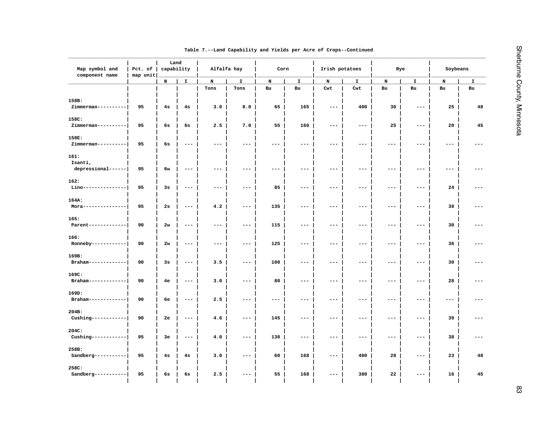| Map symbol and<br>component name | Pct. of<br>map unit | Land<br>capability |                                                                                                                                                                                                                                                                                                                                                                                              | Alfalfa hay          |                     | Corn  |                     | Irish potatoes      |                     | Rye                  |                     | Soybeans |    |
|----------------------------------|---------------------|--------------------|----------------------------------------------------------------------------------------------------------------------------------------------------------------------------------------------------------------------------------------------------------------------------------------------------------------------------------------------------------------------------------------------|----------------------|---------------------|-------|---------------------|---------------------|---------------------|----------------------|---------------------|----------|----|
|                                  |                     | $\mathbf N$        | $\mathbf I$                                                                                                                                                                                                                                                                                                                                                                                  | N                    | $\mathbf{I}$        | N     | $\mathbf I$         | N                   | $\mathbf{I}$        | N                    | I                   | N        | I  |
|                                  |                     |                    |                                                                                                                                                                                                                                                                                                                                                                                              | Tons                 | Tons                | Bu    | Bu                  | Cwt                 | Cwt                 | Bu                   | Bu                  | Bu       | Bu |
| 158B:                            |                     |                    |                                                                                                                                                                                                                                                                                                                                                                                              |                      |                     |       |                     |                     |                     |                      |                     |          |    |
| Zimmerman----------              | 95                  | 4s                 | 4s                                                                                                                                                                                                                                                                                                                                                                                           | 3.0                  | 8.0                 | 65    | 165                 | $---$               | 400                 | 30                   | $- - -$             | 25       | 48 |
| 158C:                            |                     |                    |                                                                                                                                                                                                                                                                                                                                                                                              |                      |                     |       |                     |                     |                     |                      |                     |          |    |
| Zimmerman----------              | 95                  | 6s                 | 6s                                                                                                                                                                                                                                                                                                                                                                                           | 2.5                  | 7.0                 | 55    | 160                 | $---$               | $- - -$             | 25                   | $---$               | 20       | 45 |
| 158E:                            |                     |                    |                                                                                                                                                                                                                                                                                                                                                                                              |                      |                     |       |                     |                     |                     |                      |                     |          |    |
| Zimmerman----------              | 95                  | 6s                 | $- -$                                                                                                                                                                                                                                                                                                                                                                                        | $- -$                | $---$               | $---$ | $---$               | $---$               | $- -$               | $---$                | $---$               | ---      |    |
| 161:                             |                     |                    |                                                                                                                                                                                                                                                                                                                                                                                              |                      |                     |       |                     |                     |                     |                      |                     |          |    |
| Isanti,                          |                     |                    |                                                                                                                                                                                                                                                                                                                                                                                              |                      |                     |       |                     |                     |                     |                      |                     |          |    |
| depressional------               | 95                  | 6w                 | $---$                                                                                                                                                                                                                                                                                                                                                                                        | $---$                | $---$               | $--$  | $---$               | $---$               | $---$               | $---$                | $---$               | ---      |    |
| 162:                             |                     |                    |                                                                                                                                                                                                                                                                                                                                                                                              |                      |                     |       |                     |                     |                     |                      |                     |          |    |
| Lino---------------              | 95                  | 3s                 | $\qquad \qquad - -$                                                                                                                                                                                                                                                                                                                                                                          | $\qquad \qquad - -$  | $---$               | 85    | $---$               | $---$               | $---$               | $\qquad \qquad - -$  | $- - -$             | 24       |    |
| 164A:                            |                     |                    |                                                                                                                                                                                                                                                                                                                                                                                              |                      |                     |       |                     |                     |                     |                      |                     |          |    |
| Mora---------------              | 95                  | 2s                 | $- - -$                                                                                                                                                                                                                                                                                                                                                                                      | 4.2                  | $---$               | 135   | $\qquad \qquad - -$ | $---$               | $\qquad \qquad - -$ | $\sim$ $\sim$ $\sim$ | $\qquad \qquad - -$ | 39       |    |
| 165:                             |                     |                    |                                                                                                                                                                                                                                                                                                                                                                                              |                      |                     |       |                     |                     |                     |                      |                     |          |    |
| Parent-------------              | 90                  | 2w                 | $\sim$ $\sim$ $\sim$                                                                                                                                                                                                                                                                                                                                                                         | $\sim$ $\sim$ $\sim$ | $---$               | 115   | $\qquad \qquad - -$ | $---$               | $\qquad \qquad - -$ | $\qquad \qquad - -$  | $\qquad \qquad - -$ | 30       |    |
| 166:                             |                     |                    |                                                                                                                                                                                                                                                                                                                                                                                              |                      |                     |       |                     |                     |                     |                      |                     |          |    |
| Ronneby------------              | 90                  | 2w                 | $- - -$                                                                                                                                                                                                                                                                                                                                                                                      | $\qquad \qquad - -$  | $---$               | 125   | $---$               | $---$               | $\qquad \qquad - -$ | $\qquad \qquad - -$  | $\qquad \qquad - -$ | 36       |    |
| 169B:                            |                     |                    |                                                                                                                                                                                                                                                                                                                                                                                              |                      |                     |       |                     |                     |                     |                      |                     |          |    |
| Braham-------------              | 90                  | 3s                 | $---$                                                                                                                                                                                                                                                                                                                                                                                        | 3.5                  | $---$               | 100   | $---$               | $\qquad \qquad - -$ | $\qquad \qquad - -$ | $\qquad \qquad - -$  | $\qquad \qquad - -$ | 30       |    |
| 169C:                            |                     |                    |                                                                                                                                                                                                                                                                                                                                                                                              |                      |                     |       |                     |                     |                     |                      |                     |          |    |
| Braham-------------              | 90                  | 4e                 | $\frac{1}{2} \frac{1}{2} \frac{1}{2} \frac{1}{2} \frac{1}{2} \frac{1}{2} \frac{1}{2} \frac{1}{2} \frac{1}{2} \frac{1}{2} \frac{1}{2} \frac{1}{2} \frac{1}{2} \frac{1}{2} \frac{1}{2} \frac{1}{2} \frac{1}{2} \frac{1}{2} \frac{1}{2} \frac{1}{2} \frac{1}{2} \frac{1}{2} \frac{1}{2} \frac{1}{2} \frac{1}{2} \frac{1}{2} \frac{1}{2} \frac{1}{2} \frac{1}{2} \frac{1}{2} \frac{1}{2} \frac{$ | 3.0                  | $\qquad \qquad - -$ | 80    | $- - -$             | $\qquad \qquad - -$ | $\qquad \qquad - -$ | $\qquad \qquad - -$  | $\qquad \qquad - -$ | 28       |    |
| 169D:                            |                     |                    |                                                                                                                                                                                                                                                                                                                                                                                              |                      |                     |       |                     |                     |                     |                      |                     |          |    |
| Braham-------------              | 90                  | бe                 | $---$                                                                                                                                                                                                                                                                                                                                                                                        | 2.5                  | $---$               | $---$ | $---$               | $---$               | $---$               | $---$                | $---$               | $---$    |    |
| 204B:                            |                     |                    |                                                                                                                                                                                                                                                                                                                                                                                              |                      |                     |       |                     |                     |                     |                      |                     |          |    |
| Cushing------------              | 90                  | 2e                 | $- - -$                                                                                                                                                                                                                                                                                                                                                                                      | 4.6                  | $---$               | 145   | $---$               | $---$               | $- -$               | $---$                | $---$               | 39       |    |
| 204C:                            |                     |                    |                                                                                                                                                                                                                                                                                                                                                                                              |                      |                     |       |                     |                     |                     |                      |                     |          |    |
| Cushing------------              | 95                  | 3e                 | $- -$                                                                                                                                                                                                                                                                                                                                                                                        | 4.0                  | $---$               | 130   | $---$               | $---$               | $\qquad \qquad -$   | $\qquad \qquad - -$  | $---$               | 38       |    |
| 258B:                            |                     |                    |                                                                                                                                                                                                                                                                                                                                                                                              |                      |                     |       |                     |                     |                     |                      |                     |          |    |
| Sandberg-----------              | 95                  | 4s                 | 4s                                                                                                                                                                                                                                                                                                                                                                                           | 3.0                  | $\qquad \qquad - -$ | 60    | 168                 | $---$               | 400                 | 28                   | $\qquad \qquad - -$ | 23       | 48 |
|                                  |                     |                    |                                                                                                                                                                                                                                                                                                                                                                                              |                      |                     |       |                     |                     |                     |                      |                     |          |    |
| 258C:<br>Sandberg-----------     | 95                  | 6s                 | 6s                                                                                                                                                                                                                                                                                                                                                                                           | 2.5                  | $---$               | 55    | 168                 | $---$               | 380                 | 22                   | $---$               | 16       | 45 |
|                                  |                     |                    |                                                                                                                                                                                                                                                                                                                                                                                              |                      |                     |       |                     |                     |                     |                      |                     |          |    |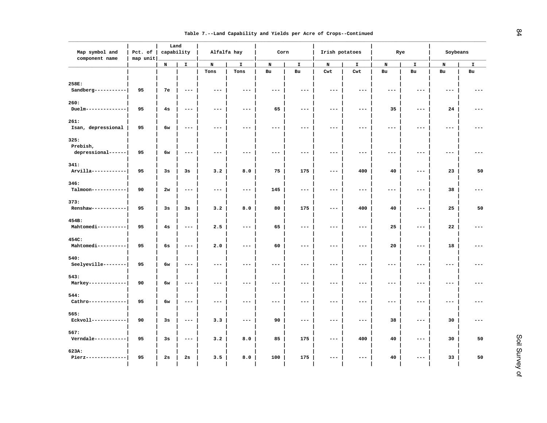|  |  | Table 7.--Land Capability and Yields per Acre of Crops--Continued |
|--|--|-------------------------------------------------------------------|

| Map symbol and<br>component name       | Pct. of<br>map unit |    | Land<br>capability  |                     | Alfalfa hay          |                     | Corn                |                     | Irish potatoes      | Rye                 |             | Soybeans            |             |
|----------------------------------------|---------------------|----|---------------------|---------------------|----------------------|---------------------|---------------------|---------------------|---------------------|---------------------|-------------|---------------------|-------------|
|                                        |                     | N  | $\mathbf I$         | N                   | I.                   | $\, {\bf N}$        | $\mathbf I$         | N                   | $\mathbf I$         | N                   | $\mathbf I$ | N                   | $\mathbf I$ |
|                                        |                     |    |                     | Tons                | Tons                 | Bu                  | Bu                  | Cwt                 | Cwt                 | Bu                  | Bu          | Bu                  | Bu          |
| 258E:<br>Sandberg-----------           | 95                  | 7e | $---$               | $---$               | $---$                | $---$               | $---$               | $\qquad \qquad - -$ | $---$               | $---$               | $---$       | $---$               |             |
| 260:<br>$Due1m-----$                   | 95                  | 4s | $- - -$             | $---$               | $\sim$ $\sim$ $\sim$ | 65                  | $- - -$             | $\qquad \qquad - -$ | $---$               | 35                  | $---$       | 24                  |             |
| 261:<br>Isan, depressional             | 95                  | 6w | $---$               | $---$               | $---$                | $---$               | $---$               | $---$               | $---$               | $---$               | $- - -$     | $---$               |             |
| 325:<br>Prebish,<br>depressional------ | 95                  | 6w | $\qquad \qquad - -$ | $\qquad \qquad - -$ | $- - -$              | $---$               | $\qquad \qquad - -$ | $\qquad \qquad - -$ | $- - -$             | $\frac{1}{2}$       | $---$       | $\qquad \qquad - -$ |             |
| 341:<br>Arvilla------------            | 95                  | 3s | 3s                  | 3.2                 | 8.0                  | 75                  | 175                 | $---$               | 400                 | 40                  | $---$       | 23                  | 50          |
| 346:<br>Talmoon------------            | 90                  | 2w | $- - -$             | $- - -$             | $- - -$              | 145                 | $- - -$             | $- - -$             | $---$               | $- - -$             | $---$       | 38                  |             |
| 373:<br>Renshaw------------            | 95                  | 3s | 3s                  | 3.2                 | 8.0                  | 80                  | 175                 | $\qquad \qquad - -$ | 400                 | 40                  | $---$       | 25                  | 50          |
| 454B:<br>Mahtomedi----------           | 95                  | 4s | $---$               | 2.5                 | $---$                | 65                  | $---$               | $---$               | $- -$               | 25                  | $---$       | 22                  |             |
| 454C:<br>Mahtomedi----------           | 95                  | 6s | $\qquad \qquad - -$ | 2.0                 | $\qquad \qquad - -$  | 60                  | $- - -$             | $\qquad \qquad - -$ | $\qquad \qquad - -$ | 20                  | $---$       | 18                  |             |
| 540:<br>Seelyeville--------            | 95                  | 6w | $\qquad \qquad - -$ | $- - -$             | $---$                | $\qquad \qquad - -$ | $- - -$             | $- - -$             | $\qquad \qquad - -$ | $- - -$             | $---$       | $---$               | $---$       |
| 543:<br>Markey-------------            | 90                  | 6w | $\qquad \qquad - -$ | $\qquad \qquad - -$ | $\qquad \qquad - -$  | $- - -$             | $- - -$             | $- - -$             | $- - -$             | $- - -$             | $---$       | $\qquad \qquad - -$ |             |
| 544:<br>Cathro-------------            | 95                  | 6w | $---$               | $\qquad \qquad - -$ | $\qquad \qquad - -$  | $---$               | $---$               | $---$               | $---$               | $\qquad \qquad - -$ | $---$       | $---$               |             |
| 565:<br>Eckvoll------------            | 90                  | 3s | $- - -$             | 3.3                 | $---$                | 90                  | $- - -$             | $- - -$             | $---$               | 38                  | $---$       | 30                  |             |
| 567:<br>Verndale -----------           | 95                  | 3s | $\qquad \qquad - -$ | 3.2                 | 8.0                  | 85                  | 175                 | $\frac{1}{2}$       | 400                 | 40                  | $---$       | 30                  | 50          |
| 623A:<br>Pierz--------------           | 95                  | 2s | 2s                  | 3.5                 | 8.0                  | 100                 | 175                 | $- - -$             | $- - -$             | 40                  | $---$       | 33                  | 50          |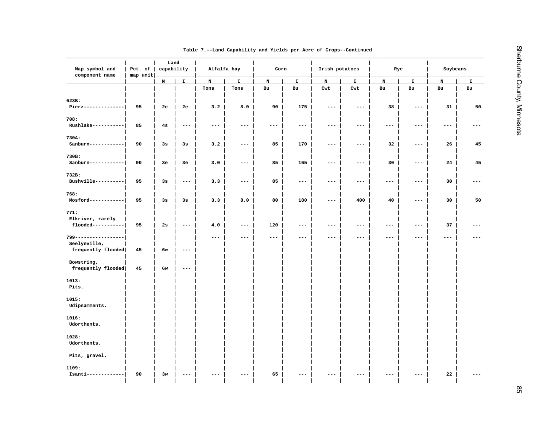| $\mathbf N$<br>$\mathbf{I}$<br>$\mathbf N$<br>$\mathtt I$<br>N<br>$\mathbf I$<br>$\mathbf{I}$<br>N<br>I.<br>N<br>Tons<br>Tons<br>Bu<br>Bu<br>Cwt<br>Cwt<br>Bu<br>Bu<br>Bu<br>623B:<br>3.2<br>8.0<br>175<br>Pierz---------------<br>95<br>2e<br>2e<br>90<br>38<br>$\qquad \qquad - -$<br>$\qquad \qquad - -$<br>$\qquad \qquad - -$<br>708:<br>Rushlake-----------<br>85<br>4s<br>$\qquad \qquad - -$<br>$- - -$<br>$- -$<br>$\qquad \qquad - -$<br>$- - -$<br>$\qquad \qquad - -$<br>$---$<br>$\qquad \qquad - -$<br>$\qquad \qquad -$<br>730A:<br>3.2<br>85<br>170<br>32<br>Sanburn------------<br>90<br>3s<br>3s<br>$- - -$<br>$\qquad \qquad - -$<br>$- - -$<br>$- - -$<br>730B:<br>Sanburn-----------<br>90<br>3e<br>3.0<br>85<br>165<br>30<br>3e<br>$  -$<br>$- - -$<br>$\sim$ $\sim$ $\sim$<br>$\frac{1}{2} \frac{1}{2} \frac{1}{2} \frac{1}{2} \frac{1}{2} \frac{1}{2} \frac{1}{2} \frac{1}{2} \frac{1}{2} \frac{1}{2} \frac{1}{2} \frac{1}{2} \frac{1}{2} \frac{1}{2} \frac{1}{2} \frac{1}{2} \frac{1}{2} \frac{1}{2} \frac{1}{2} \frac{1}{2} \frac{1}{2} \frac{1}{2} \frac{1}{2} \frac{1}{2} \frac{1}{2} \frac{1}{2} \frac{1}{2} \frac{1}{2} \frac{1}{2} \frac{1}{2} \frac{1}{2} \frac{$<br>732B:<br>Bushville----------<br>95<br>3s<br>3.3<br>85<br>$- - -$<br>$- - -$<br>$\qquad \qquad - -$<br>$\frac{1}{2}$<br>$\qquad \qquad - -$<br>$\frac{1}{2}$<br>$\sim$ $\sim$ $\sim$<br>768:<br>Mosford------------<br>95<br>3s<br>3s<br>3.3<br>8.0<br>80<br>180<br>400<br>40<br>$\qquad \qquad - -$<br>$\frac{1}{2}$<br>771:<br>Elkriver, rarely<br>flooded-----------<br>4.0<br>2s<br>120<br>95<br>$\sim$ $\sim$ $\sim$<br>$\sim$ $\sim$ $\sim$<br>$\sim$ $\sim$ $\sim$<br>$\sim$ $\sim$ $\sim$<br>$\qquad \qquad - -$<br>$\qquad \qquad - -$<br>$\qquad \qquad - -$<br>799------------------<br>$\qquad \qquad - -$<br>$\qquad \qquad - -$<br>$- - -$<br>$- - -$<br>$- - -$<br>$\frac{1}{2}$<br>$---$<br>$\qquad \qquad - -$<br>Seelyeville,<br>frequently flooded<br>45<br>6w<br>$\frac{1}{2}$<br>Bowstring,<br>frequently flooded<br>45<br>6w<br>$\qquad \qquad - -$<br>1013:<br>Pits.<br>1015:<br>Udipsamments.<br>1016:<br>Udorthents.<br>1028:<br>Udorthents.<br>Pits, gravel. | Map symbol and<br>component name | Pct. of<br>map unit | Land<br>capability | Alfalfa hay | Corn | Irish potatoes | Rye | Soybeans            |               |
|--------------------------------------------------------------------------------------------------------------------------------------------------------------------------------------------------------------------------------------------------------------------------------------------------------------------------------------------------------------------------------------------------------------------------------------------------------------------------------------------------------------------------------------------------------------------------------------------------------------------------------------------------------------------------------------------------------------------------------------------------------------------------------------------------------------------------------------------------------------------------------------------------------------------------------------------------------------------------------------------------------------------------------------------------------------------------------------------------------------------------------------------------------------------------------------------------------------------------------------------------------------------------------------------------------------------------------------------------------------------------------------------------------------------------------------------------------------------------------------------------------------------------------------------------------------------------------------------------------------------------------------------------------------------------------------------------------------------------------------------------------------------------------------------------------------------------------------------------------------------------------------------------------------------------------------------------------------------------------------------------------------------------------------------------------------------------------------------------------------------------------------------------------------------------------------------|----------------------------------|---------------------|--------------------|-------------|------|----------------|-----|---------------------|---------------|
|                                                                                                                                                                                                                                                                                                                                                                                                                                                                                                                                                                                                                                                                                                                                                                                                                                                                                                                                                                                                                                                                                                                                                                                                                                                                                                                                                                                                                                                                                                                                                                                                                                                                                                                                                                                                                                                                                                                                                                                                                                                                                                                                                                                            |                                  |                     |                    |             |      |                |     | N                   | $\mathbf I$   |
|                                                                                                                                                                                                                                                                                                                                                                                                                                                                                                                                                                                                                                                                                                                                                                                                                                                                                                                                                                                                                                                                                                                                                                                                                                                                                                                                                                                                                                                                                                                                                                                                                                                                                                                                                                                                                                                                                                                                                                                                                                                                                                                                                                                            |                                  |                     |                    |             |      |                |     |                     | Bu            |
|                                                                                                                                                                                                                                                                                                                                                                                                                                                                                                                                                                                                                                                                                                                                                                                                                                                                                                                                                                                                                                                                                                                                                                                                                                                                                                                                                                                                                                                                                                                                                                                                                                                                                                                                                                                                                                                                                                                                                                                                                                                                                                                                                                                            |                                  |                     |                    |             |      |                |     | 31                  | 50            |
|                                                                                                                                                                                                                                                                                                                                                                                                                                                                                                                                                                                                                                                                                                                                                                                                                                                                                                                                                                                                                                                                                                                                                                                                                                                                                                                                                                                                                                                                                                                                                                                                                                                                                                                                                                                                                                                                                                                                                                                                                                                                                                                                                                                            |                                  |                     |                    |             |      |                |     |                     |               |
|                                                                                                                                                                                                                                                                                                                                                                                                                                                                                                                                                                                                                                                                                                                                                                                                                                                                                                                                                                                                                                                                                                                                                                                                                                                                                                                                                                                                                                                                                                                                                                                                                                                                                                                                                                                                                                                                                                                                                                                                                                                                                                                                                                                            |                                  |                     |                    |             |      |                |     |                     |               |
|                                                                                                                                                                                                                                                                                                                                                                                                                                                                                                                                                                                                                                                                                                                                                                                                                                                                                                                                                                                                                                                                                                                                                                                                                                                                                                                                                                                                                                                                                                                                                                                                                                                                                                                                                                                                                                                                                                                                                                                                                                                                                                                                                                                            |                                  |                     |                    |             |      |                |     | $\qquad \qquad -$   | $---$         |
|                                                                                                                                                                                                                                                                                                                                                                                                                                                                                                                                                                                                                                                                                                                                                                                                                                                                                                                                                                                                                                                                                                                                                                                                                                                                                                                                                                                                                                                                                                                                                                                                                                                                                                                                                                                                                                                                                                                                                                                                                                                                                                                                                                                            |                                  |                     |                    |             |      |                |     |                     |               |
|                                                                                                                                                                                                                                                                                                                                                                                                                                                                                                                                                                                                                                                                                                                                                                                                                                                                                                                                                                                                                                                                                                                                                                                                                                                                                                                                                                                                                                                                                                                                                                                                                                                                                                                                                                                                                                                                                                                                                                                                                                                                                                                                                                                            |                                  |                     |                    |             |      |                |     | 26                  | 45            |
|                                                                                                                                                                                                                                                                                                                                                                                                                                                                                                                                                                                                                                                                                                                                                                                                                                                                                                                                                                                                                                                                                                                                                                                                                                                                                                                                                                                                                                                                                                                                                                                                                                                                                                                                                                                                                                                                                                                                                                                                                                                                                                                                                                                            |                                  |                     |                    |             |      |                |     |                     |               |
|                                                                                                                                                                                                                                                                                                                                                                                                                                                                                                                                                                                                                                                                                                                                                                                                                                                                                                                                                                                                                                                                                                                                                                                                                                                                                                                                                                                                                                                                                                                                                                                                                                                                                                                                                                                                                                                                                                                                                                                                                                                                                                                                                                                            |                                  |                     |                    |             |      |                |     | 24                  | 45            |
|                                                                                                                                                                                                                                                                                                                                                                                                                                                                                                                                                                                                                                                                                                                                                                                                                                                                                                                                                                                                                                                                                                                                                                                                                                                                                                                                                                                                                                                                                                                                                                                                                                                                                                                                                                                                                                                                                                                                                                                                                                                                                                                                                                                            |                                  |                     |                    |             |      |                |     |                     |               |
|                                                                                                                                                                                                                                                                                                                                                                                                                                                                                                                                                                                                                                                                                                                                                                                                                                                                                                                                                                                                                                                                                                                                                                                                                                                                                                                                                                                                                                                                                                                                                                                                                                                                                                                                                                                                                                                                                                                                                                                                                                                                                                                                                                                            |                                  |                     |                    |             |      |                |     | 30                  | $\frac{1}{2}$ |
|                                                                                                                                                                                                                                                                                                                                                                                                                                                                                                                                                                                                                                                                                                                                                                                                                                                                                                                                                                                                                                                                                                                                                                                                                                                                                                                                                                                                                                                                                                                                                                                                                                                                                                                                                                                                                                                                                                                                                                                                                                                                                                                                                                                            |                                  |                     |                    |             |      |                |     |                     |               |
|                                                                                                                                                                                                                                                                                                                                                                                                                                                                                                                                                                                                                                                                                                                                                                                                                                                                                                                                                                                                                                                                                                                                                                                                                                                                                                                                                                                                                                                                                                                                                                                                                                                                                                                                                                                                                                                                                                                                                                                                                                                                                                                                                                                            |                                  |                     |                    |             |      |                |     | 30                  | 50            |
|                                                                                                                                                                                                                                                                                                                                                                                                                                                                                                                                                                                                                                                                                                                                                                                                                                                                                                                                                                                                                                                                                                                                                                                                                                                                                                                                                                                                                                                                                                                                                                                                                                                                                                                                                                                                                                                                                                                                                                                                                                                                                                                                                                                            |                                  |                     |                    |             |      |                |     |                     |               |
|                                                                                                                                                                                                                                                                                                                                                                                                                                                                                                                                                                                                                                                                                                                                                                                                                                                                                                                                                                                                                                                                                                                                                                                                                                                                                                                                                                                                                                                                                                                                                                                                                                                                                                                                                                                                                                                                                                                                                                                                                                                                                                                                                                                            |                                  |                     |                    |             |      |                |     |                     |               |
|                                                                                                                                                                                                                                                                                                                                                                                                                                                                                                                                                                                                                                                                                                                                                                                                                                                                                                                                                                                                                                                                                                                                                                                                                                                                                                                                                                                                                                                                                                                                                                                                                                                                                                                                                                                                                                                                                                                                                                                                                                                                                                                                                                                            |                                  |                     |                    |             |      |                |     | 37                  | $- - -$       |
|                                                                                                                                                                                                                                                                                                                                                                                                                                                                                                                                                                                                                                                                                                                                                                                                                                                                                                                                                                                                                                                                                                                                                                                                                                                                                                                                                                                                                                                                                                                                                                                                                                                                                                                                                                                                                                                                                                                                                                                                                                                                                                                                                                                            |                                  |                     |                    |             |      |                |     | $\qquad \qquad - -$ |               |
|                                                                                                                                                                                                                                                                                                                                                                                                                                                                                                                                                                                                                                                                                                                                                                                                                                                                                                                                                                                                                                                                                                                                                                                                                                                                                                                                                                                                                                                                                                                                                                                                                                                                                                                                                                                                                                                                                                                                                                                                                                                                                                                                                                                            |                                  |                     |                    |             |      |                |     |                     |               |
|                                                                                                                                                                                                                                                                                                                                                                                                                                                                                                                                                                                                                                                                                                                                                                                                                                                                                                                                                                                                                                                                                                                                                                                                                                                                                                                                                                                                                                                                                                                                                                                                                                                                                                                                                                                                                                                                                                                                                                                                                                                                                                                                                                                            |                                  |                     |                    |             |      |                |     |                     |               |
|                                                                                                                                                                                                                                                                                                                                                                                                                                                                                                                                                                                                                                                                                                                                                                                                                                                                                                                                                                                                                                                                                                                                                                                                                                                                                                                                                                                                                                                                                                                                                                                                                                                                                                                                                                                                                                                                                                                                                                                                                                                                                                                                                                                            |                                  |                     |                    |             |      |                |     |                     |               |
|                                                                                                                                                                                                                                                                                                                                                                                                                                                                                                                                                                                                                                                                                                                                                                                                                                                                                                                                                                                                                                                                                                                                                                                                                                                                                                                                                                                                                                                                                                                                                                                                                                                                                                                                                                                                                                                                                                                                                                                                                                                                                                                                                                                            |                                  |                     |                    |             |      |                |     |                     |               |
|                                                                                                                                                                                                                                                                                                                                                                                                                                                                                                                                                                                                                                                                                                                                                                                                                                                                                                                                                                                                                                                                                                                                                                                                                                                                                                                                                                                                                                                                                                                                                                                                                                                                                                                                                                                                                                                                                                                                                                                                                                                                                                                                                                                            |                                  |                     |                    |             |      |                |     |                     |               |
|                                                                                                                                                                                                                                                                                                                                                                                                                                                                                                                                                                                                                                                                                                                                                                                                                                                                                                                                                                                                                                                                                                                                                                                                                                                                                                                                                                                                                                                                                                                                                                                                                                                                                                                                                                                                                                                                                                                                                                                                                                                                                                                                                                                            |                                  |                     |                    |             |      |                |     |                     |               |
|                                                                                                                                                                                                                                                                                                                                                                                                                                                                                                                                                                                                                                                                                                                                                                                                                                                                                                                                                                                                                                                                                                                                                                                                                                                                                                                                                                                                                                                                                                                                                                                                                                                                                                                                                                                                                                                                                                                                                                                                                                                                                                                                                                                            |                                  |                     |                    |             |      |                |     |                     |               |
|                                                                                                                                                                                                                                                                                                                                                                                                                                                                                                                                                                                                                                                                                                                                                                                                                                                                                                                                                                                                                                                                                                                                                                                                                                                                                                                                                                                                                                                                                                                                                                                                                                                                                                                                                                                                                                                                                                                                                                                                                                                                                                                                                                                            |                                  |                     |                    |             |      |                |     |                     |               |
|                                                                                                                                                                                                                                                                                                                                                                                                                                                                                                                                                                                                                                                                                                                                                                                                                                                                                                                                                                                                                                                                                                                                                                                                                                                                                                                                                                                                                                                                                                                                                                                                                                                                                                                                                                                                                                                                                                                                                                                                                                                                                                                                                                                            |                                  |                     |                    |             |      |                |     |                     |               |
|                                                                                                                                                                                                                                                                                                                                                                                                                                                                                                                                                                                                                                                                                                                                                                                                                                                                                                                                                                                                                                                                                                                                                                                                                                                                                                                                                                                                                                                                                                                                                                                                                                                                                                                                                                                                                                                                                                                                                                                                                                                                                                                                                                                            |                                  |                     |                    |             |      |                |     |                     |               |
|                                                                                                                                                                                                                                                                                                                                                                                                                                                                                                                                                                                                                                                                                                                                                                                                                                                                                                                                                                                                                                                                                                                                                                                                                                                                                                                                                                                                                                                                                                                                                                                                                                                                                                                                                                                                                                                                                                                                                                                                                                                                                                                                                                                            |                                  |                     |                    |             |      |                |     |                     |               |
|                                                                                                                                                                                                                                                                                                                                                                                                                                                                                                                                                                                                                                                                                                                                                                                                                                                                                                                                                                                                                                                                                                                                                                                                                                                                                                                                                                                                                                                                                                                                                                                                                                                                                                                                                                                                                                                                                                                                                                                                                                                                                                                                                                                            |                                  |                     |                    |             |      |                |     |                     |               |
|                                                                                                                                                                                                                                                                                                                                                                                                                                                                                                                                                                                                                                                                                                                                                                                                                                                                                                                                                                                                                                                                                                                                                                                                                                                                                                                                                                                                                                                                                                                                                                                                                                                                                                                                                                                                                                                                                                                                                                                                                                                                                                                                                                                            |                                  |                     |                    |             |      |                |     |                     |               |
| 1109:                                                                                                                                                                                                                                                                                                                                                                                                                                                                                                                                                                                                                                                                                                                                                                                                                                                                                                                                                                                                                                                                                                                                                                                                                                                                                                                                                                                                                                                                                                                                                                                                                                                                                                                                                                                                                                                                                                                                                                                                                                                                                                                                                                                      |                                  |                     |                    |             |      |                |     |                     |               |
| Isanti-------------<br>65<br>90<br>3w<br>$---$<br>$---$                                                                                                                                                                                                                                                                                                                                                                                                                                                                                                                                                                                                                                                                                                                                                                                                                                                                                                                                                                                                                                                                                                                                                                                                                                                                                                                                                                                                                                                                                                                                                                                                                                                                                                                                                                                                                                                                                                                                                                                                                                                                                                                                    |                                  |                     |                    |             |      |                |     | 22                  |               |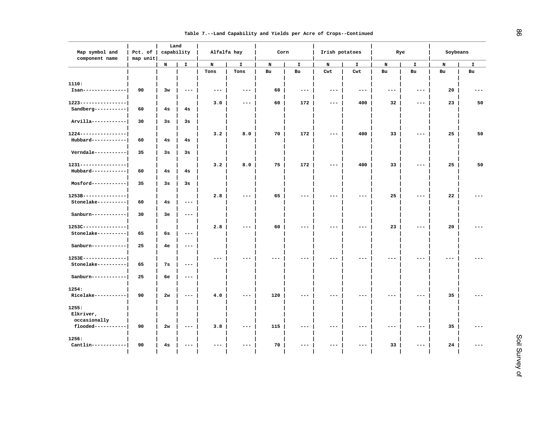|  |  |  |  | Table 7.--Land Capability and Yields per Acre of Crops--Continued |
|--|--|--|--|-------------------------------------------------------------------|

| Map symbol and<br>component name                        | Pct. of<br>map unit | Land<br>capability |                     | Alfalfa hay         |                     | Corn |                                                                                                                                                                                                                                                                                                                                                                                              | Irish potatoes      |                     | Rye                 |                     | Soybeans |    |
|---------------------------------------------------------|---------------------|--------------------|---------------------|---------------------|---------------------|------|----------------------------------------------------------------------------------------------------------------------------------------------------------------------------------------------------------------------------------------------------------------------------------------------------------------------------------------------------------------------------------------------|---------------------|---------------------|---------------------|---------------------|----------|----|
|                                                         |                     | N                  | $\mathbf{I}$        | N                   | $\mathbf{I}$        | N    | $\mathbf{I}$                                                                                                                                                                                                                                                                                                                                                                                 | N                   | I.                  | N                   | $\mathbf{I}$        | N        | I. |
|                                                         |                     |                    |                     | Tons                | Tons                | Bu   | Bu                                                                                                                                                                                                                                                                                                                                                                                           | Cwt                 | Cwt                 | Bu                  | Bu                  | Bu       | Bu |
| 1110:<br>Isan---------------                            | 90                  | 3w                 | $\qquad \qquad - -$ | $\qquad \qquad - -$ | $---$               | 60   | $\frac{1}{2} \frac{1}{2} \frac{1}{2} \frac{1}{2} \frac{1}{2} \frac{1}{2} \frac{1}{2} \frac{1}{2} \frac{1}{2} \frac{1}{2} \frac{1}{2} \frac{1}{2} \frac{1}{2} \frac{1}{2} \frac{1}{2} \frac{1}{2} \frac{1}{2} \frac{1}{2} \frac{1}{2} \frac{1}{2} \frac{1}{2} \frac{1}{2} \frac{1}{2} \frac{1}{2} \frac{1}{2} \frac{1}{2} \frac{1}{2} \frac{1}{2} \frac{1}{2} \frac{1}{2} \frac{1}{2} \frac{$ | $\qquad \qquad - -$ | $\qquad \qquad - -$ | $\qquad \qquad - -$ | $---$               | 20       |    |
| $1223 - - - - - - - - - - - - -$<br>Sandberg----------- | 60                  | 4s                 | 4s                  | 3.0                 | $---$               | 60   | 172                                                                                                                                                                                                                                                                                                                                                                                          | $---$               | 400                 | 32                  | $---$               | 23       | 50 |
| Arvilla------------                                     | 30                  | 3s                 | 3s                  |                     |                     |      |                                                                                                                                                                                                                                                                                                                                                                                              |                     |                     |                     |                     |          |    |
| $1224 - - - - - - - - - - - - -$<br>Hubbard------------ | 60                  | 4s                 | 4s                  | 3.2                 | 8.0                 | 70   | 172                                                                                                                                                                                                                                                                                                                                                                                          | $---$               | 400                 | 33                  | ---                 | 25       | 50 |
| $Verndale-----$                                         | 35                  | 3s                 | 3s                  |                     |                     |      |                                                                                                                                                                                                                                                                                                                                                                                              |                     |                     |                     |                     |          |    |
| 1231-----------------<br>Hubbard------------            | 60                  | 4s                 | 4s                  | 3.2                 | 8.0                 | 75   | 172                                                                                                                                                                                                                                                                                                                                                                                          | $---$               | 400                 | 33                  | ---                 | 25       | 50 |
| $Mostord-----$                                          | 35                  | 3s                 | 3s                  |                     |                     |      |                                                                                                                                                                                                                                                                                                                                                                                              |                     |                     |                     |                     |          |    |
| 1253B---------------<br>Stonelake----------             | 60                  | 4s                 | $- -$               | 2.8                 | $\qquad \qquad - -$ | 65   | $---$                                                                                                                                                                                                                                                                                                                                                                                        | $---$               | $\qquad \qquad - -$ | 25                  | $\qquad \qquad - -$ | 22       |    |
| $\verb Sanhurn---------- $                              | 30                  | 3e                 | $\qquad \qquad - -$ |                     |                     |      |                                                                                                                                                                                                                                                                                                                                                                                              |                     |                     |                     |                     |          |    |
| $1253C--------------$<br>Stonelake----------            | 65                  | 6s                 | $\qquad \qquad - -$ | 2.8                 | ---                 | 60   | ---                                                                                                                                                                                                                                                                                                                                                                                          | ---                 | $---$               | 23                  | ---                 | 20       |    |
| Sanburn------------                                     | 25                  | 4e                 | $\qquad \qquad - -$ |                     |                     |      |                                                                                                                                                                                                                                                                                                                                                                                              |                     |                     |                     |                     |          |    |
| 1253E---------------<br>Stonelake----------             | 65                  | 7s                 | $---$               | $- - -$             |                     |      |                                                                                                                                                                                                                                                                                                                                                                                              |                     |                     | $--$                |                     | ---      |    |
| Sanburn------------                                     | 25                  | 6е                 | $---$               |                     |                     |      |                                                                                                                                                                                                                                                                                                                                                                                              |                     |                     |                     |                     |          |    |
| 1254:<br>Ricelake-----------                            | 90                  | 2w                 | $- - -$             | 4.0                 | $- - -$             | 120  | $- - -$                                                                                                                                                                                                                                                                                                                                                                                      | $- - -$             | $- - -$             | $---$               | $- - -$             | 35       |    |
| 1255:<br>Elkriver,<br>occasionally                      |                     |                    |                     |                     |                     |      |                                                                                                                                                                                                                                                                                                                                                                                              |                     |                     |                     |                     |          |    |
| flooded-----------                                      | 90                  | 2w                 | ---                 | 3.8                 | $---$               | 115  |                                                                                                                                                                                                                                                                                                                                                                                              | ---                 | $---$               | $---$               | ---                 | 35       |    |
| 1256:<br>Cantlin------------                            | 90                  | 4s                 | ---                 | $- - -$             | ---                 | 70   | ---                                                                                                                                                                                                                                                                                                                                                                                          | ---                 | $\qquad \qquad - -$ | 33                  | ---                 | 24       |    |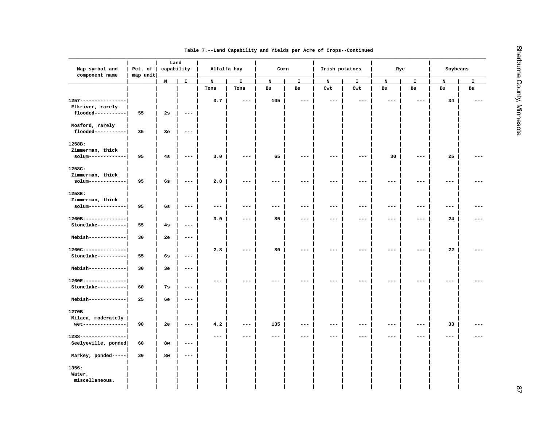| Map symbol and<br>component name   | Pct. of | Land<br>capability<br>map unit |                     | Alfalfa hay |                   | Corn                |                     | Irish potatoes |       | Rye   |       | Soybeans |    |
|------------------------------------|---------|--------------------------------|---------------------|-------------|-------------------|---------------------|---------------------|----------------|-------|-------|-------|----------|----|
|                                    |         | N                              | I.                  | N           | I                 | N                   | I                   | N              | I     | N     | I     | N        | I  |
|                                    |         |                                |                     | Tons        | Tons              | ${\tt Bu}$          | Bu                  | Cwt            | Cwt   | Bu    | Bu    | Bu       | Bu |
| $1257 - - - - - - - - - - - - - -$ |         |                                |                     | 3.7         | $- - -$           | 105                 | $---$               | $ -$           |       |       | ---   | 34       |    |
| Elkriver, rarely                   |         |                                |                     |             |                   |                     |                     |                |       |       |       |          |    |
| flooded-----------                 | 55      | 2s                             | $\qquad \qquad - -$ |             |                   |                     |                     |                |       |       |       |          |    |
| Mosford, rarely                    |         |                                |                     |             |                   |                     |                     |                |       |       |       |          |    |
| flooded-----------                 | 35      | 3e                             | $\qquad \qquad -$   |             |                   |                     |                     |                |       |       |       |          |    |
| 1258B:                             |         |                                |                     |             |                   |                     |                     |                |       |       |       |          |    |
| Zimmerman, thick                   |         |                                |                     |             |                   |                     |                     |                |       |       |       |          |    |
| solum-------------                 | 95      | 4s                             | $---$               | 3.0         |                   | 65                  | $---$               | $---$          | $---$ | 30    | $---$ | 25       |    |
| 1258C:                             |         |                                |                     |             |                   |                     |                     |                |       |       |       |          |    |
| Zimmerman, thick                   |         |                                |                     |             |                   |                     |                     |                |       |       |       |          |    |
| solum-------------                 | 95      | 6s                             | $\qquad \qquad - -$ | 2.8         |                   |                     | ---                 |                |       |       |       |          |    |
| 1258E:                             |         |                                |                     |             |                   |                     |                     |                |       |       |       |          |    |
| Zimmerman, thick                   |         |                                |                     |             |                   |                     |                     |                |       |       |       |          |    |
| solum-------------                 | 95      | 6s                             | $---$               | $---$       | $---$             | $---$               | $\qquad \qquad -$   | $---$          | $---$ | $---$ | $---$ | ---      |    |
| 1260B---------------               |         |                                |                     | 3.0         | $---$             | 85                  | $\qquad \qquad -$   | $---$          | $---$ | $---$ | $---$ | 24       |    |
| Stonelake----------                | 55      | 4s                             | $- - -$             |             |                   |                     |                     |                |       |       |       |          |    |
| Nebish-------------                | 30      | 2е                             | $\qquad \qquad - -$ |             |                   |                     |                     |                |       |       |       |          |    |
| 1260C---------------               |         |                                |                     | 2.8         | $---$             | 80                  | $\qquad \qquad - -$ | $---$          | $---$ | $---$ | $---$ | 22       |    |
| Stonelake----------                | 55      | 6s                             | $\qquad \qquad - -$ |             |                   |                     |                     |                |       |       |       |          |    |
| Nebish-------------                | 30      | Зе                             | $\qquad \qquad - -$ |             |                   |                     |                     |                |       |       |       |          |    |
| 1260E---------------               |         |                                |                     |             |                   |                     |                     |                |       |       |       |          |    |
| Stonelake----------                | 60      | 7s                             | $---$               |             |                   |                     |                     |                |       |       |       |          |    |
| Nebish-------------                | 25      | 6е                             | $---$               |             |                   |                     |                     |                |       |       |       |          |    |
| 1270B                              |         |                                |                     |             |                   |                     |                     |                |       |       |       |          |    |
| Milaca, moderately                 |         |                                |                     |             |                   |                     |                     |                |       |       |       |          |    |
| wet---------------                 | 90      | 2e                             | $---$               | 4.2         | $\qquad \qquad -$ | 135                 | $\qquad \qquad -$   | $---$          | $---$ | $---$ | $---$ | 33       |    |
| 1288----------------               |         |                                |                     | ---         |                   | $\qquad \qquad - -$ | $\qquad \qquad - -$ | ---            | $---$ | ---   |       |          |    |
| Seelyeville, ponded                | 60      | 8w                             | $---$               |             |                   |                     |                     |                |       |       |       |          |    |
| Markey, ponded-----                | 30      | 8w                             | $---$               |             |                   |                     |                     |                |       |       |       |          |    |
| 1356:                              |         |                                |                     |             |                   |                     |                     |                |       |       |       |          |    |
| Water,                             |         |                                |                     |             |                   |                     |                     |                |       |       |       |          |    |
| miscellaneous.                     |         |                                |                     |             |                   |                     |                     |                |       |       |       |          |    |
|                                    |         |                                |                     |             |                   |                     |                     |                |       |       |       |          |    |
|                                    |         |                                |                     |             |                   |                     |                     |                |       |       |       |          |    |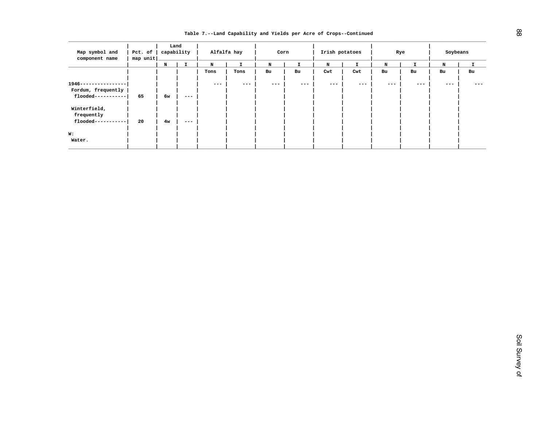|                               |          | Land       |       |         |             |         |       |                     |         |         |     |          |         |
|-------------------------------|----------|------------|-------|---------|-------------|---------|-------|---------------------|---------|---------|-----|----------|---------|
| Map symbol and                | Pct. of  | capability |       |         | Alfalfa hay | Corn    |       | Irish potatoes      |         |         | Rye | Soybeans |         |
| component name                | map unit |            |       |         |             |         |       |                     |         |         |     |          |         |
|                               |          | N          |       | N       |             | N       |       | N                   | I.      | N       |     | N        | I       |
|                               |          |            |       | Tons    | Tons        | Bu      | Bu    | Cwt                 | Cwt     | Bu      | Bu  | Bu       | Bu      |
|                               |          |            |       |         |             |         |       |                     |         |         |     |          |         |
| $1946 - - - -$<br>----------- |          |            |       | $- - -$ | $- - -$     | $- - -$ | $---$ | $\qquad \qquad - -$ | $- - -$ | $- - -$ | --- | $- - -$  | $- - -$ |
| Fordum, frequently            |          |            |       |         |             |         |       |                     |         |         |     |          |         |
| flooded--<br>--------         | 65       | 6w         | $---$ |         |             |         |       |                     |         |         |     |          |         |
|                               |          |            |       |         |             |         |       |                     |         |         |     |          |         |
| Winterfield,                  |          |            |       |         |             |         |       |                     |         |         |     |          |         |
| frequently                    |          |            |       |         |             |         |       |                     |         |         |     |          |         |
| flooded-                      | 20       | 4w         | $---$ |         |             |         |       |                     |         |         |     |          |         |
|                               |          |            |       |         |             |         |       |                     |         |         |     |          |         |
| w:                            |          |            |       |         |             |         |       |                     |         |         |     |          |         |
| Water.                        |          |            |       |         |             |         |       |                     |         |         |     |          |         |
|                               |          |            |       |         |             |         |       |                     |         |         |     |          |         |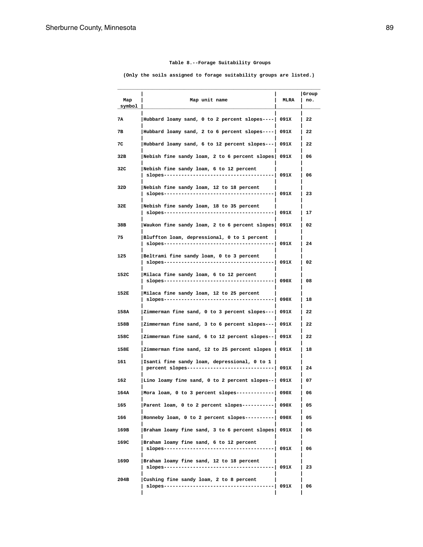# **Table 8.--Forage Suitability Groups**

 **(Only the soils assigned to forage suitability groups are listed.)**

| Map<br>symbol | Map unit name                                                                               | MLRA | Group<br>no. |
|---------------|---------------------------------------------------------------------------------------------|------|--------------|
| 7А            | Hubbard loamy sand, 0 to 2 percent slopes----  091X                                         |      | 22           |
| 7в            | Hubbard loamy sand, 2 to 6 percent slopes----                                               | 091X | 22           |
| 7C            | Hubbard loamy sand, 6 to 12 percent slopes---                                               | 091X | 22           |
| 32B           | Nebish fine sandy loam, 2 to 6 percent slopes 091X                                          |      | 06           |
| 32C           | Nebish fine sandy loam, 6 to 12 percent<br>$s$ lopes----------                              | 091X | 06           |
| 32D           | Nebish fine sandy loam, 12 to 18 percent<br>slopes-----------<br>.                          | 091X | 23           |
| 32E           | Nebish fine sandy loam, 18 to 35 percent<br>slopes-------<br>.                              | 091X | 17           |
| 38B           | Waukon fine sandy loam, 2 to 6 percent slopes                                               | 091X | 02           |
| 75            | Bluffton loam, depressional, 0 to 1 percent<br>slopes------------------                     | 091X | 24           |
| 125           | Beltrami fine sandy loam, 0 to 3 percent<br>slopes--------                                  | 091X | 02           |
| 152C          | Milaca fine sandy loam, 6 to 12 percent<br>slopes---------------------                      | 090X | 08           |
| 152E          | Milaca fine sandy loam, 12 to 25 percent<br>$slopes-----$                                   | 090X | 18           |
| 158A          | Zimmerman fine sand, 0 to 3 percent slopes---                                               | 091X | 22           |
| 158B          | Zimmerman fine sand, 3 to 6 percent slopes---                                               | 091X | 22           |
| 158C          | Zimmerman fine sand, 6 to 12 percent slopes--                                               | 091X | 22           |
| 158E          | Zimmerman fine sand, 12 to 25 percent slopes                                                | 091X | 18           |
| 161           | Isanti fine sandy loam, depressional, 0 to 1<br>percent slopes----------------------------- | 091X | 24           |
| 162           | Lino loamy fine sand, 0 to 2 percent slopes--                                               | 091X | 07           |
| 164A          | Mora loam, 0 to 3 percent slopes--------                                                    | 090X | 06           |
| 165           | Parent loam, 0 to 2 percent slopes----------  090X                                          |      | 05           |
| 166           | Ronneby loam, 0 to 2 percent slopes---------- 090X                                          |      | 05           |
| 169B          | Braham loamy fine sand, 3 to 6 percent slopes  091X                                         |      | 06           |
| 169C          | Braham loamy fine sand, 6 to 12 percent                                                     | 091X | 06           |
| 169D          | Braham loamy fine sand, 12 to 18 percent                                                    | 091X | 23           |
| 204B          | Cushing fine sandy loam, 2 to 8 percent<br>slopes-------------------------------            | 091X | 06           |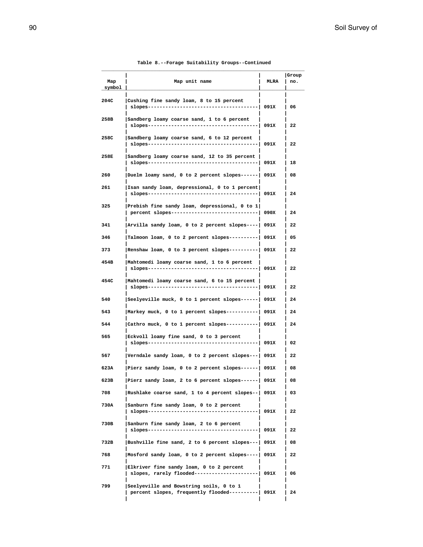# **Table 8.--Forage Suitability Groups--Continued**

| Map<br>symbol | Map unit name                                                                                 | <b>MLRA</b> | Group<br>no. |
|---------------|-----------------------------------------------------------------------------------------------|-------------|--------------|
| 204C          | Cushing fine sandy loam, 8 to 15 percent<br>slopes-------------                               | 091X        | 06           |
| 258B          | Sandberg loamy coarse sand, 1 to 6 percent<br>slopes--------------------------------          | 091X        | 22           |
| 258C          | Sandberg loamy coarse sand, 6 to 12 percent<br>slopes-------------                            | 091X        | 22           |
| 258E          | Sandberg loamy coarse sand, 12 to 35 percent                                                  | 091X        | 18           |
| 260           | Duelm loamy sand, 0 to 2 percent slopes------  091X                                           |             | 08           |
| 261           | Isan sandy loam, depressional, 0 to 1 percent <br>slopes------------                          | 091X        | 24           |
| 325           | Prebish fine sandy loam, depressional, 0 to 1<br>percent slopes------------------------------ | 090X        | 24           |
| 341           | Arvilla sandy loam, 0 to 2 percent slopes----   091X                                          |             | 22           |
| 346           | Talmoon loam, 0 to 2 percent slopes----------  091X                                           |             | 05           |
| 373           | Renshaw loam, 0 to 3 percent slopes---------  091X                                            |             | 22           |
| 454B          | Mahtomedi loamy coarse sand, 1 to 6 percent<br>slopes------------                             | 091X        | 22           |
| 454C          | Mahtomedi loamy coarse sand, 6 to 15 percent  <br>slopes----------------------                | 091X        | 22           |
| 540           | Seelyeville muck, 0 to 1 percent slopes------  091X                                           |             | 24           |
| 543           | Markey muck, 0 to 1 percent slopes-----------  091X                                           |             | 24           |
| 544           | Cathro muck, 0 to 1 percent slopes----------  091X                                            |             | 24           |
| 565           | Eckvoll loamy fine sand, 0 to 3 percent<br>slopes------                                       | 091X        | 02           |
| 567           | Verndale sandy loam, 0 to 2 percent slopes---  091X                                           |             | 22           |
| 623A          | Pierz sandy loam, 0 to 2 percent slopes------  091X                                           |             | 08           |
| 623B          | Pierz sandy loam, 2 to 6 percent slopes------  091X                                           |             | 08           |
| 708           | Rushlake coarse sand, 1 to 4 percent slopes--  091X                                           |             | 03           |
| 730A          | Sanburn fine sandy loam, 0 to 2 percent                                                       | 091X        | 22           |
| 730B          | Sanburn fine sandy loam, 2 to 6 percent                                                       |             | 22           |
| 732B          | Bushville fine sand, 2 to 6 percent slopes ---   091X                                         |             | 08           |
| 768           | Mosford sandy loam, 0 to 2 percent slopes----  091X                                           |             | 22           |
| 771           | Elkriver fine sandy loam, 0 to 2 percent<br>slopes, rarely flooded----------------------      | 091X        | 06           |
| 799           | Seelyeville and Bowstring soils, 0 to 1<br>percent slopes, frequently flooded----------  091X |             | 24           |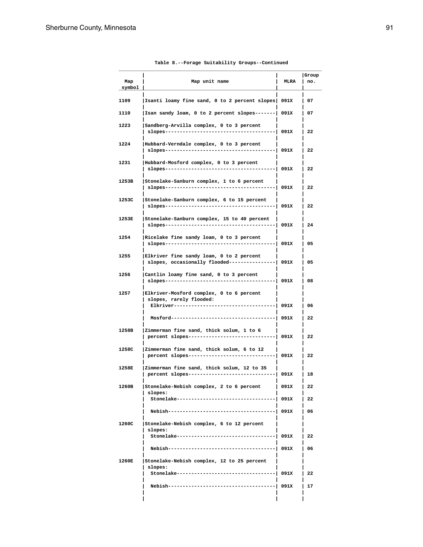| Map<br>symbol | Map unit name                                                                                                  | <b>MLRA</b> | Group<br>no. |
|---------------|----------------------------------------------------------------------------------------------------------------|-------------|--------------|
| 1109          | Isanti loamy fine sand, 0 to 2 percent slopes  091X                                                            |             | 07           |
| 1110          | Isan sandy loam, 0 to 2 percent slopes-------  091X                                                            |             | 07           |
| 1223          | Sandberg-Arvilla complex, 0 to 3 percent<br>$slopes-----$                                                      | 091X        | 22           |
| 1224          | Hubbard-Verndale complex, 0 to 3 percent<br>$slopes---$                                                        | 091X        | 22           |
| 1231          | Hubbard-Mosford complex, 0 to 3 percent<br>slopes--------------------------                                    | 091X        | 22           |
| 1253B         | Stonelake-Sanburn complex, 1 to 6 percent<br>slopes--------------------                                        | 091X        | 22           |
| 1253C         | Stonelake-Sanburn complex, 6 to 15 percent<br>slopes--------------------------------                           | 091X        | 22           |
| 1253E         | Stonelake-Sanburn complex, 15 to 40 percent<br>slopes---------------------------------                         | 091X        | 24           |
| 1254          | Ricelake fine sandy loam, 0 to 3 percent<br>$s$ lopes-----------                                               | 091X        | 05           |
| 1255          | Elkriver fine sandy loam, 0 to 2 percent<br>slopes, occasionally flooded--------------                         | 091X        | 05           |
| 1256          | Cantlin loamy fine sand, 0 to 3 percent<br>slopes--------------                                                | 091X        | 08           |
| 1257          | Elkriver-Mosford complex, 0 to 6 percent<br>slopes, rarely flooded:<br>Elkriver------------------------------- | 091X        | 06           |
|               | Mosford----------------<br>--------------                                                                      | 091X        | 22           |
| 1258B         | Zimmerman fine sand, thick solum, 1 to 6<br>percent slopes-----------------                                    | 091X        | 22           |
| 1258C         | Zimmerman fine sand, thick solum, 6 to 12<br>percent slopes----------------------------                        | 091X        | 22           |
| 1258E         | Zimmerman fine sand, thick solum, 12 to 35<br>percent slopes---------------                                    | 091X        | 18           |
| 1260B         | Stonelake-Nebish complex, 2 to 6 percent<br>slopes:                                                            | 091X        | 22           |
|               | Stonelake-------------------------                                                                             | 091X        | 22           |
|               |                                                                                                                | 091X        | 06           |
| 1260C         | Stonelake-Nebish complex, 6 to 12 percent<br>slopes:                                                           |             |              |
|               | Stonelake--------------------------                                                                            | 091X        | 22           |
|               | Nebish--------                                                                                                 | 091X        | 06           |
| 1260E         | Stonelake-Nebish complex, 12 to 25 percent<br>slopes:                                                          |             |              |
|               | Stonelake----------                                                                                            | 091X        | 22           |
|               | Nebish----------------------------                                                                             | 091X        | 17           |
|               |                                                                                                                |             |              |

# **Table 8.--Forage Suitability Groups--Continued**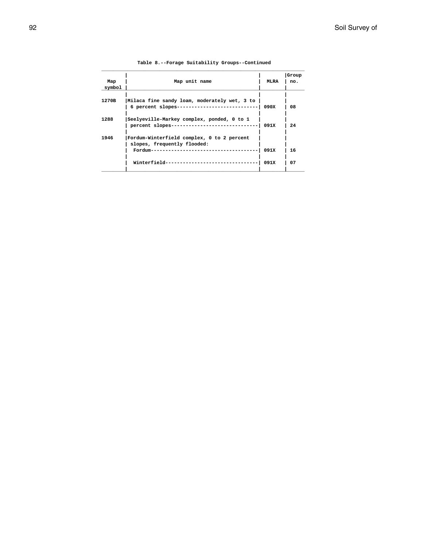|        |                                              |      | Group |
|--------|----------------------------------------------|------|-------|
| Map    | Map unit name                                | MLRA | no.   |
| symbol |                                              |      |       |
|        |                                              |      |       |
| 1270B  | Milaca fine sandy loam, moderately wet, 3 to |      |       |
|        | 6 percent slopes---------------------------- | 090X | 08    |
|        |                                              |      |       |
| 1288   | Seelyeville-Markey complex, ponded, 0 to 1   |      |       |
|        | percent slopes------------------------       | 091X | 24    |
| 1946   | Fordum-Winterfield complex, 0 to 2 percent   |      |       |
|        | slopes, frequently flooded:                  |      |       |
|        | Fordum----------------------------           | 091X | 16    |
|        |                                              |      |       |
|        | Winterfield--------                          | 091X | 07    |
|        |                                              |      |       |

# **Table 8.--Forage Suitability Groups--Continued**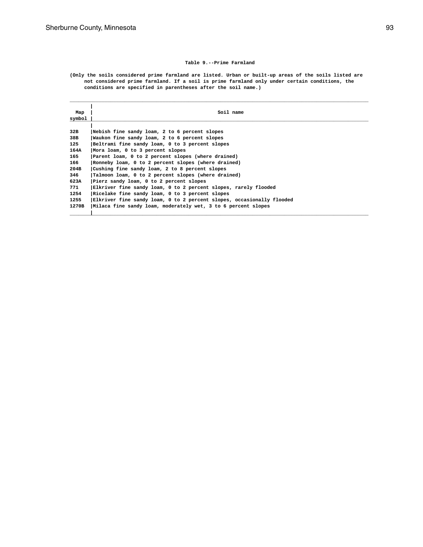### **Table 9.--Prime Farmland**

**(Only the soils considered prime farmland are listed. Urban or built-up areas of the soils listed are not considered prime farmland. If a soil is prime farmland only under certain conditions, the conditions are specified in parentheses after the soil name.)**

| Map<br>symbol | Soil name                                                             |
|---------------|-----------------------------------------------------------------------|
|               |                                                                       |
| 32B           | Nebish fine sandy loam, 2 to 6 percent slopes                         |
| 38B           | Waukon fine sandy loam, 2 to 6 percent slopes                         |
| 125           | Beltrami fine sandy loam, 0 to 3 percent slopes                       |
| 164A          | Mora loam, 0 to 3 percent slopes                                      |
| 165           | Parent loam, 0 to 2 percent slopes (where drained)                    |
| 166           | Ronneby loam, 0 to 2 percent slopes (where drained)                   |
| 204B          | Cushing fine sandy loam, 2 to 8 percent slopes                        |
| 346           | Talmoon loam, 0 to 2 percent slopes (where drained)                   |
| 623A          | Pierz sandy loam, 0 to 2 percent slopes                               |
| 771           | Elkriver fine sandy loam, 0 to 2 percent slopes, rarely flooded       |
| 1254          | Ricelake fine sandy loam, 0 to 3 percent slopes                       |
| 1255          | Elkriver fine sandy loam, 0 to 2 percent slopes, occasionally flooded |
| 1270B         | Milaca fine sandy loam, moderately wet, 3 to 6 percent slopes         |
|               |                                                                       |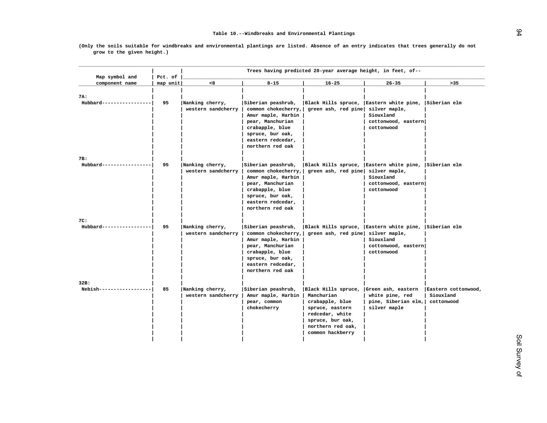|                                  |                     |                                       |                                                                                                                                                                     | Trees having predicted 20-year average height, in feet, of--                                                                                            |                                                                                                     |                                                |
|----------------------------------|---------------------|---------------------------------------|---------------------------------------------------------------------------------------------------------------------------------------------------------------------|---------------------------------------------------------------------------------------------------------------------------------------------------------|-----------------------------------------------------------------------------------------------------|------------------------------------------------|
| Map symbol and<br>component name | Pct. of<br>map unit | < 8                                   | $8 - 15$                                                                                                                                                            | $16 - 25$                                                                                                                                               | $26 - 35$                                                                                           | >35                                            |
| 7A:<br>Hubbard-----------------  | 95                  | Nanking cherry,<br>western sandcherry | Siberian peashrub,<br>common chokecherry,<br>Amur maple, Harbin<br>pear, Manchurian<br>crabapple, blue<br>spruce, bur oak,<br>eastern redcedar,<br>northern red oak | Black Hills spruce, Eastern white pine, Siberian elm<br>green ash, red pine                                                                             | silver maple,<br>Siouxland<br>cottonwood, eastern<br>cottonwood                                     |                                                |
| 7B:<br>Hubbard-----------------  | 95                  | Nanking cherry,<br>western sandcherry | Siberian peashrub,<br>common chokecherry,<br>Amur maple, Harbin<br>pear, Manchurian<br>crabapple, blue<br>spruce, bur oak,<br>eastern redcedar,<br>northern red oak | Black Hills spruce, Eastern white pine, Siberian elm<br>green ash, red pine                                                                             | silver maple,<br>Siouxland<br>cottonwood, eastern<br>cottonwood                                     |                                                |
| 7C:<br>Hubbard-----------------  | 95                  | Nanking cherry,<br>western sandcherry | Siberian peashrub,<br>common chokecherry,<br>Amur maple, Harbin<br>pear, Manchurian<br>crabapple, blue<br>spruce, bur oak,<br>eastern redcedar,<br>northern red oak | Black Hills spruce,<br>green ash, red pine                                                                                                              | Eastern white pine, Siberian elm<br>silver maple,<br>Siouxland<br>cottonwood, eastern<br>cottonwood |                                                |
| 32B:<br>Nebish------------------ | 85                  | Nanking cherry,<br>western sandcherry | Siberian peashrub,<br>Amur maple, Harbin<br>pear, common<br>chokecherry                                                                                             | Black Hills spruce,<br>Manchurian<br>crabapple, blue<br>spruce, eastern<br>redcedar, white<br>spruce, bur oak,<br>northern red oak,<br>common hackberry | Green ash, eastern<br>white pine, red<br>pine, Siberian elm,<br>silver maple                        | Eastern cottonwood,<br>Siouxland<br>cottonwood |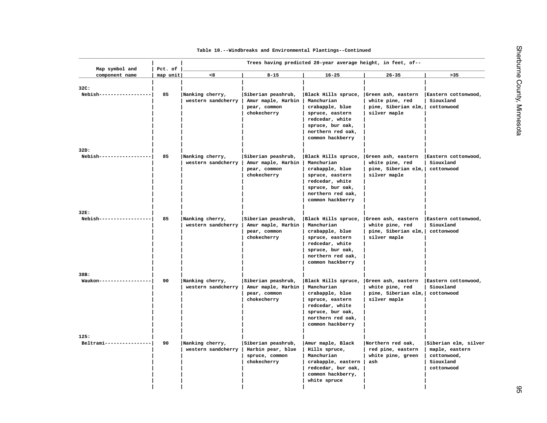| Map symbol and                   | Pct. of  |                                       |                                                                         | Trees having predicted 20-year average height, in feet, of--                                                                                            |                                                                              |                                                          |
|----------------------------------|----------|---------------------------------------|-------------------------------------------------------------------------|---------------------------------------------------------------------------------------------------------------------------------------------------------|------------------------------------------------------------------------------|----------------------------------------------------------|
| component name                   | map unit | < 8                                   | $8 - 15$                                                                | $16 - 25$                                                                                                                                               | $26 - 35$                                                                    | >35                                                      |
| 32C:<br>Nebish--------------     | 85       | Nanking cherry,<br>western sandcherry | Siberian peashrub,<br>Amur maple, Harbin<br>pear, common<br>chokecherry | Black Hills spruce,<br>Manchurian<br>crabapple, blue<br>spruce, eastern<br>redcedar, white<br>spruce, bur oak,<br>northern red oak,<br>common hackberry | Green ash, eastern<br>white pine, red<br>pine, Siberian elm,<br>silver maple | Eastern cottonwood,<br>Siouxland<br>cottonwood           |
| 32D:                             |          |                                       |                                                                         |                                                                                                                                                         |                                                                              |                                                          |
| Nebish-----------------          | 85       | Nanking cherry,<br>western sandcherry | Siberian peashrub,<br>Amur maple, Harbin<br>pear, common<br>chokecherry | Black Hills spruce,<br>Manchurian<br>crabapple, blue<br>spruce, eastern<br>redcedar, white<br>spruce, bur oak,<br>northern red oak,<br>common hackberry | Green ash, eastern<br>white pine, red<br>pine, Siberian elm,<br>silver maple | Eastern cottonwood,<br>Siouxland<br>cottonwood           |
| 32E:<br>Nebish-----------------  | 85       | Nanking cherry,                       | Siberian peashrub,                                                      | Black Hills spruce,                                                                                                                                     | Green ash, eastern                                                           | Eastern cottonwood,                                      |
|                                  |          | western sandcherry                    | Amur maple, Harbin<br>pear, common<br>chokecherry                       | Manchurian<br>crabapple, blue<br>spruce, eastern<br>redcedar, white<br>spruce, bur oak,<br>northern red oak,<br>common hackberry                        | white pine, red<br>pine, Siberian elm,<br>silver maple                       | Siouxland<br>cottonwood                                  |
| 38B:                             |          |                                       |                                                                         |                                                                                                                                                         |                                                                              |                                                          |
| Waukon------------               | 90       | Nanking cherry,<br>western sandcherry | Siberian peashrub,<br>Amur maple, Harbin<br>pear, common<br>chokecherry | Black Hills spruce,<br>Manchurian<br>crabapple, blue<br>spruce, eastern<br>redcedar, white<br>spruce, bur oak,<br>northern red oak,<br>common hackberry | Green ash, eastern<br>white pine, red<br>pine, Siberian elm,<br>silver maple | Eastern cottonwood,<br>Siouxland<br>cottonwood           |
| 125:<br>Beltrami---------------- | 90       | Nanking cherry,                       | Siberian peashrub,                                                      | Amur maple, Black                                                                                                                                       | Northern red oak,                                                            | Siberian elm, silver                                     |
|                                  |          | western sandcherry                    | Harbin pear, blue<br>spruce, common<br>chokecherry                      | Hills spruce,<br>Manchurian<br>crabapple, eastern<br>redcedar, bur oak,<br>common hackberry,<br>white spruce                                            | red pine, eastern<br>white pine, green<br>ash                                | maple, eastern<br>cottonwood,<br>Siouxland<br>cottonwood |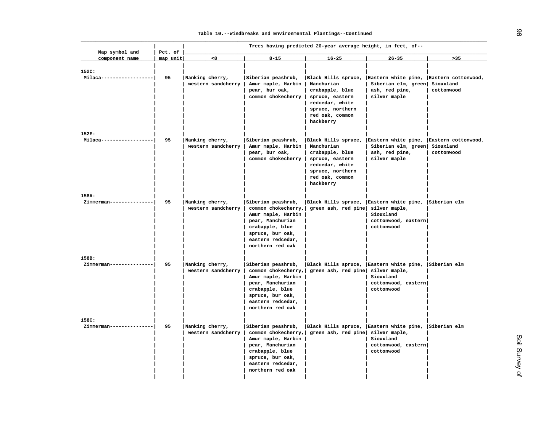|                                  |                     |                                       |                                                                                                                                                                     | Trees having predicted 20-year average height, in feet, of--                                                                                   |                                                                                                                      |                                                |
|----------------------------------|---------------------|---------------------------------------|---------------------------------------------------------------------------------------------------------------------------------------------------------------------|------------------------------------------------------------------------------------------------------------------------------------------------|----------------------------------------------------------------------------------------------------------------------|------------------------------------------------|
| Map symbol and<br>component name | Pct. of<br>map unit | <8                                    | $8 - 15$                                                                                                                                                            | $16 - 25$                                                                                                                                      | $26 - 35$                                                                                                            | $>35$                                          |
| 152C:<br>Milaca--                | 95                  | Nanking cherry,<br>western sandcherry | Siberian peashrub,<br>Amur maple, Harbin<br>pear, bur oak,<br>common chokecherry                                                                                    | Manchurian<br>crabapple, blue<br>spruce, eastern<br>redcedar, white<br>spruce, northern<br>red oak, common<br>hackberry                        | Black Hills spruce, Eastern white pine, Eastern cottonwood,<br>Siberian elm, green<br>ash, red pine,<br>silver maple | Siouxland<br>cottonwood                        |
| 152E:                            |                     |                                       |                                                                                                                                                                     |                                                                                                                                                |                                                                                                                      |                                                |
| Milaca------------------         | 95                  | Nanking cherry,<br>western sandcherry | Siberian peashrub,<br>Amur maple, Harbin<br>pear, bur oak,<br>common chokecherry                                                                                    | Black Hills spruce,<br>Manchurian<br>crabapple, blue<br>spruce, eastern<br>redcedar, white<br>spruce, northern<br>red oak, common<br>hackberry | Eastern white pine,<br>Siberian elm, green<br>ash, red pine,<br>silver maple                                         | Eastern cottonwood,<br>Siouxland<br>cottonwood |
| 158A:                            |                     |                                       |                                                                                                                                                                     |                                                                                                                                                |                                                                                                                      |                                                |
| Zimmerman---------------         | 95                  | Nanking cherry,<br>western sandcherry | Siberian peashrub,<br>common chokecherry,<br>Amur maple, Harbin<br>pear, Manchurian<br>crabapple, blue<br>spruce, bur oak,<br>eastern redcedar,<br>northern red oak | Black Hills spruce, Eastern white pine, Siberian elm<br>green ash, red pine silver maple,                                                      | Siouxland<br>cottonwood, eastern<br>cottonwood                                                                       |                                                |
| 158B:                            |                     |                                       |                                                                                                                                                                     |                                                                                                                                                |                                                                                                                      |                                                |
| Zimmerman---------------         | 95                  | Nanking cherry,<br>western sandcherry | Siberian peashrub,<br>common chokecherry,<br>Amur maple, Harbin<br>pear, Manchurian<br>crabapple, blue<br>spruce, bur oak,<br>eastern redcedar,<br>northern red oak | Black Hills spruce, Eastern white pine,<br>green ash, red pine silver maple,                                                                   | Siouxland<br>cottonwood, eastern<br>cottonwood                                                                       | Siberian elm                                   |
| 158C:                            |                     |                                       |                                                                                                                                                                     |                                                                                                                                                |                                                                                                                      |                                                |
| Zimmerman---------------         | 95                  | Nanking cherry,<br>western sandcherry | Siberian peashrub,<br>common chokecherry,<br>Amur maple, Harbin<br>pear, Manchurian<br>crabapple, blue<br>spruce, bur oak,<br>eastern redcedar,<br>northern red oak | green ash, red pine silver maple,                                                                                                              | Black Hills spruce, Eastern white pine, Siberian elm<br>Siouxland<br>cottonwood, eastern<br>cottonwood               |                                                |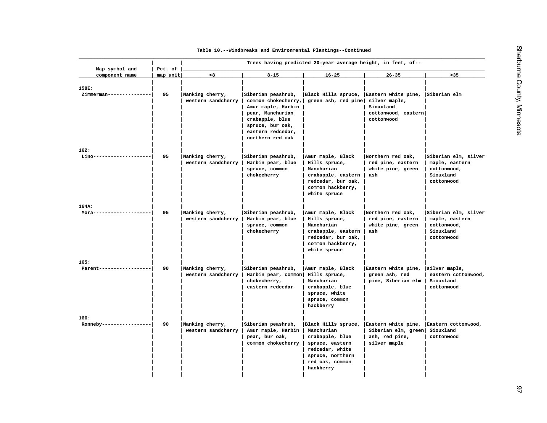| Map symbol and                   | Pct. of  |                                       |                                                                                                                                                                     | Trees having predicted 20-year average height, in feet, of--                                                                                   |                                                                                                     |                                                                                  |
|----------------------------------|----------|---------------------------------------|---------------------------------------------------------------------------------------------------------------------------------------------------------------------|------------------------------------------------------------------------------------------------------------------------------------------------|-----------------------------------------------------------------------------------------------------|----------------------------------------------------------------------------------|
| component name                   | map unit | < 8                                   | $8 - 15$                                                                                                                                                            | $16 - 25$                                                                                                                                      | $26 - 35$                                                                                           | >35                                                                              |
| 158E:<br>Zimmerman-------------- | 95       | Nanking cherry,<br>western sandcherry | Siberian peashrub,<br>common chokecherry,<br>Amur maple, Harbin<br>pear, Manchurian<br>crabapple, blue<br>spruce, bur oak,<br>eastern redcedar,<br>northern red oak | Black Hills spruce,<br>green ash, red pine                                                                                                     | Eastern white pine, Siberian elm<br>silver maple,<br>Siouxland<br>cottonwood, eastern<br>cottonwood |                                                                                  |
| 162:                             |          |                                       |                                                                                                                                                                     |                                                                                                                                                |                                                                                                     |                                                                                  |
| Lino--------------------         | 95       | Nanking cherry,<br>western sandcherry | Siberian peashrub,<br>Harbin pear, blue<br>spruce, common<br>chokecherry                                                                                            | Amur maple, Black<br>Hills spruce,<br>Manchurian<br>crabapple, eastern<br>redcedar, bur oak,<br>common hackberry,<br>white spruce              | Northern red oak,<br>red pine, eastern<br>white pine, green<br>ash                                  | Siberian elm, silver<br>maple, eastern<br>cottonwood,<br>Siouxland<br>cottonwood |
| 164A:                            |          |                                       |                                                                                                                                                                     |                                                                                                                                                |                                                                                                     |                                                                                  |
| Mora----                         | 95       | Nanking cherry,<br>western sandcherry | Siberian peashrub,<br>Harbin pear, blue<br>spruce, common<br>chokecherry                                                                                            | Amur maple, Black<br>Hills spruce,<br>Manchurian<br>crabapple, eastern<br>redcedar, bur oak,<br>common hackberry,<br>white spruce              | Northern red oak,<br>red pine, eastern<br>white pine, green<br>ash                                  | Siberian elm, silver<br>maple, eastern<br>cottonwood,<br>Siouxland<br>cottonwood |
| 165:                             |          |                                       |                                                                                                                                                                     |                                                                                                                                                |                                                                                                     |                                                                                  |
| Parent------------------         | 90       | Nanking cherry,<br>western sandcherry | Siberian peashrub,<br>Harbin pear, common<br>chokecherry,<br>eastern redcedar                                                                                       | Amur maple, Black<br>Hills spruce,<br>Manchurian<br>crabapple, blue<br>spruce, white<br>spruce, common<br>hackberry                            | Eastern white pine, silver maple,<br>green ash, red<br>pine, Siberian elm                           | eastern cottonwood,<br>Siouxland<br>cottonwood                                   |
| 166:                             |          |                                       |                                                                                                                                                                     |                                                                                                                                                |                                                                                                     |                                                                                  |
| Ronneby-----------------         | 90       | Nanking cherry,<br>western sandcherry | Siberian peashrub,<br>Amur maple, Harbin<br>pear, bur oak,<br>common chokecherry                                                                                    | Black Hills spruce,<br>Manchurian<br>crabapple, blue<br>spruce, eastern<br>redcedar, white<br>spruce, northern<br>red oak, common<br>hackberry | Eastern white pine,<br>Siberian elm, green<br>ash, red pine,<br>silver maple                        | Eastern cottonwood,<br>Siouxland<br>cottonwood                                   |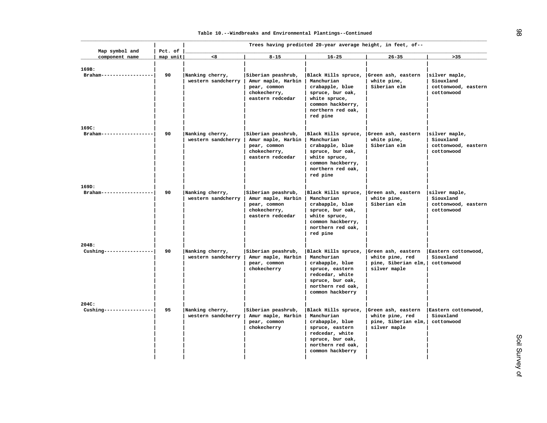| Map symbol and                    | Pct. of  |                                       |                                                                                              | Trees having predicted 20-year average height, in feet, of--                                                                                                       |                                                                              |                                                                 |
|-----------------------------------|----------|---------------------------------------|----------------------------------------------------------------------------------------------|--------------------------------------------------------------------------------------------------------------------------------------------------------------------|------------------------------------------------------------------------------|-----------------------------------------------------------------|
| component name                    | map unit | < 8                                   | $8 - 15$                                                                                     | $16 - 25$                                                                                                                                                          | $26 - 35$                                                                    | $>35$                                                           |
| 169B:<br>Braham-----              | 90       | Nanking cherry,<br>western sandcherry | Siberian peashrub,<br>Amur maple, Harbin<br>pear, common<br>chokecherry,<br>eastern redcedar | Black Hills spruce,<br>Manchurian<br>crabapple, blue<br>spruce, bur oak,<br>white spruce,<br>common hackberry,<br>northern red oak,<br>red pine                    | Green ash, eastern<br>white pine,<br>Siberian elm                            | silver maple,<br>Siouxland<br>cottonwood, eastern<br>cottonwood |
| 169C:<br>Braham--------------     | 90       | Nanking cherry,<br>western sandcherry | Siberian peashrub,<br>Amur maple, Harbin<br>pear, common<br>chokecherry,<br>eastern redcedar | Black Hills spruce,<br>Manchurian<br>crabapple, blue<br>spruce, bur oak,<br>white spruce,<br>common hackberry,<br>northern red oak,<br>red pine                    | Green ash, eastern<br>white pine,<br>Siberian elm                            | silver maple,<br>Siouxland<br>cottonwood, eastern<br>cottonwood |
| 169D:<br>Braham------------------ | 90       | Nanking cherry,<br>western sandcherry | Siberian peashrub,<br>Amur maple, Harbin<br>pear, common<br>chokecherry,<br>eastern redcedar | Black Hills spruce, Green ash, eastern<br>Manchurian<br>crabapple, blue<br>spruce, bur oak,<br>white spruce,<br>common hackberry,<br>northern red oak,<br>red pine | white pine,<br>Siberian elm                                                  | silver maple,<br>Siouxland<br>cottonwood, eastern<br>cottonwood |
| 204B:<br>$Cushing-----$           | 90       | Nanking cherry,<br>western sandcherry | Siberian peashrub,<br>Amur maple, Harbin<br>pear, common<br>chokecherry                      | Black Hills spruce,<br>Manchurian<br>crabapple, blue<br>spruce, eastern<br>redcedar, white<br>spruce, bur oak,<br>northern red oak,<br>common hackberry            | Green ash, eastern<br>white pine, red<br>pine, Siberian elm,<br>silver maple | Eastern cottonwood,<br>Siouxland<br>cottonwood                  |
| 204C:<br>$Cushing-----$           | 95       | Nanking cherry,<br>western sandcherry | Siberian peashrub,<br>Amur maple, Harbin<br>pear, common<br>chokecherry                      | Black Hills spruce,<br>Manchurian<br>crabapple, blue<br>spruce, eastern<br>redcedar, white<br>spruce, bur oak,<br>northern red oak,<br>common hackberry            | Green ash, eastern<br>white pine, red<br>pine, Siberian elm,<br>silver maple | Eastern cottonwood,<br>Siouxland<br>cottonwood                  |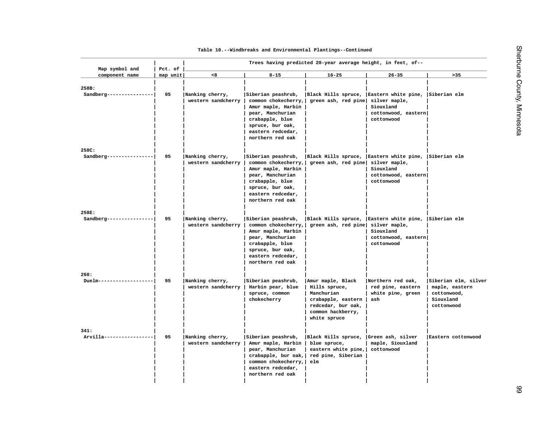| Map symbol and                   | Trees having predicted 20-year average height, in feet, of--<br>Pct. of |                                       |                                                                                                                                                                     |                                                                                                                                   |                                                                    |                                                                                  |  |
|----------------------------------|-------------------------------------------------------------------------|---------------------------------------|---------------------------------------------------------------------------------------------------------------------------------------------------------------------|-----------------------------------------------------------------------------------------------------------------------------------|--------------------------------------------------------------------|----------------------------------------------------------------------------------|--|
| component name                   | map unit                                                                | < 8                                   | $8 - 15$                                                                                                                                                            | $16 - 25$                                                                                                                         | $26 - 35$                                                          | $>35$                                                                            |  |
| 258B:<br>Sandberg-               | 95                                                                      | Nanking cherry,<br>western sandcherry | Siberian peashrub,<br>common chokecherry,<br>Amur maple, Harbin<br>pear, Manchurian<br>crabapple, blue<br>spruce, bur oak,<br>eastern redcedar,<br>northern red oak | Black Hills spruce, Eastern white pine,<br>green ash, red pine silver maple,                                                      | Siouxland<br>cottonwood, eastern<br>cottonwood                     | Siberian elm                                                                     |  |
| 258C:<br>Sandberg--------------- | 95                                                                      | Nanking cherry,<br>western sandcherry | Siberian peashrub,<br>common chokecherry,<br>Amur maple, Harbin<br>pear, Manchurian<br>crabapple, blue<br>spruce, bur oak,<br>eastern redcedar,<br>northern red oak | Black Hills spruce, Eastern white pine,<br>green ash, red pine                                                                    | silver maple,<br>Siouxland<br>cottonwood, eastern<br>cottonwood    | Siberian elm                                                                     |  |
| 258E:<br>Sandberg-<br>.          | 95                                                                      | Nanking cherry,<br>western sandcherry | Siberian peashrub,<br>common chokecherry,<br>Amur maple, Harbin<br>pear, Manchurian<br>crabapple, blue<br>spruce, bur oak,<br>eastern redcedar,<br>northern red oak | Black Hills spruce, Eastern white pine, Siberian elm<br>green ash, red pine                                                       | silver maple,<br>Siouxland<br>cottonwood, eastern<br>cottonwood    |                                                                                  |  |
| 260:<br>$Duelm-$                 | 95                                                                      | Nanking cherry,<br>western sandcherry | Siberian peashrub,<br>Harbin pear, blue<br>spruce, common<br>chokecherry                                                                                            | Amur maple, Black<br>Hills spruce,<br>Manchurian<br>crabapple, eastern<br>redcedar, bur oak,<br>common hackberry,<br>white spruce | Northern red oak,<br>red pine, eastern<br>white pine, green<br>ash | Siberian elm, silver<br>maple, eastern<br>cottonwood,<br>Siouxland<br>cottonwood |  |
| 341:<br>Arvilla---------------   | 95                                                                      | Nanking cherry,<br>western sandcherry | Siberian peashrub,<br>Amur maple, Harbin<br>pear, Manchurian<br>crabapple, bur $oak,$<br>common chokecherry,<br>eastern redcedar,                                   | Black Hills spruce, Green ash, silver<br>blue spruce,<br>eastern white pine,<br>red pine, Siberian<br>elm                         | maple, Siouxland<br>cottonwood                                     | Eastern cottonwood                                                               |  |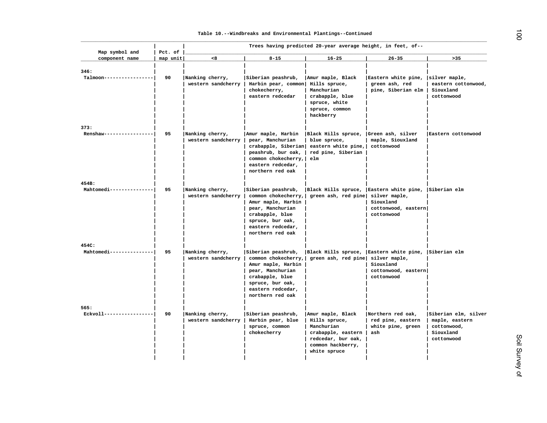| Map symbol and                    | Pct. of  |                                       |                                                                                                                                                                     | Trees having predicted 20-year average height, in feet, of--                                                                      |                                                                    |                                                                                  |
|-----------------------------------|----------|---------------------------------------|---------------------------------------------------------------------------------------------------------------------------------------------------------------------|-----------------------------------------------------------------------------------------------------------------------------------|--------------------------------------------------------------------|----------------------------------------------------------------------------------|
| component name                    | map unit | < 8                                   | $8 - 15$                                                                                                                                                            | $16 - 25$                                                                                                                         | $26 - 35$                                                          | $>35$                                                                            |
| 346:<br>Talmoon---------------    | 90       | Nanking cherry,<br>western sandcherry | Siberian peashrub,<br>Harbin pear, common<br>chokecherry,<br>eastern redcedar                                                                                       | Amur maple, Black<br>Hills spruce,<br>Manchurian<br>crabapple, blue<br>spruce, white<br>spruce, common<br>hackberry               | Eastern white pine,<br>green ash, red<br>pine, Siberian elm        | silver maple,<br>eastern cottonwood,<br>Siouxland<br>cottonwood                  |
| 373:<br>Renshaw-----------------  | 95       | Nanking cherry,<br>western sandcherry | Amur maple, Harbin<br>pear, Manchurian<br>crabapple, Siberian<br>peashrub, bur oak,<br>common chokecherry,<br>eastern redcedar,<br>northern red oak                 | Black Hills spruce, Green ash, silver<br>blue spruce,<br>eastern white pine,<br>red pine, Siberian<br>e1m                         | maple, Siouxland<br>cottonwood                                     | Eastern cottonwood                                                               |
| 454B:<br>Mahtomedi--------------- | 95       | Nanking cherry,<br>western sandcherry | Siberian peashrub,<br>common chokecherry,<br>Amur maple, Harbin<br>pear, Manchurian<br>crabapple, blue<br>spruce, bur oak,<br>eastern redcedar,<br>northern red oak | Black Hills spruce, Eastern white pine, Siberian elm<br>green ash, red pine silver maple,                                         | Siouxland<br>cottonwood, eastern<br>cottonwood                     |                                                                                  |
| 454C:<br>Mahtomedi--------------- | 95       | Nanking cherry,<br>western sandcherry | Siberian peashrub,<br>common chokecherry,<br>Amur maple, Harbin<br>pear, Manchurian<br>crabapple, blue<br>spruce, bur oak,<br>eastern redcedar,<br>northern red oak | Black Hills spruce, Eastern white pine, Siberian elm<br>green ash, red pine silver maple,                                         | Siouxland<br>cottonwood, eastern<br>cottonwood                     |                                                                                  |
| 565:<br>Eckvoll-----------------  | 90       | Nanking cherry,<br>western sandcherry | Siberian peashrub,<br>Harbin pear, blue<br>spruce, common<br>chokecherry                                                                                            | Amur maple, Black<br>Hills spruce,<br>Manchurian<br>crabapple, eastern<br>redcedar, bur oak,<br>common hackberry,<br>white spruce | Northern red oak,<br>red pine, eastern<br>white pine, green<br>ash | Siberian elm, silver<br>maple, eastern<br>cottonwood,<br>Siouxland<br>cottonwood |

 $\vec{0}$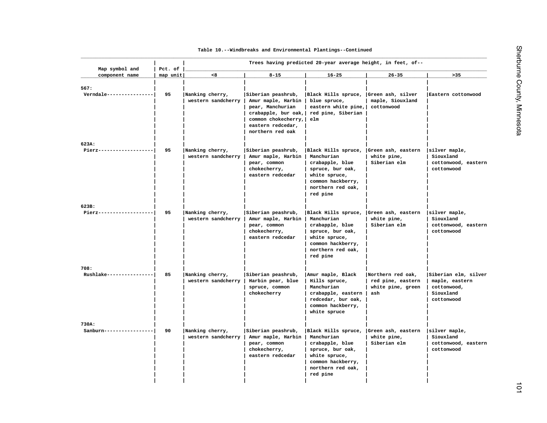| Map symbol and                     | Pct. of  |                                       |                                                                                                                                                     |                                                                                                                                                                    |                                                                    |                                                                                  |
|------------------------------------|----------|---------------------------------------|-----------------------------------------------------------------------------------------------------------------------------------------------------|--------------------------------------------------------------------------------------------------------------------------------------------------------------------|--------------------------------------------------------------------|----------------------------------------------------------------------------------|
| component name                     | map unit | < 8                                   | $8 - 15$                                                                                                                                            | $16 - 25$                                                                                                                                                          | $26 - 35$                                                          | $>35$                                                                            |
| 567:<br>Verndale ---------------   | 95       | Nanking cherry,<br>western sandcherry | Siberian peashrub,<br>Amur maple, Harbin<br>pear, Manchurian<br>crabapple, bur oak,<br>common chokecherry,<br>eastern redcedar,<br>northern red oak | Black Hills spruce,<br>blue spruce,<br>eastern white pine,<br>red pine, Siberian<br>elm                                                                            | Green ash, silver<br>maple, Siouxland<br>cottonwood                | Eastern cottonwood                                                               |
| 623A:<br>Pierz-------------------- | 95       | Nanking cherry,<br>western sandcherry | Siberian peashrub,<br>Amur maple, Harbin<br>pear, common<br>chokecherry,<br>eastern redcedar                                                        | Black Hills spruce, Green ash, eastern<br>Manchurian<br>crabapple, blue<br>spruce, bur oak,<br>white spruce,<br>common hackberry,<br>northern red oak,<br>red pine | white pine,<br>Siberian elm                                        | silver maple,<br>Siouxland<br>cottonwood, eastern<br>cottonwood                  |
| 623B:<br>Pierz-------------------  | 95       | Nanking cherry,<br>western sandcherry | Siberian peashrub,<br>Amur maple, Harbin<br>pear, common<br>chokecherry,<br>eastern redcedar                                                        | Black Hills spruce, Green ash, eastern<br>Manchurian<br>crabapple, blue<br>spruce, bur oak,<br>white spruce,<br>common hackberry,<br>northern red oak,<br>red pine | white pine,<br>Siberian elm                                        | silver maple,<br>Siouxland<br>cottonwood, eastern<br>cottonwood                  |
| 708:<br>Rushlake----------------   | 85       | Nanking cherry,<br>western sandcherry | Siberian peashrub,<br>Harbin pear, blue<br>spruce, common<br>chokecherry                                                                            | Amur maple, Black<br>Hills spruce,<br>Manchurian<br>crabapple, eastern<br>redcedar, bur oak,<br>common hackberry,<br>white spruce                                  | Northern red oak,<br>red pine, eastern<br>white pine, green<br>ash | Siberian elm, silver<br>maple, eastern<br>cottonwood,<br>Siouxland<br>cottonwood |
| 730A:<br>Sanburn----------------   | 90       | Nanking cherry,<br>western sandcherry | Siberian peashrub,<br>Amur maple, Harbin<br>pear, common<br>chokecherry,<br>eastern redcedar                                                        | Black Hills spruce,<br>Manchurian<br>crabapple, blue<br>spruce, bur oak,<br>white spruce,<br>common hackberry,<br>northern red oak,<br>red pine                    | Green ash, eastern<br>white pine,<br>Siberian elm                  | silver maple,<br>Siouxland<br>cottonwood, eastern<br>cottonwood                  |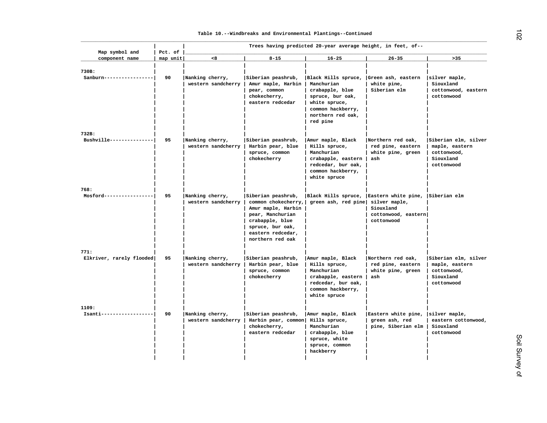| Map symbol and               | Pct. of  |                                       |                                                                                                                                                                     | Trees having predicted 20-year average height, in feet, of--                                                                                    |                                                                    |                                                                                  |
|------------------------------|----------|---------------------------------------|---------------------------------------------------------------------------------------------------------------------------------------------------------------------|-------------------------------------------------------------------------------------------------------------------------------------------------|--------------------------------------------------------------------|----------------------------------------------------------------------------------|
| component name               | map unit | <8                                    | $8 - 15$                                                                                                                                                            | $16 - 25$                                                                                                                                       | $26 - 35$                                                          | $>35$                                                                            |
| 730B:<br>Sanburn------------ | 90       | Nanking cherry,<br>western sandcherry | Siberian peashrub,<br>Amur maple, Harbin<br>pear, common<br>chokecherry,<br>eastern redcedar                                                                        | Black Hills spruce,<br>Manchurian<br>crabapple, blue<br>spruce, bur oak,<br>white spruce,<br>common hackberry,<br>northern red oak,<br>red pine | Green ash, eastern<br>white pine,<br>Siberian elm                  | silver maple,<br>Siouxland<br>cottonwood, eastern<br>cottonwood                  |
| 732B:                        |          |                                       |                                                                                                                                                                     |                                                                                                                                                 |                                                                    |                                                                                  |
| Bushville---------------     | 95       | Nanking cherry,<br>western sandcherry | Siberian peashrub,<br>Harbin pear, blue<br>spruce, common<br>chokecherry                                                                                            | Amur maple, Black<br>Hills spruce,<br>Manchurian<br>crabapple, eastern<br>redcedar, bur oak,<br>common hackberry,<br>white spruce               | Northern red oak,<br>red pine, eastern<br>white pine, green<br>ash | Siberian elm, silver<br>maple, eastern<br>cottonwood,<br>Siouxland<br>cottonwood |
| 768:                         |          |                                       |                                                                                                                                                                     |                                                                                                                                                 |                                                                    |                                                                                  |
| Mosford-----------------     | 95       | Nanking cherry,<br>western sandcherry | Siberian peashrub,<br>common chokecherry,<br>Amur maple, Harbin<br>pear, Manchurian<br>crabapple, blue<br>spruce, bur oak,<br>eastern redcedar,<br>northern red oak | Black Hills spruce, Eastern white pine, Siberian elm<br>green ash, red pine                                                                     | silver maple,<br>Siouxland<br>cottonwood, eastern<br>cottonwood    |                                                                                  |
| 771:                         |          |                                       |                                                                                                                                                                     |                                                                                                                                                 |                                                                    |                                                                                  |
| Elkriver, rarely flooded     | 95       | Nanking cherry,<br>western sandcherry | Siberian peashrub,<br>Harbin pear, blue<br>spruce, common<br>chokecherry                                                                                            | Amur maple, Black<br>Hills spruce,<br>Manchurian<br>crabapple, eastern<br>redcedar, bur oak,<br>common hackberry,<br>white spruce               | Northern red oak,<br>red pine, eastern<br>white pine, green<br>ash | Siberian elm, silver<br>maple, eastern<br>cottonwood,<br>Siouxland<br>cottonwood |
| 1109:                        |          |                                       |                                                                                                                                                                     |                                                                                                                                                 |                                                                    |                                                                                  |
| Isanti------------------     | 90       | Nanking cherry,<br>western sandcherry | Siberian peashrub,<br>Harbin pear, common<br>chokecherry,<br>eastern redcedar                                                                                       | Amur maple, Black<br>Hills spruce,<br>Manchurian<br>crabapple, blue<br>spruce, white<br>spruce, common<br>hackberry                             | Eastern white pine,<br>green ash, red<br>pine, Siberian elm        | silver maple,<br>eastern cottonwood,<br>Siouxland<br>cottonwood                  |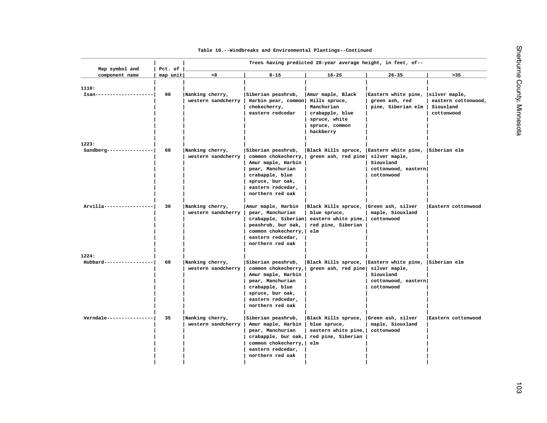| Map symbol and                    | Pct. of  |                                       |                                                                                                                                                                     | Trees having predicted 20-year average height, in feet, of--                                                        |                                                                                                     |                                                                 |
|-----------------------------------|----------|---------------------------------------|---------------------------------------------------------------------------------------------------------------------------------------------------------------------|---------------------------------------------------------------------------------------------------------------------|-----------------------------------------------------------------------------------------------------|-----------------------------------------------------------------|
| component name                    | map unit | < 8                                   | $8 - 15$                                                                                                                                                            | $16 - 25$                                                                                                           | $26 - 35$                                                                                           | $>35$                                                           |
| 1110:<br>$Isan--$                 | 90       | Nanking cherry,<br>western sandcherry | Siberian peashrub,<br>Harbin pear, common<br>chokecherry,<br>eastern redcedar                                                                                       | Amur maple, Black<br>Hills spruce,<br>Manchurian<br>crabapple, blue<br>spruce, white<br>spruce, common<br>hackberry | Eastern white pine,<br>green ash, red<br>pine, Siberian elm                                         | silver maple,<br>eastern cottonwood,<br>Siouxland<br>cottonwood |
| 1223:<br>Sandberg---------------- | 60       | Nanking cherry,<br>western sandcherry | Siberian peashrub,<br>common chokecherry,<br>Amur maple, Harbin<br>pear, Manchurian<br>crabapple, blue<br>spruce, bur oak,<br>eastern redcedar,<br>northern red oak | Black Hills spruce,<br>green ash, red pine                                                                          | Eastern white pine, Siberian elm<br>silver maple,<br>Siouxland<br>cottonwood, eastern<br>cottonwood |                                                                 |
| Arvilla-----------------          | 30       | Nanking cherry,<br>western sandcherry | Amur maple, Harbin<br>pear, Manchurian<br>crabapple, Siberian<br>peashrub, bur oak,<br>common chokecherry,<br>eastern redcedar,<br>northern red oak                 | Black Hills spruce,<br>blue spruce,<br>eastern white pine,<br>red pine, Siberian<br>elm                             | Green ash, silver<br>maple, Siouxland<br>cottonwood                                                 | Eastern cottonwood                                              |
| 1224:<br>Hubbard---               | 60       | Nanking cherry,<br>western sandcherry | Siberian peashrub,<br>common chokecherry,<br>Amur maple, Harbin<br>pear, Manchurian<br>crabapple, blue<br>spruce, bur oak,<br>eastern redcedar,<br>northern red oak | Black Hills spruce,<br>green ash, red pine silver maple,                                                            | Eastern white pine,<br>Siouxland<br>cottonwood, eastern<br>cottonwood                               | Siberian elm                                                    |
| Verndale ----------------         | 35       | Nanking cherry,<br>western sandcherry | Siberian peashrub,<br>Amur maple, Harbin<br>pear, Manchurian<br>crabapple, bur $oak,$<br>common chokecherry,<br>eastern redcedar,<br>northern red oak               | Black Hills spruce,<br>blue spruce,<br>eastern white pine,<br>red pine, Siberian<br>elm                             | Green ash, silver<br>maple, Siouxland<br>cottonwood                                                 | Eastern cottonwood                                              |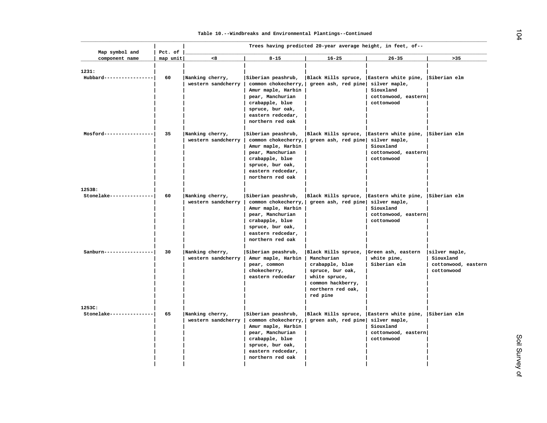| Map symbol and                     | Pct. of  |                                       |                                                                                                                                                                     | Trees having predicted 20-year average height, in feet, of--                                                                                                       |                                                                                                                         |                                                                 |
|------------------------------------|----------|---------------------------------------|---------------------------------------------------------------------------------------------------------------------------------------------------------------------|--------------------------------------------------------------------------------------------------------------------------------------------------------------------|-------------------------------------------------------------------------------------------------------------------------|-----------------------------------------------------------------|
| component name                     | map unit | < 8                                   | $8 - 15$                                                                                                                                                            | $16 - 25$                                                                                                                                                          | $26 - 35$                                                                                                               | >35                                                             |
| 1231:<br>Hubbard----------------   | 60       | Nanking cherry,<br>western sandcherry | Siberian peashrub,<br>common chokecherry,<br>Amur maple, Harbin<br>pear, Manchurian<br>crabapple, blue<br>spruce, bur oak,<br>eastern redcedar,<br>northern red oak | green ash, red pine                                                                                                                                                | Black Hills spruce, Eastern white pine, Siberian elm<br>silver maple,<br>Siouxland<br>cottonwood, eastern<br>cottonwood |                                                                 |
| Mosford-----------------           | 35       | Nanking cherry,<br>western sandcherry | Siberian peashrub,<br>common chokecherry,<br>Amur maple, Harbin<br>pear, Manchurian<br>crabapple, blue<br>spruce, bur oak,<br>eastern redcedar,<br>northern red oak | green ash, red pine                                                                                                                                                | Black Hills spruce, Eastern white pine, Siberian elm<br>silver maple,<br>Siouxland<br>cottonwood, eastern<br>cottonwood |                                                                 |
| 1253B:<br>Stonelake--------------- | 60       | Nanking cherry,<br>western sandcherry | Siberian peashrub,<br>common chokecherry,<br>Amur maple, Harbin<br>pear, Manchurian<br>crabapple, blue<br>spruce, bur oak,<br>eastern redcedar,<br>northern red oak | green ash, red pine                                                                                                                                                | Black Hills spruce, Eastern white pine, Siberian elm<br>silver maple,<br>Siouxland<br>cottonwood, eastern<br>cottonwood |                                                                 |
| Sanburn---------------             | 30       | Nanking cherry,<br>western sandcherry | Siberian peashrub,<br>Amur maple, Harbin<br>pear, common<br>chokecherry,<br>eastern redcedar                                                                        | Black Hills spruce, Green ash, eastern<br>Manchurian<br>crabapple, blue<br>spruce, bur oak,<br>white spruce,<br>common hackberry,<br>northern red oak,<br>red pine | white pine,<br>Siberian elm                                                                                             | silver maple,<br>Siouxland<br>cottonwood, eastern<br>cottonwood |
| 1253C:<br>Stonelake--------------  | 65       | Nanking cherry,<br>western sandcherry | Siberian peashrub,<br>common chokecherry,<br>Amur maple, Harbin<br>pear, Manchurian<br>crabapple, blue<br>spruce, bur oak,<br>eastern redcedar,<br>northern red oak | Black Hills spruce,<br>green ash, red pine                                                                                                                         | Eastern white pine,<br>silver maple,<br>Siouxland<br>cottonwood, eastern<br>cottonwood                                  | Siberian elm                                                    |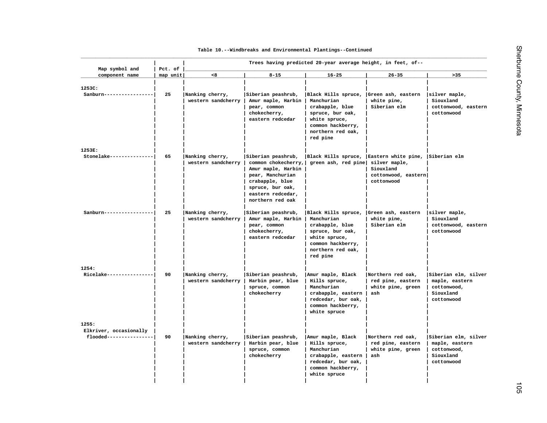| Map symbol and                                    | Trees having predicted 20-year average height, in feet, of--<br>Pct. of |                                       |                                                                                                                                                                     |                                                                                                                                                                    |                                                                                        |                                                                                  |  |
|---------------------------------------------------|-------------------------------------------------------------------------|---------------------------------------|---------------------------------------------------------------------------------------------------------------------------------------------------------------------|--------------------------------------------------------------------------------------------------------------------------------------------------------------------|----------------------------------------------------------------------------------------|----------------------------------------------------------------------------------|--|
| component name                                    | map unit                                                                | <8                                    | $8 - 15$                                                                                                                                                            | $16 - 25$                                                                                                                                                          | $26 - 35$                                                                              | $>35$                                                                            |  |
| 1253C:<br>Sanburn------------                     | 25                                                                      | Nanking cherry,<br>western sandcherry | Siberian peashrub,<br>Amur maple, Harbin<br>pear, common<br>chokecherry,<br>eastern redcedar                                                                        | Black Hills spruce,<br>Manchurian<br>crabapple, blue<br>spruce, bur oak,<br>white spruce,<br>common hackberry,<br>northern red oak,<br>red pine                    | Green ash, eastern<br>white pine,<br>Siberian elm                                      | silver maple,<br>Siouxland<br>cottonwood, eastern<br>cottonwood                  |  |
| 1253E:                                            |                                                                         |                                       |                                                                                                                                                                     |                                                                                                                                                                    |                                                                                        |                                                                                  |  |
| Stonelake---------------                          | 65                                                                      | Nanking cherry,<br>western sandcherry | Siberian peashrub,<br>common chokecherry,<br>Amur maple, Harbin<br>pear, Manchurian<br>crabapple, blue<br>spruce, bur oak,<br>eastern redcedar,<br>northern red oak | Black Hills spruce,<br>green ash, red pine                                                                                                                         | Eastern white pine,<br>silver maple,<br>Siouxland<br>cottonwood, eastern<br>cottonwood | Siberian elm                                                                     |  |
| Sanburn-----------------                          | 25                                                                      | Nanking cherry,<br>western sandcherry | Siberian peashrub,<br>Amur maple, Harbin<br>pear, common<br>chokecherry,<br>eastern redcedar                                                                        | Black Hills spruce, Green ash, eastern<br>Manchurian<br>crabapple, blue<br>spruce, bur oak,<br>white spruce,<br>common hackberry,<br>northern red oak,<br>red pine | white pine,<br>Siberian elm                                                            | silver maple,<br>Siouxland<br>cottonwood, eastern<br>cottonwood                  |  |
| 1254:                                             |                                                                         |                                       |                                                                                                                                                                     |                                                                                                                                                                    |                                                                                        |                                                                                  |  |
| Ricelake----------------                          | 90                                                                      | Nanking cherry,<br>western sandcherry | Siberian peashrub,<br>Harbin pear, blue<br>spruce, common<br>chokecherry                                                                                            | Amur maple, Black<br>Hills spruce,<br>Manchurian<br>crabapple, eastern<br>redcedar, bur oak,<br>common hackberry,<br>white spruce                                  | Northern red oak,<br>red pine, eastern<br>white pine, green<br>ash                     | Siberian elm, silver<br>maple, eastern<br>cottonwood,<br>Siouxland<br>cottonwood |  |
| 1255:                                             |                                                                         |                                       |                                                                                                                                                                     |                                                                                                                                                                    |                                                                                        |                                                                                  |  |
| Elkriver, occasionally<br>flooded---------------- | 90                                                                      | Nanking cherry,<br>western sandcherry | Siberian peashrub,<br>Harbin pear, blue<br>spruce, common<br>chokecherry                                                                                            | Amur maple, Black<br>Hills spruce,<br>Manchurian<br>crabapple, eastern<br>redcedar, bur oak,<br>common hackberry,<br>white spruce                                  | Northern red oak,<br>red pine, eastern<br>white pine, green<br>ash                     | Siberian elm, silver<br>maple, eastern<br>cottonwood,<br>Siouxland<br>cottonwood |  |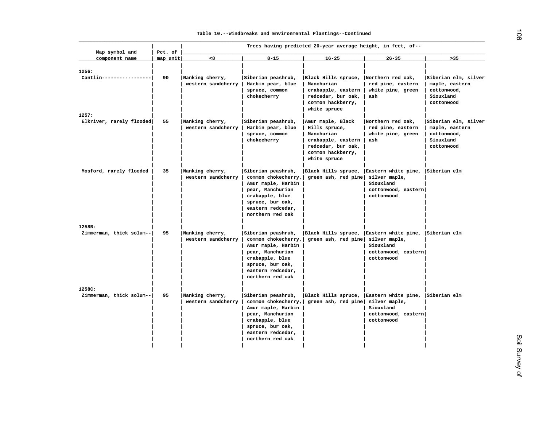| Map symbol and                     | Pct. of  | Trees having predicted 20-year average height, in feet, of-- |                                                                                                                                                                     |                                                                                                                    |                                                                                        |                                                                                  |  |
|------------------------------------|----------|--------------------------------------------------------------|---------------------------------------------------------------------------------------------------------------------------------------------------------------------|--------------------------------------------------------------------------------------------------------------------|----------------------------------------------------------------------------------------|----------------------------------------------------------------------------------|--|
| component name                     | map unit | < 8                                                          | $8 - 15$                                                                                                                                                            | $16 - 25$                                                                                                          | $26 - 35$                                                                              | >35                                                                              |  |
| 1256:<br>Cantlin----------------   | 90       | Nanking cherry,<br>western sandcherry                        | Siberian peashrub,<br>Harbin pear, blue<br>spruce, common<br>chokecherry                                                                                            | Black Hills spruce,<br>Manchurian<br>crabapple, eastern<br>redcedar, bur oak,<br>common hackberry,<br>white spruce | Northern red oak,<br>red pine, eastern<br>white pine, green<br>ash                     | Siberian elm, silver<br>maple, eastern<br>cottonwood,<br>Siouxland<br>cottonwood |  |
| 1257:<br>Elkriver, rarely flooded  | 55       | Nanking cherry,                                              | Siberian peashrub,                                                                                                                                                  | Amur maple, Black                                                                                                  | Northern red oak,                                                                      | Siberian elm, silver                                                             |  |
|                                    |          | western sandcherry                                           | Harbin pear, blue<br>spruce, common<br>chokecherry                                                                                                                  | Hills spruce,<br>Manchurian<br>crabapple, eastern<br>redcedar, bur oak,<br>common hackberry,<br>white spruce       | red pine, eastern<br>white pine, green<br>ash                                          | maple, eastern<br>cottonwood,<br>Siouxland<br>cottonwood                         |  |
| Mosford, rarely flooded            | 35       | Nanking cherry,<br>western sandcherry                        | Siberian peashrub,<br>common chokecherry,<br>Amur maple, Harbin<br>pear, Manchurian<br>crabapple, blue<br>spruce, bur oak,<br>eastern redcedar,<br>northern red oak | Black Hills spruce,<br>green ash, red pine                                                                         | Eastern white pine,<br>silver maple,<br>Siouxland<br>cottonwood, eastern<br>cottonwood | Siberian elm                                                                     |  |
| 1258B:<br>Zimmerman, thick solum-- | 95       | Nanking cherry,<br>western sandcherry                        | Siberian peashrub,<br>common chokecherry,<br>Amur maple, Harbin<br>pear, Manchurian<br>crabapple, blue<br>spruce, bur oak,<br>eastern redcedar,<br>northern red oak | Black Hills spruce,  Eastern white pine,  Siberian elm<br>green ash, red pine silver maple,                        | Siouxland<br>cottonwood, eastern<br>cottonwood                                         |                                                                                  |  |
| 1258C:<br>Zimmerman, thick solum-- | 95       | Nanking cherry,<br>western sandcherry                        | Siberian peashrub,<br>common chokecherry,<br>Amur maple, Harbin<br>pear, Manchurian<br>crabapple, blue<br>spruce, bur oak,<br>eastern redcedar,<br>northern red oak | Black Hills spruce,  Eastern white pine,  Siberian elm<br>green ash, red pine                                      | silver maple,<br>Siouxland<br>cottonwood, eastern<br>cottonwood                        |                                                                                  |  |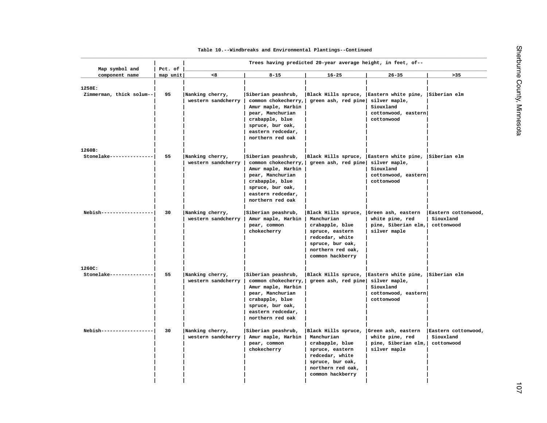| Map symbol and                     | Trees having predicted 20-year average height, in feet, of--<br>Pct. of |                                       |                                                                                                                                                                     |                                                                                                                                                                             |                                                                                                     |                                                |
|------------------------------------|-------------------------------------------------------------------------|---------------------------------------|---------------------------------------------------------------------------------------------------------------------------------------------------------------------|-----------------------------------------------------------------------------------------------------------------------------------------------------------------------------|-----------------------------------------------------------------------------------------------------|------------------------------------------------|
| component name                     | map unit                                                                | < 8                                   | $8 - 15$                                                                                                                                                            | $16 - 25$                                                                                                                                                                   | $26 - 35$                                                                                           | $>35$                                          |
| 1258E:<br>Zimmerman, thick solum-- | 95                                                                      | Nanking cherry,<br>western sandcherry | Siberian peashrub,<br>common chokecherry,<br>Amur maple, Harbin<br>pear, Manchurian<br>crabapple, blue<br>spruce, bur oak,<br>eastern redcedar,<br>northern red oak | Black Hills spruce, Eastern white pine,<br>green ash, red pine silver maple,                                                                                                | Siouxland<br>cottonwood, eastern<br>cottonwood                                                      | Siberian elm                                   |
| 1260B:<br>Stonelake-------------   | 55                                                                      | Nanking cherry,<br>western sandcherry | Siberian peashrub,<br>common chokecherry,<br>Amur maple, Harbin<br>pear, Manchurian<br>crabapple, blue<br>spruce, bur oak,<br>eastern redcedar,<br>northern red oak | Black Hills spruce, Eastern white pine,<br>green ash, red pine                                                                                                              | silver maple,<br>Siouxland<br>cottonwood, eastern<br>cottonwood                                     | Siberian elm                                   |
| Nebish---------------              | 30                                                                      | Nanking cherry,<br>western sandcherry | Siberian peashrub,<br>Amur maple, Harbin<br>pear, common<br>chokecherry                                                                                             | Black Hills spruce,  Green ash, eastern<br>Manchurian<br>crabapple, blue<br>spruce, eastern<br>redcedar, white<br>spruce, bur oak,<br>northern red oak,<br>common hackberry | white pine, red<br>pine, Siberian elm,<br>silver maple                                              | Eastern cottonwood,<br>Siouxland<br>cottonwood |
| 1260C:<br>Stonelake--------------- | 55                                                                      | Nanking cherry,<br>western sandcherry | Siberian peashrub,<br>common chokecherry,<br>Amur maple, Harbin<br>pear, Manchurian<br>crabapple, blue<br>spruce, bur oak,<br>eastern redcedar,<br>northern red oak | Black Hills spruce,<br>green ash, red pine                                                                                                                                  | Eastern white pine, Siberian elm<br>silver maple,<br>Siouxland<br>cottonwood, eastern<br>cottonwood |                                                |
| Nebish----------------             | 30                                                                      | Nanking cherry,<br>western sandcherry | Siberian peashrub,<br>Amur maple, Harbin<br>pear, common<br>chokecherry                                                                                             | Black Hills spruce,<br>Manchurian<br>crabapple, blue<br>spruce, eastern<br>redcedar, white<br>spruce, bur oak,<br>northern red oak,                                         | Green ash, eastern<br>white pine, red<br>pine, Siberian elm,<br>silver maple                        | Eastern cottonwood,<br>Siouxland<br>cottonwood |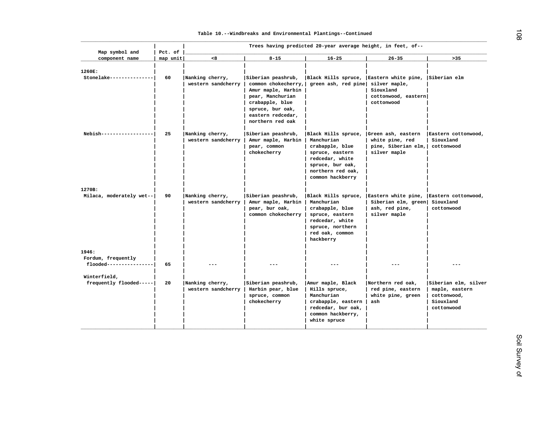| Map symbol and                                | Pct. of<br>map unit | < 8                                   | $8 - 15$                                                                                                                                                            |                                                                                                                                                         |                                                                                                  | $>35$                                                                            |
|-----------------------------------------------|---------------------|---------------------------------------|---------------------------------------------------------------------------------------------------------------------------------------------------------------------|---------------------------------------------------------------------------------------------------------------------------------------------------------|--------------------------------------------------------------------------------------------------|----------------------------------------------------------------------------------|
| component name                                |                     |                                       |                                                                                                                                                                     | $16 - 25$                                                                                                                                               | $26 - 35$                                                                                        |                                                                                  |
| 1260E:<br>Stonelake--------------             | 60                  | Nanking cherry,<br>western sandcherry | Siberian peashrub,<br>common chokecherry,<br>Amur maple, Harbin<br>pear, Manchurian<br>crabapple, blue<br>spruce, bur oak,<br>eastern redcedar,<br>northern red oak | Black Hills spruce, Eastern white pine,<br>green ash, red pine silver maple,                                                                            | Siouxland<br>cottonwood, eastern<br>cottonwood                                                   | Siberian elm                                                                     |
| Nebish------------------                      | 25                  | Nanking cherry,<br>western sandcherry | Siberian peashrub,<br>Amur maple, Harbin<br>pear, common<br>chokecherry                                                                                             | Black Hills spruce,<br>Manchurian<br>crabapple, blue<br>spruce, eastern<br>redcedar, white<br>spruce, bur oak,<br>northern red oak,<br>common hackberry | Green ash, eastern<br>white pine, red<br>pine, Siberian elm,<br>silver maple                     | Eastern cottonwood,<br>Siouxland<br>cottonwood                                   |
| 1270B:                                        |                     |                                       |                                                                                                                                                                     |                                                                                                                                                         |                                                                                                  |                                                                                  |
| Milaca, moderately wet--                      | 90                  | Nanking cherry,<br>western sandcherry | Siberian peashrub,<br>Amur maple, Harbin<br>pear, bur oak,<br>common chokecherry                                                                                    | Black Hills spruce,<br>Manchurian<br>crabapple, blue<br>spruce, eastern<br>redcedar, white<br>spruce, northern<br>red oak, common<br>hackberry          | Eastern white pine, Eastern cottonwood,<br>Siberian elm, green<br>ash, red pine,<br>silver maple | Siouxland<br>cottonwood                                                          |
| 1946:                                         |                     |                                       |                                                                                                                                                                     |                                                                                                                                                         |                                                                                                  |                                                                                  |
| Fordum, frequently<br>flooded---------------- | 65                  |                                       |                                                                                                                                                                     |                                                                                                                                                         |                                                                                                  |                                                                                  |
| Winterfield,<br>frequently flooded-----       | 20                  | Nanking cherry,<br>western sandcherry | Siberian peashrub,<br>Harbin pear, blue<br>spruce, common<br>chokecherry                                                                                            | Amur maple, Black<br>Hills spruce,<br>Manchurian<br>crabapple, eastern<br>redcedar, bur oak,<br>common hackberry,<br>white spruce                       | Northern red oak,<br>red pine, eastern<br>white pine, green<br>ash                               | Siberian elm, silver<br>maple, eastern<br>cottonwood,<br>Siouxland<br>cottonwood |

108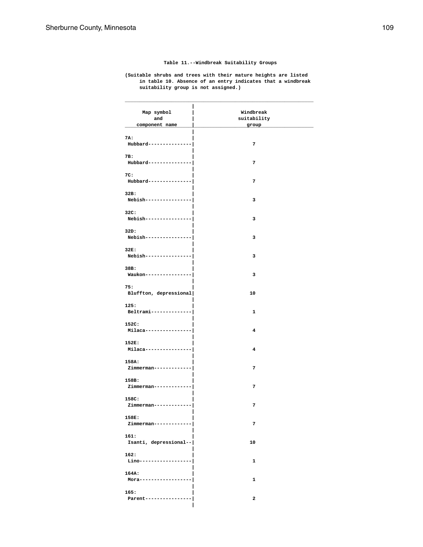**Table 11.--Windbreak Suitability Groups**

**(Suitable shrubs and trees with their mature heights are listed in table 10. Absence of an entry indicates that a windbreak suitability group is not assigned.)**

| Map symbol             | Windbreak   |
|------------------------|-------------|
| and                    | suitability |
| component name         | group       |
|                        |             |
| 7A:                    |             |
| Hubbard--------------- | 7           |
|                        |             |
| 7B:                    |             |
|                        | 7           |
| Hubbard--------------- |             |
|                        |             |
| 7C:                    |             |
| Hubbard--------------- | 7           |
|                        |             |
| 32B:                   |             |
| Nebish---------------- | з           |
|                        |             |
| 32C:                   |             |
| Nebish---------------- | 3           |
|                        |             |
| 32D:                   |             |
| Nebish---------------- | з           |
|                        |             |
| 32E:                   |             |
| Nebish---------------- | 3           |
|                        |             |
| 38B:                   |             |
| Waukon---------------- | 3           |
|                        |             |
| 75:                    |             |
| Bluffton, depressional | 10          |
|                        |             |
| 125:                   |             |
| Beltrami-------------- | 1           |
|                        |             |
| 152C:                  |             |
| Milaca---------------- | 4           |
|                        |             |
| 152E:                  |             |
| Milaca---------------- | 4           |
|                        |             |
| 158A:                  | 7           |
| Zimmerman------------  |             |
|                        |             |
| 158B:                  |             |
| Zimmerman------------  | 7           |
| 158C:                  |             |
|                        | 7           |
| Zimmerman-----------   |             |
| 158E:                  |             |
| Zimmerman------------  | 7           |
|                        |             |
| 161:                   |             |
| Isanti, depressional-- | 10          |
|                        |             |
| 162:                   |             |
| Lino----------------   | $\mathbf 1$ |
|                        |             |
| 164A:                  |             |
| $Mora--------------$   | 1           |
|                        |             |
| 165:                   |             |
| Parent-----------      | 2           |
|                        |             |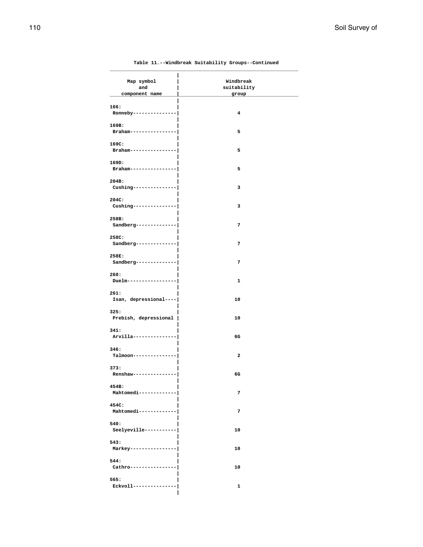| Map symbol             | Windbreak    |
|------------------------|--------------|
| and                    | suitability  |
| component name         | group        |
|                        |              |
| 166:                   |              |
| Ronneby--------------- | 4            |
|                        |              |
| 169B:                  |              |
| Braham---------------  | 5            |
| 169C:                  |              |
| Braham---------------- | 5            |
|                        |              |
| 169D:                  |              |
| Braham---------------  | 5            |
|                        |              |
| 204B:                  |              |
| Cushing--------------- | з            |
|                        |              |
| 204C:                  |              |
| Cushing--------------- | з            |
|                        |              |
| 258B:                  |              |
| Sandberg-------------- | 7            |
|                        |              |
| 258C:                  |              |
| Sandberg-------------- | 7            |
| 258E:                  |              |
| Sandberg-------------- | 7            |
|                        |              |
| 260:                   |              |
| Duelm----------------  | $\mathbf{1}$ |
|                        |              |
| 261:                   |              |
| Isan, depressional---- | 10           |
|                        |              |
| 325:                   |              |
| Prebish, depressional  | 10           |
|                        |              |
| 341:                   |              |
| Arvilla--------------  | 6G           |
| 346:                   |              |
| Talmoon-------------   | 2            |
|                        |              |
| 373:                   |              |
| Renshaw-------------   | 6G           |
|                        |              |
| 454B:                  |              |
| Mahtomedi------------  | 7            |
|                        |              |
| 454C:                  |              |
| Mahtomedi------------  | 7            |
|                        |              |
| 540:                   |              |
| Seelyeville----------- | 10           |
| 543:                   |              |
| Markey---------------- | 10           |
|                        |              |
| 544:                   |              |
| Cathro-----------      | 10           |
|                        |              |
| 565:                   |              |
| Eckvoll----------      | 1            |
|                        |              |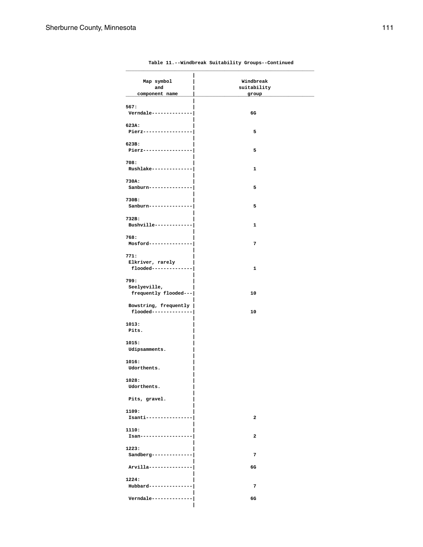| Map symbol<br>and                                | Windbreak<br>suitability |  |
|--------------------------------------------------|--------------------------|--|
| component name                                   | group                    |  |
| 567:<br>Verndale -------------                   | 6G                       |  |
| 623A:<br>Pierz------------                       | 5                        |  |
| 623B:<br>Pierz---------------                    | 5                        |  |
| 708:<br>Rushlake-------------                    | 1                        |  |
| 730A:<br>Sanburn--------------                   | 5                        |  |
| 730B:<br>Sanburn--------------                   | 5                        |  |
| 732B:<br>Bushville------------                   | 1                        |  |
| 768:<br>Mosford---------------                   | 7                        |  |
| 771:<br>Elkriver, rarely<br>$float----------$    | 1                        |  |
| 799:<br>Seelyeville,<br>frequently flooded---    | 10                       |  |
| Bowstring, frequently  <br>flooded-------------- | 10                       |  |
| 1013:<br>Pits.                                   |                          |  |
| 1015:<br>Udipsamments.                           |                          |  |
| 1016:<br>Udorthents.                             |                          |  |
| 1028:<br>Udorthents.                             |                          |  |
| Pits, gravel.                                    |                          |  |
| 1109:<br>Isanti--------------                    | $\overline{\mathbf{2}}$  |  |
| 1110:<br>Isan-----------------                   | $\mathbf{2}$             |  |
| 1223:<br>$Sandberg-----$ -------------           | 7                        |  |
| Arvilla---------------                           | 6G                       |  |
| 1224:<br>Hubbard--------------                   | 7                        |  |
| Verndale --------------                          | 6G                       |  |
|                                                  |                          |  |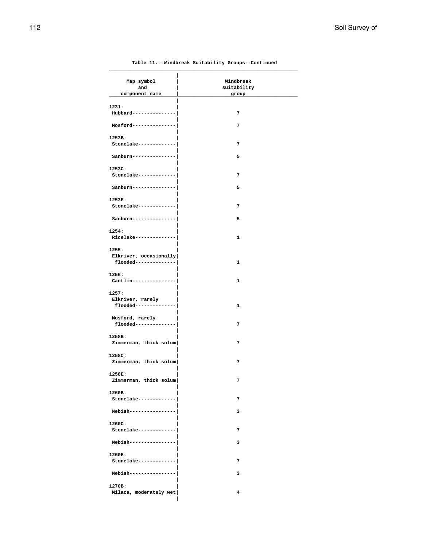#### **\_\_\_\_\_\_\_\_\_\_\_\_\_\_\_\_\_\_\_\_\_\_\_\_\_\_\_\_\_\_\_\_\_\_\_\_\_\_\_\_\_\_\_\_\_\_\_\_\_\_\_\_\_\_\_\_\_\_\_\_\_\_\_\_\_ |** Map symbol  $\begin{array}{c|c} | & \text{Windbreak} \\ \hline \text{and} & | & \text{suitability} \end{array}$ *and* **and intervals are suitability component name | group \_\_\_\_\_\_\_\_\_\_\_\_\_\_\_\_\_\_\_\_\_\_\_\_\_\_\_\_\_\_\_\_\_\_\_\_\_\_\_\_\_\_\_\_\_\_\_\_\_\_\_\_\_\_\_\_\_\_\_\_\_\_\_\_\_ | 1231: | Hubbard---------------| 7 | Mosford---------------| 7 | 1253B: | Stonelake-------------| 7 | Sanburn---------------| 5 | 1253C: | Stonelake-------------| 7 | Sanburn---------------| 5 | 1253E: | Stonelake-------------| 7 | Sanburn---------------| 5 | 1254: | Ricelake--------------| 1 | 1255: | Elkriver, occasionally| flooded--------------| 1 | 1256: | Cantlin---------------| 1 | 1257: | Elkriver, rarely | flooded--------------| 1 | Mosford, rarely | flooded--------------| 7 | 1258B: | Zimmerman, thick solum| 7 | 1258C: | Zimmerman, thick solum| 7 | 1258E: | Zimmerman, thick solum| 7 | 1260B: | Stonelake-------------| 7 | Nebish----------------| 3 | 1260C: | Stonelake-------------| 7 | Nebish----------------| 3 | 1260E: | Stonelake-------------| 7 | Nebish----------------| 3 | 1270B: | Milaca, moderately wet| 4**

 **|**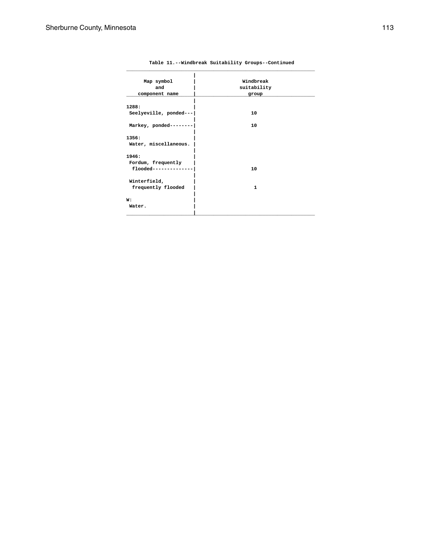| Map symbol             | Windbreak   |
|------------------------|-------------|
| and                    | suitability |
| component name         | group       |
|                        |             |
| 1288:                  |             |
| Seelyeville, ponded--- | 10          |
|                        |             |
| Markey, ponded-------- | 10          |
|                        |             |
| 1356:                  |             |
| Water, miscellaneous.  |             |
|                        |             |
| 1946:                  |             |
| Fordum, frequently     |             |
| flooded-------------   | 10          |
|                        |             |
| Winterfield,           |             |
| frequently flooded     | 1           |
| W:                     |             |
| Water.                 |             |
|                        |             |
|                        |             |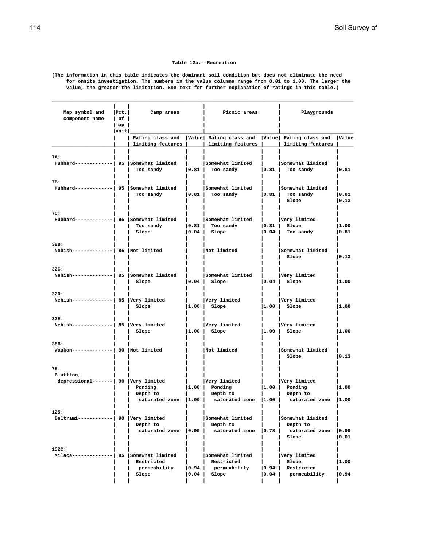#### **Table 12a.--Recreation**

**(The information in this table indicates the dominant soil condition but does not eliminate the need for onsite investigation. The numbers in the value columns range from 0.01 to 1.00. The larger the value, the greater the limitation. See text for further explanation of ratings in this table.)**

| Map symbol and<br>component name                         | Pet. <br>$ $ of $ $<br>$\lceil map \rceil$ | Camp areas                                                 |                                          | Picnic areas                                                                                |                | Playgrounds                                                          |                |  |
|----------------------------------------------------------|--------------------------------------------|------------------------------------------------------------|------------------------------------------|---------------------------------------------------------------------------------------------|----------------|----------------------------------------------------------------------|----------------|--|
|                                                          | $ $ unit $ $                               |                                                            |                                          |                                                                                             |                |                                                                      |                |  |
|                                                          |                                            | limiting features                                          |                                          | Rating class and   Value   Rating class and   Value   Rating class and<br>limiting features | $\blacksquare$ | limiting features                                                    | Value          |  |
| 7A:<br>Hubbard------------  95 Somewhat limited          |                                            | Too sandy                                                  | 0.81                                     | Somewhat limited<br>Too sandy                                                               | 0.81           | Somewhat limited<br>Too sandy                                        | 0.81           |  |
| 7B:<br>Hubbard------------  95 Somewhat limited          |                                            | Too sandy                                                  | 0.81                                     | Somewhat limited<br>Too sandy                                                               | 0.81           | Somewhat limited<br>Too sandy<br>Slope                               | 0.81<br> 0.13  |  |
| 7C:<br>Hubbard------------  95 Somewhat limited          |                                            | Too sandy<br>Slope                                         | $\vert 0.81 \vert$<br>$\vert 0.04 \vert$ | Somewhat limited<br>Too sandy<br>Slope                                                      | 0.04           | Very limited<br>$ 0.81 $ Slope<br>Too sandy                          | 1.00<br> 0.81  |  |
| 32B:<br>$Nebish$ -------------  85   Not limited         |                                            |                                                            |                                          | Not limited                                                                                 |                | Somewhat limited<br>Slope                                            | 0.13           |  |
| 32C:<br>Nebish-------------  85   Somewhat limited       |                                            | Slope                                                      | $\mathbf{L}$<br>$\vert 0.04 \vert$       | Somewhat limited<br>Slope                                                                   |                | Very limited<br>$ 0.04 $ Slope                                       | 1.00           |  |
| 32D:<br>$Nebish$ -------------  85   Very limited        |                                            | Slope                                                      | $\vert 1.00 \vert$                       | Very limited<br>Slope                                                                       |                | Very limited<br>$ 1.00 $ Slope                                       | 1.00           |  |
| 32E:<br>$Nebish$ -------------  85   Very limited        |                                            | Slope                                                      | $\vert 1.00 \vert$                       | Very limited<br>Slope                                                                       |                | Very limited<br>$ 1.00 $ Slope                                       | 1.00           |  |
| 38B:<br>Waukon--------------  90  Not limited            |                                            |                                                            |                                          | Not limited                                                                                 |                | Somewhat limited<br>Slope                                            | 0.13           |  |
| 75:<br>Bluffton,<br>depressional-------  90 Very limited |                                            | Ponding<br>Depth to<br>saturated zone $ 1.00 $             |                                          | Very limited<br>$ 1.00 $ Ponding<br>Depth to<br>saturated zone 11.00 l                      |                | Very limited<br>$ 1.00 $ Ponding<br>Depth to<br>saturated zone 11.00 | 1.00           |  |
| 125:<br>Beltrami------------  90  Very limited           |                                            | Depth to<br>saturated zone                                 | $ 0.99\rangle$                           | Somewhat limited<br>Depth to<br>saturated zone                                              | 10.78          | Somewhat limited<br>Depth to<br>saturated zone<br>Slope              | 0.99<br>0.01   |  |
| 152C:<br>Milaca-----                                     |                                            | 95 Somewhat limited<br>Restricted<br>permeability<br>Slope | $ 0.94\rangle$<br>0.04                   | Somewhat limited<br>Restricted<br>permeability<br>Slope                                     | 0.94<br>0.04   | Very limited<br>Slope<br>Restricted<br>permeability                  | 1.00<br>  0.94 |  |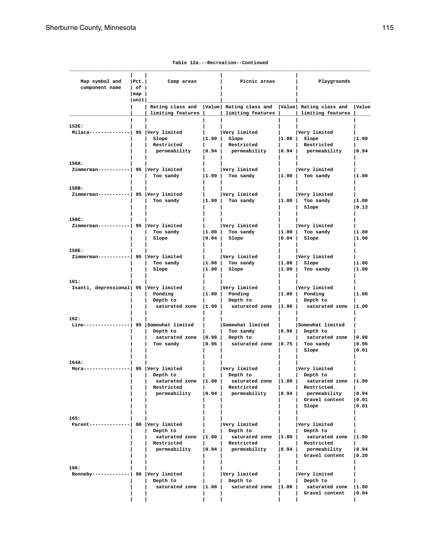| Map symbol and<br>component name                                                 | Pet. <br>  of  <br> map | Camp areas                                                            |                | Picnic areas                                                                                                                      |                             | Playgrounds                                                                                        |                                  |
|----------------------------------------------------------------------------------|-------------------------|-----------------------------------------------------------------------|----------------|-----------------------------------------------------------------------------------------------------------------------------------|-----------------------------|----------------------------------------------------------------------------------------------------|----------------------------------|
|                                                                                  | unit                    | Rating class and<br>limiting features                                 |                | Value Rating class and Value Rating class and<br>limiting features                                                                |                             | limiting features                                                                                  | Value                            |
| 152E:<br>$\texttt{Milaca}\texttt{---}\texttt{---}\texttt{---}$ 95   Very limited |                         | Slope<br>Restricted<br>permeability                                   | 1.00 <br> 0.94 | Very limited<br>Slope<br>Restricted<br>permeability                                                                               | 0.94                        | Very limited<br>$ 1.00 $ Slope<br>Restricted<br>permeability                                       | 1.00<br> 0.94                    |
| 158A:<br>Zimmerman-----------  95 Very limited                                   |                         | Too sandy                                                             | 1.00           | Very limited<br>Too sandy                                                                                                         |                             | Very limited<br>$ 1.00 $ Too sandy                                                                 | 1.00                             |
| 158B:<br>Zimmerman-----------  95 Very limited                                   |                         | Too sandy                                                             | 1.00           | Very limited<br>Too sandy                                                                                                         |                             | Very limited<br>$ 1.00 $ Too sandy<br>Slope                                                        | 1.00<br> 0.13                    |
| 158C:<br>Zimmerman-----------  95 Very limited                                   |                         | Too sandy<br>Slope                                                    | 1.00 <br> 0.04 | Very limited<br>Too sandy<br>Slope                                                                                                | 0.04                        | Very limited<br>$ 1.00 $ Too sandy<br>Slope                                                        | 1.00<br> 1.00                    |
| 158E:                                                                            |                         |                                                                       |                |                                                                                                                                   |                             |                                                                                                    |                                  |
| Zimmerman-----------  95  Very limited                                           |                         | Too sandy<br>Slope                                                    | 1.00 <br> 1.00 | Very limited<br>Too sandy<br>Slope                                                                                                | 1.00 <br> 1.00              | Very limited<br>Slope<br>Too sandy                                                                 | 1.00<br> 1.00                    |
| 161:<br>Isanti, depressional 95 Very limited                                     |                         | Ponding<br>Depth to<br>saturated zone                                 | 1.00 <br> 1.00 | Very limited<br>Ponding<br>Depth to<br>saturated zone                                                                             | 1.00                        | Very limited<br>$ 1.00 $ Ponding<br>Depth to<br>saturated zone                                     | 1.00<br> 1.00                    |
| 162:<br>Lino----                                                                 |                         | -  95  Somewhat limited<br>Depth to<br>saturated zone<br>Too sandy    | 0.98 <br> 0.96 | Somewhat limited<br>Too sandy<br>Depth to<br>saturated zone $ 0.75 $ Too sandy                                                    |                             | Somewhat limited<br>$ 0.96 $ Depth to<br>saturated zone<br>Slope                                   | 0.98<br> 0.96<br> 0.01           |
| 164A:<br>$Mora-----$                                                             |                         | ---------  95  Very limited<br>Depth to<br>Restricted<br>permeability | 0.94           | Very limited<br>Depth to<br>saturated zone $ 1.00 $ saturated zone $ 1.00 $ saturated zone $ 1.00 $<br>Restricted<br>permeability | 0.94                        | Very limited<br>Depth to<br>Restricted<br>permeability<br>Gravel content<br>Slope                  | $ 0.94\rangle$<br> 0.01<br> 0.01 |
| 165:<br>Parent--------------  90   Very limited                                  |                         | Depth to<br>saturated zone<br>Restricted<br>permeability              | 1.00 <br> 0.94 | Very limited<br>Depth to<br>saturated zone<br>Restricted<br>permeability                                                          | $\vert 1.00 \vert$<br> 0.94 | Very limited<br>Depth to<br>saturated zone  1.00<br>  Restricted<br>permeability<br>Gravel content | $ 0.94\rangle$<br>$ 0.20\rangle$ |
| 166:<br>Ronneby------------  90  Very limited                                    |                         | Depth to<br>saturated zone   1.00                                     |                | Very limited<br>Depth to<br>saturated zone                                                                                        | 1.00                        | Very limited<br>Depth to<br>saturated zone<br>Gravel content                                       | 1.00<br> 0.04                    |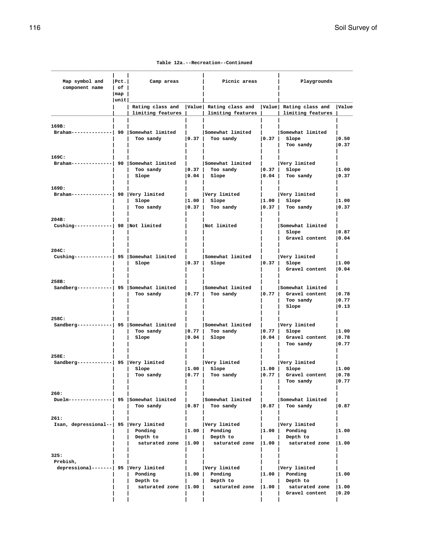**Table 12a.--Recreation--Continued**

| Map symbol and<br>component name                         | $ $ Pct.<br>  of<br> map<br>$ $ unit $ $ | Camp areas                                   |                                          | Picnic areas                                                     |                             | Playgrounds                                                             |                         |  |
|----------------------------------------------------------|------------------------------------------|----------------------------------------------|------------------------------------------|------------------------------------------------------------------|-----------------------------|-------------------------------------------------------------------------|-------------------------|--|
|                                                          |                                          | limiting features                            |                                          | Rating class and   Value   Rating class and<br>limiting features |                             | Value Rating class and<br>limiting features                             | Value                   |  |
| 169B:<br>Braham-------------  90 Somewhat limited        |                                          | Too sandy                                    | 0.37                                     | Somewhat limited<br>Too sandy                                    | 0.37                        | Somewhat limited<br>Slope<br>Too sandy                                  | 0.50<br> 0.37           |  |
| 169C:<br>Braham----------                                |                                          | 90 Somewhat limited<br>Too sandy<br>Slope    | 0.37 <br> 0.04                           | Somewhat limited<br>Too sandy<br>Slope                           | $\vert 0.37 \vert$<br> 0.04 | Very limited<br>Slope<br>Too sandy                                      | 1.00<br> 0.37           |  |
| 169D:<br>$Braham$ -------------  90   Very limited       |                                          | Slope<br>Too sandy                           | $\vert 1.00 \vert$<br>$\vert 0.37 \vert$ | Very limited<br>Slope<br>Too sandy                               | 1.00 <br> 0.37              | Very limited<br>Slope<br>Too sandy                                      | 1.00<br> 0.37           |  |
| 204B:<br>Cushing-------------  90  Not limited           |                                          |                                              |                                          | Not limited                                                      |                             | Somewhat limited<br>Slope<br>Gravel content                             | 0.87<br> 0.04           |  |
| 204C:<br>Cushing------------  95 Somewhat limited        |                                          | Slope                                        | 0.37                                     | Somewhat limited<br>Slope                                        | 0.37                        | Very limited<br>Slope<br>Gravel content                                 | 1.00<br> 0.04           |  |
| 258B:<br>Sandberg-----------  95 Somewhat limited        |                                          | Too sandy                                    | $\vert 0.77 \vert$                       | Somewhat limited<br>Too sandy                                    | $\vert 0.77 \vert$          | Somewhat limited<br>Gravel content<br>Too sandy<br>Slope                | 0.78<br> 0.77<br> 0.13  |  |
| 258C:<br>Sandberg-----------  95 Somewhat limited        |                                          | Too sandy<br>Slope                           | 0.77 <br> 0.04                           | Somewhat limited<br>Too sandy<br>Slope                           | 0.77 <br>  0 . 0 4          | Very limited<br>Slope<br>Gravel content<br>Too sandy                    | 1.00<br> 0.78<br> 0.77  |  |
| 258E:<br>Sandberg------------  95   Very limited         |                                          | Slope<br>Too sandy                           | 1.00 <br>  0.77                          | Very limited<br>Slope<br>Too sandy                               | 1.00 <br>0.77               | Very limited<br>Slope<br>Gravel content<br>Too sandy                    | 1.00<br>0.78<br> 0.77   |  |
| 260:<br>Duelm---------------  95 Somewhat limited        |                                          | Too sandy                                    | 0.87                                     | Somewhat limited<br>Too sandy                                    | 0.87                        | Somewhat limited<br>Too sandy                                           | 0.87                    |  |
| 261:<br>Isan, depressional--   95   Very limited         |                                          | Ponding<br>Depth to<br>saturated zone   1.00 | 1.00                                     | Very limited<br>Ponding<br>Depth to<br>saturated zone            | 1.00 <br> 1.00              | Very limited<br>Ponding<br>Depth to<br>saturated zone                   | 1.00<br> 1.00           |  |
| 325:<br>Prebish,<br>depressional-------  95 Very limited |                                          | Ponding<br>Depth to<br>saturated zone  1.00  | $ 1.00\rangle$                           | Very limited<br>Ponding<br>Depth to<br>saturated zone            | 1.00<br>$ 1.00\rangle$      | Very limited<br>Ponding<br>Depth to<br>saturated zone<br>Gravel content | 11.00<br> 1.00<br> 0.20 |  |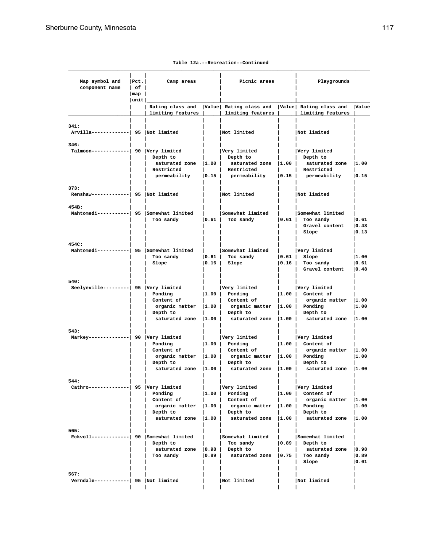| Map symbol and<br>component name                 | Pet. <br>l of l              | Camp areas                            |                    | Picnic areas                                                                                |      | Playgrounds                                              |                         |
|--------------------------------------------------|------------------------------|---------------------------------------|--------------------|---------------------------------------------------------------------------------------------|------|----------------------------------------------------------|-------------------------|
|                                                  | $\lceil \texttt{map} \rceil$ |                                       |                    |                                                                                             |      |                                                          |                         |
|                                                  | unit                         | limiting features                     |                    | Rating class and   Value   Rating class and   Value   Rating class and<br>limiting features |      | limiting features                                        | Value                   |
|                                                  |                              |                                       |                    |                                                                                             |      |                                                          |                         |
| 341:<br>Arvilla-------------  95   Not limited   |                              |                                       |                    | Not limited                                                                                 |      | Not limited                                              |                         |
| 346:                                             |                              |                                       |                    |                                                                                             |      |                                                          |                         |
| Talmoon-------------  90 Very limited            |                              | Depth to<br>saturated zone   1.00     |                    | Very limited<br>Depth to<br>saturated zone                                                  | 1.00 | Very limited<br>Depth to<br>saturated zone               | 1.00                    |
|                                                  |                              | Restricted<br>permeability            | 0.15               | Restricted<br>permeability                                                                  | 0.15 | Restricted<br>permeability                               | 0.15                    |
| 373:                                             |                              |                                       |                    |                                                                                             |      |                                                          |                         |
| Renshaw-------------  95   Not limited           |                              |                                       |                    | Not limited                                                                                 |      | Not limited                                              |                         |
| 454B:                                            |                              |                                       |                    |                                                                                             |      |                                                          |                         |
| Mahtomedi-----------  95 Somewhat limited        |                              | Too sandy                             | 0.61               | Somewhat limited<br>Too sandy                                                               |      | Somewhat limited<br>$ 0.61 $ Too sandy<br>Gravel content | 0.61<br> 0.48           |
|                                                  |                              |                                       |                    |                                                                                             |      | Slope                                                    | 0.13                    |
| 454C:                                            |                              |                                       |                    |                                                                                             |      |                                                          |                         |
| Mahtomedi----------  95 Somewhat limited         |                              | Too sandy                             | 0.61               | Somewhat limited<br>Too sandy                                                               | 0.61 | Very limited<br>Slope                                    | 1.00                    |
|                                                  |                              | Slope                                 | 0.16               | Slope                                                                                       | 0.16 | Too sandy                                                | 0.61                    |
|                                                  |                              |                                       |                    |                                                                                             |      | Gravel content                                           | 0.48                    |
| 540:                                             |                              |                                       |                    |                                                                                             |      |                                                          |                         |
| Seelyeville---------  95 Very limited            |                              |                                       |                    | Very limited                                                                                |      | Very limited                                             |                         |
|                                                  |                              | Ponding                               |                    | $ 1.00 $ Ponding                                                                            |      | $ 1.00 $ Content of                                      |                         |
|                                                  |                              | Content of<br>organic matter $ 1.00 $ |                    | Content of<br>organic matter  1.00                                                          |      | organic matter $ 1.00$<br>Ponding                        | 1.00                    |
|                                                  |                              | Depth to                              |                    | Depth to                                                                                    |      | Depth to                                                 |                         |
|                                                  |                              | saturated zone   1.00                 |                    | saturated zone   1.00                                                                       |      | saturated zone                                           | 1.00                    |
| 543:                                             |                              |                                       |                    |                                                                                             |      |                                                          |                         |
| Markey--------------  90   Very limited          |                              |                                       |                    | Very limited                                                                                |      | Very limited                                             |                         |
|                                                  |                              | Ponding<br>Content of                 | $\vert 1.00 \vert$ | Ponding                                                                                     |      | $ 1.00 $ Content of                                      |                         |
|                                                  |                              | organic matter                        | 1.00               | Content of<br>$organic matter$  1.00                                                        |      | organic matter $ 1.00$<br>Ponding                        | 11.00                   |
|                                                  |                              | Depth to                              |                    | Depth to                                                                                    |      | Depth to                                                 |                         |
|                                                  |                              | saturated zone $ 1.00 $               |                    | saturated zone $ 1.00 $                                                                     |      | saturated zone  1.00                                     |                         |
| 544:                                             |                              |                                       |                    |                                                                                             |      |                                                          |                         |
| Cathro-------------  95   Very limited           |                              |                                       |                    | Very limited                                                                                |      | Very limited                                             |                         |
|                                                  |                              | Ponding<br>Content of                 |                    | $ 1.00 $ Ponding<br>  Content of                                                            |      | $ 1.00 $ Content of<br>organic matter  1.00              |                         |
|                                                  |                              |                                       |                    | organic matter $ 1.00 $ organic matter $ 1.00 $ Ponding                                     |      |                                                          | 1.00                    |
|                                                  |                              | Depth to                              |                    | Depth to                                                                                    |      | Depth to                                                 |                         |
|                                                  |                              |                                       |                    | saturated zone $ 1.00 $ saturated zone $ 1.00 $ saturated zone                              |      |                                                          | 1.00                    |
| 565:<br>Eckvoll------------  90 Somewhat limited |                              |                                       |                    | Somewhat limited                                                                            |      | Somewhat limited                                         |                         |
|                                                  |                              | Depth to                              |                    | Too sandy                                                                                   |      | $ 0.89 $ Depth to                                        |                         |
|                                                  |                              | saturated zone   0.98   Depth to      |                    |                                                                                             |      | saturated zone   0.98                                    |                         |
|                                                  |                              | Too sandy                             | 0.89               | saturated zone $ 0.75 $ Too sandy                                                           |      | Slope                                                    | $ 0.89\rangle$<br> 0.01 |
|                                                  |                              |                                       |                    |                                                                                             |      |                                                          |                         |
| 567:<br>Verndale------------  95   Not limited   |                              |                                       |                    | Not limited                                                                                 |      | Not limited                                              |                         |
|                                                  |                              |                                       |                    |                                                                                             |      |                                                          |                         |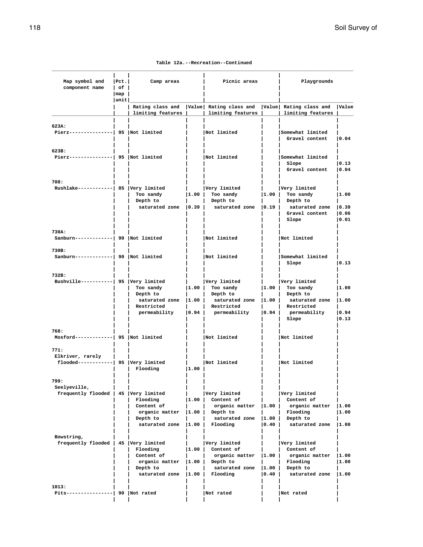| Table 12a.--Recreation--Continued |  |
|-----------------------------------|--|
|-----------------------------------|--|

| Map symbol and<br>component name                                  | $ $ Pct.<br>$ $ of $ $<br>$\lceil map \rceil$ | Camp areas                                                                      |                                         | Picnic areas                                                                                    |                          | Playgrounds                                                                                    |                                  |
|-------------------------------------------------------------------|-----------------------------------------------|---------------------------------------------------------------------------------|-----------------------------------------|-------------------------------------------------------------------------------------------------|--------------------------|------------------------------------------------------------------------------------------------|----------------------------------|
|                                                                   | unit                                          |                                                                                 |                                         | Rating class and   Value  Rating class and   Value  Rating class and                            |                          |                                                                                                | Value                            |
|                                                                   |                                               | limiting features                                                               |                                         | limiting features                                                                               |                          | limiting features                                                                              |                                  |
| 623A:<br>Pierz---------------  95   Not limited                   |                                               |                                                                                 |                                         | Not limited                                                                                     |                          | Somewhat limited<br>Gravel content                                                             | 0.04                             |
| 623B:<br>Pierz---------------  95   Not limited                   |                                               |                                                                                 |                                         | Not limited                                                                                     |                          | Somewhat limited<br>Slope<br>Gravel content                                                    | 0.13<br> 0.04                    |
| 708:<br>Rushlake------------  85   Very limited                   |                                               | Too sandy<br>Depth to<br>saturated zone $ 0.39 $                                | 1.00                                    | Very limited<br>Too sandy<br>Depth to<br>saturated zone   0.19                                  | 1.00                     | Very limited<br>Too sandy<br>Depth to<br>saturated zone   0.39<br>Gravel content<br>Slope      | 1.00<br> 0.06<br> 0.01           |
| 730A:<br>Sanburn-------------  90  Not limited                    |                                               |                                                                                 |                                         | Not limited                                                                                     |                          | Not limited                                                                                    |                                  |
| 730B:<br>Sanburn-------------  90  Not limited                    |                                               |                                                                                 |                                         | Not limited                                                                                     |                          | Somewhat limited<br>Slope                                                                      | 0.13                             |
| 732B:<br>Bushville-----------  95 Very limited                    |                                               | Too sandy<br>Depth to<br>saturated zone $ 1.00 $<br>Restricted<br>permeability  | 1.00                                    | Very limited<br>Too sandy<br>Depth to<br>saturated zone<br>Restricted<br>$ 0.94 $ permeability  | 1.00 <br> 1.00 <br> 0.94 | Very limited<br>Too sandy<br>Depth to<br>saturated zone<br>Restricted<br>permeability<br>Slope | 1.00<br> 1.00<br> 0.94<br>  0.13 |
| 768:<br>$Mostord----- 95$ Not limited                             |                                               |                                                                                 |                                         | Not limited                                                                                     |                          | Not limited                                                                                    |                                  |
| 771:<br>Elkriver, rarely<br>flooded------------  95  Very limited |                                               | Flooding                                                                        | $ 1.00\rangle$                          | Not limited                                                                                     |                          | Not limited                                                                                    |                                  |
| 799:<br>Seelyeville,<br>frequently flooded   45   Very limited    |                                               | Flooding<br>Content of<br>organic matter<br>Depth to<br>saturated zone $ 1.00 $ | 1.00 <br>$\vert 1.00 \vert$             | Very limited<br>Content of<br>organic matter  1.00  <br>Depth to<br>saturated zone<br>Flooding  | 1.00 <br>$ 0.40\rangle$  | Very limited<br>Content of<br>organic matter<br>Flooding<br>Depth to<br>saturated zone         | 1.00<br> 1.00<br> 1.00           |
| Bowstring,<br>frequently flooded   45   Very limited              |                                               | Flooding<br>Content of<br>organic matter<br>Depth to<br>saturated zone $ 1.00 $ | 1.00 <sub>1</sub><br>$\vert 1.00 \vert$ | Very limited<br>Content of<br>organic matter $ 1.00 $<br>Depth to<br>saturated zone<br>Flooding | 1.00 <br>$ 0.40\rangle$  | Very limited<br>Content of<br>organic matter<br>Flooding<br>Depth to<br>saturated zone         | 1.00<br>1.00<br> 1.00            |
| 1013:<br>Pits----------------  90   Not rated                     |                                               |                                                                                 |                                         | Not rated                                                                                       |                          | Not rated                                                                                      |                                  |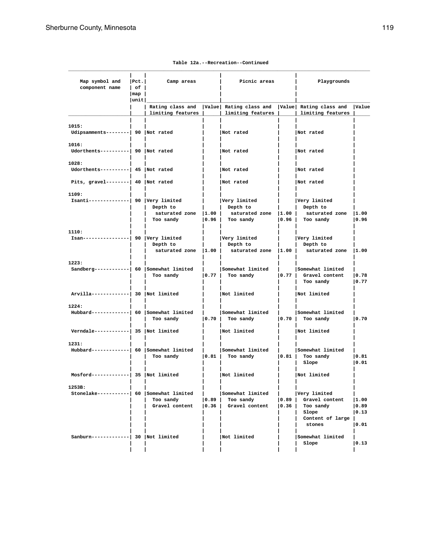| Map symbol and<br>component name                     | $ $ Pct.<br>$ $ of $ $<br>$\lceil map \rceil$ | Camp areas                                       |                    | Picnic areas                                                                                        |      | Playgrounds                                                                                   |                                                   |
|------------------------------------------------------|-----------------------------------------------|--------------------------------------------------|--------------------|-----------------------------------------------------------------------------------------------------|------|-----------------------------------------------------------------------------------------------|---------------------------------------------------|
|                                                      | unit                                          |                                                  |                    |                                                                                                     |      |                                                                                               |                                                   |
|                                                      |                                               | limiting features                                |                    | Rating class and   Value  Rating class and   Value  Rating class and<br>  limiting features         |      | limiting features                                                                             | Value                                             |
| 1015:<br>Udipsamments--------  90 Not rated          |                                               |                                                  |                    | Not rated                                                                                           |      | Not rated                                                                                     |                                                   |
| 1016:<br>Udorthents----------  90  Not rated         |                                               |                                                  |                    | Not rated                                                                                           |      | Not rated                                                                                     |                                                   |
| 1028:<br>Udorthents----------  45 Not rated          |                                               |                                                  |                    | Not rated                                                                                           |      | Not rated                                                                                     |                                                   |
| Pits, gravel--------  40  Not rated                  |                                               |                                                  |                    | Not rated                                                                                           |      | Not rated                                                                                     |                                                   |
| 1109:<br>Isanti--------------  90 Very limited       |                                               | Depth to<br>saturated zone $ 1.00 $<br>Too sandy |                    | Very limited<br>Depth to<br>saturated zone $ 1.00 $<br>$\vert 0.96 \vert$ Too sandy                 |      | Very limited<br>Depth to<br>saturated zone  1.00<br>$ 0.96 $ Too sandy                        | 0.96                                              |
| 1110:<br>Isan----------------  90   Very limited     |                                               | Depth to                                         |                    | Very limited<br>Depth to<br>saturated zone $ 1.00 $ saturated zone $ 1.00 $ saturated zone $ 1.00 $ |      | Very limited<br>Depth to                                                                      |                                                   |
| 1223:<br>Sandberg------------  60 Somewhat limited   |                                               |                                                  | $\mathbf{L}$       | Somewhat limited<br>Too sandy $\vert 0.77 \vert$ Too sandy $\vert 0.77 \vert$ Gravel content        |      | Somewhat limited<br>Too sandy                                                                 | 0.78<br> 0.77                                     |
| Arvilla-------------  30  Not limited                |                                               |                                                  |                    | Not limited                                                                                         |      | Not limited                                                                                   |                                                   |
| 1224:<br>Hubbard------------  60   Somewhat limited  |                                               | Too sandy                                        | $\vert 0.70 \vert$ | Somewhat limited<br>Too sandy                                                                       |      | Somewhat limited<br>$ 0.70 $ Too sandy                                                        | 0.70                                              |
| Verndale------------  35   Not limited               |                                               |                                                  | $\Box$             | Not limited                                                                                         |      | Not limited                                                                                   |                                                   |
| 1231:<br>Hubbard------------  60 Somewhat limited    |                                               | Too sandy                                        |                    | Somewhat limited<br>$\vert 0.81 \vert$ Too sandy                                                    |      | Somewhat limited<br>$ 0.81 $ Too sandy<br>Slope                                               | 0.81<br> 0.01                                     |
| $Mostord$ -------------  35  Not limited             |                                               |                                                  |                    | Not limited                                                                                         |      | Not limited                                                                                   |                                                   |
| 1253B:<br>Stonelake----------  60   Somewhat limited |                                               | Too sandy<br>Gravel content                      | $\vert 0.89 \vert$ | Somewhat limited<br>Too sandy<br>$\vert 0.36 \vert$ Gravel content                                  | 0.89 | Very limited<br>Gravel content<br>$ 0.36 $ Too sandy<br>Slope<br>Content of large  <br>stones | 1.00<br>$ 0.89\rangle$<br>$ 0.13\rangle$<br> 0.01 |
| Sanburn-------------  30 Not limited                 |                                               |                                                  |                    | Not limited                                                                                         |      | Somewhat limited<br>Slope                                                                     | $ 0.13\rangle$                                    |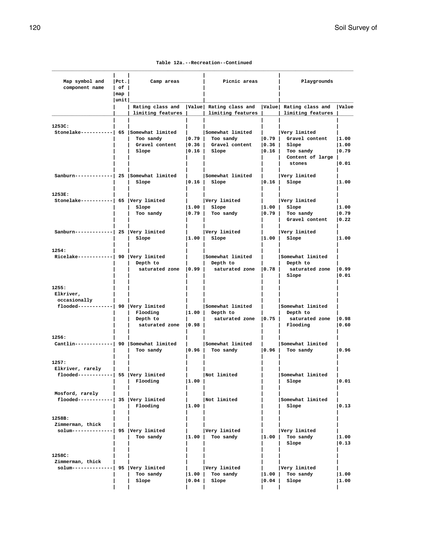**Table 12a.--Recreation--Continued**

| Map symbol and<br>component name                                               | Pct. <br>$ $ of $ $ | Camp areas                                    |                    | Picnic areas                                                                              |                                        | Playgrounds                                        |                        |  |
|--------------------------------------------------------------------------------|---------------------|-----------------------------------------------|--------------------|-------------------------------------------------------------------------------------------|----------------------------------------|----------------------------------------------------|------------------------|--|
|                                                                                | $\lceil map \rceil$ |                                               |                    |                                                                                           |                                        |                                                    |                        |  |
|                                                                                | unit                | limiting features                             |                    | Rating class and   Value  Rating class and   Value  Rating class and<br>limiting features |                                        | limiting features                                  | Value                  |  |
|                                                                                |                     |                                               |                    |                                                                                           |                                        |                                                    |                        |  |
| 1253C:<br>Stonelake----------  65   Somewhat limited                           |                     | Too sandy                                     | $\vert 0.79 \vert$ | Somewhat limited<br>Too sandy                                                             | 0.79                                   | Very limited<br>Gravel content                     | 1.00                   |  |
|                                                                                |                     | Slope                                         | 0.16               | Slope                                                                                     | 0.16                                   | Slope<br>Too sandy<br>Content of large  <br>stones | 1.00<br> 0.79<br> 0.01 |  |
| Sanburn------------  25 Somewhat limited                                       |                     | Slope                                         |                    | Somewhat limited<br>$ 0.16 $ Slope                                                        | $\mathbf{I}$ and $\mathbf{I}$<br> 0.16 | Very limited<br>Slope                              | 1.00                   |  |
| 1253E:                                                                         |                     |                                               |                    |                                                                                           |                                        |                                                    |                        |  |
| Stonelake-----------  65 Very limited                                          |                     | Slope                                         |                    | Very limited<br>$ 1.00 $ Slope                                                            |                                        | Very limited<br>$ 1.00 $ Slope                     | 1.00                   |  |
|                                                                                |                     | Too sandy                                     | $\vert 0.79 \vert$ | Too sandy                                                                                 | 0.79                                   | Too sandy<br>Gravel content                        | 0.79<br> 0.22          |  |
| Sanburn------------  25  Very limited                                          |                     | Slope                                         |                    | Very limited<br>$ 1.00 $ Slope                                                            | $\vert 1.00 \vert$                     | Very limited<br>Slope                              | 1.00                   |  |
| 1254:                                                                          |                     |                                               |                    |                                                                                           |                                        |                                                    |                        |  |
| Ricelake------------  90 $ Very$ limited                                       |                     | Depth to                                      |                    | Somewhat limited<br>Depth to                                                              |                                        | Somewhat limited<br>Depth to                       |                        |  |
|                                                                                |                     | saturated zone $ 0.99 $                       |                    | saturated zone $ 0.78 $                                                                   |                                        | saturated zone   0.99<br>Slope                     | 0.01                   |  |
| 1255:<br>Elkriver,<br>occasionally<br>$f$ looded------------  90  Very limited |                     |                                               |                    | Somewhat limited                                                                          |                                        | Somewhat limited                                   |                        |  |
|                                                                                |                     | Flooding<br>Depth to<br>saturated zone   0.98 |                    | $ 1.00 $ Depth to<br>saturated zone $ 0.75 $                                              |                                        | Depth to<br>saturated zone   0.98<br>Flooding      | 0.60                   |  |
| 1256:<br>Cantlin-------------  90 Somewhat limited                             |                     | Too sandy                                     | 0.96               | Somewhat limited<br>Too sandy                                                             |                                        | Somewhat limited<br>$ 0.96 $ Too sandy             | 0.96                   |  |
| 1257:<br>Elkriver, rarely<br>flooded------------  55  Very limited             |                     | Flooding                                      | 1.00               | Not limited                                                                               |                                        | Somewhat limited<br>Slope                          | 0.01                   |  |
| Mosford, rarely<br>flooded------------  35  Very limited                       |                     | Flooding                                      | 1.00               | Not limited                                                                               |                                        | Somewhat limited<br>Slope                          | 0.13                   |  |
| 1258B:<br>Zimmerman, thick<br>solum--------------  95  Very limited            |                     | Too sandy                                     | $\vert 1.00 \vert$ | Very limited<br>Too sandy                                                                 | 1.00                                   | Very limited<br>Too sandy<br>Slope                 | 1.00<br> 0.13          |  |
| 1258C:<br>Zimmerman, thick<br>solum--------------  95   Very limited           |                     | Too sandy<br>Slope                            | 1.00 <br> 0.04     | Very limited<br>Too sandy<br>Slope                                                        | $ 1.00\rangle$<br>$ 0.04\rangle$       | Very limited<br>Too sandy<br>Slope                 | 1.00<br> 1.00          |  |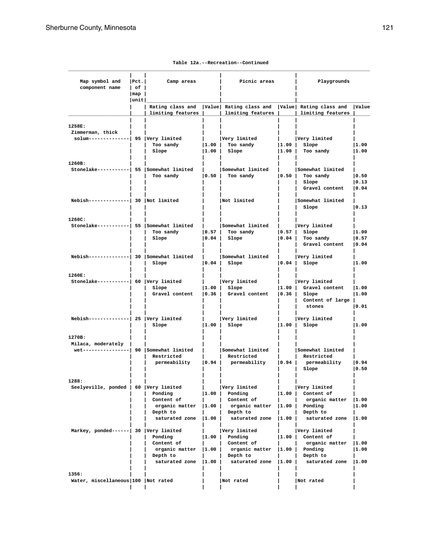| Map symbol and<br>component name                                              | $ $ Pct.<br>$ $ of $ $       | Camp areas                                                            |                             | Picnic areas                                                                                  |                           | Playgrounds                                                                             |                                 |  |
|-------------------------------------------------------------------------------|------------------------------|-----------------------------------------------------------------------|-----------------------------|-----------------------------------------------------------------------------------------------|---------------------------|-----------------------------------------------------------------------------------------|---------------------------------|--|
|                                                                               | $\lceil map \rceil$<br> unit |                                                                       |                             |                                                                                               |                           |                                                                                         |                                 |  |
|                                                                               |                              | limiting features                                                     |                             | Rating class and   Value  Rating class and   Value  Rating class and<br>limiting features     |                           | limiting features                                                                       | Value                           |  |
| 1258E:<br>Zimmerman, thick<br>solum--------------  95  Very limited           |                              | Too sandy<br>Slope                                                    | 1.00                        | Very limited<br>$ 1.00 $ Too sandy<br>Slope                                                   |                           | Very limited<br>$ 1.00 $ Slope<br>$ 1.00 $ Too sandy                                    | 1.00<br> 1.00                   |  |
| 1260B:<br>Stonelake----------  55 Somewhat limited                            |                              | Too sandy                                                             | $\vert 0.50 \vert$          | Somewhat limited<br>Too sandy                                                                 |                           | Somewhat limited<br>$ 0.50 $ Too sandy<br>Slope<br>Gravel content                       | 0.50<br> 0.13<br> 0.04          |  |
| $Nebish$ --------------  30  Not limited                                      |                              |                                                                       |                             | Not limited                                                                                   |                           | Somewhat limited<br>Slope                                                               | $ 0.13\rangle$                  |  |
| 1260C:<br>Stonelake-----------  55 Somewhat limited                           |                              | Too sandy<br>Slope                                                    | 0.57 <br>$\vert 0.04 \vert$ | Somewhat limited<br>Too sandy<br>Slope                                                        |                           | Very limited<br>$ 0.57 $ Slope<br>$ 0.04 $ Too sandy<br>Gravel content                  | 1.00<br>$ 0.57\rangle$<br> 0.04 |  |
| Nebish-------------  30   Somewhat limited                                    |                              | Slope                                                                 | $\vert 0.04 \vert$          | Somewhat limited<br>Slope                                                                     |                           | Very limited<br>$ 0.04 $ Slope                                                          | 11.00                           |  |
| 1260E:<br>Stonelake-----------  60 Very limited                               |                              | Slope<br>Gravel content                                               |                             | Very limited<br>$ 1.00 $ Slope<br>$\vert 0.36 \vert$ Gravel content                           |                           | Very limited<br>$ 1.00 $ Gravel content<br>$ 0.36 $ Slope<br>Content of large<br>stones | 1.00<br> 1.00<br> 0.01          |  |
| $Nebish$ -------------  25   Very limited                                     |                              | Slope                                                                 | $\vert 1.00 \vert$          | Very limited<br>Slope                                                                         |                           | Very limited<br>$ 1.00 $ Slope                                                          | 1.00                            |  |
| 1270B:<br>Milaca, moderately  <br>wet----------------  90 $ Somewhat$ limited |                              | Restricted                                                            |                             | Somewhat limited<br>Restricted<br>permeability   0.94   permeability                          | 0.94                      | Somewhat limited<br>Restricted<br>permeability<br>Slope                                 | 0.94<br> 0.50                   |  |
| 1288:<br>Seelyeville, ponded   60 Very limited                                |                              | Ponding<br>Content of<br>organic matter<br>Depth to<br>saturated zone | 1.00 <br> 1.00 <br> 1.00    | Very limited<br>Ponding<br>Content of<br>organic matter  1.00  <br>Depth to<br>saturated zone | 1.00  <br>$ 1.00\rangle$  | Very limited<br>Content of<br>organic matter<br>Ponding<br>Depth to<br>saturated zone   | 1.00<br> 1.00<br> 1.00          |  |
| Markey, ponded------  30 Very limited                                         |                              | Ponding<br>Content of<br>organic matter<br>Depth to<br>saturated zone | I1.00 I<br> 1.00  <br> 1.00 | Very limited<br>Ponding<br>Content of<br>organic matter<br>Depth to<br>saturated zone         | 1.00  <br> 1.00 <br> 1.00 | Very limited<br>Content of<br>organic matter<br>Ponding<br>Depth to<br>saturated zone   | 1.00<br>11.00<br> 1.00          |  |
| 1356:<br>Water, miscellaneous 100 Not rated                                   |                              |                                                                       |                             | Not rated                                                                                     |                           | Not rated                                                                               |                                 |  |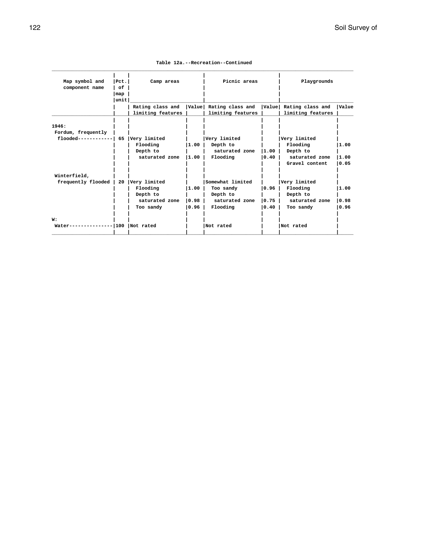|  |  | Table 12a.--Recreation--Continued |
|--|--|-----------------------------------|
|--|--|-----------------------------------|

| Map symbol and     | $ $ Pct. $ $ | Camp areas        |         | Picnic areas            |        | Playgrounds            |              |
|--------------------|--------------|-------------------|---------|-------------------------|--------|------------------------|--------------|
| component name     | of           |                   |         |                         |        |                        |              |
|                    | map          |                   |         |                         |        |                        |              |
|                    | unit         |                   |         |                         |        |                        |              |
|                    |              | Rating class and  |         | Value  Rating class and |        | Value Rating class and | <b>Value</b> |
|                    |              | limiting features |         | limiting features       |        | limiting features      |              |
|                    |              |                   |         |                         |        |                        |              |
| 1946:              |              |                   |         |                         |        |                        |              |
| Fordum, frequently |              |                   |         |                         |        |                        |              |
| flooded----------- |              | 65 Very limited   |         | Very limited            |        | Very limited           |              |
|                    |              | Flooding          | 11.00   | Depth to                |        | Flooding               | 1.00         |
|                    |              | Depth to          |         | saturated zone          | 1.00   | Depth to               |              |
|                    |              | saturated zone    | 11.00   | Flooding                | 0.40   | saturated zone         | 1.00         |
|                    |              |                   |         |                         |        | Gravel content         | 10.05        |
| Winterfield,       |              |                   |         |                         |        |                        |              |
| frequently flooded |              | 20 Very limited   |         | Somewhat limited        |        | Very limited           |              |
|                    |              | Flooding          | 1.00    | Too sandy               | 0.96   | Flooding               | 11.00        |
|                    |              | Depth to          |         | Depth to                |        | Depth to               |              |
|                    |              | saturated zone    | lo.98 l | saturated zone          | $0.75$ | saturated zone         | 0.98         |
|                    |              | Too sandy         | 0.96    | Flooding                | 0.40   | Too sandy              | 0.96         |
| W:                 |              |                   |         |                         |        |                        |              |
| Water------------  |              | $-100$ Not rated  |         | Not rated               |        | Not rated              |              |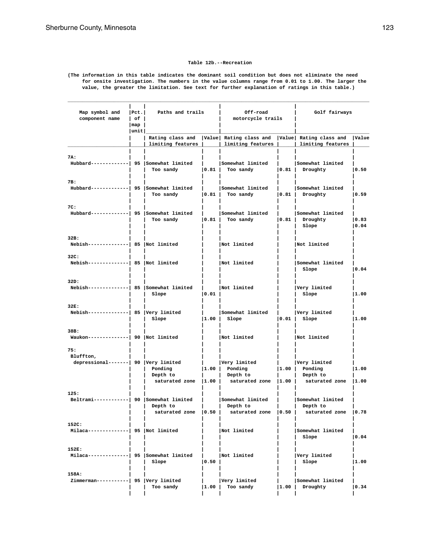#### **Table 12b.--Recreation**

**(The information in this table indicates the dominant soil condition but does not eliminate the need for onsite investigation. The numbers in the value columns range from 0.01 to 1.00. The larger the value, the greater the limitation. See text for further explanation of ratings in this table.)**

| Map symbol and<br>component name                         | Pet. <br>l of l<br> map | Paths and trails                               |      | Off-road<br>motorcycle trails                                                                                                         |                | Golf fairways                                         |               |
|----------------------------------------------------------|-------------------------|------------------------------------------------|------|---------------------------------------------------------------------------------------------------------------------------------------|----------------|-------------------------------------------------------|---------------|
|                                                          | unit                    |                                                |      | Rating class and   Value  Rating class and   Value  Rating class and                                                                  |                |                                                       | Value         |
|                                                          |                         | limiting features                              |      | limiting features                                                                                                                     |                | limiting features                                     |               |
| 7A:<br>Hubbard------------  95 Somewhat limited          |                         | Too sandy                                      | 0.81 | Somewhat limited<br>Too sandy                                                                                                         | 0.81           | Somewhat limited<br>Droughty                          | 0.50          |
| 7B:<br>Hubbard------------  95   Somewhat limited        |                         | Too sandy                                      | 0.81 | Somewhat limited<br>Too sandy                                                                                                         | 0.81           | Somewhat limited<br>Droughty                          | 0.59          |
| 7C:<br>Hubbard------------  95 Somewhat limited          |                         | Too sandy                                      | 0.81 | Somewhat limited<br>Too sandy                                                                                                         | 0.81           | Somewhat limited<br>Droughty<br>Slope                 | 0.83<br> 0.04 |
| 32B:<br>$Nebish$ -------------  85   Not limited         |                         |                                                |      | Not limited                                                                                                                           |                | Not limited                                           |               |
| 32C:<br>Nebish--------------  85   Not limited           |                         |                                                |      | Not limited                                                                                                                           |                | Somewhat limited<br>Slope                             | 0.04          |
| 32D:<br>Nebish-------------  85   Somewhat limited       |                         | Slope                                          | 0.01 | Not limited                                                                                                                           |                | Very limited<br>Slope                                 | 1.00          |
| 32E:<br>$Nebish$ -------------  85   Very limited        |                         | Slope                                          | 1.00 | Somewhat limited<br>Slope                                                                                                             | 0.01           | Very limited<br>Slope                                 | 1.00          |
| 38B:<br>Waukon--------------  90   Not limited           |                         |                                                |      | Not limited                                                                                                                           |                | Not limited                                           |               |
| 75:<br>Bluffton,<br>depressional-------  90 Very limited |                         | Ponding<br>Depth to<br>saturated zone $ 1.00 $ | 1.00 | Very limited<br>Ponding<br>Depth to<br>saturated zone                                                                                 | 1.00 <br> 1.00 | Very limited<br>Ponding<br>Depth to<br>saturated zone | 1.00<br> 1.00 |
| 125:<br>Beltrami------------  90 Somewhat limited        |                         | Depth to                                       |      | Somewhat limited<br>Depth to<br>saturated zone $\vert 0.50 \vert$ saturated zone $\vert 0.50 \vert$ saturated zone $\vert 0.78 \vert$ |                | Somewhat limited<br>Depth to                          |               |
| 152C:<br>Milaca--------------  95   Not limited          |                         |                                                |      | Not limited                                                                                                                           |                | Somewhat limited<br>Slope                             | 0.04          |
| 152E:<br>Milaca-------------  95   Somewhat limited      |                         | Slope                                          | 0.50 | Not limited                                                                                                                           |                | Very limited<br>Slope                                 | 1.00          |
| 158A:<br>Zimmerman-----------  95   Very limited         |                         | Too sandy                                      | 1.00 | Very limited<br>Too sandy                                                                                                             | 1.00           | Somewhat limited<br>Droughty                          | 0.34          |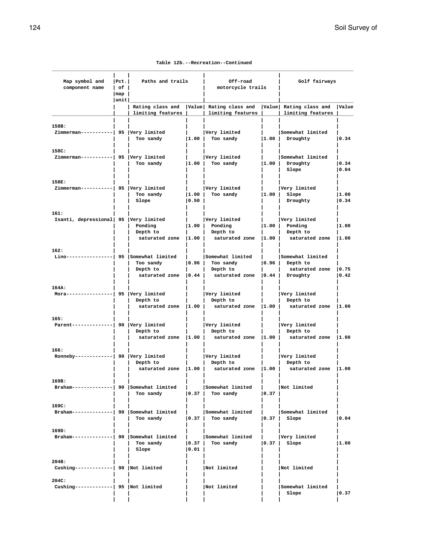**Table 12b.--Recreation--Continued**

| Map symbol and<br>component name                  | Pct. <br>  of | Paths and trails<br>Off-road<br>motorcycle trails          |                             |                                                                                                                  | Golf fairways           |                                                                    |                |
|---------------------------------------------------|---------------|------------------------------------------------------------|-----------------------------|------------------------------------------------------------------------------------------------------------------|-------------------------|--------------------------------------------------------------------|----------------|
|                                                   | map<br> unit  |                                                            |                             |                                                                                                                  |                         |                                                                    |                |
|                                                   |               | limiting features                                          |                             | Rating class and   Value   Rating class and<br>limiting features                                                 |                         | Value Rating class and<br>limiting features                        | <b>Value</b>   |
| 158B:<br>Zimmerman-----------  95 Very limited    |               | Too sandy                                                  |                             | Very limited<br>$ 1.00 $ Too sandy                                                                               | 1.00                    | Somewhat limited<br>Droughty                                       | 0.34           |
| 158C:<br>Zimmerman-----------  95 Very limited    |               | Too sandy                                                  | 1.00                        | Very limited<br>Too sandy                                                                                        | 1.00                    | Somewhat limited<br>Droughty<br>Slope                              | 0.34 <br> 0.04 |
| 158E:<br>Zimmerman-----------  95  Very limited   |               | Too sandy<br>Slope                                         | 1.00 <br> 0.50              | Very limited<br>Too sandy                                                                                        | 1.00                    | Very limited<br>Slope<br>Droughty                                  | 1.00<br> 0.34  |
| 161:<br>Isanti, depressional 95 Very limited      |               | Ponding<br>Depth to<br>saturated zone $ 1.00 $             |                             | Very limited<br>$ 1.00 $ Ponding<br>Depth to<br>saturated zone                                                   | 1.00 <br>$ 1.00\rangle$ | Very limited<br>Ponding<br>Depth to<br>saturated zone              | 1.00<br> 1.00  |
| 162:<br>Lino-----                                 |               | 95 Somewhat limited<br>Too sandy<br>Depth to               | 0.96                        | Somewhat limited<br>Too sandy<br>Depth to<br>saturated zone $\vert 0.44 \vert$ saturated zone $\vert 0.44 \vert$ | 0.96                    | Somewhat limited<br>Depth to<br>saturated zone $ 0.75$<br>Droughty | 0.42           |
| 164A:<br>Mora---                                  |               | -  95  Very limited<br>Depth to<br>saturated zone $ 1.00 $ |                             | Very limited<br>Depth to<br>saturated zone $ 1.00 $                                                              |                         | Very limited<br>Depth to<br>saturated zone                         | 1.00           |
| 165:<br>Parent--------------  90   Very limited   |               | Depth to<br>saturated zone   1.00                          |                             | Very limited<br>Depth to<br>saturated zone 1.00                                                                  |                         | Very limited<br>Depth to<br>saturated zone                         | 1.00           |
| 166:<br>Ronneby------------  90  Very limited     |               | Depth to<br>saturated zone $ 1.00 $                        |                             | Very limited<br>Depth to<br>saturated zone $ 1.00 $                                                              |                         | Very limited<br>Depth to<br>saturated zone                         | 1.00           |
| 169B:<br>Braham-------------  90 Somewhat limited |               | $\mathbf{I}$<br>Too sandy                                  | $\vert 0.37 \vert$          | Somewhat limited<br>Too sandy                                                                                    | 0.37                    | Not limited                                                        |                |
| 169C:<br>Braham-------------  90 Somewhat limited |               | Too sandy                                                  |                             | Somewhat limited<br>Too sandy                                                                                    | 0.37                    | Somewhat limited<br>Slope                                          | 0.04           |
| 169D:<br>Braham-------------  90 Somewhat limited |               | Too sandy<br>Slope                                         | $\vert 0.37 \vert$<br> 0.01 | Somewhat limited<br>Too sandy                                                                                    | 0.37                    | Very limited<br>Slope                                              | 1.00           |
| 204B:<br>Cushing-------------  90   Not limited   |               |                                                            |                             | Not limited                                                                                                      |                         | Not limited                                                        |                |
| 204C:<br>Cushing-------------  95   Not limited   |               |                                                            |                             | Not limited                                                                                                      |                         | Somewhat limited<br>Slope                                          | 0.37           |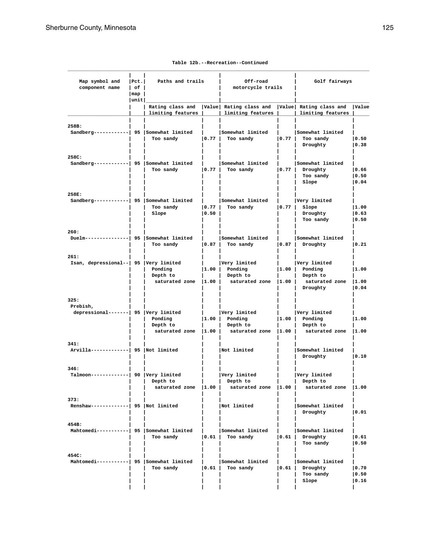| Map symbol and<br>component name                           | $ $ Pct.<br>l of l<br>map | Paths and trails                      |                         | Off-road<br>motorcycle trails                                      |                | Golf fairways                                                     |                         |
|------------------------------------------------------------|---------------------------|---------------------------------------|-------------------------|--------------------------------------------------------------------|----------------|-------------------------------------------------------------------|-------------------------|
|                                                            | unit                      | Rating class and<br>limiting features |                         | Value Rating class and Value Rating class and<br>limiting features |                | limiting features                                                 | Value                   |
| 258B:<br>Sandberg-----------  95 Somewhat limited          |                           | Too sandy                             | 0.77                    | Somewhat limited<br>Too sandy                                      | 0.77           | Somewhat limited<br>Too sandy<br>Droughty                         | 0.50<br> 0.38           |
| 258C:<br>Sandberg-----------  95 Somewhat limited          |                           | Too sandy                             | 0.77                    | Somewhat limited<br>Too sandy                                      | 0.77           | Somewhat limited<br>Droughty<br>Too sandy<br>Slope                | 0.66 <br> 0.50<br> 0.04 |
| 258E:<br>Sandberg-----------  95 Somewhat limited          |                           | Too sandy<br>Slope                    | 0.77 <br>$ 0.50\rangle$ | Somewhat limited<br>Too sandy                                      | 0.77           | Very limited<br>Slope<br>Droughty<br>Too sandy                    | 1.00<br> 0.63 <br> 0.50 |
| 260:<br>Duelm---------------  95 Somewhat limited          |                           | Too sandy                             | 0.87                    | Somewhat limited<br>Too sandy                                      | 0.87           | Somewhat limited<br>Droughty                                      | 0.21                    |
| 261:<br>Isan, depressional--   95   Very limited           |                           | Ponding<br>Depth to<br>saturated zone | 1.00 <br> 1.00          | Very limited<br>Ponding<br>Depth to<br>saturated zone              | 1.00 <br> 1.00 | Very limited<br>Ponding<br>Depth to<br>saturated zone<br>Droughty | 1.00<br> 1.00<br> 0.04  |
| 325:<br>Prebish,<br>depressional-------  95   Very limited |                           | Ponding<br>Depth to<br>saturated zone | 1.00 <br> 1.00          | Very limited<br>Ponding<br>Depth to<br>saturated zone              | 1.00 <br> 1.00 | Very limited<br>Ponding<br>Depth to<br>saturated zone             | 1.00<br> 1.00           |
| 341:<br>Arvilla-------------  95   Not limited             |                           |                                       |                         | Not limited                                                        |                | Somewhat limited<br>Droughty                                      | 0.10                    |
| 346:<br>Talmoon-------------  90  Very limited             |                           | Depth to<br>saturated zone $ 1.00 $   | $\mathbf{L}$            | Very limited<br>Depth to<br>saturated zone $ 1.00 $                | $\mathbf{L}$   | Very limited<br>Depth to<br>saturated zone  1.00                  |                         |
| 373:<br>Renshaw-------------  95   Not limited             |                           |                                       |                         | Not limited                                                        |                | Somewhat limited<br>Droughty                                      | 0.01                    |
| 454B:<br>Mahtomedi-----------  95 Somewhat limited         |                           | Too sandy                             | 0.61                    | Somewhat limited<br>Too sandy                                      | 0.61           | Somewhat limited<br>Droughty<br>Too sandy                         | $ 0.61\rangle$<br> 0.50 |
| 454C:<br>Mahtomedi-----------  95 Somewhat limited         |                           | Too sandy                             | 0.61                    | Somewhat limited<br>Too sandy                                      | 0.61           | Somewhat limited<br>Droughty<br>Too sandy<br>Slope                | 0.70<br> 0.50<br> 0.16  |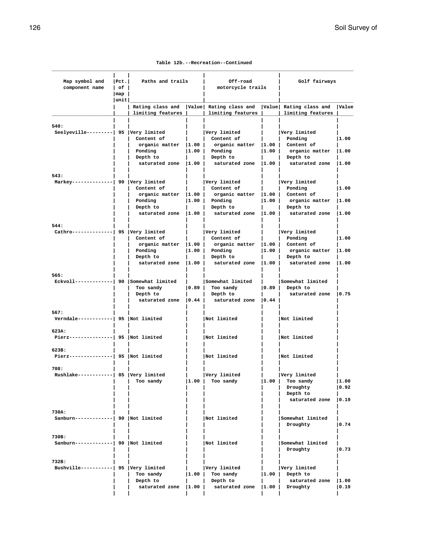**Table 12b.--Recreation--Continued**

| Map symbol and<br>component name   of                   | $ $ Pct.                     | Paths and trails                                                             |               | Off-road<br>motorcycle trails                                                                                                                                                                           |                    | Golf fairways                                                               |                        |  |
|---------------------------------------------------------|------------------------------|------------------------------------------------------------------------------|---------------|---------------------------------------------------------------------------------------------------------------------------------------------------------------------------------------------------------|--------------------|-----------------------------------------------------------------------------|------------------------|--|
|                                                         | $\lceil map \rceil$<br> unit |                                                                              |               |                                                                                                                                                                                                         |                    |                                                                             |                        |  |
|                                                         |                              | Rating class and   Value  Rating class and   Value  Rating class and   Value |               | limiting features     limiting features     limiting features                                                                                                                                           |                    |                                                                             |                        |  |
| 540:<br>Seelyeville---------  95 Very limited           |                              | content of<br>  Ponding<br>Depth to                                          | and the state | Very limited<br>  Content of<br>organic matter $ 1.00 $ organic matter $ 1.00 $ Content of<br>$ 1.00 $ Ponding<br>  Depth to                                                                            |                    | Very limited<br>  Ponding<br>$ 1.00 $ organic matter $ 1.00 $<br>Depth to   | 11.00                  |  |
|                                                         |                              |                                                                              |               | saturated zone  1.00   saturated zone  1.00   saturated zone  1.00                                                                                                                                      |                    |                                                                             |                        |  |
| 543:<br>Markey-------------  90 Very limited            |                              | Content of<br>  Ponding<br>Depth to                                          |               | Very limited<br>  Content of<br>organic matter $ 1.00 $ organic matter $ 1.00 $ Content of<br>$ 1.00 $ Ponding<br>  Depth to<br>saturated zone $ 1.00 $ saturated zone $ 1.00 $ saturated zone $ 1.00 $ |                    | Very limited<br>  Ponding<br>$ 1.00 $ organic matter $ 1.00 $<br>Depth to   | 1.00                   |  |
|                                                         |                              |                                                                              |               |                                                                                                                                                                                                         |                    |                                                                             |                        |  |
| 544:<br>Cathro--------------  95  Very limited          |                              | Content of<br>  Ponding<br>Depth to                                          |               | Very limited<br>Content of<br>organic matter $ 1.00 $ organic matter $ 1.00 $ Content of<br>$ 1.00 $ Ponding<br>  Depth to                                                                              |                    | Very limited<br>  Ponding<br>$ 1.00 $ organic matter $ 1.00 $<br>  Depth to | 11.00                  |  |
|                                                         |                              |                                                                              |               | saturated zone $ 1.00 $ saturated zone $ 1.00 $ saturated zone $ 1.00 $                                                                                                                                 |                    |                                                                             |                        |  |
| 565:<br>$\texttt{Eckvoll---------}$ 90 Somewhat limited |                              | Too sandy<br>Depth to                                                        |               | Somewhat limited<br>$\vert 0.89 \vert$ Too sandy<br>  Depth to<br>saturated zone $\vert 0.44 \vert$ saturated zone $\vert 0.44 \vert$                                                                   |                    | Somewhat limited<br>$ 0.89 $ Depth to<br>saturated zone   0.75              |                        |  |
| 567:<br>Verndale------------  95   Not limited          |                              |                                                                              |               | Not limited                                                                                                                                                                                             |                    | Not limited                                                                 |                        |  |
| 623A:<br>Pierz---------------  95  Not limited          |                              |                                                                              |               | Not limited                                                                                                                                                                                             |                    | Not limited                                                                 |                        |  |
| 623B:<br>Pierz---------------  95   Not limited         |                              |                                                                              |               | Not limited                                                                                                                                                                                             |                    | Not limited                                                                 |                        |  |
| 708:<br>Rushlake-----------  85  Very limited           |                              | Too sandy                                                                    | 1.00          | Very limited<br>Too sandy                                                                                                                                                                               | $\vert 1.00 \vert$ | Very limited<br>Too sandy<br>Droughty<br>Depth to<br>saturated zone         | 1.00<br> 0.92<br> 0.19 |  |
| 730A:<br>Sanburn-------------  90   Not limited         |                              |                                                                              |               | Not limited                                                                                                                                                                                             |                    | Somewhat limited<br>Droughty                                                | $ 0.74\rangle$         |  |
| 730B:<br>Sanburn-------------  90   Not limited         |                              |                                                                              |               | Not limited                                                                                                                                                                                             |                    | Somewhat limited<br>Droughty                                                | 0.73                   |  |
| 732B:<br>Bushville-----------  95 Very limited          |                              | Too sandy<br>Depth to<br>saturated zone $ 1.00 $                             | 1.00          | Very limited<br>Too sandy<br>Depth to<br>saturated zone                                                                                                                                                 | 1.00 <br> 1.00     | Very limited<br>Depth to<br>saturated zone<br>Droughty                      | 1.00<br> 0.19          |  |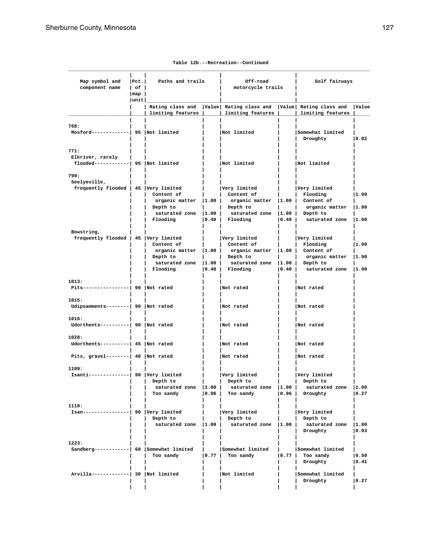| Map symbol and<br>component name                                 | Pet. <br>l of l<br> map | Paths and trails                                                                         |      | Off-road<br>motorcycle trails                                                                          |      | Golf fairways                                                                                |                        |
|------------------------------------------------------------------|-------------------------|------------------------------------------------------------------------------------------|------|--------------------------------------------------------------------------------------------------------|------|----------------------------------------------------------------------------------------------|------------------------|
|                                                                  | unit                    |                                                                                          |      |                                                                                                        |      |                                                                                              |                        |
|                                                                  |                         | limiting features                                                                        |      | Rating class and   Value   Rating class and   Value   Rating class and<br>limiting features            |      | limiting features                                                                            | Value                  |
| 768:<br>$Mostord$ -------------  95  Not limited                 |                         |                                                                                          |      | Not limited                                                                                            |      | Somewhat limited<br>Droughty                                                                 | $ 0.02\rangle$         |
| 771:<br>Elkriver, rarely<br>flooded------------  95  Not limited |                         |                                                                                          |      | Not limited                                                                                            |      | Not limited                                                                                  |                        |
| 799:<br>Seelyeville,<br>frequently flooded   45   Very limited   |                         | Content of<br>organic matter $ 1.00 $<br>Depth to<br>saturated zone   1.00  <br>Flooding | 0.40 | Very limited<br>Content of<br>organic matter  1.00  <br>Depth to<br>saturated zone  1.00  <br>Flooding | 0.40 | Very limited<br>Flooding<br>Content of<br>organic matter<br>Depth to<br>saturated zone  1.00 | 1.00<br> 1.00          |
| Bowstring,<br>frequently flooded   45   Very limited             |                         | Content of<br>organic matter $ 1.00 $<br>Depth to<br>saturated zone   1.00  <br>Flooding | 0.40 | Very limited<br>Content of<br>organic matter  1.00  <br>Depth to<br>saturated zone  1.00  <br>Flooding | 0.40 | Very limited<br>Flooding<br>Content of<br>organic matter<br>Depth to<br>saturated zone       | 1.00<br> 1.00<br> 1.00 |
| 1013:<br>Pits----------------  90   Not rated                    |                         |                                                                                          |      | Not rated                                                                                              |      | Not rated                                                                                    |                        |
| 1015:<br>Udipsamments--------  90 Not rated                      |                         |                                                                                          |      | Not rated                                                                                              |      | Not rated                                                                                    |                        |
| 1016:<br>Udorthents----------  90 Not rated                      |                         |                                                                                          |      | Not rated                                                                                              |      | Not rated                                                                                    |                        |
| 1028:<br>Udorthents---------  45 Not rated                       |                         |                                                                                          |      | Not rated                                                                                              |      | Not rated                                                                                    |                        |
| Pits, gravel--------  $40$ Not rated                             |                         |                                                                                          |      | Not rated                                                                                              |      | Not rated                                                                                    |                        |
| 1109:<br>Isanti--------------  90 Very limited                   |                         | Depth to<br>saturated zone   1.00  <br>Too sandy                                         | 0.96 | Very limited<br>Depth to<br>saturated zone  1.00  <br>Too sandy                                        | 0.96 | Very limited<br>  Depth to<br>saturated zone  1.00<br>Droughty                               | $ 0.27\rangle$         |
| 1110:<br>Isan----------------  90   Very limited                 |                         | Depth to<br>saturated zone   1.00                                                        |      | Very limited<br>Depth to<br>saturated zone                                                             | 1.00 | Very limited<br>Depth to<br>saturated zone  1.00<br>Droughty                                 | $ 0.03\rangle$         |
| 1223:<br>Sandberg-----------  60 Somewhat limited                |                         | Too sandy                                                                                | 0.77 | Somewhat limited<br>Too sandy                                                                          |      | Somewhat limited<br>$ 0.77 $ Too sandy<br>Droughty                                           | 0.50<br> 0.41          |
| Arvilla-------------  30   Not limited                           |                         |                                                                                          |      | Not limited                                                                                            |      | Somewhat limited<br>Droughty                                                                 | 0.27                   |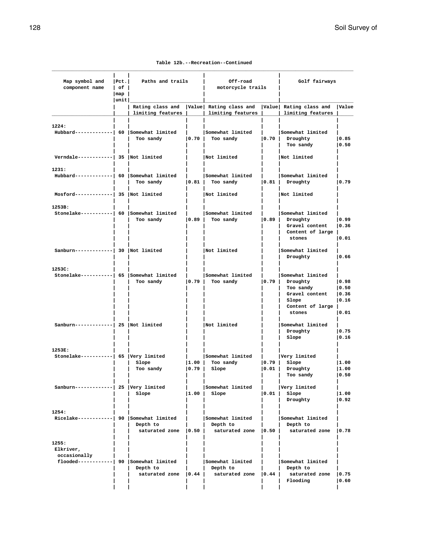**Table 12b.--Recreation--Continued**

| Map symbol and<br>component name                                              | $ $ Pct.<br>$ $ of $ $<br>$\lceil map \rceil$ | Paths and trails                  |                             | Off-road<br>motorcycle trails                                                                    |                    | Golf fairways                                                                                        |                                          |
|-------------------------------------------------------------------------------|-----------------------------------------------|-----------------------------------|-----------------------------|--------------------------------------------------------------------------------------------------|--------------------|------------------------------------------------------------------------------------------------------|------------------------------------------|
|                                                                               | unit                                          | limiting features                 |                             | Rating class and  Value  Rating class and  Value  Rating class and  Value<br>  limiting features |                    | limiting features                                                                                    |                                          |
| 1224:<br>Hubbard------------  60 Somewhat limited                             |                                               | Too sandy                         | $\vert 0.70 \vert$          | Somewhat limited<br>Too sandy                                                                    | 0.70               | Somewhat limited<br>Droughty<br>Too sandy                                                            | 0.85<br> 0.50                            |
| Verndale------------  35   Not limited                                        |                                               |                                   |                             | Not limited                                                                                      |                    | Not limited                                                                                          |                                          |
| 1231:<br>Hubbard------------  60 Somewhat limited                             |                                               | $\mathcal{L}$<br>Too sandy        | $\vert 0.81 \vert$          | Somewhat limited<br>Too sandy                                                                    | $\vert 0.81 \vert$ | Somewhat limited<br>Droughty                                                                         | 0.79                                     |
| $Mostord$ ------------  35  Not limited                                       |                                               |                                   |                             | Not limited                                                                                      |                    | Not limited                                                                                          |                                          |
| 1253B:<br>Stonelake----------  60   Somewhat limited                          |                                               | Too sandy                         | $\vert 0.89 \vert$          | Somewhat limited<br>Too sandy                                                                    |                    | Somewhat limited<br>$ 0.89 $ Droughty<br>Gravel content<br>Content of large  <br>stones              | 0.99<br>10.36<br>10.01                   |
| Sanburn-------------  30  Not limited                                         |                                               |                                   |                             | Not limited                                                                                      |                    | Somewhat limited<br>Droughty                                                                         | 0.66                                     |
| 1253C:<br>Stonelake----------  65 Somewhat limited                            |                                               | Too sandy                         | 0.79                        | Somewhat limited<br>Too sandy                                                                    | 0.79               | Somewhat limited<br>Droughty<br>Too sandy<br>Gravel content<br>Slope<br>Content of large  <br>stones | 0.98<br> 0.50<br> 0.36<br> 0.16<br> 0.01 |
| Sanburn-------------  25 Not limited                                          |                                               |                                   |                             | Not limited                                                                                      |                    | Somewhat limited<br>Droughty<br>Slope                                                                | 0.75<br> 0.16                            |
| 1253E:<br>Stonelake-----------  65   Very limited                             |                                               | Slope<br>Too sandy                | 1.00 <br>$\vert 0.79 \vert$ | Somewhat limited<br>Too sandy<br>Slope                                                           | 0.79 <br> 0.01     | Very limited<br>Slope<br>Droughty<br>Too sandy                                                       | 1.00<br> 1.00<br> 0.50                   |
| Sanburn------------  25  Very limited                                         |                                               | Slope                             | 1.00                        | Somewhat limited<br>Slope                                                                        | 0.01               | Very limited<br>Slope<br>Droughty                                                                    | 1.00<br> 0.92                            |
| 1254:<br>Ricelake-----------  90   Somewhat limited                           |                                               | Depth to<br>saturated zone   0.50 |                             | Somewhat limited<br>Depth to<br>saturated zone $ 0.50 $                                          |                    | Somewhat limited<br>Depth to<br>saturated zone                                                       | 0.78                                     |
| 1255:<br>Elkriver,<br>occasionally<br>flooded-----------  90 Somewhat limited |                                               | Depth to<br>saturated zone   0.44 |                             | Somewhat limited<br>Depth to<br>saturated zone 0.44                                              |                    | Somewhat limited<br>Depth to<br>saturated zone<br>Flooding                                           | 0.75<br>0.60                             |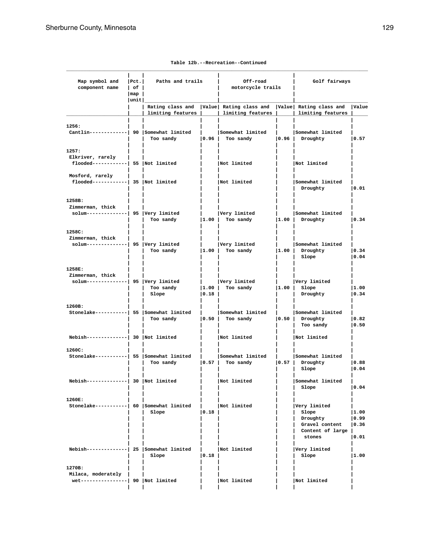| Map symbol and<br>component name                                     | Pet. <br>l of I<br> map | Paths and trails   |                    | Off-road<br>motorcycle trails                                                               |      | Golf fairways                                                                     |                                 |
|----------------------------------------------------------------------|-------------------------|--------------------|--------------------|---------------------------------------------------------------------------------------------|------|-----------------------------------------------------------------------------------|---------------------------------|
|                                                                      | unit                    |                    |                    |                                                                                             |      |                                                                                   |                                 |
|                                                                      |                         | limiting features  |                    | Rating class and   Value   Rating class and   Value   Rating class and<br>limiting features |      | limiting features                                                                 | Value                           |
| 1256:<br>Cantlin------------  90 Somewhat limited                    |                         | Too sandy          | $\vert 0.96 \vert$ | Somewhat limited<br>Too sandy                                                               | 0.96 | Somewhat limited<br>Droughty                                                      | $ 0.57\rangle$                  |
| 1257:<br>Elkriver, rarely<br>$f$ looded------------  55  Not limited |                         |                    |                    | Not limited                                                                                 |      | Not limited                                                                       |                                 |
| Mosford, rarely<br>$f$ looded------------  35  Not limited           |                         |                    |                    | Not limited                                                                                 |      | Somewhat limited<br>Droughty                                                      | 0.01                            |
| 1258B:<br>Zimmerman, thick<br>solum--------------  95   Very limited |                         | Too sandy          | 1.00               | Very limited<br>Too sandy                                                                   |      | Somewhat limited<br>$ 1.00 $ Droughty                                             | 0.34                            |
| 1258C:<br>Zimmerman, thick<br>solum--------------  95   Very limited |                         | Too sandy          | 1.00               | Very limited<br>Too sandy                                                                   |      | Somewhat limited<br>$ 1.00 $ Droughty<br>Slope                                    | 0.34 <br> 0.04                  |
| 1258E:<br>Zimmerman, thick<br>$solum------- 95   Very limited$       |                         | Too sandy<br>Slope | 1.00 <br> 0.18     | Very limited<br>Too sandy                                                                   | 1.00 | Very limited<br>Slope<br>Droughty                                                 | 1.00<br> 0.34                   |
| 1260B:<br>Stonelake----------  55 Somewhat limited                   |                         | Too sandy          | 0.50               | Somewhat limited<br>Too sandy                                                               |      | Somewhat limited<br>$ 0.50 $ Droughty<br>Too sandy                                | 0.82<br> 0.50                   |
| $Nebish$ -------------  30   Not limited                             |                         |                    |                    | Not limited                                                                                 |      | Not limited                                                                       |                                 |
| 1260C:<br>Stonelake----------  55 Somewhat limited                   |                         | Too sandy          | 0.57               | Somewhat limited<br>Too sandy                                                               | 0.57 | Somewhat limited<br>Droughty<br>Slope                                             | 0.88<br> 0.04                   |
| $Nebish$ -------------  30 Not limited                               |                         |                    |                    | Not limited                                                                                 |      | Somewhat limited<br>Slope                                                         | $ 0.04\rangle$                  |
| 1260E:<br>Stonelake----------  60 Somewhat limited                   |                         | Slope              | $ 0.18\rangle$     | Not limited                                                                                 |      | Very limited<br>Slope<br>Droughty<br>Gravel content<br>Content of large<br>stones | 1.00<br> 0.99<br> 0.36<br> 0.01 |
| Nebish-------------  25   Somewhat limited                           |                         | Slope              | 0.18               | Not limited                                                                                 |      | Very limited<br>Slope                                                             | 1.00                            |
| 1270B:<br>Milaca, moderately<br>wet----------------  90  Not limited |                         |                    |                    | Not limited                                                                                 |      | Not limited                                                                       |                                 |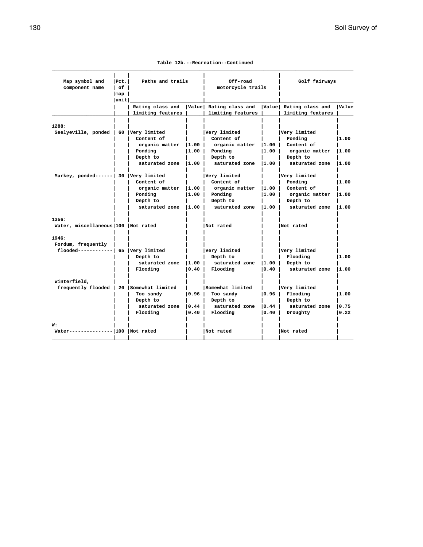|  | Table 12b.--Recreation--Continued |  |
|--|-----------------------------------|--|
|--|-----------------------------------|--|

| Map symbol and                          | $ $ Pct. $ $ | Paths and trails  |                | Off-road               |                   | Golf fairways          |       |
|-----------------------------------------|--------------|-------------------|----------------|------------------------|-------------------|------------------------|-------|
| component name                          | l of         |                   |                |                        | motorcycle trails |                        |       |
|                                         | map          |                   |                |                        |                   |                        |       |
|                                         | unit         |                   |                |                        |                   |                        |       |
|                                         |              | Rating class and  |                | Value Rating class and |                   | Value Rating class and | Value |
|                                         |              | limiting features |                | limiting features      |                   | limiting features      |       |
|                                         |              |                   |                |                        |                   |                        |       |
| 1288:                                   |              |                   |                |                        |                   |                        |       |
| Seelyeville, ponded   60   Very limited |              |                   |                | Very limited           |                   | Very limited           |       |
|                                         |              | Content of        |                | Content of             |                   | Ponding                | 11.00 |
|                                         |              | organic matter    | 11.00          | organic matter         | 11.00             | Content of             |       |
|                                         |              | Ponding           | 11.00          | Ponding                | 11.00             | organic matter         | 11.00 |
|                                         |              | Depth to          |                | Depth to               |                   | Depth to               |       |
|                                         |              | saturated zone    | $ 1.00\rangle$ | saturated zone         | $ 1.00\rangle$    | saturated zone         | 11.00 |
|                                         |              |                   |                |                        |                   |                        |       |
| Markey, ponded------ 30 Very limited    |              |                   |                | Very limited           |                   | Very limited           |       |
|                                         |              | Content of        |                | Content of             |                   | Ponding                | 1.00  |
|                                         |              | organic matter    | 1.00           | organic matter         | 11.00             | Content of             |       |
|                                         |              | Ponding           | I1.00 l        | Ponding                | 1.00              | organic matter         | 11.00 |
|                                         |              | Depth to          |                | Depth to               |                   | Depth to               |       |
|                                         |              | saturated zone    | 11.00          | saturated zone         | 11.00             | saturated zone         | 11.00 |
| 1356:                                   |              |                   |                |                        |                   |                        |       |
| Water, miscellaneous 100 Not rated      |              |                   |                | Not rated              |                   | Not rated              |       |
|                                         |              |                   |                |                        |                   |                        |       |
| 1946:                                   |              |                   |                |                        |                   |                        |       |
| Fordum, frequently                      |              |                   |                |                        |                   |                        |       |
| flooded------------  65 Very limited    |              |                   |                | Very limited           |                   | Very limited           |       |
|                                         |              | Depth to          |                | Depth to               |                   | Flooding               | 11.00 |
|                                         |              | saturated zone    | 11.00          | saturated zone         | 11.00             | Depth to               |       |
|                                         |              | Flooding          | 0.40           | Flooding               | 0.40              | saturated zone         | 11.00 |
| Winterfield,                            |              |                   |                |                        |                   |                        |       |
| frequently flooded                      | 20           | Somewhat limited  |                | Somewhat limited       |                   | Very limited           |       |
|                                         |              | Too sandy         | lo.96 l        | Too sandy              | 10.96             | Flooding               | 1.00  |
|                                         |              | Depth to          |                | Depth to               |                   | Depth to               |       |
|                                         |              | saturated zone    | 0.44           | saturated zone         | $\overline{0.44}$ | saturated zone         | 10.75 |
|                                         |              | Flooding          | 10.40          | Flooding               | 10.40             | Droughty               | 0.22  |
|                                         |              |                   |                |                        |                   |                        |       |
| w:                                      |              |                   |                |                        |                   |                        |       |
| Water--------------- 100   Not rated    |              |                   |                | Not rated              |                   | Not rated              |       |
|                                         |              |                   |                |                        |                   |                        |       |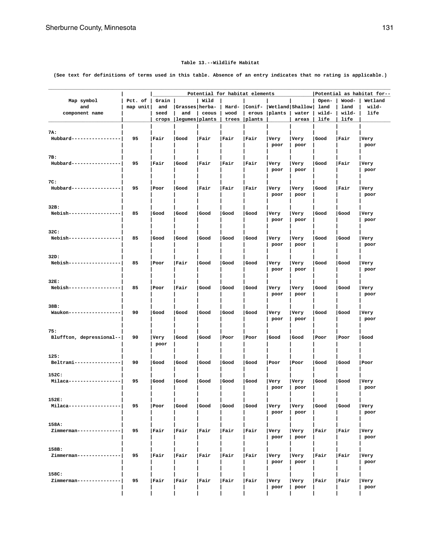#### **Table 13.--Wildlife Habitat**

**(See text for definitions of terms used in this table. Absence of an entry indicates that no rating is applicable.)**

|                          | Pct. of  | Grain |                  | Wild  |       | Potential for habitat elements |                                           |       | Open- | Wood- | Potential as habitat for--<br>Wetland |
|--------------------------|----------|-------|------------------|-------|-------|--------------------------------|-------------------------------------------|-------|-------|-------|---------------------------------------|
| Map symbol<br>and        | map unit | and   | Grasses herba-   |       |       |                                | Hard-   Conif-   Wetland   Shallow   land |       |       | land  | wild-                                 |
|                          |          | seed  | and              | ceous | wood  |                                |                                           | water | wild- | wild- | life                                  |
| component name           |          |       | legumes   plants |       |       | erous                          | plants                                    |       | life  | life  |                                       |
|                          |          | crops |                  |       | trees | plants                         |                                           | areas |       |       |                                       |
| 7A:                      |          |       |                  |       |       |                                |                                           |       |       |       |                                       |
| Hubbard----------------- | 95       | Fair  | Good             | Fair  | Fair  | Fair                           |                                           | Very  | Good  | Fair  |                                       |
|                          |          |       |                  |       |       |                                | Very                                      |       |       |       | Very                                  |
|                          |          |       |                  |       |       |                                | poor                                      | poor  |       |       | poor                                  |
| 7B:                      |          |       |                  |       |       |                                |                                           |       |       |       |                                       |
| Hubbard----------------- | 95       | Fair  | Good             | Fair  | Fair  | Fair                           | Very                                      | Very  | Good  | Fair  | Very                                  |
|                          |          |       |                  |       |       |                                | poor                                      | poor  |       |       | poor                                  |
|                          |          |       |                  |       |       |                                |                                           |       |       |       |                                       |
| 7C:                      |          |       |                  |       |       |                                |                                           |       |       |       |                                       |
| Hubbard----------------- | 95       | Poor  | Good             | Fair  | Fair  | Fair                           | Very                                      | Very  | Good  | Fair  | Very                                  |
|                          |          |       |                  |       |       |                                | poor                                      | poor  |       |       | poor                                  |
|                          |          |       |                  |       |       |                                |                                           |       |       |       |                                       |
| 32B:                     |          |       |                  |       |       |                                |                                           |       |       |       |                                       |
| Nebish------------------ | 85       | Good  | Good             | Good  | Good  | Good                           | Very                                      | Very  | Good  | Good  | Very                                  |
|                          |          |       |                  |       |       |                                | poor                                      | poor  |       |       | poor                                  |
|                          |          |       |                  |       |       |                                |                                           |       |       |       |                                       |
| 32C:                     |          |       |                  |       |       |                                |                                           |       |       |       |                                       |
| Nebish------------------ | 85       | Good  | Good             | Good  | Good  | Good                           | Very                                      | Very  | Good  | Good  | Very                                  |
|                          |          |       |                  |       |       |                                | poor                                      | poor  |       |       | poor                                  |
|                          |          |       |                  |       |       |                                |                                           |       |       |       |                                       |
| 32D:                     |          |       |                  |       |       |                                |                                           |       |       |       |                                       |
| Nebish------------------ | 85       | Poor  | Fair             | Good  | Good  | Good                           | Very                                      | Very  | Good  | Good  | Very                                  |
|                          |          |       |                  |       |       |                                | poor                                      | poor  |       |       | poor                                  |
|                          |          |       |                  |       |       |                                |                                           |       |       |       |                                       |
| 32E:                     |          |       |                  |       |       |                                |                                           |       |       |       |                                       |
| Nebish------------------ | 85       | Poor  | Fair             | Good  | Good  | Good                           | Very                                      | Very  | Good  | Good  | Very                                  |
|                          |          |       |                  |       |       |                                | poor                                      | poor  |       |       | poor                                  |
|                          |          |       |                  |       |       |                                |                                           |       |       |       |                                       |
| 38B:                     |          |       |                  |       |       |                                |                                           |       |       |       |                                       |
| Waukon------------------ | 90       | Good  | Good             | Good  | Good  | Good                           | Very                                      | Very  | Good  | Good  | Very                                  |
|                          |          |       |                  |       |       |                                | poor                                      | poor  |       |       | poor                                  |
| 75:                      |          |       |                  |       |       |                                |                                           |       |       |       |                                       |
| Bluffton, depressional-- | 90       | Very  | Good             | Good  | Poor  | Poor                           | Good                                      | Good  | Poor  | Poor  | Good                                  |
|                          |          | poor  |                  |       |       |                                |                                           |       |       |       |                                       |
|                          |          |       |                  |       |       |                                |                                           |       |       |       |                                       |
| 125:                     |          |       |                  |       |       |                                |                                           |       |       |       |                                       |
| Beltrami---------------- | 90       | Good  | Good             | Good  | Good  | Good                           | Poor                                      | Poor  | Good  | Good  | Poor                                  |
|                          |          |       |                  |       |       |                                |                                           |       |       |       |                                       |
| 152C:                    |          |       |                  |       |       |                                |                                           |       |       |       |                                       |
| Milaca-----------------  | 95       | Good  | Good             | Good  | Good  | Good                           | Very                                      | Very  | Good  | Good  | Very                                  |
|                          |          |       |                  |       |       |                                | poor                                      | poor  |       |       | poor                                  |
|                          |          |       |                  |       |       |                                |                                           |       |       |       |                                       |
| 152E:                    |          |       |                  |       |       |                                |                                           |       |       |       |                                       |
| Milaca------------------ | 95       | Poor  | Good             | Good  | Good  | Good                           | Very                                      | Very  | Good  | Good  | Very                                  |
|                          |          |       |                  |       |       |                                | poor                                      | poor  |       |       | poor                                  |
|                          |          |       |                  |       |       |                                |                                           |       |       |       |                                       |
| 158A:                    |          |       |                  |       |       |                                |                                           |       |       |       |                                       |
| Zimmerman--------------- | 95       | Fair  | Fair             | Fair  | Fair  | Fair                           | Very                                      | Very  | Fair  | Fair  | Very                                  |
|                          |          |       |                  |       |       |                                | poor                                      | poor  |       |       | poor                                  |
|                          |          |       |                  |       |       |                                |                                           |       |       |       |                                       |
| 158B:                    |          |       |                  |       |       |                                |                                           |       |       |       |                                       |
| Zimmerman--------------  | 95       | Fair  | Fair             | Fair  | Fair  | Fair                           | Very                                      | Very  | Fair  | Fair  | Very                                  |
|                          |          |       |                  |       |       |                                | poor                                      | poor  |       |       | poor                                  |
|                          |          |       |                  |       |       |                                |                                           |       |       |       |                                       |
| 158C:                    |          |       |                  |       |       |                                |                                           |       |       |       |                                       |
| Zimmerman--------------  | 95       | Fair  | Fair             | Fair  | Fair  | Fair                           | Very                                      | Very  | Fair  | Fair  | Very                                  |
|                          |          |       |                  |       |       |                                | poor                                      | poor  |       |       | poor                                  |
|                          |          |       |                  |       |       |                                |                                           |       |       |       |                                       |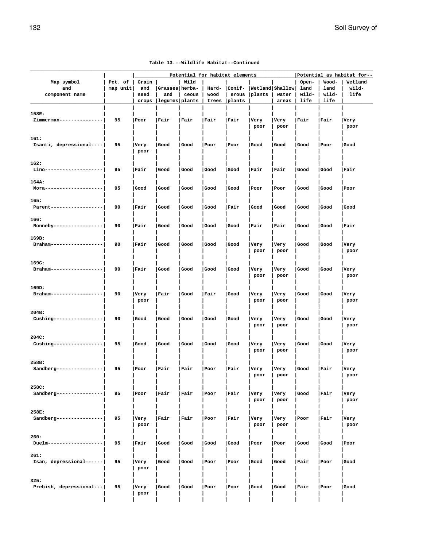|                          |          |       |                |       | Potential for habitat elements |        |                                  |       |       |       | Potential as habitat for-- |
|--------------------------|----------|-------|----------------|-------|--------------------------------|--------|----------------------------------|-------|-------|-------|----------------------------|
| Map symbol               | Pct. of  | Grain |                | Wild  |                                |        |                                  |       | Open- | Wood- | Wetland                    |
| and                      | map unit | and   | Grasses herba- |       |                                |        | Hard-  Conif-  Wetland   Shallow |       | land  | land  | wild-                      |
| component name           |          | seed  | and            | ceous | wood                           | erous  | plants                           | water | wild- | wild- | life                       |
|                          |          | crops | legumes plants |       | trees                          | plants |                                  | areas | life  | life  |                            |
|                          |          |       |                |       |                                |        |                                  |       |       |       |                            |
| 158E:                    |          |       |                |       |                                |        |                                  |       |       |       |                            |
| Zimmerman--------------- | 95       | Poor  | Fair           | Fair  | Fair                           | Fair   | Very                             | Very  | Fair  | Fair  | Very                       |
|                          |          |       |                |       |                                |        | poor                             | poor  |       |       | poor                       |
|                          |          |       |                |       |                                |        |                                  |       |       |       |                            |
| 161:                     |          |       |                |       |                                |        |                                  |       |       |       |                            |
| Isanti, depressional---- | 95       | Very  | Good           | Good  | Poor                           | Poor   | Good                             | Good  | Good  | Poor  | Good                       |
|                          |          | poor  |                |       |                                |        |                                  |       |       |       |                            |
|                          |          |       |                |       |                                |        |                                  |       |       |       |                            |
| 162:                     |          |       |                |       |                                |        |                                  |       |       |       |                            |
| Lino-------------------- | 95       | Fair  | Good           | Good  | Good                           | Good   | Fair                             | Fair  | Good  | Good  | Fair                       |
|                          |          |       |                |       |                                |        |                                  |       |       |       |                            |
| 164A:                    |          |       |                |       |                                |        |                                  |       |       |       |                            |
| Mora-------------------- | 95       | Good  | Good           | Good  | Good                           | Good   | Poor                             | Poor  | Good  | Good  | Poor                       |
|                          |          |       |                |       |                                |        |                                  |       |       |       |                            |
| 165:                     |          |       |                |       |                                |        |                                  |       |       |       |                            |
| Parent------------------ | 90       | Fair  | Good           | Good  | Good                           | Fair   | Good                             | Good  | Good  | Good  | Good                       |
|                          |          |       |                |       |                                |        |                                  |       |       |       |                            |
| 166:                     |          |       |                |       |                                |        |                                  |       |       |       |                            |
| Ronneby----------------- | 90       | Fair  | Good           | Good  | Good                           | Good   | Fair                             | Fair  | Good  | Good  | Fair                       |
|                          |          |       |                |       |                                |        |                                  |       |       |       |                            |
| 169B:                    |          |       |                |       |                                |        |                                  |       |       |       |                            |
| Braham------------------ | 90       | Fair  | Good           | Good  | Good                           | Good   | Very                             | Very  | Good  | Good  | Very                       |
|                          |          |       |                |       |                                |        | poor                             | poor  |       |       | poor                       |
|                          |          |       |                |       |                                |        |                                  |       |       |       |                            |
| 169C:                    |          |       |                |       |                                |        |                                  |       |       |       |                            |
| Braham------------------ | 90       | Fair  | Good           | Good  | Good                           | Good   | Very                             | Very  | Good  | Good  | Very                       |
|                          |          |       |                |       |                                |        | poor                             | poor  |       |       | poor                       |
|                          |          |       |                |       |                                |        |                                  |       |       |       |                            |
| 169D:                    |          |       |                |       |                                |        |                                  |       |       |       |                            |
| Braham------------------ | 90       | Very  | Fair           | Good  | Fair                           | Good   | Very                             | Very  | Good  | Good  | Very                       |
|                          |          | poor  |                |       |                                |        | poor                             | poor  |       |       | poor                       |
|                          |          |       |                |       |                                |        |                                  |       |       |       |                            |
| 204B:                    |          |       |                |       |                                |        |                                  |       |       |       |                            |
| Cushing----------------- | 90       | Good  | Good           | Good  | Good                           | Good   | Very                             | Very  | Good  | Good  | Very                       |
|                          |          |       |                |       |                                |        | poor                             | poor  |       |       | poor                       |
|                          |          |       |                |       |                                |        |                                  |       |       |       |                            |
| 204C:                    |          |       |                |       |                                |        |                                  |       |       |       |                            |
| Cushing----------------- | 95       | Good  | Good           | Good  | Good                           | Good   | Very                             | Very  | Good  | Good  | Very                       |
|                          |          |       |                |       |                                |        | poor                             | poor  |       |       | poor                       |
|                          |          |       |                |       |                                |        |                                  |       |       |       |                            |
| 258B:                    |          |       |                |       |                                |        |                                  |       |       |       |                            |
| Sandberg---------------- | 95       | Poor  | Fair           | Fair  | Poor                           | Fair   | Very                             | Very  | Good  | Fair  | Very                       |
|                          |          |       |                |       |                                |        | poor                             | poor  |       |       | poor                       |
|                          |          |       |                |       |                                |        |                                  |       |       |       |                            |
| 258C:                    |          |       |                |       |                                |        |                                  |       |       |       |                            |
| Sandberg---------------- | 95       | Poor  | Fair           | Fair  | Poor                           | Fair   | Very                             | Very  | Good  | Fair  | Very                       |
|                          |          |       |                |       |                                |        | poor                             | poor  |       |       | poor                       |
|                          |          |       |                |       |                                |        |                                  |       |       |       |                            |
| 258E:                    |          |       |                |       |                                |        |                                  |       |       |       |                            |
| Sandberg---------------- | 95       | Very  | Fair           | Fair  | Poor                           | Fair   | Very                             | Very  | Poor  | Fair  | Very                       |
|                          |          | poor  |                |       |                                |        | poor                             | poor  |       |       | poor                       |
|                          |          |       |                |       |                                |        |                                  |       |       |       |                            |
| 260:                     |          |       |                |       |                                |        |                                  |       |       |       |                            |
| Duelm------------------- | 95       | Fair  | Good           | Good  | Good                           | Good   | Poor                             | Poor  | Good  | Good  | Poor                       |
|                          |          |       |                |       |                                |        |                                  |       |       |       |                            |
| 261:                     |          |       |                |       |                                |        |                                  |       |       |       |                            |
| Isan, depressional------ | 95       | Very  | Good           | Good  | Poor                           | Poor   | Good                             | Good  | Fair  | Poor  | Good                       |
|                          |          | poor  |                |       |                                |        |                                  |       |       |       |                            |
|                          |          |       |                |       |                                |        |                                  |       |       |       |                            |
| 325:                     | 95       |       |                |       |                                |        |                                  |       |       |       |                            |
| Prebish, depressional--- |          | Very  | Good           | Good  | Poor                           | Poor   | Good                             | Good  | Fair  | Poor  | Good                       |
|                          |          | poor  |                |       |                                |        |                                  |       |       |       |                            |

 **| | | | | | | | | | |**

#### **Table 13.--Wildlife Habitat--Continued**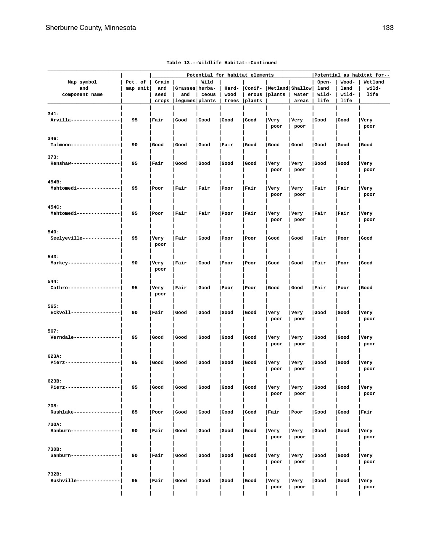| Map symbol                        | Pct. of  | Grain |                | Wild  | Potential for habitat elements |        |                                  |       | Open- | Wood- | Potential as habitat for--<br>Wetland |
|-----------------------------------|----------|-------|----------------|-------|--------------------------------|--------|----------------------------------|-------|-------|-------|---------------------------------------|
| and                               | map unit | and   | Grasses herba- |       |                                |        | Hard-  Conif-  Wetland   Shallow |       | land  | land  | wild-                                 |
| component name                    |          | seed  | and            | ceous | wood                           | erous  | plants                           | water | wild- | wild- | life                                  |
|                                   |          | crops | legumes plants |       | trees                          | plants |                                  | areas | life  | life  |                                       |
|                                   |          |       |                |       |                                |        |                                  |       |       |       |                                       |
| 341:                              |          |       |                |       |                                |        |                                  |       |       |       |                                       |
| Arvilla-----------------          | 95       | Fair  | Good           | Good  | Good                           | Good   | Very                             | Very  | Good  | Good  | Very                                  |
|                                   |          |       |                |       |                                |        | poor                             | poor  |       |       | poor                                  |
|                                   |          |       |                |       |                                |        |                                  |       |       |       |                                       |
| 346:                              |          |       |                |       |                                |        |                                  |       |       |       |                                       |
| Talmoon-----------------          | 90       | Good  | Good           | Good  | Fair                           | Good   | Good                             | Good  | Good  | Good  | Good                                  |
|                                   |          |       |                |       |                                |        |                                  |       |       |       |                                       |
| 373:                              |          |       |                |       |                                |        |                                  |       |       |       |                                       |
| Renshaw-----------------          | 95       | Fair  | Good           | Good  | Good                           | Good   | Very                             | Very  | Good  | Good  | Very                                  |
|                                   |          |       |                |       |                                |        | poor                             | poor  |       |       | poor                                  |
|                                   |          |       |                |       |                                |        |                                  |       |       |       |                                       |
| 454B:                             |          |       |                |       |                                |        |                                  |       |       |       |                                       |
| Mahtomedi---------------          | 95       | Poor  | Fair           | Fair  | Poor                           | Fair   | Very                             | Very  | Fair  | Fair  | Very                                  |
|                                   |          |       |                |       |                                |        | poor                             | poor  |       |       | poor                                  |
|                                   |          |       |                |       |                                |        |                                  |       |       |       |                                       |
| 454C:<br>Mahtomedi--------------- | 95       |       |                |       |                                |        |                                  |       | Fair  |       |                                       |
|                                   |          | Poor  | Fair           | Fair  | Poor                           | Fair   | Very                             | Very  |       | Fair  | Very                                  |
|                                   |          |       |                |       |                                |        | poor                             | poor  |       |       | poor                                  |
| 540:                              |          |       |                |       |                                |        |                                  |       |       |       |                                       |
| Seelyeville-------------          | 95       | Very  | Fair           | Good  | Poor                           | Poor   | Good                             | Good  | Fair  | Poor  | Good                                  |
|                                   |          | poor  |                |       |                                |        |                                  |       |       |       |                                       |
|                                   |          |       |                |       |                                |        |                                  |       |       |       |                                       |
| 543:                              |          |       |                |       |                                |        |                                  |       |       |       |                                       |
| Markey------------------          | 90       | Very  | Fair           | Good  | Poor                           | Poor   | Good                             | Good  | Fair  | Poor  | Good                                  |
|                                   |          | poor  |                |       |                                |        |                                  |       |       |       |                                       |
|                                   |          |       |                |       |                                |        |                                  |       |       |       |                                       |
| 544:                              |          |       |                |       |                                |        |                                  |       |       |       |                                       |
| Cathro-------------------         | 95       | Very  | Fair           | Good  | Poor                           | Poor   | Good                             | Good  | Fair  | Poor  | Good                                  |
|                                   |          | poor  |                |       |                                |        |                                  |       |       |       |                                       |
|                                   |          |       |                |       |                                |        |                                  |       |       |       |                                       |
| 565:                              |          |       |                |       |                                |        |                                  |       |       |       |                                       |
| Eckvoll-----------------          | 90       | Fair  | Good           | Good  | Good                           | Good   | Very                             | Very  | Good  | Good  | Very                                  |
|                                   |          |       |                |       |                                |        | poor                             | poor  |       |       | poor                                  |
|                                   |          |       |                |       |                                |        |                                  |       |       |       |                                       |
| 567:                              |          |       |                |       |                                |        |                                  |       |       |       |                                       |
| Verndale ----------------         | 95       | Good  | Good           | Good  | Good                           | Good   | Very                             | Very  | Good  | Good  | Very                                  |
|                                   |          |       |                |       |                                |        | poor                             | poor  |       |       | poor                                  |
|                                   |          |       |                |       |                                |        |                                  |       |       |       |                                       |
| 623A:                             |          |       |                |       |                                |        |                                  |       |       |       |                                       |
| Pierz-------------------          | 95       | Good  | Good           | Good  | Good                           | Good   | Very                             | Very  | Good  | Good  | Very                                  |
|                                   |          |       |                |       |                                |        | poor                             | poor  |       |       | poor                                  |
| 623B:                             |          |       |                |       |                                |        |                                  |       |       |       |                                       |
| Pierz-------------------          | 95       | Good  | Good           | Good  | Good                           | Good   | Very                             | Very  | Good  | Good  | Very                                  |
|                                   |          |       |                |       |                                |        | poor                             | poor  |       |       | poor                                  |
|                                   |          |       |                |       |                                |        |                                  |       |       |       |                                       |
| 708:                              |          |       |                |       |                                |        |                                  |       |       |       |                                       |
| Rushlake----------------          | 85       | Poor  | Good           | Good  | Good                           | Good   | Fair                             | Poor  | Good  | Good  | Fair                                  |
|                                   |          |       |                |       |                                |        |                                  |       |       |       |                                       |
| 730A:                             |          |       |                |       |                                |        |                                  |       |       |       |                                       |
| Sanburn-----------------          | 90       | Fair  | Good           | Good  | Good                           | Good   | Very                             | Very  | Good  | Good  | Very                                  |
|                                   |          |       |                |       |                                |        | poor                             | poor  |       |       | poor                                  |
|                                   |          |       |                |       |                                |        |                                  |       |       |       |                                       |
| 730B:                             |          |       |                |       |                                |        |                                  |       |       |       |                                       |
| Sanburn-----------------          | 90       | Fair  | Good           | Good  | Good                           | Good   | Very                             | Very  | Good  | Good  | Very                                  |
|                                   |          |       |                |       |                                |        | poor                             | poor  |       |       | poor                                  |
|                                   |          |       |                |       |                                |        |                                  |       |       |       |                                       |
| 732B:                             |          |       |                |       |                                |        |                                  |       |       |       |                                       |
| Bushville---------------          | 95       | Fair  | Good           | Good  | Good                           | Good   | Very                             | Very  | Good  | Good  | Very                                  |
|                                   |          |       |                |       |                                |        | poor                             | poor  |       |       | poor                                  |
|                                   |          |       |                |       |                                |        |                                  |       |       |       |                                       |

#### **Table 13.--Wildlife Habitat--Continued**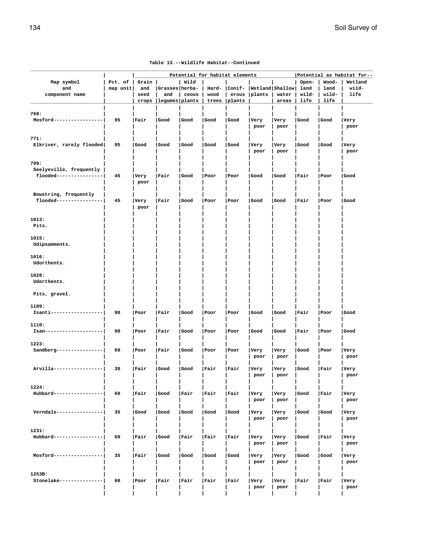|                                                  |          |       |                |       |       | Potential for habitat elements |                 |       |       |       | Potential as habitat for-- |
|--------------------------------------------------|----------|-------|----------------|-------|-------|--------------------------------|-----------------|-------|-------|-------|----------------------------|
| Map symbol                                       | Pct. of  | Grain |                | Wild  |       |                                |                 |       | Open- | Wood- | Wetland                    |
| and                                              | map unit | and   | Grasses herba- |       |       | Hard-   Conif-                 | Wetland Shallow |       | land  | land  | wild-                      |
| component name                                   |          | seed  | and            | ceous | wood  | erous                          | plants          | water | wild- | wild- | life                       |
|                                                  |          | crops | legumes plants |       | trees | plants                         |                 | areas | life  | life  |                            |
|                                                  |          |       |                |       |       |                                |                 |       |       |       |                            |
| 768:<br>Mosford-----------------                 |          |       |                |       |       |                                |                 |       |       |       |                            |
|                                                  | 95       | Fair  | Good           | Good  | Good  | Good                           | Very            | Very  | Good  | Good  | Very                       |
|                                                  |          |       |                |       |       |                                | poor            | poor  |       |       | poor                       |
| 771:                                             |          |       |                |       |       |                                |                 |       |       |       |                            |
| Elkriver, rarely flooded                         | 95       | Good  | Good           | Good  | Good  | Good                           | Very            | Very  | Good  | Good  | Very                       |
|                                                  |          |       |                |       |       |                                | poor            | poor  |       |       | poor                       |
|                                                  |          |       |                |       |       |                                |                 |       |       |       |                            |
| 799:                                             |          |       |                |       |       |                                |                 |       |       |       |                            |
| Seelyeville, frequently                          |          |       |                |       |       |                                |                 |       |       |       |                            |
| flooded----------------                          | 45       | Very  | Fair           | Good  | Poor  | Poor                           | Good            | Good  | Fair  | Poor  | Good                       |
|                                                  |          | poor  |                |       |       |                                |                 |       |       |       |                            |
|                                                  |          |       |                |       |       |                                |                 |       |       |       |                            |
| Bowstring, frequently<br>flooded---------------- | 45       | Very  | Fair           | Good  | Poor  | Poor                           | Good            | Good  | Fair  | Poor  | Good                       |
|                                                  |          | poor  |                |       |       |                                |                 |       |       |       |                            |
|                                                  |          |       |                |       |       |                                |                 |       |       |       |                            |
| 1013:                                            |          |       |                |       |       |                                |                 |       |       |       |                            |
| Pits.                                            |          |       |                |       |       |                                |                 |       |       |       |                            |
|                                                  |          |       |                |       |       |                                |                 |       |       |       |                            |
| 1015:                                            |          |       |                |       |       |                                |                 |       |       |       |                            |
| Udipsamments.                                    |          |       |                |       |       |                                |                 |       |       |       |                            |
|                                                  |          |       |                |       |       |                                |                 |       |       |       |                            |
| 1016:<br>Udorthents.                             |          |       |                |       |       |                                |                 |       |       |       |                            |
|                                                  |          |       |                |       |       |                                |                 |       |       |       |                            |
| 1028:                                            |          |       |                |       |       |                                |                 |       |       |       |                            |
| Udorthents.                                      |          |       |                |       |       |                                |                 |       |       |       |                            |
|                                                  |          |       |                |       |       |                                |                 |       |       |       |                            |
| Pits, gravel.                                    |          |       |                |       |       |                                |                 |       |       |       |                            |
|                                                  |          |       |                |       |       |                                |                 |       |       |       |                            |
| 1109:                                            |          |       |                |       |       |                                |                 |       |       |       |                            |
| Isanti-----------------                          | 90       | Poor  | Fair           | Good  | Poor  | Poor                           | Good            | Good  | Fair  | Poor  | Good                       |
| 1110:                                            |          |       |                |       |       |                                |                 |       |       |       |                            |
| Isan---------------------                        | 90       | Poor  | Fair           | Good  | Poor  | Poor                           | Good            | Good  | Fair  | Poor  | Good                       |
|                                                  |          |       |                |       |       |                                |                 |       |       |       |                            |
| 1223:                                            |          |       |                |       |       |                                |                 |       |       |       |                            |
| Sandberg----------------                         | 60       | Poor  | Fair           | Good  | Poor  | Poor                           | Very            | Very  | Good  | Poor  | Very                       |
|                                                  |          |       |                |       |       |                                | poor            | poor  |       |       | poor                       |
|                                                  |          |       |                |       |       |                                |                 |       |       |       |                            |
| Arvilla-----------------                         | 30       | Fair  | Good           | Good  | Fair  | Fair                           | Very            | Very  | Good  | Fair  | Very                       |
|                                                  |          |       |                |       |       |                                | poor            | poor  |       |       | poor                       |
| 1224:                                            |          |       |                |       |       |                                |                 |       |       |       |                            |
| Hubbard-----------------                         | 60       | Fair  | Good           | Fair  | Fair  | Fair                           | Very            | Very  | Good  | Fair  | Very                       |
|                                                  |          |       |                |       |       |                                | poor            | poor  |       |       | poor                       |
|                                                  |          |       |                |       |       |                                |                 |       |       |       |                            |
| Verndale ----------------                        | 35       | Good  | Good           | Good  | Good  | Good                           | Very            | Very  | Good  | Good  | Very                       |
|                                                  |          |       |                |       |       |                                | poor            | poor  |       |       | poor                       |
|                                                  |          |       |                |       |       |                                |                 |       |       |       |                            |
| 1231:                                            |          |       |                |       |       |                                |                 |       |       |       |                            |
| Hubbard----------------                          | 60       | Fair  | Good           | Fair  | Fair  | Fair                           | Very            | Very  | Good  | Fair  | Very                       |
|                                                  |          |       |                |       |       |                                | poor            | poor  |       |       | poor                       |
| Mosford-----------------                         | 35       | Fair  | Good           | Good  | Good  | Good                           | <b>Very</b>     | Very  | Good  | Good  | Very                       |
|                                                  |          |       |                |       |       |                                | poor            | poor  |       |       | poor                       |
|                                                  |          |       |                |       |       |                                |                 |       |       |       |                            |
| 1253B:                                           |          |       |                |       |       |                                |                 |       |       |       |                            |
| Stonelake---------------                         | 60       | Poor  | Fair           | Fair  | Fair  | Fair                           | Very            | Very  | Fair  | Fair  | Very                       |
|                                                  |          |       |                |       |       |                                | poor            | poor  |       |       | poor                       |

 **| | | | | | | | | | |**

#### **Table 13.--Wildlife Habitat--Continued**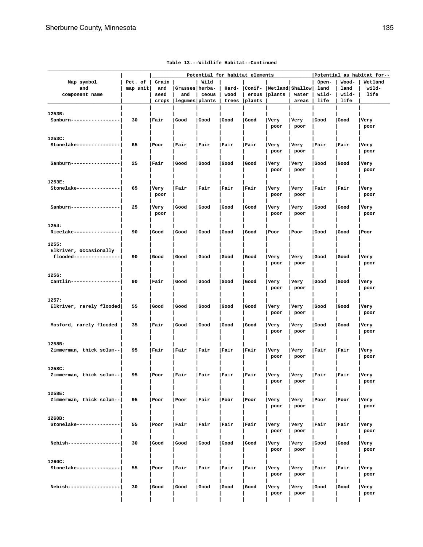| Map symbol<br>and<br>component name                        | Pct. of<br>map unit | Grain  <br>and<br>seed<br>crops | Grasses herba-<br>and<br> legumes plants | Wild<br>ceous | wood<br>trees | Potential for habitat elements<br>erous<br> plants | Hard- Conif- Wetland Shallow land<br> plants | water<br>areas | Open-<br>wild-<br>life | Wood-<br>land<br>wild-<br>life | Potential as habitat for--<br>Wetland<br>wild-<br>life |
|------------------------------------------------------------|---------------------|---------------------------------|------------------------------------------|---------------|---------------|----------------------------------------------------|----------------------------------------------|----------------|------------------------|--------------------------------|--------------------------------------------------------|
| 1253B:<br>Sanburn-----------------                         | 30                  | Fair                            | Good                                     | Good          | Good          | Good                                               | Very<br>poor                                 | Very<br>poor   | Good                   | Good                           | Very<br>poor                                           |
| 1253C:<br>Stonelake---------------                         | 65                  | Poor                            | Fair                                     | Fair          | Fair          | Fair                                               | Very<br>poor                                 | Very<br>poor   | Fair                   | Fair                           | Very<br>poor                                           |
| Sanburn-----------------                                   | 25                  | Fair                            | Good                                     | Good          | Good          | Good                                               | Very<br>poor                                 | Very<br>poor   | Good                   | Good                           | <b>Very</b><br>poor                                    |
| 1253E:<br>Stonelake---------------                         | 65                  | Very<br>poor                    | Fair                                     | Fair          | Fair          | Fair                                               | Very<br>poor                                 | Very<br>poor   | Fair                   | Fair                           | Very<br>poor                                           |
| Sanburn-----------------                                   | 25                  | Very<br>poor                    | Good                                     | Good          | Good          | Good                                               | Very<br>poor                                 | Very<br>poor   | l Good                 | Good                           | Very<br>poor                                           |
| 1254:<br>Ricelake----------------                          | 90                  | l Good                          | Good                                     | Good          | Good          | Good                                               | Poor                                         | Poor           | Good                   | Good                           | Poor                                                   |
| 1255:<br>Elkriver, occasionally<br>flooded---------------- | 90                  | Good                            | Good                                     | Good          | Good          | Good                                               | Very<br>poor                                 | Very<br>poor   | Good                   | Good                           | Very<br>poor                                           |
| 1256:<br>Cantlin-----------------                          | 90                  | Fair                            | Good                                     | Good          | Good          | Good                                               | Very<br>poor                                 | Very<br>poor   | Good                   | Good                           | Very<br>poor                                           |
| 1257:<br>Elkriver, rarely flooded                          | 55                  | Good                            | Good                                     | Good          | Good          | Good                                               | Very<br>poor                                 | Very<br>poor   | Good                   | Good                           | Very<br>poor                                           |
| Mosford, rarely flooded                                    | 35                  | Fair                            | Good                                     | Good          | Good          | Good                                               | Very<br>poor                                 | Very<br>poor   | Good                   | Good                           | Very<br>poor                                           |
| 1258B:<br>Zimmerman, thick solum--                         | 95                  | Fair                            | Fair                                     | Fair          | Fair          | Fair                                               | Very<br>poor                                 | Very<br>poor   | Fair                   | Fair                           | Very<br>poor                                           |
| 1258C:<br>Zimmerman, thick solum--                         | 95                  | Poor                            | Fair                                     | Fair          | Fair          | Fair                                               | Very<br>poor                                 | Very<br>poor   | Fair                   | Fair                           | Very<br>poor                                           |
| 1258E:<br>Zimmerman, thick solum--                         | 95                  | Poor                            | Poor                                     | Fair          | Poor          | Poor                                               | Very<br>poor                                 | Very<br>poor   | Poor                   | Poor                           | Very<br>poor                                           |
| 1260B:<br>Stonelake ---------------                        | 55                  | Poor                            | Fair                                     | Fair          | Fair          | Fair                                               | Very<br>poor                                 | Very<br>poor   | Fair                   | Fair                           | Very<br>poor                                           |
| Nebish------------------                                   | 30                  | Good                            | Good                                     | Good          | Good          | Good                                               | Very<br>poor                                 | Very<br>poor   | Good                   | Good                           | Very<br>poor                                           |
| 1260C:<br>Stonelake---------------                         | 55                  | Poor                            | Fair                                     | Fair          | Fair          | Fair                                               | Very<br>poor                                 | Very<br>poor   | Fair                   | Fair                           | Very<br>poor                                           |
| Nebish-----------------                                    | 30                  | Good                            | Good                                     | Good          | Good          | Good                                               | Very<br>poor                                 | Very<br>poor   | Good                   | Good                           | Very<br>poor                                           |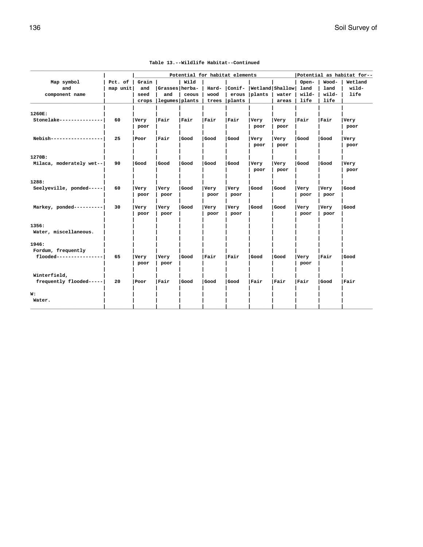|                          | Potential for habitat elements |       |                |       |       |        |                           |        | Potential as habitat for-- |       |         |  |
|--------------------------|--------------------------------|-------|----------------|-------|-------|--------|---------------------------|--------|----------------------------|-------|---------|--|
| Map symbol               | Pct. of                        | Grain |                | Wild  |       |        |                           |        | Open-                      | Wood- | Wetland |  |
| and                      | map unit                       | and   | Grasses herba- |       | Hard- |        | Conif-  Wetland   Shallow |        | land                       | land  | wild-   |  |
| component name           |                                | seed  | and            | ceous | wood  | erous  | $ $ plants                | water  | wild-                      | wild- | life    |  |
|                          |                                | crops | legumes plants |       | trees | plants |                           | areas  | life                       | life  |         |  |
| 1260E:                   |                                |       |                |       |       |        |                           |        |                            |       |         |  |
| Stonelake--------------- | 60                             | Very  | Fair           | Fair  | Fair  | Fair   | Very                      | Very   | Fair                       | Fair  | Very    |  |
|                          |                                | poor  |                |       |       |        | poor                      | poor   |                            |       | poor    |  |
| Nebish----------------   | 25                             | Poor  | Fair           | Good  | Good  | Good   | Very                      | Very   | Good                       | Good  | Very    |  |
|                          |                                |       |                |       |       |        | poor                      | poor   |                            |       | poor    |  |
| 1270B:                   |                                |       |                |       |       |        |                           |        |                            |       |         |  |
| Milaca, moderately wet-- | 90                             | Good  | l Good         | Good  | Good  | Good   | Very                      | Very   | Good                       | Good  | Very    |  |
|                          |                                |       |                |       |       |        | poor                      | poor   |                            |       | poor    |  |
| 1288:                    |                                |       |                |       |       |        |                           |        |                            |       |         |  |
| Seelyeville, ponded----- | 60                             | Very  | Very           | Good  | Very  | Very   | Good                      | Good   | Very                       | Very  | Good    |  |
|                          |                                | poor  | poor           |       | poor  | poor   |                           |        | poor                       | poor  |         |  |
| Markey, ponded---------- | 30                             | Very  | Very           | Good  | Very  | Very   | Good                      | Good   | Very                       | Very  | Good    |  |
|                          |                                | poor  | poor           |       | poor  | poor   |                           |        | poor                       | poor  |         |  |
| 1356:                    |                                |       |                |       |       |        |                           |        |                            |       |         |  |
| Water, miscellaneous.    |                                |       |                |       |       |        |                           |        |                            |       |         |  |
| 1946:                    |                                |       |                |       |       |        |                           |        |                            |       |         |  |
| Fordum, frequently       |                                |       |                |       |       |        |                           |        |                            |       |         |  |
| flooded----------------  | 65                             | Very  | Very           | Good  | Fair  | Fair   | Good                      | l Good | Very                       | Fair  | Good    |  |
|                          |                                | poor  | poor           |       |       |        |                           |        | poor                       |       |         |  |
| Winterfield,             |                                |       |                |       |       |        |                           |        |                            |       |         |  |
| frequently flooded-----  | 20                             | Poor  | Fair           | Good  | Good  | Good   | Fair                      | Fair   | Fair                       | Good  | Fair    |  |
| W:                       |                                |       |                |       |       |        |                           |        |                            |       |         |  |
| Water.                   |                                |       |                |       |       |        |                           |        |                            |       |         |  |
|                          |                                |       |                |       |       |        |                           |        |                            |       |         |  |

| Table 13.--Wildlife Habitat--Continued |  |
|----------------------------------------|--|
|----------------------------------------|--|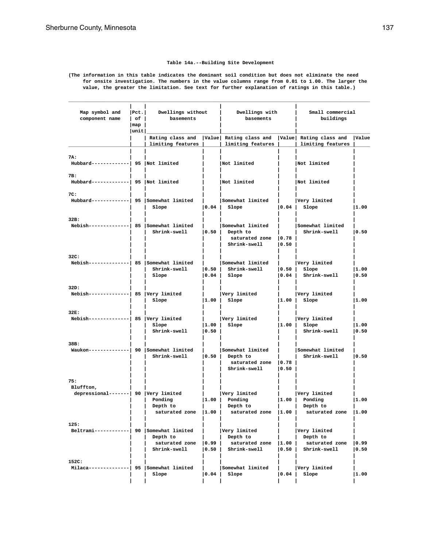# **Table 14a.--Building Site Development**

**(The information in this table indicates the dominant soil condition but does not eliminate the need for onsite investigation. The numbers in the value columns range from 0.01 to 1.00. The larger the value, the greater the limitation. See text for further explanation of ratings in this table.)**

**\_\_\_\_\_\_\_\_\_\_\_\_\_\_\_\_\_\_\_\_\_\_\_\_\_\_\_\_\_\_\_\_\_\_\_\_\_\_\_\_\_\_\_\_\_\_\_\_\_\_\_\_\_\_\_\_\_\_\_\_\_\_\_\_\_\_\_\_\_\_\_\_\_\_\_\_\_\_\_\_\_\_\_\_\_\_\_\_\_\_\_\_\_\_\_\_\_\_\_\_\_\_\_\_**

| Map symbol and<br>component name                          | Pet. <br>$ $ of $ $<br> map <br> unit | Dwellings without<br>basements             |                         | Dwellings with<br>basements                                                                                  |                 | Small commercial<br>buildings                              |               |  |
|-----------------------------------------------------------|---------------------------------------|--------------------------------------------|-------------------------|--------------------------------------------------------------------------------------------------------------|-----------------|------------------------------------------------------------|---------------|--|
|                                                           |                                       | limiting features                          |                         | Rating class and   Value   Rating class and   Value   Rating class and<br>  limiting features                |                 | limiting features                                          | Value         |  |
| 7A:<br>Hubbard-------------  95   Not limited             |                                       |                                            |                         | Not limited                                                                                                  |                 | Not limited                                                |               |  |
| 7B:<br>Hubbard-------------  95   Not limited             |                                       |                                            |                         | Not limited                                                                                                  |                 | Not limited                                                |               |  |
| 7C:<br>Hubbard------------  95 Somewhat limited           |                                       | Slope                                      | 0.04                    | Somewhat limited<br>Slope                                                                                    | 0.04            | Very limited<br>Slope                                      | 1.00          |  |
| 32B:<br>Nebish-------------  85   Somewhat limited        |                                       | Shrink-swell                               | $ 0.50\rangle$          | Somewhat limited<br>Depth to<br>saturated zone<br>Shrink-swell                                               | 0.78<br> 0.50   | Somewhat limited<br>Shrink-swell                           | 0.50          |  |
| 32C:<br>Nebish-------------  85   Somewhat limited        |                                       | Shrink-swell<br>Slope                      | 0.50 <br> 0.04          | Somewhat limited<br>Shrink-swell<br>Slope                                                                    | 0.50 <br> 0.04  | Very limited<br>Slope<br>Shrink-swell                      | 1.00<br> 0.50 |  |
| 32D:<br>$Nebish$ -------------  85   Very limited         |                                       | Slope                                      | 1.00                    | Very limited<br>Slope                                                                                        |                 | Very limited<br>$ 1.00 $ Slope                             | 11.00         |  |
| 32E:<br>Nebish--------------  85   Very limited           |                                       | Slope<br>Shrink-swell                      | 1.00 <br>$ 0.50\rangle$ | Very limited<br>Slope                                                                                        | 1.00            | Very limited<br>Slope<br>Shrink-swell                      | 1.00<br> 0.50 |  |
| 38B:<br>Waukon-------------  90 Somewhat limited          |                                       | Shrink-swell                               | $ 0.50\rangle$          | Somewhat limited<br>Depth to<br>saturated zone<br>Shrink-swell                                               | 0.78<br> 0.50   | Somewhat limited<br>Shrink-swell                           | 0.50          |  |
| 75:<br>Bluffton,<br>depressional-------  90  Very limited |                                       | Ponding<br>Depth to                        | 1.00                    | Very limited<br>Ponding<br>Depth to<br>saturated zone   1.00   saturated zone   1.00   saturated zone   1.00 |                 | Very limited<br>$ 1.00 $ Ponding<br>Depth to               | 1.00          |  |
| 125:<br>Beltrami------------  90 Somewhat limited         |                                       | Depth to<br>saturated zone<br>Shrink-swell | 0.99 <br> 0.50          | Very limited<br>Depth to<br>saturated zone<br>Shrink-swell                                                   | 1.00 <br>0.50 L | Very limited<br>Depth to<br>saturated zone<br>Shrink-swell | 0.99<br> 0.50 |  |
| 152C:<br>Milaca----                                       |                                       | 95 Somewhat limited<br>Slope               | 0.04                    | Somewhat limited<br>Slope                                                                                    | 0.04            | Very limited<br>Slope                                      | 1.00          |  |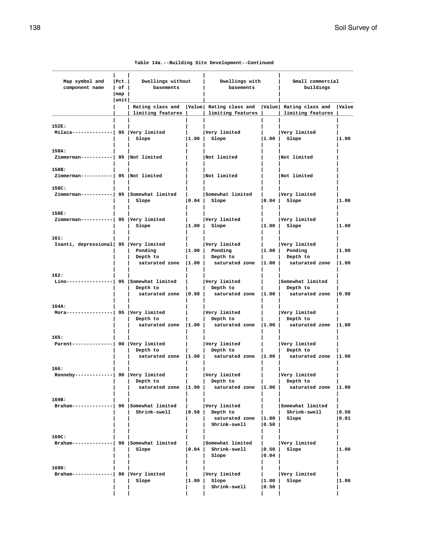| Map symbol and<br>component name                  | $ $ Pct.<br>$ $ of $ $       | Dwellings without<br>basements                                                              |                         | Dwellings with<br>basements                                                                                    |                         | Small commercial<br>buildings                        |               |
|---------------------------------------------------|------------------------------|---------------------------------------------------------------------------------------------|-------------------------|----------------------------------------------------------------------------------------------------------------|-------------------------|------------------------------------------------------|---------------|
|                                                   | $\lceil map \rceil$<br> unit |                                                                                             |                         |                                                                                                                |                         |                                                      |               |
|                                                   |                              | Rating class and   Value   Rating class and   Value   Rating class and<br>limiting features |                         | limiting features                                                                                              |                         | limiting features                                    | Value         |
| 152E:<br>Milaca--------------  95  Very limited   |                              | Slope                                                                                       |                         | Very limited<br>$ 1.00 $ Slope                                                                                 |                         | Very limited<br>$ 1.00 $ Slope                       | 1.00          |
| 158A:<br>Zimmerman-----------  95  Not limited    |                              |                                                                                             |                         | Not limited                                                                                                    |                         | Not limited                                          |               |
| 158B:<br>Zimmerman-----------  95  Not limited    |                              |                                                                                             |                         | Not limited                                                                                                    |                         | Not limited                                          |               |
| 158C:<br>Zimmerman----------  95 Somewhat limited |                              | Slope                                                                                       |                         | Somewhat limited  <br>$ 0.04 $ Slope                                                                           |                         | Very limited<br>$ 0.04 $ Slope                       | 1.00          |
| 158E:<br>Zimmerman-----------  95 Very limited    |                              | Slope                                                                                       |                         | Very limited<br>$ 1.00 $ Slope                                                                                 | $\mathcal{L}$           | Very limited<br>$ 1.00 $ Slope                       | 1.00          |
| 161:<br>Isanti, depressional  95  Very limited    |                              | Ponding<br>Depth to                                                                         |                         | Very limited<br>$ 1.00 $ Ponding<br>Depth to<br>saturated zone   1.00   saturated zone   1.00   saturated zone |                         | Very limited<br>$ 1.00 $ Ponding<br>Depth to         | 1.00<br> 1.00 |
| 162:<br>$Lino----------- 95$ Somewhat limited     |                              | Depth to<br>saturated zone   0.98                                                           |                         | Very limited<br>Depth to<br>saturated zone   1.00                                                              |                         | Somewhat limited<br>Depth to<br>saturated zone 10.98 |               |
| 164A:<br>Mora----------------  95  Very limited   |                              | Depth to                                                                                    |                         | Very limited<br>Depth to<br>saturated zone $ 1.00 $ saturated zone $ 1.00 $ saturated zone $ 1.00 $            |                         | Very limited<br>Depth to                             |               |
| 165:<br>Parent--------------  90   Very limited   |                              | Depth to                                                                                    | and the property of the | Very limited<br>Depth to<br>saturated zone $ 1.00 $ saturated zone $ 1.00 $ saturated zone $ 1.00 $            |                         | Very limited<br>Depth to                             |               |
| 166:<br>Ronneby-------------  90   Very limited   |                              | Depth to<br>saturated zone   1.00                                                           |                         | Very limited<br>Depth to<br>saturated zone   1.00                                                              |                         | Very limited<br>Depth to<br>saturated zone  1.00     |               |
| 169B:<br>Braham-------------  90 Somewhat limited |                              | Shrink-swell                                                                                | 0.50                    | Very limited<br>Depth to<br>saturated zone<br>Shrink-swell                                                     | 1.00 <br>$ 0.50\rangle$ | Somewhat limited<br>Shrink-swell<br>Slope            | 0.50<br> 0.01 |
| 169C:<br>Braham-------------  90 Somewhat limited |                              | Slope                                                                                       | 0.04                    | Somewhat limited<br>Shrink-swell<br>Slope                                                                      | 0.50 <br> 0.04          | Very limited<br>Slope                                | 1.00          |
| 169D:<br>Braham--------------  90   Very limited  |                              | Slope                                                                                       | 1.00                    | Very limited<br>Slope<br>Shrink-swell                                                                          | 1.00 <br>0.50           | Very limited<br>Slope                                | 1.00          |

 **| | | | | | |**

|  |  |  | Table 14a.--Building Site Development--Continued |
|--|--|--|--------------------------------------------------|
|--|--|--|--------------------------------------------------|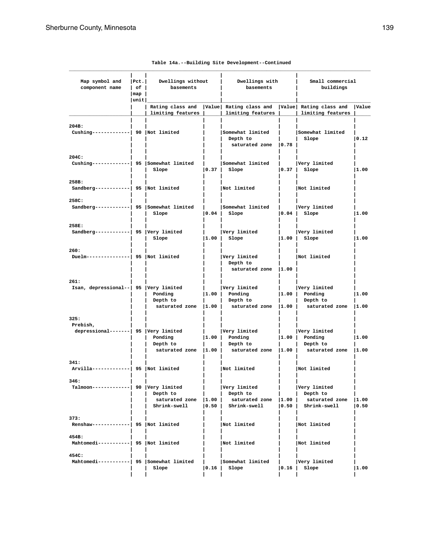| Map symbol and<br>component name                         | Pet. <br>$ $ of $ $<br>$\lceil map \rceil$<br> unit | Dwellings without<br>basements                      |                   | Dwellings with<br>basements                                           |                    | Small commercial<br>buildings                                        |                |
|----------------------------------------------------------|-----------------------------------------------------|-----------------------------------------------------|-------------------|-----------------------------------------------------------------------|--------------------|----------------------------------------------------------------------|----------------|
|                                                          |                                                     | Rating class and<br>limiting features               |                   | Value  Rating class and  Value  Rating class and<br>limiting features |                    | limiting features                                                    | Value          |
| 204B:<br>Cushing-------------  90  Not limited           |                                                     |                                                     |                   | Somewhat limited<br>Depth to<br>saturated zone   0.78                 |                    | Somewhat limited<br>Slope                                            | $ 0.12\rangle$ |
| 204C:<br>Cushing-------------  95 Somewhat limited       |                                                     | Slope                                               | 0.37              | Somewhat limited<br>Slope                                             | $\vert 0.37 \vert$ | Very limited<br>Slope                                                | 1.00           |
| 258B:<br>Sandberg------------  95  Not limited           |                                                     |                                                     |                   | Not limited                                                           |                    | Not limited                                                          |                |
| 258C:<br>Sandberg-----------  95 Somewhat limited        |                                                     | Slope                                               | 0.04              | Somewhat limited<br>Slope                                             | $\vert 0.04 \vert$ | Very limited<br>Slope                                                | 1.00           |
| 258E:<br>Sandberg------------  95  Very limited          |                                                     | Slope                                               | 1.00              | Very limited<br>Slope                                                 | 1.00               | Very limited<br>Slope                                                | 1.00           |
| 260:<br>Duelm---------------  95  Not limited            |                                                     |                                                     |                   | Very limited<br>Depth to<br>saturated zone   1.00                     |                    | Not limited                                                          |                |
| 261:<br>Isan, depressional--   95   Very limited         |                                                     | Ponding<br>Depth to<br>saturated zone $ 1.00 $      |                   | Very limited<br>$ 1.00 $ Ponding<br>Depth to<br>saturated zone  1.00  |                    | Very limited<br>$ 1.00 $ Ponding<br>Depth to<br>saturated zone  1.00 | 1.00           |
| 325:<br>Prebish,<br>depressional-------  95 Very limited |                                                     | Ponding<br>Depth to<br>saturated zone $ 1.00 $      | 1.00 <sub>1</sub> | Very limited<br>Ponding<br>Depth to<br>saturated zone $ 1.00 $        |                    | Very limited<br>$ 1.00 $ Ponding<br>Depth to<br>saturated zone 1.00  | 1.00           |
| 341:<br>Arvilla-------------  95   Not limited           |                                                     |                                                     |                   | Not limited                                                           |                    | Not limited                                                          |                |
| 346:<br>Talmoon------------  90 Very limited             |                                                     | Depth to<br>saturated zone   1.00  <br>Shrink-swell | 0.50              | Very limited<br>Depth to<br>saturated zone<br>Shrink-swell            | 1.00               | Very limited<br>Depth to<br>saturated zone<br>$ 0.50 $ Shrink-swell  | 1.00<br> 0.50  |
| 373:<br>Renshaw-------------  95   Not limited           |                                                     |                                                     |                   | Not limited                                                           |                    | Not limited                                                          |                |
| 454B:<br>Mahtomedi-----------  95 Not limited            |                                                     |                                                     |                   | Not limited                                                           |                    | Not limited                                                          |                |
| 454C:<br>Mahtomedi-----------  95 Somewhat limited       |                                                     | Slope                                               | $ 0.16\rangle$    | Somewhat limited<br>Slope                                             | 0.16               | Very limited<br>Slope                                                | 1.00           |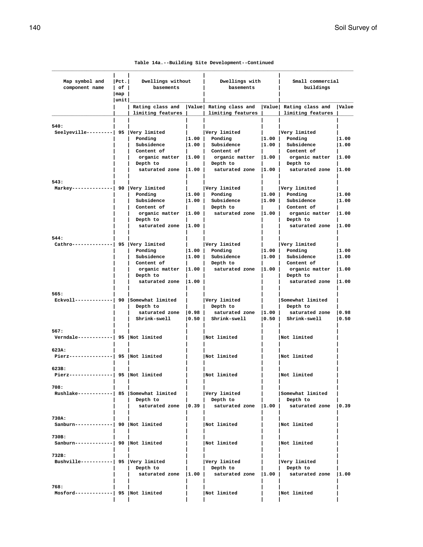| Map symbol and<br>component name                                           | $ $ Pct.<br>$ $ of $ $                     | Dwellings without<br>basements |                    | Dwellings with<br>basements                                                                         |                | Small commercial<br>buildings |               |
|----------------------------------------------------------------------------|--------------------------------------------|--------------------------------|--------------------|-----------------------------------------------------------------------------------------------------|----------------|-------------------------------|---------------|
|                                                                            | $\lceil \text{map} \rceil$<br>$ $ unit $ $ |                                |                    |                                                                                                     |                |                               |               |
|                                                                            |                                            | limiting features              |                    | Rating class and   Value  Rating class and   Value  Rating class and   Value<br>  limiting features |                | limiting features             |               |
|                                                                            |                                            |                                |                    |                                                                                                     |                |                               |               |
| 540:                                                                       |                                            |                                |                    |                                                                                                     |                |                               |               |
| Seelyeville---------  95 Very limited                                      |                                            |                                |                    | Very limited                                                                                        |                | Very limited                  |               |
|                                                                            |                                            | Ponding<br>Subsidence          | 1.00 <br> 1.00     | Ponding<br>Subsidence                                                                               | 1.00 <br> 1.00 | Ponding<br>Subsidence         | 1.00<br> 1.00 |
|                                                                            |                                            | Content of                     |                    | Content of                                                                                          |                | Content of                    |               |
|                                                                            |                                            | organic matter $ 1.00 $        |                    | organic matter $ 1.00 $                                                                             |                | organic matter                | 1.00          |
|                                                                            |                                            | Depth to                       |                    | Depth to                                                                                            |                | Depth to                      |               |
|                                                                            |                                            | saturated zone $ 1.00 $        |                    | saturated zone $ 1.00 $                                                                             |                | saturated zone  1.00          |               |
|                                                                            |                                            |                                |                    |                                                                                                     |                |                               |               |
| 543:<br>Markey--------------  90   Very limited                            |                                            |                                |                    | Very limited                                                                                        |                | Very limited                  |               |
|                                                                            |                                            | Ponding                        | $\vert 1.00 \vert$ | Ponding                                                                                             | 1.00           | Ponding                       | 1.00          |
|                                                                            |                                            | Subsidence                     | 1.00               | Subsidence                                                                                          | 1.00           | Subsidence                    | 11.00         |
|                                                                            |                                            | Content of                     |                    | Depth to                                                                                            |                | Content of                    |               |
|                                                                            |                                            | organic matter $ 1.00 $        |                    | saturated zone  1.00                                                                                |                | organic matter                | 1.00          |
|                                                                            |                                            | Depth to                       |                    |                                                                                                     |                | Depth to                      |               |
|                                                                            |                                            | saturated zone   1.00          |                    |                                                                                                     |                | saturated zone  1.00          |               |
| 544:                                                                       |                                            |                                |                    |                                                                                                     |                |                               |               |
| Cathro--------------  95   Very limited                                    |                                            |                                |                    | Very limited                                                                                        |                | Very limited                  |               |
|                                                                            |                                            | Ponding                        | 1.00               | Ponding                                                                                             |                | $ 1.00 $ Ponding              | 1.00          |
|                                                                            |                                            | Subsidence                     | 1.00               | Subsidence                                                                                          | 1.00           | Subsidence                    | 11.00         |
|                                                                            |                                            | Content of                     |                    | Depth to                                                                                            |                | Content of                    |               |
|                                                                            |                                            | $organic matter$ $ 1.00 $      |                    | saturated zone $ 1.00 $                                                                             |                | organic matter                | 1.00          |
|                                                                            |                                            | Depth to                       |                    |                                                                                                     |                | Depth to                      |               |
|                                                                            |                                            | saturated zone   1.00          |                    |                                                                                                     |                | saturated zone                | 1.00          |
| 565:                                                                       |                                            |                                |                    |                                                                                                     |                |                               |               |
| $\texttt{Eckvol1}\texttt{---}\texttt{---}\texttt{---}$ 90 Somewhat limited |                                            |                                |                    | Very limited                                                                                        |                | Somewhat limited              |               |
|                                                                            |                                            | Depth to                       |                    | Depth to                                                                                            |                | Depth to                      |               |
|                                                                            |                                            | saturated zone                 | 0.98               | saturated zone                                                                                      | 1.00           | saturated zone                | 0.98          |
|                                                                            |                                            | Shrink-swell                   | 0.50               | Shrink-swell                                                                                        | 0.50           | Shrink-swell                  | 0.50          |
| 567:                                                                       |                                            |                                |                    |                                                                                                     |                |                               |               |
| $Verndale$ ------------  95  Not limited                                   |                                            |                                |                    | Not limited                                                                                         |                | Not limited                   |               |
|                                                                            |                                            |                                |                    |                                                                                                     |                |                               |               |
| 623A:                                                                      |                                            |                                |                    |                                                                                                     |                |                               |               |
| Pierz---------------  95   Not limited                                     |                                            |                                |                    | Not limited                                                                                         |                | Not limited                   |               |
| 623B:                                                                      |                                            |                                |                    |                                                                                                     |                |                               |               |
| Pierz---------------  95   Not limited                                     |                                            |                                |                    | Not limited                                                                                         |                | Not limited                   |               |
|                                                                            |                                            |                                |                    |                                                                                                     |                |                               |               |
| 708:                                                                       |                                            |                                |                    |                                                                                                     |                |                               |               |
| Rushlake-----------  85 Somewhat limited                                   |                                            |                                |                    | Very limited                                                                                        |                | Somewhat limited              |               |
|                                                                            |                                            | Depth to                       |                    | Depth to                                                                                            |                | Depth to                      |               |
|                                                                            |                                            | saturated zone $ 0.39 $        |                    | saturated zone $ 1.00 $                                                                             |                | saturated zone $ 0.39$        |               |
| 730A:                                                                      |                                            |                                |                    |                                                                                                     |                |                               |               |
| Sanburn-------------  90  Not limited                                      |                                            |                                |                    | Not limited                                                                                         |                | Not limited                   |               |
|                                                                            |                                            |                                |                    |                                                                                                     |                |                               |               |
| 730B:                                                                      |                                            |                                |                    |                                                                                                     |                |                               |               |
| Sanburn-------------  90  Not limited                                      |                                            |                                |                    | Not limited                                                                                         |                | Not limited                   |               |
|                                                                            |                                            |                                |                    |                                                                                                     |                |                               |               |
| 732B:<br>Bushville-----------  95 Very limited                             |                                            |                                |                    | Very limited                                                                                        |                | Very limited                  |               |
|                                                                            |                                            | Depth to                       |                    | Depth to                                                                                            |                | Depth to                      |               |
|                                                                            |                                            | saturated zone  1.00           |                    | saturated zone  1.00                                                                                |                | saturated zone  1.00          |               |
|                                                                            |                                            |                                |                    |                                                                                                     |                |                               |               |
| 768:                                                                       |                                            |                                |                    |                                                                                                     |                |                               |               |
| $Mostord$ -------------  95  Not limited                                   |                                            |                                |                    | Not limited                                                                                         |                | Not limited                   |               |

 **| | | | | | |**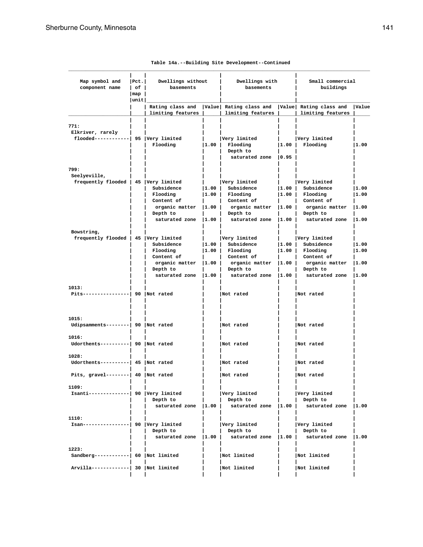| Map symbol and<br>component name                                 | Pet. <br>of  <br> map<br> unit | Dwellings without<br>basements                                                              |                          | Dwellings with<br>basements                                                                                |                           | Small commercial<br>buildings                                                                        |                                  |
|------------------------------------------------------------------|--------------------------------|---------------------------------------------------------------------------------------------|--------------------------|------------------------------------------------------------------------------------------------------------|---------------------------|------------------------------------------------------------------------------------------------------|----------------------------------|
|                                                                  |                                | Rating class and<br>limiting features                                                       |                          | Value Rating class and<br>limiting features                                                                |                           | Value Rating class and<br>limiting features                                                          | Value                            |
| 771:<br>Elkriver, rarely<br>flooded-----------  95  Very limited |                                | Flooding                                                                                    | 1.00                     | Very limited<br>Flooding<br>Depth to<br>saturated zone                                                     | 11.00 l<br>$ 0.95\rangle$ | Very limited<br>Flooding                                                                             | 1.00                             |
| 799:                                                             |                                |                                                                                             |                          |                                                                                                            |                           |                                                                                                      |                                  |
| Seelyeville,<br>frequently flooded   45   Very limited           |                                | Subsidence<br>Flooding<br>Content of<br>organic matter<br>Depth to<br>saturated zone   1.00 | 1.00 <br> 1.00 <br> 1.00 | Very limited<br>Subsidence<br>Flooding<br>Content of<br>organic matter<br>Depth to<br>saturated zone  1.00 | 1.00 <br> 1.00 <br> 1.00  | Very limited<br>Subsidence<br>Flooding<br>Content of<br>organic matter<br>Depth to<br>saturated zone | 11.00<br> 1.00<br> 1.00<br> 1.00 |
| Bowstring,<br>frequently flooded   45   Very limited             |                                | Subsidence<br>Flooding                                                                      | 1.00 <br> 1.00           | Very limited<br>Subsidence<br>Flooding                                                                     | 1.00 <br> 1.00            | Very limited<br>Subsidence<br>Flooding                                                               | 11.00<br>1.00                    |
|                                                                  |                                | Content of<br>organic matter<br>Depth to<br>saturated zone                                  | 1.00<br>$ 1.00\rangle$   | Content of<br>organic matter<br>Depth to<br>saturated zone                                                 | $ 1.00\rangle$<br> 1.00   | Content of<br>organic matter<br>Depth to<br>saturated zone                                           | 1.00<br> 1.00                    |
| 1013:<br>Pits----------------  90   Not rated                    |                                |                                                                                             |                          | Not rated                                                                                                  |                           | Not rated                                                                                            |                                  |
| 1015:<br>Udipsamments--------  90  Not rated                     |                                |                                                                                             |                          | Not rated                                                                                                  |                           | Not rated                                                                                            |                                  |
| 1016:<br>Udorthents---------  90  Not rated                      |                                |                                                                                             |                          | Not rated                                                                                                  |                           | Not rated                                                                                            |                                  |
| 1028:<br>Udorthents---------  45  Not rated                      |                                |                                                                                             |                          | Not rated                                                                                                  |                           | Not rated                                                                                            |                                  |
| Pits, gravel--------  $40$ Not rated                             |                                |                                                                                             |                          | Not rated                                                                                                  |                           | Not rated                                                                                            |                                  |
| 1109:<br>Isanti--------------  90 Very limited                   |                                | Depth to                                                                                    |                          | Very limited<br>Depth to<br>saturated zone  1.00   saturated zone  1.00   saturated zone  1.00             |                           | Very limited<br>Depth to                                                                             |                                  |
| 1110:<br>Isan----------------  90   Very limited                 |                                | Depth to                                                                                    |                          | Very limited<br>Depth to<br>saturated zone $ 1.00 $ saturated zone $ 1.00 $ saturated zone $ 1.00 $        |                           | Very limited<br>Depth to                                                                             |                                  |
| 1223:<br>Sandberg------------  $60$  Not limited                 |                                |                                                                                             |                          | Not limited                                                                                                |                           | Not limited                                                                                          |                                  |
| Arvilla-------------  30   Not limited                           |                                |                                                                                             |                          | Not limited                                                                                                |                           | Not limited                                                                                          |                                  |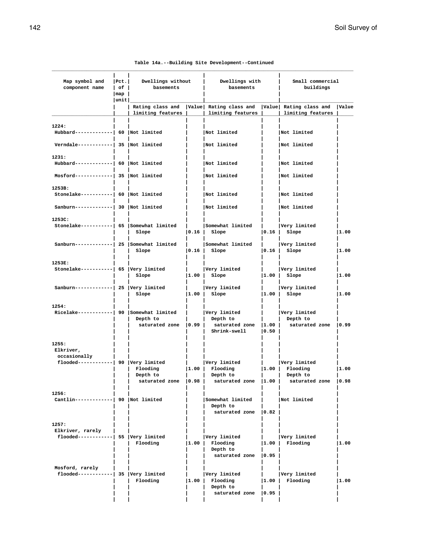| Map symbol and<br>component name                             | $ $ Pct.<br>Dwellings without<br>$ $ of $ $<br>basements |                                   | Dwellings with<br>basements |                                                                                                                 | Small commercial<br>buildings |                                                             |       |
|--------------------------------------------------------------|----------------------------------------------------------|-----------------------------------|-----------------------------|-----------------------------------------------------------------------------------------------------------------|-------------------------------|-------------------------------------------------------------|-------|
|                                                              | $\lfloor map \rfloor$<br> unit                           |                                   |                             |                                                                                                                 |                               |                                                             |       |
|                                                              |                                                          | limiting features                 |                             | Rating class and   Value  Rating class and   Value  Rating class and<br>  limiting features                     |                               | limiting features                                           | Value |
|                                                              |                                                          |                                   |                             |                                                                                                                 |                               |                                                             |       |
| 1224:<br>Hubbard-------------  60   Not limited              |                                                          |                                   |                             | Not limited                                                                                                     |                               | Not limited                                                 |       |
| Verndale------------  35  Not limited                        |                                                          |                                   |                             | Not limited                                                                                                     |                               | Not limited                                                 |       |
| 1231:                                                        |                                                          |                                   |                             |                                                                                                                 |                               |                                                             |       |
| Hubbard------------  60  Not limited                         |                                                          |                                   |                             | Not limited                                                                                                     |                               | Not limited                                                 |       |
| $Mostord$ -------------  35  Not limited                     |                                                          |                                   |                             | Not limited                                                                                                     |                               | Not limited                                                 |       |
| 1253B:                                                       |                                                          |                                   |                             |                                                                                                                 |                               |                                                             |       |
| Stonelake-----------  60  Not limited                        |                                                          |                                   |                             | Not limited                                                                                                     |                               | Not limited                                                 |       |
| Sanburn-------------  30  Not limited                        |                                                          |                                   |                             | Not limited                                                                                                     |                               | Not limited                                                 |       |
| 1253C:                                                       |                                                          |                                   |                             |                                                                                                                 |                               |                                                             |       |
| Stonelake----------  65   Somewhat limited                   |                                                          | Slope                             |                             | Somewhat limited  <br>$ 0.16 $ Slope                                                                            |                               | Very limited<br>$ 0.16 $ Slope                              | 1.00  |
| Sanburn------------  25  Somewhat limited                    |                                                          | Slope                             |                             | Somewhat limited<br>$ 0.16 $ Slope                                                                              |                               | Very limited<br>$ 0.16 $ Slope                              | 1.00  |
| 1253E:                                                       |                                                          |                                   |                             |                                                                                                                 |                               |                                                             |       |
| Stonelake-----------  65 Very limited                        |                                                          | Slope                             | $\mathbf{L}$                | Very limited<br>$ 1.00 $ Slope                                                                                  |                               | Very limited<br>$ 1.00 $ Slope                              | 1.00  |
| Sanburn-------------  25  Very limited                       |                                                          | Slope                             |                             | Very limited<br>$ 1.00 $ Slope                                                                                  |                               | Very limited<br>$ 1.00 $ Slope                              | 1.00  |
| 1254:                                                        |                                                          |                                   |                             |                                                                                                                 |                               |                                                             |       |
| Ricelake------------  90 Somewhat limited                    |                                                          | Depth to                          |                             | Very limited<br>Depth to<br>saturated zone $\vert 0.99 \vert$ saturated zone $\vert 1.00 \vert$<br>Shrink-swell | $ 0.50\rangle$                | Very limited<br>Depth to<br>saturated zone   0.99           |       |
| 1255:<br>Elkriver,<br>occasionally                           |                                                          |                                   |                             |                                                                                                                 |                               |                                                             |       |
| flooded------------  90  Very limited                        |                                                          |                                   |                             | Very limited                                                                                                    |                               | Very limited                                                |       |
|                                                              |                                                          | Flooding                          |                             | $ 1.00 $ Flooding                                                                                               |                               | $ 1.00 $ Flooding                                           | 1.00  |
|                                                              |                                                          | Depth to<br>saturated zone   0.98 |                             | Depth to                                                                                                        |                               | Depth to<br>saturated zone $ 1.00 $ saturated zone $ 0.98 $ |       |
| 1256:                                                        |                                                          |                                   |                             |                                                                                                                 |                               |                                                             |       |
| Cantlin------------  90  Not limited                         |                                                          |                                   |                             | Somewhat limited<br>Depth to<br>saturated zone   0.82                                                           |                               | Not limited                                                 |       |
|                                                              |                                                          |                                   |                             |                                                                                                                 |                               |                                                             |       |
| 1257:                                                        |                                                          |                                   |                             |                                                                                                                 |                               |                                                             |       |
| Elkriver, rarely<br>$f$ looded------------  55  Very limited |                                                          |                                   |                             | Very limited                                                                                                    |                               | Very limited                                                |       |
|                                                              |                                                          | Flooding                          |                             | $ 1.00 $ Flooding                                                                                               |                               | $ 1.00 $ Flooding                                           | 1.00  |
|                                                              |                                                          |                                   |                             | Depth to<br>saturated zone $ 0.95 $                                                                             |                               |                                                             |       |
|                                                              |                                                          |                                   |                             |                                                                                                                 |                               |                                                             |       |
| Mosford, rarely                                              |                                                          |                                   |                             |                                                                                                                 |                               |                                                             |       |
| flooded------------  35  Very limited                        |                                                          | Flooding                          |                             | Very limited<br>$ 1.00 $ Flooding                                                                               | $\vert 1.00 \vert$            | Very limited<br>Flooding                                    | 1.00  |
|                                                              |                                                          |                                   |                             | Depth to                                                                                                        |                               |                                                             |       |
|                                                              |                                                          |                                   |                             | saturated zone   0.95                                                                                           |                               |                                                             |       |

 **| | | | | | |**

|  |  |  | Table 14a.--Building Site Development--Continued |
|--|--|--|--------------------------------------------------|
|--|--|--|--------------------------------------------------|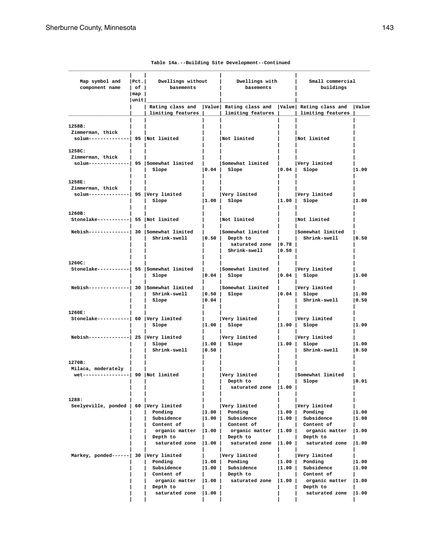| Map symbol and<br>component name                                       | Pet. <br>$ $ of $ $<br>$\lceil map \rceil$ | Dwellings without<br>basements                                                          |                          | Dwellings with<br>basements                                             |                           | Small commercial<br>buildings                                         |                       |
|------------------------------------------------------------------------|--------------------------------------------|-----------------------------------------------------------------------------------------|--------------------------|-------------------------------------------------------------------------|---------------------------|-----------------------------------------------------------------------|-----------------------|
|                                                                        | unit                                       | Rating class and [Value] Rating class and [Value] Rating class and<br>limiting features |                          | limiting features                                                       |                           | limiting features                                                     | Value                 |
| 1258B:<br>Zimmerman, thick<br>solum--------------  95   Not limited    |                                            |                                                                                         |                          | Not limited                                                             |                           | Not limited                                                           |                       |
| 1258C:<br>Zimmerman, thick<br>solum--------------  95 Somewhat limited |                                            | Slope                                                                                   |                          | Somewhat limited<br>$ 0.04 $ Slope                                      |                           | Very limited<br>$ 0.04 $ Slope                                        | 1.00                  |
| 1258E:<br>Zimmerman, thick<br>$solum------- 95   Very limited$         |                                            | Slope                                                                                   | $\mathbf{L}$             | Very limited<br>$ 1.00 $ Slope                                          |                           | Very limited<br>$ 1.00 $ Slope                                        | 1.00                  |
| 1260B:<br>Stonelake-----------  55  Not limited                        |                                            |                                                                                         |                          | Not limited                                                             |                           | Not limited                                                           |                       |
| Nebish-------------  30 Somewhat limited                               |                                            | Shrink-swell                                                                            | 0.50                     | Somewhat limited<br>Depth to<br>saturated zone   0.78  <br>Shrink-swell | 0.50                      | Somewhat limited<br>Shrink-swell                                      | 0.50                  |
| 1260C:<br>Stonelake----------  55 Somewhat limited                     |                                            | Slope                                                                                   | 0.04                     | Somewhat limited<br>Slope                                               |                           | Very limited<br>$ 0.04 $ Slope                                        | 1.00                  |
| Nebish-------------  30 Somewhat limited                               |                                            | Shrink-swell<br>Slope                                                                   | 0.50 <br> 0.04           | Somewhat limited<br>Slope                                               |                           | Very limited<br>$ 0.04 $ Slope<br>Shrink-swell                        | 1.00<br> 0.50         |
| 1260E:<br>Stonelake-----------  60 Very limited                        |                                            | Slope                                                                                   | $\mathbf{L}$<br> 1.00    | Very limited<br>Slope                                                   |                           | Very limited<br>$ 1.00 $ Slope                                        | 1.00                  |
| Nebish-------------  25  Very limited                                  |                                            | Slope<br>Shrink-swell                                                                   | 1.00 <br> 0.50           | Very limited<br>Slope                                                   |                           | Very limited<br>$ 1.00 $ Slope<br>Shrink-swell                        | 1.00<br> 0.50         |
| 1270B:<br>Milaca, moderately                                           |                                            |                                                                                         |                          |                                                                         |                           |                                                                       |                       |
| wet----------------  90  Not limited                                   |                                            |                                                                                         |                          | Very limited<br>Depth to<br>saturated zone  1.00                        |                           | Somewhat limited<br>Slope                                             | 0.01                  |
| 1288:                                                                  |                                            |                                                                                         |                          |                                                                         |                           |                                                                       |                       |
| Seelyeville, ponded   60 Very limited                                  |                                            | Ponding<br>Subsidence                                                                   | 1.00 <br> 1.00           | Very limited<br>Ponding<br>Subsidence                                   | 1.00 <br> 1.00            | Very limited<br>Ponding<br>Subsidence                                 | 1.00<br>1.00          |
|                                                                        |                                            | Content of<br>organic matter<br>Depth to                                                | 1.00                     | Content of<br>organic matter<br>Depth to                                | 1.00                      | Content of<br>organic matter<br>Depth to                              | 1.00                  |
|                                                                        |                                            | saturated zone                                                                          | 1.00                     | saturated zone                                                          | 1.00                      | saturated zone                                                        | 1.00                  |
| Markey, ponded------ 30 Very limited                                   |                                            | Ponding<br>Subsidence<br>Content of<br>organic matter                                   | 1.00 <br> 1.00 <br> 1.00 | Very limited<br>Ponding<br>Subsidence<br>Depth to<br>saturated zone     | 1.00  <br> 1.00 <br> 1.00 | Very limited<br>Ponding<br>Subsidence<br>Content of<br>organic matter | 1.00<br>1.00<br> 1.00 |
|                                                                        |                                            | Depth to<br>saturated zone                                                              | 1.00                     |                                                                         |                           | Depth to<br>saturated zone                                            | 1.00                  |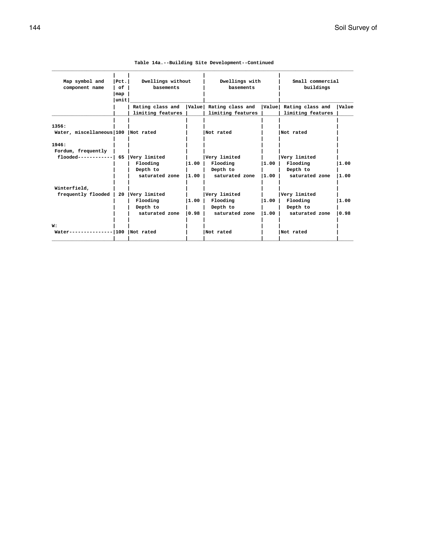| Map symbol and           | Pct. | Dwellings without |       | Dwellings with         |       | Small commercial       |              |
|--------------------------|------|-------------------|-------|------------------------|-------|------------------------|--------------|
| component name           | of   | basements         |       | basements              |       | buildings              |              |
|                          | map  |                   |       |                        |       |                        |              |
|                          | unit |                   |       |                        |       |                        |              |
|                          |      | Rating class and  |       | Value Rating class and |       | Value Rating class and | <b>Value</b> |
|                          |      | limiting features |       | limiting features      |       | limiting features      |              |
|                          |      |                   |       |                        |       |                        |              |
| 1356:                    |      |                   |       |                        |       |                        |              |
| Water, miscellaneous 100 |      | Not rated         |       | Not rated              |       | Not rated              |              |
| 1946:                    |      |                   |       |                        |       |                        |              |
| Fordum, frequently       |      |                   |       |                        |       |                        |              |
| $float--------------$    | 65   | Very limited      |       | Very limited           |       | Very limited           |              |
|                          |      | Flooding          | 1.00  | Flooding               | 11.00 | Flooding               | 1.00         |
|                          |      | Depth to          |       | Depth to               |       | Depth to               |              |
|                          |      | saturated zone    | 11.00 | saturated zone         | 11.00 | saturated zone         | 11.00        |
| Winterfield,             |      |                   |       |                        |       |                        |              |
| frequently flooded       | 20   | Very limited      |       | Very limited           |       | Very limited           |              |
|                          |      | Flooding          | 11.00 | Flooding               | 11.00 | Flooding               | 1.00         |
|                          |      | Depth to          |       | Depth to               |       | Depth to               |              |
|                          |      | saturated zone    | 10.98 | saturated zone         | 1.00  | saturated zone         | 0.98         |
|                          |      |                   |       |                        |       |                        |              |
| W:                       |      |                   |       |                        |       |                        |              |
| Water--------------- 100 |      | Not rated         |       | Not rated              |       | Not rated              |              |
|                          |      |                   |       |                        |       |                        |              |

|  | Table 14a.--Building Site Development--Continued |
|--|--------------------------------------------------|
|--|--------------------------------------------------|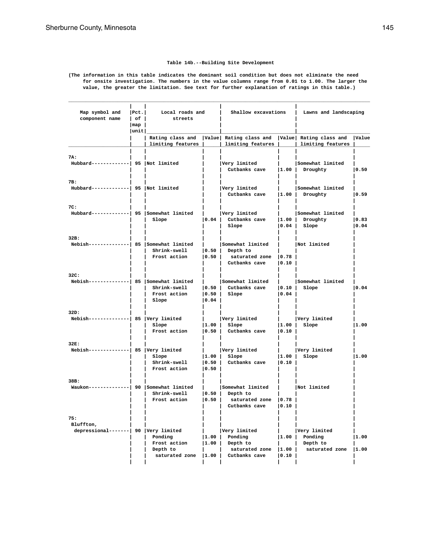## **Table 14b.--Building Site Development**

**(The information in this table indicates the dominant soil condition but does not eliminate the need for onsite investigation. The numbers in the value columns range from 0.01 to 1.00. The larger the value, the greater the limitation. See text for further explanation of ratings in this table.)**

| Map symbol and<br>component name                         | Pet. <br>  of  <br>$\lceil map \rceil$<br> unit | Local roads and<br>streets                                                                          |                          | Shallow excavations                                                                                            |                         | Lawns and landscaping                                 |               |
|----------------------------------------------------------|-------------------------------------------------|-----------------------------------------------------------------------------------------------------|--------------------------|----------------------------------------------------------------------------------------------------------------|-------------------------|-------------------------------------------------------|---------------|
|                                                          |                                                 | Rating class and   Value   Rating class and   Value   Rating class and   Value<br>limiting features |                          | limiting features                                                                                              |                         | limiting features                                     |               |
| 7A:<br>Hubbard-------------  95   Not limited            |                                                 |                                                                                                     |                          | Very limited<br>Cutbanks cave  1.00   Droughty                                                                 |                         | Somewhat limited                                      | 0.50          |
| 7B:<br>Hubbard-------------  95   Not limited            |                                                 |                                                                                                     |                          | Very limited<br>Cutbanks cave  1.00   Droughty                                                                 |                         | Somewhat limited                                      | 10.59         |
| 7C:<br>Hubbard------------  95   Somewhat limited        |                                                 | Slope                                                                                               |                          | Very limited<br>$\vert 0.04 \vert$ Cutbanks cave $\vert 1.00 \vert$ Droughty<br>Slope                          |                         | Somewhat limited<br>$ 0.04 $ Slope                    | 0.83<br> 0.04 |
| 32B:<br>Nebish-------------  85 Somewhat limited         |                                                 | Shrink-swell<br>Frost action                                                                        |                          | Somewhat limited<br>$ 0.50 $ Depth to<br>$\vert 0.50 \vert$ saturated zone $\vert 0.78 \vert$<br>Cutbanks cave | 0.10                    | Not limited                                           |               |
| 32C:<br>Nebish-------------  85   Somewhat limited       |                                                 | Shrink-swell<br>Frost action<br>Slope                                                               | 0.04                     | Somewhat limited<br>$\vert 0.50 \vert$ Cutbanks cave $\vert 0.10 \vert$ Slope<br>$ 0.50 $ Slope                | 0.04                    | Somewhat limited                                      | 0.04          |
| 32D:<br>$Nebish$ -------------  85   Very limited        |                                                 | Slope<br>Frost action                                                                               |                          | Very limited<br>$ 1.00 $ Slope<br>  0.50   Cutbanks cave                                                       | $\vert 0.10 \vert$      | Very limited<br>$ 1.00 $ Slope                        | 1.00          |
| 32E:<br>Nebish--------------  85  Very limited           |                                                 | Slope<br>Shrink-swell<br>Frost action                                                               | 0.50                     | Very limited<br>$ 1.00 $ Slope<br>0.50 Cutbanks cave                                                           | 0.10                    | Very limited<br>$ 1.00 $ Slope                        | 1.00          |
| 38B:<br>Waukon--------------  90 Somewhat limited        |                                                 | Shrink-swell<br>Frost action                                                                        |                          | Somewhat limited<br>$ 0.50 $ Depth to<br>$\vert 0.50 \vert$ saturated zone $\vert 0.78 \vert$<br>Cutbanks cave | 0.10                    | Not limited                                           |               |
| 75:<br>Bluffton,<br>depressional-------  90 Very limited |                                                 | Ponding<br>Frost action<br>Depth to<br>saturated zone                                               | 1.00 <br> 1.00 <br>11.00 | Very limited<br>Ponding<br>Depth to<br>saturated zone<br>Cutbanks cave                                         | 1.00  <br> 1.00<br>0.10 | Very limited<br>Ponding<br>Depth to<br>saturated zone | 1.00<br> 1.00 |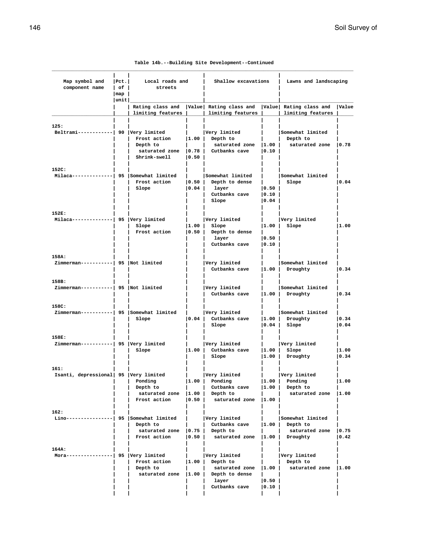|  |  |  | Table 14b.--Building Site Development--Continued |
|--|--|--|--------------------------------------------------|
|--|--|--|--------------------------------------------------|

| Map symbol and<br>component name                                                 | Pet. <br>l of I<br>  map | Local roads and<br>streets                                          |                             | Shallow excavations                                                                         |                                                | Lawns and landscaping                                                        |                |
|----------------------------------------------------------------------------------|--------------------------|---------------------------------------------------------------------|-----------------------------|---------------------------------------------------------------------------------------------|------------------------------------------------|------------------------------------------------------------------------------|----------------|
|                                                                                  | unit                     |                                                                     |                             |                                                                                             |                                                |                                                                              |                |
|                                                                                  |                          | limiting features                                                   |                             | Rating class and   Value   Rating class and   Value   Rating class and<br>limiting features |                                                | limiting features                                                            | <b>Value</b>   |
| 125:<br>Beltrami------------  90 Very limited                                    |                          | Frost action<br>Depth to<br>saturated zone $ 0.78 $<br>Shrink-swell | 1.00 <br> 0.50              | Very limited<br>Depth to<br>saturated zone $ 1.00 $<br>Cutbanks cave                        | 0.10                                           | Somewhat limited<br>Depth to<br>saturated zone $ 0.78$                       |                |
| 152C:                                                                            |                          |                                                                     |                             |                                                                                             |                                                |                                                                              |                |
| Milaca-------------  95 Somewhat limited                                         |                          | Frost action<br>Slope                                               | 0.50 <br> 0.04              | Somewhat limited<br>Depth to dense<br>layer<br>Cutbanks cave<br>Slope                       | 0.50 <br> 0.10 <br>$ 0.04\rangle$              | Somewhat limited<br>Slope                                                    | 0.04           |
| 152E:<br>$\texttt{Milaca}\texttt{---}\texttt{---}\texttt{---}$ 95   Very limited |                          | Slope<br>Frost action                                               | 1.00 <br> 0.50              | Very limited<br>Slope<br>Depth to dense<br>laver<br>Cutbanks cave                           | 1.00 <br> 0.50 <br>$ 0.10\rangle$              | Very limited<br>Slope                                                        | 1.00           |
| 158A:<br>Zimmerman-----------  95   Not limited                                  |                          |                                                                     |                             | Very limited<br>Cutbanks cave                                                               | 1.00                                           | Somewhat limited<br>Droughty                                                 | 0.34           |
| 158B:<br>Zimmerman-----------  95   Not limited                                  |                          |                                                                     |                             | Very limited<br>Cutbanks cave                                                               | $\vert 1.00 \vert$                             | Somewhat limited<br>Droughty                                                 | 0.34           |
| 158C:<br>Zimmerman-----------  95 Somewhat limited                               |                          | Slope                                                               | 0.04                        | Very limited<br>Cutbanks cave<br>Slope                                                      | 1.00 <br> 0.04                                 | Somewhat limited<br>Droughty<br>Slope                                        | 0.34 <br> 0.04 |
| 158E:                                                                            |                          |                                                                     |                             |                                                                                             |                                                |                                                                              |                |
| Zimmerman-----------  95  Very limited                                           |                          | Slope                                                               | 1.00                        | Very limited<br>Cutbanks cave<br>Slope                                                      | 1.00 <br> 1.00                                 | Very limited<br>Slope<br>Droughty                                            | 1.00<br> 0.34  |
| 161:<br>Isanti, depressional 95 Very limited                                     |                          | Ponding<br>Depth to<br>saturated zone  1.00  <br>Frost action       | $\vert 1.00 \vert$<br> 0.50 | Very limited<br>Ponding<br>Cutbanks cave<br>Depth to<br>saturated zone  1.00                | $\vert 1.00 \vert$                             | Verv limited<br>$ 1.00 $ Ponding<br>Depth to<br>saturated zone  1.00         | 1.00           |
| 162:<br>$Lino----------- -  95   somewhat limited$                               |                          | Depth to<br>saturated zone   0.75   Depth to<br>Frost action        | 0.50                        | Very limited<br>Cutbanks cave<br>saturated zone $ 1.00 $                                    |                                                | Somewhat limited<br>$ 1.00 $ Depth to<br>saturated zone $ 0.75 $<br>Droughty | $ 0.42\rangle$ |
| 164A:<br>Mora----------------  95   Very limited                                 |                          | Frost action<br>Depth to<br>saturated zone   1.00                   | $\vert 1.00 \vert$          | Very limited<br>Depth to<br>saturated zone<br>Depth to dense<br>layer<br>Cutbanks cave      | $\vert 1.00 \vert$<br> 0.50 <br>$ 0.10\rangle$ | Very limited<br>Depth to<br>saturated zone   1.00                            |                |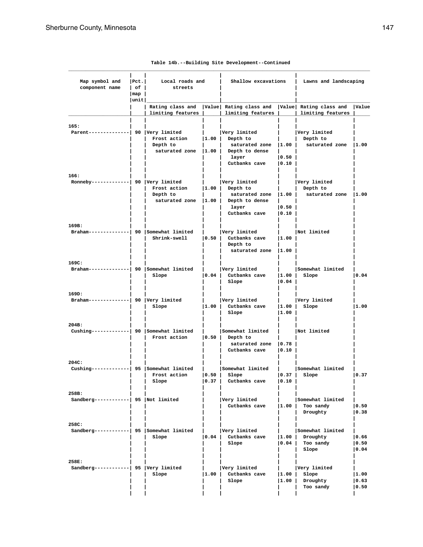| Map symbol and<br>component name                                 | Pet. <br>$ $ of $ $<br>$\lceil \text{map} \rceil$<br> unit | Local roads and<br>streets                                                                        |                | Shallow excavations                                                                               |                | Lawns and landscaping                                                         |                          |  |
|------------------------------------------------------------------|------------------------------------------------------------|---------------------------------------------------------------------------------------------------|----------------|---------------------------------------------------------------------------------------------------|----------------|-------------------------------------------------------------------------------|--------------------------|--|
|                                                                  |                                                            | Rating class and   Value  Rating class and   Value  Rating class and   Value<br>limiting features |                | limiting features                                                                                 |                | limiting features                                                             |                          |  |
| 165:<br>Parent--------------  90   Very limited                  |                                                            | Frost action $ 1.00 $ Depth to<br>Depth to                                                        |                | Very limited<br>saturated zone  1.00   Depth to dense<br>layer<br>Cutbanks cave   0.10            | 0.50           | Very limited<br>Depth to<br>saturated zone $ 1.00 $ saturated zone $ 1.00 $   |                          |  |
| 166:<br>Ronneby-------------  90   Very limited                  |                                                            | Frost action $ 1.00 $ Depth to<br>Depth to                                                        |                | Very limited<br>saturated zone  1.00   Depth to dense<br>layer<br>Cutbanks cave                   | 0.50 <br> 0.10 | Very limited<br>  Depth to<br>saturated zone $ 1.00 $ saturated zone $ 1.00 $ |                          |  |
| 169B:<br>Braham--------------  90   Somewhat limited             |                                                            |                                                                                                   |                | Very limited<br>Shrink-swell   0.50   Cutbanks cave   1.00  <br>Depth to<br>saturated zone   1.00 |                | Not limited                                                                   |                          |  |
| 169C:<br>Braham-------------  90 Somewhat limited   Very limited |                                                            | Slope                                                                                             |                | $\vert 0.04 \vert$ Cutbanks cave $\vert 1.00 \vert$ Slope<br>Slope                                | 0.04           | Somewhat limited                                                              | 0.04                     |  |
| 169D:<br>Braham--------------  90 $ Very$ limited                |                                                            | Slope                                                                                             |                | Very limited<br>1.00 Cutbanks cave<br>Slope                                                       | 1.00           | Very limited<br>$ 1.00 $ Slope                                                | 1.00                     |  |
| 204B:<br>Cushing------------  90 Somewhat limited                |                                                            | Frost action   0.50   Depth to                                                                    |                | Somewhat limited<br>saturated zone   0.78  <br>Cutbanks cave                                      | 0.10           | Not limited                                                                   |                          |  |
| 204C:<br>Cushing------------  95 Somewhat limited                |                                                            | Frost action<br>Slope                                                                             | 0.50 <br> 0.37 | Somewhat limited<br>Slope<br>Cutbanks cave                                                        | 0.37 <br>0.10  | Somewhat limited<br>Slope                                                     | 10.37                    |  |
| 258B:<br>Sandberg------------  95  Not limited                   |                                                            |                                                                                                   |                | Very limited<br>Cutbanks cave                                                                     | 1.00           | Somewhat limited<br>Too sandy<br>Droughty                                     | 0.50<br> 0.38            |  |
| 258C:<br>Sandberg-----------  95 Somewhat limited                |                                                            | Slope                                                                                             | 0.04           | Very limited<br>Cutbanks cave<br>Slope                                                            | 1.00 <br> 0.04 | Somewhat limited<br>Droughty<br>Too sandy<br>Slope                            | 0.66 <br> 0.50<br>  0.04 |  |
| 258E:<br>Sandberg------------  95   Very limited                 |                                                            | Slope                                                                                             | 1.00           | Very limited<br>Cutbanks cave<br>Slope                                                            | 1.00 <br> 1.00 | Very limited<br>Slope<br>Droughty<br>Too sandy                                | 1.00<br> 0.63<br> 0.50   |  |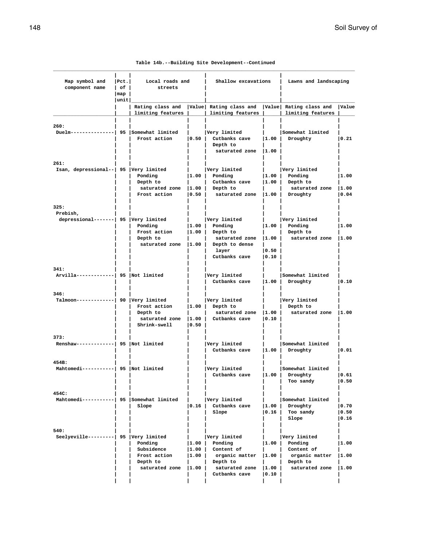|  |  |  | Table 14b.--Building Site Development--Continued |
|--|--|--|--------------------------------------------------|
|--|--|--|--------------------------------------------------|

| Map symbol and<br>component name                         | $ $ Pct.<br>$ $ of $ $<br>$\lfloor map \rfloor$<br> unit | Local roads and<br>streets                                                                        |                                             |                                                                                                                             | Shallow excavations               |                                                                                                 | Lawns and landscaping   |
|----------------------------------------------------------|----------------------------------------------------------|---------------------------------------------------------------------------------------------------|---------------------------------------------|-----------------------------------------------------------------------------------------------------------------------------|-----------------------------------|-------------------------------------------------------------------------------------------------|-------------------------|
|                                                          |                                                          | Rating class and   Value  Rating class and   Value  Rating class and   Value<br>limiting features |                                             | limiting features                                                                                                           |                                   | limiting features                                                                               |                         |
| 260:<br>Duelm---------------  95 $ Somewhat$ limited     |                                                          | Frost action                                                                                      |                                             | Very limited<br>$\vert 0.50 \vert$ Cutbanks cave $\vert 1.00 \vert$ Droughty<br>Depth to<br>saturated zone $ 1.00 $         |                                   | Somewhat limited                                                                                | 0.21                    |
| 261:<br>Isan, depressional--   95   Very limited         |                                                          | Ponding<br>Depth to<br>saturated zone  1.00   Depth to<br>Frost action                            | and the state                               | Very limited<br>$ 1.00 $ Ponding<br>Cutbanks cave<br>$\vert 0.50 \vert$ saturated zone $\vert 1.00 \vert$ Droughty          |                                   | Very limited<br>$ 1.00 $ Ponding<br>$ 1.00 $ Depth to<br>saturated zone  1.00                   | 1.00<br> 0.04           |
| 325:<br>Prebish,<br>depressional-------  95 Very limited |                                                          | Ponding<br>Frost action<br>Depth to                                                               | and the state                               | Very limited<br>$ 1.00 $ Ponding<br>$ 1.00 $ Depth to<br>saturated zone   1.00   Depth to dense  <br>layer<br>Cutbanks cave | 0.50 <br> 0.10                    | Very limited<br>$ 1.00 $ Ponding<br>Depth to<br>saturated zone $ 1.00 $ saturated zone $ 1.00 $ | 1.00                    |
| 341:<br>Arvilla-------------  95   Not limited           |                                                          |                                                                                                   |                                             | Very limited<br>Cutbanks cave                                                                                               |                                   | Somewhat limited<br>$ 1.00 $ Droughty                                                           | 0.10                    |
| 346:<br>Talmoon-------------  90 Very limited            |                                                          | Frost action<br>Depth to<br>Shrink-swell                                                          | 0.50                                        | Very limited<br>$ 1.00 $ Depth to<br>saturated zone  1.00  <br>saturated zone  1.00   Cutbanks cave                         | 0.10                              | Very limited<br>Depth to<br>saturated zone  1.00                                                |                         |
| 373:<br>$Renshaw--------- $ 95 Not limited               |                                                          |                                                                                                   |                                             | Very limited<br>Cutbanks cave  1.00   Droughty                                                                              |                                   | Somewhat limited                                                                                | 0.01                    |
| 454B:<br>Mahtomedi-----------  95  Not limited           |                                                          |                                                                                                   |                                             | Very limited<br>Cutbanks cave                                                                                               | $\mathbf{L}$                      | Somewhat limited<br>$ 1.00 $ Droughty<br>Too sandy                                              | 10.61<br> 0.50          |
| 454C:<br>Mahtomedi-----------  95 Somewhat limited       |                                                          | Slope                                                                                             | 0.16                                        | Very limited<br>Cutbanks cave<br>Slope                                                                                      | 1.00 <br>0.16                     | Somewhat limited<br>Droughty<br>Too sandy<br>Slope                                              | 0.70<br> 0.50 <br> 0.16 |
| 540:<br>Seelyeville---------  95  Very limited           |                                                          | Ponding<br>Subsidence<br>Frost action<br>Depth to<br>saturated zone                               | $ 1.00\rangle$<br> 1.00 <br> 1.00 <br> 1.00 | Very limited<br>Ponding<br>Content of<br>organic matter<br>Depth to<br>saturated zone<br>Cutbanks cave                      | 1.00  <br> 1.00 <br> 1.00<br>0.10 | Very limited<br>Ponding<br>Content of<br>organic matter<br>Depth to<br>saturated zone           | 1.00<br> 1.00<br> 1.00  |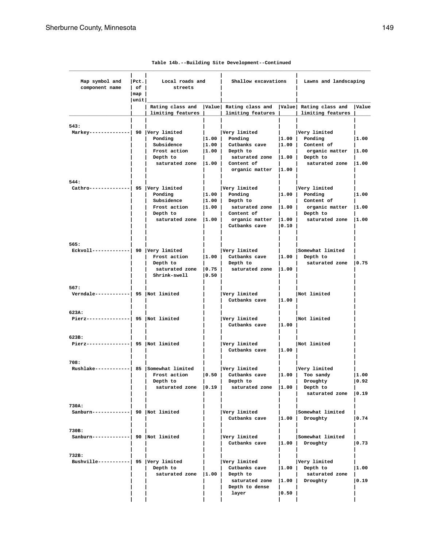| Map symbol and<br>component name                 | Pct. <br>$ $ of $ $<br>$\lfloor map \rfloor$ | Local roads and<br>streets                                                                             |  | Shallow excavations                                                                                                                                                                                                                                                                             |                              | Lawns and landscaping                                                              |                        |
|--------------------------------------------------|----------------------------------------------|--------------------------------------------------------------------------------------------------------|--|-------------------------------------------------------------------------------------------------------------------------------------------------------------------------------------------------------------------------------------------------------------------------------------------------|------------------------------|------------------------------------------------------------------------------------|------------------------|
|                                                  | unit                                         | limiting features                                                                                      |  | Rating class and   Value  Rating class and   Value  Rating class and   Value<br>  limiting features       limiting features                                                                                                                                                                     |                              |                                                                                    |                        |
| 543:<br>Markey--------------  90 Very limited    |                                              | Ponding<br>Subsidence<br>Frost action (1.00) Depth to<br>Depth to<br>saturated zone  1.00   Content of |  | Very limited<br>$ 1.00 $ Ponding<br>$ 1.00 $ Cutbanks cave $ 1.00 $ Content of<br>saturated zone  1.00   Depth to                                                                                                                                                                               |                              | Very limited<br>$ 1.00 $ Ponding<br>organic matter  1.00<br>  saturated zone  1.00 | 1.00                   |
| 544:<br>Cathro--------------  95   Very limited  |                                              | Ponding<br>Subsidence<br>Frost action<br>Depth to                                                      |  | organic matter  1.00  <br>  Very limited<br>$ 1.00 $ Ponding<br>$ 1.00 $ Depth to<br>$\vert 1.00 \vert$ saturated zone $\vert 1.00 \vert$ organic matter $\vert 1.00 \vert$<br>  Content of<br>saturated zone $ 1.00 $ organic matter $ 1.00 $ saturated zone $ 1.00 $<br>Cutbanks cave 10.10 l |                              | Very limited<br>$ 1.00 $ Ponding<br>    Content of<br>Depth to                     | 1.00                   |
| 565:<br>Eckvoll------------  90  Very limited    |                                              | Frost action<br>Depth to<br>saturated zone   0.75  <br>Shrink-swell 10.50                              |  | Very limited<br>$ 1.00 $ Cutbanks cave<br>Depth to<br>saturated zone  1.00                                                                                                                                                                                                                      |                              | Somewhat limited<br>$ 1.00 $ Depth to<br>saturated zone 10.75                      |                        |
| 567:<br>Verndale------------  95  Not limited    |                                              |                                                                                                        |  | Very limited<br>Cutbanks cave   1.00                                                                                                                                                                                                                                                            |                              | Not limited                                                                        |                        |
| 623A:<br>Pierz---------------  95   Not limited  |                                              |                                                                                                        |  | Very limited<br>Cutbanks cave $ 1.00$                                                                                                                                                                                                                                                           |                              | Not limited                                                                        |                        |
| 623B:<br>Pierz---------------  95   Not limited  |                                              |                                                                                                        |  | Very limited<br>Cutbanks cave   1.00                                                                                                                                                                                                                                                            |                              | Not limited                                                                        |                        |
| 708:<br>Rushlake-----------  85 Somewhat limited |                                              | Frost action<br>Depth to<br>saturated zone $ 0.19 $                                                    |  | Very limited<br>0.50 Cutbanks cave<br>Depth to<br>saturated zone  1.00   Depth to                                                                                                                                                                                                               | $\mathbf{1}$<br>$\mathbf{1}$ | Very limited<br>$ 1.00 $ Too sandy<br>  Droughty<br>saturated zone   0.19          | 1.00<br> 0.92          |
| 730A:<br>Sanburn------------  90  Not limited    |                                              |                                                                                                        |  | Very limited<br>Cutbanks cave $ 1.00 $                                                                                                                                                                                                                                                          |                              | Somewhat limited<br>Droughty                                                       | 0.74                   |
| 730B:<br>Sanburn------------  90  Not limited    |                                              |                                                                                                        |  | Very limited<br>Cutbanks cave                                                                                                                                                                                                                                                                   | $\vert 1.00 \vert$           | Somewhat limited<br>Droughty                                                       | 0.73                   |
| 732B:<br>Bushville-----------  95 Very limited   |                                              | Depth to<br>saturated zone $ 1.00 $                                                                    |  | Very limited<br>Cutbanks cave<br>Depth to<br>saturated zone   1.00   Droughty<br>Depth to dense<br>layer                                                                                                                                                                                        | 0.50                         | Very limited<br>$ 1.00 $ Depth to<br>saturated zone                                | 1.00<br>$ 0.19\rangle$ |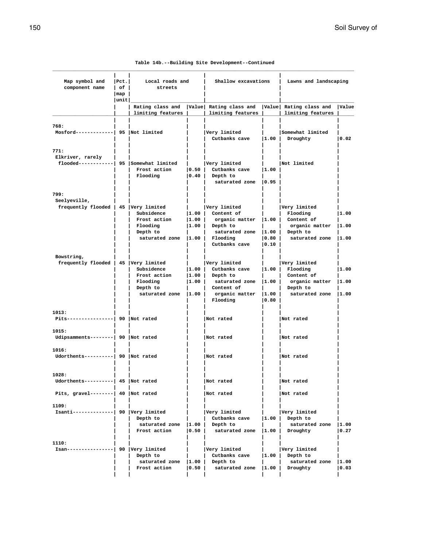|  |  |  | Table 14b.--Building Site Development--Continued |
|--|--|--|--------------------------------------------------|
|--|--|--|--------------------------------------------------|

| Map symbol and<br>component name                                      | Pet. <br>Local roads and<br>l of I<br>streets<br>$\lceil \texttt{map} \rceil$ |                                                                                        | Shallow excavations                  |                                                                                                                          | Lawns and landscaping                |                                                                                              |                        |
|-----------------------------------------------------------------------|-------------------------------------------------------------------------------|----------------------------------------------------------------------------------------|--------------------------------------|--------------------------------------------------------------------------------------------------------------------------|--------------------------------------|----------------------------------------------------------------------------------------------|------------------------|
|                                                                       | unit                                                                          | limiting features                                                                      |                                      | Rating class and   Value  Rating class and   Value  Rating class and<br>limiting features                                |                                      | limiting features                                                                            | <b>Value</b>           |
| 768:<br>$Mostord----- 95$ Not limited                                 |                                                                               |                                                                                        |                                      | Very limited<br>Cutbanks cave                                                                                            | 1.00                                 | Somewhat limited<br>Droughty                                                                 | 0.02                   |
| 771:<br>Elkriver, rarely<br>flooded------------  95  Somewhat limited |                                                                               | Frost action<br>Flooding                                                               | 0.50 <br> 0.40                       | Very limited<br>Cutbanks cave<br>Depth to<br>saturated zone 10.95                                                        | $ 1.00\rangle$                       | Not limited                                                                                  |                        |
| 799:<br>Seelyeville,<br>frequently flooded   45   Very limited        |                                                                               | Subsidence<br>Frost action<br>Flooding<br>Depth to<br>saturated zone $ 1.00 $ Flooding | 1.00 <br> 1.00 <br> 1.00             | Very limited<br>Content of<br>organic matter $ 1.00 $ Content of<br>Depth to<br>saturated zone $ 1.00 $<br>Cutbanks cave | 0.80 <br>$ 0.10\rangle$              | Very limited<br>Flooding<br>organic matter<br>Depth to<br>saturated zone  1.00               | 11.00<br> 1.00         |
| Bowstring,<br>frequently flooded   45   Very limited                  |                                                                               | Subsidence<br>Frost action<br>Flooding<br>Depth to<br>saturated zone $ 1.00 $          | 1.00 <br>$\vert 1.00 \vert$<br> 1.00 | Very limited<br>Cutbanks cave<br>Depth to<br>saturated zone   1.00<br>Content of<br>organic matter $ 1.00 $<br>Flooding  | $\vert 1.00 \vert$<br>$ 0.80\rangle$ | Very limited<br>Flooding<br>Content of<br>organic matter<br>Depth to<br>saturated zone  1.00 | 1.00<br> 1.00          |
| 1013:<br>Pits----------------  90   Not rated                         |                                                                               |                                                                                        |                                      | Not rated                                                                                                                |                                      | Not rated                                                                                    |                        |
| 1015:<br>Udipsamments--------  90  Not rated                          |                                                                               |                                                                                        |                                      | Not rated                                                                                                                |                                      | Not rated                                                                                    |                        |
| 1016:<br>Udorthents----------  90 Not rated                           |                                                                               |                                                                                        |                                      | Not rated                                                                                                                |                                      | Not rated                                                                                    |                        |
| 1028:<br>Udorthents----------  45  Not rated                          |                                                                               |                                                                                        |                                      | Not rated                                                                                                                |                                      | Not rated                                                                                    |                        |
| Pits, gravel--------  $40$ Not rated                                  |                                                                               |                                                                                        |                                      | Not rated                                                                                                                |                                      | Not rated                                                                                    |                        |
| 1109:<br>Isanti--------------  90  Very limited                       |                                                                               | Depth to<br>saturated zone   1.00  <br>Frost action                                    | 0.50                                 | Very limited<br>Cutbanks cave<br>Depth to<br>saturated zone $ 1.00 $                                                     | $\vert 1.00 \vert$                   | Very limited<br>Depth to<br>saturated zone<br>Droughty                                       | 1.00<br> 0.27          |
| 1110:<br>Isan----------------  90  Very limited                       |                                                                               | Depth to<br>saturated zone $ 1.00 $<br>Frost action                                    | 0.50                                 | Very limited<br>Cutbanks cave<br>Depth to<br>saturated zone   1.00                                                       |                                      | Very limited<br>$ 1.00 $ Depth to<br>saturated zone<br>Droughty                              | 1.00<br>$ 0.03\rangle$ |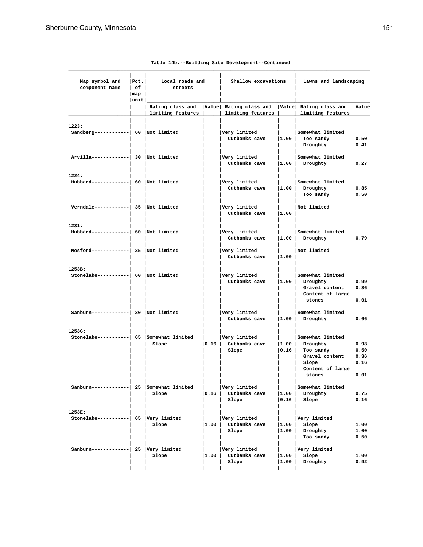| Map symbol and<br>$component name$ of $ $          | $\lfloor map \rfloor$<br> unit | Pct.   Local roads and<br>streets |      | Shallow excavations                                                                   |                | Lawns and landscaping                                                                                    |                                 |
|----------------------------------------------------|--------------------------------|-----------------------------------|------|---------------------------------------------------------------------------------------|----------------|----------------------------------------------------------------------------------------------------------|---------------------------------|
|                                                    |                                | limiting features                 |      | limiting features                                                                     |                | Rating class and   Value   Rating class and   Value   Rating class and   Value<br>  limiting features    |                                 |
| 1223:<br>Sandberg------------  60   Not limited    |                                |                                   |      | Very limited<br>Cutbanks cave   1.00   Too sandy                                      |                | Somewhat limited<br>Droughty                                                                             | 0.50<br> 0.41                   |
| Arvilla-------------  30   Not limited             |                                |                                   |      | Very limited<br>Cutbanks cave   1.00   Droughty                                       |                | Somewhat limited                                                                                         | $ 0.27\rangle$                  |
| 1224:<br>$Hubbard--------  60   Not limited$       |                                |                                   |      | Very limited<br>Cutbanks cave  1.00   Droughty                                        |                | Somewhat limited<br>Too sandy                                                                            | 0.85 <br> 0.50                  |
| Verndale------------  35   Not limited             |                                |                                   |      | Very limited<br>Cutbanks cave  1.00                                                   |                | Not limited                                                                                              |                                 |
| 1231:<br>$Hubbard--------  60   Not limited$       |                                |                                   |      | Very limited<br>Cutbanks cave   1.00   Droughty                                       |                | Somewhat limited                                                                                         | 10.79                           |
| Mosford-------------  35  Not limited              |                                |                                   |      | Very limited<br>Cutbanks cave $ 1.00 $                                                |                | Not limited                                                                                              |                                 |
| 1253B:<br>Stonelake-----------  60   Not limited   |                                |                                   |      | Very limited<br>Cutbanks cave  1.00   Droughty                                        |                | Somewhat limited<br>Gravel content   0.36<br>Content of large  <br>stones                                | 0.99<br> 0.01                   |
| Sanburn------------  30  Not limited               |                                |                                   |      | Very limited<br>Cutbanks cave  1.00   Droughty                                        |                | Somewhat limited                                                                                         | 0.66                            |
| 1253C:<br>Stonelake----------  65 Somewhat limited |                                | Slope                             |      | Very limited<br>$\vert 0.16 \vert$ Cutbanks cave $\vert 1.00 \vert$ Droughty<br>Slope |                | Somewhat limited<br>$ 0.16 $ Too sandy<br>Gravel content   0.36<br>Slope<br>Content of large  <br>stones | 0.98<br> 0.50<br> 0.16<br> 0.01 |
| Sanburn------------  25   Somewhat limited         |                                | Slope                             | 0.16 | Very limited<br>Cutbanks cave<br>Slope                                                | 1.00 <br> 0.16 | Somewhat limited<br>Droughty<br>Slope                                                                    | 0.75<br> 0.16                   |
| 1253E:<br>Stonelake----------  65   Very limited   |                                | Slope                             | 1.00 | Very limited<br>Cutbanks cave<br>Slope                                                | 1.00 <br> 1.00 | Very limited<br>Slope<br>Droughty<br>Too sandy                                                           | 1.00<br> 1.00<br> 0.50          |
| Sanburn------------  25  Very limited              |                                | Slope                             | 1.00 | Very limited<br>Cutbanks cave<br>Slope                                                | 1.00<br>1.00   | Very limited<br>Slope<br>Droughty                                                                        | 1.00<br> 0.92                   |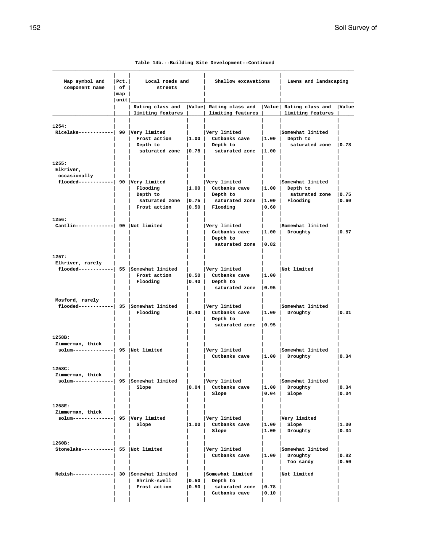|  |  |  | Table 14b.--Building Site Development--Continued |
|--|--|--|--------------------------------------------------|
|--|--|--|--------------------------------------------------|

| Map symbol and<br>component name                                               | Pct. <br>$ $ of $ $                 | Local roads and<br>streets                          |                                    |                                                                                                                                                                             | Shallow excavations |                                                                                                  | Lawns and landscaping   |  |  |
|--------------------------------------------------------------------------------|-------------------------------------|-----------------------------------------------------|------------------------------------|-----------------------------------------------------------------------------------------------------------------------------------------------------------------------------|---------------------|--------------------------------------------------------------------------------------------------|-------------------------|--|--|
|                                                                                | $\lceil map \rceil$<br>$ $ unit $ $ |                                                     |                                    |                                                                                                                                                                             |                     |                                                                                                  |                         |  |  |
|                                                                                |                                     | limiting features                                   |                                    | limiting features                                                                                                                                                           |                     | Rating class and  Value  Rating class and  Value  Rating class and  Value<br>  limiting features |                         |  |  |
| 1254:<br>Ricelake------------  90 Very limited                                 |                                     | Depth to                                            |                                    | Very limited<br>Frost action $ 1.00 $ Cutbanks cave $ 1.00 $ Depth to<br>  Depth to<br>saturated zone $\vert 0.78 \vert$ saturated zone $\vert 1.00 \vert$                  |                     | Somewhat limited<br>saturated zone   0.78                                                        |                         |  |  |
| 1255:<br>Elkriver,<br>occasionally<br>$f$ looded------------  90  Very limited |                                     | Flooding<br>Depth to<br>Frost action                |                                    | Very limited<br>$ 1.00 $ Cutbanks cave $ 1.00 $ Depth to<br>  Depth to<br>saturated zone $\vert 0.75 \vert$ saturated zone $\vert 1.00 \vert$ Flooding<br>$ 0.50 $ Flooding | 0.60                | Somewhat limited<br>saturated zone   0.75                                                        | 0.60                    |  |  |
| 1256:<br>Cantlin-------------  90  Not limited                                 |                                     |                                                     |                                    | Very limited<br>Cutbanks cave<br>Depth to<br>saturated zone   0.82                                                                                                          |                     | Somewhat limited<br>$ 1.00 $ Droughty                                                            | 0.57                    |  |  |
| 1257:<br>Elkriver, rarely<br>flooded-----------  55 Somewhat limited           |                                     | Frost action<br>Flooding                            |                                    | Very limited<br>$\vert 0.50 \vert$ Cutbanks cave<br>$ 0.40 $ Depth to<br>saturated zone $ 0.95 $                                                                            | 1.00                | Not limited                                                                                      |                         |  |  |
| Mosford, rarely                                                                |                                     | flooded-----------  35 Somewhat limited<br>Flooding |                                    | Very limited<br>$\vert 0.40 \vert$ Cutbanks cave $\vert 1.00 \vert$<br>Depth to<br>saturated zone $ 0.95 $                                                                  |                     | Somewhat limited<br>Droughty                                                                     | 0.01                    |  |  |
| 1258B:<br>Zimmerman, thick<br>solum--------------  95   Not limited            |                                     |                                                     |                                    | Very limited<br>Cutbanks cave                                                                                                                                               | $\vert 1.00 \vert$  | Somewhat limited<br>Droughty                                                                     | 0.34                    |  |  |
| 1258C:<br>Zimmerman, thick<br>solum--------------  95 Somewhat limited         |                                     | Slope                                               | $\mathbf{L}$<br>$\vert 0.04 \vert$ | Very limited<br>Cutbanks cave<br>Slope                                                                                                                                      | 1.00 <br> 0.04      | Somewhat limited<br>Droughty<br>Slope                                                            | 0.34 <br> 0.04          |  |  |
| 1258E:<br>Zimmerman, thick<br>solum--------------  95   Very limited           |                                     | Slope                                               | 1.00                               | Very limited<br>Cutbanks cave<br>Slope                                                                                                                                      | 1.00 <br> 1.00      | Very limited<br>Slope<br>Droughty                                                                | 1.00<br> 0.34           |  |  |
| 1260B:<br>Stonelake-----------  55 Not limited                                 |                                     |                                                     |                                    | Very limited<br>Cutbanks cave                                                                                                                                               |                     | Somewhat limited<br>$ 1.00 $ Droughty<br>Too sandy                                               | $ 0.82\rangle$<br> 0.50 |  |  |
| Nebish-------------  30 Somewhat limited                                       |                                     | Shrink-swell<br>Frost action                        | 0.50                               | Somewhat limited<br>$ 0.50 $ Depth to<br>saturated zone<br>Cutbanks cave                                                                                                    | 0.78<br> 0.10       | Not limited                                                                                      |                         |  |  |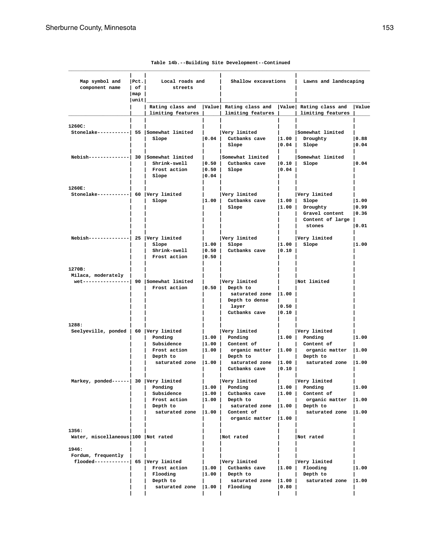| Map symbol and<br>component name                                                       | Pet. <br>$ $ of $ $<br>$\lfloor map \rfloor$<br> unit | Local roads and<br>streets                                                                            |                                   | Shallow excavations                                                                                                                       |                          | Lawns and landscaping                                                                                                                                                                                                           |                                 |  |
|----------------------------------------------------------------------------------------|-------------------------------------------------------|-------------------------------------------------------------------------------------------------------|-----------------------------------|-------------------------------------------------------------------------------------------------------------------------------------------|--------------------------|---------------------------------------------------------------------------------------------------------------------------------------------------------------------------------------------------------------------------------|---------------------------------|--|
|                                                                                        |                                                       | limiting features                                                                                     |                                   | Rating class and   Value  Rating class and   Value  Rating class and   Value<br>  limiting features                                       |                          | limiting features                                                                                                                                                                                                               |                                 |  |
| 1260C:<br>Stonelake----------  55 Somewhat limited                                     |                                                       | Slope                                                                                                 |                                   | Very limited<br>$\vert 0.04 \vert$ Cutbanks cave $\vert 1.00 \vert$ Droughty<br>Slope                                                     |                          | Somewhat limited<br>$ 0.04 $ Slope                                                                                                                                                                                              | 0.88<br> 0.04                   |  |
| Nebish-------------  30 Somewhat limited                                               |                                                       | Shrink-swell<br>Frost action<br>Slope                                                                 | 0.04                              | Somewhat limited<br>$\vert 0.50 \vert$ Cutbanks cave<br>$ 0.50 $ Slope                                                                    | 0.04                     | Somewhat limited<br>$ 0.10 $ Slope                                                                                                                                                                                              | $ 0.04\rangle$                  |  |
| 1260E:<br>Stonelake-----------  60 Very limited                                        |                                                       | Slope                                                                                                 |                                   | Very limited<br>$ 1.00 $ Cutbanks cave<br>Slope                                                                                           |                          | Very limited<br>$ 1.00 $ Slope<br>$ 1.00 $ Droughty<br>Gravel content<br>Content of large  <br>stones                                                                                                                           | 1.00<br> 0.99<br> 0.36<br> 0.01 |  |
| Nebish-------------  25  Very limited                                                  |                                                       | Slope<br>Shrink-swell<br>Frost action                                                                 | 0.50 <br>$ 0.50\rangle$           | Very limited<br>$ 1.00 $ Slope<br>Cutbanks cave                                                                                           | 0.10                     | Very limited<br>$ 1.00 $ Slope                                                                                                                                                                                                  | 11.00                           |  |
| 1270B:<br>Milaca, moderately  <br>wet----------------  $90$ Somewhat limited           |                                                       | Frost action                                                                                          | $\vert 0.50 \vert$                | Very limited<br>Depth to<br>saturated zone $ 1.00 $<br>Depth to dense<br>layer<br>Cutbanks cave                                           | 0.50 <br> 0.10           | Not limited                                                                                                                                                                                                                     |                                 |  |
| 1288:<br>Seelyeville, ponded   60 Very limited<br>Markey, ponded------ 30 Very limited |                                                       | Ponding<br>Subsidence<br>Frost action<br>Depth to<br>saturated zone $ 1.00 $<br>Ponding<br>Subsidence | 1.00 <br> 1.00 <br> 1.00          | Very limited<br>$ 1.00 $ Ponding<br>$ 1.00 $ Content of<br>Depth to<br>Cutbanks cave   0.10  <br>Very limited<br>Ponding<br>Cutbanks cave |                          | Very limited<br>$ 1.00 $ Ponding<br>  Content of<br>organic matter $ 1.00 $ organic matter $ 1.00 $<br>  Depth to<br>saturated zone $ 1.00 $ saturated zone $ 1.00 $<br>Very limited<br>$ 1.00 $ Ponding<br>$ 1.00 $ Content of | 1.00<br>1.00                    |  |
|                                                                                        |                                                       | Frost action<br>Depth to<br>saturated zone $ 1.00 $                                                   | 1.00                              | Depth to<br>saturated zone  1.00   Depth to<br>Content of<br>organic matter $ 1.00 $                                                      |                          | organic matter<br>saturated zone                                                                                                                                                                                                | 1.00<br> 1.00                   |  |
| 1356:<br>Water, miscellaneous   100   Not rated<br>1946:                               |                                                       |                                                                                                       |                                   | Not rated                                                                                                                                 |                          | Not rated                                                                                                                                                                                                                       |                                 |  |
| Fordum, frequently<br>flooded------------  65   Very limited                           |                                                       | Frost action<br>Flooding<br>Depth to<br>saturated zone                                                | 1.00 <br> 1.00 <br>$ 1.00\rangle$ | Very limited<br>Cutbanks cave<br>Depth to<br>saturated zone<br>Flooding                                                                   | 1.00 <br> 1.00 <br> 0.80 | Very limited<br>Flooding<br>Depth to<br>saturated zone                                                                                                                                                                          | 1.00<br> 1.00                   |  |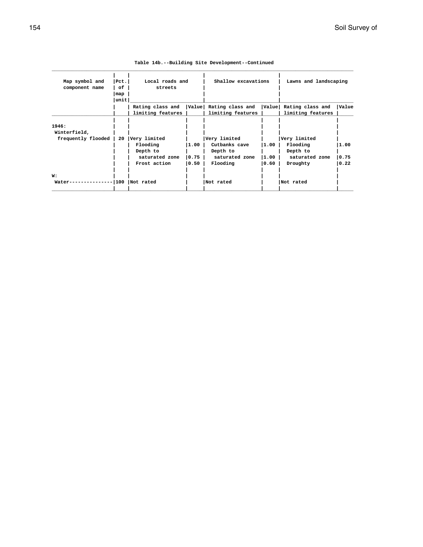| Map symbol and     | Pct.  |                   | Local roads and |                         | Shallow excavations | Lawns and landscaping  |       |
|--------------------|-------|-------------------|-----------------|-------------------------|---------------------|------------------------|-------|
| component name     | оf    |                   | streets         |                         |                     |                        |       |
|                    | map   |                   |                 |                         |                     |                        |       |
|                    | unit  |                   |                 |                         |                     |                        |       |
|                    |       | Rating class and  |                 | Value  Rating class and |                     | Value Rating class and | Value |
|                    |       | limiting features |                 | limiting features       |                     | limiting features      |       |
|                    |       |                   |                 |                         |                     |                        |       |
| 1946:              |       |                   |                 |                         |                     |                        |       |
| Winterfield,       |       |                   |                 |                         |                     |                        |       |
| frequently flooded | 20    | Very limited      |                 | Very limited            |                     | Very limited           |       |
|                    |       | Flooding          | 1.00            | Cutbanks cave           | 11.00               | Flooding               | 1.00  |
|                    |       | Depth to          |                 | Depth to                |                     | Depth to               |       |
|                    |       | saturated zone    | 0.75            | saturated zone          | 11.00               | saturated zone         | 0.75  |
|                    |       | Frost action      | 0.50            | Flooding                | 0.60                | Droughty               | 0.22  |
|                    |       |                   |                 |                         |                     |                        |       |
| W:                 |       |                   |                 |                         |                     |                        |       |
| Water-             | -1100 | Not rated         |                 | Not rated               |                     | Not rated              |       |
|                    |       |                   |                 |                         |                     |                        |       |
|                    |       |                   |                 |                         |                     |                        |       |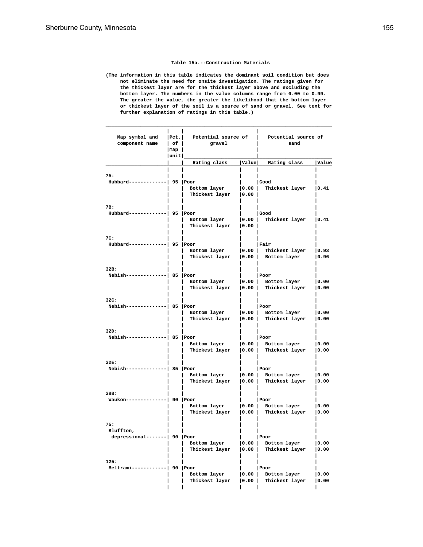#### **Table 15a.--Construction Materials**

**(The information in this table indicates the dominant soil condition but does not eliminate the need for onsite investigation. The ratings given for the thickest layer are for the thickest layer above and excluding the bottom layer. The numbers in the value columns range from 0.00 to 0.99. The greater the value, the greater the likelihood that the bottom layer or thickest layer of the soil is a source of sand or gravel. See text for further explanation of ratings in this table.)**

**\_\_\_\_\_\_\_\_\_\_\_\_\_\_\_\_\_\_\_\_\_\_\_\_\_\_\_\_\_\_\_\_\_\_\_\_\_\_\_\_\_\_\_\_\_\_\_\_\_\_\_\_\_\_\_\_\_\_\_\_\_\_\_\_\_\_\_\_\_\_\_\_\_\_\_\_\_\_**

| Map symbol and<br>component name                  | Pct. <br>$ $ of $ $<br>$\lceil \texttt{map} \rceil$<br>$ $ unit $ $ | Potential source of<br>gravel               |                | Potential source of<br>sand                     |               |
|---------------------------------------------------|---------------------------------------------------------------------|---------------------------------------------|----------------|-------------------------------------------------|---------------|
|                                                   |                                                                     | Rating class                                |                | Value Rating class                              | Value         |
| 7A:<br>Hubbard-----                               |                                                                     | 95   Poor<br>Bottom layer<br>Thickest layer | 0.00 <br> 0.00 | Good<br>Thickest layer                          | 0.41          |
| 7B:<br>Hubbard--                                  |                                                                     | $95$ Poor<br>Bottom layer<br>Thickest layer | 0.00 <br> 0.00 | Good<br>Thickest layer                          | 0.41          |
| 7C:<br>Hubbard---                                 |                                                                     | 95 Poor<br>Bottom layer<br>Thickest layer   | 0.00 <br> 0.00 | Fair<br>Thickest layer<br>Bottom layer          | 0.93<br> 0.96 |
| 32B:<br>Nebish---                                 |                                                                     | 85 Poor<br>Bottom layer<br>Thickest layer   | 0.00 <br> 0.00 | Poor<br>Bottom layer<br>Thickest layer          | 0.00<br> 0.00 |
| 32C:<br>Nebish----                                |                                                                     | 85 Poor<br>Bottom layer<br>Thickest layer   | 0.00 <br> 0.00 | Poor<br>Bottom layer<br>Thickest layer          | 0.00<br> 0.00 |
| 32D:<br>Nebish---                                 |                                                                     | 85 Poor<br>Bottom layer<br>Thickest layer   | 0.00 <br> 0.00 | Poor<br>Bottom layer<br>Thickest layer          | 0.00<br> 0.00 |
| 32E:<br>Nebish---                                 |                                                                     | 85 Poor<br>Bottom layer<br>Thickest layer   | 0.00           | Poor<br>$ 0.00 $ Bottom layer<br>Thickest layer | 0.00<br> 0.00 |
| 38B:<br>Waukon---                                 |                                                                     | 90 Poor<br>Bottom layer<br>Thickest layer   | 0.00 <br> 0.00 | Poor<br>Bottom layer<br>Thickest layer          | 0.00<br> 0.00 |
| 75:<br>Bluffton,<br>depressional-------  90  Poor |                                                                     | Bottom layer<br>Thickest layer              | 0.00 <br> 0.00 | Poor<br>Bottom layer<br>Thickest layer          | 0.00<br> 0.00 |
| 125:<br>Beltrami----                              |                                                                     | 90 Poor<br>Bottom layer<br>Thickest layer   | 0.00 <br> 0.00 | Poor<br>Bottom layer<br>Thickest layer          | 0.00<br> 0.00 |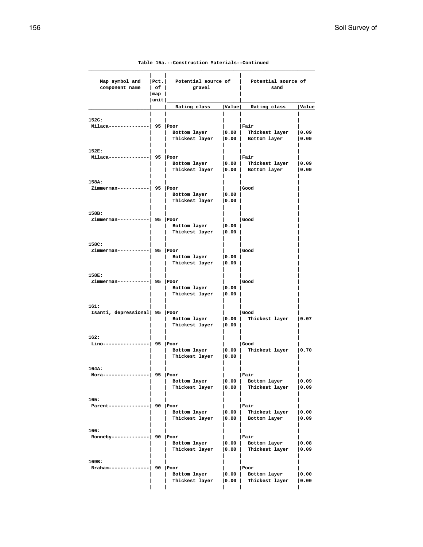| Map symbol and<br>component name   | $ $ Pct.<br>$ $ of $ $<br>$\lceil \texttt{map} \rceil$ | Potential source of<br>gravel                                 |                    | Potential source of<br>sand                       |               |
|------------------------------------|--------------------------------------------------------|---------------------------------------------------------------|--------------------|---------------------------------------------------|---------------|
|                                    | unit                                                   |                                                               |                    |                                                   |               |
|                                    |                                                        | Rating class                                                  | Value              | Rating class                                      | Value         |
| 152C:                              |                                                        |                                                               |                    |                                                   |               |
| Milaca-------                      | 95   Poor                                              | Bottom layer<br>Thickest layer   0.00   Bottom layer          | 0.00               | Fair<br>Thickest layer                            | 0.09<br> 0.09 |
| 152E:                              |                                                        |                                                               |                    |                                                   |               |
| Milaca------<br>-----  95  Poor    |                                                        | Bottom layer   0.00  <br>Thickest layer   0.00   Bottom layer |                    | lFair<br>Thickest layer                           | 0.09<br> 0.09 |
| 158A:                              |                                                        |                                                               |                    |                                                   |               |
| Zimmerman-----------  95  Poor     |                                                        | Bottom layer<br>Thickest layer   0.00                         | 0.00               | Good                                              |               |
| 158B:                              |                                                        |                                                               |                    |                                                   |               |
| Zimmerman-----------               | 95   Poor                                              | Bottom layer                                                  | 0.00               | Good                                              |               |
|                                    |                                                        | Thickest layer                                                | 0.00               |                                                   |               |
|                                    |                                                        |                                                               |                    |                                                   |               |
| 158C:<br>$Zimmerman----- 95  Poor$ |                                                        |                                                               |                    | Good                                              |               |
|                                    |                                                        | Bottom layer<br>Thickest layer   0.00                         | 0.00               |                                                   |               |
| 158E:                              |                                                        |                                                               |                    |                                                   |               |
| Zimmerman-----------  95   Poor    |                                                        | Bottom layer   0.00                                           |                    | Good                                              |               |
|                                    |                                                        | Thickest layer                                                | 0.00               |                                                   |               |
| 161:                               |                                                        |                                                               |                    |                                                   |               |
| Isanti, depressional 95 Poor       |                                                        | Bottom layer                                                  | 0.00               | Good<br>Thickest layer                            | 0.07          |
|                                    |                                                        | Thickest layer                                                | 0.00               |                                                   |               |
| 162:                               |                                                        |                                                               |                    |                                                   |               |
| $Lino---$                          |                                                        | 95 Poor<br>Bottom layer                                       | $\vert 0.00 \vert$ | Good<br>Thickest layer   0.70                     |               |
|                                    |                                                        | Thickest layer                                                | 0.00               |                                                   |               |
| 164A:                              |                                                        |                                                               |                    |                                                   |               |
| Mora----                           |                                                        | 95   Poor                                                     |                    | Fair                                              |               |
|                                    |                                                        | Bottom layer<br>Thickest layer   0.00                         |                    | $\vert 0.00 \vert$ Bottom layer<br>Thickest layer | 0.09<br> 0.09 |
|                                    |                                                        |                                                               |                    |                                                   |               |
| 165:<br>Parent-------------        |                                                        | 90 Poor                                                       |                    | Fair                                              |               |
|                                    |                                                        | Bottom layer                                                  | $\vert 0.00 \vert$ | Thickest layer                                    | 0.00          |
|                                    |                                                        | Thickest layer                                                |                    | $ 0.00 $ Bottom layer                             | 0.09          |
| 166:                               |                                                        |                                                               |                    |                                                   |               |
| Ronneby------                      | $  90  $ Poor                                          |                                                               |                    | Fair<br>Bottom layer                              |               |
|                                    |                                                        | Bottom layer<br>Thickest layer   0.00                         | 0.00               | Thickest layer                                    | 0.08<br> 0.09 |
| 169B:                              |                                                        |                                                               |                    |                                                   |               |
| Braham----                         |                                                        | 90 Poor                                                       |                    | Poor                                              |               |
|                                    |                                                        | Bottom layer                                                  | 0.00               | Bottom layer                                      | 0.00          |
|                                    |                                                        | Thickest layer                                                | 0.00               | Thickest layer                                    | 0.00          |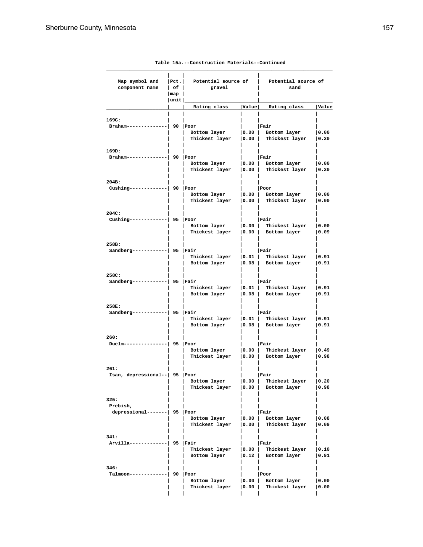| Map symbol and<br>component name        | Pet. <br>$ $ of $ $<br>$\lceil map \rceil$ | Potential source of<br>gravel             | Potential source of<br>sand              |                                                      |               |  |
|-----------------------------------------|--------------------------------------------|-------------------------------------------|------------------------------------------|------------------------------------------------------|---------------|--|
|                                         | unit                                       |                                           |                                          |                                                      |               |  |
|                                         |                                            | Rating class                              | Value                                    | Rating class                                         | <b>Value</b>  |  |
| 169C:                                   |                                            |                                           |                                          |                                                      |               |  |
| $Braham---$                             |                                            | 90 Poor<br>Bottom layer<br>Thickest layer | 0.00 <br>$\vert 0.00 \vert$              | Fair<br>Bottom layer<br>Thickest layer               | 0.00<br> 0.20 |  |
| 169D:                                   |                                            |                                           |                                          |                                                      |               |  |
| Braham-----                             |                                            | 90 Poor<br>Bottom layer<br>Thickest layer |                                          | Fair<br>$ 0.00 $ Bottom layer<br>0.00 Thickest layer | 0.00<br> 0.20 |  |
|                                         |                                            |                                           |                                          |                                                      |               |  |
| 204B:<br>$Cushing---$                   |                                            | 90 Poor<br>Bottom layer                   | 0.00                                     | Poor<br>Bottom layer                                 | 0.00          |  |
|                                         |                                            | Thickest layer                            | $\vert 0.00 \vert$                       | Thickest layer                                       | 0.00          |  |
| 204C:                                   |                                            |                                           |                                          |                                                      |               |  |
| $Cushing---$                            |                                            | 95 Poor                                   |                                          | Fair                                                 |               |  |
|                                         |                                            | Bottom layer                              |                                          | $ 0.00 $ Thickest layer                              | 0.00          |  |
|                                         |                                            | Thickest layer                            |                                          | $ 0.00 $ Bottom layer                                | 0.09          |  |
| 258B:                                   |                                            |                                           |                                          |                                                      |               |  |
| Sandberg-----                           | ·  95  Fair                                |                                           |                                          | Fair                                                 |               |  |
|                                         |                                            | Thickest layer<br>Bottom layer            | $\vert 0.01 \vert$<br>$\vert 0.08 \vert$ | Thickest layer<br>Bottom layer                       | 0.91<br> 0.91 |  |
|                                         |                                            |                                           |                                          |                                                      |               |  |
| 258C:                                   |                                            |                                           |                                          |                                                      |               |  |
| Sandberg-----                           |                                            | 95   Fair<br>Thickest layer               | $\vert 0.01 \vert$                       | Fair<br>Thickest layer                               | 0.91          |  |
|                                         |                                            | Bottom layer                              |                                          | $ 0.08 $ Bottom layer                                | 0.91          |  |
| 258E:                                   |                                            |                                           |                                          |                                                      |               |  |
| Sandberg-----                           |                                            | 95   Fair                                 |                                          | Fair                                                 |               |  |
|                                         |                                            | Thickest layer                            | $\vert 0.01 \vert$                       | Thickest layer                                       | 0.91          |  |
|                                         |                                            | Bottom layer                              |                                          | 0.08   Bottom layer                                  | 0.91          |  |
| 260:                                    |                                            |                                           |                                          |                                                      |               |  |
| $Duelm----$                             |                                            | 95 Poor                                   |                                          | Fair<br>$ 0.00 $ Thickest layer                      |               |  |
|                                         |                                            | Bottom layer<br>Thickest layer            |                                          | $ 0.00 $ Bottom layer                                | 0.49<br> 0.98 |  |
|                                         |                                            |                                           |                                          |                                                      |               |  |
| 261:<br>Isan, depressional--  95   Poor |                                            |                                           |                                          | Fair                                                 |               |  |
|                                         |                                            | Bottom layer                              | 0.00                                     | Thickest layer                                       | 0.20          |  |
|                                         |                                            | Thickest layer                            | 0.00                                     | Bottom layer                                         | 0.98          |  |
| 325:                                    |                                            |                                           |                                          |                                                      |               |  |
| Prebish,                                |                                            |                                           |                                          |                                                      |               |  |
| depressional-------  95   Poor          |                                            |                                           | 0.00                                     | Fair                                                 |               |  |
|                                         |                                            | Bottom layer<br>Thickest layer            | $\vert 0.00 \vert$                       | Bottom layer<br>Thickest layer                       | 0.08<br> 0.09 |  |
|                                         |                                            |                                           |                                          |                                                      |               |  |
| 341:<br>Arvilla------                   |                                            | 95   Fair                                 |                                          | Fair                                                 |               |  |
|                                         |                                            | Thickest layer                            | 0.00                                     | Thickest layer                                       | 0.10          |  |
|                                         |                                            | Bottom layer                              | 0.12                                     | Bottom layer                                         | 0.91          |  |
| 346:                                    |                                            |                                           |                                          |                                                      |               |  |
| Talmoon------                           |                                            | 90 Poor                                   |                                          | Poor                                                 |               |  |
|                                         |                                            | Bottom layer                              | 0.00                                     | Bottom layer                                         | 0.00          |  |
|                                         |                                            | Thickest layer                            | 0.00                                     | Thickest layer                                       | 0.00          |  |
|                                         |                                            |                                           |                                          |                                                      |               |  |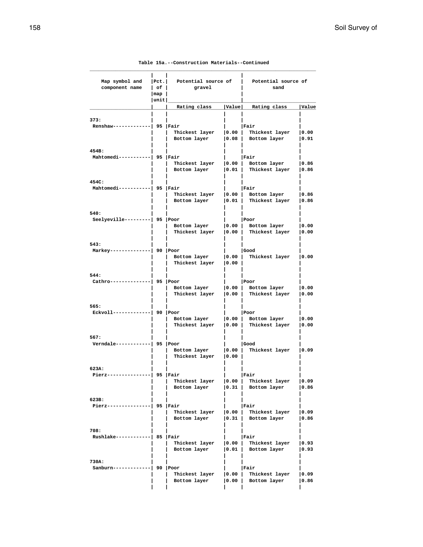### **\_\_\_\_\_\_\_\_\_\_\_\_\_\_\_\_\_\_\_\_\_\_\_\_\_\_\_\_\_\_\_\_\_\_\_\_\_\_\_\_\_\_\_\_\_\_\_\_\_\_\_\_\_\_\_\_\_\_\_\_\_\_\_\_\_\_\_\_\_\_\_\_\_\_\_\_\_\_ | | |** Map symbol and |Pct.| Potential source of | Potential source of component name | of | sand **component name** | of | gravel | sand  **|map | | |unit| | \_\_\_\_\_\_\_\_\_\_\_\_\_\_\_\_\_\_\_\_\_\_\_\_\_\_\_\_\_\_\_\_\_\_\_\_\_\_\_\_\_\_\_\_\_\_\_\_\_\_\_**  $\texttt{Rating class}$  | Value | Rating class | Value  **| | | | | 373: | | | | | Renshaw-------------| 95 |Fair | |Fair | | | Thickest layer |0.00 | Thickest layer |0.00 | | Bottom layer |0.08 | Bottom layer |0.91 | | | | | 454B: | | | | | Mahtomedi-----------| 95 |Fair | |Fair | | | Thickest layer |0.00 | Bottom layer |0.86 | | Bottom layer |0.01 | Thickest layer |0.86 | | | | | 454C: | | | | | Mahtomedi----------| 95 |Fair | | |Fair | | Thickest layer |0.00 | Bottom layer |0.86 | | Bottom layer |0.01 | Thickest layer |0.86 | | | | | 540: | | | | | Seelyeville---------| 95 |Poor | | |Poor | | Bottom layer |0.00 | Bottom layer |0.00 | | Thickest layer |0.00 | Thickest layer |0.00 | | | | | 543: | | | | | Markey--------------| 90 |Poor | |Good | | | Bottom layer |0.00 | Thickest layer |0.00 | | Thickest layer |0.00 | | | | | | | 544: | | | | | Cathro--------------| 95 |Poor | |Poor | | | Bottom layer |0.00 | Bottom layer |0.00 | | Thickest layer |0.00 | Thickest layer |0.00 | | | | | 565: | | | | | Eckvoll-------------| 90 |Poor | |Poor | | | Bottom layer |0.00 | Bottom layer |0.00 | | Thickest layer |0.00 | Thickest layer |0.00 | | | | | 567: | | | | | Verndale------------| 95 |Poor | |Good | | | Bottom layer |0.00 | Thickest layer |0.09 | | Thickest layer |0.00 | | | | | | | 623A: | | | | | Pierz---------------| 95 |Fair | |Fair | | | Thickest layer |0.00 | Thickest layer |0.09 | | Bottom layer |0.31 | Bottom layer |0.86 | | | | | 623B: | | | | | Pierz---------------| 95 |Fair | |Fair | | | Thickest layer |0.00 | Thickest layer |0.09 | | Bottom layer |0.31 | Bottom layer |0.86 | | | | | 708: | | | | | Rushlake------------| 85 |Fair | |Fair | | | Thickest layer |0.00 | Thickest layer |0.93 | | Bottom layer |0.01 | Bottom layer |0.93 | | | | | 730A: | | | | | Sanburn-------------| 90 |Poor | |Fair | | | Thickest layer |0.00 | Thickest layer |0.09 | | Bottom layer |0.00 | Bottom layer |0.86 | | | | |**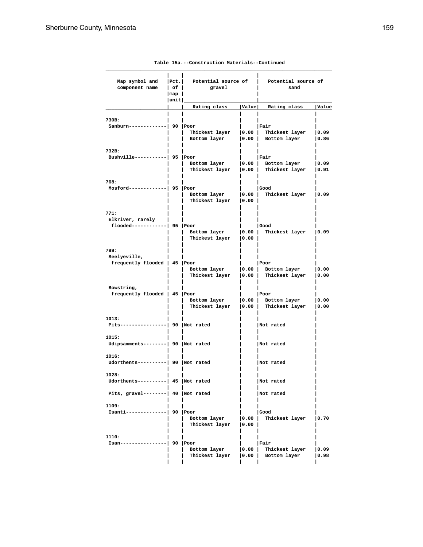| Map symbol and<br>component name                          | Pet. <br>$ $ of $ $ | Potential source of<br>gravel             |                             | Potential source of<br>sand                          |               |  |
|-----------------------------------------------------------|---------------------|-------------------------------------------|-----------------------------|------------------------------------------------------|---------------|--|
|                                                           | map  <br> unit      |                                           |                             |                                                      |               |  |
|                                                           |                     | Rating class                              | Value                       | Rating class                                         | Value         |  |
| 730B:<br>Sanburn------                                    |                     | 90 Poor<br>Thickest layer<br>Bottom layer | 0.00 <br>$\vert 0.00 \vert$ | Fair<br>Thickest layer<br>Bottom layer               | 0.09<br> 0.86 |  |
| 732B:<br>$Bushville-----$                                 |                     | 95 Poor<br>Bottom layer<br>Thickest layer |                             | Fair<br>0.00 Bottom layer<br>0.00 Thickest layer     | 0.09<br> 0.91 |  |
| 768:<br>Mosford----                                       |                     | 95 Poor<br>Bottom layer<br>Thickest layer | 0.00 <br>$ 0.00\rangle$     | Good<br>Thickest layer                               | 0.09          |  |
| 771:<br>Elkriver, rarely<br>flooded------------  95  Poor |                     | Bottom layer<br>Thickest layer            | 0.00 <br>$ 0.00\rangle$     | Good<br>Thickest layer                               | 0.09          |  |
| 799:<br>Seelyeville,<br>frequently flooded   45   Poor    |                     | Bottom layer<br>Thickest layer            | $\vert 0.00 \vert$          | Poor<br>$ 0.00 $ Bottom layer<br>Thickest layer      | 0.00<br> 0.00 |  |
| Bowstring,<br>frequently flooded   45   Poor              |                     | Bottom layer<br>Thickest layer            |                             | Poor<br>$ 0.00 $ Bottom layer<br>0.00 Thickest layer | 0.00<br> 0.00 |  |
| 1013:<br>$Pits---$                                        |                     | -------  90  Not rated                    |                             | Not rated                                            |               |  |
| 1015:<br>Udipsamments--------  90  Not rated              |                     |                                           |                             | Not rated                                            |               |  |
| 1016:<br>Udorthents----------  90  Not rated              |                     |                                           |                             | Not rated                                            |               |  |
| 1028:<br>Udorthents----------  45   Not rated             |                     |                                           |                             | Not rated                                            |               |  |
| Pits, gravel--------  40  Not rated                       |                     |                                           |                             | Not rated                                            |               |  |
| 1109:<br>Isanti--------------  90 Poor                    |                     | Bottom layer<br>Thickest layer   0.00     | $\vert 0.00 \vert$          | Good<br>Thickest layer                               | 0.70          |  |
| 1110:<br>Isan----------------  90  Poor                   |                     | Bottom layer<br>Thickest layer            | 0.00                        | Fair<br>Thickest layer<br>$ 0.00 $ Bottom layer      | 0.09<br> 0.98 |  |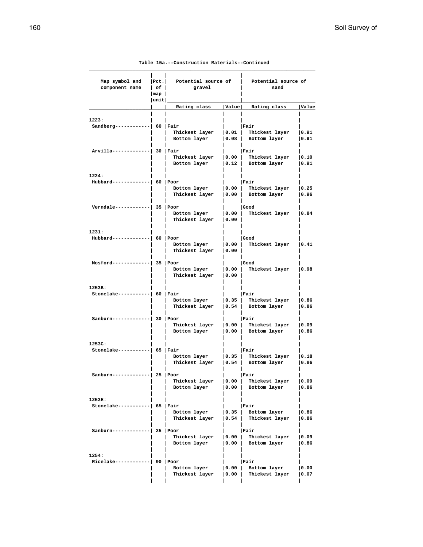### **\_\_\_\_\_\_\_\_\_\_\_\_\_\_\_\_\_\_\_\_\_\_\_\_\_\_\_\_\_\_\_\_\_\_\_\_\_\_\_\_\_\_\_\_\_\_\_\_\_\_\_\_\_\_\_\_\_\_\_\_\_\_\_\_\_\_\_\_\_\_\_\_\_\_\_\_\_\_ | | |**  $\begin{tabular}{lllllllllll} \texttt{Map symbol and} & & & & & & & \texttt{Potential source of} & & & \texttt{Potential source of} \\ \texttt{component name} & & & & \texttt{of} & & \texttt{gravel} & & & \texttt{sand} \end{tabular}$ **component name | of | gravel | sand |map | | |unit| | \_\_\_\_\_\_\_\_\_\_\_\_\_\_\_\_\_\_\_\_\_\_\_\_\_\_\_\_\_\_\_\_\_\_\_\_\_\_\_\_\_\_\_\_\_\_\_\_\_\_\_**  $\parallel$  Rating class |Value| Rating class |Value  **| | | | | 1223: | | | | | Sandberg------------| 60 |Fair | |Fair | | | Thickest layer |0.01 | Thickest layer |0.91 | | Bottom layer |0.08 | Bottom layer |0.91 | | | | | Arvilla-------------| 30 |Fair | |Fair | | | Thickest layer |0.00 | Thickest layer |0.10 | | Bottom layer |0.12 | Bottom layer |0.91 | | | | | 1224: | | | | | Hubbard-------------| 60 |Poor | |Fair | | | Bottom layer |0.00 | Thickest layer |0.25 | | Thickest layer |0.00 | Bottom layer |0.96 | | | | | Verndale------------| 35 |Poor | |Good | | | Bottom layer |0.00 | Thickest layer |0.84 | | Thickest layer |0.00 | | | | | | | 1231: | | | | | Hubbard-------------| 60 |Poor | |Good | | | Bottom layer |0.00 | Thickest layer |0.41 | | Thickest layer |0.00 | | | | | | | Mosford-------------| 35 |Poor | |Good | | | Bottom layer |0.00 | Thickest layer |0.98 | | Thickest layer |0.00 | | | | | | | 1253B: | | | | | Stonelake-----------| 60 |Fair | |Fair | | | Bottom layer |0.35 | Thickest layer |0.86 | | Thickest layer |0.54 | Bottom layer |0.86 | | | | | Sanburn-------------| 30 |Poor | |Fair | | | Thickest layer |0.00 | Thickest layer |0.09 | | Bottom layer |0.00 | Bottom layer |0.86 | | | | | 1253C: | | | | | Stonelake-----------| 65 |Fair | |Fair | | | Bottom layer |0.35 | Thickest layer |0.18 | | Thickest layer |0.54 | Bottom layer |0.86 | | | | | Sanburn-------------| 25 |Poor | |Fair | | | Thickest layer |0.00 | Thickest layer |0.09 | | Bottom layer |0.00 | Bottom layer |0.86 | | | | | 1253E: | | | | | Stonelake-----------| 65 |Fair | |Fair | | | Bottom layer |0.35 | Bottom layer |0.86 | | Thickest layer |0.54 | Thickest layer |0.86 | | | | | Sanburn-------------| 25 |Poor | |Fair | | | Thickest layer |0.00 | Thickest layer |0.09 | | Bottom layer |0.00 | Bottom layer |0.86 | | | | | 1254: | | | | | Ricelake------------| 90 |Poor | |Fair | | | Bottom layer |0.00 | Bottom layer |0.00 | | Thickest layer |0.00 | Thickest layer |0.07 | | | | |**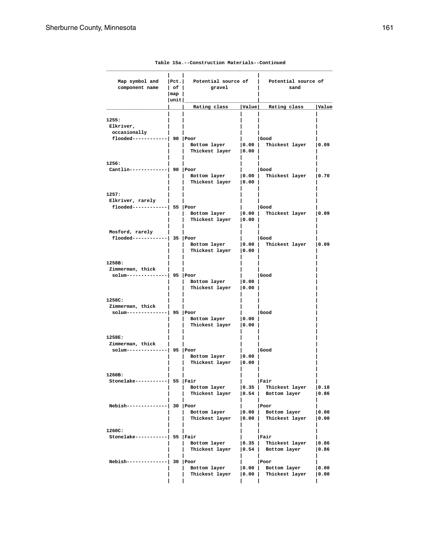| Map symbol and<br>component name                                       | $ $ Pct.<br>$ $ of $ $<br>$\lceil map \rceil$ | Potential source of<br>gravel           |                             | Potential source of<br>sand                                        |               |
|------------------------------------------------------------------------|-----------------------------------------------|-----------------------------------------|-----------------------------|--------------------------------------------------------------------|---------------|
|                                                                        | unit                                          | Rating class                            | Value                       | Rating class                                                       | Value         |
| 1255:<br>Elkriver,<br>occasionally<br>$f$ looded------------  90  Poor |                                               | Bottom layer<br>Thickest layer   0.00   | $\vert 0.00 \vert$          | Good<br>Thickest layer                                             | 0.09          |
| 1256:<br>Cantlin-------------  90 Poor                                 |                                               | Bottom layer   0.00  <br>Thickest layer | 0.00                        | Good<br>Thickest layer                                             | 0.70          |
| 1257:<br>Elkriver, rarely<br>$f$ looded------------  55  Poor          |                                               | Bottom layer $ 0.00 $<br>Thickest layer | 0.00                        | Good<br>Thickest layer                                             | 0.09          |
| Mosford, rarely<br>$f$ looded------------  35  Poor                    |                                               | Bottom layer<br>Thickest layer          | $\vert 0.00 \vert$<br> 0.00 | Good<br>Thickest layer                                             | 0.09          |
| 1258B:<br>Zimmerman, thick<br>solum--------------  95  Poor            |                                               | Bottom layer<br>Thickest layer          | 0.00 <br> 0.00              | Good                                                               |               |
| 1258C:<br>Zimmerman, thick<br>solum--------------  95  Poor            |                                               | Bottom layer<br>Thickest layer          | 0.00 <br> 0.00              | Good                                                               |               |
| 1258E:<br>Zimmerman, thick<br>solum--------------  95  Poor            |                                               | Bottom layer<br>Thickest layer          | $ 0.00\rangle$<br> 0.00     | Good                                                               |               |
| 1260B:<br>Stonelake-----------  55   Fair                              |                                               | Bottom layer<br>Thickest layer          |                             | Fair<br>$ 0.35 $ Thickest layer<br>$\vert 0.54 \vert$ Bottom layer | 0.18<br> 0.86 |
| Nebish--------------  30  Poor                                         |                                               | Bottom layer<br>Thickest layer          |                             | Poor<br>$ 0.00 $ Bottom layer<br> 0.00   Thickest layer            | 0.00<br> 0.00 |
| 1260C:<br>Stonelake-----------  55   Fair                              |                                               | Bottom layer<br>Thickest layer          | 0.35 <br> 0.54              | Fair<br>Thickest layer<br>Bottom layer                             | 0.86<br> 0.86 |
| Nebish-------------                                                    | -  30  Poor                                   | Bottom layer<br>Thickest layer          | 0.00 <br> 0.00              | Poor<br>Bottom layer<br>Thickest layer                             | 0.00<br> 0.00 |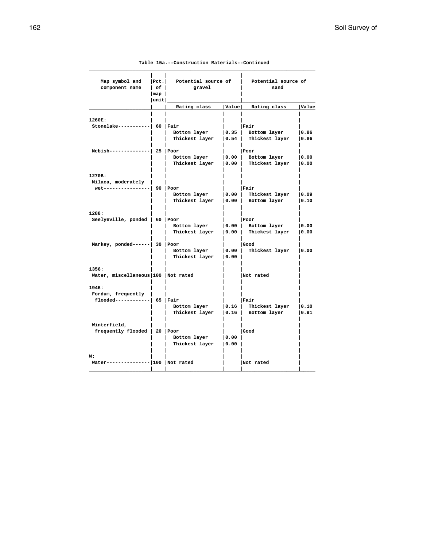| Map symbol and<br>component name                   | Pet. <br>Potential source of<br>$ $ of $ $<br>gravel<br> map |                        |                    | Potential source of<br>sand |              |  |
|----------------------------------------------------|--------------------------------------------------------------|------------------------|--------------------|-----------------------------|--------------|--|
|                                                    | unit                                                         | Rating class           |                    | Value Rating class          | <b>Value</b> |  |
|                                                    |                                                              |                        |                    |                             |              |  |
| 1260E:                                             |                                                              |                        |                    |                             |              |  |
| $Stonelake-----  60   Fair$                        |                                                              |                        |                    | Fair                        |              |  |
|                                                    |                                                              | Bottom layer           | 0.35               | Bottom layer                | 0.86         |  |
|                                                    |                                                              | Thickest layer         | 0.54               | Thickest layer              | 0.86         |  |
| $Nebish-----$                                      | -1 25 IPoor                                                  |                        |                    | Poor                        |              |  |
|                                                    |                                                              | Bottom layer           |                    | 0.00 Bottom layer           | 0.00         |  |
|                                                    |                                                              | Thickest layer         | $\vert 0.00 \vert$ | Thickest layer              | 0.00         |  |
|                                                    |                                                              |                        |                    |                             |              |  |
| 1270B:                                             |                                                              |                        |                    |                             |              |  |
| Milaca, moderately<br>wet----------------  90 Poor |                                                              |                        |                    |                             |              |  |
|                                                    |                                                              | Bottom layer   0.00    |                    | Fair<br>Thickest layer      | 0.09         |  |
|                                                    |                                                              | Thickest layer         | $\vert 0.00 \vert$ | Bottom layer                | 0.10         |  |
|                                                    |                                                              |                        |                    |                             |              |  |
| 1288:                                              |                                                              |                        |                    |                             |              |  |
| Seelyeville, ponded   60   Poor                    |                                                              |                        |                    | Poor                        |              |  |
|                                                    |                                                              | Bottom layer           | $\vert 0.00 \vert$ | Bottom layer                | 0.00         |  |
|                                                    |                                                              | Thickest layer         | 0.00               | Thickest layer              | 10.00        |  |
| Markey, ponded------  30   Poor                    |                                                              |                        |                    | Good                        |              |  |
|                                                    |                                                              | Bottom layer           | $ 0.00\rangle$     | Thickest layer              | 0.00         |  |
|                                                    |                                                              | Thickest layer         | 0.00               |                             |              |  |
|                                                    |                                                              |                        |                    |                             |              |  |
| 1356:                                              |                                                              |                        |                    |                             |              |  |
| Water, miscellaneous 100 Not rated                 |                                                              |                        |                    | Not rated                   |              |  |
| 1946:                                              |                                                              |                        |                    |                             |              |  |
| Fordum, frequently                                 |                                                              |                        |                    |                             |              |  |
| $f$ looded------------  65   Fair                  |                                                              |                        |                    | Fair                        |              |  |
|                                                    |                                                              | Bottom layer           | 0.16               | Thickest layer              | 0.10         |  |
|                                                    |                                                              | Thickest layer         | 0.16               | Bottom layer                | 0.91         |  |
| Winterfield,                                       |                                                              |                        |                    |                             |              |  |
| frequently flooded   20   Poor                     |                                                              |                        |                    | l Good                      |              |  |
|                                                    |                                                              | Bottom layer           | 0.00               |                             |              |  |
|                                                    |                                                              | Thickest layer         | 0.00               |                             |              |  |
|                                                    |                                                              |                        |                    |                             |              |  |
| W:<br>$Water------$                                |                                                              | ------ 100   Not rated |                    | Not rated                   |              |  |
|                                                    |                                                              |                        |                    |                             |              |  |
|                                                    |                                                              |                        |                    |                             |              |  |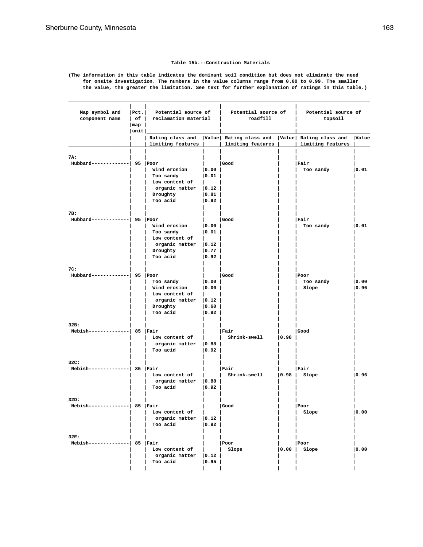#### **Table 15b.--Construction Materials**

**(The information in this table indicates the dominant soil condition but does not eliminate the need for onsite investigation. The numbers in the value columns range from 0.00 to 0.99. The smaller the value, the greater the limitation. See text for further explanation of ratings in this table.)**

**\_\_\_\_\_\_\_\_\_\_\_\_\_\_\_\_\_\_\_\_\_\_\_\_\_\_\_\_\_\_\_\_\_\_\_\_\_\_\_\_\_\_\_\_\_\_\_\_\_\_\_\_\_\_\_\_\_\_\_\_\_\_\_\_\_\_\_\_\_\_\_\_\_\_\_\_\_\_\_\_\_\_\_\_\_\_\_\_\_\_\_\_\_\_\_\_\_\_\_\_\_\_\_\_**

| Map symbol and<br>component name        | Pct.  Potential source of<br>  of   reclamation material<br>$\lceil map \rceil$ |                                                                                                |                                                                        | Potential source of<br>roadfill                                                                                      |      | Potential source of<br>topsoil |                |
|-----------------------------------------|---------------------------------------------------------------------------------|------------------------------------------------------------------------------------------------|------------------------------------------------------------------------|----------------------------------------------------------------------------------------------------------------------|------|--------------------------------|----------------|
|                                         | unit                                                                            |                                                                                                |                                                                        | Rating class and  Value  Rating class and  Value  Rating class and  Value<br>limiting features     limiting features |      | limiting features              |                |
| 7A:<br>Hubbard-------------  95   Poor  |                                                                                 | Wind erosion<br>Too sandy                                                                      | 0.00 <br> 0.01                                                         | Good                                                                                                                 |      | Fair<br>Too sandy              | $ 0.01\rangle$ |
|                                         |                                                                                 | Low content of<br>$organic matter$ $ 0.12 $<br>Droughty<br>Too acid                            | 0.81<br> 0.92                                                          |                                                                                                                      |      |                                |                |
| 7B:<br>Hubbard-------------  95   Poor  |                                                                                 | Wind erosion<br>Too sandy<br>Low content of<br>organic matter   0.12  <br>Droughty<br>Too acid | 0.00 <br> 0.01<br>$\mathbf{L}$<br>$\vert 0.77 \vert$<br>$ 0.92\rangle$ | Good                                                                                                                 |      | Fair<br>Too sandy              | 0.01           |
| 7C:<br>Hubbard-------------  95   Poor  |                                                                                 | Too sandy<br>Wind erosion<br>Low content of<br>organic matter   0.12  <br>Droughty<br>Too acid | 0.00<br> 0.00 <br>$ 0.60\rangle$<br>$ 0.92\rangle$                     | Good                                                                                                                 |      | Poor<br>Too sandy<br>Slope     | 0.00 <br> 0.96 |
| 32B:<br>Nebish--------------  85   Fair |                                                                                 | Low content of<br>organic matter $ 0.88 $<br>Too acid                                          | 0.92                                                                   | Fair<br>Shrink-swell                                                                                                 | 0.98 | Good                           |                |
| 32C:<br>Nebish--------------  85   Fair |                                                                                 | Low content of<br>organic matter $ 0.88 $<br>Too acid                                          | 0.92                                                                   | Fair<br>Shrink-swell                                                                                                 |      | Fair<br>$ 0.98 $ Slope         | 0.96           |
| 32D:<br>Nebish--------------  85   Fair |                                                                                 | Low content of<br>organic matter $ 0.12 $<br>Too acid                                          | $ 0.92\rangle$                                                         | Good                                                                                                                 |      | Poor<br>Slope                  | 0.00           |
| 32E:<br>Nebish--------------  85   Fair |                                                                                 | Low content of<br>organic matter   0.12  <br>Too acid                                          | 0.95                                                                   | Poor<br>Slope                                                                                                        |      | Poor<br>$ 0.00 $ Slope         | 0.00           |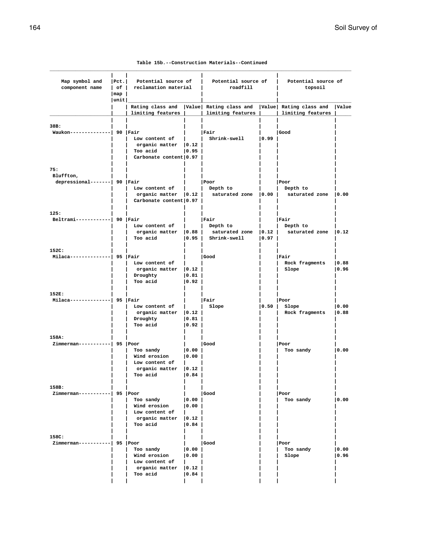| Table 15b.--Construction Materials--Continued |  |
|-----------------------------------------------|--|
|-----------------------------------------------|--|

| Map symbol and<br>component name            | Pet. <br>Potential source of<br>  of   reclamation material<br>$\lceil map \rceil$<br> unit |                                                                                      | Potential source of<br>roadfill             |                                                                                             | Potential source of<br>topsoil |                                            |               |
|---------------------------------------------|---------------------------------------------------------------------------------------------|--------------------------------------------------------------------------------------|---------------------------------------------|---------------------------------------------------------------------------------------------|--------------------------------|--------------------------------------------|---------------|
|                                             |                                                                                             | limiting features                                                                    |                                             | Rating class and   Value   Rating class and   Value   Rating class and<br>limiting features |                                | limiting features                          | Value         |
| 38B:<br>Waukon--------------  90   Fair     |                                                                                             | Low content of<br>organic matter $ 0.12 $<br>Too acid<br>Carbonate content 0.97      | 0.95                                        | Fair<br>Shrink-swell                                                                        | 0.99                           | Good                                       |               |
| 75:                                         |                                                                                             |                                                                                      |                                             |                                                                                             |                                |                                            |               |
| Bluffton,<br>depressional-------  90   Fair |                                                                                             | Low content of<br>organic matter $ 0.12 $<br>Carbonate content 0.97                  |                                             | Poor<br>Depth to<br>saturated zone $ 0.00 $                                                 |                                | Poor<br>Depth to<br>saturated zone   0.00  |               |
| 125:<br>Beltrami------------  90 Fair       |                                                                                             | Low content of<br>organic matter $ 0.88 $<br>Too acid                                | 0.95                                        | Fair<br>Depth to<br>saturated zone<br>Shrink-swell                                          | 0.12 <br>$ 0.97\rangle$        | Fair<br>Depth to<br>saturated zone $ 0.12$ |               |
| 152C:<br>Milaca--------------  95   Fair    |                                                                                             | Low content of<br>$organic matter$ $ 0.12 $<br>Droughty<br>Too acid                  | 0.81 <br> 0.92                              | Good                                                                                        |                                | Fair<br>Rock fragments<br>Slope            | 0.88<br> 0.96 |
| 152E:<br>Milaca--------------  95   Fair    |                                                                                             | Low content of<br>organic matter $ 0.12 $<br>Droughty<br>Too acid                    | 0.81 <br> 0.92                              | Fair<br>Slope                                                                               | 0.50                           | Poor<br>Slope<br>Rock fragments            | 0.00<br> 0.88 |
| 158A:<br>Zimmerman-----------  95   Poor    |                                                                                             | Too sandy<br>Wind erosion<br>Low content of<br>organic matter<br>Too acid            | 0.00 <br> 0.00 <br> 0.12 <br>$ 0.84\rangle$ | Good                                                                                        |                                | Poor<br>Too sandy                          | 0.00          |
| 158B:<br>Zimmerman-----------  95  Poor     |                                                                                             | Too sandy<br>Wind erosion<br>Low content of<br>organic matter $ 0.12 $<br>Too acid   | 0.00 <br> 0.00 <br> 0.84                    | Good                                                                                        |                                | Poor<br>Too sandy                          | 0.00          |
| 158C:<br>$Zimmerman----- 95  Poor$          |                                                                                             | Too sandy<br>Wind erosion<br>Low content of<br>$organic matter$ $ 0.12 $<br>Too acid | 0.00 <br> 0.00 <br> 0.84                    | Good                                                                                        |                                | Poor<br>Too sandy<br>Slope                 | 0.00<br> 0.96 |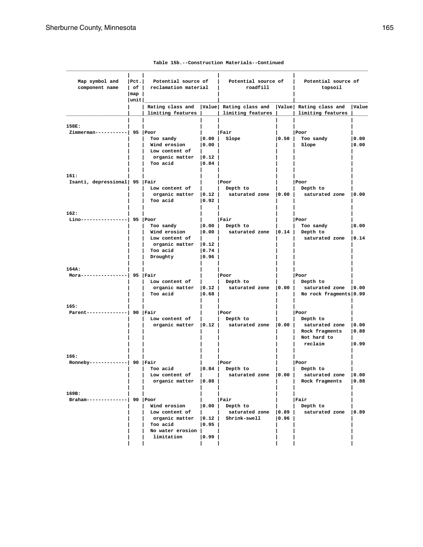| Map symbol and<br>component name         | Pet. <br>Potential source of<br>reclamation material<br>$ $ of $ $<br> map<br> unit |                                                                                                                        |                                                      | Potential source of<br>roadfill             |                                              | Potential source of<br>topsoil                                                 |                        |
|------------------------------------------|-------------------------------------------------------------------------------------|------------------------------------------------------------------------------------------------------------------------|------------------------------------------------------|---------------------------------------------|----------------------------------------------|--------------------------------------------------------------------------------|------------------------|
|                                          |                                                                                     | Rating class and<br>limiting features                                                                                  |                                                      | Value Rating class and<br>limiting features |                                              | Value Rating class and<br>limiting features                                    | Value                  |
| 158E:<br>Zimmerman-----------  95   Poor |                                                                                     |                                                                                                                        |                                                      | Fair                                        |                                              | Poor                                                                           |                        |
|                                          |                                                                                     | Too sandy<br>Wind erosion<br>Low content of<br>organic matter<br>Too acid                                              | 0.00 <br> 0.00 <br>$ 0.12\rangle$<br> 0.84           | Slope                                       | 0.50                                         | Too sandy<br>Slope                                                             | 0.00<br> 0.00          |
| 161:<br>Isanti, depressional 95   Fair   |                                                                                     | Low content of<br>organic matter $ 0.12 $<br>Too acid                                                                  | $ 0.92\rangle$                                       | Poor<br>Depth to<br>saturated zone   0.00   |                                              | Poor<br>Depth to<br>saturated zone                                             | 0.00                   |
| 162:<br>Lino----------------  95 Poor    |                                                                                     | Too sandy<br>Wind erosion<br>Low content of<br>organic matter<br>Too acid<br>Droughty                                  | 0.00 <br> 0.00  <br>$ 0.12\rangle$<br> 0.74<br> 0.96 | Fair<br>Depth to<br>saturated zone $ 0.14 $ |                                              | Poor<br>Too sandy<br>Depth to<br>saturated zone                                | 0.00<br> 0.14          |
| 164A:<br>Mora----------------  95   Fair |                                                                                     | Low content of<br>organic matter $ 0.12 $<br>Too acid                                                                  | 0.68                                                 | Poor<br>Depth to<br>saturated zone   0.00   |                                              | Poor<br>Depth to<br>saturated zone   0.00<br>No rock fragments 0.99            |                        |
| 165:<br>Parent-----------                | -  90   Fair                                                                        | Low content of<br>organic matter                                                                                       | 0.12                                                 | Poor<br>Depth to<br>saturated zone          | 0.00                                         | Poor<br>Depth to<br>saturated zone<br>Rock fragments<br>Not hard to<br>reclaim | 0.00<br> 0.88<br> 0.99 |
| 166:<br>Ronneby-------------  90   Fair  |                                                                                     | Too acid<br>Low content of<br>organic matter $ 0.88$                                                                   | 0.84                                                 | Poor<br>Depth to<br>saturated zone          | 10.00                                        | Poor<br>Depth to<br>saturated zone<br>Rock fragments                           | 0.00<br> 0.88          |
| 169B:<br>$Braham---------- -90 $ Poor    |                                                                                     | Wind erosion<br>Low content of<br>organic matter   0.12   Shrink-swell<br>Too acid<br>No water erosion  <br>limitation | $\mathbf{L}$<br> 0.95 <br> 0.99                      | Fair<br>$ 0.00 $ Depth to                   | $\begin{array}{c c} \hline 0.96 \end{array}$ | Fair<br>Depth to<br>saturated zone   0.89   saturated zone   0.89              |                        |

|  |  | Table 15b.--Construction Materials--Continued |
|--|--|-----------------------------------------------|
|--|--|-----------------------------------------------|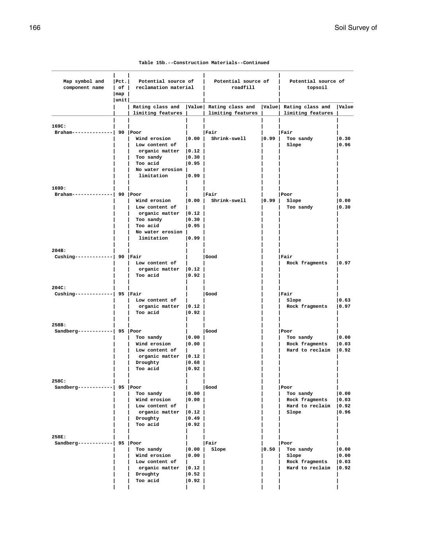| Table 15b.--Construction Materials--Continued |  |  |  |
|-----------------------------------------------|--|--|--|
|-----------------------------------------------|--|--|--|

| Map symbol and<br>component name         | $ $ Pct.<br>$ $ of $ $<br>$\lceil \texttt{map} \rceil$<br> unit | Potential source of<br>reclamation material                                                                              |                                                                       | Potential source of<br>roadfill                                  |      | Potential source of<br>topsoil                                  |                                           |
|------------------------------------------|-----------------------------------------------------------------|--------------------------------------------------------------------------------------------------------------------------|-----------------------------------------------------------------------|------------------------------------------------------------------|------|-----------------------------------------------------------------|-------------------------------------------|
|                                          |                                                                 | limiting features                                                                                                        |                                                                       | Rating class and   Value   Rating class and<br>limiting features |      | Value Rating class and<br>limiting features                     | <b>Value</b>                              |
|                                          |                                                                 |                                                                                                                          |                                                                       |                                                                  |      |                                                                 |                                           |
| 169C:<br>Braham--------------  90   Poor |                                                                 | Wind erosion<br>Low content of<br>organic matter   0.12  <br>Too sandy<br>Too acid<br>No water erosion                   | 0.00 <br> 0.30<br> 0.95                                               | Fair<br>Shrink-swell                                             | 0.99 | Fair<br>Too sandy<br>Slope                                      | 0.30<br> 0.96                             |
|                                          |                                                                 | limitation                                                                                                               | $ 0.99\rangle$                                                        |                                                                  |      |                                                                 |                                           |
|                                          |                                                                 |                                                                                                                          |                                                                       |                                                                  |      |                                                                 |                                           |
| 169D:<br>Braham--------------  90   Poor |                                                                 | Wind erosion<br>Low content of<br>$organic matter$ $ 0.12 $<br>Too sandy<br>Too acid<br>No water erosion  <br>limitation | 0.00 <br> 0.30 <br>$ 0.95\rangle$<br> 0.99                            | Fair<br>Shrink-swell                                             | 0.99 | Poor<br>Slope<br>Too sandy                                      | 0.00<br> 0.30                             |
| 204B:                                    |                                                                 |                                                                                                                          |                                                                       |                                                                  |      |                                                                 |                                           |
| Cushing-------------  90   Fair          |                                                                 | Low content of<br>organic matter $ 0.12 $<br>Too acid                                                                    | $ 0.92\rangle$                                                        | Good                                                             |      | Fair<br>Rock fragments                                          | 0.97                                      |
| 204C:                                    |                                                                 |                                                                                                                          |                                                                       |                                                                  |      |                                                                 |                                           |
| Cushing-------------  95   Fair          |                                                                 | Low content of<br>organic matter $ 0.12 $<br>Too acid                                                                    | $ 0.92\rangle$                                                        | Good                                                             |      | Fair<br>Slope<br>Rock fragments                                 | 0.63<br> 0.97                             |
| 258B:                                    |                                                                 |                                                                                                                          |                                                                       |                                                                  |      |                                                                 |                                           |
| Sandberg------------  95   Poor          |                                                                 | Too sandy<br>Wind erosion<br>Low content of<br>organic matter<br>Droughty<br>Too acid                                    | $ 0.00\rangle$<br> 0.00 <br>$ 0.12\rangle$<br>$ 0.68\rangle$<br> 0.92 | Good                                                             |      | Poor<br>Too sandy<br>Rock fragments<br>Hard to reclaim $ 0.92$  | 0.00<br> 0.03                             |
| 258C:                                    |                                                                 |                                                                                                                          |                                                                       |                                                                  |      |                                                                 |                                           |
| Sandberg------------  95 $ Poor$         |                                                                 | Too sandy<br>Wind erosion<br>Low content of<br>organic matter $ 0.12 $<br>Droughty<br>Too acid                           | 0.00 <br> 0.00 <br> 0.49 <br> 0.92                                    | Good                                                             |      | Poor<br>Too sandy<br>Rock fragments<br>Hard to reclaim<br>Slope | 0.00<br> 0.03 <br>$ 0.92\rangle$<br> 0.96 |
| 258E:                                    |                                                                 |                                                                                                                          |                                                                       |                                                                  |      |                                                                 |                                           |
| Sandberg------------  95 $ Poor$         |                                                                 | Too sandy<br>Wind erosion<br>Low content of<br>organic matter<br>Droughty<br>Too acid                                    | 0.00 <br> 0.00 <br> 0.12 <br> 0.52 <br> 0.92                          | Fair<br>Slope                                                    | 0.50 | Poor<br>Too sandy<br>Slope<br>Rock fragments<br>Hard to reclaim | 0.00<br> 0.00<br> 0.03 <br> 0.92          |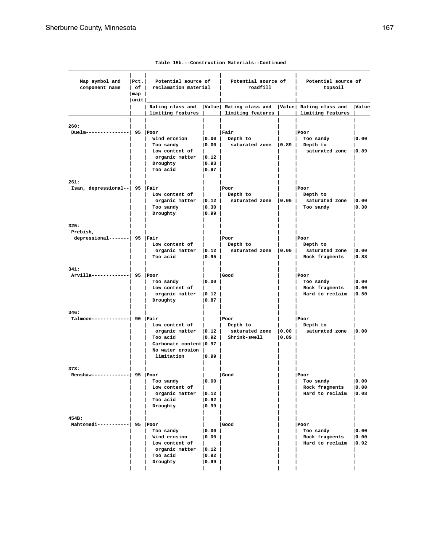| Map symbol and<br>component name | Pet. <br>$ $ of $ $ | Potential source of<br>reclamation material |                | Potential source of<br>roadfill              |      | Potential source of<br>topsoil              |       |
|----------------------------------|---------------------|---------------------------------------------|----------------|----------------------------------------------|------|---------------------------------------------|-------|
| map                              |                     |                                             |                |                                              |      |                                             |       |
|                                  | unit                |                                             |                |                                              |      |                                             |       |
|                                  |                     | Rating class and<br>limiting features       |                | Value  Rating class and<br>limiting features |      | Value Rating class and<br>limiting features | Value |
|                                  |                     |                                             |                |                                              |      |                                             |       |
| 260:<br>Duelm--------------      |                     | $95$ Poor                                   |                | Fair                                         |      | Poor                                        |       |
|                                  |                     | Wind erosion                                | 0.00           | Depth to                                     |      | Too sandy                                   | 0.00  |
|                                  |                     | Too sandy                                   | 0.00           | saturated zone   0.89   Depth to             |      |                                             |       |
|                                  |                     | Low content of                              |                |                                              |      | saturated zone                              | 0.89  |
|                                  |                     | organic matter                              | $ 0.12\rangle$ |                                              |      |                                             |       |
|                                  |                     | Droughty                                    | 0.93           |                                              |      |                                             |       |
|                                  |                     | Too acid                                    | $ 0.97\rangle$ |                                              |      |                                             |       |
| 261:                             |                     |                                             |                |                                              |      |                                             |       |
| Isan, depressional--  95   Fair  |                     |                                             |                | Poor                                         |      | Poor                                        |       |
|                                  |                     | Low content of                              |                | Depth to                                     |      | Depth to                                    |       |
|                                  |                     | organic matter                              | 0.12           | saturated zone                               | 0.00 | saturated zone                              | 0.00  |
|                                  |                     | Too sandy                                   | 0.30           |                                              |      | Too sandy                                   | 0.30  |
|                                  |                     | Droughty                                    | 0.99           |                                              |      |                                             |       |
| 325:<br>Prebish,                 |                     |                                             |                |                                              |      |                                             |       |
| depressional-------  95   Fair   |                     |                                             |                | Poor                                         |      | Poor                                        |       |
|                                  |                     | Low content of                              |                | Depth to                                     |      | Depth to                                    |       |
|                                  |                     | organic matter                              | 0.12           | saturated zone                               | 0.00 | saturated zone                              | 0.00  |
|                                  |                     | Too acid                                    | 0.95           |                                              |      | Rock fragments                              | 0.88  |
| 341:                             |                     |                                             |                |                                              |      |                                             |       |
| Arvilla-------------  95 Poor    |                     |                                             |                | Good                                         |      | Poor                                        |       |
|                                  |                     | Too sandy                                   | 10.00          |                                              |      | Too sandy                                   | 0.00  |
|                                  |                     | Low content of                              |                |                                              |      | Rock fragments                              | 0.00  |
|                                  |                     | organic matter                              | 0.12           |                                              |      | Hard to reclaim                             | 0.50  |
|                                  |                     | Droughty                                    | 0.87           |                                              |      |                                             |       |
| 346:                             |                     |                                             |                |                                              |      |                                             |       |
| Talmoon-------------  90   Fair  |                     |                                             |                | Poor                                         |      | Poor                                        |       |
|                                  |                     | Low content of                              |                | Depth to                                     |      | Depth to                                    |       |
|                                  |                     | organic matter                              | $ 0.12\rangle$ | saturated zone                               | 0.00 | saturated zone   0.00                       |       |
|                                  |                     | Too acid                                    | 0.92           | Shrink-swell                                 | 0.89 |                                             |       |
|                                  |                     | Carbonate content 0.97                      |                |                                              |      |                                             |       |
|                                  |                     | No water erosion  <br>limitation            | 0.99           |                                              |      |                                             |       |
|                                  |                     |                                             |                |                                              |      |                                             |       |
| 373:<br>$Renshaw-----$           |                     | 95 Poor                                     |                | Good                                         |      | l Poor                                      |       |
|                                  |                     | Too sandy                                   | $ 0.00\rangle$ |                                              |      | Too sandy                                   | 0.00  |
|                                  |                     | Low content of                              |                |                                              |      | Rock fragments                              | 0.00  |
|                                  |                     | organic matter                              | 0.12           |                                              |      | Hard to reclaim                             | 0.08  |
|                                  |                     | Too acid                                    | $ 0.92\rangle$ |                                              |      |                                             |       |
|                                  |                     | Droughty                                    | 0.99           |                                              |      |                                             |       |
| 454B:                            |                     |                                             |                |                                              |      |                                             |       |
| Mahtomedi-----------  95 Poor    |                     |                                             |                | Good                                         |      | Poor                                        |       |
|                                  |                     | Too sandy                                   | 0.00           |                                              |      | Too sandy                                   | 0.00  |
|                                  |                     | Wind erosion                                | 0.00           |                                              |      | Rock fragments                              | 0.00  |
|                                  |                     | Low content of                              |                |                                              |      | Hard to reclaim                             | 0.92  |
|                                  |                     | organic matter                              | 0.12           |                                              |      |                                             |       |
|                                  |                     | Too acid                                    | 0.92           |                                              |      |                                             |       |
|                                  |                     | Droughty                                    | 0.99           |                                              |      |                                             |       |
|                                  |                     |                                             |                |                                              |      |                                             |       |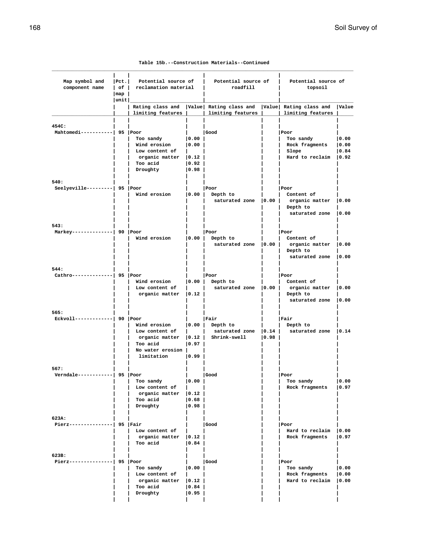|  |  | Table 15b.--Construction Materials--Continued |
|--|--|-----------------------------------------------|
|--|--|-----------------------------------------------|

| Map symbol and<br>component name         | $ $ Pct.<br>Potential source of<br>$ $ of $ $<br>reclamation material<br>$\lceil map \rceil$ |                                                                                                           | roadfill                                       | Potential source of                                                                       |                | Potential source of                                                              |                         |
|------------------------------------------|----------------------------------------------------------------------------------------------|-----------------------------------------------------------------------------------------------------------|------------------------------------------------|-------------------------------------------------------------------------------------------|----------------|----------------------------------------------------------------------------------|-------------------------|
|                                          | unit                                                                                         | limiting features                                                                                         |                                                | Rating class and   Value  Rating class and   Value  Rating class and<br>limiting features |                | limiting features                                                                | Value                   |
| 454C:<br>Mahtomedi-----------  95   Poor |                                                                                              | Too sandy<br>Wind erosion<br>Low content of<br>$organic matter$   0.12  <br>Too acid<br>Droughty          | 0.00 <br> 0.00 <br> 0.92 <br> 0.98             | Good                                                                                      |                | Poor<br>Too sandy<br>Rock fragments<br>Slope<br>Hard to reclaim   0.92           | 0.00<br> 0.00<br> 0.84  |
| 540:<br>Seelyeville---------  95 Poor    |                                                                                              | Wind erosion                                                                                              | 0.00                                           | Poor<br>Depth to<br>saturated zone   0.00                                                 |                | Poor<br>Content of<br>organic matter<br>Depth to<br>saturated zone   0.00        | 0.00                    |
| 543:<br>Markey--------------  90  Poor   |                                                                                              | Wind erosion                                                                                              | 0.00                                           | Poor<br>Depth to<br>saturated zone   0.00                                                 |                | Poor<br>Content of<br>organic matter   0.00<br>Depth to<br>saturated zone   0.00 |                         |
| 544:<br>Cathro--------------  95 Poor    |                                                                                              | Wind erosion<br>Low content of<br>organic matter $ 0.12 $                                                 |                                                | Poor<br>$ 0.00 $ Depth to<br>saturated zone $ 0.00 $                                      |                | Poor<br>Content of<br>organic matter<br>Depth to<br>saturated zone   0.00        | 0.00                    |
| 565:<br>$Ekvol1$ ------------  90 Poor   |                                                                                              | Wind erosion<br>Low content of<br>organic matter $ 0.12 $<br>Too acid<br>No water erosion  <br>limitation | 0.97 <br> 0.99                                 | Fair<br>$ 0.00 $ Depth to<br>saturated zone $ 0.14 $<br>Shrink-swell                      | $ 0.98\rangle$ | Fair<br>Depth to<br>saturated zone   0.14                                        |                         |
| 567:<br>Verndale------------  95 Poor    |                                                                                              | Too sandy<br>Low content of<br>organic matter<br>Too acid<br>Droughty                                     | 0.00 <br> 0.12 <br> 0.68 <br> 0.98             | Good                                                                                      |                | Poor<br>Too sandy<br>Rock fragments                                              | 0.00<br> 0.97           |
| 623A:<br>Pierz--------------             | -  95  Fair                                                                                  | Low content of<br>organic matter $ 0.12\rangle$<br>Too acid                                               | 0.84                                           | Good                                                                                      |                | Poor<br>Hard to reclaim<br>Rock fragments                                        | 0.00<br> 0.97           |
| 623B:<br>Pierz---------------  95   Poor |                                                                                              | Too sandy<br>Low content of<br>organic matter<br>Too acid<br>Droughty                                     | 0.00 <br>$\vert 0.12 \vert$<br> 0.84 <br> 0.95 | Good                                                                                      |                | Poor<br>Too sandy<br>Rock fragments<br>Hard to reclaim                           | 0.00<br> 0.00 <br> 0.00 |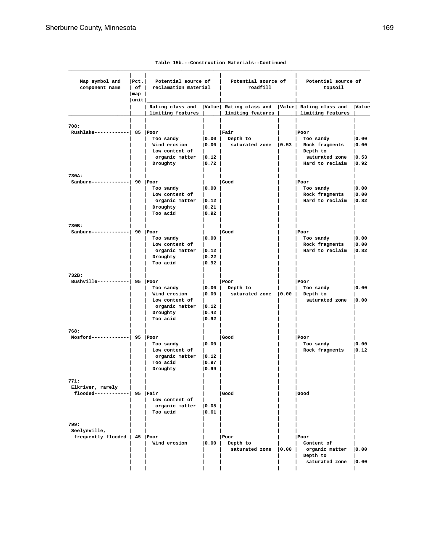| Map symbol and                    | Pet. | Potential source of            |                                      | Potential source of                                                  |      | Potential source of                    |       |
|-----------------------------------|------|--------------------------------|--------------------------------------|----------------------------------------------------------------------|------|----------------------------------------|-------|
| component name                    |      | of   reclamation material      |                                      | roadfill                                                             |      | topsoil                                |       |
| $\lfloor map \rfloor$             |      |                                |                                      |                                                                      |      |                                        |       |
|                                   | unit |                                |                                      | Rating class and   Value  Rating class and   Value  Rating class and |      |                                        | Value |
|                                   |      | limiting features              |                                      | limiting features                                                    |      | limiting features                      |       |
| 708:                              |      |                                |                                      |                                                                      |      |                                        |       |
| $Rushlake----- 85 Poor$           |      |                                |                                      | Fair                                                                 |      | Poor                                   |       |
|                                   |      | Too sandy                      | 0.00                                 | Depth to                                                             |      | Too sandy                              | 0.00  |
|                                   |      | Wind erosion                   | 0.00                                 |                                                                      |      | saturated zone   0.53   Rock fragments | 0.00  |
|                                   |      | Low content of                 |                                      |                                                                      |      | Depth to                               |       |
|                                   |      | organic matter $ 0.12 $        |                                      |                                                                      |      | saturated zone $ 0.53$                 |       |
|                                   |      | Droughty                       | 0.72                                 |                                                                      |      | Hard to reclaim 10.92                  |       |
| 730A:                             |      |                                |                                      |                                                                      |      |                                        |       |
| $Sanhurn----- ------ 90$ Poor     |      |                                |                                      | Good                                                                 |      | Poor                                   |       |
|                                   |      | Too sandy                      | 0.00                                 |                                                                      |      | Too sandy                              | 0.00  |
|                                   |      | Low content of                 |                                      |                                                                      |      | Rock fragments                         | 0.00  |
|                                   |      | organic matter $ 0.12 $        |                                      |                                                                      |      | Hard to reclaim $ 0.82$                |       |
|                                   |      | Droughty                       | 0.21                                 |                                                                      |      |                                        |       |
|                                   |      | Too acid                       | $ 0.92\rangle$                       |                                                                      |      |                                        |       |
| 730B:                             |      |                                |                                      |                                                                      |      |                                        |       |
| Sanburn-------------  90 Poor     |      |                                |                                      | <b>Good</b>                                                          |      | Poor                                   |       |
|                                   |      | Too sandy                      | 0.00                                 |                                                                      |      | Too sandy                              | 0.00  |
|                                   |      | Low content of                 |                                      |                                                                      |      | Rock fragments                         | 0.00  |
|                                   |      | $organic matter$ $ 0.12 $      |                                      |                                                                      |      | Hard to reclaim $ 0.82$                |       |
|                                   |      | Droughty<br>Too acid           | $\vert 0.22 \vert$<br>$ 0.92\rangle$ |                                                                      |      |                                        |       |
|                                   |      |                                |                                      |                                                                      |      |                                        |       |
| 732B:                             |      |                                |                                      |                                                                      |      |                                        |       |
| Bushville-----------  95   Poor   |      |                                |                                      | Poor                                                                 |      | Poor                                   |       |
|                                   |      | Too sandy                      | 0.00                                 | Depth to                                                             |      | Too sandy                              | 0.00  |
|                                   |      | Wind erosion<br>Low content of | 0.00                                 | saturated zone   0.00   Depth to                                     |      | saturated zone   0.00                  |       |
|                                   |      | $organic matter$   0.12        |                                      |                                                                      |      |                                        |       |
|                                   |      | Droughty                       | 0.42                                 |                                                                      |      |                                        |       |
|                                   |      | Too acid                       | 0.92                                 |                                                                      |      |                                        |       |
|                                   |      |                                |                                      |                                                                      |      |                                        |       |
| 768:<br>$Mostord----- 95   Poor$  |      |                                |                                      | Good                                                                 |      | Poor                                   |       |
|                                   |      | Too sandy                      | 0.00                                 |                                                                      |      | Too sandy                              | 0.00  |
|                                   |      | Low content of                 |                                      |                                                                      |      | Rock fragments                         | 0.12  |
|                                   |      | $organic matter$ $ 0.12 $      |                                      |                                                                      |      |                                        |       |
|                                   |      | Too acid                       | $ 0.97\rangle$                       |                                                                      |      |                                        |       |
|                                   |      | Droughty                       | 0.99                                 |                                                                      |      |                                        |       |
| 771:                              |      |                                |                                      |                                                                      |      |                                        |       |
| Elkriver, rarely                  |      |                                |                                      |                                                                      |      |                                        |       |
| $f$ looded------------  95   Fair |      |                                |                                      | Good                                                                 |      | Good                                   |       |
|                                   |      | Low content of                 |                                      |                                                                      |      |                                        |       |
|                                   |      | organic matter $ 0.05 $        |                                      |                                                                      |      |                                        |       |
|                                   |      | Too acid                       | $ 0.61\rangle$                       |                                                                      |      |                                        |       |
| 799:                              |      |                                |                                      |                                                                      |      |                                        |       |
| Seelyeville,                      |      |                                |                                      |                                                                      |      |                                        |       |
| frequently flooded   45   Poor    |      |                                |                                      | Poor                                                                 |      | Poor                                   |       |
|                                   |      | Wind erosion                   | 0.00                                 | Depth to                                                             |      | Content of                             |       |
|                                   |      |                                |                                      | saturated zone                                                       | 0.00 | organic matter                         | 0.00  |
|                                   |      |                                |                                      |                                                                      |      | Depth to                               |       |
|                                   |      |                                |                                      |                                                                      |      | saturated zone                         | 0.00  |
|                                   |      |                                |                                      |                                                                      |      |                                        |       |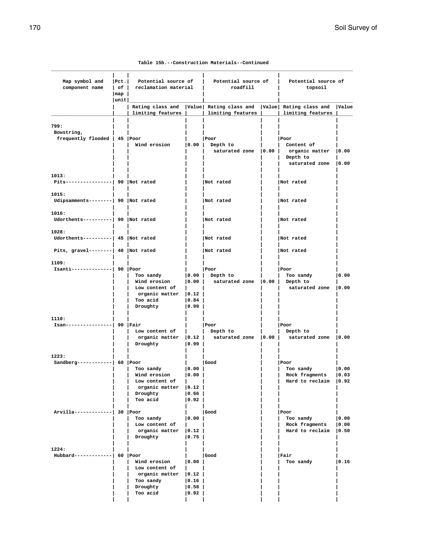|  |  | Table 15b.--Construction Materials--Continued |
|--|--|-----------------------------------------------|
|--|--|-----------------------------------------------|

| Map symbol and<br>component name                     | Pet. <br>Potential source of<br>  of   reclamation material<br>$\lceil map \rceil$<br> unit |                                                                                                  | roadfill                                                  | Potential source of                                                                         |  | Potential source of<br>topsoil                                     |                 |
|------------------------------------------------------|---------------------------------------------------------------------------------------------|--------------------------------------------------------------------------------------------------|-----------------------------------------------------------|---------------------------------------------------------------------------------------------|--|--------------------------------------------------------------------|-----------------|
|                                                      |                                                                                             | limiting features                                                                                |                                                           | Rating class and   Value   Rating class and   Value   Rating class and<br>limiting features |  | limiting features                                                  | Value           |
| 799:<br>Bowstring,<br>frequently flooded   45   Poor |                                                                                             | Wind erosion                                                                                     | 0.00                                                      | Poor<br>Depth to<br>saturated zone   0.00                                                   |  | Poor<br>Content of<br>organic matter<br>Depth to<br>saturated zone | 0.00<br> 0.00   |
| 1013:<br>Pits----------------  90  Not rated         |                                                                                             |                                                                                                  |                                                           | Not rated                                                                                   |  | Not rated                                                          |                 |
| 1015:<br>Udipsamments--------  90  Not rated         |                                                                                             |                                                                                                  |                                                           | Not rated                                                                                   |  | Not rated                                                          |                 |
| 1016:<br>Udorthents---------  90 Not rated           |                                                                                             |                                                                                                  |                                                           | Not rated                                                                                   |  | Not rated                                                          |                 |
| 1028:<br>Udorthents---------  45  Not rated          |                                                                                             |                                                                                                  |                                                           | Not rated                                                                                   |  | Not rated                                                          |                 |
| Pits, gravel--------  40  Not rated                  |                                                                                             |                                                                                                  |                                                           | Not rated                                                                                   |  | Not rated                                                          |                 |
| 1109:<br>Isanti--------------  90   Poor             |                                                                                             | Too sandy<br>Wind erosion<br>Low content of<br>organic matter   0.12  <br>Too acid<br>Droughty   | 0.00 <br>$ 0.84\rangle$<br>$ 0.99\rangle$                 | Poor<br>$ 0.00 $ Depth to<br>saturated zone   0.00                                          |  | Poor<br>Too sandy<br>Depth to<br>saturated zone                    | 0.00<br> 0.00   |
| 1110:<br>Isan----------------  90   Fair             |                                                                                             | Low content of<br>organic matter $ 0.12 $<br>Droughty                                            | 0.99                                                      | Poor<br>Depth to<br>saturated zone   0.00                                                   |  | Poor<br>Depth to<br>saturated zone   0.00                          |                 |
| 1223:<br>Sandberg------------  60 $ Poor$            |                                                                                             | Too sandy<br>Wind erosion<br>Low content of<br>organic matter   0.12  <br>Droughty<br>Too acid   | 0.00 <br>0.00<br>$\mathbf{L}$<br> 0.66 <br>$ 0.92\rangle$ | Good                                                                                        |  | Poor<br>Too sandy<br>Rock fragments<br>Hard to reclaim   0.92      | 0.00 <br>  0.03 |
| Arvilla-------------  30 Poor                        |                                                                                             | Too sandy<br>Low content of<br>organic matter $ 0.12 $<br>Droughty                               | 0.00 <br> 0.75                                            | Good                                                                                        |  | Poor<br>Too sandy<br>Rock fragments<br>Hard to reclaim $ 0.50$     | 0.00<br> 0.00   |
| 1224:<br>Hubbard-------------  60   Poor             |                                                                                             | Wind erosion<br>Low content of<br>$organic$ matter $ 0.12 $<br>Too sandy<br>Droughty<br>Too acid | 0.00<br>$\vert 0.16 \vert$<br> 0.58 <br> 0.92             | Good                                                                                        |  | Fair<br>Too sandy                                                  | 0.16            |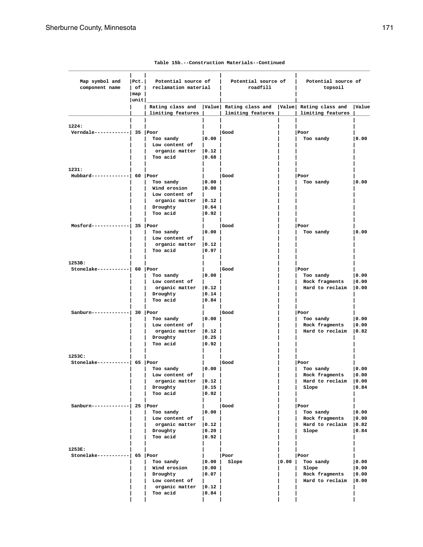| Pet. <br>Map symbol and<br>component name<br>$\lfloor map \rfloor$<br> unit |  | Potential source of<br>  of   reclamation material |                                      | Potential source of<br>roadfill                                                               |      | Potential source of<br>topsoil    |       |
|-----------------------------------------------------------------------------|--|----------------------------------------------------|--------------------------------------|-----------------------------------------------------------------------------------------------|------|-----------------------------------|-------|
|                                                                             |  | limiting features                                  |                                      | Rating class and   Value   Rating class and   Value   Rating class and<br>  limiting features |      | limiting features                 | Value |
| 1224:                                                                       |  |                                                    |                                      |                                                                                               |      |                                   |       |
| $Verndale-------- - - - - - 35   Poor$                                      |  | Too sandy<br>Low content of                        | 0.00                                 | Good                                                                                          |      | Poor<br>Too sandy                 | 0.00  |
|                                                                             |  | organic matter   0.12<br>Too acid                  | 0.68                                 |                                                                                               |      |                                   |       |
| 1231:                                                                       |  |                                                    |                                      |                                                                                               |      |                                   |       |
| Hubbard-------------  60 Poor                                               |  |                                                    |                                      | Good                                                                                          |      | Poor                              |       |
|                                                                             |  | Too sandy                                          | 0.00                                 |                                                                                               |      | Too sandy                         | 0.00  |
|                                                                             |  | Wind erosion                                       | $ 0.00\rangle$                       |                                                                                               |      |                                   |       |
|                                                                             |  | Low content of                                     |                                      |                                                                                               |      |                                   |       |
|                                                                             |  | organic matter   0.12                              |                                      |                                                                                               |      |                                   |       |
|                                                                             |  | Droughty<br>Too acid                               | 0.64 <br> 0.92                       |                                                                                               |      |                                   |       |
|                                                                             |  |                                                    |                                      |                                                                                               |      |                                   |       |
| $Mostord----- 35   Poor$                                                    |  |                                                    |                                      | Good                                                                                          |      | Poor                              |       |
|                                                                             |  | Too sandy<br>Low content of                        | 0.00                                 |                                                                                               |      | Too sandy                         | 0.00  |
|                                                                             |  | organic matter   0.12                              |                                      |                                                                                               |      |                                   |       |
|                                                                             |  | Too acid                                           | $ 0.97\rangle$                       |                                                                                               |      |                                   |       |
| 1253B:                                                                      |  |                                                    |                                      |                                                                                               |      |                                   |       |
| Stonelake-----------  60   Poor                                             |  |                                                    |                                      | Good                                                                                          |      | Poor                              |       |
|                                                                             |  | Too sandy                                          | 0.00                                 |                                                                                               |      | Too sandy                         | 0.00  |
|                                                                             |  | Low content of                                     |                                      |                                                                                               |      | Rock fragments                    | 0.00  |
|                                                                             |  | $organic matter$ $ 0.12 $                          |                                      |                                                                                               |      | Hard to reclaim $ 0.00$           |       |
|                                                                             |  | Droughty<br>Too acid                               | $\vert 0.14 \vert$<br>$ 0.84\rangle$ |                                                                                               |      |                                   |       |
|                                                                             |  |                                                    |                                      |                                                                                               |      |                                   |       |
| Sanburn-------------  30 Poor                                               |  | Too sandy                                          | 0.00                                 | Good                                                                                          |      | Poor<br>Too sandy                 | 0.00  |
|                                                                             |  | Low content of                                     |                                      |                                                                                               |      | Rock fragments                    | 0.00  |
|                                                                             |  | organic matter   0.12                              |                                      |                                                                                               |      | Hard to reclaim $ 0.82$           |       |
|                                                                             |  | Droughty                                           | $ 0.25\rangle$                       |                                                                                               |      |                                   |       |
|                                                                             |  | Too acid                                           | 0.92                                 |                                                                                               |      |                                   |       |
| 1253C:                                                                      |  |                                                    |                                      |                                                                                               |      |                                   |       |
| Stonelake----------  65 Poor                                                |  | Too sandy                                          | 0.00                                 | Good                                                                                          |      | Poor<br>Too sandy                 | 0.00  |
|                                                                             |  | Low content of                                     |                                      |                                                                                               |      | Rock fragments                    | 0.00  |
|                                                                             |  | organic matter $ 0.12 $                            |                                      |                                                                                               |      | Hard to reclaim   0.00            |       |
|                                                                             |  | Droughty                                           | 0.15                                 |                                                                                               |      | Slope                             | 0.84  |
|                                                                             |  | Too acid                                           | 0.92                                 |                                                                                               |      |                                   |       |
| Sanburn-------------  25   Poor                                             |  |                                                    |                                      | Good                                                                                          |      | Poor                              |       |
|                                                                             |  | Too sandy                                          | $ 0.00\rangle$                       |                                                                                               |      | Too sandy                         | 0.00  |
|                                                                             |  | Low content of                                     |                                      |                                                                                               |      | Rock fragments                    | 0.00  |
|                                                                             |  | organic matter   0.12<br>Droughty                  | $ 0.20\rangle$                       |                                                                                               |      | Hard to reclaim $ 0.82 $<br>Slope | 0.84  |
|                                                                             |  | Too acid                                           | $ 0.92\rangle$                       |                                                                                               |      |                                   |       |
| 1253E:                                                                      |  |                                                    |                                      |                                                                                               |      |                                   |       |
| $Stonelake----- 65   Poor$                                                  |  |                                                    |                                      | Poor                                                                                          |      | Poor                              |       |
|                                                                             |  | Too sandy                                          | 0.00                                 | Slope                                                                                         | 0.00 | Too sandy                         | 0.00  |
|                                                                             |  | Wind erosion                                       | 0.00                                 |                                                                                               |      | Slope                             | 0.00  |
|                                                                             |  | Droughty                                           | 0.07                                 |                                                                                               |      | Rock fragments                    | 0.00  |
|                                                                             |  | Low content of                                     |                                      |                                                                                               |      | Hard to reclaim $ 0.00$           |       |
|                                                                             |  | organic matter   0.12<br>Too acid                  | 0.84                                 |                                                                                               |      |                                   |       |
|                                                                             |  |                                                    |                                      |                                                                                               |      |                                   |       |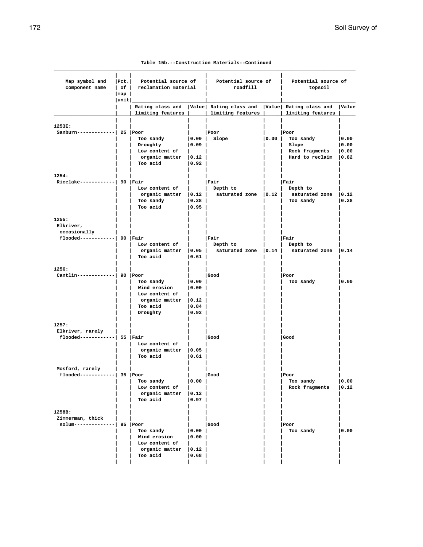| Table 15b.--Construction Materials--Continued |  |
|-----------------------------------------------|--|
|-----------------------------------------------|--|

| Map symbol and<br>component name                 | Pet. <br>$\lceil map \rceil$ | Potential source of<br>  of   reclamation material |                    | Potential source of<br>roadfill                                                                  |      | Potential source of<br>topsoil |      |
|--------------------------------------------------|------------------------------|----------------------------------------------------|--------------------|--------------------------------------------------------------------------------------------------|------|--------------------------------|------|
|                                                  | unit                         | limiting features                                  |                    | Rating class and  Value  Rating class and  Value  Rating class and  Value<br>  limiting features |      | limiting features              |      |
|                                                  |                              |                                                    |                    |                                                                                                  |      |                                |      |
| 1253E:                                           |                              |                                                    |                    |                                                                                                  |      |                                |      |
| Sanburn-------------  25   Poor                  |                              |                                                    |                    | Poor                                                                                             |      | Poor                           |      |
|                                                  |                              | Too sandy                                          | $\vert 0.00 \vert$ | Slope                                                                                            | 0.00 | Too sandy                      | 0.00 |
|                                                  |                              | Droughty                                           | 0.09               |                                                                                                  |      | Slope                          | 0.00 |
|                                                  |                              | Low content of                                     |                    |                                                                                                  |      | Rock fragments                 | 0.00 |
|                                                  |                              | $organic matter$ $ 0.12 $<br>Too acid              | 0.92               |                                                                                                  |      | Hard to reclaim   0.82         |      |
|                                                  |                              |                                                    |                    |                                                                                                  |      |                                |      |
| 1254:<br>Ricelake------------  90   Fair         |                              |                                                    |                    | Fair                                                                                             |      | Fair                           |      |
|                                                  |                              | Low content of                                     |                    | Depth to                                                                                         |      | Depth to                       |      |
|                                                  |                              | $organic matter$ $ 0.12 $                          |                    | saturated zone $ 0.12 $                                                                          |      | saturated zone $ 0.12$         |      |
|                                                  |                              | Too sandy                                          | 0.28               |                                                                                                  |      | Too sandy                      | 0.28 |
|                                                  |                              | Too acid                                           | 0.95               |                                                                                                  |      |                                |      |
| 1255:<br>Elkriver,<br>occasionally               |                              |                                                    |                    |                                                                                                  |      |                                |      |
| flooded------------  90   Fair                   |                              |                                                    |                    | Fair                                                                                             |      | Fair                           |      |
|                                                  |                              | Low content of                                     |                    | Depth to                                                                                         |      | Depth to                       |      |
|                                                  |                              |                                                    |                    | organic matter   0.05   saturated zone   0.14   saturated zone   0.14                            |      |                                |      |
|                                                  |                              | Too acid                                           | 0.61               |                                                                                                  |      |                                |      |
| 1256:                                            |                              |                                                    |                    |                                                                                                  |      |                                |      |
| Cantlin-------------  90 Poor                    |                              |                                                    |                    | Good                                                                                             |      | Poor                           |      |
|                                                  |                              | Too sandy                                          | 0.00               |                                                                                                  |      | Too sandy                      | 0.00 |
|                                                  |                              | Wind erosion                                       | 0.00               |                                                                                                  |      |                                |      |
|                                                  |                              | Low content of                                     |                    |                                                                                                  |      |                                |      |
|                                                  |                              | organic matter   0.12                              |                    |                                                                                                  |      |                                |      |
|                                                  |                              | Too acid                                           | 0.84               |                                                                                                  |      |                                |      |
|                                                  |                              | Droughty                                           | 0.92               |                                                                                                  |      |                                |      |
| 1257:                                            |                              |                                                    |                    |                                                                                                  |      |                                |      |
| Elkriver, rarely                                 |                              |                                                    |                    |                                                                                                  |      |                                |      |
| $f$ looded------------  55   Fair                |                              |                                                    |                    | Good                                                                                             |      | Good                           |      |
|                                                  |                              | Low content of<br>organic matter   0.05            |                    |                                                                                                  |      |                                |      |
|                                                  |                              | Too acid                                           | 0.61               |                                                                                                  |      |                                |      |
|                                                  |                              |                                                    |                    |                                                                                                  |      |                                |      |
| Mosford, rarely<br>flooded------------  35  Poor |                              |                                                    |                    | l Good                                                                                           |      |                                |      |
|                                                  |                              |                                                    | 0.00               |                                                                                                  |      | l Poor<br>Too sandy            | 0.00 |
|                                                  |                              | Too sandy<br>Low content of                        |                    |                                                                                                  |      | Rock fragments                 | 0.12 |
|                                                  |                              | organic matter $ 0.12 $                            |                    |                                                                                                  |      |                                |      |
|                                                  |                              | Too acid                                           | $ 0.97\rangle$     |                                                                                                  |      |                                |      |
| 1258B:                                           |                              |                                                    |                    |                                                                                                  |      |                                |      |
| Zimmerman, thick                                 |                              |                                                    |                    |                                                                                                  |      |                                |      |
| solum--------------  95  Poor                    |                              |                                                    |                    | Good                                                                                             |      | Poor                           |      |
|                                                  |                              | Too sandy                                          | 0.00               |                                                                                                  |      | Too sandy                      | 0.00 |
|                                                  |                              | Wind erosion                                       | $ 0.00\rangle$     |                                                                                                  |      |                                |      |
|                                                  |                              | Low content of                                     |                    |                                                                                                  |      |                                |      |
|                                                  |                              | organic matter   0.12                              |                    |                                                                                                  |      |                                |      |
|                                                  |                              | Too acid                                           | $ 0.68\rangle$     |                                                                                                  |      |                                |      |
|                                                  |                              |                                                    |                    |                                                                                                  |      |                                |      |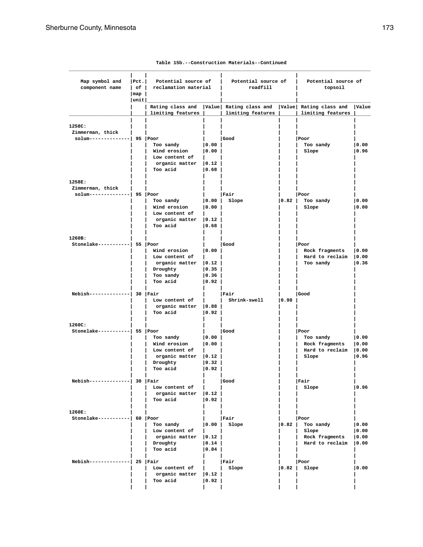| Map symbol and<br>component name            | Pet.         | Potential source of<br>  of   reclamation material |                                  | Potential source of<br>roadfill                                                             |      | Potential source of<br>topsoil    |               |
|---------------------------------------------|--------------|----------------------------------------------------|----------------------------------|---------------------------------------------------------------------------------------------|------|-----------------------------------|---------------|
|                                             | map          |                                                    |                                  |                                                                                             |      |                                   |               |
|                                             | $ $ unit $ $ | limiting features                                  |                                  | Rating class and   Value   Rating class and   Value   Rating class and<br>limiting features |      | limiting features                 | Value         |
|                                             |              |                                                    |                                  |                                                                                             |      |                                   |               |
| 1258C:<br>Zimmerman, thick                  |              |                                                    |                                  |                                                                                             |      |                                   |               |
| solum--------------  95  Poor               |              |                                                    |                                  | Good                                                                                        |      | Poor                              |               |
|                                             |              | Too sandy                                          | 0.00                             |                                                                                             |      | Too sandy                         | 0.00          |
|                                             |              | Wind erosion                                       | 0.00                             |                                                                                             |      | Slope                             | 0.96          |
|                                             |              | Low content of                                     |                                  |                                                                                             |      |                                   |               |
|                                             |              | organic matter $ 0.12\rangle$                      |                                  |                                                                                             |      |                                   |               |
|                                             |              | Too acid                                           | 0.68                             |                                                                                             |      |                                   |               |
| 1258E:                                      |              |                                                    |                                  |                                                                                             |      |                                   |               |
| Zimmerman, thick                            |              |                                                    |                                  |                                                                                             |      |                                   |               |
| solum--------------  95   Poor              |              |                                                    |                                  | Fair                                                                                        |      | Poor                              |               |
|                                             |              | Too sandy                                          | 0.00                             | Slope                                                                                       | 0.82 | Too sandy                         | 0.00          |
|                                             |              | Wind erosion                                       | 0.00                             |                                                                                             |      | Slope                             | 0.00          |
|                                             |              | Low content of<br>organic matter   0.12            |                                  |                                                                                             |      |                                   |               |
|                                             |              | Too acid                                           | 0.68                             |                                                                                             |      |                                   |               |
|                                             |              |                                                    |                                  |                                                                                             |      |                                   |               |
| 1260B:<br>Stonelake-----------  55  Poor    |              |                                                    |                                  | Good                                                                                        |      | Poor                              |               |
|                                             |              | Wind erosion                                       | 0.00                             |                                                                                             |      | Rock fragments                    | 0.00          |
|                                             |              | Low content of                                     |                                  |                                                                                             |      | Hard to reclaim                   | 0.00          |
|                                             |              | $organic matter$ $ 0.12$                           |                                  |                                                                                             |      | Too sandy                         | 0.36          |
|                                             |              | Droughty                                           | 0.35                             |                                                                                             |      |                                   |               |
|                                             |              | Too sandy                                          | 0.36                             |                                                                                             |      |                                   |               |
|                                             |              | Too acid                                           | $ 0.92\rangle$                   |                                                                                             |      |                                   |               |
| Nebish--------------  30 Fair               |              |                                                    |                                  | Fair                                                                                        |      | Good                              |               |
|                                             |              | Low content of                                     |                                  | Shrink-swell                                                                                | 0.98 |                                   |               |
|                                             |              | organic matter $ 0.88$                             |                                  |                                                                                             |      |                                   |               |
|                                             |              | Too acid                                           | $ 0.92\rangle$                   |                                                                                             |      |                                   |               |
| 1260C:                                      |              |                                                    |                                  |                                                                                             |      |                                   |               |
| Stonelake-----------  55  Poor              |              |                                                    |                                  | Good                                                                                        |      | Poor                              |               |
|                                             |              | Too sandy<br>Wind erosion                          | 0.00                             |                                                                                             |      | Too sandy                         | 0.00          |
|                                             |              | Low content of                                     | 0.00                             |                                                                                             |      | Rock fragments<br>Hard to reclaim | 0.00<br> 0.00 |
|                                             |              | organic matter                                     | $ 0.12\rangle$                   |                                                                                             |      | Slope                             | 0.96          |
|                                             |              | Droughty                                           | 0.32                             |                                                                                             |      |                                   |               |
|                                             |              | Too acid                                           | 0.92                             |                                                                                             |      |                                   |               |
| Nebish--------------  30   Fair             |              |                                                    |                                  | Good                                                                                        |      | Fair                              |               |
|                                             |              | Low content of                                     |                                  |                                                                                             |      | Slope                             | 0.96          |
|                                             |              | organic matter $ 0.12\rangle$                      |                                  |                                                                                             |      |                                   |               |
|                                             |              | Too acid                                           | 0.92                             |                                                                                             |      |                                   |               |
| 1260E:                                      |              |                                                    |                                  |                                                                                             |      |                                   |               |
| $Stone lake----- - - - - - - -   60   Poor$ |              |                                                    |                                  | Fair                                                                                        |      | Poor                              |               |
|                                             |              | Too sandy                                          | 0.00                             | Slope                                                                                       | 0.82 | Too sandy                         | 0.00          |
|                                             |              | Low content of                                     |                                  |                                                                                             |      | Slope                             | 0.00          |
|                                             |              | organic matter   0.12                              |                                  |                                                                                             |      | Rock fragments                    | 0.00          |
|                                             |              | Droughty<br>Too acid                               | $ 0.14\rangle$<br>$ 0.84\rangle$ |                                                                                             |      | Hard to reclaim                   | 0.00          |
|                                             |              |                                                    |                                  |                                                                                             |      |                                   |               |
| Nebish--------------  25   Fair             |              |                                                    |                                  | Fair                                                                                        |      | Poor                              |               |
|                                             |              | Low content of                                     |                                  | Slope                                                                                       |      | $ 0.82 $ Slope                    | 0.00          |
|                                             |              | organic matter $ 0.12\rangle$<br>Too acid          | $ 0.92\rangle$                   |                                                                                             |      |                                   |               |
|                                             |              |                                                    |                                  |                                                                                             |      |                                   |               |
|                                             |              |                                                    |                                  |                                                                                             |      |                                   |               |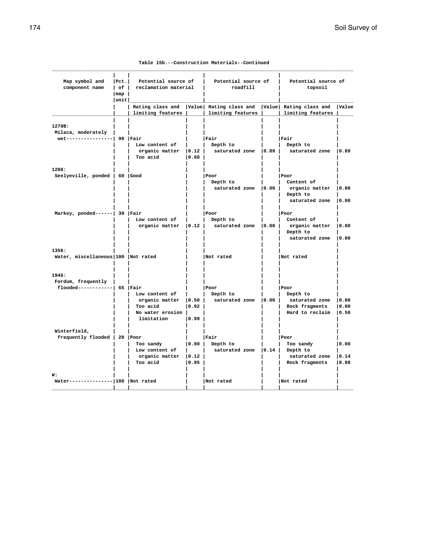| Table 15b.--Construction Materials--Continued |  |  |  |
|-----------------------------------------------|--|--|--|
|-----------------------------------------------|--|--|--|

| Map symbol and<br>component name                              | $ $ Pct.<br>l of l<br>$\lfloor$ map<br> unit | Potential source of<br>reclamation material                                    |                           | Potential source of<br>roadfill             |       | Potential source of<br>topsoil                                          |                         |
|---------------------------------------------------------------|----------------------------------------------|--------------------------------------------------------------------------------|---------------------------|---------------------------------------------|-------|-------------------------------------------------------------------------|-------------------------|
|                                                               |                                              | Rating class and<br>limiting features                                          |                           | Value Rating class and<br>limiting features |       | Value Rating class and<br>limiting features                             | Value                   |
| 1270B:<br>Milaca, moderately<br>wet----------------  90 Fair  |                                              | Low content of<br>organic matter<br>Too acid                                   | 0.12 <br> 0.68            | Fair<br>Depth to<br>saturated zone   0.89   |       | Fair<br>Depth to<br>saturated zone                                      | 10.89                   |
| 1288:<br>Seelyeville, ponded   60   Good                      |                                              |                                                                                |                           | l Poor<br>Depth to<br>saturated zone        | 0.00  | Poor<br>Content of<br>organic matter<br>Depth to<br>saturated zone      | 0.00<br>10.00           |
| Markey, ponded------  30   Fair                               |                                              | Low content of<br>organic matter                                               | 0.12                      | Poor<br>Depth to<br>saturated zone          | 0.00  | Poor<br>Content of<br>organic matter<br>Depth to<br>saturated zone      | 10.00<br>10.00          |
| 1356:<br>Water, miscellaneous 100 Not rated                   |                                              |                                                                                |                           | Not rated                                   |       | Not rated                                                               |                         |
| 1946:<br>Fordum, frequently<br>flooded------------  65   Fair |                                              | Low content of<br>organic matter<br>Too acid<br>No water erosion<br>limitation | 0.50 <br> 0.92 <br>  0.99 | Poor<br>Depth to<br>saturated zone          | 0.00  | Poor<br>Depth to<br>saturated zone<br>Rock fragments<br>Hard to reclaim | 10.00<br> 0.00<br> 0.50 |
| Winterfield,<br>frequently flooded   20   Poor                |                                              | Too sandy<br>Low content of<br>organic matter<br>Too acid                      | 0.00 <br> 0.12 <br> 0.95  | Fair<br>Depth to<br>saturated zone          | 10.14 | Poor<br>Too sandy<br>Depth to<br>saturated zone<br>Rock fragments       | 0.00<br>10.14<br> 0.88  |
| W:<br>Water-------------- 100   Not rated                     |                                              |                                                                                |                           | Not rated                                   |       | Not rated                                                               |                         |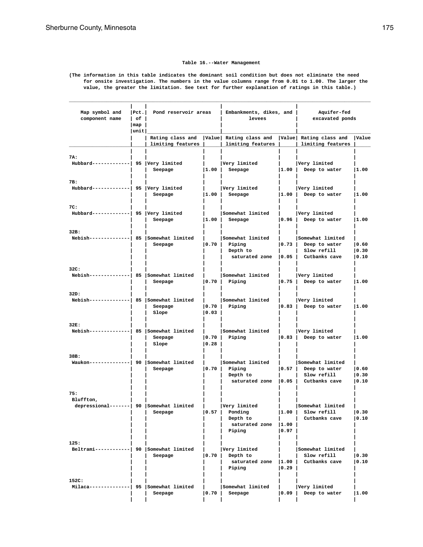### **Table 16.--Water Management**

**(The information in this table indicates the dominant soil condition but does not eliminate the need for onsite investigation. The numbers in the value columns range from 0.01 to 1.00. The larger the value, the greater the limitation. See text for further explanation of ratings in this table.)**

| Map symbol and<br>component name                             | $ $ Pct.<br>l of l<br>$\lceil map \rceil$ | Pond reservoir areas                         |                             | Embankments, dikes, and  <br>levees                               |                         | Aquifer-fed<br>excavated ponds                                    |                        |
|--------------------------------------------------------------|-------------------------------------------|----------------------------------------------|-----------------------------|-------------------------------------------------------------------|-------------------------|-------------------------------------------------------------------|------------------------|
|                                                              | unit                                      | Rating class and                             |                             | Value Rating class and                                            |                         | Value Rating class and                                            | Value                  |
|                                                              |                                           | limiting features                            |                             | limiting features                                                 |                         | limiting features                                                 |                        |
| 7A:<br>Hubbard-------------  95 Very limited                 |                                           | Seepage                                      | $\vert 1.00 \vert$          | Very limited<br>Seepage                                           | 1.00                    | Very limited<br>Deep to water                                     | 1.00                   |
| 7B:<br>Hubbard------------  95  Very limited                 |                                           | Seepage                                      | $\vert 1.00 \vert$          | Very limited<br>Seepage                                           | 1.00                    | Very limited<br>Deep to water                                     | 1.00                   |
| 7C:<br>Hubbard-------------  95   Very limited               |                                           | Seepage                                      | 1.00                        | Somewhat limited<br>Seepage                                       | 0.96                    | Very limited<br>Deep to water                                     | 1.00                   |
| 32B:<br>Nebish-------------  85   Somewhat limited           |                                           | Seepage                                      | 10.70 L                     | Somewhat limited<br>Piping<br>Depth to<br>saturated zone $ 0.05 $ | lo.73 l                 | Somewhat limited<br>Deep to water<br>Slow refill<br>Cutbanks cave | 0.60<br> 0.30<br> 0.10 |
| 32C:<br>Nebish-------------  85 Somewhat limited             |                                           | Seepage                                      | $\vert 0.70 \vert$          | Somewhat limited<br>Piping                                        |                         | Very limited<br>$ 0.75 $ Deep to water                            | 1.00                   |
| 32D:<br>$Nebish-----$                                        |                                           | -  85   Somewhat limited<br>Seepage<br>Slope | $\vert 0.70 \vert$<br> 0.03 | Somewhat limited<br>Piping                                        | 0.83                    | Very limited<br>Deep to water                                     | 1.00                   |
| 32E:<br>Nebish-------------  85 Somewhat limited             |                                           | Seepage<br>Slope                             | 0.70 <br> 0.28              | Somewhat limited<br>Piping                                        | 0.83                    | Very limited<br>Deep to water                                     | 1.00                   |
| 38B:<br>Waukon-------------  90 Somewhat limited             |                                           | Seepage                                      | 0.70                        | Somewhat limited<br>Piping<br>Depth to<br>saturated zone $ 0.05 $ | 0.57                    | Somewhat limited<br>Deep to water<br>Slow refill<br>Cutbanks cave | 0.60<br> 0.30<br> 0.10 |
| 75:<br>Bluffton,<br>depressional-------  90 Somewhat limited |                                           | Seepage                                      | 0.57                        | Very limited<br>Ponding<br>Depth to<br>saturated zone<br>Piping   | 1.00 <br> 1.00<br> 0.97 | Somewhat limited<br>Slow refill<br>Cutbanks cave                  | 0.30<br> 0.10          |
| 125:<br>Beltrami------------  90 Somewhat limited            |                                           | Seepage                                      | 0.70                        | Very limited<br>Depth to<br>saturated zone   1.00  <br>Piping     | 0.29                    | Somewhat limited<br>Slow refill<br>Cutbanks cave                  | 0.30<br> 0.10          |
| 152C:<br>$Milaca---$                                         |                                           | 95 Somewhat limited<br>Seepage               | 0.70                        | Somewhat limited<br>Seepage                                       | 0.09                    | Very limited<br>Deep to water                                     | 1.00                   |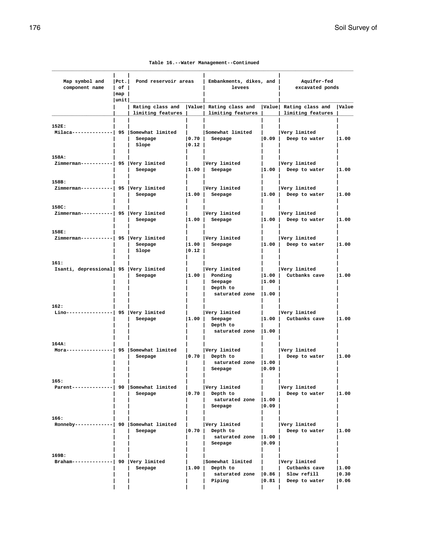|  |  | Table 16.--Water Management--Continued |
|--|--|----------------------------------------|
|--|--|----------------------------------------|

| Map symbol and<br>component name                  | $ $ Pct.<br>l of l | Pond reservoir areas                  |                    | Embankments, dikes, and<br>levees                                                           |                             | Aquifer-fed<br>excavated ponds                                |                         |
|---------------------------------------------------|--------------------|---------------------------------------|--------------------|---------------------------------------------------------------------------------------------|-----------------------------|---------------------------------------------------------------|-------------------------|
|                                                   | map<br> unit       |                                       |                    |                                                                                             |                             |                                                               |                         |
|                                                   |                    | limiting features                     |                    | Rating class and   Value   Rating class and   Value   Rating class and<br>limiting features |                             | limiting features                                             | Value                   |
| 152E:<br>Milaca-------------  95 Somewhat limited |                    | Seepage<br>Slope                      | 0.70 <br> 0.12     | Somewhat limited<br>Seepage                                                                 | 0.09                        | Very limited<br>Deep to water                                 | 1.00                    |
| 158A:<br>Zimmerman-----------  95  Very limited   |                    | Seepage                               | $\vert 1.00 \vert$ | Very limited<br>Seepage                                                                     | $\vert 1.00 \vert$          | Very limited<br>Deep to water                                 | 1.00                    |
| 158B:<br>Zimmerman-----------  95  Very limited   |                    | Seepage                               | $\vert 1.00 \vert$ | Very limited<br>Seepage                                                                     | $\vert 1.00 \vert$          | Very limited<br>Deep to water                                 | 1.00                    |
| 158C:<br>Zimmerman-----------  95  Very limited   |                    | Seepage                               | $\vert 1.00 \vert$ | Very limited<br>Seepage                                                                     | $\vert 1.00 \vert$          | Very limited<br>Deep to water                                 | 1.00                    |
| 158E:<br>Zimmerman-----------  95  Very limited   |                    | Seepage<br>Slope                      | 1.00 <br> 0.12     | Very limited<br>Seepage                                                                     | 1.00                        | Very limited<br>Deep to water                                 | 1.00                    |
| 161:<br>Isanti, depressional 95 Very limited      |                    | Seepage                               |                    | Very limited<br>$ 1.00 $ Ponding<br>Seepage<br>Depth to<br>saturated zone  1.00             | 1.00 <br> 1.00              | Very limited<br>Cutbanks cave                                 | 1.00                    |
| 162:<br>Lino----                                  |                    | 95  Very limited<br>Seepage           | 1.00               | Very limited<br>Seepage<br>Depth to<br>saturated zone                                       | $\vert 1.00 \vert$<br> 1.00 | Very limited<br>Cutbanks cave                                 | 1.00                    |
| 164A:<br>Mora---                                  |                    | --   95   Somewhat limited<br>Seepage | $\vert 0.70 \vert$ | Very limited<br>Depth to<br>saturated zone   1.00<br>Seepage                                | $ 0.09\rangle$              | Very limited<br>Deep to water                                 | 1.00                    |
| 165:<br>Parent--------------  90 Somewhat limited |                    | Seepage                               | 0.70               | Very limited<br>Depth to<br>saturated zone  1.00<br>Seepage                                 | $ 0.09\rangle$              | Very limited<br>Deep to water                                 | 1.00                    |
| 166:<br>Ronneby------------  90 Somewhat limited  |                    | Seepage                               |                    | Very limited<br>$ 0.70 $ Depth to<br>saturated zone<br>Seepage                              | 1.00<br> 0.09               | Very limited<br>Deep to water                                 | 1.00                    |
| 169B:<br>Braham--------------  90   Very limited  |                    | Seepage                               | 1.00               | Somewhat limited<br>Depth to<br>saturated zone<br>Piping                                    | 0.86 <br> 0.81              | Very limited<br>Cutbanks cave<br>Slow refill<br>Deep to water | 1.00<br> 0.30<br>  0.06 |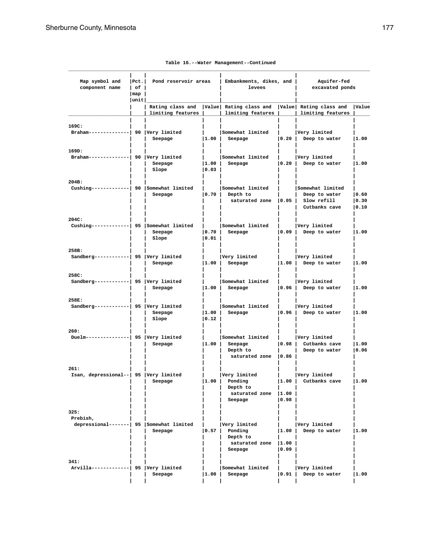| Map symbol and<br>component name                             | $ $ Pct.<br>l of l<br> map<br> unit | Pond reservoir areas                  |                    | Embankments, dikes, and<br>levees                                |                            | Aquifer-fed<br>excavated ponds                                    |                        |
|--------------------------------------------------------------|-------------------------------------|---------------------------------------|--------------------|------------------------------------------------------------------|----------------------------|-------------------------------------------------------------------|------------------------|
|                                                              |                                     | Rating class and<br>limiting features |                    | Value Rating class and<br>limiting features                      |                            | Value Rating class and<br>limiting features                       | <b>Value</b>           |
| 169C:<br>Braham--------------  90   Very limited             |                                     | Seepage                               | 1.00               | Somewhat limited<br>Seepage                                      | 0.20                       | Very limited<br>Deep to water                                     | 1.00                   |
| 169D:<br>Braham--------------  90   Very limited             |                                     | Seepage<br>Slope                      | 1.00 <br> 0.03     | Somewhat limited<br>Seepage                                      | 0.20                       | Very limited<br>Deep to water                                     | 1.00                   |
| 204B:<br>Cushing-------------  90 Somewhat limited           |                                     | Seepage                               | $\vert 0.70 \vert$ | Somewhat limited<br>Depth to<br>saturated zone                   | 0.05                       | Somewhat limited<br>Deep to water<br>Slow refill<br>Cutbanks cave | 0.60<br> 0.30<br> 0.10 |
| 204C:<br>Cushing------------  95 Somewhat limited            |                                     | Seepage<br>Slope                      | 0.70 <br> 0.01     | Somewhat limited<br>Seepage                                      | 0.09                       | Very limited<br>Deep to water                                     | 1.00                   |
| 258B:<br>Sandberg------------  95   Very limited             |                                     | Seepage                               | 1.00               | Very limited<br>Seepage                                          | 1.00                       | Very limited<br>Deep to water                                     | 1.00                   |
| 258C:<br>Sandberg------------  95   Very limited             |                                     | Seepage                               | 1.00               | Somewhat limited<br>Seepage                                      | 10.96 l                    | Very limited<br>Deep to water                                     | 1.00                   |
| 258E:<br>Sandberg------------  95   Very limited             |                                     | Seepage<br>Slope                      | 1.00 <br> 0.12     | Somewhat limited<br>Seepage                                      | 0.96                       | Very limited<br>Deep to water                                     | 1.00                   |
| 260:<br>$Duelm----$                                          |                                     | 95  Very limited<br>Seepage           | 1.00               | Somewhat limited<br>Seepage<br>Depth to<br>saturated zone        | 0.98  <br>$ 0.86\rangle$   | Very limited<br>Cutbanks cave<br>Deep to water                    | 1.00<br> 0.06          |
| 261:<br>Isan, depressional--   95   Very limited             |                                     | Seepage                               | 1.00               | Very limited<br>Ponding<br>Depth to<br>saturated zone<br>Seepage | 1.00  <br> 1.00<br> 0.98   | Very limited<br>Cutbanks cave                                     | 1.00                   |
| 325:<br>Prebish,<br>depressional-------  95 Somewhat limited |                                     | Seepage                               | 0.57               | Very limited<br>Ponding<br>Depth to<br>saturated zone<br>Seepage | 1.00<br> 1.00<br>  0 . 0 9 | Very limited<br>Deep to water                                     | 1.00                   |
| 341:<br>Arvilla-------------  95   Very limited              |                                     | Seepage                               | 1.00               | Somewhat limited<br>Seepage                                      | 0.91                       | Very limited<br>Deep to water                                     | 1.00                   |

|  | Table 16.--Water Management--Continued |
|--|----------------------------------------|
|  |                                        |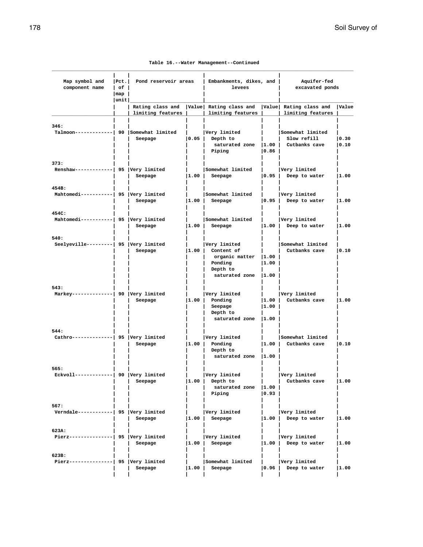|  |  | Table 16.--Water Management--Continued |
|--|--|----------------------------------------|
|--|--|----------------------------------------|

| Map symbol and<br>component name                  | $ $ Pct.<br>$ $ of $ $<br>$\lfloor$ map $\rfloor$ | Pond reservoir areas                    |                    | Embankments, dikes, and<br>levees                                                                          |                                    | Aquifer-fed<br>excavated ponds            |               |  |
|---------------------------------------------------|---------------------------------------------------|-----------------------------------------|--------------------|------------------------------------------------------------------------------------------------------------|------------------------------------|-------------------------------------------|---------------|--|
|                                                   | unit                                              |                                         |                    |                                                                                                            |                                    |                                           |               |  |
|                                                   |                                                   | limiting features                       |                    | Rating class and   Value  Rating class and   Value  Rating class and<br>limiting features                  |                                    | limiting features                         | <b>Value</b>  |  |
| 346:<br>Talmoon-------------  90 Somewhat limited |                                                   | Seepage                                 |                    | Very limited<br>$ 0.05 $ Depth to<br>saturated zone  1.00   Cutbanks cave<br>Piping                        | $ 0.86\rangle$                     | Somewhat limited<br>Slow refill           | 0.30<br> 0.10 |  |
| 373:<br>Renshaw-------------  95   Very limited   |                                                   | Seepage                                 | $\vert 1.00 \vert$ | Somewhat limited  <br>Seepage                                                                              | 0.95                               | Very limited<br>Deep to water             | 1.00          |  |
| 454B:<br>Mahtomedi-----------  95 Very limited    |                                                   | Seepage                                 | $\vert 1.00 \vert$ | Somewhat limited<br>Seepage                                                                                | 0.95                               | Very limited<br>Deep to water             | 1.00          |  |
| 454C:<br>Mahtomedi-----------  95 Very limited    |                                                   | Seepage                                 | $\vert 1.00 \vert$ | Somewhat limited<br>Seepage                                                                                | $\mathbf{L}$<br>$\vert 1.00 \vert$ | Very limited<br>Deep to water             | 1.00          |  |
| 540:<br>Seelyeville---------  95 Very limited     |                                                   | Seepage                                 |                    | Very limited<br>$ 1.00 $ Content of<br>organic matter  1.00<br>Ponding<br>Depth to<br>saturated zone  1.00 | 1.00                               | Somewhat limited<br>Cutbanks cave         | 0.10          |  |
| 543:<br>Markey--------------  90   Very limited   |                                                   | Seepage                                 |                    | Very limited<br>$ 1.00 $ Ponding<br>Seepage<br>Depth to<br>saturated zone  1.00                            | $\vert 1.00 \vert$<br> 1.00        | Very limited<br>Cutbanks cave             | 1.00          |  |
| 544:<br>Cathro--------------  95   Very limited   |                                                   | Seepage                                 |                    | Very limited<br>$ 1.00 $ Ponding<br>Depth to<br>saturated zone 1.00                                        |                                    | Somewhat limited<br> 1.00   Cutbanks cave | 0.10          |  |
| 565:<br>Eckvoll-------------  90  Very limited    |                                                   | Seepage                                 |                    | Very limited<br>$ 1.00 $ Depth to<br>saturated zone  1.00<br>Piping                                        | 0.93                               | Very limited<br>Cutbanks cave             | 1.00          |  |
| 567:<br>Verndale-----------  95 Very limited      |                                                   | Seepage                                 | 1.00               | Very limited<br>Seepage                                                                                    | 1.00                               | Very limited<br>Deep to water             | 1.00          |  |
| 623A:<br>Pierz---------------  95   Very limited  |                                                   | Seepage                                 | 1.00               | Very limited<br>Seepage                                                                                    | 1.00                               | Very limited<br>Deep to water             | 1.00          |  |
| 623B:<br>Pierz-----                               |                                                   | ----------  95  Very limited<br>Seepage | 1.00               | Somewhat limited<br>Seepage                                                                                | 0.96                               | Very limited<br>Deep to water             | 1.00          |  |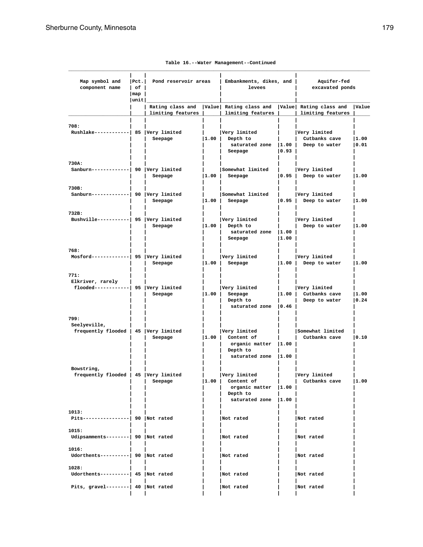| Map symbol and<br>component name                                      | $ $ Pct.<br>l of l | Pond reservoir areas                  |      | Embankments, dikes, and<br>levees                                                                 |                         | Aquifer-fed<br>excavated ponds                 |               |
|-----------------------------------------------------------------------|--------------------|---------------------------------------|------|---------------------------------------------------------------------------------------------------|-------------------------|------------------------------------------------|---------------|
|                                                                       | map<br> unit       |                                       |      |                                                                                                   |                         |                                                |               |
|                                                                       |                    | Rating class and<br>limiting features |      | Value  Rating class and<br>limiting features                                                      |                         | Value Rating class and<br>limiting features    | Value         |
| 708:<br>Rushlake------------  85   Very limited                       |                    | Seepage                               | 1.00 | Very limited<br>Depth to<br>saturated zone   1.00  <br>Seepage                                    | $ 0.93\rangle$          | Very limited<br>Cutbanks cave<br>Deep to water | 1.00<br> 0.01 |
| 730A:<br>Sanburn-------------  90  Very limited                       |                    | Seepage                               | 1.00 | Somewhat limited<br>Seepage                                                                       | 0.95                    | Very limited<br>Deep to water                  | 1.00          |
| 730B:<br>Sanburn-------------  90  Very limited                       |                    | Seepage                               | 1.00 | Somewhat limited<br>Seepage                                                                       | 0.95                    | Very limited<br>Deep to water                  | 1.00          |
| 732B:<br>Bushville----------  95  Very limited                        |                    | Seepage                               | 1.00 | Very limited<br>Depth to<br>saturated zone<br>Seepage                                             | 1.00<br> 1.00           | Very limited<br>Deep to water                  | 1.00          |
| 768:<br>Mosford-------------  95   Very limited                       |                    | Seepage                               | 1.00 | Very limited<br>Seepage                                                                           | 1.00                    | Very limited<br>Deep to water                  | 1.00          |
| 771:<br>Elkriver, rarely<br>$f$ looded------------  95   Very limited |                    | Seepage                               | 1.00 | Very limited<br>Seepage<br>Depth to<br>saturated zone                                             | 1.00 <br>$ 0.46\rangle$ | Very limited<br>Cutbanks cave<br>Deep to water | 1.00<br> 0.24 |
| 799:<br>Seelyeville,<br>frequently flooded   45   Very limited        |                    | Seepage                               | 1.00 | Very limited<br>Content of<br>organic matter $ 1.00$<br>Depth to<br>saturated zone                | 11.00                   | Somewhat limited<br>Cutbanks cave              | 0.10          |
| Bowstring,<br>frequently flooded   45   Very limited                  |                    | Seepage                               |      | Very limited<br>$ 1.00 $ Content of<br>organic matter $ 1.00$<br>Depth to<br>saturated zone  1.00 | $\Box$                  | Very limited<br>Cutbanks cave                  | 1.00          |
| 1013:<br>Pits----------------  90  Not rated                          |                    |                                       |      | Not rated                                                                                         |                         | Not rated                                      |               |
| 1015:<br>Udipsamments--------  90  Not rated                          |                    |                                       |      | Not rated                                                                                         |                         | Not rated                                      |               |
| 1016:<br>Udorthents----------  90  Not rated                          |                    |                                       |      | Not rated                                                                                         |                         | Not rated                                      |               |
| 1028:<br>Udorthents----------  45 Not rated                           |                    |                                       |      | Not rated                                                                                         |                         | Not rated                                      |               |
| Pits, gravel--------  $40$  Not rated                                 |                    |                                       |      | Not rated                                                                                         |                         | Not rated                                      |               |

# **Table 16.--Water Management--Continued**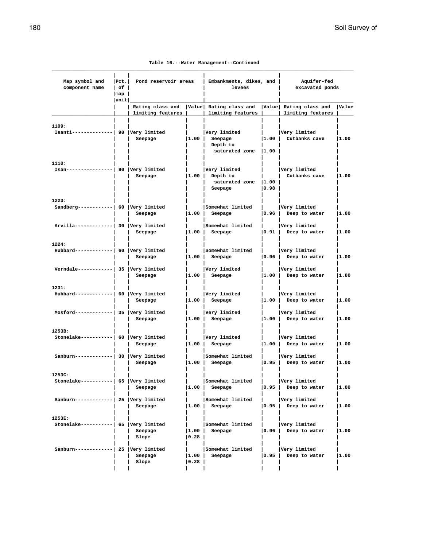|  |  | Table 16.--Water Management--Continued |
|--|--|----------------------------------------|
|--|--|----------------------------------------|

| Map symbol and<br>component name                 | $ $ Pct.<br>l of l | Pond reservoir areas                  |                         | Embankments, dikes, and<br>levees                                                           |                       | Aquifer-fed<br>excavated ponds         |       |
|--------------------------------------------------|--------------------|---------------------------------------|-------------------------|---------------------------------------------------------------------------------------------|-----------------------|----------------------------------------|-------|
|                                                  | map<br> unit       |                                       |                         |                                                                                             |                       |                                        |       |
|                                                  |                    | limiting features                     |                         | Rating class and   Value   Rating class and   Value   Rating class and<br>limiting features |                       | limiting features                      | Value |
| 1109:<br>Isanti--------------  90   Very limited |                    | Seepage                               |                         | Very limited<br>$ 1.00 $ Seepage<br>Depth to<br>saturated zone  1.00                        |                       | Very limited<br>$ 1.00 $ Cutbanks cave | 1.00  |
| 1110:<br>$Isan---$                               |                    | --------  90  Very limited<br>Seepage |                         | Very limited<br>$ 1.00 $ Depth to<br>saturated zone  1.00<br>Seepage                        | 0.98                  | Very limited<br>Cutbanks cave          | 1.00  |
| 1223:<br>Sandberg------------  60   Very limited |                    | Seepage                               | $\vert 1.00 \vert$      | Somewhat limited<br>Seepage                                                                 | 0.96                  | Very limited<br>Deep to water          | 1.00  |
| Arvilla-------------  30 Very limited            |                    | Seepage                               |                         | Somewhat limited<br>$ 1.00 $ Seepage                                                        |                       | Very limited<br>$ 0.91 $ Deep to water | 1.00  |
| 1224:<br>Hubbard------------  60   Very limited  |                    | Seepage                               | $\vert 1.00 \vert$      | Somewhat limited<br>Seepage                                                                 | 0.96                  | Very limited<br>Deep to water          | 1.00  |
| Verndale------------  35   Very limited          |                    | Seepage                               |                         | Very limited<br>$ 1.00 $ Seepage                                                            | $\vert 1.00 \vert$    | Very limited<br>Deep to water          | 1.00  |
| 1231:<br>Hubbard------------  60   Very limited  |                    | Seepage                               |                         | Very limited<br>$ 1.00 $ Seepage                                                            | 1.00                  | Very limited<br>Deep to water          | 1.00  |
| Mosford-------------  35  Very limited           |                    | Seepage                               |                         | Very limited<br>$ 1.00 $ Seepage                                                            | 1.00                  | Very limited<br>Deep to water          | 1.00  |
| 1253B:<br>Stonelake----------  60   Very limited |                    | Seepage                               | $\vert 1.00 \vert$      | Very limited<br>Seepage                                                                     | 1.00                  | Very limited<br>Deep to water          | 1.00  |
| Sanburn-------------  30  Very limited           |                    | Seepage                               | $\vert 1.00 \vert$      | Somewhat limited<br>Seepage                                                                 | 0.95                  | Very limited<br>Deep to water          | 1.00  |
| 1253C:<br>Stonelake----------  65   Very limited |                    | Seepage                               | 1.00                    | Somewhat limited<br>Seepage                                                                 | $\mathbf{L}$<br> 0.95 | Very limited<br>Deep to water          | 1.00  |
| Sanburn-------------  25  Very limited           |                    | Seepage                               | 1.00                    | Somewhat limited<br>Seepage                                                                 | 0.95                  | Very limited<br>Deep to water          | 1.00  |
| 1253E:<br>Stonelake----------  65   Very limited |                    | Seepage<br>Slope                      | 1.00 <br>$ 0.28\rangle$ | Somewhat limited<br>Seepage                                                                 | 0.96                  | Very limited<br>Deep to water          | 1.00  |
| Sanburn------------  25  Very limited            |                    | Seepage<br>Slope                      | 1.00  <br> 0.28         | Somewhat limited<br>Seepage                                                                 | 0.95                  | Very limited<br>Deep to water          | 1.00  |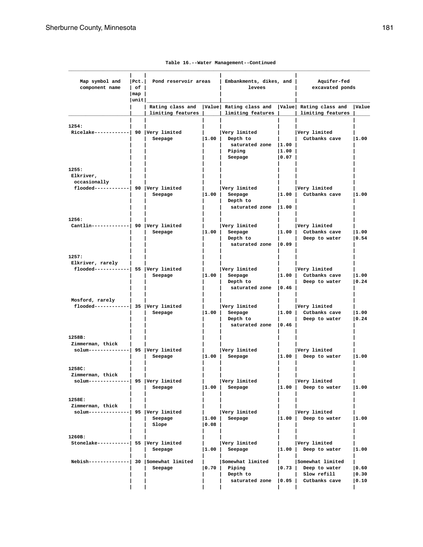| Map symbol and<br>component name                                            | Pet. <br>l of l<br>$\lceil map \rceil$ | Pond reservoir areas                  |               | Embankments, dikes, and<br>levees                                     |                         | Aquifer-fed<br>excavated ponds                                    |                         |
|-----------------------------------------------------------------------------|----------------------------------------|---------------------------------------|---------------|-----------------------------------------------------------------------|-------------------------|-------------------------------------------------------------------|-------------------------|
|                                                                             | unit                                   | Rating class and<br>limiting features |               | Value Rating class and<br>limiting features                           |                         | Value Rating class and<br>limiting features                       | <b>Value</b>            |
| 1254:<br>Ricelake------------  90  Very limited                             |                                        | Seepage                               | 1.00          | Very limited<br>Depth to<br>saturated zone  1.00<br>Piping<br>Seepage | $ 1.00\rangle$<br> 0.07 | Very limited<br>Cutbanks cave                                     | 1.00                    |
| 1255:<br>Elkriver,<br>occasionally<br>flooded------------  90  Very limited |                                        | Seepage                               | 1.00          | Very limited<br>Seepage<br>Depth to<br>saturated zone 1.00            |                         | Very limited<br> 1.00   Cutbanks cave                             | 1.00                    |
| 1256:<br>Cantlin-------------  90  Very limited                             |                                        | Seepage                               | 1.00          | Very limited<br>Seepage<br>Depth to<br>saturated zone 10.09           |                         | Very limited<br>1.00 Cutbanks cave<br>Deep to water               | 1.00<br> 0.54           |
| 1257:<br>Elkriver, rarely<br>$f$ looded------------  55  Very limited       |                                        | Seepage                               | 1.00          | Very limited<br>Seepage<br>Depth to<br>saturated zone   0.46          | 1.00                    | Very limited<br>Cutbanks cave<br>Deep to water                    | 1.00<br> 0.24           |
| Mosford, rarely<br>$f$ looded------------  35  Very limited                 |                                        | Seepage                               | 1.00          | Very limited<br>Seepage<br>Depth to<br>saturated zone   0.46          | 1.00                    | Very limited<br>Cutbanks cave<br>Deep to water                    | 1.00<br> 0.24           |
| 1258B:<br>Zimmerman, thick<br>solum--------------  95   Very limited        |                                        | Seepage                               | 1.00          | Very limited<br>Seepage                                               | 1.00                    | Very limited<br>Deep to water                                     | 1.00                    |
| 1258C:<br>Zimmerman, thick<br>solum--------------  95  Very limited         |                                        | Seepage                               | 1.00          | Very limited<br>Seepage                                               | 1.00                    | Very limited<br>Deep to water                                     | 1.00                    |
| 1258E:<br>Zimmerman, thick<br>solum--------------  95  Very limited         |                                        | Seepage<br>Slope                      | 1.00 <br>0.08 | Very limited<br>Seepage                                               | 1.00                    | Very limited<br>Deep to water                                     | 1.00                    |
| 1260B:<br>Stonelake-----------  55 Very limited                             |                                        | Seepage                               | 1.00          | Very limited<br>Seepage                                               | 1.00                    | Very limited<br>Deep to water                                     | 1.00                    |
| Nebish-------------  30   Somewhat limited                                  |                                        | Seepage                               | 0.70          | Somewhat limited<br>Piping<br>Depth to<br>saturated zone              | 0.73 <br> 0.05          | Somewhat limited<br>Deep to water<br>Slow refill<br>Cutbanks cave | 0.60 <br> 0.30<br> 0.10 |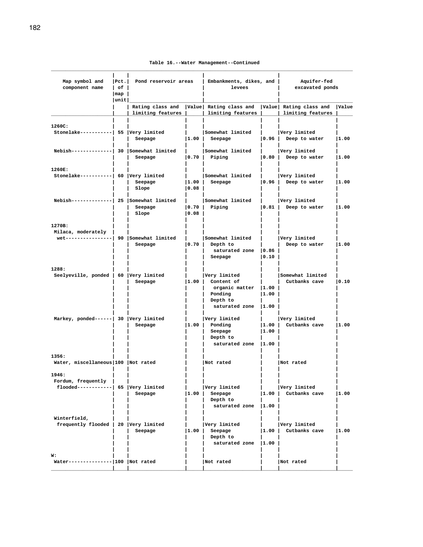**Table 16.--Water Management--Continued**

| Map symbol and<br>component name           | Pet. <br>$ $ of $ $<br>$\lfloor map \rfloor$ | Pond reservoir areas |       | Embankments, dikes, and  <br>levees                                                            |                | Aquifer-fed<br>excavated ponds         |      |
|--------------------------------------------|----------------------------------------------|----------------------|-------|------------------------------------------------------------------------------------------------|----------------|----------------------------------------|------|
|                                            | unit                                         |                      |       |                                                                                                |                |                                        |      |
|                                            |                                              | limiting features    |       | Rating class and  Value  Rating class and  Value  Rating class and  Value<br>limiting features |                | limiting features                      |      |
|                                            |                                              |                      |       |                                                                                                |                |                                        |      |
| 1260C:                                     |                                              |                      |       |                                                                                                |                |                                        |      |
| Stonelake-----------  55 Very limited      |                                              | Seepage              | 1.00  | Somewhat limited<br>Seepage                                                                    |                | Very limited<br>$ 0.96 $ Deep to water | 1.00 |
|                                            |                                              |                      |       |                                                                                                |                |                                        |      |
| Nebish-------------  30   Somewhat limited |                                              |                      |       | Somewhat limited                                                                               |                | Very limited                           |      |
|                                            |                                              | Seepage              |       | $ 0.70 $ Piping                                                                                |                | $ 0.80 $ Deep to water                 | 1.00 |
|                                            |                                              |                      |       |                                                                                                |                |                                        |      |
| 1260E:                                     |                                              |                      |       |                                                                                                |                |                                        |      |
| Stonelake-----------  60 Very limited      |                                              | Seepage              | 1.00  | Somewhat limited<br>Seepage                                                                    |                | Very limited<br>$ 0.96 $ Deep to water | 1.00 |
|                                            |                                              | Slope                | 0.08  |                                                                                                |                |                                        |      |
|                                            |                                              |                      |       |                                                                                                |                |                                        |      |
| Nebish-------------  25   Somewhat limited |                                              |                      | l and | Somewhat limited                                                                               |                | Very limited                           |      |
|                                            |                                              | Seepage              |       | $ 0.70 $ Piping                                                                                |                | $\vert 0.81 \vert$ Deep to water       | 1.00 |
|                                            |                                              | Slope                | 0.08  |                                                                                                |                |                                        |      |
| 1270B:                                     |                                              |                      |       |                                                                                                |                |                                        |      |
| Milaca, moderately                         |                                              |                      |       |                                                                                                |                |                                        |      |
| wet---------------  90   Somewhat limited  |                                              |                      |       | Somewhat limited                                                                               |                | Very limited                           |      |
|                                            |                                              | Seepage              |       | $ 0.70 $ Depth to                                                                              |                | Deep to water                          | 1.00 |
|                                            |                                              |                      |       | saturated zone   0.86                                                                          |                |                                        |      |
|                                            |                                              |                      |       | Seepage                                                                                        | 0.10           |                                        |      |
| 1288:                                      |                                              |                      |       |                                                                                                |                |                                        |      |
| Seelyeville, ponded   60 Very limited      |                                              |                      |       | Very limited                                                                                   |                | Somewhat limited                       |      |
|                                            |                                              | Seepage              |       | $ 1.00 $ Content of                                                                            |                | Cutbanks cave                          | 0.10 |
|                                            |                                              |                      |       | organic matter  1.00                                                                           |                |                                        |      |
|                                            |                                              |                      |       | Ponding                                                                                        | 1.00           |                                        |      |
|                                            |                                              |                      |       | Depth to                                                                                       |                |                                        |      |
|                                            |                                              |                      |       | saturated zone $ 1.00 $                                                                        |                |                                        |      |
| Markey, ponded------  30 Very limited      |                                              |                      |       | Very limited                                                                                   |                | Very limited                           |      |
|                                            |                                              | Seepage              | 1.00  | Ponding                                                                                        |                | 1.00   Cutbanks cave                   | 1.00 |
|                                            |                                              |                      |       | Seepage                                                                                        | 1.00           |                                        |      |
|                                            |                                              |                      |       | Depth to                                                                                       |                |                                        |      |
|                                            |                                              |                      |       | saturated zone 1.00                                                                            |                |                                        |      |
| 1356:                                      |                                              |                      |       |                                                                                                |                |                                        |      |
| Water, miscellaneous 100 Not rated         |                                              |                      |       | Not rated                                                                                      |                | Not rated                              |      |
|                                            |                                              |                      |       |                                                                                                |                |                                        |      |
| 1946:                                      |                                              |                      |       |                                                                                                |                |                                        |      |
| Fordum, frequently                         |                                              |                      |       |                                                                                                |                |                                        |      |
| $f$ looded------------  65   Very limited  |                                              |                      |       | Very limited                                                                                   |                | Very limited<br>Cutbanks cave          |      |
|                                            |                                              | Seepage              | 1.00  | Seepage<br>Depth to                                                                            | 1.00           |                                        | 1.00 |
|                                            |                                              |                      |       | saturated zone  1.00                                                                           |                |                                        |      |
|                                            |                                              |                      |       |                                                                                                |                |                                        |      |
| Winterfield,                               |                                              |                      |       |                                                                                                |                |                                        |      |
| frequently flooded   20 Very limited       |                                              |                      |       | Very limited                                                                                   |                | Very limited                           |      |
|                                            |                                              | Seepage              | 1.00  | Seepage<br>Depth to                                                                            | 1.00           | Cutbanks cave                          | 1.00 |
|                                            |                                              |                      |       | saturated zone                                                                                 | $ 1.00\rangle$ |                                        |      |
|                                            |                                              |                      |       |                                                                                                |                |                                        |      |
| W:                                         |                                              |                      |       |                                                                                                |                |                                        |      |
| Water-------------- 100  Not rated         |                                              |                      |       | Not rated                                                                                      |                | Not rated                              |      |
|                                            |                                              |                      |       |                                                                                                |                |                                        |      |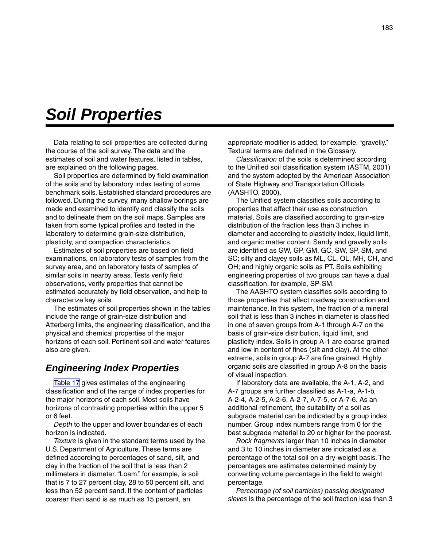# *Soil Properties*

Data relating to soil properties are collected during the course of the soil survey. The data and the estimates of soil and water features, listed in tables, are explained on the following pages.

Soil properties are determined by field examination of the soils and by laboratory index testing of some benchmark soils. Established standard procedures are followed. During the survey, many shallow borings are made and examined to identify and classify the soils and to delineate them on the soil maps. Samples are taken from some typical profiles and tested in the laboratory to determine grain-size distribution, plasticity, and compaction characteristics.

Estimates of soil properties are based on field examinations, on laboratory tests of samples from the survey area, and on laboratory tests of samples of similar soils in nearby areas. Tests verify field observations, verify properties that cannot be estimated accurately by field observation, and help to characterize key soils.

The estimates of soil properties shown in the tables include the range of grain-size distribution and Atterberg limits, the engineering classification, and the physical and chemical properties of the major horizons of each soil. Pertinent soil and water features also are given.

### *Engineering Index Properties*

[Table 17](#page-188-0) gives estimates of the engineering classification and of the range of index properties for the major horizons of each soil. Most soils have horizons of contrasting properties within the upper 5 or 6 feet.

*Depth* to the upper and lower boundaries of each horizon is indicated.

*Texture* is given in the standard terms used by the U.S. Department of Agriculture. These terms are defined according to percentages of sand, silt, and clay in the fraction of the soil that is less than 2 millimeters in diameter. "Loam," for example, is soil that is 7 to 27 percent clay, 28 to 50 percent silt, and less than 52 percent sand. If the content of particles coarser than sand is as much as 15 percent, an

appropriate modifier is added, for example, "gravelly." Textural terms are defined in the Glossary.

*Classification* of the soils is determined according to the Unified soil classification system (ASTM, 2001) and the system adopted by the American Association of State Highway and Transportation Officials (AASHTO, 2000).

The Unified system classifies soils according to properties that affect their use as construction material. Soils are classified according to grain-size distribution of the fraction less than 3 inches in diameter and according to plasticity index, liquid limit, and organic matter content. Sandy and gravelly soils are identified as GW, GP, GM, GC, SW, SP, SM, and SC; silty and clayey soils as ML, CL, OL, MH, CH, and OH; and highly organic soils as PT. Soils exhibiting engineering properties of two groups can have a dual classification, for example, SP-SM.

The AASHTO system classifies soils according to those properties that affect roadway construction and maintenance. In this system, the fraction of a mineral soil that is less than 3 inches in diameter is classified in one of seven groups from A-1 through A-7 on the basis of grain-size distribution, liquid limit, and plasticity index. Soils in group A-1 are coarse grained and low in content of fines (silt and clay). At the other extreme, soils in group A-7 are fine grained. Highly organic soils are classified in group A-8 on the basis of visual inspection.

If laboratory data are available, the A-1, A-2, and A-7 groups are further classified as A-1-a, A-1-b, A-2-4, A-2-5, A-2-6, A-2-7, A-7-5, or A-7-6. As an additional refinement, the suitability of a soil as subgrade material can be indicated by a group index number. Group index numbers range from 0 for the best subgrade material to 20 or higher for the poorest.

*Rock fragments* larger than 10 inches in diameter and 3 to 10 inches in diameter are indicated as a percentage of the total soil on a dry-weight basis. The percentages are estimates determined mainly by converting volume percentage in the field to weight percentage.

*Percentage (of soil particles) passing designated sieves* is the percentage of the soil fraction less than 3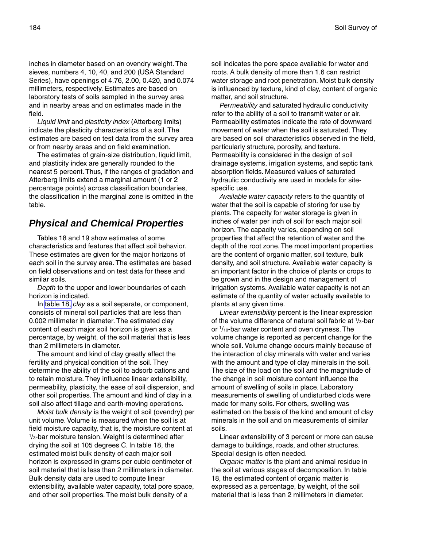inches in diameter based on an ovendry weight. The sieves, numbers 4, 10, 40, and 200 (USA Standard Series), have openings of 4.76, 2.00, 0.420, and 0.074 millimeters, respectively. Estimates are based on laboratory tests of soils sampled in the survey area and in nearby areas and on estimates made in the field.

*Liquid limit* and *plasticity index* (Atterberg limits) indicate the plasticity characteristics of a soil. The estimates are based on test data from the survey area or from nearby areas and on field examination.

The estimates of grain-size distribution, liquid limit, and plasticity index are generally rounded to the nearest 5 percent. Thus, if the ranges of gradation and Atterberg limits extend a marginal amount (1 or 2 percentage points) across classification boundaries, the classification in the marginal zone is omitted in the table.

## *Physical and Chemical Properties*

Tables 18 and 19 show estimates of some characteristics and features that affect soil behavior. These estimates are given for the major horizons of each soil in the survey area. The estimates are based on field observations and on test data for these and similar soils.

*Depth* to the upper and lower boundaries of each horizon is indicated.

In [table 18,](#page-211-0) *clay* as a soil separate, or component, consists of mineral soil particles that are less than 0.002 millimeter in diameter. The estimated clay content of each major soil horizon is given as a percentage, by weight, of the soil material that is less than 2 millimeters in diameter.

The amount and kind of clay greatly affect the fertility and physical condition of the soil. They determine the ability of the soil to adsorb cations and to retain moisture. They influence linear extensibility, permeability, plasticity, the ease of soil dispersion, and other soil properties. The amount and kind of clay in a soil also affect tillage and earth-moving operations.

*Moist bulk density* is the weight of soil (ovendry) per unit volume. Volume is measured when the soil is at field moisture capacity, that is, the moisture content at 1 /3-bar moisture tension. Weight is determined after drying the soil at 105 degrees C. In table 18, the estimated moist bulk density of each major soil horizon is expressed in grams per cubic centimeter of soil material that is less than 2 millimeters in diameter. Bulk density data are used to compute linear extensibility, available water capacity, total pore space, and other soil properties. The moist bulk density of a

soil indicates the pore space available for water and roots. A bulk density of more than 1.6 can restrict water storage and root penetration. Moist bulk density is influenced by texture, kind of clay, content of organic matter, and soil structure.

*Permeability* and saturated hydraulic conductivity refer to the ability of a soil to transmit water or air. Permeability estimates indicate the rate of downward movement of water when the soil is saturated. They are based on soil characteristics observed in the field, particularly structure, porosity, and texture. Permeability is considered in the design of soil drainage systems, irrigation systems, and septic tank absorption fields. Measured values of saturated hydraulic conductivity are used in models for sitespecific use.

*Available water capacity* refers to the quantity of water that the soil is capable of storing for use by plants. The capacity for water storage is given in inches of water per inch of soil for each major soil horizon. The capacity varies, depending on soil properties that affect the retention of water and the depth of the root zone. The most important properties are the content of organic matter, soil texture, bulk density, and soil structure. Available water capacity is an important factor in the choice of plants or crops to be grown and in the design and management of irrigation systems. Available water capacity is not an estimate of the quantity of water actually available to plants at any given time.

*Linear extensibility* percent is the linear expression of the volume difference of natural soil fabric at 1 /3-bar or 1 /10-bar water content and oven dryness. The volume change is reported as percent change for the whole soil. Volume change occurs mainly because of the interaction of clay minerals with water and varies with the amount and type of clay minerals in the soil. The size of the load on the soil and the magnitude of the change in soil moisture content influence the amount of swelling of soils in place. Laboratory measurements of swelling of undisturbed clods were made for many soils. For others, swelling was estimated on the basis of the kind and amount of clay minerals in the soil and on measurements of similar soils.

Linear extensibility of 3 percent or more can cause damage to buildings, roads, and other structures. Special design is often needed.

*Organic matter* is the plant and animal residue in the soil at various stages of decomposition. In table 18, the estimated content of organic matter is expressed as a percentage, by weight, of the soil material that is less than 2 millimeters in diameter.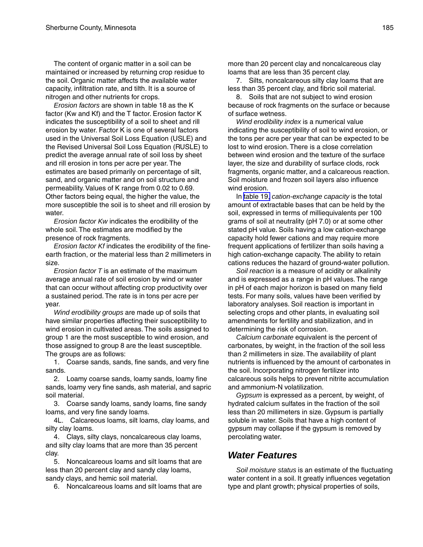The content of organic matter in a soil can be maintained or increased by returning crop residue to the soil. Organic matter affects the available water capacity, infiltration rate, and tilth. It is a source of nitrogen and other nutrients for crops.

*Erosion factors* are shown in table 18 as the K factor (Kw and Kf) and the T factor. Erosion factor K indicates the susceptibility of a soil to sheet and rill erosion by water. Factor K is one of several factors used in the Universal Soil Loss Equation (USLE) and the Revised Universal Soil Loss Equation (RUSLE) to predict the average annual rate of soil loss by sheet and rill erosion in tons per acre per year. The estimates are based primarily on percentage of silt, sand, and organic matter and on soil structure and permeability. Values of K range from 0.02 to 0.69. Other factors being equal, the higher the value, the more susceptible the soil is to sheet and rill erosion by water.

*Erosion factor Kw* indicates the erodibility of the whole soil. The estimates are modified by the presence of rock fragments.

*Erosion factor Kf* indicates the erodibility of the fineearth fraction, or the material less than 2 millimeters in size.

*Erosion factor T* is an estimate of the maximum average annual rate of soil erosion by wind or water that can occur without affecting crop productivity over a sustained period. The rate is in tons per acre per year.

*Wind erodibility groups* are made up of soils that have similar properties affecting their susceptibility to wind erosion in cultivated areas. The soils assigned to group 1 are the most susceptible to wind erosion, and those assigned to group 8 are the least susceptible. The groups are as follows:

1. Coarse sands, sands, fine sands, and very fine sands.

2. Loamy coarse sands, loamy sands, loamy fine sands, loamy very fine sands, ash material, and sapric soil material.

3. Coarse sandy loams, sandy loams, fine sandy loams, and very fine sandy loams.

4L. Calcareous loams, silt loams, clay loams, and silty clay loams.

4. Clays, silty clays, noncalcareous clay loams, and silty clay loams that are more than 35 percent clay.

5. Noncalcareous loams and silt loams that are less than 20 percent clay and sandy clay loams, sandy clays, and hemic soil material.

6. Noncalcareous loams and silt loams that are

more than 20 percent clay and noncalcareous clay loams that are less than 35 percent clay.

7. Silts, noncalcareous silty clay loams that are less than 35 percent clay, and fibric soil material.

8. Soils that are not subject to wind erosion because of rock fragments on the surface or because of surface wetness.

*Wind erodibility index* is a numerical value indicating the susceptibility of soil to wind erosion, or the tons per acre per year that can be expected to be lost to wind erosion. There is a close correlation between wind erosion and the texture of the surface layer, the size and durability of surface clods, rock fragments, organic matter, and a calcareous reaction. Soil moisture and frozen soil layers also influence wind erosion.

In [table 19,](#page-219-0) *cation-exchange capacity* is the total amount of extractable bases that can be held by the soil, expressed in terms of milliequivalents per 100 grams of soil at neutrality (pH 7.0) or at some other stated pH value. Soils having a low cation-exchange capacity hold fewer cations and may require more frequent applications of fertilizer than soils having a high cation-exchange capacity. The ability to retain cations reduces the hazard of ground-water pollution.

*Soil reaction* is a measure of acidity or alkalinity and is expressed as a range in pH values. The range in pH of each major horizon is based on many field tests. For many soils, values have been verified by laboratory analyses. Soil reaction is important in selecting crops and other plants, in evaluating soil amendments for fertility and stabilization, and in determining the risk of corrosion.

*Calcium carbonate* equivalent is the percent of carbonates, by weight, in the fraction of the soil less than 2 millimeters in size. The availability of plant nutrients is influenced by the amount of carbonates in the soil. Incorporating nitrogen fertilizer into calcareous soils helps to prevent nitrite accumulation and ammonium-N volatilization.

*Gypsum* is expressed as a percent, by weight, of hydrated calcium sulfates in the fraction of the soil less than 20 millimeters in size. Gypsum is partially soluble in water. Soils that have a high content of gypsum may collapse if the gypsum is removed by percolating water.

### *Water Features*

*Soil moisture status* is an estimate of the fluctuating water content in a soil. It greatly influences vegetation type and plant growth; physical properties of soils,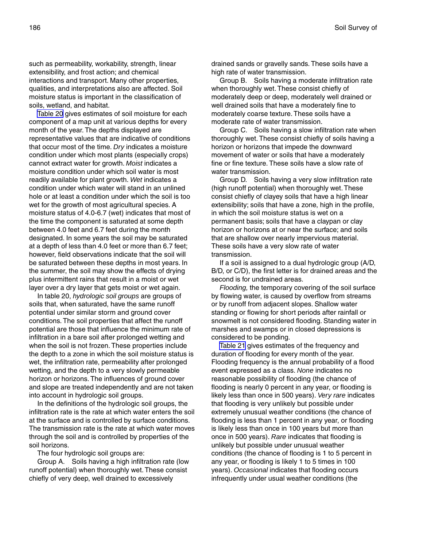such as permeability, workability, strength, linear extensibility, and frost action; and chemical interactions and transport. Many other properties, qualities, and interpretations also are affected. Soil moisture status is important in the classification of soils, wetland, and habitat.

[Table 20](#page-227-0) gives estimates of soil moisture for each component of a map unit at various depths for every month of the year. The depths displayed are representative values that are indicative of conditions that occur most of the time. *Dry* indicates a moisture condition under which most plants (especially crops) cannot extract water for growth. *Moist* indicates a moisture condition under which soil water is most readily available for plant growth. *Wet* indicates a condition under which water will stand in an unlined hole or at least a condition under which the soil is too wet for the growth of most agricultural species. A moisture status of 4.0-6.7 (wet) indicates that most of the time the component is saturated at some depth between 4.0 feet and 6.7 feet during the month designated. In some years the soil may be saturated at a depth of less than 4.0 feet or more than 6.7 feet; however, field observations indicate that the soil will be saturated between these depths in most years. In the summer, the soil may show the effects of drying plus intermittent rains that result in a moist or wet layer over a dry layer that gets moist or wet again.

In table 20, *hydrologic soil groups* are groups of soils that, when saturated, have the same runoff potential under similar storm and ground cover conditions. The soil properties that affect the runoff potential are those that influence the minimum rate of infiltration in a bare soil after prolonged wetting and when the soil is not frozen. These properties include the depth to a zone in which the soil moisture status is wet, the infiltration rate, permeability after prolonged wetting, and the depth to a very slowly permeable horizon or horizons. The influences of ground cover and slope are treated independently and are not taken into account in hydrologic soil groups.

In the definitions of the hydrologic soil groups, the infiltration rate is the rate at which water enters the soil at the surface and is controlled by surface conditions. The transmission rate is the rate at which water moves through the soil and is controlled by properties of the soil horizons.

The four hydrologic soil groups are:

Group A. Soils having a high infiltration rate (low runoff potential) when thoroughly wet. These consist chiefly of very deep, well drained to excessively

drained sands or gravelly sands. These soils have a high rate of water transmission.

Group B. Soils having a moderate infiltration rate when thoroughly wet. These consist chiefly of moderately deep or deep, moderately well drained or well drained soils that have a moderately fine to moderately coarse texture. These soils have a moderate rate of water transmission.

Group C. Soils having a slow infiltration rate when thoroughly wet. These consist chiefly of soils having a horizon or horizons that impede the downward movement of water or soils that have a moderately fine or fine texture. These soils have a slow rate of water transmission.

Group D. Soils having a very slow infiltration rate (high runoff potential) when thoroughly wet. These consist chiefly of clayey soils that have a high linear extensibility; soils that have a zone, high in the profile, in which the soil moisture status is wet on a permanent basis; soils that have a claypan or clay horizon or horizons at or near the surface; and soils that are shallow over nearly impervious material. These soils have a very slow rate of water transmission.

If a soil is assigned to a dual hydrologic group (A/D, B/D, or C/D), the first letter is for drained areas and the second is for undrained areas.

*Flooding,* the temporary covering of the soil surface by flowing water, is caused by overflow from streams or by runoff from adjacent slopes. Shallow water standing or flowing for short periods after rainfall or snowmelt is not considered flooding. Standing water in marshes and swamps or in closed depressions is considered to be ponding.

[Table 21](#page-238-0) gives estimates of the frequency and duration of flooding for every month of the year. Flooding frequency is the annual probability of a flood event expressed as a class. *None* indicates no reasonable possibility of flooding (the chance of flooding is nearly 0 percent in any year, or flooding is likely less than once in 500 years). *Very rare* indicates that flooding is very unlikely but possible under extremely unusual weather conditions (the chance of flooding is less than 1 percent in any year, or flooding is likely less than once in 100 years but more than once in 500 years). *Rare* indicates that flooding is unlikely but possible under unusual weather conditions (the chance of flooding is 1 to 5 percent in any year, or flooding is likely 1 to 5 times in 100 years). *Occasional* indicates that flooding occurs infrequently under usual weather conditions (the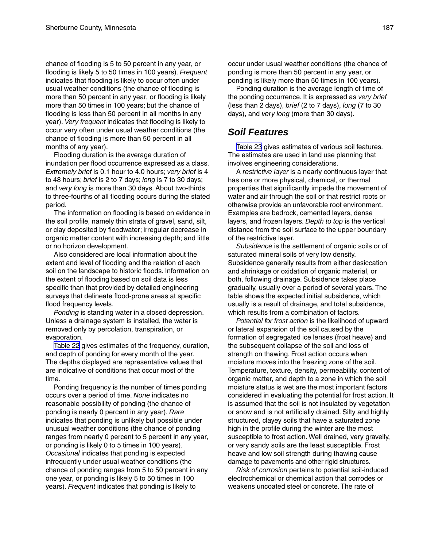chance of flooding is 5 to 50 percent in any year, or flooding is likely 5 to 50 times in 100 years). *Frequent* indicates that flooding is likely to occur often under usual weather conditions (the chance of flooding is more than 50 percent in any year, or flooding is likely more than 50 times in 100 years; but the chance of flooding is less than 50 percent in all months in any year). *Very frequent* indicates that flooding is likely to occur very often under usual weather conditions (the chance of flooding is more than 50 percent in all months of any year).

Flooding duration is the average duration of inundation per flood occurrence expressed as a class. *Extremely brief* is 0.1 hour to 4.0 hours; *very brief* is 4 to 48 hours; *brief* is 2 to 7 days; *long* is 7 to 30 days; and *very long* is more than 30 days. About two-thirds to three-fourths of all flooding occurs during the stated period.

The information on flooding is based on evidence in the soil profile, namely thin strata of gravel, sand, silt, or clay deposited by floodwater; irregular decrease in organic matter content with increasing depth; and little or no horizon development.

Also considered are local information about the extent and level of flooding and the relation of each soil on the landscape to historic floods. Information on the extent of flooding based on soil data is less specific than that provided by detailed engineering surveys that delineate flood-prone areas at specific flood frequency levels.

*Ponding* is standing water in a closed depression. Unless a drainage system is installed, the water is removed only by percolation, transpiration, or evaporation.

[Table 22](#page-245-0) gives estimates of the frequency, duration, and depth of ponding for every month of the year. The depths displayed are representative values that are indicative of conditions that occur most of the time.

Ponding frequency is the number of times ponding occurs over a period of time. *None* indicates no reasonable possibility of ponding (the chance of ponding is nearly 0 percent in any year). *Rare* indicates that ponding is unlikely but possible under unusual weather conditions (the chance of ponding ranges from nearly 0 percent to 5 percent in any year, or ponding is likely 0 to 5 times in 100 years). *Occasional* indicates that ponding is expected infrequently under usual weather conditions (the chance of ponding ranges from 5 to 50 percent in any one year, or ponding is likely 5 to 50 times in 100 years). *Frequent* indicates that ponding is likely to

occur under usual weather conditions (the chance of ponding is more than 50 percent in any year, or ponding is likely more than 50 times in 100 years).

Ponding duration is the average length of time of the ponding occurrence. It is expressed as *very brief* (less than 2 days), *brief* (2 to 7 days), *long* (7 to 30 days), and *very long* (more than 30 days).

# *Soil Features*

[Table 23](#page-252-0) gives estimates of various soil features. The estimates are used in land use planning that involves engineering considerations.

A *restrictive layer* is a nearly continuous layer that has one or more physical, chemical, or thermal properties that significantly impede the movement of water and air through the soil or that restrict roots or otherwise provide an unfavorable root environment. Examples are bedrock, cemented layers, dense layers, and frozen layers. *Depth to top* is the vertical distance from the soil surface to the upper boundary of the restrictive layer.

*Subsidence* is the settlement of organic soils or of saturated mineral soils of very low density. Subsidence generally results from either desiccation and shrinkage or oxidation of organic material, or both, following drainage. Subsidence takes place gradually, usually over a period of several years. The table shows the expected initial subsidence, which usually is a result of drainage, and total subsidence, which results from a combination of factors.

*Potential for frost action* is the likelihood of upward or lateral expansion of the soil caused by the formation of segregated ice lenses (frost heave) and the subsequent collapse of the soil and loss of strength on thawing. Frost action occurs when moisture moves into the freezing zone of the soil. Temperature, texture, density, permeability, content of organic matter, and depth to a zone in which the soil moisture status is wet are the most important factors considered in evaluating the potential for frost action. It is assumed that the soil is not insulated by vegetation or snow and is not artificially drained. Silty and highly structured, clayey soils that have a saturated zone high in the profile during the winter are the most susceptible to frost action. Well drained, very gravelly, or very sandy soils are the least susceptible. Frost heave and low soil strength during thawing cause damage to pavements and other rigid structures.

*Risk of corrosion* pertains to potential soil-induced electrochemical or chemical action that corrodes or weakens uncoated steel or concrete. The rate of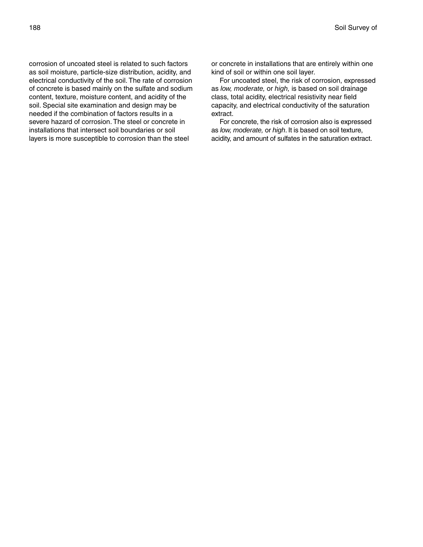corrosion of uncoated steel is related to such factors as soil moisture, particle-size distribution, acidity, and electrical conductivity of the soil. The rate of corrosion of concrete is based mainly on the sulfate and sodium content, texture, moisture content, and acidity of the soil. Special site examination and design may be needed if the combination of factors results in a severe hazard of corrosion. The steel or concrete in installations that intersect soil boundaries or soil layers is more susceptible to corrosion than the steel

or concrete in installations that are entirely within one kind of soil or within one soil layer.

For uncoated steel, the risk of corrosion, expressed as *low, moderate,* or *high,* is based on soil drainage class, total acidity, electrical resistivity near field capacity, and electrical conductivity of the saturation extract.

For concrete, the risk of corrosion also is expressed as *low, moderate,* or *high*. It is based on soil texture, acidity, and amount of sulfates in the saturation extract.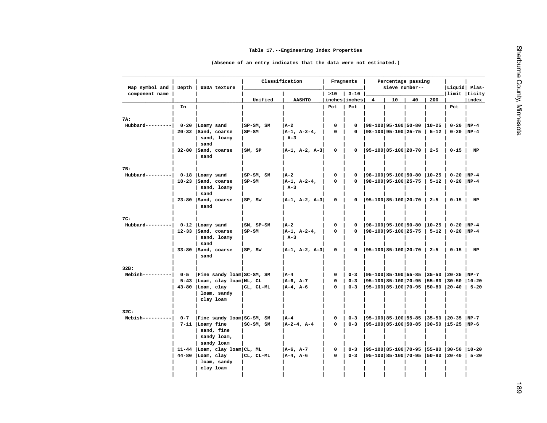<span id="page-188-0"></span>

| Map symbol and                             | Depth   | USDA texture                         |              | Classification       | Fragments            | Percentage passing<br>sieve number-- |   |                                   |    | Liquid  Plas- |                                          |          |
|--------------------------------------------|---------|--------------------------------------|--------------|----------------------|----------------------|--------------------------------------|---|-----------------------------------|----|---------------|------------------------------------------|----------|
| component name                             |         |                                      |              |                      | >10                  | $3 - 10$                             |   |                                   |    |               | limit  ticity                            |          |
|                                            | In      |                                      | Unified      | <b>AASHTO</b>        | inches inches<br>Pct | Pct                                  | 4 | 10                                | 40 | 200           | Pct                                      | index    |
|                                            |         |                                      |              |                      |                      |                                      |   |                                   |    |               |                                          |          |
| 7A:                                        |         |                                      |              |                      |                      |                                      |   |                                   |    |               |                                          |          |
| Hubbard---------  $0-20$   Loamy sand      |         |                                      | $ SP-SM, SM$ | A-2                  | 0                    | 0                                    |   | 98-100 95-100 50-80  10-25        |    |               | $0 - 20$                                 | $NP-4$   |
|                                            |         | $20-32$  Sand, coarse<br>sand, loamy | $ SP-SM $    | A-1, A-2-4,<br>$A-3$ | $\mathbf{0}$         | 0                                    |   | $ 98-100 95-100 25-75 $           |    | $5 - 12$      | $0-20$ NP-4                              |          |
|                                            |         | sand                                 |              |                      |                      |                                      |   |                                   |    |               |                                          |          |
|                                            |         | $32-80$  Sand, coarse                | SW, SP       | A-1, A-2, A-3        | 0                    | 0                                    |   | $ 95-100 85-100 20-70 $           |    | $2 - 5$       | $0 - 15$                                 | NP       |
|                                            |         | sand                                 |              |                      |                      |                                      |   |                                   |    |               |                                          |          |
|                                            |         |                                      |              |                      |                      |                                      |   |                                   |    |               |                                          |          |
| 7B:<br>Hubbard---------  0-18   Loamy sand |         |                                      | $ SP-SM, SM$ | A-2                  | 0                    | $\mathbf 0$                          |   | 98-100 95-100 50-80  10-25        |    |               | $0-20$ NP-4                              |          |
|                                            |         | $18-23$  Sand, coarse                | SP-SM        | A-1, A-2-4,          | 0                    | 0                                    |   | $ 98-100 95-100 25-75 $           |    | $5 - 12$      | $0-20$ NP-4                              |          |
|                                            |         | sand, loamy<br>sand                  |              | $A-3$                |                      |                                      |   |                                   |    |               |                                          |          |
|                                            |         | $23-80$  Sand, coarse                | SP, SW       | A-1, A-2, A-3        | 0                    | 0                                    |   | 95-100 85-100 20-70               |    | $2 - 5$       | $0 - 15$                                 | NP       |
|                                            |         | sand                                 |              |                      |                      |                                      |   |                                   |    |               |                                          |          |
| 7C:                                        |         |                                      |              |                      |                      |                                      |   |                                   |    |               |                                          |          |
| Hubbard---------  0-12   Loamy sand        |         |                                      | $ SM, SP-SM$ | A-2                  | 0                    | 0                                    |   | 98-100 95-100 50-80  10-25        |    |               | $0 - 20$                                 | $NP-4$   |
|                                            |         | 12-33 Sand, coarse                   | $ SP-SM $    | A-1, A-2-4,          | 0                    | 0                                    |   | $ 98-100 95-100 25-75 $           |    | $5 - 12$      | $0-20$ NP-4                              |          |
|                                            |         | sand, loamy<br>sand                  |              | $A-3$                |                      |                                      |   |                                   |    |               |                                          |          |
|                                            |         | 33-80 Sand, coarse                   | SP, SW       | A-1, A-2, A-3        | 0                    | 0                                    |   | $ 95-100 85-100 20-70 $           |    | $2 - 5$       | $0 - 15$                                 | NP       |
|                                            |         | sand                                 |              |                      |                      |                                      |   |                                   |    |               |                                          |          |
| 32B:                                       |         |                                      |              |                      |                      |                                      |   |                                   |    |               |                                          |          |
| $Nebish-----$                              |         | Fine sandy loam  SC-SM, SM           |              | A-4                  | 0                    | $0 - 3$                              |   | 95-100 85-100 55-85  35-50  20-35 |    |               |                                          | $NP-7$   |
|                                            |         | 5-43 Loam, clay loam ML, CL          |              | A-6, A-7             | 0                    | $0 - 3$                              |   | 95-100 85-100 70-95  55-80  30-50 |    |               |                                          | $10-20$  |
|                                            |         | 43-80   Loam, clay                   | CL, CL-ML    | $A-4$ , $A-6$        | $\mathbf{0}$         | $0 - 3$                              |   | 95-100 85-100 70-95  50-80  20-40 |    |               |                                          | $5 - 20$ |
|                                            |         | loam, sandy<br>clay loam             |              |                      |                      |                                      |   |                                   |    |               |                                          |          |
|                                            |         |                                      |              |                      |                      |                                      |   |                                   |    |               |                                          |          |
| 32C:                                       |         |                                      |              |                      |                      |                                      |   |                                   |    |               |                                          |          |
| $Nebish-----$                              | $0 - 7$ | Fine sandy loam SC-SM, SM            |              | A-4                  | $\Omega$             | $0 - 3$                              |   |                                   |    |               | 95-100 85-100 55-85  35-50  20-35  NP-7  |          |
|                                            |         | 7-11   Loamy fine                    | $ SC-SM, SM$ | A-2-4, A-4           | 0                    | $0 - 3$                              |   |                                   |    |               | 95-100 85-100 50-85  30-50  15-25  NP-6  |          |
|                                            |         | sand, fine<br>sandy loam,            |              |                      |                      |                                      |   |                                   |    |               |                                          |          |
|                                            |         | sandy loam                           |              |                      |                      |                                      |   |                                   |    |               |                                          |          |
|                                            |         | 11-44 Loam, clay loam CL, ML         |              | A-6, A-7             | 0                    | $0 - 3$                              |   |                                   |    |               | 95-100 85-100 70-95  55-80  30-50  10-20 |          |
|                                            |         | $44-80$  Loam, clay                  | CL, CL-ML    | $A-4$ , $A-6$        | 0                    | $0 - 3$                              |   | 95-100 85-100 70-95  50-80  20-40 |    |               |                                          | $5 - 20$ |
|                                            |         | loam, sandy                          |              |                      |                      |                                      |   |                                   |    |               |                                          |          |
|                                            |         | clay loam                            |              |                      |                      |                                      |   |                                   |    |               |                                          |          |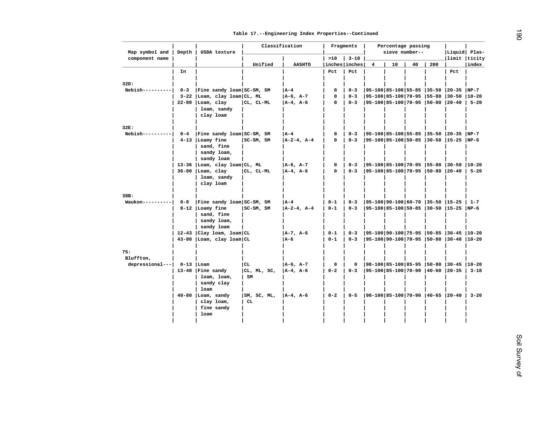| Fine sandy loam  SC-SM, SM<br>3-22 Loam, clay loam CL, ML<br>22-80  Loam, clay<br>loam, sandy<br>clay loam<br>  Fine sandy loam  SC-SM, SM<br>4-13   Loamy fine<br>sand, fine<br>sandy loam,<br>sandy loam<br>13-36 Loam, clay loam CL, ML<br>$36-80$ Loam, clay<br>loam, sandy<br>clay loam<br>Fine sandy loam SC-SM, SM | Unified<br>CL, CL-ML<br>SC-SM, SM<br>CL, CL-ML  | <b>AASHTO</b><br>$ A-4 $<br>$A-6$ , $A-7$<br>$A-4$ , $A-6$<br>  A-4<br>$A-2-4$ , $A-4$<br>$ A-6, A-7 $<br>$A-4$ , $A-6$ | >10<br>inches inches<br>Pct<br>0<br>$\mathbf 0$<br>$\mathbf 0$<br>0<br>0<br>0<br>0 | $3 - 10$<br>Pct<br>$0 - 3$<br>$0 - 3$<br>$0 - 3$<br>$0 - 3$<br>$0 - 3$<br>$0 - 3$<br>$0 - 3$ | 4<br> 95-100 85-100 55-85  35-50  20-35<br> 95-100 85-100 70-95  55-80  30-50<br> 95-100 85-100 70-95  55-80  30-50  10-20 | sieve number--<br>10              | 40 | 200 | Liquid  Plas-<br>limit ticity<br>Pct<br> 95-100 85-100 70-95  50-80  20-40   5-20<br> 95-100 85-100 55-85  35-50  20-35  NP-7<br> 95-100 85-100 50-85  30-50  15-25  NP-6 | index<br>$NP-7$<br>$10 - 20$                                                                                                                                                                                    |
|---------------------------------------------------------------------------------------------------------------------------------------------------------------------------------------------------------------------------------------------------------------------------------------------------------------------------|-------------------------------------------------|-------------------------------------------------------------------------------------------------------------------------|------------------------------------------------------------------------------------|----------------------------------------------------------------------------------------------|----------------------------------------------------------------------------------------------------------------------------|-----------------------------------|----|-----|---------------------------------------------------------------------------------------------------------------------------------------------------------------------------|-----------------------------------------------------------------------------------------------------------------------------------------------------------------------------------------------------------------|
|                                                                                                                                                                                                                                                                                                                           |                                                 |                                                                                                                         |                                                                                    |                                                                                              |                                                                                                                            |                                   |    |     |                                                                                                                                                                           |                                                                                                                                                                                                                 |
|                                                                                                                                                                                                                                                                                                                           |                                                 |                                                                                                                         |                                                                                    |                                                                                              |                                                                                                                            |                                   |    |     |                                                                                                                                                                           |                                                                                                                                                                                                                 |
|                                                                                                                                                                                                                                                                                                                           |                                                 |                                                                                                                         |                                                                                    |                                                                                              |                                                                                                                            |                                   |    |     |                                                                                                                                                                           |                                                                                                                                                                                                                 |
|                                                                                                                                                                                                                                                                                                                           |                                                 |                                                                                                                         |                                                                                    |                                                                                              |                                                                                                                            |                                   |    |     |                                                                                                                                                                           |                                                                                                                                                                                                                 |
|                                                                                                                                                                                                                                                                                                                           |                                                 |                                                                                                                         |                                                                                    |                                                                                              |                                                                                                                            |                                   |    |     |                                                                                                                                                                           |                                                                                                                                                                                                                 |
|                                                                                                                                                                                                                                                                                                                           |                                                 |                                                                                                                         |                                                                                    |                                                                                              |                                                                                                                            |                                   |    |     |                                                                                                                                                                           |                                                                                                                                                                                                                 |
|                                                                                                                                                                                                                                                                                                                           |                                                 |                                                                                                                         |                                                                                    |                                                                                              |                                                                                                                            |                                   |    |     |                                                                                                                                                                           |                                                                                                                                                                                                                 |
|                                                                                                                                                                                                                                                                                                                           |                                                 |                                                                                                                         |                                                                                    |                                                                                              |                                                                                                                            |                                   |    |     |                                                                                                                                                                           |                                                                                                                                                                                                                 |
|                                                                                                                                                                                                                                                                                                                           |                                                 |                                                                                                                         |                                                                                    |                                                                                              |                                                                                                                            |                                   |    |     |                                                                                                                                                                           |                                                                                                                                                                                                                 |
|                                                                                                                                                                                                                                                                                                                           |                                                 |                                                                                                                         |                                                                                    |                                                                                              |                                                                                                                            |                                   |    |     |                                                                                                                                                                           |                                                                                                                                                                                                                 |
|                                                                                                                                                                                                                                                                                                                           |                                                 |                                                                                                                         |                                                                                    |                                                                                              |                                                                                                                            |                                   |    |     |                                                                                                                                                                           |                                                                                                                                                                                                                 |
|                                                                                                                                                                                                                                                                                                                           |                                                 |                                                                                                                         |                                                                                    |                                                                                              |                                                                                                                            |                                   |    |     |                                                                                                                                                                           |                                                                                                                                                                                                                 |
|                                                                                                                                                                                                                                                                                                                           |                                                 |                                                                                                                         |                                                                                    |                                                                                              |                                                                                                                            |                                   |    |     |                                                                                                                                                                           |                                                                                                                                                                                                                 |
|                                                                                                                                                                                                                                                                                                                           |                                                 |                                                                                                                         |                                                                                    |                                                                                              |                                                                                                                            |                                   |    |     |                                                                                                                                                                           |                                                                                                                                                                                                                 |
|                                                                                                                                                                                                                                                                                                                           |                                                 |                                                                                                                         |                                                                                    |                                                                                              |                                                                                                                            |                                   |    |     |                                                                                                                                                                           |                                                                                                                                                                                                                 |
|                                                                                                                                                                                                                                                                                                                           |                                                 |                                                                                                                         |                                                                                    |                                                                                              |                                                                                                                            |                                   |    |     |                                                                                                                                                                           |                                                                                                                                                                                                                 |
|                                                                                                                                                                                                                                                                                                                           |                                                 |                                                                                                                         |                                                                                    |                                                                                              |                                                                                                                            |                                   |    |     |                                                                                                                                                                           |                                                                                                                                                                                                                 |
|                                                                                                                                                                                                                                                                                                                           |                                                 |                                                                                                                         |                                                                                    |                                                                                              |                                                                                                                            | 95-100 85-100 70-95  50-80  20-40 |    |     |                                                                                                                                                                           | $5 - 20$                                                                                                                                                                                                        |
|                                                                                                                                                                                                                                                                                                                           |                                                 |                                                                                                                         |                                                                                    |                                                                                              |                                                                                                                            |                                   |    |     |                                                                                                                                                                           |                                                                                                                                                                                                                 |
|                                                                                                                                                                                                                                                                                                                           |                                                 |                                                                                                                         |                                                                                    |                                                                                              |                                                                                                                            |                                   |    |     |                                                                                                                                                                           |                                                                                                                                                                                                                 |
|                                                                                                                                                                                                                                                                                                                           |                                                 |                                                                                                                         |                                                                                    |                                                                                              |                                                                                                                            |                                   |    |     |                                                                                                                                                                           |                                                                                                                                                                                                                 |
|                                                                                                                                                                                                                                                                                                                           |                                                 |                                                                                                                         |                                                                                    |                                                                                              |                                                                                                                            |                                   |    |     |                                                                                                                                                                           |                                                                                                                                                                                                                 |
|                                                                                                                                                                                                                                                                                                                           |                                                 | l A-4                                                                                                                   | $0 - 1$                                                                            | $0 - 3$                                                                                      | 95-100 90-100 60-70  35-50  15-25                                                                                          |                                   |    |     |                                                                                                                                                                           | $1 - 7$                                                                                                                                                                                                         |
| 8-12   Loamy fine                                                                                                                                                                                                                                                                                                         | SC-SM, SM                                       | $A-2-4$ , $A-4$                                                                                                         | $0 - 1$                                                                            | $0 - 3$                                                                                      |                                                                                                                            |                                   |    |     | 95-100 85-100 50-85  30-50  15-25  NP-6                                                                                                                                   |                                                                                                                                                                                                                 |
| sand, fine                                                                                                                                                                                                                                                                                                                |                                                 |                                                                                                                         |                                                                                    |                                                                                              |                                                                                                                            |                                   |    |     |                                                                                                                                                                           |                                                                                                                                                                                                                 |
| sandy loam,                                                                                                                                                                                                                                                                                                               |                                                 |                                                                                                                         |                                                                                    |                                                                                              |                                                                                                                            |                                   |    |     |                                                                                                                                                                           |                                                                                                                                                                                                                 |
| sandy loam                                                                                                                                                                                                                                                                                                                |                                                 |                                                                                                                         |                                                                                    |                                                                                              |                                                                                                                            |                                   |    |     |                                                                                                                                                                           |                                                                                                                                                                                                                 |
| $12-43$   Clay loam, loam   CL                                                                                                                                                                                                                                                                                            |                                                 | $ A-7, A-6 $                                                                                                            | $0 - 1$                                                                            | $0 - 3$                                                                                      |                                                                                                                            |                                   |    |     |                                                                                                                                                                           |                                                                                                                                                                                                                 |
|                                                                                                                                                                                                                                                                                                                           |                                                 | A-6                                                                                                                     | $0 - 1$                                                                            | $0 - 3$                                                                                      |                                                                                                                            |                                   |    |     |                                                                                                                                                                           |                                                                                                                                                                                                                 |
|                                                                                                                                                                                                                                                                                                                           |                                                 |                                                                                                                         |                                                                                    |                                                                                              |                                                                                                                            |                                   |    |     |                                                                                                                                                                           |                                                                                                                                                                                                                 |
|                                                                                                                                                                                                                                                                                                                           |                                                 |                                                                                                                         |                                                                                    |                                                                                              |                                                                                                                            |                                   |    |     |                                                                                                                                                                           |                                                                                                                                                                                                                 |
|                                                                                                                                                                                                                                                                                                                           |                                                 |                                                                                                                         |                                                                                    |                                                                                              |                                                                                                                            |                                   |    |     |                                                                                                                                                                           |                                                                                                                                                                                                                 |
| $0-13$   Loam                                                                                                                                                                                                                                                                                                             | cr                                              | A-6, A-7                                                                                                                | $\mathbf 0$                                                                        | $\mathbf 0$                                                                                  |                                                                                                                            |                                   |    |     |                                                                                                                                                                           |                                                                                                                                                                                                                 |
| 13-40   Fine sandy                                                                                                                                                                                                                                                                                                        | CL, ML, SC,                                     |                                                                                                                         |                                                                                    |                                                                                              |                                                                                                                            |                                   |    |     |                                                                                                                                                                           | $3 - 18$                                                                                                                                                                                                        |
| loam, loam,                                                                                                                                                                                                                                                                                                               |                                                 |                                                                                                                         |                                                                                    |                                                                                              |                                                                                                                            |                                   |    |     |                                                                                                                                                                           |                                                                                                                                                                                                                 |
| sandy clay                                                                                                                                                                                                                                                                                                                |                                                 |                                                                                                                         |                                                                                    |                                                                                              |                                                                                                                            |                                   |    |     |                                                                                                                                                                           |                                                                                                                                                                                                                 |
| loam                                                                                                                                                                                                                                                                                                                      |                                                 |                                                                                                                         |                                                                                    |                                                                                              |                                                                                                                            |                                   |    |     |                                                                                                                                                                           |                                                                                                                                                                                                                 |
|                                                                                                                                                                                                                                                                                                                           |                                                 |                                                                                                                         |                                                                                    |                                                                                              |                                                                                                                            |                                   |    |     |                                                                                                                                                                           | $3 - 20$                                                                                                                                                                                                        |
|                                                                                                                                                                                                                                                                                                                           |                                                 |                                                                                                                         |                                                                                    |                                                                                              |                                                                                                                            |                                   |    |     |                                                                                                                                                                           |                                                                                                                                                                                                                 |
|                                                                                                                                                                                                                                                                                                                           |                                                 |                                                                                                                         |                                                                                    |                                                                                              |                                                                                                                            |                                   |    |     |                                                                                                                                                                           |                                                                                                                                                                                                                 |
| loam                                                                                                                                                                                                                                                                                                                      |                                                 |                                                                                                                         |                                                                                    |                                                                                              |                                                                                                                            |                                   |    |     |                                                                                                                                                                           |                                                                                                                                                                                                                 |
|                                                                                                                                                                                                                                                                                                                           |                                                 |                                                                                                                         |                                                                                    |                                                                                              |                                                                                                                            |                                   |    |     |                                                                                                                                                                           |                                                                                                                                                                                                                 |
|                                                                                                                                                                                                                                                                                                                           | $40-80$ Loam, sandy<br>clay loam,<br>fine sandy | 43-80  Loam, clay loam   CL<br>$\mathbf{S}\mathbf{M}$<br> SM, SC, ML,<br>CL.                                            | $ A-4, A-6 $<br>$ A-4, A-6 $                                                       | $0 - 2$<br>$0 - 2$                                                                           | $0 - 3$<br>$0 - 5$                                                                                                         |                                   |    |     |                                                                                                                                                                           | $ 95-100 90-100 75-95 50-85 30-45 10-20$<br> 95-100 90-100 70-95  50-80  30-40  10-20<br> 98-100 85-100 85-95  50-80  30-45  10-20<br>$ 95-100 85-100 70-90 40-60 20-35 $<br> 90-100 85-100 70-90  40-65  20-40 |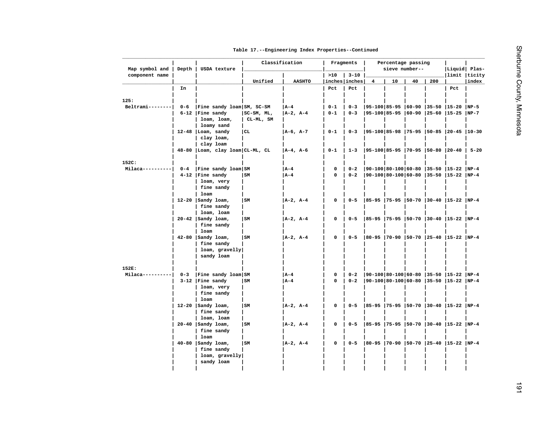| Table 17. -- Engineering Index Properties -- Continued |
|--------------------------------------------------------|
|--------------------------------------------------------|

| Map symbol and   | Depth   | USDA texture                    |            | Classification | Fragments            |          |                | Percentage passing<br>sieve number-- |    |     | Liquid  Plas-                              |       |
|------------------|---------|---------------------------------|------------|----------------|----------------------|----------|----------------|--------------------------------------|----|-----|--------------------------------------------|-------|
| component name   |         |                                 | Unified    | <b>AASHTO</b>  | >10<br>inches inches | $3 - 10$ | $\overline{4}$ | 10                                   | 40 | 200 | limit ticity                               | index |
|                  | In      |                                 |            |                | Pct                  | Pct      |                |                                      |    |     | Pct                                        |       |
|                  |         |                                 |            |                |                      |          |                |                                      |    |     |                                            |       |
| 125:             |         |                                 |            |                |                      |          |                |                                      |    |     |                                            |       |
| $Beltrain-----$  | $0 - 6$ | Fine sandy loam  SM, SC-SM      |            | $ A-4 $        | $0 - 1$              | $0 - 3$  |                |                                      |    |     | $ 95-100 85-95 60-90 35-50 15-20 NP-5$     |       |
|                  |         | $6-12$   Fine sandy             | SC-SM, ML, | $A-2$ , $A-4$  | $0 - 1$              | $0 - 3$  |                |                                      |    |     | 95-100 85-95  60-90  25-60  15-25  NP-7    |       |
|                  |         | loam, loam,<br>loamy sand       | CL-ML, SM  |                |                      |          |                |                                      |    |     |                                            |       |
|                  |         | $12-48$ Loam, sandy             | CL         | $A-6$ , $A-7$  | $0 - 1$              | $0 - 3$  |                |                                      |    |     | 95-100 85-98 75-95 50-85 20-45 10-30       |       |
|                  |         | clay loam,                      |            |                |                      |          |                |                                      |    |     |                                            |       |
|                  |         | clay loam                       |            |                |                      |          |                |                                      |    |     |                                            |       |
|                  |         | 48-80 Loam, clay loam CL-ML, CL |            | $ A-4, A-6 $   | $0 - 1$              | $1 - 3$  |                |                                      |    |     | $ 95-100 85-95 70-95 50-80 20-40 5-20$     |       |
|                  |         |                                 |            |                |                      |          |                |                                      |    |     |                                            |       |
| 152C:            |         |                                 |            |                |                      |          |                |                                      |    |     |                                            |       |
| $Milaca-----$    | $0 - 4$ | Fine sandy loam SM              |            | $ A-4 $        | 0                    | $0 - 2$  |                |                                      |    |     | $ 90-100 80-100 60-80 35-50 15-22 NP-4$    |       |
|                  |         | $4-12$   Fine sandy             | SM         | A-4            | $\mathbf 0$          | $0 - 2$  |                |                                      |    |     | 90-100 80-100 60-80  35-50  15-22  NP-4    |       |
|                  |         | loam, very                      |            |                |                      |          |                |                                      |    |     |                                            |       |
|                  |         | fine sandy<br>loam              |            |                |                      |          |                |                                      |    |     |                                            |       |
|                  |         | $12-20$ Sandy loam,             | SM         | $ A-2, A-4 $   | 0                    | $0 - 5$  |                |                                      |    |     | 85-95  75-95  50-70  30-40  15-22  NP-4    |       |
|                  |         | fine sandy                      |            |                |                      |          |                |                                      |    |     |                                            |       |
|                  |         | loam, loam                      |            |                |                      |          |                |                                      |    |     |                                            |       |
|                  |         | $20-42$ Sandy loam,             | l sm       | $ A-2, A-4 $   | 0                    | $0 - 5$  |                |                                      |    |     | $ 85-95 75-95 50-70 30-40 15-22 NP-4$      |       |
|                  |         | fine sandy                      |            |                |                      |          |                |                                      |    |     |                                            |       |
|                  |         | loam                            |            |                |                      |          |                |                                      |    |     |                                            |       |
|                  |         | 42-80   Sandy loam,             | lsm        | $ A-2, A-4 $   | $\mathbf 0$          | $0 - 5$  |                |                                      |    |     | 80-95  70-90  50-70  25-40  15-22  NP-4    |       |
|                  |         | fine sandy                      |            |                |                      |          |                |                                      |    |     |                                            |       |
|                  |         | loam, gravelly                  |            |                |                      |          |                |                                      |    |     |                                            |       |
|                  |         | sandy loam                      |            |                |                      |          |                |                                      |    |     |                                            |       |
| 152E:            |         |                                 |            |                |                      |          |                |                                      |    |     |                                            |       |
| Milaca---------- | $0 - 3$ | Fine sandy loam SM              |            | $ A-4 $        | 0                    | $0 - 2$  |                |                                      |    |     | 90-100 80-100 60-80  35-50  15-22  NP-4    |       |
|                  |         | $3-12$   Fine sandy             | SM         | l A-4          | 0                    | $0 - 2$  |                |                                      |    |     | $ 90-100 80-100 60-80$  35-50  15-22  NP-4 |       |
|                  |         | loam, very                      |            |                |                      |          |                |                                      |    |     |                                            |       |
|                  |         | fine sandy                      |            |                |                      |          |                |                                      |    |     |                                            |       |
|                  |         | loam                            |            |                |                      |          |                |                                      |    |     |                                            |       |
|                  |         | 12-20 $ $ Sandy loam,           | SM         | $ A-2, A-4 $   | 0                    | $0 - 5$  |                |                                      |    |     | 85-95  75-95  50-70  30-40  15-22  NP-4    |       |
|                  |         | fine sandy                      |            |                |                      |          |                |                                      |    |     |                                            |       |
|                  |         | loam, loam                      |            |                |                      |          |                |                                      |    |     |                                            |       |
|                  |         | $20-40$   Sandy loam,           | SM         | $A-2$ , $A-4$  | 0                    | $0 - 5$  |                |                                      |    |     | 85-95  75-95  50-70  30-40  15-22  NP-4    |       |
|                  |         | fine sandy                      |            |                |                      |          |                |                                      |    |     |                                            |       |
|                  |         | loam<br>$40-80$   Sandy loam,   | l sm       | $ A-2, A-4 $   | $\mathbf{o}$         | $0 - 5$  |                |                                      |    |     | 80-95  70-90  50-70  25-40  15-22  NP-4    |       |
|                  |         | fine sandy                      |            |                |                      |          |                |                                      |    |     |                                            |       |
|                  |         | loam, gravelly                  |            |                |                      |          |                |                                      |    |     |                                            |       |
|                  |         | sandy loam                      |            |                |                      |          |                |                                      |    |     |                                            |       |
|                  |         |                                 |            |                |                      |          |                |                                      |    |     |                                            |       |
|                  |         |                                 |            |                |                      |          |                |                                      |    |     |                                            |       |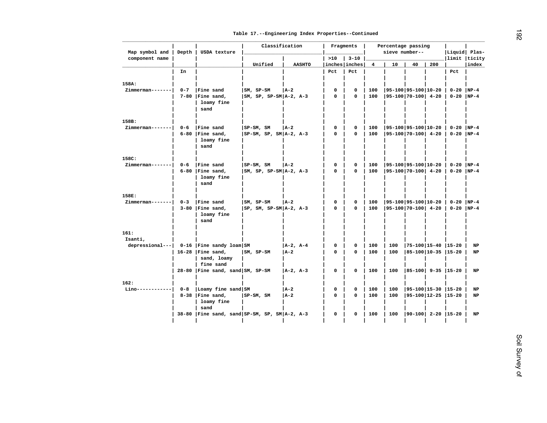| In<br>$0 - 7$<br>$Zimmerman---$ |                                                                                  | Unified                                                                                                                                               | <b>AASHTO</b>                                                                                                                                        | >10<br>inches inches<br>Pct                                                                                                                                                           | $3 - 10$<br>Pct            | 4                                 | 10                                            | 40                        |     | limit  ticity                                                                                    |                                                                                                                                                                                                                                                                         |
|---------------------------------|----------------------------------------------------------------------------------|-------------------------------------------------------------------------------------------------------------------------------------------------------|------------------------------------------------------------------------------------------------------------------------------------------------------|---------------------------------------------------------------------------------------------------------------------------------------------------------------------------------------|----------------------------|-----------------------------------|-----------------------------------------------|---------------------------|-----|--------------------------------------------------------------------------------------------------|-------------------------------------------------------------------------------------------------------------------------------------------------------------------------------------------------------------------------------------------------------------------------|
|                                 |                                                                                  |                                                                                                                                                       |                                                                                                                                                      |                                                                                                                                                                                       |                            |                                   |                                               |                           |     |                                                                                                  |                                                                                                                                                                                                                                                                         |
|                                 |                                                                                  |                                                                                                                                                       |                                                                                                                                                      |                                                                                                                                                                                       |                            |                                   |                                               |                           | 200 |                                                                                                  | index                                                                                                                                                                                                                                                                   |
|                                 |                                                                                  |                                                                                                                                                       |                                                                                                                                                      |                                                                                                                                                                                       |                            |                                   |                                               |                           |     | Pct                                                                                              |                                                                                                                                                                                                                                                                         |
|                                 |                                                                                  |                                                                                                                                                       |                                                                                                                                                      |                                                                                                                                                                                       |                            |                                   |                                               |                           |     |                                                                                                  |                                                                                                                                                                                                                                                                         |
|                                 |                                                                                  |                                                                                                                                                       |                                                                                                                                                      |                                                                                                                                                                                       |                            |                                   |                                               |                           |     |                                                                                                  |                                                                                                                                                                                                                                                                         |
|                                 | Fine sand<br>$7-80$   Fine sand,                                                 | $ SM, SP-SM$<br>$ SM, SP, SP-SM A-2, A-3$                                                                                                             | $ A-2 $                                                                                                                                              | 0<br>0                                                                                                                                                                                | $\mathbf 0$<br>$\mathbf 0$ | 100<br>100                        | 95-100 95-100 10-20<br>$ 95-100 70-100 $ 4-20 |                           |     | $0 - 20$<br>$0-20$ NP-4                                                                          | $NP-4$                                                                                                                                                                                                                                                                  |
|                                 | loamy fine<br>sand                                                               |                                                                                                                                                       |                                                                                                                                                      |                                                                                                                                                                                       |                            |                                   |                                               |                           |     |                                                                                                  |                                                                                                                                                                                                                                                                         |
|                                 |                                                                                  |                                                                                                                                                       |                                                                                                                                                      |                                                                                                                                                                                       |                            |                                   |                                               |                           |     |                                                                                                  |                                                                                                                                                                                                                                                                         |
|                                 |                                                                                  |                                                                                                                                                       |                                                                                                                                                      |                                                                                                                                                                                       |                            |                                   |                                               |                           |     |                                                                                                  |                                                                                                                                                                                                                                                                         |
|                                 |                                                                                  |                                                                                                                                                       |                                                                                                                                                      |                                                                                                                                                                                       |                            |                                   |                                               |                           |     |                                                                                                  |                                                                                                                                                                                                                                                                         |
|                                 | loamy fine<br>sand                                                               |                                                                                                                                                       |                                                                                                                                                      |                                                                                                                                                                                       |                            |                                   |                                               |                           |     |                                                                                                  |                                                                                                                                                                                                                                                                         |
|                                 |                                                                                  |                                                                                                                                                       |                                                                                                                                                      |                                                                                                                                                                                       |                            |                                   |                                               |                           |     |                                                                                                  |                                                                                                                                                                                                                                                                         |
| $0 - 6$                         | Fine sand                                                                        |                                                                                                                                                       |                                                                                                                                                      | 0                                                                                                                                                                                     | 0                          | 100                               |                                               |                           |     |                                                                                                  |                                                                                                                                                                                                                                                                         |
|                                 | loamy fine<br>sand                                                               |                                                                                                                                                       |                                                                                                                                                      | 0                                                                                                                                                                                     | 0                          | 100                               |                                               |                           |     |                                                                                                  |                                                                                                                                                                                                                                                                         |
|                                 |                                                                                  |                                                                                                                                                       |                                                                                                                                                      |                                                                                                                                                                                       |                            |                                   |                                               |                           |     |                                                                                                  |                                                                                                                                                                                                                                                                         |
| $0 - 3$                         |                                                                                  |                                                                                                                                                       |                                                                                                                                                      | 0                                                                                                                                                                                     | $\mathbf 0$                |                                   |                                               |                           |     |                                                                                                  |                                                                                                                                                                                                                                                                         |
|                                 | loamy fine<br>sand                                                               |                                                                                                                                                       |                                                                                                                                                      | 0                                                                                                                                                                                     | 0                          | 100                               |                                               |                           |     |                                                                                                  |                                                                                                                                                                                                                                                                         |
|                                 |                                                                                  |                                                                                                                                                       |                                                                                                                                                      |                                                                                                                                                                                       |                            |                                   |                                               |                           |     |                                                                                                  |                                                                                                                                                                                                                                                                         |
|                                 |                                                                                  |                                                                                                                                                       |                                                                                                                                                      |                                                                                                                                                                                       |                            |                                   |                                               |                           |     |                                                                                                  |                                                                                                                                                                                                                                                                         |
|                                 |                                                                                  |                                                                                                                                                       |                                                                                                                                                      | 0                                                                                                                                                                                     | 0                          | 100                               | 100                                           |                           |     |                                                                                                  | NP                                                                                                                                                                                                                                                                      |
|                                 | sand, loamy                                                                      | SM, SP-SM                                                                                                                                             |                                                                                                                                                      | 0                                                                                                                                                                                     | $\Omega$                   | 100                               | 100                                           |                           |     |                                                                                                  | NP                                                                                                                                                                                                                                                                      |
|                                 |                                                                                  |                                                                                                                                                       |                                                                                                                                                      | 0                                                                                                                                                                                     | $\mathbf 0$                | 100                               | 100                                           |                           |     |                                                                                                  | NP                                                                                                                                                                                                                                                                      |
|                                 |                                                                                  |                                                                                                                                                       |                                                                                                                                                      |                                                                                                                                                                                       |                            |                                   |                                               |                           |     |                                                                                                  |                                                                                                                                                                                                                                                                         |
|                                 |                                                                                  |                                                                                                                                                       |                                                                                                                                                      |                                                                                                                                                                                       |                            |                                   |                                               |                           |     |                                                                                                  |                                                                                                                                                                                                                                                                         |
|                                 |                                                                                  |                                                                                                                                                       |                                                                                                                                                      |                                                                                                                                                                                       |                            |                                   |                                               |                           |     |                                                                                                  | NP                                                                                                                                                                                                                                                                      |
|                                 | loamy fine<br>sand                                                               |                                                                                                                                                       |                                                                                                                                                      |                                                                                                                                                                                       |                            |                                   |                                               |                           |     |                                                                                                  | <b>NP</b>                                                                                                                                                                                                                                                               |
|                                 |                                                                                  | 38-80   Fine sand, sand   SP-SM, SP, SM   A-2, A-3                                                                                                    |                                                                                                                                                      | 0                                                                                                                                                                                     | 0                          | 100                               | 100                                           | $ 90-100 $ 2-20 $ 15-20 $ |     |                                                                                                  | NP                                                                                                                                                                                                                                                                      |
| Zimmerman-------                | $0 - 6$<br>Zimmerman------- <br>Zimmerman------- <br>depressional--- <br>$0 - 8$ | Fine sand<br>$6-80$   Fine sand,<br>$6-80$   Fine sand,<br>Fine sand<br>$3-80$   Fine sand,<br>$16-28$ Fine sand,<br>fine sand<br>$8-38$   Fine sand, | $ SP-SM, SM$<br>$ SP-SM, SM$<br>SM, SP-SM<br>$0-16$   Fine sandy loam   SM<br>28-80   Fine sand, sand   SM, SP-SM<br>Loamy fine sand SM<br>SP-SM, SM | $ A-2 $<br>$ SP-SM, SP, SM A-2, A-3$<br>$ A-2 $<br>$ SM, SP, SP-SM A-2, A-3$<br><b>JA-2</b><br>$ SP, SM, SP-SM A-2, A-3$<br>$ A-2, A-4 $<br>  A-2<br>$ A-2, A-3 $<br>$ A-2 $<br>  A-2 | 0<br>0<br>0<br>0           | $\mathbf 0$<br>$\Omega$<br>0<br>0 | 100<br>100<br>100<br>100<br>100               | 100<br>100                |     | $ 95-100 70-100 $ 4-20<br> 95-100 95-100 10-20<br> 95-100 70-100  4-20<br>$ 95-100 70-100 $ 4-20 | 95-100 95-100 10-20<br>$0-20$ NP-4<br>$0-20$ NP-4<br>$0-20$ NP-4<br>$0 - 20$  NP-4<br> 95-100 95-100 10-20<br>$0-20$ NP-4<br>$0-20$ NP-4<br>$ 75-100 15-40 15-20$<br>$ 85-100 10-35 15-20$<br>$ 85-100 $ 9-35 $ 15-20$<br>$ 95-100 15-30 15-20$<br> 95-100 12-25  15-20 |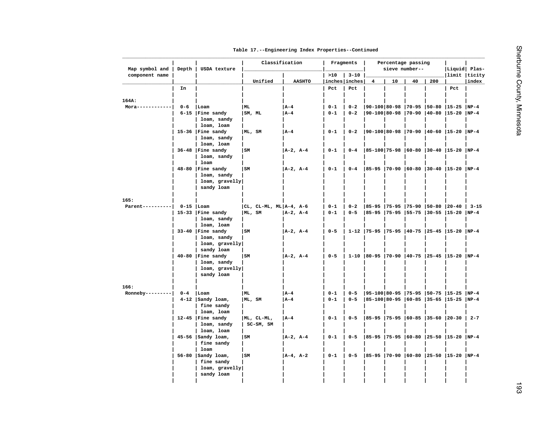|  |  |  |  |  | Table 17. -- Engineering Index Properties -- Continued |
|--|--|--|--|--|--------------------------------------------------------|
|--|--|--|--|--|--------------------------------------------------------|

| Map symbol and                        | Depth   | USDA texture                       | Classification            |               |               | Fragments     |          |                                   |    | Percentage passing<br>sieve number-- |     | Liquid  Plas-                                 |           |
|---------------------------------------|---------|------------------------------------|---------------------------|---------------|---------------|---------------|----------|-----------------------------------|----|--------------------------------------|-----|-----------------------------------------------|-----------|
| component name                        |         |                                    |                           |               |               | >10           | $3 - 10$ |                                   |    |                                      |     | limit ticity                                  |           |
|                                       |         |                                    | Unified                   |               | <b>AASHTO</b> | inches inches |          | $\overline{4}$                    | 10 | 40                                   | 200 |                                               | index     |
|                                       | In      |                                    |                           |               |               | Pct           | Pct      |                                   |    |                                      |     | Pct                                           |           |
| 164A:                                 |         |                                    |                           |               |               |               |          |                                   |    |                                      |     |                                               |           |
| $Mora--------$                        | $0 - 6$ | Loam                               | ML                        | A – 4         |               | $0 - 1$       | $0 - 2$  |                                   |    |                                      |     | $ 90-100 80-98 70-95 50-80 15-25 NP-4$        |           |
|                                       |         | $6-15$   Fine sandy                | SM, ML                    | A-4           |               | $0 - 1$       | $0 - 2$  |                                   |    |                                      |     | 90-100 80-98  70-90  40-80  15-20  NP-4       |           |
|                                       |         | loam, sandy                        |                           |               |               |               |          |                                   |    |                                      |     |                                               |           |
|                                       |         | loam, loam                         |                           |               |               |               |          |                                   |    |                                      |     |                                               |           |
|                                       |         | 15-36   Fine sandy                 | ML, SM                    | $ A-4 $       |               | $0 - 1$       | $0 - 2$  |                                   |    |                                      |     | 90-100 80-98  70-90  40-60  15-20  NP-4       |           |
|                                       |         | loam, sandy                        |                           |               |               |               |          |                                   |    |                                      |     |                                               |           |
|                                       |         | loam, loam                         |                           |               |               |               |          |                                   |    |                                      |     |                                               |           |
|                                       |         | $36-48$   Fine sandy               | SM                        | $ A-2, A-4 $  |               | $0 - 1$       | $0 - 4$  |                                   |    |                                      |     | $ 85-100 75-98 60-80 30-40 15-20 NP-4$        |           |
|                                       |         | loam, sandy                        |                           |               |               |               |          |                                   |    |                                      |     |                                               |           |
|                                       |         | loam                               |                           |               |               |               |          |                                   |    |                                      |     |                                               |           |
|                                       |         | $48-80$ Fine sandy                 | lsm                       | $ A-2, A-4 $  |               | $0 - 1$       | $0 - 4$  |                                   |    |                                      |     | 85-95  70-90  60-80  30-40  15-20  NP-4       |           |
|                                       |         | loam, sandy                        |                           |               |               |               |          |                                   |    |                                      |     |                                               |           |
|                                       |         | loam, gravelly                     |                           |               |               |               |          |                                   |    |                                      |     |                                               |           |
|                                       |         | sandy loam                         |                           |               |               |               |          |                                   |    |                                      |     |                                               |           |
|                                       |         |                                    |                           |               |               |               |          |                                   |    |                                      |     |                                               |           |
| 165:<br>Parent----------  0-15   Loam |         |                                    | $ CL, CL-ML, ML A-4, A-6$ |               |               | $0 - 1$       | $0 - 2$  | 85-95  75-95  75-90  50-80  20-40 |    |                                      |     |                                               | $ 3 - 15$ |
|                                       |         | 15-33   Fine sandy                 | ML, SM                    | $ A-2, A-4 $  |               | 0-1           | $0 - 5$  | $ 85-95 75-95 55-75 30-55 15-20$  |    |                                      |     |                                               | $NP-4$    |
|                                       |         | loam, sandy                        |                           |               |               |               |          |                                   |    |                                      |     |                                               |           |
|                                       |         | loam, loam                         |                           |               |               |               |          |                                   |    |                                      |     |                                               |           |
|                                       |         | $33-40$ Fine sandy                 | SM                        | $ A-2, A-4 $  |               | $0 - 5$       |          |                                   |    |                                      |     | 1-12  75-95  75-95  40-75  25-45  15-20  NP-4 |           |
|                                       |         | loam, sandy                        |                           |               |               |               |          |                                   |    |                                      |     |                                               |           |
|                                       |         | $loam,$ gravelly                   |                           |               |               |               |          |                                   |    |                                      |     |                                               |           |
|                                       |         | sandy loam                         |                           |               |               |               |          |                                   |    |                                      |     |                                               |           |
|                                       |         | $40-80$   Fine sandy               | <b>SM</b>                 | $ A-2, A-4 $  |               | $0 - 5$       |          |                                   |    |                                      |     | 1-10  80-95  70-90  40-75  25-45  15-20  NP-4 |           |
|                                       |         | loam, sandy                        |                           |               |               |               |          |                                   |    |                                      |     |                                               |           |
|                                       |         | loam, gravelly                     |                           |               |               |               |          |                                   |    |                                      |     |                                               |           |
|                                       |         | sandy loam                         |                           |               |               |               |          |                                   |    |                                      |     |                                               |           |
|                                       |         |                                    |                           |               |               |               |          |                                   |    |                                      |     |                                               |           |
| 166:                                  |         |                                    |                           |               |               |               |          |                                   |    |                                      |     |                                               |           |
| $Ronneby------$                       | $0 - 4$ | Loam                               | ML                        | A-4           |               | $0 - 1$       | $0 - 5$  |                                   |    |                                      |     | 95-100 80-95  75-95  50-75  15-25  NP-4       |           |
|                                       |         | $4-12$   Sandy loam,<br>fine sandy | ML, SM                    | A-4           |               | $0 - 1$       | $0 - 5$  |                                   |    |                                      |     | 85-100 80-95  60-85  35-65  15-25  NP-4       |           |
|                                       |         | loam, loam                         |                           |               |               |               |          |                                   |    |                                      |     |                                               |           |
|                                       |         | $12-45$   Fine sandy               | ML, CL-ML,                | A – 4         |               | $0 - 1$       | $0 - 5$  |                                   |    |                                      |     | $ 85-95 75-95 60-85 35-60 20-30 2-7$          |           |
|                                       |         | loam, sandy                        | SC-SM, SM                 |               |               |               |          |                                   |    |                                      |     |                                               |           |
|                                       |         | loam, loam                         |                           |               |               |               |          |                                   |    |                                      |     |                                               |           |
|                                       |         | $45-56$   Sandy loam,              | l sm                      | $ A-2, A-4 $  |               | $0 - 1$       | $0 - 5$  |                                   |    |                                      |     | $ 85-95 75-95 60-80 25-50 15-20 NP-4$         |           |
|                                       |         | fine sandy                         |                           |               |               |               |          |                                   |    |                                      |     |                                               |           |
|                                       |         | loam                               |                           |               |               |               |          |                                   |    |                                      |     |                                               |           |
|                                       |         | $56-80$   Sandy loam,              | SM                        | $A-4$ , $A-2$ |               | $0 - 1$       | $0 - 5$  |                                   |    |                                      |     | $ 85-95 70-90 60-80 25-50 15-20 NP-4$         |           |
|                                       |         | fine sandy                         |                           |               |               |               |          |                                   |    |                                      |     |                                               |           |
|                                       |         | $loam,$ gravelly                   |                           |               |               |               |          |                                   |    |                                      |     |                                               |           |
|                                       |         | sandy loam                         |                           |               |               |               |          |                                   |    |                                      |     |                                               |           |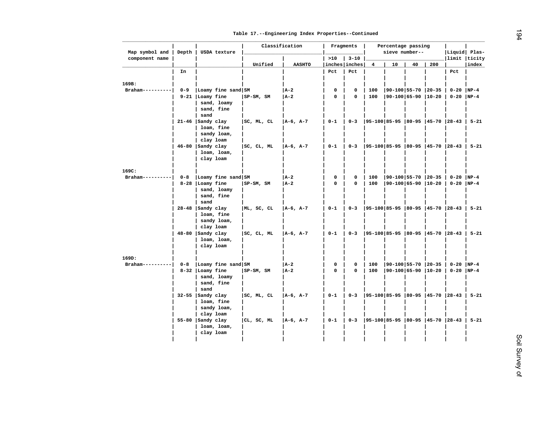| Map symbol and    | Depth   | USDA texture                                                 |              | Classification |             | Fragments     |                         | Percentage passing<br>sieve number-- |    |     | Liquid  Plas-                            |          |
|-------------------|---------|--------------------------------------------------------------|--------------|----------------|-------------|---------------|-------------------------|--------------------------------------|----|-----|------------------------------------------|----------|
| component name    |         |                                                              |              |                | >10         | $3 - 10$      |                         |                                      |    |     | limit  ticity                            |          |
|                   |         |                                                              | Unified      | <b>AASHTO</b>  |             | inches inches | $\overline{\mathbf{4}}$ | 10                                   | 40 | 200 |                                          | index    |
|                   | In      |                                                              |              |                | Pct         | Pct           |                         |                                      |    |     | Pct                                      |          |
| 169B:             |         |                                                              |              |                |             |               |                         |                                      |    |     |                                          |          |
| Braham----------  | $0 - 9$ | Loamy fine sand SM                                           |              | $ A-2 $        | 0           | $\mathbf 0$   | 100                     | $ 90-100 55-70 20-35$                |    |     | $0 - 20$                                 | $NP-4$   |
|                   |         | 9-21   Loamy fine                                            | SP-SM, SM    | A-2            | $\mathbf 0$ | $\mathbf 0$   | 100                     | 90-100 65-90  10-20                  |    |     | $0-20$ NP-4                              |          |
|                   |         | sand, loamy<br>sand, fine                                    |              |                |             |               |                         |                                      |    |     |                                          |          |
|                   |         | sand                                                         |              |                |             |               |                         |                                      |    |     |                                          |          |
|                   |         | $21-46$ Sandy clay<br>loam, fine<br>sandy loam,<br>clay loam | SC, ML, CL   | $ A-6, A-7 $   | $0 - 1$     | $0 - 3$       |                         |                                      |    |     | 95-100 85-95  80-95  45-70  28-43   5-21 |          |
|                   |         | $46 - 80$ Sandy clay                                         | SC, CL, ML   | $ A-6, A-7 $   | $0 - 1$     | $0 - 3$       |                         |                                      |    |     | 95-100 85-95  80-95  45-70  28-43   5-21 |          |
|                   |         | loam, loam,<br>clay loam                                     |              |                |             |               |                         |                                      |    |     |                                          |          |
| 169C:             |         |                                                              |              |                |             |               |                         |                                      |    |     |                                          |          |
| Braham--------    | $0 - 8$ | Loamy fine sand SM                                           |              | A-2            | $\mathbf 0$ | $\mathbf 0$   | 100                     | $ 90-100 55-70 20-35$                |    |     | $0 - 20$ NP-4                            |          |
|                   |         | 8-28 Loamy fine<br>sand, loamy<br>sand, fine<br>sand         | $ SP-SM, SM$ | $ A-2 $        | 0           | $\mathbf 0$   | 100                     | $ 90-100 65-90 10-20$                |    |     | $0-20$  NP-4                             |          |
|                   |         | $28-48$   Sandy clay<br>loam, fine<br>sandy loam,            | ML, SC, CL   | $ A-6, A-7 $   | $0 - 1$     | $0 - 3$       |                         |                                      |    |     | 95-100 85-95  80-95  45-70  28-43   5-21 |          |
|                   |         | clay loam<br>$48-80$ Sandy clay<br>loam, loam,<br>clay loam  | SC, CL, ML   | $ A-6, A-7 $   | $0 - 1$     | $0 - 3$       |                         |                                      |    |     | 95-100 85-95  80-95  45-70  28-43   5-21 |          |
| 169D:             |         |                                                              |              |                |             |               |                         |                                      |    |     |                                          |          |
| $Braham---------$ | $0 - 8$ | Loamy fine sand SM                                           |              | A-2            | 0           | $\mathbf 0$   | 100                     | 90-100 55-70  20-35                  |    |     | $0 - 20$                                 | $NP-4$   |
|                   |         | 8-32 Loamy fine<br>sand, loamy<br>sand, fine<br>sand         | $ SP-SM, SM$ | A-2            | $\mathbf 0$ | $\mathbf 0$   | 100                     | $ 90-100 65-90 10-20 $               |    |     | $0-20$  NP-4                             |          |
|                   |         | $32-55$ Sandy clay<br>loam, fine<br>sandy loam,              | SC, ML, CL   | $ A-6, A-7 $   | $0 - 1$     | $0 - 3$       |                         |                                      |    |     | 95-100 85-95  80-95  45-70  28-43        | $5 - 21$ |
|                   |         | clay loam                                                    |              |                |             |               |                         |                                      |    |     |                                          |          |
|                   |         | $55-80$   Sandy clay<br>loam, loam,<br>clay loam             | CL, SC, ML   | $ A-6, A-7 $   | $0 - 1$     | $0 - 3$       |                         |                                      |    |     | $ 95-100 85-95 80-95 45-70 28-43 $       | $5 - 21$ |
|                   |         |                                                              |              |                |             |               |                         |                                      |    |     |                                          |          |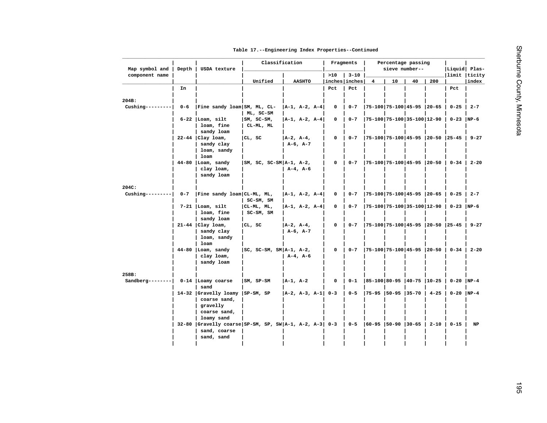|  |  |  |  |  | Table 17. -- Engineering Index Properties -- Continued |
|--|--|--|--|--|--------------------------------------------------------|
|--|--|--|--|--|--------------------------------------------------------|

| Map symbol and           | Depth   | USDA texture                                                            | Classification             |                               |                       | Fragments            |          |                                  | Percentage passing<br>sieve number-- |    |          | Liquid Plas-                             |                                           |
|--------------------------|---------|-------------------------------------------------------------------------|----------------------------|-------------------------------|-----------------------|----------------------|----------|----------------------------------|--------------------------------------|----|----------|------------------------------------------|-------------------------------------------|
| component name           |         |                                                                         |                            |                               |                       | >10                  | $3 - 10$ |                                  |                                      |    |          | limit ticity                             |                                           |
|                          |         |                                                                         | Unified                    | <b>AASHTO</b>                 |                       | inches inches<br>Pct | Pct      | 4                                | 10                                   | 40 | 200      |                                          | index                                     |
|                          | In      |                                                                         |                            |                               |                       |                      |          |                                  |                                      |    |          | Pct                                      |                                           |
| 204B:                    |         |                                                                         |                            |                               |                       |                      |          |                                  |                                      |    |          |                                          |                                           |
| $Cushing-----$           | $0 - 6$ | Fine sandy loam  SM, ML, CL-                                            |                            |                               | $ A-1, A-2, A-4 $     | 0                    | $0 - 7$  | 75-100 75-100 45-95  20-65       |                                      |    |          | $0 - 25$                                 | $\begin{array}{c} \n2 - 7 \\ \end{array}$ |
|                          |         |                                                                         | ML, SC-SM                  |                               |                       |                      |          |                                  |                                      |    |          |                                          |                                           |
|                          |         | $6-22$  Loam, silt                                                      | $ SM, SC-SM,$              |                               | A-1, A-2, A-4         | 0                    | $0 - 7$  | $ 75-100 75-100 35-100 12-90$    |                                      |    |          | $0-23$ NP-6                              |                                           |
|                          |         | loam, fine                                                              | CL-ML, ML                  |                               |                       |                      |          |                                  |                                      |    |          |                                          |                                           |
|                          |         | sandy loam                                                              |                            |                               |                       |                      |          |                                  |                                      |    |          |                                          |                                           |
|                          |         | $22-44$   Clay loam,<br>sandy clay                                      | CL, SC                     | $ A-2, A-4,$<br>$A-6$ , $A-7$ |                       | $\mathbf 0$          | $0 - 7$  |                                  |                                      |    |          | $ 75-100 75-100 45-95 20-50 25-45 9-27$  |                                           |
|                          |         | loam, sandy                                                             |                            |                               |                       |                      |          |                                  |                                      |    |          |                                          |                                           |
|                          |         | loam                                                                    |                            |                               |                       |                      |          |                                  |                                      |    |          |                                          |                                           |
|                          |         | $44-80$ Loam, sandy                                                     | $ SM, SC, SC-SM A-1, A-2,$ |                               |                       | 0                    | $0 - 7$  | 75-100 75-100 45-95  20-50       |                                      |    |          |                                          | $0 - 34$   2-20                           |
|                          |         | clay loam,                                                              |                            | $A-4$ , $A-6$                 |                       |                      |          |                                  |                                      |    |          |                                          |                                           |
|                          |         | sandy loam                                                              |                            |                               |                       |                      |          |                                  |                                      |    |          |                                          |                                           |
|                          |         |                                                                         |                            |                               |                       |                      |          |                                  |                                      |    |          |                                          |                                           |
| 204C:<br>Cushing-------- | $0 - 7$ | Fine sandy loam  CL-ML, ML,                                             |                            |                               | $ A-1, A-2, A-4 $     | 0                    | $0 - 7$  | 75-100 75-100 45-95  20-65       |                                      |    |          | $0 - 25$                                 | $\begin{array}{c} \n2 - 7 \\ \end{array}$ |
|                          |         |                                                                         | $SC-SM$ , $SM$             |                               |                       |                      |          |                                  |                                      |    |          |                                          |                                           |
|                          |         | $7-21$   Loam, silt                                                     | CL-ML, ML,                 |                               | A-1, A-2, A-4         | 0                    | $0 - 7$  | 75-100   75-100   35-100   12-90 |                                      |    |          | $0-23$  NP-6                             |                                           |
|                          |         | loam, fine                                                              | SC-SM, SM                  |                               |                       |                      |          |                                  |                                      |    |          |                                          |                                           |
|                          |         | sandy loam                                                              |                            |                               |                       |                      |          |                                  |                                      |    |          |                                          |                                           |
|                          |         | $21-44$   Clay loam,                                                    | CL, SC                     | $ A-2, A-4,$                  |                       | 0                    | $0 - 7$  |                                  |                                      |    |          | 75-100 75-100 45-95  20-50  25-45   9-27 |                                           |
|                          |         | sandy clay                                                              |                            | $A-6$ , $A-7$                 |                       |                      |          |                                  |                                      |    |          |                                          |                                           |
|                          |         | loam, sandy<br>loam                                                     |                            |                               |                       |                      |          |                                  |                                      |    |          |                                          |                                           |
|                          |         | $44-80$ Loam, sandy                                                     | $ SC, SC-SM, SM A-1, A-2,$ |                               |                       | 0                    | $0 - 7$  | 75-100 75-100 45-95  20-50       |                                      |    |          |                                          | $0 - 34$   2-20                           |
|                          |         | clay loam,                                                              |                            | $A-4, A-6$                    |                       |                      |          |                                  |                                      |    |          |                                          |                                           |
|                          |         | sandy loam                                                              |                            |                               |                       |                      |          |                                  |                                      |    |          |                                          |                                           |
|                          |         |                                                                         |                            |                               |                       |                      |          |                                  |                                      |    |          |                                          |                                           |
| 258B:<br>$Sandberg-----$ |         | 0-14 Loamy coarse                                                       | SM, SP-SM                  | $ A-1, A-2 $                  |                       | 0                    | $0 - 1$  | 85-100 80-95  40-75  10-25       |                                      |    |          | $0 - 20$                                 | $NP-4$                                    |
|                          |         | sand                                                                    |                            |                               |                       |                      |          |                                  |                                      |    |          |                                          |                                           |
|                          |         | 14-32 Gravelly loamy                                                    | $ SP-SM, SP$               |                               | $ A-2, A-3, A-1 $ 0-3 |                      | $0 - 5$  | $ 75-95 50-95 35-70$             |                                      |    | $4 - 25$ | $0-20$ NP-4                              |                                           |
|                          |         | coarse sand,                                                            |                            |                               |                       |                      |          |                                  |                                      |    |          |                                          |                                           |
|                          |         | gravelly                                                                |                            |                               |                       |                      |          |                                  |                                      |    |          |                                          |                                           |
|                          |         | coarse sand,                                                            |                            |                               |                       |                      |          |                                  |                                      |    |          |                                          |                                           |
|                          |         | loamy sand<br>$32-80$  Gravelly coarse SP-SM, SP, SW A-1, A-2, A-3  0-3 |                            |                               |                       |                      | $0 - 5$  | $ 60-95 50-90 30-65 $            |                                      |    | $2 - 10$ | $0 - 15$                                 | NP                                        |
|                          |         | sand, coarse                                                            |                            |                               |                       |                      |          |                                  |                                      |    |          |                                          |                                           |
|                          |         | sand, sand                                                              |                            |                               |                       |                      |          |                                  |                                      |    |          |                                          |                                           |
|                          |         |                                                                         |                            |                               |                       |                      |          |                                  |                                      |    |          |                                          |                                           |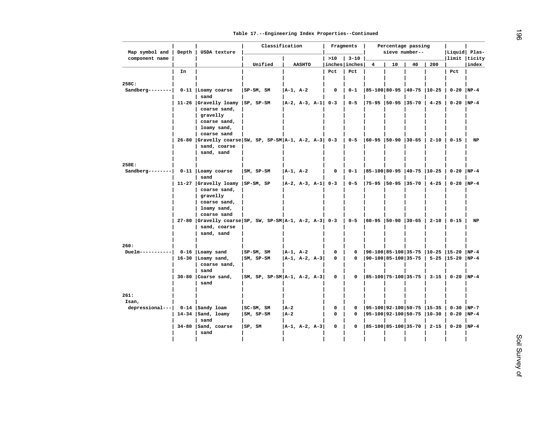| Map symbol and  | Depth | USDA texture                                                              | Classification                  |               |                   |                            | Fragments |                               | Percentage passing<br>sieve number-- |    |          | Liquid Plas-                            |        |
|-----------------|-------|---------------------------------------------------------------------------|---------------------------------|---------------|-------------------|----------------------------|-----------|-------------------------------|--------------------------------------|----|----------|-----------------------------------------|--------|
| component name  |       |                                                                           |                                 |               |                   | >10                        | $3 - 10$  |                               |                                      |    |          | limit ticity                            |        |
|                 | In    |                                                                           | Unified                         |               | <b>AASHTO</b>     | inches inches<br>Pct       | Pct       | 4                             | 10                                   | 40 | 200      | Pct                                     | index  |
|                 |       |                                                                           |                                 |               |                   |                            |           |                               |                                      |    |          |                                         |        |
| 258C:           |       |                                                                           |                                 |               |                   |                            |           |                               |                                      |    |          |                                         |        |
| $Sandberg-----$ |       | 0-11   Loamy coarse                                                       | $SP-SM, SM$                     | $ A-1, A-2 $  |                   | $\mathbf 0$                | $0 - 1$   | 85-100 80-95  40-75  10-25    |                                      |    |          | $0-20$  NP-4                            |        |
|                 |       | sand                                                                      |                                 |               |                   |                            |           |                               |                                      |    |          |                                         |        |
|                 |       | 11-26 Gravelly loamy<br>coarse sand,                                      | $ SP, SP-SM$                    |               |                   | $ A-2, A-3, A-1 $ 0-3      | $0 - 5$   | $ 75-95 50-95 35-70 $         |                                      |    | $4 - 25$ | $0-20$ NP-4                             |        |
|                 |       | gravelly                                                                  |                                 |               |                   |                            |           |                               |                                      |    |          |                                         |        |
|                 |       | coarse sand,                                                              |                                 |               |                   |                            |           |                               |                                      |    |          |                                         |        |
|                 |       | loamy sand,                                                               |                                 |               |                   |                            |           |                               |                                      |    |          |                                         |        |
|                 |       | coarse sand                                                               |                                 |               |                   |                            |           |                               |                                      |    |          |                                         |        |
|                 |       | 26-80 Gravelly coarse SW, SP, SP-SM $A-1$ , $A-2$ , $A-3$ 0-3             |                                 |               |                   |                            | $0 - 5$   | $ 60-95 50-90 30-65 $         |                                      |    | $2 - 10$ | $0 - 15$                                | NP     |
|                 |       | sand, coarse<br>sand, sand                                                |                                 |               |                   |                            |           |                               |                                      |    |          |                                         |        |
|                 |       |                                                                           |                                 |               |                   |                            |           |                               |                                      |    |          |                                         |        |
| 258E:           |       |                                                                           |                                 |               |                   |                            |           |                               |                                      |    |          |                                         |        |
| $Sandberg-----$ |       | $0-11$   Loamy coarse                                                     | SM, SP-SM                       | $A-1$ , $A-2$ |                   | $\mathbf 0$                | $0 - 1$   | 85-100 80-95  40-75  10-25    |                                      |    |          | $0 - 20$                                | $NP-4$ |
|                 |       | sand                                                                      |                                 |               |                   |                            |           |                               |                                      |    |          |                                         |        |
|                 |       | 11-27 Gravelly loamy<br>coarse sand,                                      | $ SP-SM, SP$                    |               |                   | $ A-2, A-3, A-1 $ 0-3      | $0 - 5$   | $ 75-95 50-95 35-70$          |                                      |    | $4 - 25$ | $0-20$ NP-4                             |        |
|                 |       | gravelly                                                                  |                                 |               |                   |                            |           |                               |                                      |    |          |                                         |        |
|                 |       | coarse sand,                                                              |                                 |               |                   |                            |           |                               |                                      |    |          |                                         |        |
|                 |       | loamy sand,                                                               |                                 |               |                   |                            |           |                               |                                      |    |          |                                         |        |
|                 |       | coarse sand                                                               |                                 |               |                   |                            |           |                               |                                      |    |          |                                         |        |
|                 |       | 27-80 Gravelly coarse SP, SW, SP-SM   A-1, A-2, A-3   0-3<br>sand, coarse |                                 |               |                   |                            | $0 - 5$   | $ 60-95 50-90 30-65 $         |                                      |    | $2 - 10$ | $0 - 15$                                | NP     |
|                 |       | sand, sand                                                                |                                 |               |                   |                            |           |                               |                                      |    |          |                                         |        |
|                 |       |                                                                           |                                 |               |                   |                            |           |                               |                                      |    |          |                                         |        |
| 260:            |       |                                                                           |                                 |               |                   |                            |           |                               |                                      |    |          |                                         |        |
| $Duelm--------$ |       | $0-16$   Loamy sand                                                       | $ SP-SM, SM$                    | $ A-1, A-2 $  |                   | $\mathbf 0$<br>$\mathbf 0$ | 0<br>0    |                               |                                      |    |          | 90-100 85-100 35-75  10-25  15-20  NP-4 |        |
|                 |       | $16-30$  Loamy sand,<br>coarse sand,                                      | $ SM, SP-SM$                    |               | $ A-1, A-2, A-3 $ |                            |           |                               |                                      |    |          | 90-100 85-100 35-75   5-25  15-20  NP-4 |        |
|                 |       | sand                                                                      |                                 |               |                   |                            |           |                               |                                      |    |          |                                         |        |
|                 |       | 30-80 Coarse sand,                                                        | $ SM, SP, SP-SM A-1, A-2, A-3 $ |               |                   | $\mathbf 0$                | 0         | $ 85-100 75-100 35-75 $       |                                      |    | $3 - 15$ | $0-20$ NP-4                             |        |
|                 |       | sand                                                                      |                                 |               |                   |                            |           |                               |                                      |    |          |                                         |        |
| 261:            |       |                                                                           |                                 |               |                   |                            |           |                               |                                      |    |          |                                         |        |
| Isan,           |       |                                                                           |                                 |               |                   |                            |           |                               |                                      |    |          |                                         |        |
| depressional--- |       | 0-14   Sandy loam                                                         | SC-SM, SM                       | A-2           |                   | 0                          | 0         | $ 95-100 92-100 50-75 15-35 $ |                                      |    |          | $0-30$  NP-7                            |        |
|                 |       | $14-34$   Sand, loamy                                                     | $ SM, SP-SM$                    | l A-2         |                   | 0                          | 0         | 95-100 92-100 50-75  10-30    |                                      |    |          | $0-20$  NP-4                            |        |
|                 |       | sand                                                                      |                                 |               |                   |                            |           |                               |                                      |    |          |                                         |        |
|                 |       | 34-80 Sand, coarse                                                        | SP, SM                          |               | $ A-1, A-2, A-3 $ | 0                          | 0         | $ 85-100 85-100 35-70 $       |                                      |    | $2 - 15$ | $0-20$ NP-4                             |        |
|                 |       | sand                                                                      |                                 |               |                   |                            |           |                               |                                      |    |          |                                         |        |
|                 |       |                                                                           |                                 |               |                   |                            |           |                               |                                      |    |          |                                         |        |
|                 |       |                                                                           |                                 |               |                   |                            |           |                               |                                      |    |          |                                         |        |
|                 |       |                                                                           |                                 |               |                   |                            |           |                               |                                      |    |          |                                         |        |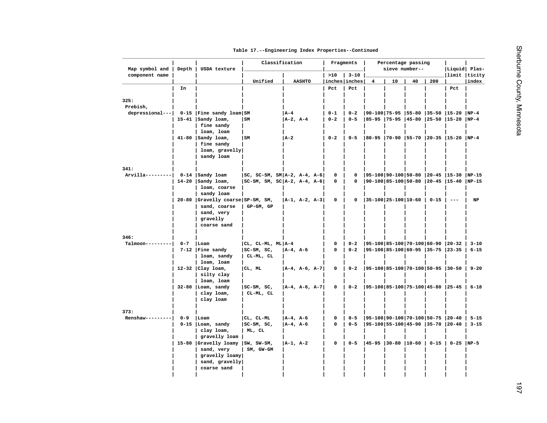| Table 17. -- Engineering Index Properties -- Continued |
|--------------------------------------------------------|
|--------------------------------------------------------|

| component name<br>>10<br>$3 - 10$<br>limit  ticity <br>Unified<br><b>AASHTO</b><br>inches inches<br>10<br>40<br>200<br>index<br>$\overline{4}$<br>Pct<br>Pct<br>In<br>Pct<br>depressional---<br>0-15   Fine sandy loam   SM<br>  A – 4<br>$0 - 1$<br> 90-100 75-95  55-80  35-50  15-20<br>$NP-4$<br>$0 - 2$<br>$A-2$ , $A-4$<br>$0 - 2$<br>$0 - 5$<br> 85-95  75-95  45-80  25-50  15-20  NP-4<br>$15-41$   Sandy loam,<br>lsm<br>fine sandy<br>loam, loam<br>$41-80$ Sandy loam,<br>l SM<br> A-2<br>$0 - 2$<br>$0 - 5$<br> 80-95  70-90  55-70  20-35  15-20  NP-4<br>fine sandy<br>$\texttt{loam}$ , gravelly<br>sandy loam<br>Arvilla--------- <br>0-14   Sandy loam<br> 95-100 90-100 50-80  20-45  15-30  NP-15<br>$ SC, SC-SM, SM A-2, A-4, A-6$<br>0<br>0<br> 90-100 85-100 50-80  20-45  15-40  NP-15<br>$14-20$ Sandy loam,<br>$ SC-SM, SM, SC A-2, A-4, A-6$<br>0<br>0<br>loam, coarse<br>sandy loam<br>20-80 Gravelly coarse SP-SM, SM,<br>$ 35-100 25-100 10-60$<br> A-1, A-2, A-3<br>0<br>0<br>$0 - 15$<br>$\qquad \qquad - -$<br>NP<br>sand, coarse<br>GP-GM, GP<br>sand, very<br>gravelly<br>coarse sand<br>$0 - 7$<br>$ CL, CL-ML, ML A-4$<br>$ 95-100 85-100 70-100 60-90 20-32 3-10$<br>$\texttt{Talmoon---}$<br>  Loam<br>0<br>$0 - 2$<br>$7-12$   Fine sandy<br>$ SC-SM, SC,$<br>A-4, A-6<br>0<br>$0 - 2$<br>$ 95-100 85-100 60-95 35-75 23-35$<br>$6 - 15$<br>loam, sandy<br>CL-ML, CL<br>loam, loam<br>$ 95-100 85-100 70-100 50-95 30-50 9-20$<br>$12-32$ Clay loam,<br>CL, ML<br>$ A-4, A-6, A-7 $<br>0<br>$0 - 2$<br>silty clay<br>loam, loam<br>$32-80$  Loam, sandy<br> 95-100 85-100 75-100 45-80  25-45   6-18<br>$ SC-SM, SC,$<br> A-4, A-6, A-7 <br>0<br>$0 - 2$<br>clay loam,<br>CL-ML, CL<br>clay loam<br> 95-100 90-100 70-100 50-75  20-40<br>$Renshaw-------$<br>$0 - 9$<br>  Loam<br>CL, CL-ML<br>$ A-4, A-6$<br>0<br>$0 - 5$<br>$15 - 15$<br>$\mathbf 0$<br> 95-100 55-100 45-90  35-70  20-40<br>$9-15$ Loam, sandy<br>$ SC-SM, SC,$<br>A-4, A-6<br>$0 - 5$<br>clay loam,<br>ML, CL<br>gravelly loam<br>15-80 Gravelly loamy<br>A-1, A-2<br>$\mathbf 0$<br>$0 - 5$<br>$ 45-95 30-80 10-60 $<br>$0 - 15$  <br>$0 - 25$ NP-5<br>$ SW, SW-SM,$<br>sand, very<br>SM, GW-GM<br>gravelly loamy<br>sand, gravelly<br>coarse sand |                  | Depth | USDA texture |  | Classification |  |  | Fragments | Percentage passing<br>sieve number-- | Liquid Plas- |          |
|-------------------------------------------------------------------------------------------------------------------------------------------------------------------------------------------------------------------------------------------------------------------------------------------------------------------------------------------------------------------------------------------------------------------------------------------------------------------------------------------------------------------------------------------------------------------------------------------------------------------------------------------------------------------------------------------------------------------------------------------------------------------------------------------------------------------------------------------------------------------------------------------------------------------------------------------------------------------------------------------------------------------------------------------------------------------------------------------------------------------------------------------------------------------------------------------------------------------------------------------------------------------------------------------------------------------------------------------------------------------------------------------------------------------------------------------------------------------------------------------------------------------------------------------------------------------------------------------------------------------------------------------------------------------------------------------------------------------------------------------------------------------------------------------------------------------------------------------------------------------------------------------------------------------------------------------------------------------------------------------------------------------------------------------------------------------------------------------------------------------------------------------------------------------------------------------------------------------------------------------------------------------|------------------|-------|--------------|--|----------------|--|--|-----------|--------------------------------------|--------------|----------|
|                                                                                                                                                                                                                                                                                                                                                                                                                                                                                                                                                                                                                                                                                                                                                                                                                                                                                                                                                                                                                                                                                                                                                                                                                                                                                                                                                                                                                                                                                                                                                                                                                                                                                                                                                                                                                                                                                                                                                                                                                                                                                                                                                                                                                                                                   |                  |       |              |  |                |  |  |           |                                      |              |          |
|                                                                                                                                                                                                                                                                                                                                                                                                                                                                                                                                                                                                                                                                                                                                                                                                                                                                                                                                                                                                                                                                                                                                                                                                                                                                                                                                                                                                                                                                                                                                                                                                                                                                                                                                                                                                                                                                                                                                                                                                                                                                                                                                                                                                                                                                   |                  |       |              |  |                |  |  |           |                                      |              |          |
|                                                                                                                                                                                                                                                                                                                                                                                                                                                                                                                                                                                                                                                                                                                                                                                                                                                                                                                                                                                                                                                                                                                                                                                                                                                                                                                                                                                                                                                                                                                                                                                                                                                                                                                                                                                                                                                                                                                                                                                                                                                                                                                                                                                                                                                                   |                  |       |              |  |                |  |  |           |                                      |              |          |
|                                                                                                                                                                                                                                                                                                                                                                                                                                                                                                                                                                                                                                                                                                                                                                                                                                                                                                                                                                                                                                                                                                                                                                                                                                                                                                                                                                                                                                                                                                                                                                                                                                                                                                                                                                                                                                                                                                                                                                                                                                                                                                                                                                                                                                                                   | 325:<br>Prebish, |       |              |  |                |  |  |           |                                      |              |          |
|                                                                                                                                                                                                                                                                                                                                                                                                                                                                                                                                                                                                                                                                                                                                                                                                                                                                                                                                                                                                                                                                                                                                                                                                                                                                                                                                                                                                                                                                                                                                                                                                                                                                                                                                                                                                                                                                                                                                                                                                                                                                                                                                                                                                                                                                   |                  |       |              |  |                |  |  |           |                                      |              |          |
|                                                                                                                                                                                                                                                                                                                                                                                                                                                                                                                                                                                                                                                                                                                                                                                                                                                                                                                                                                                                                                                                                                                                                                                                                                                                                                                                                                                                                                                                                                                                                                                                                                                                                                                                                                                                                                                                                                                                                                                                                                                                                                                                                                                                                                                                   |                  |       |              |  |                |  |  |           |                                      |              |          |
|                                                                                                                                                                                                                                                                                                                                                                                                                                                                                                                                                                                                                                                                                                                                                                                                                                                                                                                                                                                                                                                                                                                                                                                                                                                                                                                                                                                                                                                                                                                                                                                                                                                                                                                                                                                                                                                                                                                                                                                                                                                                                                                                                                                                                                                                   |                  |       |              |  |                |  |  |           |                                      |              |          |
|                                                                                                                                                                                                                                                                                                                                                                                                                                                                                                                                                                                                                                                                                                                                                                                                                                                                                                                                                                                                                                                                                                                                                                                                                                                                                                                                                                                                                                                                                                                                                                                                                                                                                                                                                                                                                                                                                                                                                                                                                                                                                                                                                                                                                                                                   |                  |       |              |  |                |  |  |           |                                      |              |          |
|                                                                                                                                                                                                                                                                                                                                                                                                                                                                                                                                                                                                                                                                                                                                                                                                                                                                                                                                                                                                                                                                                                                                                                                                                                                                                                                                                                                                                                                                                                                                                                                                                                                                                                                                                                                                                                                                                                                                                                                                                                                                                                                                                                                                                                                                   |                  |       |              |  |                |  |  |           |                                      |              |          |
|                                                                                                                                                                                                                                                                                                                                                                                                                                                                                                                                                                                                                                                                                                                                                                                                                                                                                                                                                                                                                                                                                                                                                                                                                                                                                                                                                                                                                                                                                                                                                                                                                                                                                                                                                                                                                                                                                                                                                                                                                                                                                                                                                                                                                                                                   |                  |       |              |  |                |  |  |           |                                      |              |          |
|                                                                                                                                                                                                                                                                                                                                                                                                                                                                                                                                                                                                                                                                                                                                                                                                                                                                                                                                                                                                                                                                                                                                                                                                                                                                                                                                                                                                                                                                                                                                                                                                                                                                                                                                                                                                                                                                                                                                                                                                                                                                                                                                                                                                                                                                   |                  |       |              |  |                |  |  |           |                                      |              |          |
|                                                                                                                                                                                                                                                                                                                                                                                                                                                                                                                                                                                                                                                                                                                                                                                                                                                                                                                                                                                                                                                                                                                                                                                                                                                                                                                                                                                                                                                                                                                                                                                                                                                                                                                                                                                                                                                                                                                                                                                                                                                                                                                                                                                                                                                                   | 341:             |       |              |  |                |  |  |           |                                      |              |          |
|                                                                                                                                                                                                                                                                                                                                                                                                                                                                                                                                                                                                                                                                                                                                                                                                                                                                                                                                                                                                                                                                                                                                                                                                                                                                                                                                                                                                                                                                                                                                                                                                                                                                                                                                                                                                                                                                                                                                                                                                                                                                                                                                                                                                                                                                   |                  |       |              |  |                |  |  |           |                                      |              |          |
|                                                                                                                                                                                                                                                                                                                                                                                                                                                                                                                                                                                                                                                                                                                                                                                                                                                                                                                                                                                                                                                                                                                                                                                                                                                                                                                                                                                                                                                                                                                                                                                                                                                                                                                                                                                                                                                                                                                                                                                                                                                                                                                                                                                                                                                                   |                  |       |              |  |                |  |  |           |                                      |              |          |
|                                                                                                                                                                                                                                                                                                                                                                                                                                                                                                                                                                                                                                                                                                                                                                                                                                                                                                                                                                                                                                                                                                                                                                                                                                                                                                                                                                                                                                                                                                                                                                                                                                                                                                                                                                                                                                                                                                                                                                                                                                                                                                                                                                                                                                                                   |                  |       |              |  |                |  |  |           |                                      |              |          |
|                                                                                                                                                                                                                                                                                                                                                                                                                                                                                                                                                                                                                                                                                                                                                                                                                                                                                                                                                                                                                                                                                                                                                                                                                                                                                                                                                                                                                                                                                                                                                                                                                                                                                                                                                                                                                                                                                                                                                                                                                                                                                                                                                                                                                                                                   |                  |       |              |  |                |  |  |           |                                      |              |          |
|                                                                                                                                                                                                                                                                                                                                                                                                                                                                                                                                                                                                                                                                                                                                                                                                                                                                                                                                                                                                                                                                                                                                                                                                                                                                                                                                                                                                                                                                                                                                                                                                                                                                                                                                                                                                                                                                                                                                                                                                                                                                                                                                                                                                                                                                   |                  |       |              |  |                |  |  |           |                                      |              |          |
|                                                                                                                                                                                                                                                                                                                                                                                                                                                                                                                                                                                                                                                                                                                                                                                                                                                                                                                                                                                                                                                                                                                                                                                                                                                                                                                                                                                                                                                                                                                                                                                                                                                                                                                                                                                                                                                                                                                                                                                                                                                                                                                                                                                                                                                                   |                  |       |              |  |                |  |  |           |                                      |              |          |
|                                                                                                                                                                                                                                                                                                                                                                                                                                                                                                                                                                                                                                                                                                                                                                                                                                                                                                                                                                                                                                                                                                                                                                                                                                                                                                                                                                                                                                                                                                                                                                                                                                                                                                                                                                                                                                                                                                                                                                                                                                                                                                                                                                                                                                                                   |                  |       |              |  |                |  |  |           |                                      |              |          |
|                                                                                                                                                                                                                                                                                                                                                                                                                                                                                                                                                                                                                                                                                                                                                                                                                                                                                                                                                                                                                                                                                                                                                                                                                                                                                                                                                                                                                                                                                                                                                                                                                                                                                                                                                                                                                                                                                                                                                                                                                                                                                                                                                                                                                                                                   |                  |       |              |  |                |  |  |           |                                      |              |          |
|                                                                                                                                                                                                                                                                                                                                                                                                                                                                                                                                                                                                                                                                                                                                                                                                                                                                                                                                                                                                                                                                                                                                                                                                                                                                                                                                                                                                                                                                                                                                                                                                                                                                                                                                                                                                                                                                                                                                                                                                                                                                                                                                                                                                                                                                   | 346:             |       |              |  |                |  |  |           |                                      |              |          |
|                                                                                                                                                                                                                                                                                                                                                                                                                                                                                                                                                                                                                                                                                                                                                                                                                                                                                                                                                                                                                                                                                                                                                                                                                                                                                                                                                                                                                                                                                                                                                                                                                                                                                                                                                                                                                                                                                                                                                                                                                                                                                                                                                                                                                                                                   |                  |       |              |  |                |  |  |           |                                      |              |          |
|                                                                                                                                                                                                                                                                                                                                                                                                                                                                                                                                                                                                                                                                                                                                                                                                                                                                                                                                                                                                                                                                                                                                                                                                                                                                                                                                                                                                                                                                                                                                                                                                                                                                                                                                                                                                                                                                                                                                                                                                                                                                                                                                                                                                                                                                   |                  |       |              |  |                |  |  |           |                                      |              |          |
|                                                                                                                                                                                                                                                                                                                                                                                                                                                                                                                                                                                                                                                                                                                                                                                                                                                                                                                                                                                                                                                                                                                                                                                                                                                                                                                                                                                                                                                                                                                                                                                                                                                                                                                                                                                                                                                                                                                                                                                                                                                                                                                                                                                                                                                                   |                  |       |              |  |                |  |  |           |                                      |              |          |
|                                                                                                                                                                                                                                                                                                                                                                                                                                                                                                                                                                                                                                                                                                                                                                                                                                                                                                                                                                                                                                                                                                                                                                                                                                                                                                                                                                                                                                                                                                                                                                                                                                                                                                                                                                                                                                                                                                                                                                                                                                                                                                                                                                                                                                                                   |                  |       |              |  |                |  |  |           |                                      |              |          |
|                                                                                                                                                                                                                                                                                                                                                                                                                                                                                                                                                                                                                                                                                                                                                                                                                                                                                                                                                                                                                                                                                                                                                                                                                                                                                                                                                                                                                                                                                                                                                                                                                                                                                                                                                                                                                                                                                                                                                                                                                                                                                                                                                                                                                                                                   |                  |       |              |  |                |  |  |           |                                      |              |          |
|                                                                                                                                                                                                                                                                                                                                                                                                                                                                                                                                                                                                                                                                                                                                                                                                                                                                                                                                                                                                                                                                                                                                                                                                                                                                                                                                                                                                                                                                                                                                                                                                                                                                                                                                                                                                                                                                                                                                                                                                                                                                                                                                                                                                                                                                   |                  |       |              |  |                |  |  |           |                                      |              |          |
|                                                                                                                                                                                                                                                                                                                                                                                                                                                                                                                                                                                                                                                                                                                                                                                                                                                                                                                                                                                                                                                                                                                                                                                                                                                                                                                                                                                                                                                                                                                                                                                                                                                                                                                                                                                                                                                                                                                                                                                                                                                                                                                                                                                                                                                                   |                  |       |              |  |                |  |  |           |                                      |              |          |
|                                                                                                                                                                                                                                                                                                                                                                                                                                                                                                                                                                                                                                                                                                                                                                                                                                                                                                                                                                                                                                                                                                                                                                                                                                                                                                                                                                                                                                                                                                                                                                                                                                                                                                                                                                                                                                                                                                                                                                                                                                                                                                                                                                                                                                                                   |                  |       |              |  |                |  |  |           |                                      |              |          |
|                                                                                                                                                                                                                                                                                                                                                                                                                                                                                                                                                                                                                                                                                                                                                                                                                                                                                                                                                                                                                                                                                                                                                                                                                                                                                                                                                                                                                                                                                                                                                                                                                                                                                                                                                                                                                                                                                                                                                                                                                                                                                                                                                                                                                                                                   |                  |       |              |  |                |  |  |           |                                      |              |          |
|                                                                                                                                                                                                                                                                                                                                                                                                                                                                                                                                                                                                                                                                                                                                                                                                                                                                                                                                                                                                                                                                                                                                                                                                                                                                                                                                                                                                                                                                                                                                                                                                                                                                                                                                                                                                                                                                                                                                                                                                                                                                                                                                                                                                                                                                   | 373:             |       |              |  |                |  |  |           |                                      |              |          |
|                                                                                                                                                                                                                                                                                                                                                                                                                                                                                                                                                                                                                                                                                                                                                                                                                                                                                                                                                                                                                                                                                                                                                                                                                                                                                                                                                                                                                                                                                                                                                                                                                                                                                                                                                                                                                                                                                                                                                                                                                                                                                                                                                                                                                                                                   |                  |       |              |  |                |  |  |           |                                      |              |          |
|                                                                                                                                                                                                                                                                                                                                                                                                                                                                                                                                                                                                                                                                                                                                                                                                                                                                                                                                                                                                                                                                                                                                                                                                                                                                                                                                                                                                                                                                                                                                                                                                                                                                                                                                                                                                                                                                                                                                                                                                                                                                                                                                                                                                                                                                   |                  |       |              |  |                |  |  |           |                                      |              | $3 - 15$ |
|                                                                                                                                                                                                                                                                                                                                                                                                                                                                                                                                                                                                                                                                                                                                                                                                                                                                                                                                                                                                                                                                                                                                                                                                                                                                                                                                                                                                                                                                                                                                                                                                                                                                                                                                                                                                                                                                                                                                                                                                                                                                                                                                                                                                                                                                   |                  |       |              |  |                |  |  |           |                                      |              |          |
|                                                                                                                                                                                                                                                                                                                                                                                                                                                                                                                                                                                                                                                                                                                                                                                                                                                                                                                                                                                                                                                                                                                                                                                                                                                                                                                                                                                                                                                                                                                                                                                                                                                                                                                                                                                                                                                                                                                                                                                                                                                                                                                                                                                                                                                                   |                  |       |              |  |                |  |  |           |                                      |              |          |
|                                                                                                                                                                                                                                                                                                                                                                                                                                                                                                                                                                                                                                                                                                                                                                                                                                                                                                                                                                                                                                                                                                                                                                                                                                                                                                                                                                                                                                                                                                                                                                                                                                                                                                                                                                                                                                                                                                                                                                                                                                                                                                                                                                                                                                                                   |                  |       |              |  |                |  |  |           |                                      |              |          |
|                                                                                                                                                                                                                                                                                                                                                                                                                                                                                                                                                                                                                                                                                                                                                                                                                                                                                                                                                                                                                                                                                                                                                                                                                                                                                                                                                                                                                                                                                                                                                                                                                                                                                                                                                                                                                                                                                                                                                                                                                                                                                                                                                                                                                                                                   |                  |       |              |  |                |  |  |           |                                      |              |          |
|                                                                                                                                                                                                                                                                                                                                                                                                                                                                                                                                                                                                                                                                                                                                                                                                                                                                                                                                                                                                                                                                                                                                                                                                                                                                                                                                                                                                                                                                                                                                                                                                                                                                                                                                                                                                                                                                                                                                                                                                                                                                                                                                                                                                                                                                   |                  |       |              |  |                |  |  |           |                                      |              |          |
|                                                                                                                                                                                                                                                                                                                                                                                                                                                                                                                                                                                                                                                                                                                                                                                                                                                                                                                                                                                                                                                                                                                                                                                                                                                                                                                                                                                                                                                                                                                                                                                                                                                                                                                                                                                                                                                                                                                                                                                                                                                                                                                                                                                                                                                                   |                  |       |              |  |                |  |  |           |                                      |              |          |
|                                                                                                                                                                                                                                                                                                                                                                                                                                                                                                                                                                                                                                                                                                                                                                                                                                                                                                                                                                                                                                                                                                                                                                                                                                                                                                                                                                                                                                                                                                                                                                                                                                                                                                                                                                                                                                                                                                                                                                                                                                                                                                                                                                                                                                                                   |                  |       |              |  |                |  |  |           |                                      |              |          |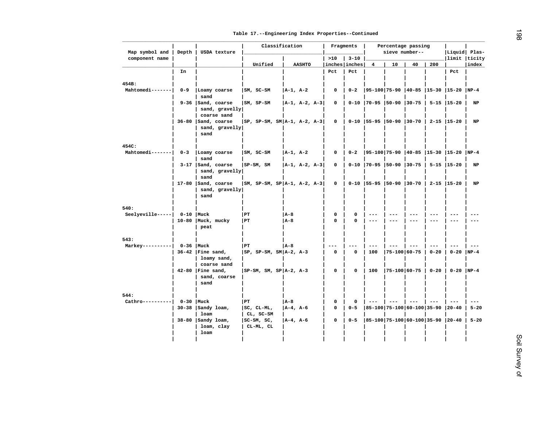| Map symbol and           | Depth       | USDA texture                              | Classification                  |               |               |             | Fragments            |                                   | Percentage passing<br>sieve number-- | Liquid  Plas- |          |                                         |          |
|--------------------------|-------------|-------------------------------------------|---------------------------------|---------------|---------------|-------------|----------------------|-----------------------------------|--------------------------------------|---------------|----------|-----------------------------------------|----------|
| component name           |             |                                           |                                 |               |               | >10         | $3 - 10$             |                                   |                                      | 40            |          | limit ticity                            |          |
|                          | In          |                                           | Unified                         |               | <b>AASHTO</b> | Pct         | inches inches<br>Pct | 4                                 | 10                                   |               | 200      | Pct                                     | index    |
|                          |             |                                           |                                 |               |               |             |                      |                                   |                                      |               |          |                                         |          |
| 454B:                    |             |                                           |                                 |               |               |             |                      |                                   |                                      |               |          |                                         |          |
| Mahtomedi-------         | $0 - 9$     | Loamy coarse                              | $ SM, SC-SM$                    | $A-1$ , $A-2$ |               | 0           | $0 - 2$              |                                   |                                      |               |          | 95-100 75-90  40-85  15-30  15-20  NP-4 |          |
|                          |             | sand<br>9-36 Sand, coarse                 | SM, SP-SM                       |               | A-1, A-2, A-3 | 0           |                      | 0-10 70-95 50-90 30-75            |                                      |               |          | 5-15  15-20                             | NP       |
|                          |             | sand, gravelly                            |                                 |               |               |             |                      |                                   |                                      |               |          |                                         |          |
|                          |             | coarse sand                               |                                 |               |               |             |                      |                                   |                                      |               |          |                                         |          |
|                          |             | 36-80   Sand, coarse                      | $ SP, SP-SM, SM A-1, A-2, A-3 $ |               |               | 0           |                      | 0-10   55-95   50-90   30-70      |                                      |               |          | $2 - 15$   15 - 20                      | NP       |
|                          |             | sand, gravelly<br>sand                    |                                 |               |               |             |                      |                                   |                                      |               |          |                                         |          |
|                          |             |                                           |                                 |               |               |             |                      |                                   |                                      |               |          |                                         |          |
| 454C:                    |             |                                           |                                 |               |               |             |                      |                                   |                                      |               |          |                                         |          |
| Mahtomedi-------         | $0 - 3$     | Loamy coarse                              | $ SM, SC-SM$                    | $ A-1, A-2 $  |               | 0           | $0 - 2$              |                                   |                                      |               |          | $ 95-100 75-90 40-85 15-30 15-20 NP-4$  |          |
|                          |             | sand                                      |                                 |               |               |             |                      |                                   |                                      |               |          |                                         |          |
|                          |             | $3-17$   Sand, coarse<br>sand, $gravelly$ | $ SP-SM, SM$                    |               | A-1, A-2, A-3 | 0           |                      | $0-10$   70-95   50-90   30-75    |                                      |               |          | $5 - 15$   15 - 20                      | NP       |
|                          |             | sand                                      |                                 |               |               |             |                      |                                   |                                      |               |          |                                         |          |
|                          |             | $17-80$ Sand, coarse                      | $ SM, SP-SM, SP A-1, A-2, A-3 $ |               |               | 0           |                      | $0-10$   55-95   50-90   30-70    |                                      |               |          | $2 - 15$   15 - 20                      | NP       |
|                          |             | sand, gravelly                            |                                 |               |               |             |                      |                                   |                                      |               |          |                                         |          |
|                          |             | sand                                      |                                 |               |               |             |                      |                                   |                                      |               |          |                                         |          |
| 540:                     |             |                                           |                                 |               |               |             |                      |                                   |                                      |               |          |                                         |          |
| $Seelyeville---$         | $0-10$ Muck |                                           | PT                              | A-8           |               | 0           | 0                    | $---$                             |                                      |               |          |                                         | $- - -$  |
|                          |             | 10-80   Muck, mucky                       | l PT                            | A-8           |               | $\Omega$    | 0                    | $---$                             | ---                                  | $---$         |          | $---$                                   | $---$    |
|                          |             | peat                                      |                                 |               |               |             |                      |                                   |                                      |               |          |                                         |          |
| 543:                     |             |                                           |                                 |               |               |             |                      |                                   |                                      |               |          |                                         |          |
| $Markey-----$            | $0-36$ Muck |                                           | PT                              | A-8           |               |             |                      | $---$                             |                                      |               |          |                                         |          |
|                          |             | $36-42$ Fine sand,                        | $ SP, SP-SM, SM A-2, A-3$       |               |               | $\mathbf 0$ | $\Omega$             | 100                               | 75-100 60-75                         |               | $0 - 20$ | $0 - 20$                                | $NP-4$   |
|                          |             | loamy sand,                               |                                 |               |               |             |                      |                                   |                                      |               |          |                                         |          |
|                          |             | coarse sand<br>42-80   Fine sand,         | $ SP-SM, SM, SP A-2, A-3$       |               |               | 0           | $\Omega$             | 100                               | $ 75-100 60-75 $                     |               | $0 - 20$ | $0-20$  NP-4                            |          |
|                          |             | sand, coarse                              |                                 |               |               |             |                      |                                   |                                      |               |          |                                         |          |
|                          |             | sand                                      |                                 |               |               |             |                      |                                   |                                      |               |          |                                         |          |
|                          |             |                                           |                                 |               |               |             |                      |                                   |                                      |               |          |                                         |          |
| 544:<br>Cathro---------- | $0 - 30$    | Muck                                      | PT                              | A-8           |               | 0           | $\Omega$             | $- - -$                           |                                      |               |          |                                         |          |
|                          |             | $30-38$   Sandy loam,                     | $ SC, CL-ML,$                   | A-4, A-6      |               | 0           | $0 - 5$              | 85-100   75-100   60-100   35-90  |                                      |               |          | $ 20 - 40$                              | $5 - 20$ |
|                          |             | loam                                      | CL, SC-SM                       |               |               |             |                      |                                   |                                      |               |          |                                         |          |
|                          |             | $38-80$   Sandy loam,                     | $ SC-SM, SC,$                   | A-4, A-6      |               | 0           | $0 - 5$              | 85-100 75-100 60-100 35-90  20-40 |                                      |               |          |                                         | $5 - 20$ |
|                          |             | loam, clay                                | CL-ML, CL                       |               |               |             |                      |                                   |                                      |               |          |                                         |          |
|                          |             | loam                                      |                                 |               |               |             |                      |                                   |                                      |               |          |                                         |          |
|                          |             |                                           |                                 |               |               |             |                      |                                   |                                      |               |          |                                         |          |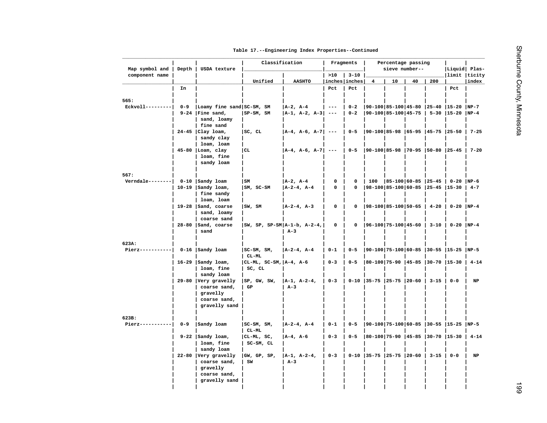| Map symbol and                       | Depth   | USDA texture                          | Classification             |                                |             | Fragments          |                                     | Percentage passing<br>sieve number-- |    |          | Liquid Plas-                             |           |
|--------------------------------------|---------|---------------------------------------|----------------------------|--------------------------------|-------------|--------------------|-------------------------------------|--------------------------------------|----|----------|------------------------------------------|-----------|
| component name                       |         |                                       |                            |                                | >10         | $3 - 10$           |                                     |                                      |    |          | limit  ticity                            |           |
|                                      |         |                                       | Unified                    | <b>AASHTO</b>                  |             | inches inches      | $\overline{4}$                      | 10                                   | 40 | 200      |                                          | index     |
|                                      | In      |                                       |                            |                                | Pct         | Pct                |                                     |                                      |    |          | Pct                                      |           |
| 565:                                 |         |                                       |                            |                                |             |                    |                                     |                                      |    |          |                                          |           |
| $Ekvol1$ --------                    | $0 - 9$ | Loamy fine sand SC-SM, SM             |                            | $ A-2, A-4 $                   |             |                    | 90-100 85-100 45-80  25-40  15-20   |                                      |    |          |                                          | $NP-7$    |
|                                      |         | $9-24$   Fine sand,                   | SP-SM, SM                  | A-1, A-2, A-3  ---             | $- -$       | $0 - 2$<br>$0 - 2$ | $ 90-100 85-100 45-75 $ 5-30  15-20 |                                      |    |          |                                          | $NP-4$    |
|                                      |         | sand, loamy<br>fine sand              |                            |                                |             |                    |                                     |                                      |    |          |                                          |           |
|                                      |         | $24-45$ Clay loam,                    | SC, CL                     | $ A-4, A-6, A-7 $ ---          |             | $0 - 5$            |                                     |                                      |    |          | $ 90-100 85-98 65-95 45-75 25-50 7-25$   |           |
|                                      |         | sandy clay                            |                            |                                |             |                    |                                     |                                      |    |          |                                          |           |
|                                      |         | loam, loam                            |                            |                                |             |                    |                                     |                                      |    |          |                                          |           |
|                                      |         | $45-80$  Loam, clay                   | CL                         | $ A-4, A-6, A-7 $ ---          |             | $0 - 5$            |                                     |                                      |    |          | 90-100 85-98  70-95  50-80  25-45   7-20 |           |
|                                      |         | loam, fine                            |                            |                                |             |                    |                                     |                                      |    |          |                                          |           |
|                                      |         | sandy loam                            |                            |                                |             |                    |                                     |                                      |    |          |                                          |           |
|                                      |         |                                       |                            |                                |             |                    |                                     |                                      |    |          |                                          |           |
| 567:                                 |         |                                       |                            |                                |             |                    |                                     |                                      |    |          |                                          |           |
| Verndale --------  0-10   Sandy loam |         |                                       | SM                         | $ A-2, A-4 $                   | 0           | 0                  | 100                                 |                                      |    |          | $ 85-100 60-85 25-45 0-20 NP-6$          |           |
|                                      |         | $10-19$ Sandy loam,                   | $ SM, SC-SM$               | $ A-2-4, A-4 $                 | 0           | 0                  |                                     |                                      |    |          | 98-100 85-100 60-85  25-45  15-30   4-7  |           |
|                                      |         | fine sandy                            |                            |                                |             |                    |                                     |                                      |    |          |                                          |           |
|                                      |         | loam, loam                            | SW, SM                     |                                | 0           | 0                  | $ 98-100 85-100 50-65 $             |                                      |    | $4 - 20$ | $0 - 20$ NP-4                            |           |
|                                      |         | 19-28 $ $ Sand, coarse<br>sand, loamy |                            | $ A-2-4, A-3 $                 |             |                    |                                     |                                      |    |          |                                          |           |
|                                      |         | coarse sand                           |                            |                                |             |                    |                                     |                                      |    |          |                                          |           |
|                                      |         | 28-80 Sand, coarse                    |                            | $ SW, SP, SP-SM A-1-b, A-2-4,$ | $\mathbf 0$ | 0                  | $ 96-100 75-100 45-60 $             |                                      |    | $3 - 10$ | $0-20$ NP-4                              |           |
|                                      |         | sand                                  |                            | $A-3$                          |             |                    |                                     |                                      |    |          |                                          |           |
|                                      |         |                                       |                            |                                |             |                    |                                     |                                      |    |          |                                          |           |
| 623A:                                |         |                                       |                            |                                |             |                    |                                     |                                      |    |          |                                          |           |
| $Pierz-----$                         |         | 0-16 Sandy loam                       | $ SC-SM, SM,$              | $ A-2-4, A-4 $                 | $0 - 1$     | $0 - 5$            |                                     |                                      |    |          | $ 90-100 75-100 60-85 30-55 15-25 NP-5$  |           |
|                                      |         |                                       | CL-ML                      |                                |             |                    |                                     |                                      |    |          |                                          |           |
|                                      |         | $16-29$ Sandy loam,                   | $ CL-ML, SC-SM,  A-4, A-6$ |                                | $0 - 3$     | $0 - 5$            | 80-100 75-90  45-85  30-70  15-30   |                                      |    |          |                                          | $4 - 14$  |
|                                      |         | loam, fine                            | SC, CL                     |                                |             |                    |                                     |                                      |    |          |                                          |           |
|                                      |         | sandy loam                            |                            |                                |             |                    |                                     |                                      |    |          |                                          |           |
|                                      |         | 29-80 Very gravelly<br>coarse sand,   | SP, GW, SW,<br>GP          | $ A-1, A-2-4,$<br>$A-3$        | $0 - 3$     |                    | $0-10$   35-75   25-75   20-60      |                                      |    | $3 - 15$ | $0 - 0$                                  | <b>NP</b> |
|                                      |         | gravelly                              |                            |                                |             |                    |                                     |                                      |    |          |                                          |           |
|                                      |         | coarse sand,                          |                            |                                |             |                    |                                     |                                      |    |          |                                          |           |
|                                      |         | gravelly sand                         |                            |                                |             |                    |                                     |                                      |    |          |                                          |           |
|                                      |         |                                       |                            |                                |             |                    |                                     |                                      |    |          |                                          |           |
| 623B:                                |         |                                       |                            |                                |             |                    |                                     |                                      |    |          |                                          |           |
| $Pierz-----$                         | $0 - 9$ | Sandy loam                            | $ SC-SM, SM,$              | $ A-2-4, A-4 $                 | $0 - 1$     | $0 - 5$            |                                     |                                      |    |          | 90-100 75-100 60-85  30-55  15-25  NP-5  |           |
|                                      |         |                                       | $CL-ML$                    |                                |             |                    |                                     |                                      |    |          |                                          |           |
|                                      |         | $9-22$ Sandy loam,                    | $ CL-ML, SC,$              | $ A-4, A-6$                    | $0 - 3$     | $0 - 5$            | $ 80-100 75-90 45-85 30-70 15-30$   |                                      |    |          |                                          | $4 - 14$  |
|                                      |         | loam, fine                            | SC-SM, CL                  |                                |             |                    |                                     |                                      |    |          |                                          |           |
|                                      |         | sandy loam                            |                            |                                |             |                    |                                     |                                      |    |          |                                          |           |
|                                      |         | 22-80 Very gravelly                   | GW, GP, SP,                | $ A-1, A-2-4,$                 | $0 - 3$     |                    | $0-10$ 35-75 25-75 20-60            |                                      |    | $3 - 15$ | $0 - 0$                                  | NP        |
|                                      |         | coarse sand,                          | SW                         | $A-3$                          |             |                    |                                     |                                      |    |          |                                          |           |
|                                      |         | gravelly<br>coarse sand,              |                            |                                |             |                    |                                     |                                      |    |          |                                          |           |
|                                      |         | gravelly sand                         |                            |                                |             |                    |                                     |                                      |    |          |                                          |           |
|                                      |         |                                       |                            |                                |             |                    |                                     |                                      |    |          |                                          |           |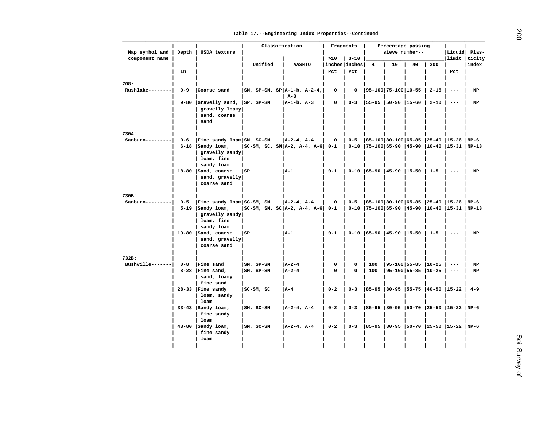| component name<br>>10<br>$ 3 - 10$<br>Unified<br><b>AASHTO</b><br>inches inches<br>10<br>40<br>200<br>4<br>Pct<br>In<br>Pct<br>Pct<br>$RushTake-----$<br>$0 - 9$<br>Coarse sand<br>$ SM, SP-SM, SP A-1-b, A-2-4,$<br>$ 95-100 75-100 10-55$<br>$2 - 15$<br>0<br>0<br>$- -$<br>$A-3$<br>9-80 Gravelly sand, SP, SP-SM<br>$ A-1-b, A-3 $<br>0<br>$0 - 3$<br>  55-95   50-90   15-60<br>$2 - 10$<br>$\hspace{0.05cm} - - -$<br>gravelly loamy<br>sand, coarse<br>sand<br>$Sanburn------$<br>$0 - 6$<br>Fine sandy loam SM, SC-SM<br>$ A-2-4, A-4 $<br>$\mathbf 0$<br>$  0 - 5$<br>$ 85-100 80-100 65-85 25-40 15-26 NP-6$<br>$6-18$ Sandy loam,<br>$ SC-SM, SC, SM A-2, A-4, A-6 $ 0-1<br>$\vert$ 0-10 $\vert$ 75-100 65-90 45-90 10-40 15-31 NP-13<br>gravelly sandy<br>loam, fine<br>sandy loam<br>$18-80$  Sand, coarse<br>l SP<br> A-1<br>$0 - 1$<br>  0-10   65-90   45-90   15-50   1-5<br>$\frac{1}{2}$<br>sand, gravelly<br>coarse sand<br>Fine sandy loam SC-SM, SM<br> 85-100 80-100 65-85  25-40  15-26  NP-6<br>$Sanburn------$<br>$0 - 5$<br>$ A-2-4, A-4 $<br>0<br>$10 - 5$<br>$5-19$   Sandy loam,<br> SC-SM, SM, SC A-2, A-4, A-6  0-1   0-10  75-100 65-90  45-90  10-40  15-31  NP-13<br>gravelly sandy<br>loam, fine<br>sandy loam<br>19-80 $ $ Sand, coarse<br>l SP<br>$ A-1 $<br>$0 - 1$<br>$\vert$ 0-10 $\vert$ 65-90 $\vert$ 45-90 $\vert$ 15-50 $\vert$ 1-5<br>$\frac{1}{2}$<br>sand, gravelly | limit  ticity<br>index<br>NP<br>$_{\rm NP}$<br>NP |
|---------------------------------------------------------------------------------------------------------------------------------------------------------------------------------------------------------------------------------------------------------------------------------------------------------------------------------------------------------------------------------------------------------------------------------------------------------------------------------------------------------------------------------------------------------------------------------------------------------------------------------------------------------------------------------------------------------------------------------------------------------------------------------------------------------------------------------------------------------------------------------------------------------------------------------------------------------------------------------------------------------------------------------------------------------------------------------------------------------------------------------------------------------------------------------------------------------------------------------------------------------------------------------------------------------------------------------------------------------------------------------------------------------------------|---------------------------------------------------|
| 708:<br>730A:<br>730B:                                                                                                                                                                                                                                                                                                                                                                                                                                                                                                                                                                                                                                                                                                                                                                                                                                                                                                                                                                                                                                                                                                                                                                                                                                                                                                                                                                                              |                                                   |
|                                                                                                                                                                                                                                                                                                                                                                                                                                                                                                                                                                                                                                                                                                                                                                                                                                                                                                                                                                                                                                                                                                                                                                                                                                                                                                                                                                                                                     |                                                   |
|                                                                                                                                                                                                                                                                                                                                                                                                                                                                                                                                                                                                                                                                                                                                                                                                                                                                                                                                                                                                                                                                                                                                                                                                                                                                                                                                                                                                                     |                                                   |
|                                                                                                                                                                                                                                                                                                                                                                                                                                                                                                                                                                                                                                                                                                                                                                                                                                                                                                                                                                                                                                                                                                                                                                                                                                                                                                                                                                                                                     |                                                   |
|                                                                                                                                                                                                                                                                                                                                                                                                                                                                                                                                                                                                                                                                                                                                                                                                                                                                                                                                                                                                                                                                                                                                                                                                                                                                                                                                                                                                                     |                                                   |
|                                                                                                                                                                                                                                                                                                                                                                                                                                                                                                                                                                                                                                                                                                                                                                                                                                                                                                                                                                                                                                                                                                                                                                                                                                                                                                                                                                                                                     |                                                   |
|                                                                                                                                                                                                                                                                                                                                                                                                                                                                                                                                                                                                                                                                                                                                                                                                                                                                                                                                                                                                                                                                                                                                                                                                                                                                                                                                                                                                                     |                                                   |
|                                                                                                                                                                                                                                                                                                                                                                                                                                                                                                                                                                                                                                                                                                                                                                                                                                                                                                                                                                                                                                                                                                                                                                                                                                                                                                                                                                                                                     |                                                   |
|                                                                                                                                                                                                                                                                                                                                                                                                                                                                                                                                                                                                                                                                                                                                                                                                                                                                                                                                                                                                                                                                                                                                                                                                                                                                                                                                                                                                                     |                                                   |
|                                                                                                                                                                                                                                                                                                                                                                                                                                                                                                                                                                                                                                                                                                                                                                                                                                                                                                                                                                                                                                                                                                                                                                                                                                                                                                                                                                                                                     |                                                   |
|                                                                                                                                                                                                                                                                                                                                                                                                                                                                                                                                                                                                                                                                                                                                                                                                                                                                                                                                                                                                                                                                                                                                                                                                                                                                                                                                                                                                                     |                                                   |
|                                                                                                                                                                                                                                                                                                                                                                                                                                                                                                                                                                                                                                                                                                                                                                                                                                                                                                                                                                                                                                                                                                                                                                                                                                                                                                                                                                                                                     |                                                   |
|                                                                                                                                                                                                                                                                                                                                                                                                                                                                                                                                                                                                                                                                                                                                                                                                                                                                                                                                                                                                                                                                                                                                                                                                                                                                                                                                                                                                                     |                                                   |
|                                                                                                                                                                                                                                                                                                                                                                                                                                                                                                                                                                                                                                                                                                                                                                                                                                                                                                                                                                                                                                                                                                                                                                                                                                                                                                                                                                                                                     |                                                   |
|                                                                                                                                                                                                                                                                                                                                                                                                                                                                                                                                                                                                                                                                                                                                                                                                                                                                                                                                                                                                                                                                                                                                                                                                                                                                                                                                                                                                                     |                                                   |
|                                                                                                                                                                                                                                                                                                                                                                                                                                                                                                                                                                                                                                                                                                                                                                                                                                                                                                                                                                                                                                                                                                                                                                                                                                                                                                                                                                                                                     |                                                   |
|                                                                                                                                                                                                                                                                                                                                                                                                                                                                                                                                                                                                                                                                                                                                                                                                                                                                                                                                                                                                                                                                                                                                                                                                                                                                                                                                                                                                                     |                                                   |
|                                                                                                                                                                                                                                                                                                                                                                                                                                                                                                                                                                                                                                                                                                                                                                                                                                                                                                                                                                                                                                                                                                                                                                                                                                                                                                                                                                                                                     |                                                   |
|                                                                                                                                                                                                                                                                                                                                                                                                                                                                                                                                                                                                                                                                                                                                                                                                                                                                                                                                                                                                                                                                                                                                                                                                                                                                                                                                                                                                                     |                                                   |
|                                                                                                                                                                                                                                                                                                                                                                                                                                                                                                                                                                                                                                                                                                                                                                                                                                                                                                                                                                                                                                                                                                                                                                                                                                                                                                                                                                                                                     |                                                   |
|                                                                                                                                                                                                                                                                                                                                                                                                                                                                                                                                                                                                                                                                                                                                                                                                                                                                                                                                                                                                                                                                                                                                                                                                                                                                                                                                                                                                                     |                                                   |
|                                                                                                                                                                                                                                                                                                                                                                                                                                                                                                                                                                                                                                                                                                                                                                                                                                                                                                                                                                                                                                                                                                                                                                                                                                                                                                                                                                                                                     |                                                   |
|                                                                                                                                                                                                                                                                                                                                                                                                                                                                                                                                                                                                                                                                                                                                                                                                                                                                                                                                                                                                                                                                                                                                                                                                                                                                                                                                                                                                                     |                                                   |
|                                                                                                                                                                                                                                                                                                                                                                                                                                                                                                                                                                                                                                                                                                                                                                                                                                                                                                                                                                                                                                                                                                                                                                                                                                                                                                                                                                                                                     | NP                                                |
| coarse sand                                                                                                                                                                                                                                                                                                                                                                                                                                                                                                                                                                                                                                                                                                                                                                                                                                                                                                                                                                                                                                                                                                                                                                                                                                                                                                                                                                                                         |                                                   |
|                                                                                                                                                                                                                                                                                                                                                                                                                                                                                                                                                                                                                                                                                                                                                                                                                                                                                                                                                                                                                                                                                                                                                                                                                                                                                                                                                                                                                     |                                                   |
| 732B:                                                                                                                                                                                                                                                                                                                                                                                                                                                                                                                                                                                                                                                                                                                                                                                                                                                                                                                                                                                                                                                                                                                                                                                                                                                                                                                                                                                                               |                                                   |
| $Bushville-----$<br>$0 - 8$<br>Fine sand<br>$ SM, SP-SM$<br>$ A-2-4 $<br>0<br>$\mathbf 0$<br>100<br>$ 95-100 55-85 10-25$<br>$- -$<br>$8-28$   Fine sand,<br>$ SM, SP-SM$<br>$ A-2-4 $<br>0<br>100<br>$ 95-100 55-85 10-25 $<br>$\Omega$<br>$- - -$                                                                                                                                                                                                                                                                                                                                                                                                                                                                                                                                                                                                                                                                                                                                                                                                                                                                                                                                                                                                                                                                                                                                                                 | NP<br>$_{\rm NP}$                                 |
| sand, loamy                                                                                                                                                                                                                                                                                                                                                                                                                                                                                                                                                                                                                                                                                                                                                                                                                                                                                                                                                                                                                                                                                                                                                                                                                                                                                                                                                                                                         |                                                   |
| fine sand                                                                                                                                                                                                                                                                                                                                                                                                                                                                                                                                                                                                                                                                                                                                                                                                                                                                                                                                                                                                                                                                                                                                                                                                                                                                                                                                                                                                           |                                                   |
| $28-33$   Fine sandy<br>$0 - 2$<br>$ 85-95 80-95 55-75 40-50 15-22 4-9$<br>$ SC-SM, SC$<br>$ A-4 $<br>$0 - 3$                                                                                                                                                                                                                                                                                                                                                                                                                                                                                                                                                                                                                                                                                                                                                                                                                                                                                                                                                                                                                                                                                                                                                                                                                                                                                                       |                                                   |
| loam, sandy                                                                                                                                                                                                                                                                                                                                                                                                                                                                                                                                                                                                                                                                                                                                                                                                                                                                                                                                                                                                                                                                                                                                                                                                                                                                                                                                                                                                         |                                                   |
| loam<br>$33-43$  Sandy loam,<br> 85-95  80-95  50-70  25-50  15-22  NP-6<br>$ SM, SC-SM$<br>$A-2-4$ , $A-4$<br>$0 - 2$<br>$\begin{array}{ccc} \n & 0-3 \n \end{array}$                                                                                                                                                                                                                                                                                                                                                                                                                                                                                                                                                                                                                                                                                                                                                                                                                                                                                                                                                                                                                                                                                                                                                                                                                                              |                                                   |
| fine sandy                                                                                                                                                                                                                                                                                                                                                                                                                                                                                                                                                                                                                                                                                                                                                                                                                                                                                                                                                                                                                                                                                                                                                                                                                                                                                                                                                                                                          |                                                   |
| loam                                                                                                                                                                                                                                                                                                                                                                                                                                                                                                                                                                                                                                                                                                                                                                                                                                                                                                                                                                                                                                                                                                                                                                                                                                                                                                                                                                                                                |                                                   |
| $43-80$   Sandy loam,<br>$ SM, SC-SM$<br>$ A-2-4, A-4 $<br>$0 - 2$<br>$  0 - 3$<br> 85-95  80-95  50-70  25-50  15-22  NP-6                                                                                                                                                                                                                                                                                                                                                                                                                                                                                                                                                                                                                                                                                                                                                                                                                                                                                                                                                                                                                                                                                                                                                                                                                                                                                         |                                                   |
| fine sandy<br>loam                                                                                                                                                                                                                                                                                                                                                                                                                                                                                                                                                                                                                                                                                                                                                                                                                                                                                                                                                                                                                                                                                                                                                                                                                                                                                                                                                                                                  |                                                   |
|                                                                                                                                                                                                                                                                                                                                                                                                                                                                                                                                                                                                                                                                                                                                                                                                                                                                                                                                                                                                                                                                                                                                                                                                                                                                                                                                                                                                                     |                                                   |
|                                                                                                                                                                                                                                                                                                                                                                                                                                                                                                                                                                                                                                                                                                                                                                                                                                                                                                                                                                                                                                                                                                                                                                                                                                                                                                                                                                                                                     |                                                   |
|                                                                                                                                                                                                                                                                                                                                                                                                                                                                                                                                                                                                                                                                                                                                                                                                                                                                                                                                                                                                                                                                                                                                                                                                                                                                                                                                                                                                                     |                                                   |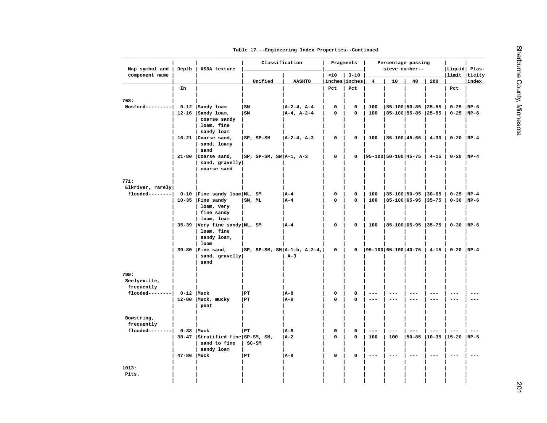|  |  | Table 17.--Engineering Index Properties--Continued |
|--|--|----------------------------------------------------|

| Map symbol and              | Depth         | USDA texture                       | Classification                 |                |             | Fragments            |                              | Percentage passing<br>sieve number-- |         |                     | Liquid Plas- |         |
|-----------------------------|---------------|------------------------------------|--------------------------------|----------------|-------------|----------------------|------------------------------|--------------------------------------|---------|---------------------|--------------|---------|
| component name              |               |                                    |                                |                | >10         | $3 - 10$             |                              |                                      |         |                     | limit ticity |         |
|                             | In            |                                    | Unified                        | <b>AASHTO</b>  | Pct         | inches inches<br>Pct | $\overline{\mathbf{4}}$      | 10                                   | 40      | 200                 | Pct          | index   |
|                             |               |                                    |                                |                |             |                      |                              |                                      |         |                     |              |         |
| 768:                        |               |                                    |                                |                |             |                      |                              |                                      |         |                     |              |         |
| Mosford---------            |               | 0-12 Sandy loam                    | l sm                           | $ A-2-4, A-4 $ | 0           | $\mathbf 0$          | 100                          | $ 85-100 50-85 25-55$                |         |                     | $0-25$ NP-6  |         |
|                             |               | 12-16 $ $ Sandy loam,              | l sm                           | $ A-4, A-2-4 $ | $\mathbf 0$ | 0                    | 100                          | 85-100 55-85 25-55                   |         |                     | $0-25$ NP-6  |         |
|                             |               | coarse sandy                       |                                |                |             |                      |                              |                                      |         |                     |              |         |
|                             |               | loam, fine                         |                                |                |             |                      |                              |                                      |         |                     |              |         |
|                             |               | sandy loam<br>$16-21$ Coarse sand, | $ SP, SP-SM$                   | $ A-2-4, A-3 $ | $\mathbf 0$ | $\mathbf 0$          | 100                          | 85-100 45-65                         |         | $4 - 30$            | $0-20$ NP-4  |         |
|                             |               | sand, loamy                        |                                |                |             |                      |                              |                                      |         |                     |              |         |
|                             |               | sand                               |                                |                |             |                      |                              |                                      |         |                     |              |         |
|                             |               | 21-80 Coarse sand,                 | $ SP, SP-SM, SW A-1, A-3$      |                | 0           | 0                    | 95-100   50-100   45-75      |                                      |         | $4 - 15$            | $0-20$ NP-4  |         |
|                             |               | sand, gravelly                     |                                |                |             |                      |                              |                                      |         |                     |              |         |
|                             |               | coarse sand                        |                                |                |             |                      |                              |                                      |         |                     |              |         |
|                             |               |                                    |                                |                |             |                      |                              |                                      |         |                     |              |         |
| 771:<br>Elkriver, rarely    |               |                                    |                                |                |             |                      |                              |                                      |         |                     |              |         |
| $float------$               |               | 0-10   Fine sandy loam   ML, SM    |                                | A - 4          | $\mathbf 0$ | $\mathbf 0$          | 100                          | $ 85-100 50-95 30-65$                |         |                     | $0-25$ NP-4  |         |
|                             |               | $10-35$   Fine sandy               | SM, ML                         | $ A-4 $        | 0           | 0                    | 100                          | 85-100 65-95  35-75                  |         |                     | $0-30$  NP-6 |         |
|                             |               | loam, very                         |                                |                |             |                      |                              |                                      |         |                     |              |         |
|                             |               | fine sandy                         |                                |                |             |                      |                              |                                      |         |                     |              |         |
|                             |               | loam, loam                         |                                |                |             |                      |                              |                                      |         |                     |              |         |
|                             |               | 35-39 Very fine sandy ML, SM       |                                | $ A-4 $        | 0           | $\mathsf{o}\,$       | 100                          | 85-100 65-95 35-75                   |         |                     | $0-30$  NP-6 |         |
|                             |               | loam, fine<br>sandy loam,          |                                |                |             |                      |                              |                                      |         |                     |              |         |
|                             |               | loam                               |                                |                |             |                      |                              |                                      |         |                     |              |         |
|                             |               | $39-80$   Fine sand,               | $ SP, SP-SM, SM A-1-b, A-2-4,$ |                | 0           | 0                    | $ 95-100 65-100 40-75 $ 4-15 |                                      |         |                     | $0-20$ NP-4  |         |
|                             |               | sand, gravelly                     |                                | $A-3$          |             |                      |                              |                                      |         |                     |              |         |
|                             |               | sand                               |                                |                |             |                      |                              |                                      |         |                     |              |         |
| 799:                        |               |                                    |                                |                |             |                      |                              |                                      |         |                     |              |         |
| Seelyeville,                |               |                                    |                                |                |             |                      |                              |                                      |         |                     |              |         |
| frequently                  |               |                                    |                                |                |             |                      |                              |                                      |         |                     |              |         |
| $float------$               | $0-12$   Muck |                                    | PT]                            | $ A-8 $        | 0           | 0                    |                              | $---$                                |         |                     |              |         |
|                             |               | 12-80   Muck, mucky                | PT                             | A-8            | $\Omega$    | 0                    | $- - -$                      |                                      | ---     | --                  | $- - -$      | $---$   |
|                             |               | peat                               |                                |                |             |                      |                              |                                      |         |                     |              |         |
| Bowstring,                  |               |                                    |                                |                |             |                      |                              |                                      |         |                     |              |         |
| frequently                  |               |                                    |                                |                |             |                      |                              |                                      |         |                     |              |         |
| flooded--------  0-38  Muck |               |                                    | PT                             | <b>A-8</b>     | 0           | $\mathbf 0$          | ---                          | $- - -$                              |         |                     |              | $- - -$ |
|                             |               | 38-47 Stratified fine SP-SM, SM,   |                                | A-2            | $\mathbf 0$ | 0                    | 100                          | 100                                  |         | 50-85  10-35  15-20 |              | $NP-5$  |
|                             |               | sand to fine                       | $SC-SM$                        |                |             |                      |                              |                                      |         |                     |              |         |
|                             |               | sandy loam                         |                                |                |             |                      |                              |                                      |         |                     |              |         |
|                             | 47-80   Muck  |                                    | PT]                            | A-8            | 0           | 0                    |                              |                                      | $- - -$ | $---$               |              |         |
| 1013:                       |               |                                    |                                |                |             |                      |                              |                                      |         |                     |              |         |
| Pits.                       |               |                                    |                                |                |             |                      |                              |                                      |         |                     |              |         |
|                             |               |                                    |                                |                |             |                      |                              |                                      |         |                     |              |         |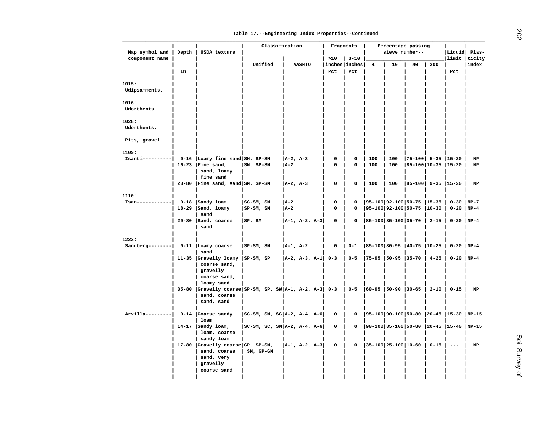| Map symbol and                        | Depth | USDA texture                                                                                          | Classification                  |              |                   |             | Fragments     |                               | Percentage passing<br>sieve number-- |                          |          | Liquid Plas-                             |             |
|---------------------------------------|-------|-------------------------------------------------------------------------------------------------------|---------------------------------|--------------|-------------------|-------------|---------------|-------------------------------|--------------------------------------|--------------------------|----------|------------------------------------------|-------------|
| component name                        |       |                                                                                                       |                                 |              |                   | >10         | $3 - 10$      |                               |                                      |                          |          | limit  ticity                            |             |
|                                       |       |                                                                                                       | Unified                         |              | <b>AASHTO</b>     |             | inches inches | 4                             | 10                                   | 40                       | 200      |                                          | index       |
|                                       | In    |                                                                                                       |                                 |              |                   | Pct         | Pct           |                               |                                      |                          |          | Pct                                      |             |
| 1015:<br>Udipsamments.                |       |                                                                                                       |                                 |              |                   |             |               |                               |                                      |                          |          |                                          |             |
| 1016:<br>Udorthents.                  |       |                                                                                                       |                                 |              |                   |             |               |                               |                                      |                          |          |                                          |             |
| 1028:<br>Udorthents.                  |       |                                                                                                       |                                 |              |                   |             |               |                               |                                      |                          |          |                                          |             |
| Pits, gravel.                         |       |                                                                                                       |                                 |              |                   |             |               |                               |                                      |                          |          |                                          |             |
|                                       |       |                                                                                                       |                                 |              |                   |             |               |                               |                                      |                          |          |                                          |             |
| 1109:<br>$Isanti-----$                |       | $0-16$ Loamy fine sand SM, SP-SM                                                                      |                                 | $ A-2, A-3 $ |                   | 0           | 0             | 100                           | 100                                  | $ 75-100 $ 5-35 $ 15-20$ |          |                                          | NP          |
|                                       |       | $16-23$ Fine sand,<br>sand, loamy<br>fine sand                                                        | SM, SP-SM                       | <b>JA-2</b>  |                   | 0           | 0             | 100                           | 100                                  | 85-100 10-35  15-20      |          |                                          | NP          |
|                                       |       | 23-80   Fine sand, sand $\vert$ SM, SP-SM                                                             |                                 | $ A-2, A-3 $ |                   | 0           | 0             | 100                           | 100                                  | $ 85-100 $ 9-35 $ 15-20$ |          |                                          | NP          |
| 1110:                                 |       |                                                                                                       |                                 |              |                   |             |               |                               |                                      |                          |          |                                          |             |
| Isan------------                      |       | $0-18$ Sandy loam                                                                                     | $ SC-SM, SM$                    | $ A-2 $      |                   | 0           | $\mathbf 0$   | $ 95-100 92-100 50-75 15-35 $ |                                      |                          |          | $0-30$ NP-7                              |             |
|                                       |       | $18-29$  Sand, loamy<br>sand                                                                          | $ SP-SM, SM$                    | $ A-2 $      |                   | $\mathbf 0$ | 0             | 95-100 92-100 50-75  10-30    |                                      |                          |          | $0-20$ NP-4                              |             |
|                                       |       | 29-80   Sand, coarse<br>sand                                                                          | SP, SM                          |              | $ A-1, A-2, A-3 $ | 0           | 0             | $ 85-100 85-100 35-70 $       |                                      |                          | $2 - 15$ | $0-20$  NP-4                             |             |
| 1223:                                 |       |                                                                                                       |                                 |              |                   |             |               |                               |                                      |                          |          |                                          |             |
| Sandberg--------  0-11   Loamy coarse |       | sand                                                                                                  | SP-SM, SM                       | $ A-1, A-2 $ |                   | 0           | $0 - 1$       | 85-100 80-95  40-75  10-25    |                                      |                          |          | $0-20$ NP-4                              |             |
|                                       |       | 11-35 Gravelly loamy                                                                                  | $ SP-SM, SP$                    |              | $ A-2, A-3, A-1 $ | $0 - 3$     | $0 - 5$       | 75-95  50-95  35-70           |                                      |                          | $4 - 25$ | $0-20$ NP-4                              |             |
|                                       |       | coarse sand,<br>gravelly<br>coarse sand,                                                              |                                 |              |                   |             |               |                               |                                      |                          |          |                                          |             |
|                                       |       | loamy sand<br>35-80 $ Gravelly coarse SP-SM, SP, SW A-1, A-2, A-3  0-3$<br>sand, coarse<br>sand, sand |                                 |              |                   |             | $0 - 5$       | $ 60-95 50-90 30-65$          |                                      |                          | $2 - 10$ | $0 - 15$                                 | $_{\rm NP}$ |
| $Arvilla-----$                        |       | $0-14$ Coarse sandy                                                                                   | SC-SM, SM, SC A-2, A-4, A-6     |              |                   | 0           | 0             |                               |                                      |                          |          | $ 95-100 90-100 50-80 20-45 15-30 NP-15$ |             |
|                                       |       | loam                                                                                                  |                                 |              |                   |             |               |                               |                                      |                          |          |                                          |             |
|                                       |       | $14-17$ Sandy loam,<br>loam, coarse                                                                   | $ SC-SM, SC, SM A-2, A-4, A-6 $ |              |                   | 0           | 0             |                               |                                      |                          |          | $ 90-100 85-100 50-80 20-45 15-40 NP-15$ |             |
|                                       |       | sandy loam                                                                                            |                                 |              |                   |             |               |                               |                                      |                          |          |                                          |             |
|                                       |       | 17-80 $ $ Gravelly coarse GP, SP-SM,<br>sand, coarse<br>sand, very                                    | SM, GP-GM                       |              | $ A-1, A-2, A-3 $ | 0           | 0             | 35-100 25-100 10-60           |                                      |                          | $0 - 15$ | $- -$                                    | NP          |
|                                       |       | gravelly                                                                                              |                                 |              |                   |             |               |                               |                                      |                          |          |                                          |             |
|                                       |       | coarse sand                                                                                           |                                 |              |                   |             |               |                               |                                      |                          |          |                                          |             |
|                                       |       |                                                                                                       |                                 |              |                   |             |               |                               |                                      |                          |          |                                          |             |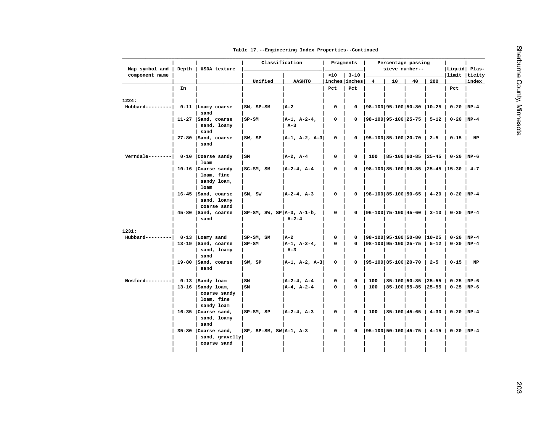| Table 17. -- Engineering Index Properties -- Continued |
|--------------------------------------------------------|
|--------------------------------------------------------|

| Map symbol and   | Depth | USDA texture                             | Classification               |                                |                      | Fragments               |                               | Percentage passing<br>sieve number--        |    |              | Liquid Plas-                               |             |
|------------------|-------|------------------------------------------|------------------------------|--------------------------------|----------------------|-------------------------|-------------------------------|---------------------------------------------|----|--------------|--------------------------------------------|-------------|
| component name   |       |                                          |                              |                                | >10                  | $3 - 10$                |                               |                                             |    |              | limit  ticity                              |             |
|                  | In    |                                          | Unified                      | <b>AASHTO</b>                  | inches inches<br>Pct | Pct                     | $\overline{4}$                | 10                                          | 40 | 200          | Pct                                        | index       |
|                  |       |                                          |                              |                                |                      |                         |                               |                                             |    |              |                                            |             |
| 1224:            |       |                                          |                              |                                |                      |                         |                               |                                             |    |              |                                            |             |
| $Hubbard-----$   |       | 0-11   Loamy coarse                      | $ SM, SP-SM$                 | A-2                            | 0                    | 0                       | 98-100 95-100 50-80  10-25    |                                             |    |              | $0-20$  NP-4                               |             |
|                  |       | sand                                     |                              |                                |                      |                         |                               |                                             |    |              |                                            |             |
|                  |       | 11-27   Sand, coarse                     | $ SP-SM $                    | $ A-1, A-2-4,$                 | 0                    | $\mathbf 0$             | 98-100 95-100 25-75           |                                             |    | $5 - 12$     | $0-20$ NP-4                                |             |
|                  |       | sand, loamy<br>sand                      |                              | $A-3$                          |                      |                         |                               |                                             |    |              |                                            |             |
|                  |       | 27-80   Sand, coarse                     | SW, SP                       | A-1, A-2, A-3                  | 0                    | $\mathbf 0$             | 95-100   85-100   20-70       |                                             |    | $2 - 5$      | $0 - 15$                                   | $_{\rm NP}$ |
|                  |       | sand                                     |                              |                                |                      |                         |                               |                                             |    |              |                                            |             |
|                  |       |                                          |                              |                                |                      |                         |                               |                                             |    |              |                                            |             |
| $Verndale------$ |       | 0-10 Coarse sandy                        | SM                           | $ A-2, A-4 $                   | 0                    | 0                       | 100                           | $ 85-100 60-85 25-45 $                      |    |              | $0-20$ NP-6                                |             |
|                  |       | loam                                     |                              |                                |                      |                         |                               |                                             |    |              |                                            |             |
|                  |       | $10-16$ Coarse sandy<br>loam, fine       | $ SC-SM, SM$                 | $ A-2-4, A-4 $                 | 0                    | $\mathbf 0$             |                               |                                             |    |              | $ 98-100 85-100 60-85 25-45 15-30 4-7$     |             |
|                  |       | sandy loam,                              |                              |                                |                      |                         |                               |                                             |    |              |                                            |             |
|                  |       | loam                                     |                              |                                |                      |                         |                               |                                             |    |              |                                            |             |
|                  |       | $16-45$  Sand, coarse                    | SM,SW                        | $ A-2-4, A-3 $                 | 0                    | $\mathbf 0$             | $ 98-100 85-100 50-65$        |                                             |    | $4 - 20$     | $  0-20   NP-4$                            |             |
|                  |       | sand, loamy                              |                              |                                |                      |                         |                               |                                             |    |              |                                            |             |
|                  |       | coarse sand<br>45-80 Sand, coarse        | $ SP-SM, SW, SP A-3, A-1-b,$ |                                | 0                    | 0                       |                               |                                             |    |              | $ 96-100 75-100 45-60$   3-10   0-20  NP-4 |             |
|                  |       | sand                                     |                              | $A - 2 - 4$                    |                      |                         |                               |                                             |    |              |                                            |             |
|                  |       |                                          |                              |                                |                      |                         |                               |                                             |    |              |                                            |             |
| 1231:            |       |                                          |                              |                                |                      |                         |                               |                                             |    |              |                                            |             |
| $Hubbard-----$   |       | 0-13 Loamy sand                          | $ SP-SM, SM$                 | A-2                            | 0                    | $\Omega$                | $ 98-100 95-100 50-80 10-25 $ |                                             |    |              | $0 - 20$ NP-4                              |             |
|                  |       | 13-19   Sand, coarse<br>sand, loamy      | $ SP-SM$                     | $ A-1, A-2-4,$<br>$A-3$        | 0                    | $\mathbf 0$             | 98-100 95-100 25-75           |                                             |    | $  5 - 12  $ | $0-20$  NP-4                               |             |
|                  |       | sand                                     |                              |                                |                      |                         |                               |                                             |    |              |                                            |             |
|                  |       | 19-80 $ $ Sand, coarse                   | SW, SP                       | A-1, A-2, A-3                  | 0                    | $\mathbf 0$             | $ 95-100 85-100 20-70$        |                                             |    | $2 - 5$      | $0 - 15$                                   | NP          |
|                  |       | sand                                     |                              |                                |                      |                         |                               |                                             |    |              |                                            |             |
|                  |       |                                          |                              |                                |                      |                         |                               |                                             |    |              |                                            |             |
| $Mostord-------$ |       | 0-13 Sandy loam<br>13-16 $ $ Sandy loam, | SM<br>l sm                   | $ A-2-4, A-4 $<br>$A-4, A-2-4$ | 0<br>0               | $\mathbf 0$<br>$\Omega$ | 100<br>100                    | 85-100 50-85  25-55<br> 85-100 55-85  25-55 |    |              | $0 - 25$ NP-6<br>$0-25$ NP-6               |             |
|                  |       | coarse sandy                             |                              |                                |                      |                         |                               |                                             |    |              |                                            |             |
|                  |       | loam, fine                               |                              |                                |                      |                         |                               |                                             |    |              |                                            |             |
|                  |       | sandy loam                               |                              |                                |                      |                         |                               |                                             |    |              |                                            |             |
|                  |       | $16-35$ Coarse sand,                     | $ SP-SM, SP$                 | $ A-2-4, A-3 $                 | 0                    | $\mathbf 0$             | 100                           | $ 85 - 100 45 - 65 $                        |    | $4 - 30$     | $0-20$ NP-4                                |             |
|                  |       | sand, loamy<br>sand                      |                              |                                |                      |                         |                               |                                             |    |              |                                            |             |
|                  |       | $35-80$ Coarse sand,                     | $ SP, SP-SM, SW A-1, A-3$    |                                | 0                    | $\mathbf 0$             | $ 95-100 50-100 45-75 $       |                                             |    | $4 - 15$     | $0-20$ NP-4                                |             |
|                  |       | sand, gravelly                           |                              |                                |                      |                         |                               |                                             |    |              |                                            |             |
|                  |       | coarse sand                              |                              |                                |                      |                         |                               |                                             |    |              |                                            |             |
|                  |       |                                          |                              |                                |                      |                         |                               |                                             |    |              |                                            |             |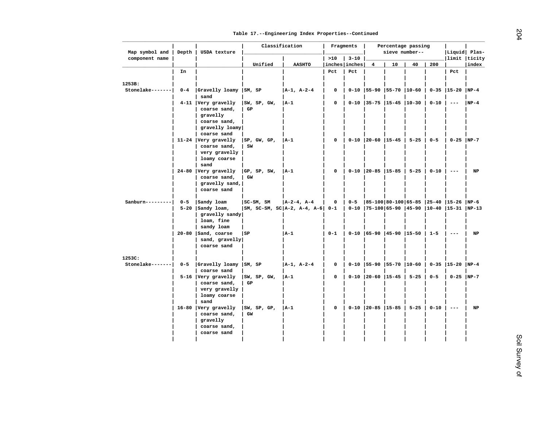| Map symbol and               | Depth   | USDA texture                  | Classification                      |               |               | Fragments |                                    | Percentage passing<br>sieve number-- |          |          | Liquid Plas-                                                                                                                                                                                                                                                                                                                                                                                 |        |
|------------------------------|---------|-------------------------------|-------------------------------------|---------------|---------------|-----------|------------------------------------|--------------------------------------|----------|----------|----------------------------------------------------------------------------------------------------------------------------------------------------------------------------------------------------------------------------------------------------------------------------------------------------------------------------------------------------------------------------------------------|--------|
| component name               |         |                               |                                     |               | >10           | $3 - 10$  |                                    |                                      |          |          | limit ticity                                                                                                                                                                                                                                                                                                                                                                                 |        |
|                              |         |                               | Unified                             | <b>AASHTO</b> | inches inches |           | 4                                  | 10                                   | 40       | 200      |                                                                                                                                                                                                                                                                                                                                                                                              | index  |
|                              | In      |                               |                                     |               | Pct           | Pct       |                                    |                                      |          |          | Pct                                                                                                                                                                                                                                                                                                                                                                                          |        |
|                              |         |                               |                                     |               |               |           |                                    |                                      |          |          |                                                                                                                                                                                                                                                                                                                                                                                              |        |
| 1253B:                       |         |                               |                                     |               |               |           |                                    |                                      |          |          |                                                                                                                                                                                                                                                                                                                                                                                              |        |
| Stonelake-------             | $0 - 4$ | Gravelly loamy                | SM, SP                              | A-1, A-2-4    | $\mathbf 0$   |           |                                    |                                      |          |          | 0-10   55-90   55-70   10-60   0-35   15-20   NP-4                                                                                                                                                                                                                                                                                                                                           |        |
|                              |         | sand                          |                                     |               |               |           |                                    |                                      |          |          |                                                                                                                                                                                                                                                                                                                                                                                              |        |
|                              |         | 4-11 Very gravelly            | SW, SP, GW,                         | $ A-1 $       | $\mathbf 0$   |           | $0-10$   35-75   15-45   10-30     |                                      |          | $0 - 10$ | $\qquad \qquad - -$                                                                                                                                                                                                                                                                                                                                                                          | $NP-4$ |
|                              |         | coarse sand,                  | GP                                  |               |               |           |                                    |                                      |          |          |                                                                                                                                                                                                                                                                                                                                                                                              |        |
|                              |         | gravelly                      |                                     |               |               |           |                                    |                                      |          |          |                                                                                                                                                                                                                                                                                                                                                                                              |        |
|                              |         | coarse sand,                  |                                     |               |               |           |                                    |                                      |          |          |                                                                                                                                                                                                                                                                                                                                                                                              |        |
|                              |         | gravelly loamy                |                                     |               |               |           |                                    |                                      |          |          |                                                                                                                                                                                                                                                                                                                                                                                              |        |
|                              |         | coarse sand                   |                                     |               |               |           |                                    |                                      |          |          |                                                                                                                                                                                                                                                                                                                                                                                              |        |
|                              |         | $11-24$ Very gravelly         | SP, GW, GP,                         | A-1           | 0             |           | $0-10$   20-60   15-45   5-25      |                                      |          | $0 - 5$  | $0-25$  NP-7                                                                                                                                                                                                                                                                                                                                                                                 |        |
|                              |         | coarse sand,                  | SW                                  |               |               |           |                                    |                                      |          |          |                                                                                                                                                                                                                                                                                                                                                                                              |        |
|                              |         | very gravelly<br>loamy coarse |                                     |               |               |           |                                    |                                      |          |          |                                                                                                                                                                                                                                                                                                                                                                                              |        |
|                              |         | sand                          |                                     |               |               |           |                                    |                                      |          |          |                                                                                                                                                                                                                                                                                                                                                                                              |        |
|                              |         | 24-80 Very gravelly           | GP, SP, SW,                         | A-1           | 0             |           | $0-10$   20-85   15-85   5-25      |                                      |          | $0 - 10$ | $\frac{1}{2} \frac{1}{2} \frac{1}{2} \frac{1}{2} \frac{1}{2} \frac{1}{2} \frac{1}{2} \frac{1}{2} \frac{1}{2} \frac{1}{2} \frac{1}{2} \frac{1}{2} \frac{1}{2} \frac{1}{2} \frac{1}{2} \frac{1}{2} \frac{1}{2} \frac{1}{2} \frac{1}{2} \frac{1}{2} \frac{1}{2} \frac{1}{2} \frac{1}{2} \frac{1}{2} \frac{1}{2} \frac{1}{2} \frac{1}{2} \frac{1}{2} \frac{1}{2} \frac{1}{2} \frac{1}{2} \frac{$ | NP     |
|                              |         | coarse sand,                  | GW                                  |               |               |           |                                    |                                      |          |          |                                                                                                                                                                                                                                                                                                                                                                                              |        |
|                              |         | gravelly sand,                |                                     |               |               |           |                                    |                                      |          |          |                                                                                                                                                                                                                                                                                                                                                                                              |        |
|                              |         | coarse sand                   |                                     |               |               |           |                                    |                                      |          |          |                                                                                                                                                                                                                                                                                                                                                                                              |        |
|                              |         |                               |                                     |               |               |           |                                    |                                      |          |          |                                                                                                                                                                                                                                                                                                                                                                                              |        |
| $Sanhurn------$              | $0 - 5$ | Sandy loam                    | SC-SM, SM                           | A-2-4, A-4    | $\mathbf 0$   | $0 - 5$   |                                    |                                      |          |          | 85-100 80-100 65-85  25-40  15-26  NP-6                                                                                                                                                                                                                                                                                                                                                      |        |
|                              |         | $5-20$   Sandy loam,          | $ SM, SC-SM, SC A-2, A-4, A-6  0-1$ |               |               |           |                                    |                                      |          |          | 0-10  75-100 65-90  45-90  10-40  15-31  NP-13                                                                                                                                                                                                                                                                                                                                               |        |
|                              |         | gravelly sandy                |                                     |               |               |           |                                    |                                      |          |          |                                                                                                                                                                                                                                                                                                                                                                                              |        |
|                              |         | loam, fine                    |                                     |               |               |           |                                    |                                      |          |          |                                                                                                                                                                                                                                                                                                                                                                                              |        |
|                              |         | sandy loam                    |                                     |               |               |           |                                    |                                      |          |          |                                                                                                                                                                                                                                                                                                                                                                                              |        |
|                              |         | $20-80$  Sand, coarse         | l SP                                | $ A-1 $       | $0 - 1$       |           | 0-10   65-90   45-90   15-50   1-5 |                                      |          |          |                                                                                                                                                                                                                                                                                                                                                                                              | NP     |
|                              |         | sand, gravelly                |                                     |               |               |           |                                    |                                      |          |          |                                                                                                                                                                                                                                                                                                                                                                                              |        |
|                              |         | coarse sand                   |                                     |               |               |           |                                    |                                      |          |          |                                                                                                                                                                                                                                                                                                                                                                                              |        |
|                              |         |                               |                                     |               |               |           |                                    |                                      |          |          |                                                                                                                                                                                                                                                                                                                                                                                              |        |
| 1253C:<br>$Stone lake------$ | $0 - 5$ | Gravelly loamy                | SM, SP                              | A-1, A-2-4    | 0             |           | $0-10$   55-90   55-70   10-60     |                                      |          |          | $0 - 35$   15-20                                                                                                                                                                                                                                                                                                                                                                             | $NP-4$ |
|                              |         | coarse sand                   |                                     |               |               |           |                                    |                                      |          |          |                                                                                                                                                                                                                                                                                                                                                                                              |        |
|                              |         | 5-16 Very gravelly            | SW, SP, GW,                         | $ A-1 $       | 0             |           | $0-10$   20-60   15-45             |                                      | $5 - 25$ | $0 - 5$  | $0-25$  NP-7                                                                                                                                                                                                                                                                                                                                                                                 |        |
|                              |         | coarse sand,                  | GP                                  |               |               |           |                                    |                                      |          |          |                                                                                                                                                                                                                                                                                                                                                                                              |        |
|                              |         | very gravelly                 |                                     |               |               |           |                                    |                                      |          |          |                                                                                                                                                                                                                                                                                                                                                                                              |        |
|                              |         | loamy coarse                  |                                     |               |               |           |                                    |                                      |          |          |                                                                                                                                                                                                                                                                                                                                                                                              |        |
|                              |         | sand                          |                                     |               |               |           |                                    |                                      |          |          |                                                                                                                                                                                                                                                                                                                                                                                              |        |
|                              |         | 16-80 Very gravelly           | SW, SP, GP,                         | $ A-1 $       | 0             |           | $0-10$   20-85   15-85             |                                      | $5 - 25$ | $0 - 10$ |                                                                                                                                                                                                                                                                                                                                                                                              | NP     |
|                              |         | coarse sand,                  | GW                                  |               |               |           |                                    |                                      |          |          |                                                                                                                                                                                                                                                                                                                                                                                              |        |
|                              |         | gravelly                      |                                     |               |               |           |                                    |                                      |          |          |                                                                                                                                                                                                                                                                                                                                                                                              |        |
|                              |         | coarse sand,                  |                                     |               |               |           |                                    |                                      |          |          |                                                                                                                                                                                                                                                                                                                                                                                              |        |
|                              |         | coarse sand                   |                                     |               |               |           |                                    |                                      |          |          |                                                                                                                                                                                                                                                                                                                                                                                              |        |
|                              |         |                               |                                     |               |               |           |                                    |                                      |          |          |                                                                                                                                                                                                                                                                                                                                                                                              |        |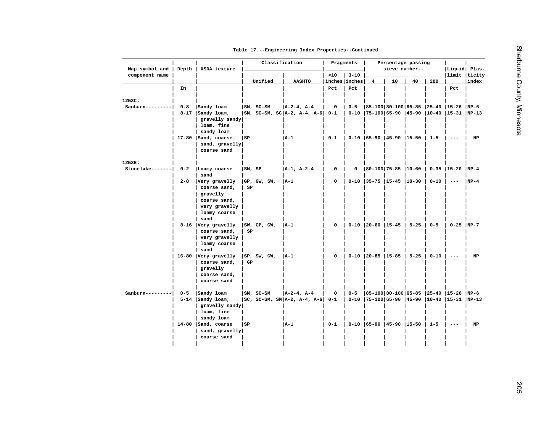| Table 17. -- Engineering Index Properties -- Continued |
|--------------------------------------------------------|
|--------------------------------------------------------|

| Map symbol and           | Depth   | USDA texture                           |        | Classification |                                                       |                | Fragments |                                   | Percentage passing<br>sieve number-- |          |          | Liquid Plas-                                          |        |
|--------------------------|---------|----------------------------------------|--------|----------------|-------------------------------------------------------|----------------|-----------|-----------------------------------|--------------------------------------|----------|----------|-------------------------------------------------------|--------|
| component name           |         |                                        |        |                |                                                       | >10            | $3 - 10$  |                                   |                                      |          |          | limit ticity                                          |        |
|                          |         |                                        |        | Unified        | <b>AASHTO</b>                                         | inches inches  |           | 4                                 | 10                                   | 40       | 200      |                                                       | index  |
|                          | In      |                                        |        |                |                                                       | Pct            | Pct       |                                   |                                      |          |          | Pct                                                   |        |
|                          |         |                                        |        |                |                                                       |                |           |                                   |                                      |          |          |                                                       |        |
| 1253C:                   |         |                                        |        |                |                                                       |                |           |                                   |                                      |          |          | 85-100 80-100 65-85  25-40  15-26  NP-6               |        |
| $Sanhurn------$          | $0 - 8$ | Sandy loam<br>$8-17$   Sandy loam,     |        | $ SM, SC-SM$   | $ A-2-4, A-4 $<br>$ SM, SC-SM, SC A-2, A-4, A-6  0-1$ | 0              | $0 - 5$   |                                   |                                      |          |          | 0-10  75-100   65-90   45-90   10-40   15-31   NP-13  |        |
|                          |         | gravelly sandy                         |        |                |                                                       |                |           |                                   |                                      |          |          |                                                       |        |
|                          |         | loam, fine                             |        |                |                                                       |                |           |                                   |                                      |          |          |                                                       |        |
|                          |         | sandy loam                             |        |                |                                                       |                |           |                                   |                                      |          |          |                                                       |        |
|                          |         | 17-80   Sand, coarse                   | SP     |                | A-1                                                   | $0 - 1$        |           | $0-10$ $ 65-90$ $ 45-90$ $ 15-50$ |                                      |          | $1 - 5$  | $- - -$                                               | NP     |
|                          |         | sand, gravelly                         |        |                |                                                       |                |           |                                   |                                      |          |          |                                                       |        |
|                          |         | coarse sand                            |        |                |                                                       |                |           |                                   |                                      |          |          |                                                       |        |
|                          |         |                                        |        |                |                                                       |                |           |                                   |                                      |          |          |                                                       |        |
| 1253E:                   |         |                                        |        |                |                                                       |                |           |                                   |                                      |          |          |                                                       |        |
| Stonelake-------         | $0 - 2$ | Loamy coarse                           | SM, SP |                | A-1, A-2-4                                            | 0              | 0         | $ 80-100 75-85 10-60 $            |                                      |          |          | $0-35$  15-20  NP-4                                   |        |
|                          |         | sand                                   |        |                |                                                       |                |           |                                   |                                      |          |          |                                                       |        |
|                          | $2 - 8$ | Very gravelly                          |        | GP, GW, SW,    | $ A-1 $                                               | 0              |           | $0-10$ 35-75 15-45 10-30          |                                      |          | $0 - 10$ | $- - -$                                               | $NP-4$ |
|                          |         | coarse sand,                           | SP     |                |                                                       |                |           |                                   |                                      |          |          |                                                       |        |
|                          |         | gravelly                               |        |                |                                                       |                |           |                                   |                                      |          |          |                                                       |        |
|                          |         | coarse sand,                           |        |                |                                                       |                |           |                                   |                                      |          |          |                                                       |        |
|                          |         | very gravelly                          |        |                |                                                       |                |           |                                   |                                      |          |          |                                                       |        |
|                          |         | loamy coarse<br>sand                   |        |                |                                                       |                |           |                                   |                                      |          |          |                                                       |        |
|                          |         | 8-16 Very gravelly                     |        | SW, GP, GW,    | A-1                                                   | $\mathsf{o}\,$ |           | $0-10$   20-60   15-45            |                                      | $5 - 25$ | $0 - 5$  | $0-25$ NP-7                                           |        |
|                          |         | coarse sand,                           | SP     |                |                                                       |                |           |                                   |                                      |          |          |                                                       |        |
|                          |         | very gravelly                          |        |                |                                                       |                |           |                                   |                                      |          |          |                                                       |        |
|                          |         | loamy coarse                           |        |                |                                                       |                |           |                                   |                                      |          |          |                                                       |        |
|                          |         | sand                                   |        |                |                                                       |                |           |                                   |                                      |          |          |                                                       |        |
|                          |         | 16-80 Very gravelly                    |        | SP, SW, GW,    | A-1                                                   | 0              |           | $0-10$   20-85   15-85   5-25     |                                      |          | $0 - 10$ | $\frac{1}{2}$                                         | NP     |
|                          |         | coarse sand,                           | GP     |                |                                                       |                |           |                                   |                                      |          |          |                                                       |        |
|                          |         | gravelly                               |        |                |                                                       |                |           |                                   |                                      |          |          |                                                       |        |
|                          |         | coarse sand,                           |        |                |                                                       |                |           |                                   |                                      |          |          |                                                       |        |
|                          |         | coarse sand                            |        |                |                                                       |                |           |                                   |                                      |          |          |                                                       |        |
|                          |         |                                        |        |                |                                                       |                |           |                                   |                                      |          |          |                                                       |        |
| Sanburn--------- $ $ 0-5 |         | Sandy loam                             |        | SM, SC-SM      | $ A-2-4, A-4 $                                        | 0              | $0 - 5$   |                                   |                                      |          |          | 85-100 80-100 65-85  25-40  15-26  NP-6               |        |
|                          |         | $5-14$   Sandy loam,                   |        |                | $ SC, SC-SM, SM A-2, A-4, A-6  0-1$                   |                |           |                                   |                                      |          |          | 0-10   75-100   65-90   45-90   10-40   15-31   NP-13 |        |
|                          |         | gravelly sandy                         |        |                |                                                       |                |           |                                   |                                      |          |          |                                                       |        |
|                          |         | loam, fine                             |        |                |                                                       |                |           |                                   |                                      |          |          |                                                       |        |
|                          |         | sandy loam                             |        |                | A-1                                                   | $0 - 1$        |           |                                   |                                      |          |          |                                                       |        |
|                          |         | 14-80   Sand, coarse<br>sand, gravelly | SP     |                |                                                       |                |           | $0-10$  65-90  45-90  15-50       |                                      |          | $1 - 5$  |                                                       | NP     |
|                          |         | coarse sand                            |        |                |                                                       |                |           |                                   |                                      |          |          |                                                       |        |
|                          |         |                                        |        |                |                                                       |                |           |                                   |                                      |          |          |                                                       |        |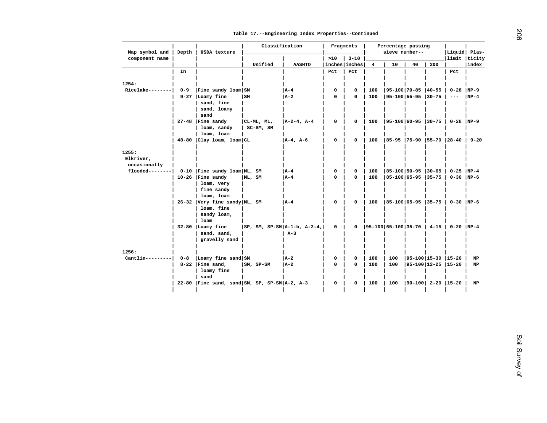| Map symbol and     | Depth   | USDA texture                    | Classification                                     |                |                      | Fragments      |                         | Percentage passing<br>sieve number-- |                           |          | Liquid Plas-                      |        |
|--------------------|---------|---------------------------------|----------------------------------------------------|----------------|----------------------|----------------|-------------------------|--------------------------------------|---------------------------|----------|-----------------------------------|--------|
| component name     |         |                                 | Unified                                            | <b>AASHTO</b>  | >10<br>inches inches | $3 - 10$       | $\overline{\mathbf{4}}$ | 10                                   | 40                        | 200      | limit ticity                      | index  |
|                    | In      |                                 |                                                    |                | Pct                  | Pct            |                         |                                      |                           |          | Pct                               |        |
|                    |         |                                 |                                                    |                |                      |                |                         |                                      |                           |          |                                   |        |
| 1254:              |         |                                 |                                                    |                |                      |                |                         |                                      |                           |          |                                   |        |
| $Ricelake------$   | $0 - 9$ | Fine sandy loam SM              |                                                    | $ A-4 $        | $\mathbf 0$          | $\mathbf 0$    | 100                     | $ 95-100 70-85 40-55$                |                           |          | $0 - 28$                          | $NP-9$ |
|                    |         | 9-27 Loamy fine                 | l sm                                               | $ A-2 $        | $\mathbf 0$          | 0              | 100                     | $ 95-100 55-95 30-75$                |                           |          | $\sim$ $\sim$ $\sim$              | $NP-4$ |
|                    |         | sand, fine                      |                                                    |                |                      |                |                         |                                      |                           |          |                                   |        |
|                    |         | sand, loamy                     |                                                    |                |                      |                |                         |                                      |                           |          |                                   |        |
|                    |         | sand                            |                                                    |                |                      |                |                         |                                      |                           |          |                                   |        |
|                    |         | $27-48$   Fine sandy            | CL-ML, ML,                                         | $ A-2-4, A-4 $ | $\mathbf 0$          | $\mathbf 0$    | 100                     | $ 95-100 60-95 30-75$                |                           |          | $0-28$  NP-9                      |        |
|                    |         | loam, sandy<br>loam, loam       | SC-SM, SM                                          |                |                      |                |                         |                                      |                           |          |                                   |        |
|                    |         | 48-80 Clay loam, loam CL        |                                                    | $A-4$ , $A-6$  | 0                    | 0              | 100                     |                                      |                           |          | 85-95  75-90  55-70  28-40   9-20 |        |
|                    |         |                                 |                                                    |                |                      |                |                         |                                      |                           |          |                                   |        |
| 1255:              |         |                                 |                                                    |                |                      |                |                         |                                      |                           |          |                                   |        |
| Elkriver,          |         |                                 |                                                    |                |                      |                |                         |                                      |                           |          |                                   |        |
| occasionally       |         |                                 |                                                    |                |                      |                |                         |                                      |                           |          |                                   |        |
| $f$ looded-------- |         | 0-10   Fine sandy loam   ML, SM |                                                    | $ A-4 $        | 0                    | $\mathbf 0$    | 100                     | $ 85 - 100 50 - 95 30 - 65$          |                           |          | $0-25$ NP-4                       |        |
|                    |         | $10-26$   Fine sandy            | ML, SM                                             | A - 4          | $\Omega$             | $\mathbf 0$    | 100                     | $ 85-100 65-95 35-75$                |                           |          | $0-30$  NP-6                      |        |
|                    |         | loam, very<br>fine sandy        |                                                    |                |                      |                |                         |                                      |                           |          |                                   |        |
|                    |         | loam, loam                      |                                                    |                |                      |                |                         |                                      |                           |          |                                   |        |
|                    |         | 26-32 Very fine sandy ML, SM    |                                                    | l A-4          | 0                    | $\mathbf 0$    | 100                     | $ 85-100 65-95 35-75 $               |                           |          | $0-30$ NP-6                       |        |
|                    |         | loam, fine                      |                                                    |                |                      |                |                         |                                      |                           |          |                                   |        |
|                    |         | sandy loam,                     |                                                    |                |                      |                |                         |                                      |                           |          |                                   |        |
|                    |         | loam                            |                                                    |                |                      |                |                         |                                      |                           |          |                                   |        |
|                    |         | 32-80 Loamy fine                | $ SP, SM, SP-SM A-1-b, A-2-4,$                     |                | $\mathsf{o}\,$       | 0              | $ 95-100 65-100 35-70 $ |                                      |                           | $4 - 15$ | $0-20$ NP-4                       |        |
|                    |         | sand, sand,                     |                                                    | $A-3$          |                      |                |                         |                                      |                           |          |                                   |        |
|                    |         | gravelly sand                   |                                                    |                |                      |                |                         |                                      |                           |          |                                   |        |
| 1256:              |         |                                 |                                                    |                |                      |                |                         |                                      |                           |          |                                   |        |
| $Cantlin------$    | $0 - 8$ | Loamy fine sand SM              |                                                    | $ A-2 $        | 0                    | $\mathsf{o}\,$ | 100                     | 100                                  | $ 95-100 15-30 15-20$     |          |                                   | NP     |
|                    |         | $8-22$   Fine sand,             | SM, SP-SM                                          | A-2            | $\mathbf 0$          | 0              | 100                     | 100                                  | $ 95-100 12-25 15-20$     |          |                                   | NP     |
|                    |         | loamy fine                      |                                                    |                |                      |                |                         |                                      |                           |          |                                   |        |
|                    |         | sand                            |                                                    |                |                      |                |                         |                                      |                           |          |                                   |        |
|                    |         |                                 | 22-80   Fine sand, sand   SM, SP, SP-SM   A-2, A-3 |                | $\mathbf 0$          | 0              | 100                     | 100                                  | $ 90-100 $ 2-20 $ 15-20 $ |          |                                   | NP     |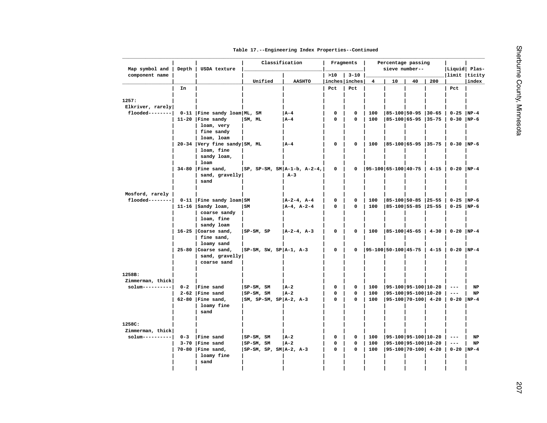|  |  |  |  | Table 17. -- Engineering Index Properties -- Continued |
|--|--|--|--|--------------------------------------------------------|
|--|--|--|--|--------------------------------------------------------|

| >10<br>$3 - 10$<br>limit  ticity<br>Unified<br><b>AASHTO</b><br>inches inches<br>10<br>40<br>200<br>index<br>$\overline{4}$<br>Pct<br>Pct<br>In<br>Pct<br>0-11   Fine sandy loam   ML, SM<br>  A – 4<br>0<br>$ 85-100 50-95 30-65 $<br>$0-25$ NP-4<br>0<br>100<br>  A – 4<br>$\Omega$<br>$\Omega$<br>85-100 65-95 35-75<br>$0-30$  NP-6<br>11-20   Fine sandy<br>SM, ML<br>100<br>loam, very<br>fine sandy<br>loam, loam<br>20-34 Very fine sandy SM, ML<br>  A – 4<br>$ 85-100 65-95 35-75 $<br>$0-30$  NP-6<br>0<br>$\mathbf 0$<br>100<br>loam, fine<br>sandy loam,<br>loam<br>$34-80$   Fine sand,<br>$ SP, SP-SM, SM A-1-b, A-2-4,$<br>0<br>0<br>$ 95-100 65-100 40-75 $<br>$4 - 15$<br>$0-20$ NP-4<br>sand, gravelly<br>$A-3$<br>sand<br>Mosford, rarely<br>0-11   Fine sandy loam   SM<br>A-2-4, A-4<br>0<br> 85-100 50-85  25-55  <br>$0 - 25$ NP-6<br>0<br>100<br>$A-4, A-2-4$<br>$\pmb{0}$<br>85-100 55-85 25-55<br>$0-25$ NP-6<br>11-16 $ $ Sandy loam,<br>  SM<br>0<br>100<br>coarse sandy<br>loam, fine<br>sandy loam<br>$16-25$ Coarse sand,<br>0<br>100<br>$ 85 - 100 45 - 65 $<br>$0-20$ NP-4<br>$ SP-SM, SP$<br> A-2-4, A-3<br>0<br>$4 - 30$<br>fine sand,<br>loamy sand<br>$25-80$ Coarse sand,<br>$ SP-SM, SW, SP A-1, A-3$<br>0<br>$ 95-100 50-100 45-75 $ 4-15<br>$0-20$ NP-4<br>0<br>sand, gravelly<br>coarse sand<br>1258B:<br>Zimmerman, thick<br>Fine sand<br>$ SP-SM, SM$<br>$\mathbf 0$<br>$ 95-100 95-100 10-20$<br>$0 - 2$<br>$ A-2 $<br>$\mathbf 0$<br>100<br>NP<br>$\qquad \qquad - -$<br>$2-62$   Fine sand<br>$ SP-SM, SM$<br>$\pmb{0}$<br>0<br>$ 95-100 95-100 10-20$<br>$_{\rm NP}$<br> A-2<br>100<br>$\qquad \qquad - -$<br> 95-100 70-100  4-20<br>$0-20$ NP-4<br>$62-80$ Fine sand,<br>$ SM, SP-SM, SP A-2, A-3$<br>$\mathbf{0}$<br>0<br>100<br>loamy fine<br>sand<br>Zimmerman, thick<br>$s$ olum----------<br>Fine sand<br>  95-100   95-100   10-20<br>$0 - 3$<br>$SP-SM, SM$<br>  A-2<br>$\mathbf 0$<br>NP<br>0<br>100<br>$- -$<br>3-70 Fine sand<br>SP-SM, SM<br>$ A-2 $<br>$\mathbf 0$<br>100<br> 95-100 95-100 10-20<br><b>NP</b><br>0<br>$\qquad \qquad - -$<br>$70-80$   Fine sand,<br>$ SP-SM, SP, SM A-2, A-3$<br>$\mathbf 0$<br>$ 95-100 70-100 $ 4-20<br>$0-20$  NP-4<br>0<br>100<br>loamy fine<br>sand | component name<br>1257:<br>Elkriver, rarely<br>$f$ looded-------- | Map symbol and | Depth | USDA texture | Classification | Fragments |  | Percentage passing<br>sieve number-- |  | Liquid Plas- |  |
|-----------------------------------------------------------------------------------------------------------------------------------------------------------------------------------------------------------------------------------------------------------------------------------------------------------------------------------------------------------------------------------------------------------------------------------------------------------------------------------------------------------------------------------------------------------------------------------------------------------------------------------------------------------------------------------------------------------------------------------------------------------------------------------------------------------------------------------------------------------------------------------------------------------------------------------------------------------------------------------------------------------------------------------------------------------------------------------------------------------------------------------------------------------------------------------------------------------------------------------------------------------------------------------------------------------------------------------------------------------------------------------------------------------------------------------------------------------------------------------------------------------------------------------------------------------------------------------------------------------------------------------------------------------------------------------------------------------------------------------------------------------------------------------------------------------------------------------------------------------------------------------------------------------------------------------------------------------------------------------------------------------------------------------------------------------------------------------------------------------------------------------------------------------------------------------------------------------------------------------------------------------|-------------------------------------------------------------------|----------------|-------|--------------|----------------|-----------|--|--------------------------------------|--|--------------|--|
|                                                                                                                                                                                                                                                                                                                                                                                                                                                                                                                                                                                                                                                                                                                                                                                                                                                                                                                                                                                                                                                                                                                                                                                                                                                                                                                                                                                                                                                                                                                                                                                                                                                                                                                                                                                                                                                                                                                                                                                                                                                                                                                                                                                                                                                           |                                                                   |                |       |              |                |           |  |                                      |  |              |  |
|                                                                                                                                                                                                                                                                                                                                                                                                                                                                                                                                                                                                                                                                                                                                                                                                                                                                                                                                                                                                                                                                                                                                                                                                                                                                                                                                                                                                                                                                                                                                                                                                                                                                                                                                                                                                                                                                                                                                                                                                                                                                                                                                                                                                                                                           |                                                                   |                |       |              |                |           |  |                                      |  |              |  |
|                                                                                                                                                                                                                                                                                                                                                                                                                                                                                                                                                                                                                                                                                                                                                                                                                                                                                                                                                                                                                                                                                                                                                                                                                                                                                                                                                                                                                                                                                                                                                                                                                                                                                                                                                                                                                                                                                                                                                                                                                                                                                                                                                                                                                                                           |                                                                   |                |       |              |                |           |  |                                      |  |              |  |
|                                                                                                                                                                                                                                                                                                                                                                                                                                                                                                                                                                                                                                                                                                                                                                                                                                                                                                                                                                                                                                                                                                                                                                                                                                                                                                                                                                                                                                                                                                                                                                                                                                                                                                                                                                                                                                                                                                                                                                                                                                                                                                                                                                                                                                                           |                                                                   |                |       |              |                |           |  |                                      |  |              |  |
|                                                                                                                                                                                                                                                                                                                                                                                                                                                                                                                                                                                                                                                                                                                                                                                                                                                                                                                                                                                                                                                                                                                                                                                                                                                                                                                                                                                                                                                                                                                                                                                                                                                                                                                                                                                                                                                                                                                                                                                                                                                                                                                                                                                                                                                           |                                                                   |                |       |              |                |           |  |                                      |  |              |  |
|                                                                                                                                                                                                                                                                                                                                                                                                                                                                                                                                                                                                                                                                                                                                                                                                                                                                                                                                                                                                                                                                                                                                                                                                                                                                                                                                                                                                                                                                                                                                                                                                                                                                                                                                                                                                                                                                                                                                                                                                                                                                                                                                                                                                                                                           |                                                                   |                |       |              |                |           |  |                                      |  |              |  |
|                                                                                                                                                                                                                                                                                                                                                                                                                                                                                                                                                                                                                                                                                                                                                                                                                                                                                                                                                                                                                                                                                                                                                                                                                                                                                                                                                                                                                                                                                                                                                                                                                                                                                                                                                                                                                                                                                                                                                                                                                                                                                                                                                                                                                                                           |                                                                   |                |       |              |                |           |  |                                      |  |              |  |
|                                                                                                                                                                                                                                                                                                                                                                                                                                                                                                                                                                                                                                                                                                                                                                                                                                                                                                                                                                                                                                                                                                                                                                                                                                                                                                                                                                                                                                                                                                                                                                                                                                                                                                                                                                                                                                                                                                                                                                                                                                                                                                                                                                                                                                                           |                                                                   |                |       |              |                |           |  |                                      |  |              |  |
|                                                                                                                                                                                                                                                                                                                                                                                                                                                                                                                                                                                                                                                                                                                                                                                                                                                                                                                                                                                                                                                                                                                                                                                                                                                                                                                                                                                                                                                                                                                                                                                                                                                                                                                                                                                                                                                                                                                                                                                                                                                                                                                                                                                                                                                           |                                                                   |                |       |              |                |           |  |                                      |  |              |  |
|                                                                                                                                                                                                                                                                                                                                                                                                                                                                                                                                                                                                                                                                                                                                                                                                                                                                                                                                                                                                                                                                                                                                                                                                                                                                                                                                                                                                                                                                                                                                                                                                                                                                                                                                                                                                                                                                                                                                                                                                                                                                                                                                                                                                                                                           |                                                                   |                |       |              |                |           |  |                                      |  |              |  |
|                                                                                                                                                                                                                                                                                                                                                                                                                                                                                                                                                                                                                                                                                                                                                                                                                                                                                                                                                                                                                                                                                                                                                                                                                                                                                                                                                                                                                                                                                                                                                                                                                                                                                                                                                                                                                                                                                                                                                                                                                                                                                                                                                                                                                                                           |                                                                   |                |       |              |                |           |  |                                      |  |              |  |
|                                                                                                                                                                                                                                                                                                                                                                                                                                                                                                                                                                                                                                                                                                                                                                                                                                                                                                                                                                                                                                                                                                                                                                                                                                                                                                                                                                                                                                                                                                                                                                                                                                                                                                                                                                                                                                                                                                                                                                                                                                                                                                                                                                                                                                                           |                                                                   |                |       |              |                |           |  |                                      |  |              |  |
|                                                                                                                                                                                                                                                                                                                                                                                                                                                                                                                                                                                                                                                                                                                                                                                                                                                                                                                                                                                                                                                                                                                                                                                                                                                                                                                                                                                                                                                                                                                                                                                                                                                                                                                                                                                                                                                                                                                                                                                                                                                                                                                                                                                                                                                           |                                                                   |                |       |              |                |           |  |                                      |  |              |  |
|                                                                                                                                                                                                                                                                                                                                                                                                                                                                                                                                                                                                                                                                                                                                                                                                                                                                                                                                                                                                                                                                                                                                                                                                                                                                                                                                                                                                                                                                                                                                                                                                                                                                                                                                                                                                                                                                                                                                                                                                                                                                                                                                                                                                                                                           |                                                                   |                |       |              |                |           |  |                                      |  |              |  |
|                                                                                                                                                                                                                                                                                                                                                                                                                                                                                                                                                                                                                                                                                                                                                                                                                                                                                                                                                                                                                                                                                                                                                                                                                                                                                                                                                                                                                                                                                                                                                                                                                                                                                                                                                                                                                                                                                                                                                                                                                                                                                                                                                                                                                                                           |                                                                   |                |       |              |                |           |  |                                      |  |              |  |
|                                                                                                                                                                                                                                                                                                                                                                                                                                                                                                                                                                                                                                                                                                                                                                                                                                                                                                                                                                                                                                                                                                                                                                                                                                                                                                                                                                                                                                                                                                                                                                                                                                                                                                                                                                                                                                                                                                                                                                                                                                                                                                                                                                                                                                                           |                                                                   |                |       |              |                |           |  |                                      |  |              |  |
|                                                                                                                                                                                                                                                                                                                                                                                                                                                                                                                                                                                                                                                                                                                                                                                                                                                                                                                                                                                                                                                                                                                                                                                                                                                                                                                                                                                                                                                                                                                                                                                                                                                                                                                                                                                                                                                                                                                                                                                                                                                                                                                                                                                                                                                           |                                                                   |                |       |              |                |           |  |                                      |  |              |  |
|                                                                                                                                                                                                                                                                                                                                                                                                                                                                                                                                                                                                                                                                                                                                                                                                                                                                                                                                                                                                                                                                                                                                                                                                                                                                                                                                                                                                                                                                                                                                                                                                                                                                                                                                                                                                                                                                                                                                                                                                                                                                                                                                                                                                                                                           |                                                                   |                |       |              |                |           |  |                                      |  |              |  |
|                                                                                                                                                                                                                                                                                                                                                                                                                                                                                                                                                                                                                                                                                                                                                                                                                                                                                                                                                                                                                                                                                                                                                                                                                                                                                                                                                                                                                                                                                                                                                                                                                                                                                                                                                                                                                                                                                                                                                                                                                                                                                                                                                                                                                                                           | flooded--------                                                   |                |       |              |                |           |  |                                      |  |              |  |
|                                                                                                                                                                                                                                                                                                                                                                                                                                                                                                                                                                                                                                                                                                                                                                                                                                                                                                                                                                                                                                                                                                                                                                                                                                                                                                                                                                                                                                                                                                                                                                                                                                                                                                                                                                                                                                                                                                                                                                                                                                                                                                                                                                                                                                                           |                                                                   |                |       |              |                |           |  |                                      |  |              |  |
|                                                                                                                                                                                                                                                                                                                                                                                                                                                                                                                                                                                                                                                                                                                                                                                                                                                                                                                                                                                                                                                                                                                                                                                                                                                                                                                                                                                                                                                                                                                                                                                                                                                                                                                                                                                                                                                                                                                                                                                                                                                                                                                                                                                                                                                           |                                                                   |                |       |              |                |           |  |                                      |  |              |  |
|                                                                                                                                                                                                                                                                                                                                                                                                                                                                                                                                                                                                                                                                                                                                                                                                                                                                                                                                                                                                                                                                                                                                                                                                                                                                                                                                                                                                                                                                                                                                                                                                                                                                                                                                                                                                                                                                                                                                                                                                                                                                                                                                                                                                                                                           |                                                                   |                |       |              |                |           |  |                                      |  |              |  |
|                                                                                                                                                                                                                                                                                                                                                                                                                                                                                                                                                                                                                                                                                                                                                                                                                                                                                                                                                                                                                                                                                                                                                                                                                                                                                                                                                                                                                                                                                                                                                                                                                                                                                                                                                                                                                                                                                                                                                                                                                                                                                                                                                                                                                                                           |                                                                   |                |       |              |                |           |  |                                      |  |              |  |
|                                                                                                                                                                                                                                                                                                                                                                                                                                                                                                                                                                                                                                                                                                                                                                                                                                                                                                                                                                                                                                                                                                                                                                                                                                                                                                                                                                                                                                                                                                                                                                                                                                                                                                                                                                                                                                                                                                                                                                                                                                                                                                                                                                                                                                                           |                                                                   |                |       |              |                |           |  |                                      |  |              |  |
|                                                                                                                                                                                                                                                                                                                                                                                                                                                                                                                                                                                                                                                                                                                                                                                                                                                                                                                                                                                                                                                                                                                                                                                                                                                                                                                                                                                                                                                                                                                                                                                                                                                                                                                                                                                                                                                                                                                                                                                                                                                                                                                                                                                                                                                           |                                                                   |                |       |              |                |           |  |                                      |  |              |  |
|                                                                                                                                                                                                                                                                                                                                                                                                                                                                                                                                                                                                                                                                                                                                                                                                                                                                                                                                                                                                                                                                                                                                                                                                                                                                                                                                                                                                                                                                                                                                                                                                                                                                                                                                                                                                                                                                                                                                                                                                                                                                                                                                                                                                                                                           |                                                                   |                |       |              |                |           |  |                                      |  |              |  |
|                                                                                                                                                                                                                                                                                                                                                                                                                                                                                                                                                                                                                                                                                                                                                                                                                                                                                                                                                                                                                                                                                                                                                                                                                                                                                                                                                                                                                                                                                                                                                                                                                                                                                                                                                                                                                                                                                                                                                                                                                                                                                                                                                                                                                                                           |                                                                   |                |       |              |                |           |  |                                      |  |              |  |
|                                                                                                                                                                                                                                                                                                                                                                                                                                                                                                                                                                                                                                                                                                                                                                                                                                                                                                                                                                                                                                                                                                                                                                                                                                                                                                                                                                                                                                                                                                                                                                                                                                                                                                                                                                                                                                                                                                                                                                                                                                                                                                                                                                                                                                                           |                                                                   |                |       |              |                |           |  |                                      |  |              |  |
|                                                                                                                                                                                                                                                                                                                                                                                                                                                                                                                                                                                                                                                                                                                                                                                                                                                                                                                                                                                                                                                                                                                                                                                                                                                                                                                                                                                                                                                                                                                                                                                                                                                                                                                                                                                                                                                                                                                                                                                                                                                                                                                                                                                                                                                           |                                                                   |                |       |              |                |           |  |                                      |  |              |  |
|                                                                                                                                                                                                                                                                                                                                                                                                                                                                                                                                                                                                                                                                                                                                                                                                                                                                                                                                                                                                                                                                                                                                                                                                                                                                                                                                                                                                                                                                                                                                                                                                                                                                                                                                                                                                                                                                                                                                                                                                                                                                                                                                                                                                                                                           |                                                                   |                |       |              |                |           |  |                                      |  |              |  |
|                                                                                                                                                                                                                                                                                                                                                                                                                                                                                                                                                                                                                                                                                                                                                                                                                                                                                                                                                                                                                                                                                                                                                                                                                                                                                                                                                                                                                                                                                                                                                                                                                                                                                                                                                                                                                                                                                                                                                                                                                                                                                                                                                                                                                                                           |                                                                   |                |       |              |                |           |  |                                      |  |              |  |
|                                                                                                                                                                                                                                                                                                                                                                                                                                                                                                                                                                                                                                                                                                                                                                                                                                                                                                                                                                                                                                                                                                                                                                                                                                                                                                                                                                                                                                                                                                                                                                                                                                                                                                                                                                                                                                                                                                                                                                                                                                                                                                                                                                                                                                                           | $solum-------$                                                    |                |       |              |                |           |  |                                      |  |              |  |
|                                                                                                                                                                                                                                                                                                                                                                                                                                                                                                                                                                                                                                                                                                                                                                                                                                                                                                                                                                                                                                                                                                                                                                                                                                                                                                                                                                                                                                                                                                                                                                                                                                                                                                                                                                                                                                                                                                                                                                                                                                                                                                                                                                                                                                                           |                                                                   |                |       |              |                |           |  |                                      |  |              |  |
|                                                                                                                                                                                                                                                                                                                                                                                                                                                                                                                                                                                                                                                                                                                                                                                                                                                                                                                                                                                                                                                                                                                                                                                                                                                                                                                                                                                                                                                                                                                                                                                                                                                                                                                                                                                                                                                                                                                                                                                                                                                                                                                                                                                                                                                           |                                                                   |                |       |              |                |           |  |                                      |  |              |  |
|                                                                                                                                                                                                                                                                                                                                                                                                                                                                                                                                                                                                                                                                                                                                                                                                                                                                                                                                                                                                                                                                                                                                                                                                                                                                                                                                                                                                                                                                                                                                                                                                                                                                                                                                                                                                                                                                                                                                                                                                                                                                                                                                                                                                                                                           |                                                                   |                |       |              |                |           |  |                                      |  |              |  |
|                                                                                                                                                                                                                                                                                                                                                                                                                                                                                                                                                                                                                                                                                                                                                                                                                                                                                                                                                                                                                                                                                                                                                                                                                                                                                                                                                                                                                                                                                                                                                                                                                                                                                                                                                                                                                                                                                                                                                                                                                                                                                                                                                                                                                                                           |                                                                   |                |       |              |                |           |  |                                      |  |              |  |
|                                                                                                                                                                                                                                                                                                                                                                                                                                                                                                                                                                                                                                                                                                                                                                                                                                                                                                                                                                                                                                                                                                                                                                                                                                                                                                                                                                                                                                                                                                                                                                                                                                                                                                                                                                                                                                                                                                                                                                                                                                                                                                                                                                                                                                                           |                                                                   |                |       |              |                |           |  |                                      |  |              |  |
|                                                                                                                                                                                                                                                                                                                                                                                                                                                                                                                                                                                                                                                                                                                                                                                                                                                                                                                                                                                                                                                                                                                                                                                                                                                                                                                                                                                                                                                                                                                                                                                                                                                                                                                                                                                                                                                                                                                                                                                                                                                                                                                                                                                                                                                           | 1258C:                                                            |                |       |              |                |           |  |                                      |  |              |  |
|                                                                                                                                                                                                                                                                                                                                                                                                                                                                                                                                                                                                                                                                                                                                                                                                                                                                                                                                                                                                                                                                                                                                                                                                                                                                                                                                                                                                                                                                                                                                                                                                                                                                                                                                                                                                                                                                                                                                                                                                                                                                                                                                                                                                                                                           |                                                                   |                |       |              |                |           |  |                                      |  |              |  |
|                                                                                                                                                                                                                                                                                                                                                                                                                                                                                                                                                                                                                                                                                                                                                                                                                                                                                                                                                                                                                                                                                                                                                                                                                                                                                                                                                                                                                                                                                                                                                                                                                                                                                                                                                                                                                                                                                                                                                                                                                                                                                                                                                                                                                                                           |                                                                   |                |       |              |                |           |  |                                      |  |              |  |
|                                                                                                                                                                                                                                                                                                                                                                                                                                                                                                                                                                                                                                                                                                                                                                                                                                                                                                                                                                                                                                                                                                                                                                                                                                                                                                                                                                                                                                                                                                                                                                                                                                                                                                                                                                                                                                                                                                                                                                                                                                                                                                                                                                                                                                                           |                                                                   |                |       |              |                |           |  |                                      |  |              |  |
|                                                                                                                                                                                                                                                                                                                                                                                                                                                                                                                                                                                                                                                                                                                                                                                                                                                                                                                                                                                                                                                                                                                                                                                                                                                                                                                                                                                                                                                                                                                                                                                                                                                                                                                                                                                                                                                                                                                                                                                                                                                                                                                                                                                                                                                           |                                                                   |                |       |              |                |           |  |                                      |  |              |  |
|                                                                                                                                                                                                                                                                                                                                                                                                                                                                                                                                                                                                                                                                                                                                                                                                                                                                                                                                                                                                                                                                                                                                                                                                                                                                                                                                                                                                                                                                                                                                                                                                                                                                                                                                                                                                                                                                                                                                                                                                                                                                                                                                                                                                                                                           |                                                                   |                |       |              |                |           |  |                                      |  |              |  |
|                                                                                                                                                                                                                                                                                                                                                                                                                                                                                                                                                                                                                                                                                                                                                                                                                                                                                                                                                                                                                                                                                                                                                                                                                                                                                                                                                                                                                                                                                                                                                                                                                                                                                                                                                                                                                                                                                                                                                                                                                                                                                                                                                                                                                                                           |                                                                   |                |       |              |                |           |  |                                      |  |              |  |
|                                                                                                                                                                                                                                                                                                                                                                                                                                                                                                                                                                                                                                                                                                                                                                                                                                                                                                                                                                                                                                                                                                                                                                                                                                                                                                                                                                                                                                                                                                                                                                                                                                                                                                                                                                                                                                                                                                                                                                                                                                                                                                                                                                                                                                                           |                                                                   |                |       |              |                |           |  |                                      |  |              |  |
|                                                                                                                                                                                                                                                                                                                                                                                                                                                                                                                                                                                                                                                                                                                                                                                                                                                                                                                                                                                                                                                                                                                                                                                                                                                                                                                                                                                                                                                                                                                                                                                                                                                                                                                                                                                                                                                                                                                                                                                                                                                                                                                                                                                                                                                           |                                                                   |                |       |              |                |           |  |                                      |  |              |  |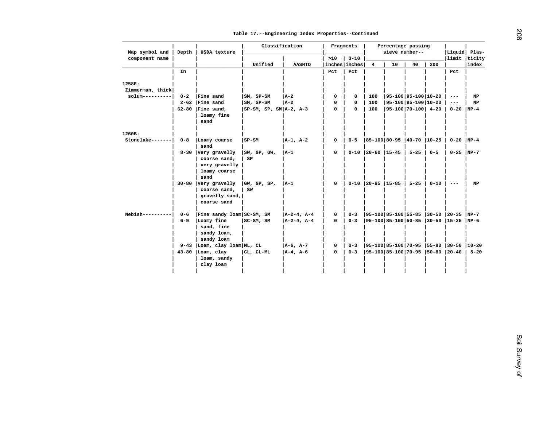| component name<br>>10<br>$3 - 10$<br>limit  ticity<br>40<br>200<br>Unified<br><b>AASHTO</b><br>inches inches<br>$\overline{\mathbf{4}}$<br>10<br>index<br>Pct<br>Pct<br>In<br>Pct<br>Zimmerman, thick<br>$s$ olum----------<br>$0 - 2$<br>Fine sand<br>$ SM, SP-SM$<br>$ A-2 $<br>0<br>$ 95-100 95-100 10-20$<br>$_{\rm NP}$<br>0<br>100<br>$\qquad \qquad - -$<br>$2-62$   Fine sand<br>$ SM, SP-SM$<br>$ 95-100 95-100 10-20$<br><b>NP</b><br> A-2<br>0<br>0<br>100<br>$\qquad \qquad - -$<br>$62-80$   Fine sand,<br>$0-20$ NP-4<br>$ SP-SM, SP, SM A-2, A-3$<br>0<br>0<br>100<br>$ 95-100 70-100 $ 4-20<br>loamy fine<br>sand<br>Stonelake------- <br>$ A-1, A-2 $<br> 85-100 80-95  40-70  10-25<br>$0-20$ NP-4<br>$0 - 8$<br>Loamy coarse<br>$SP-SM$<br>0<br>$0 - 5$<br>sand<br>8-30 Very gravelly<br> SW, GF, GW,<br>$ A-1 $<br>0<br>$0-10$   20-60   15-45  <br>$5 - 25$ 0-5<br>$0-25$ NP-7<br>coarse sand,<br>SP<br>very gravelly<br>loamy coarse<br>sand<br>30-80 Very gravelly<br> GW, GP, SP,<br>$ A-1 $<br>$0-10$   20-85   15-85  <br>0<br>$5 - 25$  <br>0-10<br>$\sim$ $\sim$ $\sim$<br>NP<br>coarse sand,<br>SW<br>gravelly sand,<br>coarse sand<br>$Nebish-----$<br>Fine sandy loam SC-SM, SM<br>$ A-2-4, A-4 $<br>$ 95-100 85-100 55-85 30-50 20-35 NP-7$<br>$0 - 6$<br>0<br>$0 - 3$<br>Loamy fine<br>SC-SM, SM<br>$ A-2-4, A-4 $<br> 95-100 85-100 50-85  30-50  15-25  NP-6<br>$6 - 9$<br>0<br>$0 - 3$ |
|----------------------------------------------------------------------------------------------------------------------------------------------------------------------------------------------------------------------------------------------------------------------------------------------------------------------------------------------------------------------------------------------------------------------------------------------------------------------------------------------------------------------------------------------------------------------------------------------------------------------------------------------------------------------------------------------------------------------------------------------------------------------------------------------------------------------------------------------------------------------------------------------------------------------------------------------------------------------------------------------------------------------------------------------------------------------------------------------------------------------------------------------------------------------------------------------------------------------------------------------------------------------------------------------------------------------------------------------------------------------------------------------------------------------------|
| 1258E:<br>1260B:                                                                                                                                                                                                                                                                                                                                                                                                                                                                                                                                                                                                                                                                                                                                                                                                                                                                                                                                                                                                                                                                                                                                                                                                                                                                                                                                                                                                           |
|                                                                                                                                                                                                                                                                                                                                                                                                                                                                                                                                                                                                                                                                                                                                                                                                                                                                                                                                                                                                                                                                                                                                                                                                                                                                                                                                                                                                                            |
|                                                                                                                                                                                                                                                                                                                                                                                                                                                                                                                                                                                                                                                                                                                                                                                                                                                                                                                                                                                                                                                                                                                                                                                                                                                                                                                                                                                                                            |
|                                                                                                                                                                                                                                                                                                                                                                                                                                                                                                                                                                                                                                                                                                                                                                                                                                                                                                                                                                                                                                                                                                                                                                                                                                                                                                                                                                                                                            |
|                                                                                                                                                                                                                                                                                                                                                                                                                                                                                                                                                                                                                                                                                                                                                                                                                                                                                                                                                                                                                                                                                                                                                                                                                                                                                                                                                                                                                            |
|                                                                                                                                                                                                                                                                                                                                                                                                                                                                                                                                                                                                                                                                                                                                                                                                                                                                                                                                                                                                                                                                                                                                                                                                                                                                                                                                                                                                                            |
|                                                                                                                                                                                                                                                                                                                                                                                                                                                                                                                                                                                                                                                                                                                                                                                                                                                                                                                                                                                                                                                                                                                                                                                                                                                                                                                                                                                                                            |
|                                                                                                                                                                                                                                                                                                                                                                                                                                                                                                                                                                                                                                                                                                                                                                                                                                                                                                                                                                                                                                                                                                                                                                                                                                                                                                                                                                                                                            |
|                                                                                                                                                                                                                                                                                                                                                                                                                                                                                                                                                                                                                                                                                                                                                                                                                                                                                                                                                                                                                                                                                                                                                                                                                                                                                                                                                                                                                            |
|                                                                                                                                                                                                                                                                                                                                                                                                                                                                                                                                                                                                                                                                                                                                                                                                                                                                                                                                                                                                                                                                                                                                                                                                                                                                                                                                                                                                                            |
|                                                                                                                                                                                                                                                                                                                                                                                                                                                                                                                                                                                                                                                                                                                                                                                                                                                                                                                                                                                                                                                                                                                                                                                                                                                                                                                                                                                                                            |
|                                                                                                                                                                                                                                                                                                                                                                                                                                                                                                                                                                                                                                                                                                                                                                                                                                                                                                                                                                                                                                                                                                                                                                                                                                                                                                                                                                                                                            |
|                                                                                                                                                                                                                                                                                                                                                                                                                                                                                                                                                                                                                                                                                                                                                                                                                                                                                                                                                                                                                                                                                                                                                                                                                                                                                                                                                                                                                            |
| sand, fine<br>sandy loam,<br>sandy loam                                                                                                                                                                                                                                                                                                                                                                                                                                                                                                                                                                                                                                                                                                                                                                                                                                                                                                                                                                                                                                                                                                                                                                                                                                                                                                                                                                                    |
| 9-43 Loam, clay loam ML, CL<br>$ A-6, A-7 $<br> 95-100 85-100 70-95  55-80  30-50  10-20<br>0<br>$0 - 3$                                                                                                                                                                                                                                                                                                                                                                                                                                                                                                                                                                                                                                                                                                                                                                                                                                                                                                                                                                                                                                                                                                                                                                                                                                                                                                                   |
| CL, CL-ML<br> 95-100 85-100 70-95  50-80  20-40   5-20<br>$43-80$  Loam, clay<br>$ A-4, A-6$<br>0<br>$0 - 3$                                                                                                                                                                                                                                                                                                                                                                                                                                                                                                                                                                                                                                                                                                                                                                                                                                                                                                                                                                                                                                                                                                                                                                                                                                                                                                               |
| loam, sandy<br>clay loam                                                                                                                                                                                                                                                                                                                                                                                                                                                                                                                                                                                                                                                                                                                                                                                                                                                                                                                                                                                                                                                                                                                                                                                                                                                                                                                                                                                                   |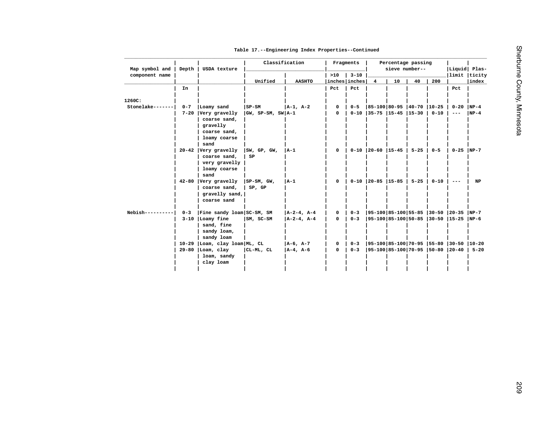|  |  |  |  |  |  | Table 17. -- Engineering Index Properties -- Continued |  |
|--|--|--|--|--|--|--------------------------------------------------------|--|
|--|--|--|--|--|--|--------------------------------------------------------|--|

| Map symbol and   | Depth   | USDA texture                    | Classification           |                |             | Fragments                 |                                       | Percentage passing<br>sieve number-- |    |          | Liquid Plas-                             |          |
|------------------|---------|---------------------------------|--------------------------|----------------|-------------|---------------------------|---------------------------------------|--------------------------------------|----|----------|------------------------------------------|----------|
| component name   |         |                                 | Unified                  | <b>AASHTO</b>  | >10         | $3 - 10$<br>inches inches | $\overline{\mathbf{4}}$               | 10                                   | 40 | 200      | limit  ticity                            | index    |
|                  | In      |                                 |                          |                | Pct         | Pct                       |                                       |                                      |    |          | Pct                                      |          |
|                  |         |                                 |                          |                |             |                           |                                       |                                      |    |          |                                          |          |
| 1260C:           |         |                                 |                          |                |             |                           |                                       |                                      |    |          |                                          |          |
| Stonelake------- | $0 - 7$ | Loamy sand                      | $ $ SP-SM                | $ A-1, A-2 $   | 0           | $0 - 5$                   | 85-100 80-95  40-70  10-25            |                                      |    |          | $0 - 20$ NP-4                            |          |
|                  |         | 7-20 Very gravelly              | $ GW, SP-SM, SW A-1$     |                | 0           |                           | $0-10$   35-75   15-45   15-30   0-10 |                                      |    |          | $\qquad \qquad - -$                      | $NP-4$   |
|                  |         | coarse sand,                    |                          |                |             |                           |                                       |                                      |    |          |                                          |          |
|                  |         | gravelly                        |                          |                |             |                           |                                       |                                      |    |          |                                          |          |
|                  |         | coarse sand,                    |                          |                |             |                           |                                       |                                      |    |          |                                          |          |
|                  |         | loamy coarse                    |                          |                |             |                           |                                       |                                      |    |          |                                          |          |
|                  |         | sand                            |                          |                |             |                           |                                       |                                      |    |          |                                          |          |
|                  |         | 20-42 Very gravelly             | SW, GP, GW,              | $ A-1 $        | $\mathbf 0$ |                           | $0-10$   20-60   15-45   5-25   0-5   |                                      |    |          | $0 - 25$ NP-7                            |          |
|                  |         | coarse sand,                    | SP                       |                |             |                           |                                       |                                      |    |          |                                          |          |
|                  |         | very gravelly                   |                          |                |             |                           |                                       |                                      |    |          |                                          |          |
|                  |         | loamy coarse                    |                          |                |             |                           |                                       |                                      |    |          |                                          |          |
|                  |         | sand<br>42-80 Very gravelly     |                          | A-1            | 0           |                           | $0-10$   20-85   15-85   5-25         |                                      |    |          |                                          | NP       |
|                  |         | coarse sand,                    | $ $ SP-SM, GW,<br>SP, GP |                |             |                           |                                       |                                      |    | $0 - 10$ | $- -$                                    |          |
|                  |         | gravelly sand,                  |                          |                |             |                           |                                       |                                      |    |          |                                          |          |
|                  |         | coarse sand                     |                          |                |             |                           |                                       |                                      |    |          |                                          |          |
|                  |         |                                 |                          |                |             |                           |                                       |                                      |    |          |                                          |          |
| $Nebish-----$    | $0 - 3$ | Fine sandy loam SC-SM, SM       |                          | $ A-2-4, A-4 $ | 0           | $0 - 3$                   |                                       |                                      |    |          | 95-100 85-100 55-85  30-50  20-35  NP-7  |          |
|                  |         | 3-10   Loamy fine               | $ SM, SC-SM$             | $ A-2-4, A-4 $ | 0           | $0 - 3$                   |                                       |                                      |    |          | 95-100 85-100 50-85  30-50  15-25  NP-6  |          |
|                  |         | sand, fine                      |                          |                |             |                           |                                       |                                      |    |          |                                          |          |
|                  |         | sandy loam,                     |                          |                |             |                           |                                       |                                      |    |          |                                          |          |
|                  |         | sandy loam                      |                          |                |             |                           |                                       |                                      |    |          |                                          |          |
|                  |         | 10-29  Loam, clay loam   ML, CL |                          | $ A-6, A-7 $   | $\mathbf 0$ | $0 - 3$                   |                                       |                                      |    |          | 95-100 85-100 70-95  55-80  30-50  10-20 |          |
|                  |         | $29-80$ Loam, clay              | CL-ML, CL                | $ A-4, A-6$    | 0           | $0 - 3$                   |                                       |                                      |    |          | 95-100 85-100 70-95  50-80  20-40        | $5 - 20$ |
|                  |         | loam, sandy                     |                          |                |             |                           |                                       |                                      |    |          |                                          |          |
|                  |         | clay loam                       |                          |                |             |                           |                                       |                                      |    |          |                                          |          |
|                  |         |                                 |                          |                |             |                           |                                       |                                      |    |          |                                          |          |
|                  |         |                                 |                          |                |             |                           |                                       |                                      |    |          |                                          |          |
|                  |         |                                 |                          |                |             |                           |                                       |                                      |    |          |                                          |          |
|                  |         |                                 |                          |                |             |                           |                                       |                                      |    |          |                                          |          |
|                  |         |                                 |                          |                |             |                           |                                       |                                      |    |          |                                          |          |
|                  |         |                                 |                          |                |             |                           |                                       |                                      |    |          |                                          |          |
|                  |         |                                 |                          |                |             |                           |                                       |                                      |    |          |                                          |          |
|                  |         |                                 |                          |                |             |                           |                                       |                                      |    |          |                                          |          |
|                  |         |                                 |                          |                |             |                           |                                       |                                      |    |          |                                          |          |
|                  |         |                                 |                          |                |             |                           |                                       |                                      |    |          |                                          |          |
|                  |         |                                 |                          |                |             |                           |                                       |                                      |    |          |                                          |          |
|                  |         |                                 |                          |                |             |                           |                                       |                                      |    |          |                                          |          |
|                  |         |                                 |                          |                |             |                           |                                       |                                      |    |          |                                          |          |
|                  |         |                                 |                          |                |             |                           |                                       |                                      |    |          |                                          |          |
|                  |         |                                 |                          |                |             |                           |                                       |                                      |    |          |                                          |          |
|                  |         |                                 |                          |                |             |                           |                                       |                                      |    |          |                                          |          |
|                  |         |                                 |                          |                |             |                           |                                       |                                      |    |          |                                          |          |
|                  |         |                                 |                          |                |             |                           |                                       |                                      |    |          |                                          |          |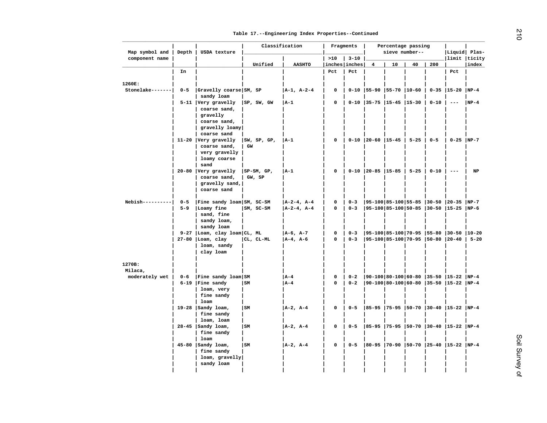| Map symbol and   | Depth   | USDA texture                        |               | Classification |             | Fragments     |                                | Percentage passing<br>sieve number-- |          |          | Liquid Plas-                                                                                                                                                                                                                                                                                                                                                                                 |        |
|------------------|---------|-------------------------------------|---------------|----------------|-------------|---------------|--------------------------------|--------------------------------------|----------|----------|----------------------------------------------------------------------------------------------------------------------------------------------------------------------------------------------------------------------------------------------------------------------------------------------------------------------------------------------------------------------------------------------|--------|
| component name   |         |                                     |               |                | >10         | $3 - 10$      |                                |                                      |          |          | limit  ticity                                                                                                                                                                                                                                                                                                                                                                                |        |
|                  |         |                                     | Unified       | <b>AASHTO</b>  |             | inches inches | $\overline{4}$                 | 10                                   | 40       | 200      |                                                                                                                                                                                                                                                                                                                                                                                              | index  |
|                  | In      |                                     |               |                | Pct         | Pct           |                                |                                      |          |          | Pct                                                                                                                                                                                                                                                                                                                                                                                          |        |
| 1260E:           |         |                                     |               |                |             |               |                                |                                      |          |          |                                                                                                                                                                                                                                                                                                                                                                                              |        |
| Stonelake------- | $0 - 5$ | Gravelly coarse SM, SP              |               |                | 0           |               |                                |                                      |          |          | $0-35$  15-20  NP-4                                                                                                                                                                                                                                                                                                                                                                          |        |
|                  |         | sandy loam                          |               | A-1, A-2-4     |             |               | $0-10$   55-90   55-70   10-60 |                                      |          |          |                                                                                                                                                                                                                                                                                                                                                                                              |        |
|                  |         | 5-11 Very gravelly                  | SP, SW, GW    | $ A-1 $        | $\mathbf 0$ |               | $0-10$   35-75   15-45   15-30 |                                      |          | $0 - 10$ | $\frac{1}{2} \frac{1}{2} \frac{1}{2} \frac{1}{2} \frac{1}{2} \frac{1}{2} \frac{1}{2} \frac{1}{2} \frac{1}{2} \frac{1}{2} \frac{1}{2} \frac{1}{2} \frac{1}{2} \frac{1}{2} \frac{1}{2} \frac{1}{2} \frac{1}{2} \frac{1}{2} \frac{1}{2} \frac{1}{2} \frac{1}{2} \frac{1}{2} \frac{1}{2} \frac{1}{2} \frac{1}{2} \frac{1}{2} \frac{1}{2} \frac{1}{2} \frac{1}{2} \frac{1}{2} \frac{1}{2} \frac{$ | $NP-4$ |
|                  |         | coarse sand,                        |               |                |             |               |                                |                                      |          |          |                                                                                                                                                                                                                                                                                                                                                                                              |        |
|                  |         | gravelly                            |               |                |             |               |                                |                                      |          |          |                                                                                                                                                                                                                                                                                                                                                                                              |        |
|                  |         | coarse sand,                        |               |                |             |               |                                |                                      |          |          |                                                                                                                                                                                                                                                                                                                                                                                              |        |
|                  |         | gravelly loamy                      |               |                |             |               |                                |                                      |          |          |                                                                                                                                                                                                                                                                                                                                                                                              |        |
|                  |         | coarse sand                         |               |                |             |               |                                |                                      |          |          |                                                                                                                                                                                                                                                                                                                                                                                              |        |
|                  |         | $11-20$ Very gravelly               | SW, SP, GP,   | A-1            | 0           |               | $0-10$   20-60   15-45         |                                      | $5 - 25$ | $0 - 5$  | $0-25$ NP-7                                                                                                                                                                                                                                                                                                                                                                                  |        |
|                  |         | coarse sand,                        | GW            |                |             |               |                                |                                      |          |          |                                                                                                                                                                                                                                                                                                                                                                                              |        |
|                  |         | very gravelly                       |               |                |             |               |                                |                                      |          |          |                                                                                                                                                                                                                                                                                                                                                                                              |        |
|                  |         | loamy coarse                        |               |                |             |               |                                |                                      |          |          |                                                                                                                                                                                                                                                                                                                                                                                              |        |
|                  |         | sand                                |               |                |             |               |                                |                                      |          |          |                                                                                                                                                                                                                                                                                                                                                                                              |        |
|                  |         | 20-80 Very gravelly                 | $ SP-SM, GP,$ | A-1            | 0           |               | 0-10 20-85   15-85   5-25      |                                      |          | $0 - 10$ | $- -$                                                                                                                                                                                                                                                                                                                                                                                        | NP     |
|                  |         | coarse sand,                        | GW, SP        |                |             |               |                                |                                      |          |          |                                                                                                                                                                                                                                                                                                                                                                                              |        |
|                  |         | $gravelly$ sand,                    |               |                |             |               |                                |                                      |          |          |                                                                                                                                                                                                                                                                                                                                                                                              |        |
|                  |         | coarse sand                         |               |                |             |               |                                |                                      |          |          |                                                                                                                                                                                                                                                                                                                                                                                              |        |
|                  |         |                                     |               |                |             |               |                                |                                      |          |          |                                                                                                                                                                                                                                                                                                                                                                                              |        |
| $Nebish-----$    | $0 - 5$ | Fine sandy loam SM, SC-SM           |               | A-2-4, A-4     | $\mathbf 0$ | $0 - 3$       |                                |                                      |          |          | 95-100 85-100 55-85  30-50  20-35  NP-7                                                                                                                                                                                                                                                                                                                                                      |        |
|                  | $5 - 9$ | Loamy fine                          | $ SM, SC-SM$  | $ A-2-4, A-4 $ | 0           | $0 - 3$       |                                |                                      |          |          | 95-100 85-100 50-85  30-50  15-25  NP-6                                                                                                                                                                                                                                                                                                                                                      |        |
|                  |         | sand, fine                          |               |                |             |               |                                |                                      |          |          |                                                                                                                                                                                                                                                                                                                                                                                              |        |
|                  |         | sandy loam,                         |               |                |             |               |                                |                                      |          |          |                                                                                                                                                                                                                                                                                                                                                                                              |        |
|                  |         | sandy loam                          |               |                |             |               |                                |                                      |          |          |                                                                                                                                                                                                                                                                                                                                                                                              |        |
|                  |         | 9-27 Loam, clay loam CL, ML         |               | $ A-6, A-7 $   | $\mathbf 0$ | $0 - 3$       |                                |                                      |          |          | $ 95-100 85-100 70-95 55-80 30-50 10-20$                                                                                                                                                                                                                                                                                                                                                     |        |
|                  |         | $27-80$  Loam, clay                 | CL, CL-ML     | $A-4$ , $A-6$  | $\Omega$    | $0 - 3$       |                                |                                      |          |          | 95-100 85-100 70-95  50-80  20-40   5-20                                                                                                                                                                                                                                                                                                                                                     |        |
|                  |         | loam, sandy                         |               |                |             |               |                                |                                      |          |          |                                                                                                                                                                                                                                                                                                                                                                                              |        |
|                  |         | clay loam                           |               |                |             |               |                                |                                      |          |          |                                                                                                                                                                                                                                                                                                                                                                                              |        |
|                  |         |                                     |               |                |             |               |                                |                                      |          |          |                                                                                                                                                                                                                                                                                                                                                                                              |        |
| 1270B:           |         |                                     |               |                |             |               |                                |                                      |          |          |                                                                                                                                                                                                                                                                                                                                                                                              |        |
| Milaca,          |         |                                     |               |                |             |               |                                |                                      |          |          |                                                                                                                                                                                                                                                                                                                                                                                              |        |
| moderately wet   | $0 - 6$ | Fine sandy loam SM                  |               | A-4            | 0           | $0 - 2$       |                                |                                      |          |          | 90-100 80-100 60-80  35-50  15-22  NP-4                                                                                                                                                                                                                                                                                                                                                      |        |
|                  |         | $6-19$   Fine sandy                 | l sm          | l A-4          | 0           | $0 - 2$       |                                |                                      |          |          | 90-100 80-100 60-80  35-50  15-22  NP-4                                                                                                                                                                                                                                                                                                                                                      |        |
|                  |         | loam, very                          |               |                |             |               |                                |                                      |          |          |                                                                                                                                                                                                                                                                                                                                                                                              |        |
|                  |         | fine sandy                          |               |                |             |               |                                |                                      |          |          |                                                                                                                                                                                                                                                                                                                                                                                              |        |
|                  |         | loam                                |               |                |             |               |                                |                                      |          |          |                                                                                                                                                                                                                                                                                                                                                                                              |        |
|                  |         | $19-28$   Sandy loam,               | <sub>SM</sub> | $A-2$ , $A-4$  | 0           | $0 - 5$       |                                |                                      |          |          | 85-95  75-95  50-70  30-40  15-22  NP-4                                                                                                                                                                                                                                                                                                                                                      |        |
|                  |         | fine sandy                          |               |                |             |               |                                |                                      |          |          |                                                                                                                                                                                                                                                                                                                                                                                              |        |
|                  |         | loam, loam<br>$28-45$   Sandy loam, | l sm          | $A-2$ , $A-4$  | $\mathbf 0$ | $0 - 5$       |                                |                                      |          |          | 85-95  75-95  50-70  30-40  15-22  NP-4                                                                                                                                                                                                                                                                                                                                                      |        |
|                  |         | fine sandy                          |               |                |             |               |                                |                                      |          |          |                                                                                                                                                                                                                                                                                                                                                                                              |        |
|                  |         | loam                                |               |                |             |               |                                |                                      |          |          |                                                                                                                                                                                                                                                                                                                                                                                              |        |
|                  |         | $45-80$ Sandy loam,                 | l sm          | $A-2$ , $A-4$  | 0           | $0 - 5$       |                                |                                      |          |          | 80-95  70-90  50-70  25-40  15-22  NP-4                                                                                                                                                                                                                                                                                                                                                      |        |
|                  |         | fine sandy                          |               |                |             |               |                                |                                      |          |          |                                                                                                                                                                                                                                                                                                                                                                                              |        |
|                  |         | loam, gravelly                      |               |                |             |               |                                |                                      |          |          |                                                                                                                                                                                                                                                                                                                                                                                              |        |
|                  |         | sandy loam                          |               |                |             |               |                                |                                      |          |          |                                                                                                                                                                                                                                                                                                                                                                                              |        |
|                  |         |                                     |               |                |             |               |                                |                                      |          |          |                                                                                                                                                                                                                                                                                                                                                                                              |        |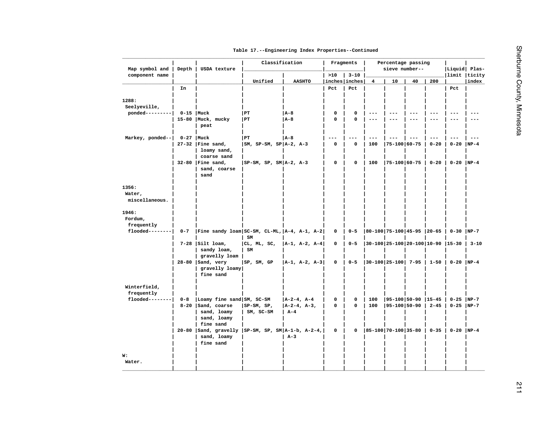| Map symbol and                    | Depth   | USDA texture                                                                       | Classification             |                       |                      | Fragments   |                         | Percentage passing<br>sieve number-- |                     |          | Liquid Plas-                    |          |
|-----------------------------------|---------|------------------------------------------------------------------------------------|----------------------------|-----------------------|----------------------|-------------|-------------------------|--------------------------------------|---------------------|----------|---------------------------------|----------|
| component name                    |         |                                                                                    | Unified                    | <b>AASHTO</b>         | >10<br>inches inches | $3 - 10$    | $\overline{\mathbf{4}}$ | 10                                   | 40                  | 200      | limit  ticity                   | index    |
|                                   | In      |                                                                                    |                            |                       | Pct                  | Pct         |                         |                                      |                     |          | Pct                             |          |
|                                   |         |                                                                                    |                            |                       |                      |             |                         |                                      |                     |          |                                 |          |
| 1288:<br>Seelyeville,             |         |                                                                                    |                            |                       |                      |             |                         |                                      |                     |          |                                 |          |
| ponded---------                   |         | $0-15$   Muck                                                                      | PT)                        | $ A-8 $               | 0                    | 0           |                         |                                      |                     |          | $--$                            |          |
|                                   |         | 15-80   Muck, mucky<br>peat                                                        | PT                         | $A - 8$               | $\Omega$             | $\Omega$    | $- - -$                 | $- - -$                              | $- - -$             | $---$    | $---$                           | $- - -$  |
| Markey, ponded--                  |         | $0-27$ Muck                                                                        | PT)                        | A-8                   | $---$                | $---$       | $---$                   | $--$                                 | $\qquad \qquad - -$ | $---$    | $---$                           | $---$    |
|                                   |         | $27-32$   Fine sand,<br>loamy sand,<br>coarse sand                                 | $ SM, SP-SM, SP A-2, A-3$  |                       | 0                    | $\pmb{0}$   | 100                     | $ 75 - 100 60 - 75$                  |                     | $0 - 20$ | $0 - 20$                        | $NP-4$   |
|                                   |         | $32-80$   Fine sand,<br>sand, coarse<br>sand                                       | $ SP-SM, SP, SM A-2, A-3$  |                       | 0                    | 0           | 100                     | $ 75 - 100 60 - 75$                  |                     | $0 - 20$ | $0-20$ NP-4                     |          |
| 1356:<br>Water,<br>miscellaneous. |         |                                                                                    |                            |                       |                      |             |                         |                                      |                     |          |                                 |          |
| 1946:<br>Fordum,<br>frequently    |         |                                                                                    |                            |                       |                      |             |                         |                                      |                     |          |                                 |          |
| $f$ looded--------                | $0 - 7$ | Fine sandy loam  SC-SM, CL-ML, $ A-4, A-1, A-2 $                                   | $SM$                       |                       | 0                    | $0 - 5$     |                         | $ 80-100 75-100 45-95 20-65$         |                     |          | $0-30$ NP-7                     |          |
|                                   |         | $7-28$   Silt loam,<br>sandy loam,<br>gravelly loam                                | CL, ML, SC,<br>SM          | $ A-1, A-2, A-4 $     | 0                    | $0 - 5$     |                         | $ 30-100 25-100 20-100 10-90 15-30$  |                     |          |                                 | $3 - 10$ |
|                                   |         | $28-80$  Sand, very<br>gravelly loamy<br>fine sand                                 | SP, SM, GP                 | $ A-1, A-2, A-3 $     | 0                    | $0 - 5$     |                         | $ 30-100 25-100 7-95 $               |                     | $1 - 50$ | $0 - 20$ NP-4                   |          |
| Winterfield,<br>frequently        |         |                                                                                    |                            |                       |                      |             |                         |                                      |                     |          |                                 |          |
| $f$ looded--------                | $0 - 8$ | Loamy fine sand SM, SC-SM                                                          |                            | $ A-2-4, A-4 $        | 0                    | $\mathbf 0$ | 100                     |                                      |                     |          | $ 95-100 50-90 15-45 0-25 NP-7$ |          |
|                                   |         | 8-20   Sand, coarse<br>sand, loamy<br>sand, loamy<br>fine sand                     | $ SP-SM, SP,$<br>SM, SC-SM | $ A-2-4, A-3,$<br>A-4 | 0                    | 0           | 100                     | $ 95 - 100 50 - 90 $                 |                     | $2 - 45$ | $0-25$ NP-7                     |          |
|                                   |         | 20-80   Sand, gravelly   SP-SM, SP, SM   A-1-b, A-2-4,<br>sand, loamy<br>fine sand |                            | $A-3$                 | 0                    | $\mathbf 0$ |                         | 85-100   70-100   35-80              |                     | $0 - 35$ | $0-20$ NP-4                     |          |
| W:<br>Water.                      |         |                                                                                    |                            |                       |                      |             |                         |                                      |                     |          |                                 |          |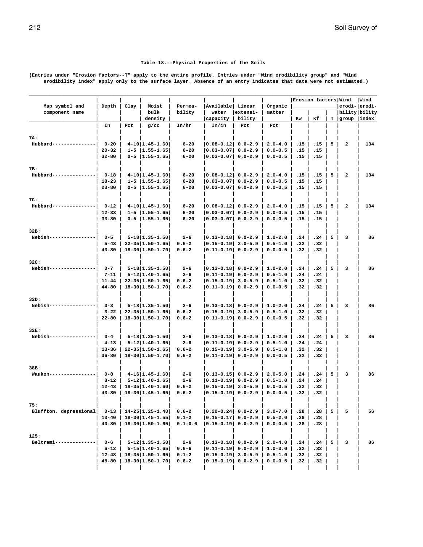### **Table 18.--Physical Properties of the Soils**

<span id="page-211-0"></span>**(Entries under "Erosion factors--T" apply to the entire profile. Entries under "Wind erodibility group" and "Wind erodibility index" apply only to the surface layer. Absence of an entry indicates that data were not estimated.)**

| Map symbol and         | Depth                   | Clay | Moist                                                      | Permea-                | Available   Linear                                   |             | Organic                    |            | Erosion factors Wind |                |                   | Wind<br>erodi- erodi- |
|------------------------|-------------------------|------|------------------------------------------------------------|------------------------|------------------------------------------------------|-------------|----------------------------|------------|----------------------|----------------|-------------------|-----------------------|
| component name         |                         |      | bulk                                                       | bility                 | water                                                | extensi-    | matter                     |            |                      |                | bility bility     |                       |
|                        |                         |      | density                                                    |                        | capacity                                             | bility      |                            | Kw         | Кf                   |                | $T$  group  index |                       |
|                        | In                      | Pct  | $g$ /cc                                                    | In/hr                  | In/in                                                | Pct         | Pct                        |            |                      |                |                   |                       |
|                        |                         |      |                                                            |                        |                                                      |             |                            |            |                      |                |                   |                       |
| 7A:<br>Hubbard----     | $0 - 20$                |      | $4-10$   1.45-1.60                                         | $6 - 20$               | 0.08-0.12  0.0-2.9                                   |             | $2.0 - 4.0$                | .15        | .15                  | 5 I            | 2                 | 134                   |
|                        | $20 - 32$               |      | $1 - 5$   1.55-1.65                                        | $6 - 20$               | $ 0.03 - 0.07 $ 0.0-2.9                              |             | $0.0 - 0.5$                | .15        | .15                  |                |                   |                       |
|                        | $32 - 80$               |      | $0 - 5$   1.55-1.65                                        | $6 - 20$               | $ 0.03-0.07 $                                        | $0.0 - 2.9$ | $0.0 - 0.5$                | .15        | .15                  |                |                   |                       |
|                        |                         |      |                                                            |                        |                                                      |             |                            |            |                      |                |                   |                       |
| 7B:                    |                         |      |                                                            |                        |                                                      |             |                            |            |                      |                |                   |                       |
| Hubbard-------------   | $0 - 18$                |      | $4-10$   1.45-1.60                                         | $6 - 20$<br>$6 - 20$   | 10.08-0.121 0.0-2.9<br>$ 0.03 - 0.07 $               |             | $2.0 - 4.0$<br>$0.0 - 0.5$ | .15<br>.15 | .15                  | 5              | 2                 | 134                   |
|                        | $18 - 23$<br>$23 - 80$  |      | $1 - 5$   1.55-1.65 <br>$0 - 5$   1.55-1.65                | $6 - 20$               | 0.03-0.07  0.0-2.9                                   | $0.0 - 2.9$ | $0.0 - 0.5$                | .15        | .15<br>.15           |                |                   |                       |
|                        |                         |      |                                                            |                        |                                                      |             |                            |            |                      |                |                   |                       |
| 7C:                    |                         |      |                                                            |                        |                                                      |             |                            |            |                      |                |                   |                       |
| Hubbard----------      | $0 - 12$                |      | $4-10$   1.45-1.60                                         | $6 - 20$               | $ 0.08 - 0.12 $ 0.0-2.9                              |             | $2.0 - 4.0$                | .15        | .15                  | 5 <sub>1</sub> | 2                 | 134                   |
|                        | $12 - 33$               |      | $1 - 5$   1.55-1.65                                        | $6 - 20$               | 0.03-0.07  0.0-2.9                                   |             | $0.0 - 0.5$                | .15        | .15                  |                |                   |                       |
|                        | $33 - 80$               |      | $0-5$  1.55-1.65                                           | $6 - 20$               | 0.03-0.07  0.0-2.9                                   |             | $0.0 - 0.5$                | .15        | .15                  |                |                   |                       |
| 32B:                   |                         |      |                                                            |                        |                                                      |             |                            |            |                      |                |                   |                       |
| Nebish----             | $0 - 5$                 |      | $5 - 18$   1.35 - 1.50                                     | $2 - 6$                | 10.13-0.181 0.0-2.9                                  |             | $1.0 - 2.0$                | .24        | .24                  | 5              | 3                 | 86                    |
|                        | $5 - 43$                |      | $22 - 35$   1.50-1.65                                      | $0.6 - 2$              | $ 0.15 - 0.19 $ 3.0-5.9                              |             | $0.5 - 1.0$                | .32        | .32                  |                |                   |                       |
|                        | $43 - 80$               |      | $18 - 30   1.50 - 1.70  $                                  | $0.6 - 2$              | $ 0.11 - 0.19  0.0 - 2.9$                            |             | $0.0 - 0.5$                | .32        | .32                  |                |                   |                       |
|                        |                         |      |                                                            |                        |                                                      |             |                            |            |                      |                |                   |                       |
| 32C:<br>Nebish----     | $0 - 7$                 |      | $5 - 18   1.35 - 1.50  $                                   | $2 - 6$                | $ 0.13 - 0.18 $ 0.0-2.9                              |             | $1.0 - 2.0$                | .24        | .24                  | 5 <sub>1</sub> | 3                 | 86                    |
|                        | $7 - 11$                |      | $5 - 12$   1.40-1.65                                       | $2 - 6$                | $ 0.11 - 0.19  0.0 - 2.9$                            |             | $0.5 - 1.0$                | .24        | .24                  |                |                   |                       |
|                        | $11 - 44$               |      | $22 - 35   1.50 - 1.65  $                                  | $0.6 - 2$              | $ 0.15 - 0.19 $                                      | $3.0 - 5.9$ | $0.5 - 1.0$                | .32        | .32                  |                |                   |                       |
|                        | $44 - 80$               |      | $18 - 30$  1.50-1.70                                       | $0.6 - 2$              | 0.11-0.19  0.0-2.9                                   |             | $0.0 - 0.5$                | .32        | .32                  |                |                   |                       |
|                        |                         |      |                                                            |                        |                                                      |             |                            |            |                      |                |                   |                       |
| 32D:                   |                         |      |                                                            |                        |                                                      |             |                            |            |                      |                |                   |                       |
| Nebish-------          | $0 - 3$<br>$3 - 22$     |      | $5 - 18$   1.35 - 1.50 <br>$22 - 35 \mid 1.50 - 1.65 \mid$ | $2 - 6$<br>$0.6 - 2$   | $ 0.13 - 0.18  0.0 - 2.9$<br>$ 0.15 - 0.19 $ 3.0-5.9 |             | $1.0 - 2.0$<br>$0.5 - 1.0$ | .24<br>.32 | .24<br>.32           | $5-1$          | 3                 | 86                    |
|                        | $22 - 80$               |      | $18 - 30$  1.50-1.70                                       | $0.6 - 2$              | 0.11-0.19  0.0-2.9                                   |             | $0.0 - 0.5$                | .32        | .32                  |                |                   |                       |
|                        |                         |      |                                                            |                        |                                                      |             |                            |            |                      |                |                   |                       |
| 32E:                   |                         |      |                                                            |                        |                                                      |             |                            |            |                      |                |                   |                       |
| Nebish-                | $0 - 4$                 |      | $5 - 18   1.35 - 1.50  $                                   | $2 - 6$                | 0.13-0.18 0.0-2.9                                    |             | $1.0 - 2.0$                | .24        | .24                  | 5 <sup>5</sup> | 3                 | 86                    |
|                        | $4 - 13$  <br>$13 - 36$ |      | $5 - 12$   1.40-1.65 <br>$22 - 35   1.50 - 1.65  $         | $2 - 6$<br>$0.6 - 2$   | $ 0.11 - 0.19  0.0 - 2.9$<br>$ 0.15 - 0.19 $ 3.0-5.9 |             | $0.5 - 1.0$<br>$0.5 - 1.0$ | .24<br>.32 | .24<br>.32           |                |                   |                       |
|                        | $36 - 80$               |      | $18 - 30   1.50 - 1.70  $                                  | $0.6 - 2$              | 0.11-0.19  0.0-2.9                                   |             | $0.0 - 0.5$                | .32        | .32                  |                |                   |                       |
|                        |                         |      |                                                            |                        |                                                      |             |                            |            |                      |                |                   |                       |
| 38B:                   |                         |      |                                                            |                        |                                                      |             |                            |            |                      |                |                   |                       |
| Waukon-----            | $0 - 8$                 |      | $4-16 1.45-1.60 $                                          | $2 - 6$                | $ 0.13 - 0.15 $ 0.0-2.9                              |             | $2.0 - 5.0$                | .24        | .24                  | 5              | 3                 | 86                    |
|                        | $8 - 12$                |      | $5 - 12$   1.40-1.65                                       | $2 - 6$                | $ 0.11 - 0.19  0.0 - 2.9$                            |             | $0.5 - 1.0$                | .24        | .24                  |                |                   |                       |
|                        | $12 - 43$<br>$43 - 80$  |      | $18 - 35   1.40 - 1.60  $<br>$18 - 30$   1.45-1.65         | $0.6 - 2$<br>$0.6 - 2$ | $ 0.15 - 0.19 $ 3.0-5.9<br>$ 0.15-0.19 $ 0.0-2.9     |             | $0.0 - 0.5$<br>$0.0 - 0.5$ | .32<br>.32 | .32<br>.32           |                |                   |                       |
|                        |                         |      |                                                            |                        |                                                      |             |                            |            |                      |                |                   |                       |
| 75:                    |                         |      |                                                            |                        |                                                      |             |                            |            |                      |                |                   |                       |
| Bluffton, depressional | $0 - 13$                |      | $14 - 25   1.25 - 1.40  $                                  | $0.6 - 2$              | $ 0.20-0.24 $ $0.0-2.9$                              |             | $3.0 - 7.0$                | .28        | .28                  | 5              | 5                 | 56                    |
|                        | $13 - 40$               |      | $18 - 30$   1.45 - 1.55                                    | $0.1 - 2$              | $ 0.15-0.17 $ 0.0-2.9                                |             | $0.5 - 2.0$                | .28        | .28                  |                |                   |                       |
|                        | $40 - 80$               |      | $18 - 30 1.50 - 1.65 $                                     | $0.1 - 0.6$            | $ 0.15-0.19 0.0-2.9$                                 |             | $0.0 - 0.5$                | .28        | .28                  |                |                   |                       |
| 125:                   |                         |      |                                                            |                        |                                                      |             |                            |            |                      |                |                   |                       |
| Beltrami------------   | $0 - 6$                 |      | $5 - 12$   1.35 - 1.50                                     | $2 - 6$                | $ 0.13-0.18 0.0-2.9$                                 |             | $2.0 - 4.0$                | .24        | .24                  | 5              | з                 | 86                    |
|                        | $6 - 12$                |      | $5 - 15   1.40 - 1.65  $                                   | $0.6 - 6$              | $ 0.11 - 0.19  0.0 - 2.9$                            |             | $1.0 - 3.0$                | .32        | .32                  |                |                   |                       |
|                        | $12 - 48$               |      | $18 - 35   1.50 - 1.65  $                                  | $0.1 - 2$              | $ 0.15 - 0.19 $ 3.0-5.9                              |             | $0.5 - 1.0$                | .32        | .32                  |                |                   |                       |
|                        | $48 - 80$               |      | $18 - 30   1.50 - 1.70  $                                  | $0.6 - 2$              | $ 0.15-0.19 0.0-2.9$                                 |             | $0.0 - 0.5$                | .32        | .32                  |                |                   |                       |
|                        |                         |      |                                                            |                        |                                                      |             |                            |            |                      |                |                   |                       |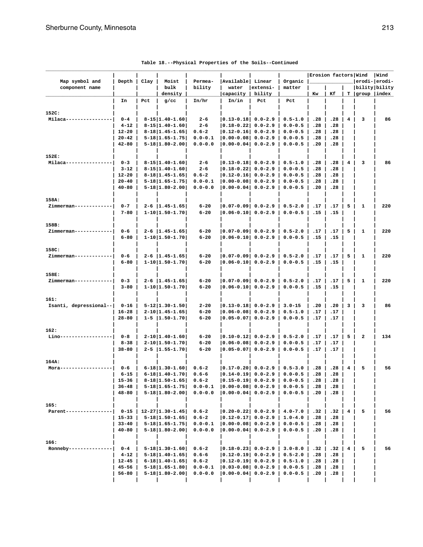| Map symbol and               | Depth                  | Clay | Moist                                        | Permea-                  | Available Linear                   |                            | Organic                    | Erosion factors Wind |            |   |                                        | Wind<br>erodi- erodi- |
|------------------------------|------------------------|------|----------------------------------------------|--------------------------|------------------------------------|----------------------------|----------------------------|----------------------|------------|---|----------------------------------------|-----------------------|
| component name               |                        |      | bulk<br>density                              | bility                   | water<br>capacity                  | extensi-<br>bility         | matter                     | Kw                   | Кf         |   | bility bility<br>$T  $ group $ $ index |                       |
|                              | In                     | Pct  | $g$ /cc                                      | In/hr                    | In/in                              | Pct                        | Pct                        |                      |            |   |                                        |                       |
|                              |                        |      |                                              |                          |                                    |                            |                            |                      |            |   |                                        |                       |
| 152C:                        |                        |      |                                              |                          |                                    |                            |                            |                      |            |   |                                        |                       |
| Milaca-                      | $0 - 4$                |      | $8 - 15   1.40 - 1.60  $                     | $2 - 6$                  | $ 0.13 - 0.18 $ 0.0-2.9            |                            | $0.5 - 1.0$                | .28                  | .28        | 4 | 3                                      | 86                    |
|                              | $4 - 12$               |      | $8 - 15   1.40 - 1.60  $                     | $2 - 6$                  | $ 0.18 - 0.22 $                    | $0.0 - 2.9$                | $0.0 - 0.5$                | .28                  | .28        |   |                                        |                       |
|                              | $12 - 20$<br>$20 - 42$ |      | $8-18$  1.45-1.65 <br>$5 - 18$   1.65 - 1.75 | $0.6 - 2$<br>$0.0 - 0.1$ | $ 0.12 - 0.16 $<br>$ 0.00 - 0.08 $ | $0.0 - 2.9$<br>$0.0 - 2.9$ | $0.0 - 0.5$<br>$0.0 - 0.5$ | .28<br>.28           | .28<br>.28 |   |                                        |                       |
|                              | $42 - 80$              |      | $5 - 18$   1.80 - 2.00                       | $0.0 - 0.0$              | $ 0.00 - 0.04 $                    | $0.0 - 2.9$                | $0.0 - 0.5$                | .20                  | .28        |   |                                        |                       |
|                              |                        |      |                                              |                          |                                    |                            |                            |                      |            |   |                                        |                       |
| 152E:                        |                        |      |                                              |                          |                                    |                            |                            |                      |            |   |                                        |                       |
| Milaca-                      | $0 - 3$                |      | $8 - 15   1.40 - 1.60  $                     | $2 - 6$                  | $ 0.13 - 0.18 $ 0.0-2.9            |                            | $0.5 - 1.0$                | .28                  | .28        | 4 | 3                                      | 86                    |
|                              | $3 - 12$               |      | $8 - 15   1.40 - 1.60  $                     | $2 - 6$                  | $ 0.18 - 0.22 $                    | $0.0 - 2.9$                | $0.0 - 0.5$                | .28                  | .28        |   |                                        |                       |
|                              | $12 - 20$              |      | $8-18$  1.45-1.65                            | $0.6 - 2$                | $ 0.12 - 0.16 $                    | $0.0 - 2.9$                | $0.0 - 0.5$                | .28                  | .28        |   |                                        |                       |
|                              | $20 - 40$<br>$40 - 80$ |      | $5 - 18$   1.65 - 1.75                       | $0.0 - 0.1$              | $ 0.00 - 0.08 $<br>$ 0.00 - 0.04 $ | $0.0 - 2.9$<br>$0.0 - 2.9$ | $0.0 - 0.5$                | .28<br>.20           | .28<br>.28 |   |                                        |                       |
|                              |                        |      | $5 - 18$   1.80 - 2.00                       | $0.0 - 0.0$              |                                    |                            | $0.0 - 0.5$                |                      |            |   |                                        |                       |
| 158A:                        |                        |      |                                              |                          |                                    |                            |                            |                      |            |   |                                        |                       |
| Zimmerman-----               | $0 - 7$                |      | $2 - 6$   1.45-1.65                          | $6 - 20$                 | 10.07-0.091 0.0-2.9                |                            | $0.5 - 2.0$                | .17                  | .17        | 5 | 1                                      | 220                   |
|                              | $7 - 80$               |      | $1-10$   $1.50-1.70$                         | $6 - 20$                 | $ 0.06 - 0.10 $                    | $0.0 - 2.9$                | $0.0 - 0.5$                | .15                  | .15        |   |                                        |                       |
|                              |                        |      |                                              |                          |                                    |                            |                            |                      |            |   |                                        |                       |
| 158B:                        |                        |      |                                              |                          |                                    |                            |                            |                      |            |   |                                        |                       |
| Zimmerman----                | $0 - 6$                |      | $2 - 6$   1.45-1.65                          | $6 - 20$                 | 0.07-0.09  0.0-2.9                 |                            | $0.5 - 2.0$                | .17                  | .17        | 5 | 1                                      | 220                   |
|                              | $6 - 80$               |      | $1 - 10$   1.50-1.70                         | $6 - 20$                 | $ 0.06 - 0.10 $                    | $0.0 - 2.9$                | $0.0 - 0.5$                | .15                  | .15        |   |                                        |                       |
| 158C:                        |                        |      |                                              |                          |                                    |                            |                            |                      |            |   |                                        |                       |
| Zimmerman----                | $0 - 6$                |      | $2 - 6$   1.45-1.65                          | $6 - 20$                 | $ 0.07 - 0.09  0.0 - 2.9$          |                            | $0.5 - 2.0$                | .17                  | .17        | 5 | $\mathbf{1}$                           | 220                   |
|                              | $6 - 80$               |      | $1 - 10$   1.50-1.70                         | $6 - 20$                 | $ 0.06 - 0.10 $                    | $0.0 - 2.9$                | $0.0 - 0.5$                | .15                  | .15        |   |                                        |                       |
|                              |                        |      |                                              |                          |                                    |                            |                            |                      |            |   |                                        |                       |
| 158E:                        |                        |      |                                              |                          |                                    |                            |                            |                      |            |   |                                        |                       |
| Zimmerman----                | $0 - 3$                |      | $2-6$   1.45-1.65                            | $6 - 20$                 | 0.07-0.09  0.0-2.9                 |                            | $0.5 - 2.0$                | .17                  | .17        | 5 | 1                                      | 220                   |
|                              | $3 - 80$               |      | $1 - 10$   1.50-1.70                         | $6 - 20$                 | $ 0.06 - 0.10 $                    | $0.0 - 2.9$                | $0.0 - 0.5$                | .15                  | .15        |   |                                        |                       |
| 161:                         |                        |      |                                              |                          |                                    |                            |                            |                      |            |   |                                        |                       |
| Isanti, depressional--       | $0 - 16$               |      | $5 - 12$   1.30-1.50                         | $2 - 20$                 | $ 0.13 - 0.18 $ 0.0-2.9            |                            | $3.0 - 15$                 | .20                  | .20        | 3 | 3                                      | 86                    |
|                              | $16 - 28$              |      | $2 - 10$   1.45-1.65                         | $6 - 20$                 | $ 0.06-0.08 $                      | $0.0 - 2.9$                | $0.5 - 1.0$                | .17                  | .17        |   |                                        |                       |
|                              | $28 - 80$              |      | $1 - 5$   1.50-1.70                          | $6 - 20$                 | $ 0.05-0.07 $                      | $0.0 - 2.9$                | $0.0 - 0.5$                | .17                  | .17        |   |                                        |                       |
|                              |                        |      |                                              |                          |                                    |                            |                            |                      |            |   |                                        |                       |
| 162:                         |                        |      |                                              |                          |                                    |                            |                            |                      |            |   |                                        |                       |
| Lino-                        | $0 - 8$                |      | $2 - 10   1.40 - 1.60  $                     | $6 - 20$                 | 10.10-0.121 0.0-2.9                |                            | $0.5 - 2.0$                | .17                  | .17        | 5 | $\overline{\mathbf{2}}$                | 134                   |
|                              | $8 - 38$               |      | $2 - 10$   1.50-1.70                         | $6 - 20$                 | $ 0.06 - 0.08 $                    | $0.0 - 2.9$                | $0.0 - 0.5$                | .17                  | .17        |   |                                        |                       |
|                              | $38 - 80$              |      | $2 - 5$   1.55-1.70                          | $6 - 20$                 | $ 0.05 - 0.07 $                    | $0.0 - 2.9$                | $0.0 - 0.5$                | .17                  | .17        |   |                                        |                       |
| 164A:                        |                        |      |                                              |                          |                                    |                            |                            |                      |            |   |                                        |                       |
| Mora                         | $0 - 6$                |      | $6 - 18$   1.30-1.60                         | $0.6 - 2$                | $ 0.17 - 0.20 $ 0.0-2.9            |                            | $0.5 - 3.0$                | .28                  | .28        | 4 | 5                                      | 56                    |
|                              | $6 - 15$               |      | $6 - 1811.40 - 1.70$                         | $0.6 - 6$                | $ 0.14 - 0.19 $                    | $0.0 - 2.9$                | $0.0 - 0.5$                | .28                  | .28        |   |                                        |                       |
|                              | $15 - 36$              |      | $8-18$   1.50-1.65                           | $0.6 - 2$                | $ 0.15-0.19  0.0-2.9   0.0-0.5$    |                            |                            | .28                  | .28        |   |                                        |                       |
|                              | $36 - 48$              |      | $5 - 18$   1.65-1.75                         | $0.0 - 0.1$              | $ 0.00-0.08 $ 0.0-2.9   0.0-0.5    |                            |                            | .28                  | .28        |   |                                        |                       |
|                              | $48 - 80$              |      | $5-18$   1.80-2.00                           | $0.0 - 0.0$              | $ 0.00-0.04 $ 0.0-2.9              |                            | $0.0 - 0.5$                | .20                  | .28        |   |                                        |                       |
|                              |                        |      |                                              |                          |                                    |                            |                            |                      |            |   |                                        |                       |
| 165:<br>Parent-------------- | $0 - 15$               |      | $12 - 27$   1.30-1.45                        | $0.6 - 2$                | $ 0.20-0.22  0.0-2.9   4.0-7.0$    |                            |                            | .32                  | .32        | 4 | 5                                      | 56                    |
|                              | $15 - 33$              |      | $5 - 18$   1.50-1.65                         | $0.6 - 2$                | $ 0.12 - 0.17 $ 0.0-2.9            |                            | $1.0 - 4.0$                | .28                  | .28        |   |                                        |                       |
|                              | $33 - 40$              |      | $5 - 18$   1.65-1.75                         | $0.0 - 0.1$              | $ 0.00-0.08 $ 0.0-2.9              |                            | $0.0 - 0.5$                | .28                  | .28        |   |                                        |                       |
|                              | $40 - 80$              |      | $5-18$  1.80-2.00                            | $0.0 - 0.0$              | $ 0.00 - 0.04 $ 0.0-2.9            |                            | $0.0 - 0.5$                | .20                  | .28        |   |                                        |                       |
|                              |                        |      |                                              |                          |                                    |                            |                            |                      |            |   |                                        |                       |
| 166:                         |                        |      |                                              |                          |                                    |                            |                            |                      |            |   |                                        |                       |
| Ronneby-------------         | $0 - 4$                |      | $5 - 18   1.30 - 1.60  $                     | $0.6 - 2$                | $ 0.18 - 0.23  0.0 - 2.9 $         |                            | $3.0 - 8.0$                | .32                  | .32        | 4 | 5                                      | 56                    |
|                              | $4 - 12$               |      | $5-18 1.40-1.65 $                            | $0.6 - 6$                | $ 0.12-0.19  0.0-2.9   0.5-2.0$    |                            |                            | .28                  | .28        |   |                                        |                       |
|                              | $12 - 45$<br>$45 - 56$ |      | $6 - 18$   1.40 - 1.65                       | $0.6 - 2$                | $ 0.12 - 0.19  0.0 - 2.9 $         |                            | $0.5 - 1.0$                | .28                  | .28        |   |                                        |                       |
|                              |                        |      | $5-18$  1.65-1.80                            | $0.0 - 0.1$              | $ 0.03-0.08 $ 0.0-2.9              |                            | $0.0 - 0.5$                | .28                  | .28        |   |                                        |                       |
|                              | 56-80                  |      | $5 - 18$   1.80 - 2.00                       | $0.0 - 0.0$              | $ 0.00-0.04 $ 0.0-2.9              |                            | $0.0 - 0.5$                | .20                  | .28        |   |                                        |                       |

|  |  |  |  |  | Table 18.--Physical Properties of the Soils--Continued |
|--|--|--|--|--|--------------------------------------------------------|
|--|--|--|--|--|--------------------------------------------------------|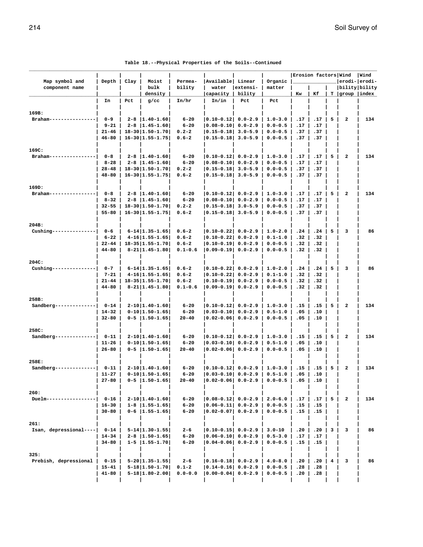|                         |                        |      |                                                   |                          |                                    |                            |                            | Erosion factors Wind |            |   |                                  | Wind |
|-------------------------|------------------------|------|---------------------------------------------------|--------------------------|------------------------------------|----------------------------|----------------------------|----------------------|------------|---|----------------------------------|------|
| Map symbol and          | Depth                  | Clay | Moist                                             | Permea-                  | Available Linear                   |                            | Organic                    |                      |            |   | erodi- erodi-                    |      |
| component name          |                        |      | bulk<br>density                                   | bility                   | water                              | extensi-<br>bility         | matter                     | Kw                   | Кf         |   | bility bility<br>T  group  index |      |
|                         | In                     | Pct  | $g$ /cc                                           | In/hr                    | capacity<br>In/in                  | Pct                        | Pct                        |                      |            |   |                                  |      |
|                         |                        |      |                                                   |                          |                                    |                            |                            |                      |            |   |                                  |      |
| 169B:                   |                        |      |                                                   |                          |                                    |                            |                            |                      |            |   |                                  |      |
| Braham-                 | $0 - 9$                |      | $2 - 8$   1.40-1.60                               | $6 - 20$                 | $ 0.10 - 0.12  0.0 - 2.9$          |                            | $1.0 - 3.0$                | .17                  | .17        | 5 | $\overline{\mathbf{2}}$          | 134  |
|                         | $9 - 21$               |      | $2 - 8$   1.45 - 1.60                             | $6 - 20$                 | $ 0.08 - 0.10 $                    | $0.0 - 2.9$                | $0.0 - 0.5$                | .17                  | .17        |   |                                  |      |
|                         | $21 - 46$              |      | $18 - 30   1.50 - 1.70  $                         | $0.2 - 2$                | $ 0.15 - 0.18 $                    | $3.0 - 5.9$                | $0.0 - 0.5$                | .37                  | .37        |   |                                  |      |
|                         | $46 - 80$              |      | $16 - 30   1.55 - 1.75  $                         | $0.6 - 2$                | $ 0.15 - 0.18 $                    | $3.0 - 5.9$                | $0.0 - 0.5$                | .37                  | .37        |   |                                  |      |
|                         |                        |      |                                                   |                          |                                    |                            |                            |                      |            |   |                                  |      |
| 169C:                   |                        |      |                                                   |                          |                                    |                            |                            |                      |            |   |                                  |      |
| Braham---               | $0 - 8$                |      | $2 - 8$   1.40-1.60                               | $6 - 20$                 | $ 0.10 - 0.12 $ 0.0-2.9            |                            | $1.0 - 3.0$                | .17                  | .17        | 5 | $\overline{\mathbf{2}}$          | 134  |
|                         | $8 - 28$               |      | $2 - 8$   1.45-1.60                               | $6 - 20$                 | $ 0.08 - 0.10 $                    | $0.0 - 2.9$                | $0.0 - 0.5$                | .17                  | .17        |   |                                  |      |
|                         | $28 - 48$              |      | $18 - 30$  1.50-1.70                              | $0.2 - 2$                | $ 0.15 - 0.18 $                    | $3.0 - 5.9$                | $0.0 - 0.5$                | .37                  | .37        |   |                                  |      |
|                         | $48 - 80$              |      | $16 - 30   1.55 - 1.75  $                         | $0.6 - 2$                | $ 0.15 - 0.18 $                    | $3.0 - 5.9$                | $0.0 - 0.5$                | .37                  | .37        |   |                                  |      |
|                         |                        |      |                                                   |                          |                                    |                            |                            |                      |            |   |                                  |      |
| 169D:<br>Braham-        | $0 - 8$                |      | $2 - 8$   1.40-1.60                               | $6 - 20$                 | $ 0.10 - 0.12  0.0 - 2.9$          |                            | $1.0 - 3.0$                | .17                  | .17        | 5 | 2                                | 134  |
|                         | $8 - 32$               |      | $2 - 8$   1.45 - 1.60                             | $6 - 20$                 | $ 0.08 - 0.10 $                    | $0.0 - 2.9$                | $0.0 - 0.5$                | .17                  | .17        |   |                                  |      |
|                         | $32 - 55$              |      | $18 - 30$   1.50-1.70                             | $0.2 - 2$                | $ 0.15 - 0.18 $                    | $3.0 - 5.9$                | $0.0 - 0.5$                | .37                  | .37        |   |                                  |      |
|                         | $55 - 80$              |      | $16 - 30   1.55 - 1.75  $                         | $0.6 - 2$                | $ 0.15 - 0.18 $                    | $3.0 - 5.9$                | $0.0 - 0.5$                | .37                  | .37        |   |                                  |      |
|                         |                        |      |                                                   |                          |                                    |                            |                            |                      |            |   |                                  |      |
| 204B:                   |                        |      |                                                   |                          |                                    |                            |                            |                      |            |   |                                  |      |
| Cushing---              | $0 - 6$                |      | $6 - 14$   1.35-1.65                              | $0.6 - 2$                | $ 0.10 - 0.22  0.0 - 2.9$          |                            | $1.0 - 2.0$                | .24                  | .24        | 5 | 3                                | 86   |
|                         | $6 - 22$               |      | $4-16$   1.55-1.65                                | $0.6 - 2$                | $ 0.10 - 0.22 $                    | $0.0 - 2.9$                | $0.1 - 1.0$                | .32                  | .32        |   |                                  |      |
|                         | $22 - 44$              |      | $18 - 35   1.55 - 1.70  $                         | $0.6 - 2$                | $ 0.10 - 0.19 $                    | $0.0 - 2.9$                | $0.0 - 0.5$                | .32                  | .32        |   |                                  |      |
|                         | $44 - 80$              |      | $8 - 21$   1.45-1.80                              | $0.1 - 0.6$              | $ 0.09 - 0.19 $                    | $0.0 - 2.9$                | $0.0 - 0.5$                | .32                  | .32        |   |                                  |      |
|                         |                        |      |                                                   |                          |                                    |                            |                            |                      |            |   |                                  |      |
| 204C:                   |                        |      |                                                   |                          |                                    |                            |                            |                      |            |   |                                  |      |
| Cushing-                | $0 - 7$                |      | $6 - 14$   1.35-1.65                              | $0.6 - 2$                | $ 0.10 - 0.22  0.0 - 2.9$          |                            | $1.0 - 2.0$                | .24                  | .24        | 5 | 3                                | 86   |
|                         | $7 - 21$               |      | $4-16$   1.55-1.65                                | $0.6 - 2$                | $ 0.10 - 0.22 $                    | $0.0 - 2.9$                | $0.1 - 1.0$                | .32                  | .32        |   |                                  |      |
|                         | $21 - 44$<br>$44 - 80$ |      | $18 - 35   1.55 - 1.70  $<br>$8 - 21$   1.45-1.80 | $0.6 - 2$<br>$0.1 - 0.6$ | $ 0.10 - 0.19 $<br>$ 0.09 - 0.19 $ | $0.0 - 2.9$<br>$0.0 - 2.9$ | $0.0 - 0.5$<br>$0.0 - 0.5$ | .32<br>.32           | .32<br>.32 |   |                                  |      |
|                         |                        |      |                                                   |                          |                                    |                            |                            |                      |            |   |                                  |      |
| 258B:                   |                        |      |                                                   |                          |                                    |                            |                            |                      |            |   |                                  |      |
| $Sandberg---$           | $0 - 14$               |      | $2 - 10$   1.40-1.60                              | $6 - 20$                 | $ 0.10 - 0.12 $ 0.0-2.9            |                            | $1.0 - 3.0$                | .15                  | .15        | 5 | $\overline{\mathbf{2}}$          | 134  |
|                         | $14 - 32$              |      | $0-10$  1.50-1.65                                 | $6 - 20$                 | $ 0.03 - 0.10 $                    | $0.0 - 2.9$                | $0.5 - 1.0$                | .05                  | .10        |   |                                  |      |
|                         | $32 - 80$              |      | $0 - 5$   1.50-1.65                               | $20 - 40$                | $ 0.02 - 0.06 $                    | $0.0 - 2.9$                | $0.0 - 0.5$                | .05                  | .10        |   |                                  |      |
|                         |                        |      |                                                   |                          |                                    |                            |                            |                      |            |   |                                  |      |
| 258C:                   |                        |      |                                                   |                          |                                    |                            |                            |                      |            |   |                                  |      |
| Sandberg-               | $0 - 11$               |      | $2 - 10   1.40 - 1.60  $                          | $6 - 20$                 | $ 0.10-0.12 $ 0.0-2.9              |                            | $1.0 - 3.0$                | .15                  | .15        | 5 | $\overline{\mathbf{2}}$          | 134  |
|                         | $11 - 26$              |      | $0-10$  1.50-1.65                                 | $6 - 20$                 | $ 0.03 - 0.10 $                    | $0.0 - 2.9$                | $0.5 - 1.0$                | .05                  | .10        |   |                                  |      |
|                         | $26 - 80$              |      | $0 - 5$   1.50-1.65                               | $20 - 40$                | $ 0.02 - 0.06 $                    | $0.0 - 2.9$                | $0.0 - 0.5$                | .05                  | .10        |   |                                  |      |
|                         |                        |      |                                                   |                          |                                    |                            |                            |                      |            |   |                                  |      |
| 258E:<br>Sandberg-      | $0 - 11$               |      | $2 - 10$   1.40-1.60                              | $6 - 20$                 | $ 0.10 - 0.12 $ 0.0-2.9            |                            | $1.0 - 3.0$                | .15                  | .15        | 5 | 2                                | 134  |
|                         | $11 - 27$              |      | $0-10$  1.50-1.65                                 | $6 - 20$                 | $ 0.03 - 0.10 $ $0.0 - 2.9$        |                            | $0.5 - 1.0$                | .05                  | .10        |   |                                  |      |
|                         | 27-80                  |      | $0 - 5$   1.50-1.65                               | $20 - 40$                | 0.02-0.06  0.0-2.9                 |                            | $0.0 - 0.5$                | .05                  | .10        |   |                                  |      |
|                         |                        |      |                                                   |                          |                                    |                            |                            |                      |            |   |                                  |      |
| 260:                    |                        |      |                                                   |                          |                                    |                            |                            |                      |            |   |                                  |      |
| $Duelm---$              | $0 - 16$               |      | $2 - 10$   1.40-1.60                              | 6-20                     | $ 0.08-0.12 $ 0.0-2.9              |                            | $2.0 - 6.0$                | .17                  | .17        | 5 | 2                                | 134  |
|                         | $16 - 30$              |      | $1 - 8$   1.55-1.65                               | $6 - 20$                 | $ 0.06 - 0.11 $                    | $0.0 - 2.9$                | $0.0 - 0.5$                | .15                  | .15        |   |                                  |      |
|                         | $30 - 80$              |      | $0 - 6$   1.55-1.65                               | $6 - 20$                 | $ 0.02-0.07 $                      | $0.0 - 2.9$                | $0.0 - 0.5$                | .15                  | .15        |   |                                  |      |
|                         |                        |      |                                                   |                          |                                    |                            |                            |                      |            |   |                                  |      |
| 261:                    |                        |      |                                                   |                          |                                    |                            |                            |                      |            |   |                                  |      |
| Isan, depressional ---- | $0 - 14$               |      | $5 - 14$   1.30-1.55                              | $2 - 6$                  | $ 0.10 - 0.15 $ 0.0-2.9            |                            | $3.0 - 10$                 | .20                  | .20        | 3 | 3                                | 86   |
|                         | $14 - 34$              |      | $2 - 8$   1.50-1.65                               | $6 - 20$                 | $ 0.06 - 0.10  0.0 - 2.9$          |                            | $0.5 - 3.0$                | .17                  | .17        |   |                                  |      |
|                         | $34 - 80$              |      | $1 - 5$   1.55-1.70                               | $6 - 20$                 | $ 0.04 - 0.06 $                    | $0.0 - 2.9$                | $0.0 - 0.5$                | .15                  | .15        |   |                                  |      |
| 325:                    |                        |      |                                                   |                          |                                    |                            |                            |                      |            |   |                                  |      |
| Prebish, depressional   | $0 - 15$               |      | $5-20$   1.35-1.55                                | $2 - 6$                  | $ 0.16 - 0.18  0.0 - 2.9$          |                            | $4.0 - 8.0$                | .20                  | .20        | 4 | з                                | 86   |
|                         | $15 - 41$              |      | $5-18$  1.50-1.70                                 | $0.1 - 2$                | $ 0.14 - 0.16  0.0 - 2.9$          |                            | $0.0 - 0.5$                | .28                  | .28        |   |                                  |      |
|                         | $41 - 80$              |      | $5 - 18   1.80 - 2.00  $                          | $0.0 - 0.0$              | $ 0.00-0.04 $ 0.0-2.9              |                            | $0.0 - 0.5$                | .20                  | .28        |   |                                  |      |
|                         |                        |      |                                                   |                          |                                    |                            |                            |                      |            |   |                                  |      |

 **| | | | | | | | | | | |**

| Table 18.--Physical Properties of the Soils--Continued |  |  |  |
|--------------------------------------------------------|--|--|--|
|--------------------------------------------------------|--|--|--|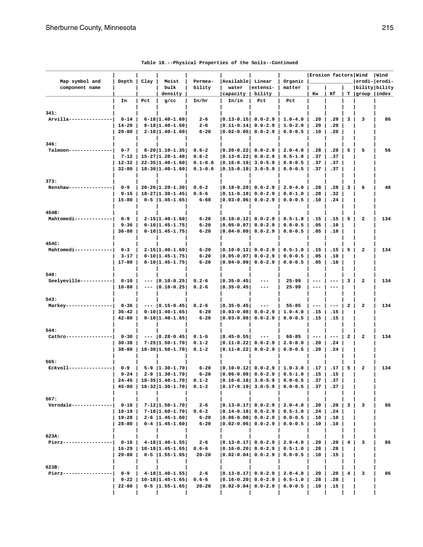| Map symbol and<br>component name | Depth             | Clay | Moist<br>bulk                                          | Permea-<br>bility      | Available  Linear<br>water                                  | extensi-            | Organic<br>matter | Erosion factors Wind |                     |                | bility bility           | Wind<br>erodi- erodi- |
|----------------------------------|-------------------|------|--------------------------------------------------------|------------------------|-------------------------------------------------------------|---------------------|-------------------|----------------------|---------------------|----------------|-------------------------|-----------------------|
|                                  |                   |      | density                                                |                        | capacity                                                    | bility              |                   | Kw                   | Кf                  |                | $T$  group  index       |                       |
|                                  | In                | Pct  | $g$ /cc                                                | In/hr                  | In/in                                                       | Pct                 | Pct               |                      |                     |                |                         |                       |
|                                  |                   |      |                                                        |                        |                                                             |                     |                   |                      |                     |                |                         |                       |
| 341:<br>Arvilla-----             | $0 - 14$          |      | $6 - 18   1.40 - 1.60  $                               | $2 - 6$                | $ 0.13 - 0.15 $ 0.0-2.9                                     |                     | $1.0 - 4.0$       | .20                  | .20                 | 3              | з                       | 86                    |
|                                  | $14 - 20$         |      | $6 - 18$   1.40-1.60                                   | $2 - 6$                | $ 0.11 - 0.14  0.0 - 2.9$                                   |                     | $1.0 - 2.0$       | .20                  | .20                 |                |                         |                       |
|                                  | $20 - 80$         |      | $2 - 10$   1.40-1.60                                   | $6 - 20$               | $ 0.02 - 0.05 $ 0.0-2.9                                     |                     | $0.0 - 0.5$       | .10                  | .20                 |                |                         |                       |
| 346:                             |                   |      |                                                        |                        |                                                             |                     |                   |                      |                     |                |                         |                       |
| Talmoon-----                     | $0 - 7$           |      | $8-20$  1.10-1.35                                      | $0.6 - 2$              | $ 0.20 - 0.22 $ $0.0 - 2.9$                                 |                     | $2.0 - 4.0$       | .28                  | .28                 | 5              | 5                       | 56                    |
|                                  | $7 - 12$          |      | $15 - 27$   1.20-1.40                                  | $0.6 - 2$              | $ 0.13 - 0.22 $ 0.0-2.9                                     |                     | $0.5 - 1.0$       | .37                  | .37                 |                |                         |                       |
|                                  | $12 - 32$         |      | $22 - 35   1.40 - 1.60  $                              | $0.1 - 0.6$            | $ 0.16 - 0.19 $ 3.0-5.9                                     |                     | $0.0 - 0.5$       | .37                  | .37                 |                |                         |                       |
|                                  | $32 - 80$         |      | $18 - 30   1.40 - 1.60  $                              | $0.1 - 0.6$            | $ 0.15 - 0.19 $ 3.0-5.9                                     |                     | $0.0 - 0.5$       | .37                  | .37                 |                |                         |                       |
| 373:                             |                   |      |                                                        |                        |                                                             |                     |                   |                      |                     |                |                         |                       |
| Renshaw---                       | $0 - 9$           |      | $20 - 26$  1.20-1.30                                   | $0.6 - 2$              | $ 0.18 - 0.20 $ 0.0-2.9                                     |                     | $2.0 - 4.0$       | .28                  | .28                 | 3              | 6                       | 48                    |
|                                  | $9 - 15$          |      | $18 - 27   1.30 - 1.45  $                              | $0.6 - 6$              | $ 0.11 - 0.18  0.0 - 2.9$                                   |                     | $0.0 - 1.0$       | .28                  | .32                 |                |                         |                       |
|                                  | $15 - 80$         |      | $0-5$  1.45-1.65                                       | $6 - 60$               | 0.03-0.06  0.0-2.9                                          |                     | $0.0 - 0.5$       | .10                  | .24                 |                |                         |                       |
| 454B:                            |                   |      |                                                        |                        |                                                             |                     |                   |                      |                     |                |                         |                       |
| Mahtomedi----                    | $0 - 9$           |      | $2 - 15   1.40 - 1.60  $                               | $6 - 20$               | $ 0.10-0.12 $ 0.0-2.9                                       |                     | $0.5 - 1.0$       | .15                  | .15                 | 5              | $\mathbf{2}$            | 134                   |
|                                  | $9 - 36$          |      | $0-10$  1.45-1.75                                      | $6 - 20$               | $ 0.05 - 0.07 $ 0.0-2.9                                     |                     | $0.0 - 0.5$       | .05                  | .10                 |                |                         |                       |
|                                  | $36 - 80$         |      | $0-10$  1.45-1.75                                      | $6 - 20$               | $ 0.04 - 0.09  0.0 - 2.9$                                   |                     | $0.0 - 0.5$       | .05                  | .10                 |                |                         |                       |
| 454C:                            |                   |      |                                                        |                        |                                                             |                     |                   |                      |                     |                |                         |                       |
| Mahtomedi------------            | $0 - 3$           |      | $2 - 15   1.40 - 1.60  $                               | $6 - 20$               | 0.10-0.12  0.0-2.9                                          |                     | $0.5 - 1.0$       | .15                  | .15                 | 5              | $\overline{\mathbf{2}}$ | 134                   |
|                                  | $3 - 17$          |      | $0-10$  1.45-1.75                                      | $6 - 20$               | $ 0.05 - 0.07 $                                             | $0.0 - 2.9$         | $0.0 - 0.5$       | .05                  | .10                 |                |                         |                       |
|                                  | $17 - 80$         |      | $0-10$  1.45-1.75                                      | $6 - 20$               | 10.04-0.091 0.0-2.9                                         |                     | $0.0 - 0.5$       | .05                  | .10                 |                |                         |                       |
| 540:                             |                   |      |                                                        |                        |                                                             |                     |                   |                      |                     |                |                         |                       |
| Seelyeville----------            | $0 - 10$          |      | $--- 0.10-0.25$                                        | $0.2 - 6$              | $ 0.35 - 0.45 $                                             | $---$               | $25 - 99$         | $--$                 | $---$               | з              | $\overline{\mathbf{2}}$ | 134                   |
|                                  | $10 - 80$         |      | $ 0.10 - 0.25$                                         | $0.2 - 6$              | $ 0.35 - 0.45$                                              | $\qquad \qquad -$   | $25 - 99$         | $\qquad \qquad - -$  | $---$               |                |                         |                       |
| 543:                             |                   |      |                                                        |                        |                                                             |                     |                   |                      |                     |                |                         |                       |
| Markey---                        | $0 - 36$          |      | $--  0.15-0.45 $                                       | $0.2 - 6$              | $ 0.35 - 0.45 $                                             | $\qquad \qquad - -$ | $55 - 85$         | $\qquad \qquad - -$  | $- - -$             | $\overline{a}$ | $\overline{\mathbf{2}}$ | 134                   |
|                                  | $36 - 42$         |      | $0-10$  1.40-1.65                                      | $6 - 20$               | $ 0.03 - 0.08 $                                             | $0.0 - 2.9$         | $1.0 - 4.0$       | .15                  | .15                 |                |                         |                       |
|                                  | $42 - 80$         |      | $0-10$  1.40-1.65                                      | $6 - 20$               | $ 0.03-0.08 $                                               | $0.0 - 2.9$         | $0.0 - 0.5$       | .15                  | .15                 |                |                         |                       |
| 544:                             |                   |      |                                                        |                        |                                                             |                     |                   |                      |                     |                |                         |                       |
| Cathro----                       | $0 - 30$          |      | $--  0.28-0.45 $                                       | $0.1 - 6$              | $ 0.45 - 0.55 $                                             | $\qquad \qquad - -$ | $60 - 85$         | $\qquad \qquad - -$  | $\qquad \qquad - -$ | $\overline{a}$ | $\overline{\mathbf{2}}$ | 134                   |
|                                  | $30 - 38$         |      | $7 - 25   1.50 - 1.70  $                               | $0.1 - 2$              | $ 0.11 - 0.22 $                                             | $0.0 - 2.9$         | $2.0 - 8.0$       | .20                  | .24                 |                |                         |                       |
|                                  | $38 - 80$         |      | $10-30$  1.50-1.70                                     | $0.1 - 2$              | $ 0.11 - 0.22 $                                             | $0.0 - 2.9$         | $0.0 - 0.5$       | .20                  | .24                 |                |                         |                       |
| 565:                             |                   |      |                                                        |                        |                                                             |                     |                   |                      |                     |                |                         |                       |
| Eckvoll--                        | $0 - 9$           |      | $5 - 9$   1.30-1.70                                    | $6 - 20$               | $ 0.10-0.12 $ 0.0-2.9                                       |                     | $1.0 - 3.0$       | .17                  | .17                 | 5              | 2                       | 134                   |
|                                  | $9 - 24$          |      | $2 - 9$   1.30-1.70                                    | $6 - 20$               | 0.06-0.08  0.0-2.9                                          |                     | $0.5 - 1.0$       | .15                  | .15                 |                |                         |                       |
|                                  | $45 - 80$         |      | $24-45$   18-35   1.40-1.70  <br>$16 - 32$   1.30-1.70 | $0.1 - 2$<br>$0.1 - 2$ | $ 0.17 - 0.19 $ 3.0-5.9                                     |                     | $0.0 - 0.5$       | .37                  | .37                 |                |                         |                       |
|                                  |                   |      |                                                        |                        |                                                             |                     |                   |                      |                     |                |                         |                       |
| 567:                             |                   |      |                                                        |                        |                                                             |                     |                   |                      |                     |                |                         |                       |
| Verndale----------               | $0 - 10$<br>10-19 |      | $7 - 12$   1.50-1.70 <br>$7 - 18$   1.60-1.70          | 2-6<br>$0.6 - 2$       | $ 0.13-0.17 $ 0.0-2.9 2.0-4.0<br>$ 0.14 - 0.18  0.0 - 2.9 $ |                     | $0.5 - 1.0$       | .20<br>.24           | .20<br>.24          | $\mathbf{3}$   | з                       | 86                    |
|                                  | 19-28             |      | $2 - 6$   1.45-1.60                                    | $6 - 20$               | $ 0.06 - 0.08 $ 0.0-2.9                                     |                     | $0.0 - 0.5$       | .10                  | .10                 |                |                         |                       |
|                                  | $28 - 80$         |      | $0-4$   1.45-1.60                                      | $6 - 20$               | $ 0.02-0.06 $ 0.0-2.9                                       |                     | $0.0 - 0.5$       | .10                  | .10                 |                |                         |                       |
|                                  |                   |      |                                                        |                        |                                                             |                     |                   |                      |                     |                |                         |                       |
| 623A:<br>Pierz-----              | $0 - 16$          |      | $4 - 18$   1.40 - 1.55                                 | $2 - 6$                | $ 0.13-0.17 $ 0.0-2.9 2.0-4.0                               |                     |                   | .20                  | .20                 | 4              | з                       | 86                    |
|                                  | $16 - 29$         |      | $10 - 18$   1.45-1.65                                  | $0.6 - 6$              | $ 0.16 - 0.20  0.0 - 2.9 $                                  |                     | $0.5 - 1.0$       | .28                  | .28                 |                |                         |                       |
|                                  | $29 - 80$         |      | $0 - 5$   1.55-1.65                                    | $20 - 20$              | $ 0.02 - 0.04 $ 0.0-2.9                                     |                     | $0.0 - 0.5$       | .10                  | .15                 |                |                         |                       |
|                                  |                   |      |                                                        |                        |                                                             |                     |                   |                      |                     |                |                         |                       |
| 623B:<br>Pierz-                  | $0 - 9$           |      | $4-18 1.40-1.55 $                                      | $2 - 6$                | $ 0.13-0.17 $ 0.0-2.9   2.0-4.0                             |                     |                   | .20                  | .20                 | 4              | 3                       | 86                    |
|                                  | $9 - 22$          |      | $10 - 18$   1.45-1.65                                  | $0.6 - 6$              | $ 0.16 - 0.20  0.0 - 2.9   0.5 - 1.0$                       |                     |                   | .28                  | .28                 |                |                         |                       |
|                                  | $22 - 80$         |      | $0-5$  1.55-1.65                                       | $20 - 20$              | $ 0.02-0.04 $ 0.0-2.9                                       |                     | $0.0 - 0.5$       | .10                  | .15                 |                |                         |                       |
|                                  |                   |      |                                                        |                        |                                                             |                     |                   |                      |                     |                |                         |                       |

### **Table 18.--Physical Properties of the Soils--Continued**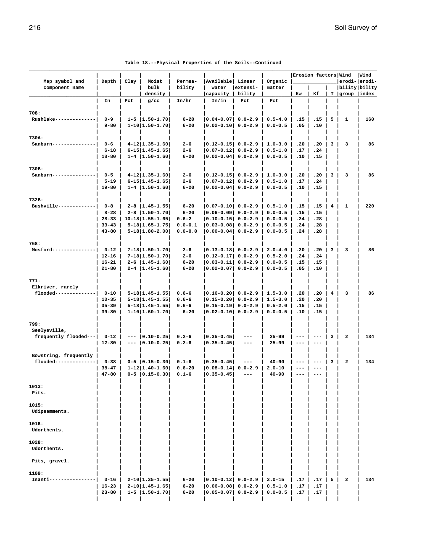|                                           |                        |       |                                                     |                         |                                            |                              |                            | Erosion factors Wind |                                            |                |                                        | Wind          |
|-------------------------------------------|------------------------|-------|-----------------------------------------------------|-------------------------|--------------------------------------------|------------------------------|----------------------------|----------------------|--------------------------------------------|----------------|----------------------------------------|---------------|
| Map symbol and<br>component name          | Depth                  | Clay  | Moist<br>bulk<br>density                            | Permea-<br>bility       | Available Linear<br>water<br>capacity      | extensi-<br>bility           | Organic<br>matter          | Kw                   | Кf                                         |                | bility bility<br>$T  $ group $ $ index | erodi- erodi- |
|                                           | In                     | Pct   | $g$ /cc                                             | In/hr                   | In/in                                      | Pct                          | Pct                        |                      |                                            |                |                                        |               |
|                                           |                        |       |                                                     |                         |                                            |                              |                            |                      |                                            |                |                                        |               |
| 708:<br>Rushlake-------------             | $0 - 9$                |       | $1 - 5$   1.50-1.70                                 | $6 - 20$                | $ 0.04 - 0.07 $                            | $0.0 - 2.9$                  | $0.5 - 4.0$                | .15                  | .15                                        | 5              | 1                                      | 160           |
|                                           | $9 - 80$               |       | $1 - 10$   1.50-1.70                                | $6 - 20$                | $ 0.02 - 0.10 $                            | $0.0 - 2.9$                  | $0.0 - 0.5$                | .05                  | .10                                        |                |                                        |               |
| 730A:                                     |                        |       |                                                     |                         |                                            |                              |                            |                      |                                            |                |                                        |               |
| Sanburn---                                | $0 - 6$                |       | $4 - 12   1.35 - 1.60  $                            | $2 - 6$                 | $ 0.12 - 0.15 $ 0.0-2.9                    |                              | $1.0 - 3.0$                | .20                  | .20                                        | 3              | 3                                      | 86            |
|                                           | $6 - 18$               |       | $6 - 15$   1.45 - 1.65                              | $2 - 6$                 | $ 0.07 - 0.12 $                            | $0.0 - 2.9$                  | $0.5 - 1.0$                | .17                  | .24                                        |                |                                        |               |
|                                           | $18 - 80$              |       | $1 - 4$   1.50-1.60                                 | $6 - 20$                | $ 0.02 - 0.04 $                            | $0.0 - 2.9$                  | $0.0 - 0.5$                | .10                  | .15                                        |                |                                        |               |
| 730B:                                     |                        |       |                                                     |                         |                                            |                              |                            |                      |                                            |                |                                        |               |
| Sanburn--------------                     | $0 - 5$                |       | $4-12$   1.35-1.60                                  | $2 - 6$                 | $ 0.12 - 0.15 $ 0.0-2.9                    |                              | $1.0 - 3.0$                | .20                  | .20                                        | 3              | 3                                      | 86            |
|                                           | $5 - 19$               |       | $6 - 15$   1.45 - 1.65                              | 2-6                     | $ 0.07 - 0.12 $                            | $0.0 - 2.9$                  | $0.5 - 1.0$                | .17                  | .24                                        |                |                                        |               |
|                                           | $19 - 80$              |       | $1 - 4$   1.50-1.60                                 | $6 - 20$                | 0.02-0.04                                  | $0.0 - 2.9$                  | $0.0 - 0.5$                | .10                  | .15                                        |                |                                        |               |
| 732B:                                     |                        |       |                                                     |                         |                                            |                              |                            |                      |                                            |                |                                        |               |
| Bushville------------                     | $0 - 8$                |       | $2 - 8$   1.45 - 1.55                               | $6 - 20$                | $ 0.07 - 0.10  0.0 - 2.9$                  |                              | $0.5 - 1.0$                | .15                  | .15                                        | 4              | 1                                      | 220           |
|                                           | $8 - 28$<br>$28 - 33$  |       | $2 - 8$   1.50-1.70 <br>$10 - 18$   1.55-1.65       | $6 - 20$<br>$0.6 - 2$   | $ 0.06 - 0.09 $<br>$ 0.10 - 0.15 $         | $0.0 - 2.9$<br>$0.0 - 2.9$   | $0.0 - 0.5$<br>$0.0 - 0.5$ | .15<br>.24           | .15<br>.28                                 |                |                                        |               |
|                                           | $33 - 43$              |       | $5 - 18$   1.65-1.75                                | $0.0 - 0.1$             | $ 0.03 - 0.08 $                            | $0.0 - 2.9$                  | $0.0 - 0.5$                | .24                  | .28                                        |                |                                        |               |
|                                           | $43 - 80$              |       | $5 - 18$   1.80 - 2.00                              | $0.0 - 0.0$             | $ 0.00 - 0.04 $                            | $0.0 - 2.9$                  | $0.0 - 0.5$                | .24                  | .28                                        |                |                                        |               |
| 768:                                      |                        |       |                                                     |                         |                                            |                              |                            |                      |                                            |                |                                        |               |
| Mosford--------------                     | $0 - 12$               |       | $7 - 18$   1.50 - 1.70                              | $2 - 6$                 | $ 0.13 - 0.18  0.0 - 2.9$                  |                              | $2.0 - 4.0$                | .20                  | .20                                        | 3              | 3                                      | 86            |
|                                           | $12 - 16$              |       | $7 - 18$   1.50 - 1.70                              | 2-6                     | $ 0.12 - 0.17 $                            | $0.0 - 2.9$                  | $0.5 - 2.0$                | .24                  | .24                                        |                |                                        |               |
|                                           | $16 - 21$<br>$21 - 80$ |       | $2 - 6$   1.45-1.60 <br>$2 - 4$   1.45-1.60         | $6 - 20$<br>$6 - 20$    | $ 0.03 - 0.11 $<br>$ 0.02 - 0.07 $         | $0.0 - 2.9$<br>$0.0 - 2.9$   | $0.0 - 0.5$<br>$0.0 - 0.5$ | .15<br>.05           | .15<br>.10                                 |                |                                        |               |
|                                           |                        |       |                                                     |                         |                                            |                              |                            |                      |                                            |                |                                        |               |
| 771:                                      |                        |       |                                                     |                         |                                            |                              |                            |                      |                                            |                |                                        |               |
| Elkriver, rarely<br>flooded-------------- | $0 - 10$               |       | $5 - 18$   1.45 - 1.55                              | $0.6 - 6$               | $ 0.16 - 0.20  0.0 - 2.9$                  |                              | $1.5 - 3.0$                | .20                  | .20                                        | $\overline{4}$ | 3                                      | 86            |
|                                           | $10 - 35$              |       | $5 - 18$   1.45 - 1.55                              | $0.6 - 6$               | $ 0.15 - 0.20 $                            | $0.0 - 2.9$                  | $1.5 - 3.0$                | .20                  | .20                                        |                |                                        |               |
|                                           | $35 - 39$              |       | $5 - 18$   1.45 - 1.55                              | $0.6 - 6$               | $ 0.15 - 0.19 $                            | $0.0 - 2.9$                  | $0.5 - 2.0$                | .15                  | .15                                        |                |                                        |               |
|                                           | $39 - 80$              |       | $1-10$  1.60-1.70                                   | $6 - 20$                | $ 0.02-0.10 $                              | $0.0 - 2.9$                  | $0.0 - 0.5$                | .10                  | .15                                        |                |                                        |               |
| 799:                                      |                        |       |                                                     |                         |                                            |                              |                            |                      |                                            |                |                                        |               |
| Seelyeville,                              |                        |       |                                                     |                         |                                            |                              |                            |                      |                                            |                |                                        |               |
| frequently flooded---                     | $0 - 12$<br>$12 - 80$  | $---$ | $--- 0.10-0.25$<br>$ 0.10 - 0.25 $                  | $0.2 - 6$<br>$0.2 - 6$  | $ 0.35 - 0.45 $<br>$ 0.35 - 0.45 $         | $---$<br>$\qquad \qquad - -$ | $25 - 99$<br>$25 - 99$     | ---                  | $---$<br>---                               | 3              | $\overline{\mathbf{2}}$                | 134           |
|                                           |                        |       |                                                     |                         |                                            |                              |                            |                      |                                            |                |                                        |               |
| Bowstring, frequently                     |                        |       |                                                     |                         |                                            |                              |                            |                      |                                            |                |                                        |               |
| flooded--------------                     | $0 - 38$<br>$38 - 47$  |       | $0 - 5$ $ 0.15 - 0.30 $<br>$1 - 12   1.40 - 1.60  $ | $0.1 - 6$<br>$0.6 - 20$ | $ 0.35 - 0.45 $<br>$ 0.08 - 0.14 $         | $---$<br>$0.0 - 2.9$         | $40 - 90$<br>$2.0 - 10$    | $---$                | $\qquad \qquad - -$<br>$\qquad \qquad - -$ | 3              | $\overline{\mathbf{2}}$                | 134           |
|                                           | $47 - 80$              |       | $0 - 5$ $ 0.15 - 0.30 $                             | $0.1 - 6$               | $ 0.35 - 0.45 $                            | $\qquad \qquad - -$          | $40 - 90$                  | $---$                | $- - -$                                    |                |                                        |               |
|                                           |                        |       |                                                     |                         |                                            |                              |                            |                      |                                            |                |                                        |               |
| 1013:<br>Pits.                            |                        |       |                                                     |                         |                                            |                              |                            |                      |                                            |                |                                        |               |
|                                           |                        |       |                                                     |                         |                                            |                              |                            |                      |                                            |                |                                        |               |
| 1015:                                     |                        |       |                                                     |                         |                                            |                              |                            |                      |                                            |                |                                        |               |
| Udipsamments.                             |                        |       |                                                     |                         |                                            |                              |                            |                      |                                            |                |                                        |               |
| 1016:                                     |                        |       |                                                     |                         |                                            |                              |                            |                      |                                            |                |                                        |               |
| Udorthents.                               |                        |       |                                                     |                         |                                            |                              |                            |                      |                                            |                |                                        |               |
| 1028:                                     |                        |       |                                                     |                         |                                            |                              |                            |                      |                                            |                |                                        |               |
| Udorthents.                               |                        |       |                                                     |                         |                                            |                              |                            |                      |                                            |                |                                        |               |
|                                           |                        |       |                                                     |                         |                                            |                              |                            |                      |                                            |                |                                        |               |
| Pits, gravel.                             |                        |       |                                                     |                         |                                            |                              |                            |                      |                                            |                |                                        |               |
| 1109:                                     |                        |       |                                                     |                         |                                            |                              |                            |                      |                                            |                |                                        |               |
| Isanti---------------                     | $0 - 16$               |       | $2 - 10$   1.35 - 1.55                              | $6 - 20$                | $ 0.10-0.12 $ 0.0-2.9                      |                              | $3.0 - 15$                 | .17                  | .17                                        | 5              | $\mathbf{2}$                           | 134           |
|                                           | $16 - 23$<br>$23 - 80$ |       | $2 - 10$   1.45 - 1.65  <br>$1 - 5$   1.50-1.70     | $6 - 20$<br>$6 - 20$    | $ 0.06 - 0.08 $ 0.0-2.9<br>$ 0.05 - 0.07 $ | $0.0 - 2.9$                  | $0.5 - 1.0$<br>$0.0 - 0.5$ | .17<br>.17           | .17<br>.17                                 |                |                                        |               |
|                                           |                        |       |                                                     |                         |                                            |                              |                            |                      |                                            |                |                                        |               |

| Table 18.--Physical Properties of the Soils--Continued |  |  |  |
|--------------------------------------------------------|--|--|--|
|--------------------------------------------------------|--|--|--|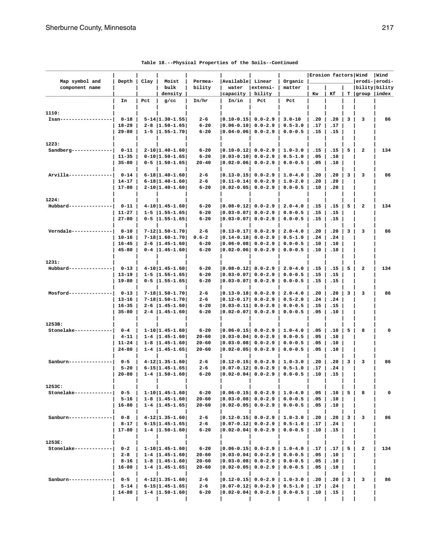|                                  |                        | Erosion factors Wind<br> Available  Linear |                                               |                       |                                                    |             | Wind                       |            |            |                |                                |     |
|----------------------------------|------------------------|--------------------------------------------|-----------------------------------------------|-----------------------|----------------------------------------------------|-------------|----------------------------|------------|------------|----------------|--------------------------------|-----|
| Map symbol and<br>component name | Depth                  | Clay                                       | Moist<br>bulk                                 | Permea-<br>bility     | water                                              | extensi-    | Organic<br>matter          |            |            |                | erodi- erodi-<br>bility bility |     |
|                                  |                        |                                            | density                                       |                       | capacity                                           | bility      |                            | Kw         | Κf         |                | $T$  group  index              |     |
|                                  | In                     | Pct                                        | $g$ /cc                                       | In/hr                 | In/in                                              | Pct         | Pct                        |            |            |                |                                |     |
| 1110:                            |                        |                                            |                                               |                       |                                                    |             |                            |            |            |                |                                |     |
| Isan-                            | $0 - 18$               |                                            | $5 - 14$   1.30 - 1.55                        | $2 - 6$               | $ 0.10 - 0.15 $ 0.0-2.9                            |             | $3.0 - 10$                 | .20        | .20        | 3              | 3                              | 86  |
|                                  | $18 - 29$              |                                            | $2 - 8$   1.50-1.65                           | $6 - 20$              | $ 0.06 - 0.10  0.0 - 2.9$                          |             | $0.5 - 3.0$                | .17        | .17        |                |                                |     |
|                                  | $29 - 80$              |                                            | $1 - 5$   1.55-1.70                           | $6 - 20$              | $ 0.04 - 0.06 $ 0.0-2.9                            |             | $0.0 - 0.5$                | .15        | .15        |                |                                |     |
| 1223:                            |                        |                                            |                                               |                       |                                                    |             |                            |            |            |                |                                |     |
| Sandberg-------------            | $0 - 11$               |                                            | $2 - 10$   1.40-1.60                          | $6 - 20$              | 0.10-0.12  0.0-2.9                                 |             | $1.0 - 3.0$                | .15        | .15        | 5              | $\overline{\mathbf{2}}$        | 134 |
|                                  | $11 - 35$              |                                            | $0-10$  1.50-1.65                             | $6 - 20$              | $ 0.03 - 0.10 $ 0.0-2.9                            |             | $0.5 - 1.0$                | .05        | .10        |                |                                |     |
|                                  | $35 - 80$              |                                            | $0 - 5$   1.50-1.65                           | $20 - 40$             | $ 0.02 - 0.06 $ 0.0-2.9                            |             | $0.0 - 0.5$                | .05        | .10        |                |                                |     |
| Arvilla--------------            | $0 - 14$               |                                            | $6 - 18   1.40 - 1.60  $                      | $2 - 6$               | $ 0.13 - 0.15 $ 0.0-2.9                            |             | $1.0 - 4.0$                | .20        | .20        | 3              | 3                              | 86  |
|                                  | 14-17                  |                                            | $6 - 18$   1.40-1.60                          | $2 - 6$               | $ 0.11 - 0.14  0.0 - 2.9$                          |             | $1.0 - 2.0$                | .20        | .20        |                |                                |     |
|                                  | $17 - 80$              |                                            | $2 - 10$   1.40-1.60                          | $6 - 20$              | 0.02-0.05  0.0-2.9                                 |             | $0.0 - 0.5$                | .10        | .20        |                |                                |     |
| 1224:                            |                        |                                            |                                               |                       |                                                    |             |                            |            |            |                |                                |     |
| Hubbard-------------             | $0 - 11$               |                                            | $4-10$  1.45-1.60                             | $6 - 20$              | $ 0.08-0.12 $ 0.0-2.9                              |             | $2.0 - 4.0$                | .15        | .15        | 5              | $\mathbf{2}$                   | 134 |
|                                  | $11 - 27$              |                                            | $1 - 5$   1.55-1.65                           | $6 - 20$              | $ 0.03 - 0.07 $ 0.0-2.9                            |             | $0.0 - 0.5$                | .15        | .15        |                |                                |     |
|                                  | $27 - 80$              |                                            | $0 - 5$   1.55-1.65                           | $6 - 20$              | $ 0.03 - 0.07 $                                    | $0.0 - 2.9$ | $0.0 - 0.5$                | .15        | .15        |                |                                |     |
| Verndale------------             | $0 - 10$               |                                            | $7 - 12$   1.50-1.70                          | $2 - 6$               | $ 0.13 - 0.17 $ 0.0-2.9                            |             | $2.0 - 4.0$                | .20        | .20        | 3              | 3                              | 86  |
|                                  | $10 - 16$              |                                            | $7 - 18$   1.60-1.70                          | $0.6 - 2$             | $ 0.14 - 0.18 $ 0.0-2.9                            |             | $0.5 - 1.0$                | .24        | .24        |                |                                |     |
|                                  | $16 - 45$              |                                            | $2 - 6$   1.45-1.60                           | $6 - 20$              | $ 0.06 - 0.08 $ 0.0-2.9                            |             | $0.0 - 0.5$                | .10        | .10        |                |                                |     |
|                                  | $45 - 80$              |                                            | $0-4$   1.45-1.60                             | $6 - 20$              | 0.02-0.06  0.0-2.9                                 |             | $0.0 - 0.5$                | .10        | .10        |                |                                |     |
| 1231:                            |                        |                                            |                                               |                       |                                                    |             |                            |            |            |                |                                |     |
| Hubbard-----                     | $0 - 13$               |                                            | $4-10$   1.45-1.60                            | $6 - 20$              | $ 0.08 - 0.12 $ 0.0-2.9                            |             | $2.0 - 4.0$                | .15        | .15        | 5              | 2                              | 134 |
|                                  | $13 - 19$<br>19-80     |                                            | $1 - 5$   1.55-1.65 <br>$0 - 5$   1.55-1.65   | $6 - 20$<br>$6 - 20$  | $ 0.03 - 0.07 $ 0.0-2.9<br>$ 0.03 - 0.07 $ 0.0-2.9 |             | $0.0 - 0.5$<br>$0.0 - 0.5$ | .15<br>.15 | .15<br>.15 |                |                                |     |
|                                  |                        |                                            |                                               |                       |                                                    |             |                            |            |            |                |                                |     |
| Mosford-----                     | $0 - 13$               |                                            | $7 - 18$   1.50 - 1.70                        | $2 - 6$               | $ 0.13 - 0.18  0.0 - 2.9$                          |             | $2.0 - 4.0$                | .20        | .20        | 3              | 3                              | 86  |
|                                  | $13 - 16$<br>$16 - 35$ |                                            | $7 - 18$   1.50 - 1.70<br>$2 - 6$   1.45-1.60 | $2 - 6$<br>$6 - 20$   | $ 0.12 - 0.17 $ 0.0-2.9<br>$ 0.03 - 0.11 $         |             | $0.5 - 2.0$                | .24<br>.15 | .24<br>.15 |                |                                |     |
|                                  | $35 - 80$              |                                            | $2 - 4$   1.45-1.60                           | $6 - 20$              | 0.02-0.07  0.0-2.9                                 | $0.0 - 2.9$ | $0.0 - 0.5$<br>$0.0 - 0.5$ | .05        | .10        |                |                                |     |
|                                  |                        |                                            |                                               |                       |                                                    |             |                            |            |            |                |                                |     |
| 1253B:                           |                        |                                            |                                               |                       |                                                    |             |                            |            |            |                |                                |     |
| Stonelake-----------             | $0 - 4$<br>$4 - 11$    |                                            | $1-10$  1.45-1.60 <br>$1 - 4$   1.45-1.60     | $6 - 20$<br>$20 - 60$ | $ 0.06 - 0.15 $ 0.0-2.9<br>$ 0.03 - 0.04 $ 0.0-2.9 |             | $1.0 - 4.0$<br>$0.0 - 0.5$ | .05<br>.05 | .10<br>.10 | 5              | 8                              | 0   |
|                                  | $11 - 24$              |                                            | $1-8$   1.45-1.60                             | $20 - 60$             | $ 0.03 - 0.08 $ 0.0-2.9                            |             | $0.0 - 0.5$                | .05        | .10        |                |                                |     |
|                                  | $24 - 80$              |                                            | $1 - 4$   1.45-1.65                           | $20 - 60$             | 0.02-0.05  0.0-2.9                                 |             | $0.0 - 0.5$                | .05        | .10        |                |                                |     |
| Sanburn---                       | $0 - 5$                |                                            | $4 - 12   1.35 - 1.60  $                      | $2 - 6$               | $ 0.12 - 0.15 $ 0.0-2.9                            |             | $1.0 - 3.0$                | .20        | .20        | 3              | 3                              | 86  |
|                                  | $5 - 20$               |                                            | $6 - 15$   1.45-1.65                          | $2 - 6$               | $ 0.07 - 0.12  0.0 - 2.9$                          |             | $0.5 - 1.0$                | .17        | .24        |                |                                |     |
|                                  | $20 - 80$              |                                            | $1 - 4$   1.50-1.60                           | $6 - 20$              | $ 0.02-0.04 $ 0.0-2.9                              |             | $0.0 - 0.5$                | .10        | .15        |                |                                |     |
| 1253C:                           |                        |                                            |                                               |                       |                                                    |             |                            |            |            |                |                                |     |
| Stonelake------------            | $0 - 5$                |                                            | $1-10$  1.45-1.60                             | $6 - 20$              | $ 0.06 - 0.15 $ 0.0-2.9   1.0-4.0                  |             |                            | .05        | .10        | 5              | 8                              | 0   |
|                                  | $5 - 16$               |                                            | $1-8$   1.45-1.60                             | $20 - 60$             | $ 0.03-0.08 $ 0.0-2.9                              |             | $0.0 - 0.5$                | .05        | .10        |                |                                |     |
|                                  | 16-80                  |                                            | $1 - 4$   1.45 - 1.65                         | $20 - 60$             | $ 0.02 - 0.05 $ 0.0-2.9                            |             | $0.0 - 0.5$                | .05        | .10        |                |                                |     |
| Sanburn------                    | $0 - 8$                |                                            | $4-12$   1.35-1.60                            | $2 - 6$               | $ 0.12 - 0.15 $ 0.0-2.9                            |             | $1.0 - 3.0$                | .20        | .20        | 3 <sup>1</sup> | 3                              | 86  |
|                                  | $8 - 17$               |                                            | $6 - 15   1.45 - 1.65  $                      | 2-6                   | $ 0.07-0.12 $ 0.0-2.9                              |             | $0.5 - 1.0$                | .17        | .24        |                |                                |     |
|                                  | 17-80                  |                                            | $1 - 4$   1.50-1.60                           | $6 - 20$              | $ 0.02 - 0.04 $ 0.0-2.9                            |             | $0.0 - 0.5$                | .10        | .15        |                |                                |     |
| 1253E:                           |                        |                                            |                                               |                       |                                                    |             |                            |            |            |                |                                |     |
| Stonelake------------            | $0 - 2$                |                                            | $1-10$   1.45-1.60                            | $6 - 20$              | $ 0.06 - 0.15 $ 0.0-2.9                            |             | $1.0 - 4.0$                | .17        | .17        | 5              | 2                              | 134 |
|                                  | $2 - 8$                |                                            | $1 - 4$   1.45-1.60                           | $20 - 60$             | $ 0.03 - 0.04 $ 0.0-2.9                            |             | $0.0 - 0.5$                | .05        | .10        |                |                                |     |
|                                  | $8 - 16$               |                                            | $1-8$   1.45-1.60                             | $20 - 60$             | $ 0.03 - 0.08 $ 0.0-2.9                            |             | $0.0 - 0.5$                | .05        | .10        |                |                                |     |
|                                  | 16-80                  |                                            | $1 - 4$   1.45 - 1.65                         | $20 - 60$             | $ 0.02 - 0.05 $ 0.0-2.9                            |             | $0.0 - 0.5$                | .05        | .10        |                |                                |     |
| $Sanburn------------$            | $0 - 5$                |                                            | $4-12$   1.35-1.60                            | $2 - 6$               | $ 0.12 - 0.15 $ 0.0-2.9                            |             | $1.0 - 3.0$                | .20        | .20        | 3              | з                              | 86  |
|                                  | $5 - 14$               |                                            | $6 - 15   1.45 - 1.65  $                      | $2 - 6$               | $ 0.07 - 0.12 $ 0.0-2.9                            |             | $0.5 - 1.0$                | .17        | .24        |                |                                |     |
|                                  | 14-80                  |                                            | $1 - 4$   1.50-1.60                           | $6 - 20$              | 0.02-0.04  0.0-2.9                                 |             | $0.0 - 0.5$                | .10        | .15        |                |                                |     |
|                                  |                        |                                            |                                               |                       |                                                    |             |                            |            |            |                |                                |     |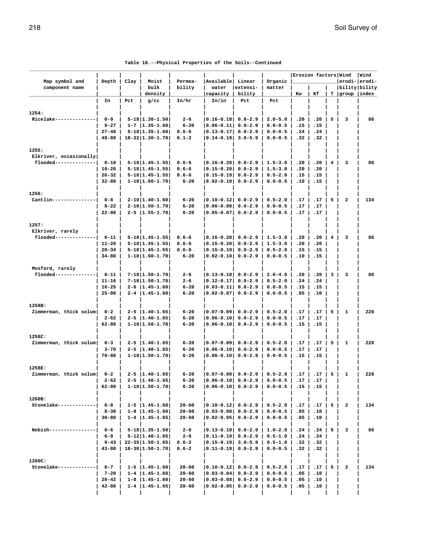|                                                 |                        |      |                                               |                        |                                                  |                            |                            | Erosion factors Wind |            |                |                                 | Wind |
|-------------------------------------------------|------------------------|------|-----------------------------------------------|------------------------|--------------------------------------------------|----------------------------|----------------------------|----------------------|------------|----------------|---------------------------------|------|
| Map symbol and<br>component name                | Depth                  | Clay | Moist<br>bulk                                 | Permea-<br>bility      | Available Linear<br>water                        | extensi-                   | Organic<br>matter          |                      |            |                | erodi- erodi-<br> bility bility |      |
|                                                 |                        |      | density                                       |                        | capacity                                         | bility                     |                            | Kw                   | Кf         |                | T  group  index                 |      |
|                                                 | In                     | Pct  | $g$ /cc                                       | In/hr                  | In/in                                            | Pct                        | Pct                        |                      |            |                |                                 |      |
| 1254:                                           |                        |      |                                               |                        |                                                  |                            |                            |                      |            |                |                                 |      |
| Ricelake----                                    | $0 - 9$                |      | $5 - 18$   1.30 - 1.50                        | $2 - 6$                | $ 0.16 - 0.18  0.0 - 2.9$                        |                            | $2.0 - 5.0$                | .20                  | .20        | 5              | 3                               | 86   |
|                                                 | $9 - 27$               |      | $1 - 7$   1.35 - 1.60                         | $6 - 20$               | $ 0.06 - 0.11 $                                  | $0.0 - 2.9$                | $0.0 - 0.5$                | .15                  | .15        |                |                                 |      |
|                                                 | $27 - 48$              |      | $5 - 18$   1.35 - 1.60                        | $0.6 - 6$              | $ 0.13 - 0.17 $                                  | $0.0 - 2.9$                | $0.0 - 0.5$                | .24                  | .24        |                |                                 |      |
|                                                 | $48 - 80$              |      | $18 - 32   1.30 - 1.70  $                     | $0.1 - 2$              | $ 0.14 - 0.19 $                                  | $3.0 - 5.9$                | $0.0 - 0.5$                | .32                  | .32        |                |                                 |      |
|                                                 |                        |      |                                               |                        |                                                  |                            |                            |                      |            |                |                                 |      |
| 1255:                                           |                        |      |                                               |                        |                                                  |                            |                            |                      |            |                |                                 |      |
| Elkriver, occasionally<br>flooded-------------- |                        |      | $5 - 18$   1.45 - 1.55                        | $0.6 - 6$              |                                                  |                            |                            |                      |            | 4              | з                               | 86   |
|                                                 | $0 - 10$<br>$10 - 26$  |      | $5 - 18$   1.45 - 1.55                        | $0.6 - 6$              | $ 0.16 - 0.20  0.0 - 2.9$<br>$ 0.15 - 0.20 $     | $0.0 - 2.9$                | $1.5 - 3.0$<br>$1.5 - 3.0$ | .20<br>.20           | .20<br>.20 |                |                                 |      |
|                                                 | $26 - 32$              |      | $5 - 18$   1.45 - 1.55                        | $0.6 - 6$              | $ 0.15 - 0.19 $                                  | $0.0 - 2.9$                | $0.5 - 2.0$                | .15                  | .15        |                |                                 |      |
|                                                 | $32 - 80$              |      | $1 - 10$  1.60-1.70                           | $6 - 20$               | $ 0.02 - 0.10 $                                  | $0.0 - 2.9$                | $0.0 - 0.5$                | .10                  | .15        |                |                                 |      |
|                                                 |                        |      |                                               |                        |                                                  |                            |                            |                      |            |                |                                 |      |
| 1256:                                           |                        |      |                                               |                        |                                                  |                            |                            |                      |            |                |                                 |      |
| Cantlin-------------                            | $0 - 8$                |      | $2 - 10$   1.40-1.60                          | $6 - 20$               | $ 0.10-0.12 $ 0.0-2.9                            |                            | $0.5 - 2.0$                | .17                  | .17        | 5              | $\overline{\mathbf{2}}$         | 134  |
|                                                 | $8 - 22$               |      | $2 - 10$   1.50-1.70                          | 6-20                   | $ 0.06 - 0.08 $                                  | $0.0 - 2.9$                | $0.0 - 0.5$                | .17                  | .17        |                |                                 |      |
|                                                 | $22 - 80$              |      | $2 - 5$   1.55-1.70                           | 6-20                   | $ 0.05-0.07 $                                    | $0.0 - 2.9$                | $0.0 - 0.5$                | .17                  | .17        |                |                                 |      |
| 1257:                                           |                        |      |                                               |                        |                                                  |                            |                            |                      |            |                |                                 |      |
| Elkriver, rarely                                |                        |      |                                               |                        |                                                  |                            |                            |                      |            |                |                                 |      |
| flooded-------------                            | $0 - 11$               |      | $5 - 18$   1.45 - 1.55                        | $0.6 - 6$              | $ 0.16 - 0.20  0.0 - 2.9$                        |                            | $1.5 - 3.0$                | .20                  | .20        | 4              | з                               | 86   |
|                                                 | $11 - 20$              |      | $5 - 18$   1.45 - 1.55                        | $0.6 - 6$              | $ 0.15 - 0.20 $                                  | $0.0 - 2.9$                | $1.5 - 3.0$                | .20                  | .20        |                |                                 |      |
|                                                 | $20 - 34$              |      | $5 - 18$   1.45 - 1.55                        | $0.6 - 6$              | $ 0.15 - 0.19 $                                  | $0.0 - 2.9$                | $0.5 - 2.0$                | .15                  | .15        |                |                                 |      |
|                                                 | $34 - 80$              |      | $1 - 10$  1.60-1.70                           | $6 - 20$               | $ 0.02 - 0.10 $                                  | $0.0 - 2.9$                | $0.0 - 0.5$                | .10                  | .15        |                |                                 |      |
|                                                 |                        |      |                                               |                        |                                                  |                            |                            |                      |            |                |                                 |      |
| Mosford, rarely                                 |                        |      |                                               |                        |                                                  |                            |                            |                      |            |                |                                 |      |
| flooded--------------                           | $0 - 11$               |      | $7 - 18$   1.50 - 1.70                        | 2-6                    | $ 0.13 - 0.18 $ 0.0-2.9                          |                            | $2.0 - 4.0$                | .20                  | .20        | 3              | з                               | 86   |
|                                                 | $11 - 16$              |      | $7 - 18$   1.50 - 1.70                        | 2-6                    | $ 0.12 - 0.17 $                                  | $0.0 - 2.9$                | $0.5 - 2.0$                | .24                  | .24        |                |                                 |      |
|                                                 | $16 - 25$<br>$25 - 80$ |      | $2 - 6$   1.45-1.60 <br>$2 - 4$   1.45 - 1.60 | $6 - 20$<br>6-20       | $ 0.03 - 0.11 $<br>$ 0.02 - 0.07 $               | $0.0 - 2.9$<br>$0.0 - 2.9$ | $0.0 - 0.5$<br>$0.0 - 0.5$ | .15<br>.05           | .15<br>.10 |                |                                 |      |
|                                                 |                        |      |                                               |                        |                                                  |                            |                            |                      |            |                |                                 |      |
| 1258B:                                          |                        |      |                                               |                        |                                                  |                            |                            |                      |            |                |                                 |      |
| Zimmerman, thick solum                          | $0 - 2$                |      | $2 - 5$   1.40-1.65                           | $6 - 20$               | 0.07-0.09  0.0-2.9                               |                            | $0.5 - 2.0$                | .17                  | .17        | 5              | 1                               | 220  |
|                                                 | $2 - 62$               |      | $2 - 5$   1.40 - 1.65                         | 6-20                   | $ 0.06 - 0.10 $                                  | $0.0 - 2.9$                | $0.0 - 0.5$                | .17                  | .17        |                |                                 |      |
|                                                 | 62-80                  |      | $1 - 10$  1.50-1.70                           | 6-20                   | $ 0.06 - 0.10 $                                  | $0.0 - 2.9$                | $0.0 - 0.5$                | .15                  | .15        |                |                                 |      |
|                                                 |                        |      |                                               |                        |                                                  |                            |                            |                      |            |                |                                 |      |
| 1258C:                                          |                        |      |                                               |                        |                                                  |                            |                            |                      |            |                |                                 |      |
| Zimmerman, thick solum                          | $0 - 3$<br>$3 - 70$    |      | $2 - 5$   1.40-1.65 <br>$2 - 5$   1.40-1.65   | $6 - 20$               | $ 0.07 - 0.09  0.0 - 2.9$                        |                            | $0.5 - 2.0$                | .17<br>.17           | .17        | 5              | 1                               | 220  |
|                                                 | $70 - 80$              |      | $1 - 10   1.50 - 1.70  $                      | 6-20<br>6-20           | $ 0.06 - 0.10 $<br>$ 0.06 - 0.10 $               | $0.0 - 2.9$<br>$0.0 - 2.9$ | $0.0 - 0.5$<br>$0.0 - 0.5$ | .15                  | .17<br>.15 |                |                                 |      |
|                                                 |                        |      |                                               |                        |                                                  |                            |                            |                      |            |                |                                 |      |
| 1258E:                                          |                        |      |                                               |                        |                                                  |                            |                            |                      |            |                |                                 |      |
| Zimmerman, thick solum                          | $0 - 2$                |      | $2 - 5$  1.40-1.65                            | $6 - 20$               | 0.07-0.09 0.0-2.9                                |                            | $0.5 - 2.0$                | .17                  | .17        | 5              | 1                               | 220  |
|                                                 | $2 - 62$               |      | $2 - 5$   1.40-1.65                           | $6 - 20$               | $ 0.06-0.10 $ 0.0-2.9 $ 0.0-0.5 $                |                            |                            | .17                  | .17        |                |                                 |      |
|                                                 | 62-80                  |      | $1-10$  1.50-1.70                             | $6 - 20$               | $ 0.06-0.10 $ 0.0-2.9                            |                            | $0.0 - 0.5$                | .15                  | .15        |                |                                 |      |
|                                                 |                        |      |                                               |                        |                                                  |                            |                            |                      |            |                |                                 |      |
| 1260B:                                          |                        |      |                                               |                        |                                                  |                            |                            |                      |            |                |                                 |      |
| Stonelake------------                           | $0 - 8$<br>$8 - 30$    |      | $1 - 5$   1.45-1.60 <br>$1-8$   1.45-1.60     | $20 - 60$<br>$20 - 60$ | $ 0.10-0.12 $ 0.0-2.9<br>$ 0.03-0.08 $ 0.0-2.9   |                            | $0.5 - 2.0$<br>$0.0 - 0.5$ | .17<br>.05           | .17<br>.10 | 5 <sup>1</sup> | 2                               | 134  |
|                                                 | $30 - 80$              |      | $1-4$   1.45-1.65                             | $20 - 60$              | $ 0.02-0.05 $ 0.0-2.9                            |                            | $0.0 - 0.5$                | .05                  | .10        |                |                                 |      |
|                                                 |                        |      |                                               |                        |                                                  |                            |                            |                      |            |                |                                 |      |
| Nebish------------                              | $0 - 6$                |      | $5 - 18$   1.35 - 1.50                        | $2 - 6$                | $ 0.13 - 0.18 $ 0.0-2.9                          |                            | $1.0 - 2.0$                | .24                  | .24        | 5              | з                               | 86   |
|                                                 | $6 - 9$                |      | $5 - 12$   1.40-1.65                          | $2 - 6$                | $ 0.11 - 0.19  0.0 - 2.9$                        |                            | $0.5 - 1.0$                | .24                  | .24        |                |                                 |      |
|                                                 | $9 - 43$               |      | $22 - 35$   1.50-1.65                         | $0.6 - 2$              | $ 0.15 - 0.19 $ 3.0-5.9                          |                            | $0.5 - 1.0$                | .32                  | .32        |                |                                 |      |
|                                                 | $43 - 80$              |      | $18 - 30   1.50 - 1.70  $                     | $0.6 - 2$              | $ 0.11 - 0.19  0.0 - 2.9$                        |                            | $0.0 - 0.5$                | .32                  | .32        |                |                                 |      |
|                                                 |                        |      |                                               |                        |                                                  |                            |                            |                      |            |                |                                 |      |
| 1260C:<br>Stonelake -----------                 |                        |      |                                               |                        |                                                  |                            |                            |                      |            |                |                                 |      |
|                                                 | $0 - 7$<br>$7 - 20$    |      | $1-5$   1.45-1.60 <br>$1-4$   1.45-1.60       | $20 - 60$<br>$20 - 60$ | $ 0.10-0.12 $ 0.0-2.9<br>$ 0.03 - 0.04 $ 0.0-2.9 |                            | $0.5 - 2.0$<br>$0.0 - 0.5$ | .17<br>.05           | .17<br>.10 | 5              | $\mathbf{2}$                    | 134  |
|                                                 | $20 - 42$              |      | $1-8$   1.45-1.60                             | $20 - 60$              | $ 0.03 - 0.08 $ 0.0-2.9                          |                            | $0.0 - 0.5$                | .05                  | .10        |                |                                 |      |
|                                                 | $42 - 80$              |      | $1 - 4$   1.45-1.65                           | $20 - 60$              | $ 0.02-0.05 $ 0.0-2.9                            |                            | $0.0 - 0.5$                | .05                  | .10        |                |                                 |      |
|                                                 |                        |      |                                               |                        |                                                  |                            |                            |                      |            |                |                                 |      |

| Table 18.--Physical Properties of the Soils--Continued |  |  |  |
|--------------------------------------------------------|--|--|--|
|--------------------------------------------------------|--|--|--|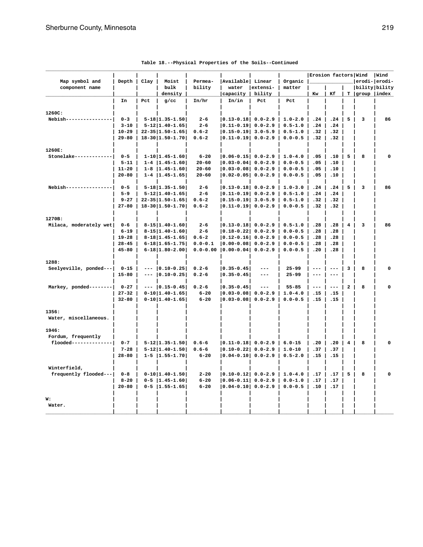| Map symbol and          | Depth     | Clay | Moist                     | Permea-      | Available Linear          |                     | Organic     | Erosion factors Wind |                     |                         | erodi- erodi-         | Wind |
|-------------------------|-----------|------|---------------------------|--------------|---------------------------|---------------------|-------------|----------------------|---------------------|-------------------------|-----------------------|------|
| component name          |           |      | bulk                      | bility       | water                     | extensi-            | matter      |                      |                     |                         | bility bility         |      |
|                         |           |      | density                   |              | capacity                  | bility              |             | Kw                   | Κf                  |                         | $T  $ group $ $ index |      |
|                         | In        | Pct  | $g$ /cc                   | In/hr        | In/in                     | Pct                 | Pct         |                      |                     |                         |                       |      |
| 1260C:                  |           |      |                           |              |                           |                     |             |                      |                     |                         |                       |      |
| Nebish---------------   | $0 - 3$   |      | $5 - 18$ 1.35-1.50        | $2 - 6$      | $ 0.13 - 0.18 $ 0.0-2.9   |                     | $1.0 - 2.0$ | .24                  | .24                 | 5                       | 3                     | 86   |
|                         | $3 - 10$  |      | $5 - 12$ 1.40-1.65        | $2 - 6$      | $ 0.11 - 0.19 $           | $0.0 - 2.9$         | $0.5 - 1.0$ | .24                  | .24                 |                         |                       |      |
|                         | $10 - 29$ |      | $22 - 35$   1.50-1.65     | $0.6 - 2$    | $ 0.15 - 0.19 $           | $3.0 - 5.9$         | $0.5 - 1.0$ | .32                  | .32                 |                         |                       |      |
|                         | $29 - 80$ |      | $18 - 30   1.50 - 1.70$   | $0.6 - 2$    | $ 0.11 - 0.19 $           | $0.0 - 2.9$         | $0.0 - 0.5$ | .32                  | .32                 |                         |                       |      |
| 1260E:                  |           |      |                           |              |                           |                     |             |                      |                     |                         |                       |      |
| Stonelake ------------- | $0 - 5$   |      | $1-10$   1.45-1.60        | $6 - 20$     | $ 0.06 - 0.15 $ 0.0-2.9   |                     | $1.0 - 4.0$ | .05                  | .10                 | 5                       | 8                     | 0    |
|                         | $5 - 11$  |      | $1 - 4$   1.45-1.60       | $20 - 60$    | $ 0.03 - 0.04 $           | $0.0 - 2.9$         | $0.0 - 0.5$ | .05                  | .10                 |                         |                       |      |
|                         | $11 - 20$ |      | $1 - 8$   1.45-1.60       | $20 - 60$    | $ 0.03 - 0.08 $           | $0.0 - 2.9$         | $0.0 - 0.5$ | .05                  | .10                 |                         |                       |      |
|                         | $20 - 80$ |      | $1 - 4$   1.45-1.65       | $20 - 60$    | $ 0.02 - 0.05 $ 0.0-2.9   |                     | $0.0 - 0.5$ | .05                  | .10                 |                         |                       |      |
| Nebish---------------   | $0 - 5$   |      | $5 - 18$   1.35-1.50      | $2 - 6$      | $ 0.13 - 0.18 $ 0.0-2.9   |                     | $1.0 - 3.0$ | .24                  | .24                 | 5                       | 3                     | 86   |
|                         | $5 - 9$   |      | $5 - 12$   1.40-1.65      | $2 - 6$      | $ 0.11 - 0.19  0.0 - 2.9$ |                     | $0.5 - 1.0$ | .24                  | .24                 |                         |                       |      |
|                         | $9 - 27$  |      | $22 - 35   1.50 - 1.65  $ | $0.6 - 2$    | $ 0.15 - 0.19 $           | $3.0 - 5.9$         | $0.5 - 1.0$ | .32                  | .32                 |                         |                       |      |
|                         | $27 - 80$ |      | $18 - 30   1.50 - 1.70  $ | $0.6 - 2$    | $ 0.11 - 0.19 $           | $0.0 - 2.9$         | $0.0 - 0.5$ | .32                  | .32                 |                         |                       |      |
| 1270B:                  |           |      |                           |              |                           |                     |             |                      |                     |                         |                       |      |
| Milaca, moderately wet  | $0 - 6$   |      | $8 - 15   1.40 - 1.60  $  | $2 - 6$      | $ 0.13 - 0.18  0.0 - 2.9$ |                     | $0.5 - 1.0$ | .28                  | .28                 | 4                       | 3                     | 86   |
|                         | $6 - 19$  |      | $8 - 15   1.40 - 1.60  $  | $2 - 6$      | $ 0.18 - 0.22 $           | $0.0 - 2.9$         | $0.0 - 0.5$ | .28                  | .28                 |                         |                       |      |
|                         | $19 - 28$ |      | $8 - 18$   1.45 - 1.65    | $0.6 - 2$    | $ 0.12 - 0.16 $           | $0.0 - 2.9$         | $0.0 - 0.5$ | .28                  | .28                 |                         |                       |      |
|                         | $28 - 45$ |      | $6 - 18$   1.65-1.75      | $0.0 - 0.1$  | $ 0.00 - 0.08 $           | $0.0 - 2.9$         | $0.0 - 0.5$ | .28                  | .28                 |                         |                       |      |
|                         | $45 - 80$ |      | $6 - 18   1.80 - 2.00  $  | $0.0 - 0.00$ | $ 0.00 - 0.04 $           | $0.0 - 2.9$         | $0.0 - 0.5$ | .20                  | .28                 |                         |                       |      |
| 1288:                   |           |      |                           |              |                           |                     |             |                      |                     |                         |                       |      |
| Seelyeville, ponded---  | $0 - 15$  |      | $--- 0.10-0.25$           | $0.2 - 6$    | $ 0.35 - 0.45 $           | $\qquad \qquad -$   | $25 - 99$   | $-- -$               | $\qquad \qquad - -$ | 3                       | 8                     | 0    |
|                         | $15 - 80$ |      | $ 0.10 - 0.25$            | $0.2 - 6$    | $ 0.35 - 0.45 $           | $\qquad \qquad - -$ | $25 - 99$   | $---$                | $---$               |                         |                       |      |
| Markey, ponded--------  | $0 - 27$  |      | $--  0.15-0.45 $          | $0.2 - 6$    | $ 0.35 - 0.45 $           | $\qquad \qquad - -$ | $55 - 85$   | $--\,$               | $\qquad \qquad - -$ | $\overline{a}$          | 8                     | 0    |
|                         | $27 - 32$ |      | $0-10$  1.40-1.65         | $6 - 20$     | $ 0.03 - 0.08 $           | $0.0 - 2.9$         | $1.0 - 4.0$ | .15                  | .15                 |                         |                       |      |
|                         | $32 - 80$ |      | $0-10$  1.40-1.65         | $6 - 20$     | 0.03-0.08                 | $0.0 - 2.9$         | $0.0 - 0.5$ | .15                  | .15                 |                         |                       |      |
| 1356:                   |           |      |                           |              |                           |                     |             |                      |                     |                         |                       |      |
| Water, miscellaneous.   |           |      |                           |              |                           |                     |             |                      |                     |                         |                       |      |
| 1946:                   |           |      |                           |              |                           |                     |             |                      |                     |                         |                       |      |
| Fordum, frequently      |           |      |                           |              |                           |                     |             |                      |                     |                         |                       |      |
| flooded-------------    | $0 - 7$   |      | $5 - 12   1.35 - 1.50  $  | $0.6 - 6$    | $ 0.11 - 0.18  0.0 - 2.9$ |                     | $6.0 - 15$  | .20                  | .20                 | $\overline{\mathbf{4}}$ | 8                     | O    |
|                         | $7 - 28$  |      | $5 - 12$   1.40-1.50      | $0.6 - 6$    | $ 0.10 - 0.22 $           | $0.0 - 2.9$         | $1.0 - 10$  | .37                  | .37                 |                         |                       |      |
|                         | $28 - 80$ |      | $1 - 5$   1.55-1.70       | $6 - 20$     | $ 0.04 - 0.10 $           | $0.0 - 2.9$         | $0.5 - 2.0$ | .15                  | .15                 |                         |                       |      |
| Winterfield,            |           |      |                           |              |                           |                     |             |                      |                     |                         |                       |      |
| frequently flooded---   | $0 - 8$   |      | $0-10$  1.40-1.50         | $2 - 20$     | $ 0.10-0.12 $ 0.0-2.9     |                     | $1.0 - 4.0$ | .17                  | .17                 | 5                       | 8                     | U    |
|                         | $8 - 20$  |      | $0 - 5$   1.45-1.60       | $6 - 20$     | $ 0.06 - 0.11 $           | $0.0 - 2.9$         | $0.0 - 1.0$ | .17                  | .17                 |                         |                       |      |
|                         | $20 - 80$ |      | $0 - 5$   1.55-1.65       | $6 - 20$     | $\vert 0.04-0.10 \vert$   | $0.0 - 2.9$         | $0.0 - 0.5$ | .10                  | .17                 |                         |                       |      |
| W:                      |           |      |                           |              |                           |                     |             |                      |                     |                         |                       |      |
|                         |           |      |                           |              |                           |                     |             |                      |                     |                         |                       |      |

|  |  |  |  |  | Table 18.--Physical Properties of the Soils--Continued |
|--|--|--|--|--|--------------------------------------------------------|
|--|--|--|--|--|--------------------------------------------------------|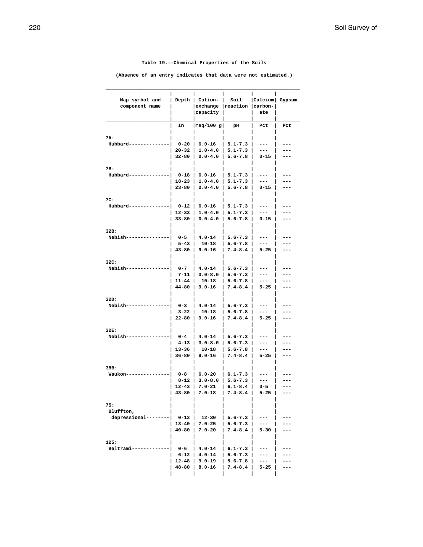**Table 19.--Chemical Properties of the Soils**

**(Absence of an entry indicates that data were not estimated.)**

| Map symbol and<br>component name | Depth               | Cation-<br>exchange   reaction <br> capacity | Soil                       | Calcium <br>$ carbon- $<br>ate | Gypsum |
|----------------------------------|---------------------|----------------------------------------------|----------------------------|--------------------------------|--------|
|                                  |                     |                                              |                            |                                |        |
|                                  | In                  | meq/100 g                                    | pН                         | Pct                            | Pct    |
| 7A:                              |                     |                                              |                            |                                |        |
| Hubbard--                        | $0 - 20$            | $6.0 - 16$                                   | 5.1-7.3                    | ---                            |        |
|                                  | $20 - 32$           | $1.0 - 4.0$                                  | $5.1 - 7.3$                | ---                            |        |
|                                  | 32-80               | $0.0 - 4.0$                                  | $5.6 - 7.8$                | 0-15                           |        |
|                                  |                     |                                              |                            |                                |        |
| 7B:<br>Hubbard---                | 0-18                | $6.0 - 16$                                   | $5.1 - 7.3$                | ---                            |        |
|                                  | 18-23               | $1.0 - 4.0$                                  | $5.1 - 7.3$                | ---                            | ---    |
|                                  | $23 - 80$           | $0.0 - 4.0$                                  | $5.6 - 7.8$                | $0 - 15$                       | ---    |
|                                  |                     |                                              |                            |                                |        |
| 7C:                              |                     |                                              |                            |                                |        |
| Hubbard--                        | 0-12                | $6.0 - 16$                                   | 5.1-7.3                    | ---                            |        |
|                                  | 12-33               | 1.0-4.0                                      | $5.1 - 7.3$                | ---                            |        |
|                                  | 33-80               | $0.0 - 4.0$                                  | $5.6 - 7.8$                | $0 - 15$                       | ---    |
| 32B:                             |                     |                                              |                            |                                |        |
| Nebish---                        | 0-5                 | 4.0-14                                       | $5.6 - 7.3$                | ---                            |        |
|                                  | $5 - 43$            | $10 - 18$                                    | $5.6 - 7.8$                | $---$                          | ---    |
|                                  | $43 - 80$           | $9.0 - 16$                                   | $7.4 - 8.4$                | $5 - 25$                       | ---    |
|                                  |                     |                                              |                            |                                |        |
| 32C:                             |                     |                                              |                            |                                |        |
| Nebish--                         | $0 - 7$<br>$7 - 11$ | $4.0 - 14$<br>$3.0 - 8.0$                    | $5.6 - 7.3$<br>$5.6 - 7.3$ | ---<br>---                     | ---    |
|                                  | 11-44               | $10 - 18$                                    | $5.6 - 7.8$                | $---$                          | ---    |
|                                  | 44-80               | $9.0 - 16$                                   | $7.4 - 8.4$                | $5 - 25$                       | ---    |
|                                  |                     |                                              |                            |                                |        |
| 32D:                             |                     |                                              |                            |                                |        |
| Nebish--                         | $0 - 3$             | $4.0 - 14$                                   | $5.6 - 7.3$                | ---                            |        |
|                                  | $3 - 22$            | $10 - 18$                                    | $5.6 - 7.8$                | ---                            | ---    |
|                                  | $22 - 80$           | $9.0 - 16$                                   | $7.4 - 8.4$                | $5 - 25$                       | ---    |
| 32E:                             |                     |                                              |                            |                                |        |
| Nebish---                        | $0 - 4$             | $4.0 - 14$                                   | $5.6 - 7.3$                | ---                            |        |
|                                  | 4-13                | $3.0 - 8.0$                                  | $5.6 - 7.3$                | ---                            | ---    |
|                                  | 13–36               | 10-18                                        | $5.6 - 7.8$                | ---                            | ---    |
|                                  | 36-80               | $9.0 - 16$                                   | $7.4 - 8.4$                | $5 - 25$                       | ---    |
|                                  |                     |                                              |                            |                                |        |
| 38B:<br>Waukon--                 | 0-8                 | $6.0 - 20$                                   | $6.1 - 7.3$                |                                |        |
|                                  | 8-12                | $3.0 - 8.0$                                  | $5.6 - 7.3$                | ---                            |        |
|                                  | 12-43               | $7.0 - 21$                                   | $6.1 - 8.4$                | $0 - 5$                        |        |
|                                  | $43 - 80$           | $7.0 - 18$                                   | $7.4 - 8.4$                | $5 - 25$                       | ---    |
|                                  |                     |                                              |                            |                                |        |
| 75:                              |                     |                                              |                            |                                |        |
| Bluffton,                        |                     |                                              |                            |                                |        |
| depressional----                 | $0 - 13$<br>13-40   | 12-30<br>$7.0 - 25$                          | $5.6 - 7.3$<br>$5.6 - 7.3$ |                                |        |
|                                  | $40 - 80$           | $7.0 - 20$                                   | $7.4 - 8.4$                | $5 - 30$                       |        |
|                                  |                     |                                              |                            |                                |        |
| 125:                             |                     |                                              |                            |                                |        |
| Beltrami----                     | 0-6                 | $4.0 - 14$                                   | $6.1 - 7.3$                |                                |        |
|                                  | 6-12                | $4.0 - 14$                                   | $5.6 - 7.3$                | ---                            |        |
|                                  | $12 - 48$           | 9.0-19                                       | $5.6 - 7.8$                | ---                            |        |
|                                  | 48-80               | $8.0 - 16$                                   | $7.4 - 8.4$                | $5 - 25$                       |        |
|                                  |                     |                                              |                            |                                |        |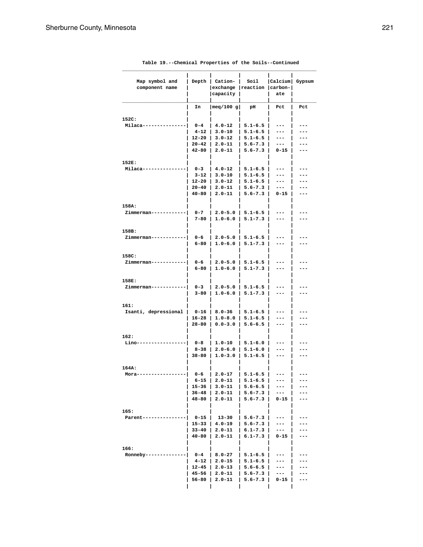| Map symbol and               | Depth         | Cation-                  | Soil                       | Calcium               | Gypsum     |
|------------------------------|---------------|--------------------------|----------------------------|-----------------------|------------|
| component name               |               | exchange reaction        |                            | $  \texttt{carbon-} $ |            |
|                              |               | capacity                 |                            | ate                   |            |
|                              | In            | meq/100 g                | pН                         | Pct                   | Pct        |
|                              |               |                          |                            |                       |            |
| 152C:                        |               |                          |                            |                       |            |
| Milaca--·                    | $0 - 4$       | $4.0 - 12$<br>$3.0 - 10$ | $5.1 - 6.5$<br>$5.1 - 6.5$ | ---                   | ---<br>--- |
|                              | 4-12<br>12-20 | 3.0-12                   | $5.1 - 6.5$                | ---<br>---            | ---        |
|                              | $20 - 42$     | $2.0 - 11$               | $5.6 - 7.3$                | ---                   | ---        |
|                              | $42 - 80$     | $2.0 - 11$               | $5.6 - 7.3$                | 0-15                  | ---        |
|                              |               |                          |                            |                       |            |
| 152E:<br>Milaca---           | $0 - 3$       | $4.0 - 12$               | $5.1 - 6.5$                | ---                   |            |
|                              | 3-12          | 3.0-10                   | $5.1 - 6.5$                | ---                   | ---        |
|                              | 12-20         | $3.0 - 12$               | $5.1 - 6.5$                | ---                   | ---        |
|                              | $20 - 40$     | 2.0-11                   | $5.6 - 7.3$                | ---                   | ---        |
|                              | $40 - 80$     | $2.0 - 11$               | $5.6 - 7.3$                | 0-15                  | ---        |
| 158A:                        |               |                          |                            |                       |            |
| Zimmerman----                | $0 - 7$       | $2.0 - 5.0$              | $5.1 - 6.5$                | ---                   |            |
|                              | 7-80          | $1.0 - 6.0$              | $5.1 - 7.3$                | ---                   |            |
|                              |               |                          |                            |                       |            |
| 158B:                        |               |                          |                            |                       |            |
| Zimmerman---                 | 0-6           | $2.0 - 5.0$              | $5.1 - 6.5$                | ---                   |            |
|                              | 6-80          | $1.0 - 6.0$              | $5.1 - 7.3$                | ---                   |            |
| 158C:                        |               |                          |                            |                       |            |
| Zimmerman---                 | 0-6           | $2.0 - 5.0$              | $5.1 - 6.5$                | ---                   |            |
|                              | 6-80          | $1.0 - 6.0$              | $5.1 - 7.3$                | ---                   |            |
| 158E:                        |               |                          |                            |                       |            |
| Zimmerman---                 | 0-3           | $2.0 - 5.0$              | $5.1 - 6.5$                | ---                   |            |
|                              | 3-80          | $1.0 - 6.0$              | $5.1 - 7.3$                | ---                   | ---        |
|                              |               |                          |                            |                       |            |
| 161:<br>Isanti, depressional | 0-16          | $8.0 - 36$               | $5.1 - 6.5$                | ---                   |            |
|                              | 16-28         | $1.0 - 8.0$              | $5.1 - 6.5$                | ---                   |            |
|                              | $28 - 80$     | $0.0 - 3.0$              | $5.6 - 6.5$                | ---                   | ---        |
|                              |               |                          |                            |                       |            |
| 162:<br>Lino----             | 0-8           | $1.0 - 10$               | $5.1 - 6.0$                | ---                   |            |
|                              | 8–38          | $2.0 - 6.0$              | $5.1 - 6.0$                | ---                   |            |
|                              | $38 - 80$     | $1.0 - 3.0$              | $5.1 - 6.5$                | ---                   | ---        |
|                              |               |                          |                            |                       |            |
| 164A:                        |               |                          |                            |                       |            |
| Mora---                      | 0-6<br>6-15   | $2.0 - 17$<br>$2.0 - 11$ | $5.1 - 6.5$<br>$5.1 - 6.5$ |                       |            |
|                              | 15-36         | $3.0 - 11$               | $5.6 - 6.5$                | ---                   |            |
|                              | $36 - 48$     | $2.0 - 11$               | $5.6 - 7.3$                | ---                   |            |
|                              | $48 - 80$     | $2.0 - 11$               | $5.6 - 7.3$                | $0 - 15$              |            |
|                              |               |                          |                            |                       |            |
| 165:<br>Parent---            | $0 - 15$      | 13-30                    | $5.6 - 7.3$                |                       |            |
|                              | $15 - 33$     | $4.0 - 19$               | $5.6 - 7.3$                | ---                   |            |
|                              | $33 - 40$     | 2.0-11                   | $6.1 - 7.3$                | ---                   |            |
|                              | $40 - 80$     | $2.0 - 11$               | $6.1 - 7.3$                | $0 - 15$              |            |
|                              |               |                          |                            |                       |            |
| 166:<br>Ronneby--            | $0 - 4$       | $8.0 - 27$               | $5.1 - 6.5$                |                       |            |
|                              | $4 - 12$      | $2.0 - 15$               | $5.1 - 6.5$                | ---                   |            |
|                              | $12 - 45$     | $2.0 - 13$               | $5.6 - 6.5$                | ---                   |            |
|                              | 45-56         | 2.0-11                   | $5.6 - 7.3$                | ---                   |            |
|                              | 56-80         | $2.0 - 11$               | $5.6 - 7.3$                | $0 - 15$              |            |
|                              |               |                          |                            |                       |            |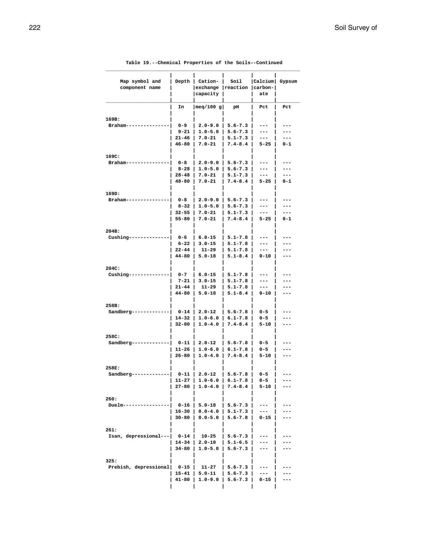| Map symbol and<br>component name | Depth             | Cation-<br>  exchange<br> capacity | Soil<br>reaction           | Calcium <br>$ carbon- $<br>ate | Gypsum |
|----------------------------------|-------------------|------------------------------------|----------------------------|--------------------------------|--------|
|                                  | In                | meq/100 g                          | pН                         | Pct                            | Pct    |
|                                  |                   |                                    |                            |                                |        |
| 169B:                            |                   |                                    |                            |                                |        |
| Braham--                         | $0 - 9$           | $2.0 - 9.0$                        | $5.6 - 7.3$                | ---                            | ---    |
|                                  | 9-21              | $1.0 - 5.0$                        | $5.6 - 7.3$                | ---                            | ---    |
|                                  | $21 - 46$         | $7.0 - 21$                         | $5.1 - 7.3$                | $---$                          | ---    |
|                                  | 46-80             | $7.0 - 21$                         | $7.4 - 8.4$                | $5 - 25$                       | 0-1    |
| 169C:                            |                   |                                    |                            |                                |        |
| Braham-                          | 0-8               | $2.0 - 9.0$                        | $5.6 - 7.3$                | ---                            | ---    |
|                                  | $8 - 28$          | $1.0 - 5.0$                        | $5.6 - 7.3$                | ---                            | ---    |
|                                  | 28-48             | $7.0 - 21$                         | $5.1 - 7.3$                | $---$                          | ---    |
|                                  | 48-80             | $7.0 - 21$                         | $7.4 - 8.4$                | $5 - 25$                       | 0-1    |
|                                  |                   |                                    |                            |                                |        |
| 169D:<br>Braham--                | 0-8               | $2.0 - 9.0$                        | $5.6 - 7.3$                | ---                            | ---    |
|                                  | 8-32              | $1.0 - 5.0$                        | $5.6 - 7.3$                | ---                            | ---    |
|                                  | 32-55             | $7.0 - 21$                         | $5.1 - 7.3$                | $---$                          | ---    |
|                                  | $55 - 80$         | $7.0 - 21$                         | $7.4 - 8.4$                | $5 - 25$                       | 0-1    |
|                                  |                   |                                    |                            |                                |        |
| 204B:                            |                   |                                    |                            |                                |        |
| Cushing--                        | 0-6               | $6.0 - 15$                         | $5.1 - 7.8$                | ---                            |        |
|                                  | 6-22<br>22-44     | $3.0 - 15$<br>$11 - 29$            | $5.1 - 7.8$<br>$5.1 - 7.8$ | ---<br>$---$                   | ---    |
|                                  | $44 - 80$         | $5.0 - 18$                         | $5.1 - 8.4$                | 0-10                           | ---    |
|                                  |                   |                                    |                            |                                |        |
| 204C:                            |                   |                                    |                            |                                |        |
| Cushing-                         | $0 - 7$           | $6.0 - 15$                         | $5.1 - 7.8$                | ---                            |        |
|                                  | $7 - 21$          | $3.0 - 15$                         | $5.1 - 7.8$                | ---                            | ---    |
|                                  | $21 - 44$         | 11-29                              | $5.1 - 7.8$                | $---$                          | ---    |
|                                  | 44-80             | $5.0 - 18$                         | $5.1 - 8.4$                | 0-10                           | ---    |
| 258B:                            |                   |                                    |                            |                                |        |
| Sandberg-                        | $0 - 14$          | $2.0 - 12$                         | $5.6 - 7.8$                | $0 - 5$                        |        |
|                                  | 14-32             | $1.0 - 6.0$                        | $6.1 - 7.8$                | $0 - 5$                        |        |
|                                  | 32-80             | $1.0 - 4.0$                        | $7.4 - 8.4$                | $5 - 10$                       | ---    |
|                                  |                   |                                    |                            |                                |        |
| 258C:                            | $0 - 11$          | $2.0 - 12$                         | $5.6 - 7.8$                | $0 - 5$                        |        |
| Sandberg-                        | 11-26             | $1.0 - 6.0$                        | $6.1 - 7.8$                | 0-5                            | ---    |
|                                  | $26 - 80$         | $1.0 - 4.0$                        | $7.4 - 8.4$                | $5 - 10$                       | ---    |
|                                  |                   |                                    |                            |                                |        |
| 258E:                            |                   |                                    |                            |                                |        |
| Sandberg                         | $0 - 11$          | $2.0 - 12$                         | $5.6 - 7.8$                | 0-5                            |        |
|                                  | 11-27             | $ 1.0 - 6.0 $                      | $6.1 - 7.8$                | 0-5                            |        |
|                                  | 27-80             | $1.0 - 4.0$                        | $7.4 - 8.4$                | $5 - 10$                       |        |
| 260:                             |                   |                                    |                            |                                |        |
| Duelm-------                     | 0-16              | $5.0 - 18$                         | $5.6 - 7.3$                | ---                            |        |
|                                  | 16-30             | $0.0 - 4.0$                        | $5.1 - 7.3$                | ---                            |        |
|                                  | 30-80             | $0.0 - 5.0$                        | $5.6 - 7.8$                | $0 - 15$                       |        |
|                                  |                   |                                    |                            |                                |        |
| 261:                             |                   |                                    |                            |                                |        |
| Isan, depressional---            | $0 - 14$<br>14-34 | 10-25<br>$2.0 - 10$                | $5.6 - 7.3$<br>$5.1 - 6.5$ | ---                            |        |
|                                  | 34-80             | $1.0 - 5.0$                        | $5.6 - 7.3$                | ---<br>---                     |        |
|                                  |                   |                                    |                            |                                |        |
| 325:                             |                   |                                    |                            |                                |        |
| Prebish, depressional            | 0-15              | 11-27                              | $5.6 - 7.3$                |                                |        |
|                                  | 15-41             | $5.0 - 11$                         | $5.6 - 7.3$                | ---                            |        |
|                                  | 41-80             | $1.0 - 9.0$                        | $5.6 - 7.3$                | 0-15                           |        |
|                                  |                   |                                    |                            |                                |        |

|  |  |  |  |  | Table 19.--Chemical Properties of the Soils--Continued |
|--|--|--|--|--|--------------------------------------------------------|
|--|--|--|--|--|--------------------------------------------------------|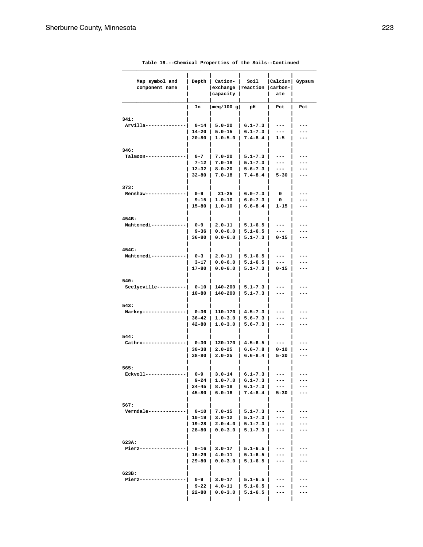| Map symbol and<br>component name | Depth              | Cation-<br>exchange<br>capacity | Soil<br>reaction           | Calcium <br>$  \texttt{carbon-} $<br>ate | Gypsum |
|----------------------------------|--------------------|---------------------------------|----------------------------|------------------------------------------|--------|
|                                  | In                 | meq/100 g                       | рH                         | Pct                                      | Pct    |
|                                  |                    |                                 |                            |                                          |        |
| 341:                             |                    |                                 |                            |                                          |        |
| Arvilla---                       | $0 - 14$           | $5.0 - 20$                      | $6.1 - 7.3$                | ---                                      |        |
|                                  | 14-20              | $5.0 - 15$                      | $6.1 - 7.3$                | ---                                      |        |
|                                  | $20 - 80$          | 1.0-5.0                         | $7.4 - 8.4$                | 1-5                                      |        |
| 346:                             |                    |                                 |                            |                                          |        |
| Talmoon---                       | $0 - 7$            | $7.0 - 20$                      | $5.1 - 7.3$                | ---                                      |        |
|                                  | $7 - 12$           | $7.0 - 18$                      | $5.1 - 7.3$                | ---                                      |        |
|                                  | 12-32              | $8.0 - 20$                      | $5.6 - 7.3$                | ---                                      |        |
|                                  | 32-80              | $7.0 - 18$                      | $7.4 - 8.4$                | $5 - 30$                                 | ---    |
|                                  |                    |                                 |                            |                                          |        |
| 373:                             |                    |                                 |                            |                                          |        |
| Renshaw---                       | $0 - 9$            | 21-25                           | $6.0 - 7.3$                | 0                                        |        |
|                                  | 9-15<br>15-80      | 1.0-10<br>$1.0 - 10$            | $6.0 - 7.3$<br>$6.6 - 8.4$ | 0<br>$1 - 15$                            | ---    |
|                                  |                    |                                 |                            |                                          |        |
| 454B:                            |                    |                                 |                            |                                          |        |
| Mahtomedi---                     | 0-9                | 2.0-11                          | $5.1 - 6.5$                | ---                                      |        |
|                                  | 9–36               | $0.0 - 6.0$                     | $5.1 - 6.5$                | ---                                      |        |
|                                  | 36-80              | $0.0 - 6.0$                     | $5.1 - 7.3$                | $0 - 15$                                 |        |
|                                  |                    |                                 |                            |                                          |        |
| 454C:                            |                    |                                 |                            |                                          |        |
| Mahtomedi----                    | $0 - 3$            | $2.0 - 11$                      | $5.1 - 6.5$                | ---                                      |        |
|                                  | $3 - 17$<br>17-80  | $0.0 - 6.0$<br>$0.0 - 6.0$      | $5.1 - 6.5$<br>$5.1 - 7.3$ | ---<br>$0 - 15$                          | ---    |
|                                  |                    |                                 |                            |                                          |        |
| 540:                             |                    |                                 |                            |                                          |        |
| Seelyeville----                  | $0 - 10$           | 140-200                         | $5.1 - 7.3$                | ---                                      |        |
|                                  | $10 - 80$          | 140-200                         | $5.1 - 7.3$                | ---                                      |        |
|                                  |                    |                                 |                            |                                          |        |
| 543:                             |                    |                                 |                            |                                          |        |
| Markey--                         | 0-36               | 110-170                         | $4.5 - 7.3$                | ---                                      |        |
|                                  | 36-42<br>42-80     | 1.0-3.0<br>$1.0 - 3.0$          | $5.6 - 7.3$<br>$5.6 - 7.3$ | ---<br>---                               | ---    |
|                                  |                    |                                 |                            |                                          |        |
| 544:                             |                    |                                 |                            |                                          |        |
| Cathro---                        | $0 - 30$           | 120-170                         | $4.5 - 6.5$                |                                          |        |
|                                  | $30 - 38$          | $2.0 - 25$                      | $6.6 - 7.8$                | 0-10                                     | ---    |
|                                  | 38-80              | $2.0 - 25$                      | $6.6 - 8.4$                | 5-30                                     | ---    |
|                                  |                    |                                 |                            |                                          |        |
| 565:                             |                    |                                 |                            |                                          |        |
| Eckvoll--                        | $0 - 9$<br>9-24    | $3.0 - 14$<br>$1.0 - 7.0$       | $6.1 - 7.3$<br>$6.1 - 7.3$ | ---                                      |        |
|                                  | $24 - 45$          | $8.0 - 18$                      | $6.1 - 7.3$                | ---                                      |        |
|                                  | 45-80              | $6.0 - 16$                      | $7.4 - 8.4$                | $5 - 30$                                 |        |
|                                  |                    |                                 |                            |                                          |        |
| 567:                             |                    |                                 |                            |                                          |        |
| Verndale-----                    | 0-10               | $7.0 - 15$                      | $5.1 - 7.3$                | ---                                      |        |
|                                  | 10-19              | $3.0 - 12$                      | $5.1 - 7.3$                | ---                                      |        |
|                                  | 19-28<br>$28 - 80$ | $2.0 - 4.0$                     | $5.1 - 7.3$                | ---                                      |        |
|                                  |                    | $0.0 - 3.0$                     | $5.1 - 7.3$                | ---                                      |        |
| 623A:                            |                    |                                 |                            |                                          |        |
| Pierz---                         | 0-16               | $3.0 - 17$                      | $5.1 - 6.5$                | ---                                      |        |
|                                  | 16-29              | $4.0 - 11$                      | $5.1 - 6.5$                | ---                                      |        |
|                                  | $29 - 80$          | $0.0 - 3.0$                     | $5.1 - 6.5$                | ---                                      |        |
|                                  |                    |                                 |                            |                                          |        |
| 623B:                            |                    |                                 |                            |                                          |        |
| Pierz-----·                      | 0-9                | $3.0 - 17$                      | $5.1 - 6.5$                | ---                                      |        |
|                                  | 9-22<br>22-80      | $4.0 - 11$<br>$0.0 - 3.0$       | $5.1 - 6.5$<br>$5.1 - 6.5$ | ---<br>---                               |        |
|                                  |                    |                                 |                            |                                          |        |
|                                  |                    |                                 |                            |                                          |        |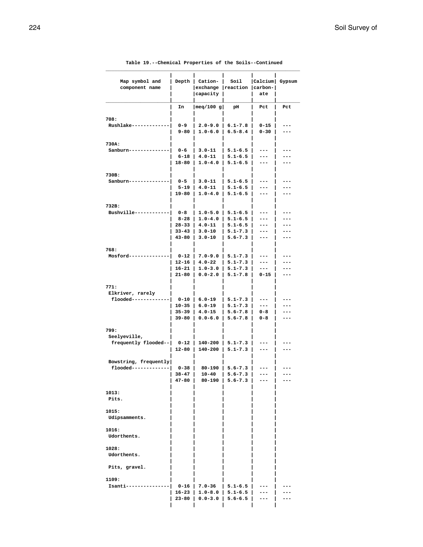| Map symbol and<br>component name             | Depth              | Cation-<br>exchange<br>  capacity          | Soil<br>reaction                       | Calcium <br>$ carbon- $<br>ate | Gypsum     |
|----------------------------------------------|--------------------|--------------------------------------------|----------------------------------------|--------------------------------|------------|
|                                              | In                 | meq/100 g                                  | рH                                     | Pct                            | Pct        |
|                                              |                    |                                            |                                        |                                |            |
| 708:<br>Rushlake---                          | 0-9                | $2.0 - 9.0$                                | $6.1 - 7.8$                            | 0-15                           | ---        |
|                                              | 9-80               | $1.0 - 6.0$                                | $6.5 - 8.4$                            | $0 - 30$                       | ---        |
|                                              |                    |                                            |                                        |                                |            |
| 730A:<br>Sanburn---                          | 0-6                | $3.0 - 11$                                 | $5.1 - 6.5$                            | ---                            |            |
|                                              | 6-18               | $4.0 - 11$                                 | $5.1 - 6.5$                            | ---                            |            |
|                                              | 18-80              | $1.0 - 4.0$                                | $5.1 - 6.5$                            | ---                            | ---        |
| 730B:                                        |                    |                                            |                                        |                                |            |
| Sanburn---                                   | $0 - 5$            | $3.0 - 11$                                 | $5.1 - 6.5$                            | ---                            |            |
|                                              | $5 - 19$<br>19-80  | $4.0 - 11$<br>$1.0 - 4.0$                  | $5.1 - 6.5$<br>$5.1 - 6.5$             | ---                            | ---<br>--- |
|                                              |                    |                                            |                                        | ---                            |            |
| 732B:                                        |                    |                                            |                                        |                                |            |
| Bushville---                                 | 0-8<br>8-28        | 1.0-5.0<br>1.0-4.0                         | $5.1 - 6.5$<br>$5.1 - 6.5$             | ---<br>---                     | ---        |
|                                              | $28 - 33$          | $4.0 - 11$                                 | $5.1 - 6.5$                            | ---                            | ---        |
|                                              | $33 - 43$          | $3.0 - 10$                                 | $5.1 - 7.3$                            | ---                            | ---        |
|                                              | $43 - 80$          | $3.0 - 10$                                 | $5.6 - 7.3$                            | ---                            | ---        |
| 768:                                         |                    |                                            |                                        |                                |            |
| Mosford----                                  | 0-12               | $7.0 - 9.0$                                | $5.1 - 7.3$                            | ---                            |            |
|                                              | 12-16<br>16-21     | 4.0-22<br>$1.0 - 3.0$                      | $5.1 - 7.3$<br>$5.1 - 7.3$             | ---<br>---                     | ---        |
|                                              | 21-80              | $0.0 - 2.0$                                | $5.1 - 7.8$                            | $0 - 15$                       | ---        |
| 771:<br>Elkriver, rarely<br>flooded--------  | $0 - 10$<br>10-35  | $6.0 - 19$<br>$6.0 - 19$                   | $5.1 - 7.3$<br>$5.1 - 7.3$             | ---<br>---                     |            |
|                                              | 35-39              | $4.0 - 15$                                 | $5.6 - 7.8$                            | 0-8                            | ---        |
|                                              | 39-80              | $0.0 - 6.0$                                | $5.6 - 7.8$                            | 0-8                            | ---        |
| 799:<br>Seelyeville,<br>frequently flooded-- | 0-12<br>12-80      | 140-200<br>140-200                         | $5.1 - 7.3$<br>$5.1 - 7.3$             | ---                            |            |
| Bowstring, frequently                        |                    |                                            |                                        |                                |            |
| flooded-------------                         | 0-38               | 80-190                                     | $5.6 - 7.3$                            |                                |            |
|                                              | $38 - 47$<br>47-80 | $10 - 40$                                  | $5.6 - 7.3$<br>$80-190$   5.6-7.3      | ---                            |            |
|                                              |                    |                                            |                                        |                                |            |
| 1013:<br>Pits.                               |                    |                                            |                                        |                                |            |
| 1015:<br>Udipsamments.                       |                    |                                            |                                        |                                |            |
| 1016:<br>Udorthents.                         |                    |                                            |                                        |                                |            |
| 1028:<br>Udorthents.                         |                    |                                            |                                        |                                |            |
| Pits, gravel.                                |                    |                                            |                                        |                                |            |
| 1109:<br>Isanti---------------               | 16-23  <br>23-80   | $0-16$   7.0-36   5.1-6.5  <br>$0.0 - 3.0$ | $1.0 - 8.0$   5.1-6.5  <br>$5.6 - 6.5$ | ---<br>---                     |            |
|                                              |                    |                                            |                                        |                                |            |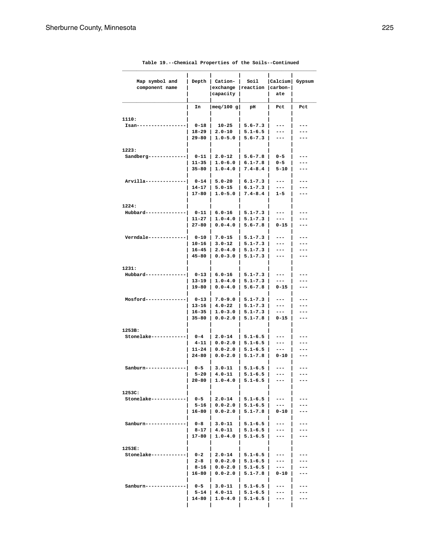| Map symbol and<br>component name | Depth                  | Cation-<br>exchange<br>  capacity | Soil<br>reaction           | Calcium <br>$ carbon- $<br>ate | Gypsum     |
|----------------------------------|------------------------|-----------------------------------|----------------------------|--------------------------------|------------|
|                                  | In                     | meq/100 g                         | pH                         | Pct                            | Pct        |
|                                  |                        |                                   |                            |                                |            |
| 1110:                            |                        |                                   |                            |                                |            |
| Isan---                          | $0 - 18$               | $10 - 25$                         | $5.6 - 7.3$                | ---                            |            |
|                                  | 18-29<br>$29 - 80$     | $2.0 - 10$<br>$1.0 - 5.0$         | $5.1 - 6.5$<br>$5.6 - 7.3$ | ---<br>---                     |            |
|                                  |                        |                                   |                            |                                |            |
| 1223:                            |                        |                                   |                            |                                |            |
| $Sandberg--$                     | 0-11                   | $2.0 - 12$                        | $5.6 - 7.8$                | $0 - 5$                        |            |
|                                  | $11 - 35$              | $1.0 - 6.0$                       | $6.1 - 7.8$                | 0-5                            | ---        |
|                                  | $35 - 80$              | $1.0 - 4.0$                       | $7.4 - 8.4$                | 5-10                           | ---        |
| Arvilla-----                     | $0 - 14$               | $5.0 - 20$                        | $6.1 - 7.3$                | ---                            | ---        |
|                                  | $14 - 17$              | $5.0 - 15$                        | $6.1 - 7.3$                | ---                            | ---        |
|                                  | 17-80                  | $1.0 - 5.0$                       | $7.4 - 8.4$                | 1-5                            | ---        |
|                                  |                        |                                   |                            |                                |            |
| 1224:                            |                        |                                   |                            |                                |            |
| Hubbard----                      | $0 - 11$               | $6.0 - 16$<br>$1.0 - 4.0$         | $5.1 - 7.3$                | ---                            | ---        |
|                                  | 11-27<br>$27 - 80$     | $0.0 - 4.0$                       | $5.1 - 7.3$<br>$5.6 - 7.8$ | ---<br>$0 - 15$                | ---        |
|                                  |                        |                                   |                            |                                |            |
| Verndale----                     | 0-10                   | $7.0 - 15$                        | $5.1 - 7.3$                | ---                            | ---        |
|                                  | 10-16                  | $3.0 - 12$                        | $5.1 - 7.3$                | ---                            |            |
|                                  | $16 - 45$              | $2.0 - 4.0$                       | $5.1 - 7.3$                | ---                            | ---        |
|                                  | $45 - 80$              | $0.0 - 3.0$                       | $5.1 - 7.3$                | ---                            | ---        |
| 1231:                            |                        |                                   |                            |                                |            |
| Hubbard---                       | $0 - 13$               | $6.0 - 16$                        | $5.1 - 7.3$                | ---                            |            |
|                                  | 13-19                  | $1.0 - 4.0$                       | $5.1 - 7.3$                | ---                            | ---        |
|                                  | 19-80                  | $0.0 - 4.0$                       | $5.6 - 7.8$                | 0-15                           | ---        |
|                                  |                        |                                   |                            |                                |            |
| Mosford----                      | $0 - 13$               | $7.0 - 9.0$                       | $5.1 - 7.3$                | ---                            | ---        |
|                                  | 13–16                  | $4.0 - 22$                        | $5.1 - 7.3$                | ---                            | ---        |
|                                  | $16 - 35$<br>$35 - 80$ | $1.0 - 3.0$<br>$0.0 - 2.0$        | $5.1 - 7.3$<br>$5.1 - 7.8$ | ---<br>$0 - 15$                | ---<br>--- |
|                                  |                        |                                   |                            |                                |            |
| 1253B:                           |                        |                                   |                            |                                |            |
| Stonelake----                    | $0 - 4$                | $2.0 - 14$                        | $5.1 - 6.5$                | ---                            |            |
|                                  | 4-11                   | $0.0 - 2.0$                       | $5.1 - 6.5$                | ---                            |            |
|                                  | 11-24<br>$24 - 80$     | $0.0 - 2.0$<br>$0.0 - 2.0$        | $5.1 - 6.5$<br>$5.1 - 7.8$ | ---<br>0-10                    | ---<br>--- |
|                                  |                        |                                   |                            |                                |            |
| Sanburn---                       | $0 - 5$                | $3.0 - 11$                        | $5.1 - 6.5$                | ---                            | ---        |
|                                  | 5-20                   | 4.0-11                            | $5.1 - 6.5$                | ---                            | ---        |
|                                  | 20-80                  |                                   | $1.0 - 4.0$   5.1-6.5      |                                |            |
|                                  |                        |                                   |                            |                                |            |
| 1253C:<br>Stonelake---------     | 0-5                    | $2.0 - 14$                        | $5.1 - 6.5$                | ---                            |            |
|                                  | 5-16                   | $0.0 - 2.0$                       | $5.1 - 6.5$                | ---                            |            |
|                                  | 16-80                  | $0.0 - 2.0$                       | $5.1 - 7.8$                | $0 - 10$                       |            |
|                                  |                        |                                   |                            |                                |            |
| Sanburn------                    | 0-8                    | $3.0 - 11$                        | $5.1 - 6.5$                | ---                            |            |
|                                  | 8-17                   | $4.0 - 11$                        | $5.1 - 6.5$                | ---                            |            |
|                                  | 17-80                  | $1.0 - 4.0$                       | $5.1 - 6.5$                | ---                            |            |
| 1253E:                           |                        |                                   |                            |                                |            |
| Stonelake-------                 | $0 - 2$                | $2.0 - 14$                        | $5.1 - 6.5$                | ---                            |            |
|                                  | 2-8                    | $0.0 - 2.0$                       | $5.1 - 6.5$                | ---                            |            |
|                                  | 8-16                   | $0.0 - 2.0$                       | $5.1 - 6.5$                | ---                            |            |
|                                  | 16-80                  | $0.0 - 2.0$                       | $5.1 - 7.8$                | 0-10                           |            |
|                                  |                        |                                   |                            |                                |            |
| Sanburn-----                     | $0 - 5$<br>$5 - 14$    | $3.0 - 11$<br>$4.0 - 11$          | $5.1 - 6.5$<br>$5.1 - 6.5$ | ---<br>---                     |            |
|                                  | 14-80                  | $1.0 - 4.0$                       | $5.1 - 6.5$                | ---                            |            |
|                                  |                        |                                   |                            |                                |            |
|                                  |                        |                                   |                            |                                |            |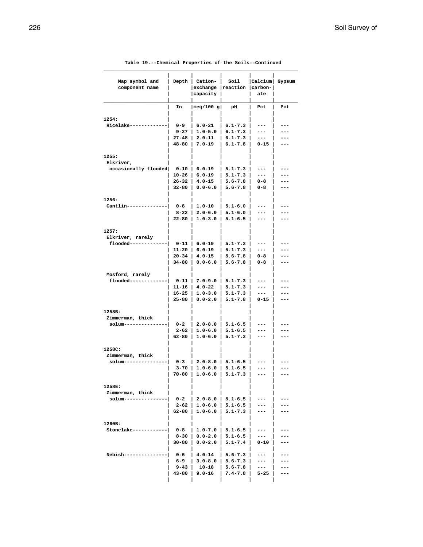| Map symbol and<br>component name    | Depth                  | Cation-<br>exchange   reaction <br>  capacity | Soil                       | Calcium <br>$ carbon- $<br>ate | Gypsum     |
|-------------------------------------|------------------------|-----------------------------------------------|----------------------------|--------------------------------|------------|
|                                     | In                     | meq/100 g                                     | pН                         | Pct                            | Pct        |
|                                     |                        |                                               |                            |                                |            |
| 1254:<br>Ricelake---                | 0-9                    | $6.0 - 21$                                    | $6.1 - 7.3$                | ---                            | ---        |
|                                     | 9-27                   | $1.0 - 5.0$                                   | $6.1 - 7.3$                | ---                            | ---        |
|                                     | $27 - 48$              | 2.0-11                                        | $6.1 - 7.3$                | ---                            | ---        |
|                                     | 48-80                  | $7.0 - 19$                                    | $6.1 - 7.8$                | $0 - 15$                       | ---        |
| 1255:                               |                        |                                               |                            |                                |            |
| Elkriver,                           |                        |                                               |                            |                                |            |
| occasionally flooded                | 0-10                   | $6.0 - 19$                                    | $5.1 - 7.3$                | ---                            |            |
|                                     | 10-26                  | $6.0 - 19$                                    | $5.1 - 7.3$                | ---                            |            |
|                                     | $26 - 32$<br>32-80     | $4.0 - 15$<br>$0.0 - 6.0$                     | $5.6 - 7.8$<br>$5.6 - 7.8$ | 0-8<br>0-8                     | ---<br>--- |
|                                     |                        |                                               |                            |                                |            |
| 1256:                               |                        |                                               |                            |                                |            |
| Cantlin----                         | $0 - 8$                | $1.0 - 10$                                    | $5.1 - 6.0$                | ---                            |            |
|                                     | 8-22<br>$22 - 80$      | $2.0 - 6.0$<br>$1.0 - 3.0$                    | $5.1 - 6.0$<br>$5.1 - 6.5$ | ---                            | ---        |
|                                     |                        |                                               |                            | ---                            |            |
| 1257:                               |                        |                                               |                            |                                |            |
| Elkriver, rarely                    |                        |                                               |                            |                                |            |
| flooded-------                      | 0-11                   | $6.0 - 19$                                    | $5.1 - 7.3$                | ---                            |            |
|                                     | $11 - 20$<br>$20 - 34$ | $6.0 - 19$<br>$4.0 - 15$                      | $5.1 - 7.3$<br>$5.6 - 7.8$ | ---<br>$0 - 8$                 | ---        |
|                                     | 34-80                  | $0.0 - 6.0$                                   | $5.6 - 7.8$                | 0-8                            | ---        |
|                                     |                        |                                               |                            |                                |            |
| Mosford, rarely                     |                        |                                               |                            |                                |            |
| flooded-----                        | $0 - 11$<br>11-16      | $7.0 - 9.0$<br>4.0-22                         | $5.1 - 7.3$<br>$5.1 - 7.3$ | ---<br>---                     |            |
|                                     | 16-25                  | $1.0 - 3.0$                                   | $5.1 - 7.3$                | ---                            | ---        |
|                                     | $25 - 80$              | $0.0 - 2.0$                                   | $5.1 - 7.8$                | $0 - 15$                       | ---        |
|                                     |                        |                                               |                            |                                |            |
| 1258B:                              |                        |                                               |                            |                                |            |
| Zimmerman, thick<br>$s$ olum------- | 0-2                    | $2.0 - 8.0$                                   | $5.1 - 6.5$                | ---                            |            |
|                                     | 2-62                   | $1.0 - 6.0$                                   | $5.1 - 6.5$                | ---                            |            |
|                                     | 62-80                  | $1.0 - 6.0$                                   | $5.1 - 7.3$                | ---                            | ---        |
|                                     |                        |                                               |                            |                                |            |
| 1258C:<br>Zimmerman, thick          |                        |                                               |                            |                                |            |
| solum------                         | 0-3                    | 2.0-8.0                                       | 5.1-6.5                    |                                |            |
|                                     | 3-70                   | $1.0 - 6.0$                                   | $5.1 - 6.5$                | ---                            |            |
|                                     | 70-80                  | $1.0 - 6.0$                                   | $5.1 - 7.3$                | ---                            |            |
| 1258E:                              |                        |                                               |                            |                                |            |
| Zimmerman, thick                    |                        |                                               |                            |                                |            |
| solum----------                     | $0 - 2$                | $2.0 - 8.0$                                   | $5.1 - 6.5$                |                                |            |
|                                     | 2-62                   | $1.0 - 6.0$                                   | $5.1 - 6.5$                | ---                            |            |
|                                     | 62-80                  | $1.0 - 6.0$                                   | $5.1 - 7.3$                | ---                            |            |
| 1260B:                              |                        |                                               |                            |                                |            |
| Stonelake-----                      | 0-8                    | $1.0 - 7.0$                                   | $5.1 - 6.5$                | ---                            |            |
|                                     | 8-30                   | $0.0 - 2.0$                                   | $5.1 - 6.5$                | ---                            |            |
|                                     | 30-80                  | $0.0 - 2.0$                                   | $5.1 - 7.4$                | 0-10                           |            |
| Nebish------                        | 0-6                    | $4.0 - 14$                                    | $5.6 - 7.3$                | ---                            |            |
|                                     | 6–9                    | $3.0 - 8.0$                                   | $5.6 - 7.3$                | ---                            |            |
|                                     | 9–43                   | $10 - 18$                                     | $5.6 - 7.8$                | ---                            |            |
|                                     |                        |                                               |                            |                                |            |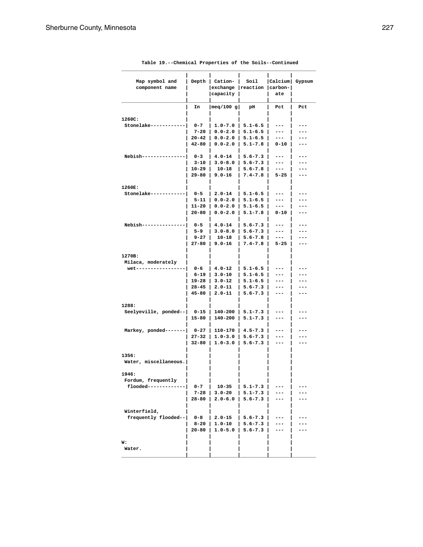| Map symbol and                        | Depth              | Cation-                    | Soil                       | $ $ Calcium $ $ | Gypsum |
|---------------------------------------|--------------------|----------------------------|----------------------------|-----------------|--------|
| component name                        |                    | exchange                   | reaction                   | carbon-         |        |
|                                       |                    | capacity                   |                            | ate             |        |
|                                       | In                 | meq/100 g                  | рH                         | Pct             | Pct    |
|                                       |                    |                            |                            |                 |        |
| 1260C:                                |                    |                            |                            |                 |        |
| Stonelake----                         | $0 - 7$            | $1.0 - 7.0$                | $5.1 - 6.5$                | ---             | ---    |
|                                       | $7 - 20$           | $0.0 - 2.0$                | $5.1 - 6.5$                | ---             | ---    |
|                                       | 20-42<br>$42 - 80$ | $0.0 - 2.0$<br>$0.0 - 2.0$ | $5.1 - 6.5$                | ---<br>$0 - 10$ | ---    |
|                                       |                    |                            | $5.1 - 7.8$                |                 | ---    |
| Nebish------                          | $0 - 3$            | $4.0 - 14$                 | $5.6 - 7.3$                | ---             |        |
|                                       | 3-10               | $3.0 - 8.0$                | $5.6 - 7.3$                | ---             |        |
|                                       | 10-29              | $10 - 18$                  | $5.6 - 7.8$                | ---             | ---    |
|                                       | 29-80              | $9.0 - 16$                 | $7.4 - 7.8$                | $5 - 25$        | ---    |
| 1260E:                                |                    |                            |                            |                 |        |
| Stonelake-----                        | 0-5                | $2.0 - 14$                 | $5.1 - 6.5$                | ---             |        |
|                                       | 5-11               | $0.0 - 2.0$                | $5.1 - 6.5$                | ---             | ---    |
|                                       | $11 - 20$          | $0.0 - 2.0$                | $5.1 - 6.5$                | ---             | ---    |
|                                       | 20-80              | $0.0 - 2.0$                | $5.1 - 7.8$                | $0 - 10$        | ---    |
| Nebish-----                           | 0-5                | $4.0 - 14$                 | $5.6 - 7.3$                | ---             |        |
|                                       | 5-9                | $3.0 - 8.0$                | $5.6 - 7.3$                | ---             |        |
|                                       | $9 - 27$           | $10 - 18$                  | $5.6 - 7.8$                | $---$           | ---    |
|                                       | 27-80              | $9.0 - 16$                 | $7.4 - 7.8$                | $5 - 25$        | ---    |
|                                       |                    |                            |                            |                 |        |
| 1270B:                                |                    |                            |                            |                 |        |
| Milaca, moderately<br>wet------------ | 0-6                | $4.0 - 12$                 | $5.1 - 6.5$                | ---             |        |
|                                       | 6-19               | $3.0 - 10$                 | $5.1 - 6.5$                | ---             | ---    |
|                                       | 19-28              | $3.0 - 12$                 | $5.1 - 6.5$                | ---             |        |
|                                       | 28-45              | $2.0 - 11$                 | $5.6 - 7.3$                | ---             | ---    |
|                                       | 45-80              | $2.0 - 11$                 | $5.6 - 7.3$                | ---             | ---    |
|                                       |                    |                            |                            |                 |        |
| 1288:                                 |                    |                            |                            |                 |        |
| Seelyeville, ponded--                 | 0-15               | 140-200<br>140-200         | $5.1 - 7.3$<br>$5.1 - 7.3$ | ---<br>---      |        |
|                                       | 15-80              |                            |                            |                 |        |
| Markey, ponded-------                 | $0 - 27$           | 110-170                    | $4.5 - 7.3$                | ---             |        |
|                                       | 27-32              | $1.0 - 3.0$                | $5.6 - 7.3$                | ---             |        |
|                                       | $32 - 80$          | $1.0 - 3.0$                | $5.6 - 7.3$                | ---             | ---    |
| 1356:                                 |                    |                            |                            |                 |        |
| Water, miscellaneous.                 |                    |                            |                            |                 |        |
| 1946:                                 |                    |                            |                            |                 |        |
| Fordum, frequently                    |                    |                            |                            |                 |        |
| flooded-------------                  | $0 - 7$            | $10 - 35$                  | $5.1 - 7.3$                |                 |        |
|                                       | $7 - 28$           | $3.0 - 20$                 | $5.1 - 7.3$                |                 |        |
|                                       | 28-80              | $2.0 - 6.0$                | $5.6 - 7.3$                | ---             |        |
|                                       |                    |                            |                            |                 |        |
| Winterfield,                          |                    |                            |                            |                 |        |
| frequently flooded--                  | $0 - 8$            | $2.0 - 15$                 | $5.6 - 7.3$                |                 |        |
|                                       | $8 - 20$           | $1.0 - 10$                 | $5.6 - 7.3$                |                 |        |
|                                       | 20-80              | $1.0 - 5.0$                | $5.6 - 7.3$                | ---             |        |
| w:                                    |                    |                            |                            |                 |        |
| Water.                                |                    |                            |                            |                 |        |
|                                       |                    |                            |                            |                 |        |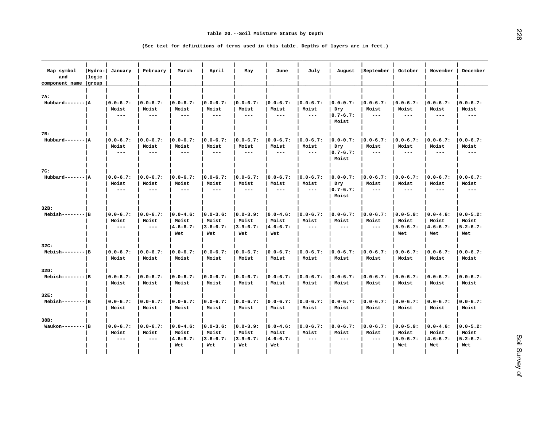| Map symbol<br>and<br>component name group | Hydro- <br> logic | January                                        | February                                      | March                                          | April                                         | May                                           | June                                           | July                                          | August                                         | September                                      | October                                        | November                                       | December                                       |
|-------------------------------------------|-------------------|------------------------------------------------|-----------------------------------------------|------------------------------------------------|-----------------------------------------------|-----------------------------------------------|------------------------------------------------|-----------------------------------------------|------------------------------------------------|------------------------------------------------|------------------------------------------------|------------------------------------------------|------------------------------------------------|
| 7A:<br>$Hubbard----- A$                   |                   | $ 0.0 - 6.7:$<br>Moist<br>$\qquad \qquad - -$  | $ 0.0 - 6.7:$<br>Moist<br>$---$               | $ 0.0 - 6.7:$<br>Moist<br>$\frac{1}{2}$        | $ 0.0 - 6.7:$<br>Moist<br>$\frac{1}{2}$       | $0.0 - 6.7:$<br>Moist<br>$\frac{1}{2}$        | $ 0.0 - 6.7:$<br>Moist<br>$---$                | $ 0.0 - 6.7:$<br>Moist<br>$\qquad \qquad - -$ | $ 0.0 - 0.7:$<br>Dry<br>$ 0.7 - 6.7:$<br>Moist | $ 0.0-6.7:$<br>Moist<br>$\frac{1}{2}$          | $ 0.0 - 6.7:$<br>Moist<br>$---$                | $ 0.0 - 6.7:$<br>Moist<br>$---$                | $ 0.0 - 6.7:$<br>Moist<br>$- - -$              |
| 7B:                                       |                   |                                                |                                               |                                                |                                               |                                               |                                                |                                               |                                                |                                                |                                                |                                                |                                                |
| $Hubbard---- - A$                         |                   | $ 0.0 - 6.7:$<br>Moist<br>$- -$                | $ 0.0 - 6.7:$<br>Moist<br>$---$               | $ 0.0 - 6.7:$<br>Moist<br>$- - -$              | $ 0.0 - 6.7:$<br>Moist<br>$---$               | $ 0.0 - 6.7:$<br>Moist<br>$\qquad \qquad - -$ | $ 0.0 - 6.7:$<br>Moist<br>$---$                | $ 0.0 - 6.7:$<br>Moist<br>$- -$               | $ 0.0 - 0.7:$<br>Dry<br>$ 0.7 - 6.7:$<br>Moist | $ 0.0 - 6.7:$<br>Moist<br>$\sim$ $\sim$ $\sim$ | $ 0.0 - 6.7:$<br>Moist<br>$---$                | $ 0.0 - 6.7:$<br>Moist<br>$---$                | $ 0.0 - 6.7:$<br>Moist<br>$- - -$              |
| 7C:                                       |                   |                                                |                                               |                                                |                                               |                                               |                                                |                                               |                                                |                                                |                                                |                                                |                                                |
| $Hubbard---- - A$                         |                   | $ 0.0 - 6.7:$<br>Moist<br>$\qquad \qquad - -$  | $ 0.0 - 6.7:$<br>Moist<br>$---$               | $ 0.0 - 6.7:$<br>Moist<br>$- - -$              | $ 0.0 - 6.7:$<br>Moist<br>$---$               | $ 0.0 - 6.7:$<br>Moist<br>---                 | $ 0.0 - 6.7:$<br>Moist<br>$---$                | $ 0.0 - 6.7:$<br>Moist<br>$\frac{1}{2}$       | $ 0.0 - 0.7:$<br>Dry<br>$ 0.7 - 6.7:$<br>Moist | $ 0.0 - 6.7:$<br>Moist<br>$\frac{1}{2}$        | $ 0.0 - 6.7:$<br>Moist<br>---                  | $ 0.0 - 6.7:$<br>Moist<br>$- - -$              | $ 0.0 - 6.7:$<br>Moist<br>$- - -$              |
| 32B:                                      |                   |                                                |                                               |                                                |                                               |                                               |                                                |                                               |                                                |                                                |                                                |                                                |                                                |
| $Nebish-----B$                            |                   | $ 0.0 - 6.7:$<br>Moist<br>$\sim$ $\sim$ $\sim$ | $ 0.0 - 6.7:$<br>Moist<br>$\frac{1}{2}$       | $ 0.0 - 4.6:$<br>Moist<br>$ 4.6 - 6.7:$<br>Wet | $ 0.0 - 3.6:$<br>Moist<br>$3.6 - 6.7:$<br>Wet | $ 0.0 - 3.9:$<br>Moist<br>$3.9 - 6.7:$<br>Wet | $ 0.0 - 4.6:$<br>Moist<br>$ 4.6 - 6.7:$<br>Wet | $ 0.0 - 6.7:$<br>Moist<br>$---$               | $ 0.0 - 6.7:$<br>Moist<br>$- - -$              | $ 0.0 - 6.7:$<br>Moist<br>$\qquad \qquad - -$  | $ 0.0 - 5.9:$<br>Moist<br>$ 5.9 - 6.7:$<br>Wet | $ 0.0 - 4.6:$<br>Moist<br>$ 4.6 - 6.7:$<br>Wet | $ 0.0 - 5.2:$<br>Moist<br>$ 5.2 - 6.7:$<br>Wet |
| 32C:                                      |                   |                                                |                                               |                                                |                                               |                                               |                                                |                                               |                                                |                                                |                                                |                                                |                                                |
| $Nebish-----B$                            |                   | $ 0.0 - 6.7:$<br>Moist                         | $ 0.0 - 6.7:$<br>Moist                        | $ 0.0 - 6.7:$<br>Moist                         | $ 0.0 - 6.7:$<br>Moist                        | $0.0 - 6.7:$<br>Moist                         | $ 0.0 - 6.7:$<br>Moist                         | $ 0.0 - 6.7:$<br>Moist                        | $ 0.0 - 6.7:$<br>Moist                         | $ 0.0 - 6.7:$<br>Moist                         | $ 0.0 - 6.7:$<br>Moist                         | $ 0.0 - 6.7:$<br>Moist                         | $ 0.0 - 6.7:$<br>Moist                         |
| 32D:                                      |                   |                                                |                                               |                                                |                                               |                                               |                                                |                                               |                                                |                                                |                                                |                                                |                                                |
| $Nebish-----B$                            |                   | $ 0.0 - 6.7:$<br>Moist                         | $ 0.0 - 6.7:$<br>Moist                        | $ 0.0 - 6.7:$<br>Moist                         | $ 0.0 - 6.7:$<br>Moist                        | $ 0.0 - 6.7:$<br>Moist                        | $ 0.0 - 6.7:$<br>Moist                         | $ 0.0 - 6.7:$<br>Moist                        | $ 0.0 - 6.7:$<br>Moist                         | $ 0.0 - 6.7:$<br>Moist                         | $ 0.0 - 6.7:$<br>Moist                         | $ 0.0 - 6.7:$<br>Moist                         | $ 0.0 - 6.7:$<br>Moist                         |
| 32E:                                      |                   |                                                |                                               |                                                |                                               |                                               |                                                |                                               |                                                |                                                |                                                |                                                |                                                |
| $Nebish-----B$                            |                   | $ 0.0 - 6.7:$<br>Moist                         | $0.0 - 6.7:$<br>Moist                         | $ 0.0 - 6.7:$<br>Moist                         | $0.0 - 6.7:$<br>Moist                         | $0.0 - 6.7:$<br>Moist                         | $ 0.0 - 6.7:$<br>Moist                         | $ 0.0 - 6.7:$<br>Moist                        | $ 0.0 - 6.7:$<br>Moist                         | $ 0.0 - 6.7:$<br>Moist                         | $ 0.0 - 6.7:$<br>Moist                         | $ 0.0 - 6.7:$<br>Moist                         | $ 0.0 - 6.7:$<br>Moist                         |
| 38B:                                      |                   |                                                |                                               |                                                |                                               |                                               |                                                |                                               |                                                |                                                |                                                |                                                |                                                |
| $Waukon-----$ B                           |                   | $ 0.0 - 6.7:$<br>Moist<br>$\sim$ $\sim$ $\sim$ | $ 0.0 - 6.7:$<br>Moist<br>$\qquad \qquad - -$ | $ 0.0 - 4.6:$<br>Moist<br>$ 4.6 - 6.7:$<br>Wet | $ 0.0 - 3.6:$<br>Moist<br>$3.6 - 6.7:$<br>Wet | $ 0.0 - 3.9:$<br>Moist<br>$3.9 - 6.7:$<br>Wet | $ 0.0 - 4.6:$<br>Moist<br>$ 4.6 - 6.7:$<br>Wet | $ 0.0 - 6.7:$<br>Moist<br>$\frac{1}{2}$       | $ 0.0 - 6.7:$<br>Moist<br>$\frac{1}{2}$        | $ 0.0 - 6.7:$<br>Moist<br>$\qquad \qquad - -$  | $ 0.0 - 5.9:$<br>Moist<br>$15.9 - 6.7:$<br>Wet | $ 0.0 - 4.6:$<br>Moist<br>$ 4.6 - 6.7:$<br>Wet | $ 0.0 - 5.2:$<br>Moist<br>$ 5.2 - 6.7:$<br>Wet |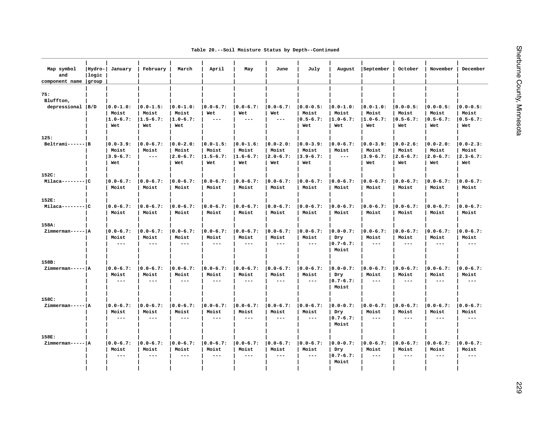| Table 20.--Soil Moisture Status by Depth--Continued |  |  |  |  |  |  |
|-----------------------------------------------------|--|--|--|--|--|--|
|-----------------------------------------------------|--|--|--|--|--|--|

| Map symbol<br>and<br>component name | Hydro- <br> logic<br>group | January                                        | February                                      | March                                          | April                                         | May                                           | June                                           | July                                           | August                                         | September                                      | October                                        | November                                        | December                                       |
|-------------------------------------|----------------------------|------------------------------------------------|-----------------------------------------------|------------------------------------------------|-----------------------------------------------|-----------------------------------------------|------------------------------------------------|------------------------------------------------|------------------------------------------------|------------------------------------------------|------------------------------------------------|-------------------------------------------------|------------------------------------------------|
| 75:<br>Bluffton,                    |                            |                                                |                                               |                                                |                                               |                                               |                                                |                                                |                                                |                                                |                                                |                                                 |                                                |
| depressional  B/D                   |                            | $10.0 - 1.0$ :<br>Moist<br>$1.0 - 6.7:$<br>Wet | $ 0.0 - 1.5:$<br>Moist<br>$1.5 - 6.7:$<br>Wet | $ 0.0 - 1.0:$<br>Moist<br>$1.0 - 6.7:$<br>Wet  | $ 0.0 - 6.7:$<br>Wet<br>$---$                 | $ 0.0 - 6.7:$<br>Wet<br>$- - -$               | $ 0.0 - 6.7:$<br>Wet<br>$---$                  | $ 0.0 - 0.5:$<br>Moist<br>$ 0.5 - 6.7:$<br>Wet | $ 0.0 - 1.0:$<br>Moist<br>$ 1.0 - 6.7:$<br>Wet | $ 0.0 - 1.0:$<br>Moist<br>$ 1.0 - 6.7:$<br>Wet | $10.0 - 0.5:$<br>Moist<br>$ 0.5 - 6.7:$<br>Wet | $ 0.0 - 0.5:$<br>Moist<br>$ 0.5 - 6.7:$<br>Wet  | $10.0 - 0.5:$<br>Moist<br>$ 0.5 - 6.7:$<br>Wet |
| 125:                                |                            |                                                |                                               |                                                |                                               |                                               |                                                |                                                |                                                |                                                |                                                |                                                 |                                                |
| $Beltrami---B$                      |                            | $ 0.0 - 3.9:$<br>Moist<br>$3.9 - 6.7:$<br>Wet  | $ 0.0 - 6.7:$<br>Moist<br>$  -$               | $ 0.0 - 2.0:$<br>Moist<br>$ 2.0 - 6.7:$<br>Wet | $ 0.0 - 1.5:$<br>Moist<br>$1.5 - 6.7:$<br>Wet | $ 0.0 - 1.6:$<br>Moist<br>$1.6 - 6.7:$<br>Wet | $ 0.0 - 2.0:$<br>Moist<br>$ 2.0 - 6.7:$<br>Wet | $ 0.0 - 3.9:$<br>Moist<br>$ 3.9 - 6.7:$<br>Wet | $ 0.0 - 6.7:$<br>Moist<br>$- - -$              | $ 0.0 - 3.9:$<br>Moist<br>$3.9 - 6.7:$<br>Wet  | $ 0.0 - 2.6:$<br>Moist<br>$ 2.6 - 6.7:$<br>Wet | $10.0 - 2.0$ :<br>Moist<br>$ 2.0 - 6.7:$<br>Wet | $10.0 - 2.3:$<br>Moist<br>$ 2.3 - 6.7:$<br>Wet |
| 152C:<br>$Milaca----- C$            |                            | $ 0.0 - 6.7:$<br>Moist                         | $ 0.0 - 6.7:$<br>Moist                        | $ 0.0 - 6.7:$<br>Moist                         | $ 0.0 - 6.7:$<br>Moist                        | $ 0.0 - 6.7:$<br>Moist                        | $ 0.0 - 6.7:$<br>Moist                         | $ 0.0 - 6.7:$<br>Moist                         | $ 0.0 - 6.7:$<br>Moist                         | $ 0.0 - 6.7:$<br>Moist                         | $ 0.0 - 6.7:$<br>Moist                         | $ 0.0 - 6.7:$<br>Moist                          | $ 0.0 - 6.7:$<br>Moist                         |
| 152E:<br>$Milaca----- C$            |                            | $ 0.0 - 6.7:$<br>Moist                         | $0.0 - 6.7:$<br>Moist                         | $ 0.0 - 6.7:$<br>Moist                         | $ 0.0 - 6.7:$<br>Moist                        | $ 0.0 - 6.7:$<br>Moist                        | $ 0.0 - 6.7:$<br>Moist                         | $ 0.0 - 6.7:$<br>Moist                         | $ 0.0 - 6.7:$<br>Moist                         | $ 0.0 - 6.7:$<br>Moist                         | $ 0.0 - 6.7:$<br>Moist                         | $ 0.0 - 6.7:$<br>Moist                          | $ 0.0 - 6.7:$<br>Moist                         |
| 158A:                               |                            |                                                |                                               |                                                |                                               |                                               |                                                |                                                |                                                |                                                |                                                |                                                 |                                                |
| Zimmerman----- A                    |                            | $ 0.0 - 6.7:$<br>Moist<br>$- - -$              | $ 0.0 - 6.7:$<br>Moist<br>$---$               | $ 0.0 - 6.7:$<br>Moist<br>$- - -$              | $ 0.0 - 6.7:$<br>Moist<br>$- - -$             | $ 0.0 - 6.7:$<br>Moist<br>$- - -$             | $ 0.0 - 6.7:$<br>Moist<br>$---$                | $ 0.0 - 6.7:$<br>Moist<br>$\sim$ $\sim$ $\sim$ | $ 0.0 - 0.7:$<br>Dry<br>$ 0.7 - 6.7:$<br>Moist | $ 0.0 - 6.7:$<br>Moist<br>$---$                | $ 0.0 - 6.7:$<br>Moist<br>$- - -$              | $ 0.0 - 6.7:$<br>Moist<br>$\frac{1}{2}$         | $ 0.0 - 6.7:$<br>Moist<br>$- - -$              |
| 158B:                               |                            |                                                |                                               |                                                |                                               |                                               |                                                |                                                |                                                |                                                |                                                |                                                 |                                                |
| Zimmerman----- A                    |                            | $10.0 - 6.7:$<br>Moist<br>$- -$                | $10.0 - 6.7:$<br>Moist<br>$\qquad \qquad - -$ | $10.0 - 6.7:$<br>Moist<br>$- - -$              | $10.0 - 6.7:$<br>Moist<br>$---$               | $ 0.0 - 6.7:$<br>Moist<br>$---$               | $10.0 - 6.7$ :<br>Moist<br>$---$               | $10.0 - 6.7:$<br>Moist<br>$- -$                | $ 0.0 - 0.7:$<br>Dry<br>$ 0.7 - 6.7:$<br>Moist | $ 0.0 - 6.7:$<br>Moist<br>$\frac{1}{2}$        | $ 0.0 - 6.7:$<br>Moist<br>$---$                | $10.0 - 6.7:$<br>Moist<br>$\qquad \qquad - -$   | $10.0 - 6.7:$<br>Moist<br>$- - -$              |
| 158C:                               |                            |                                                |                                               |                                                |                                               |                                               |                                                |                                                |                                                |                                                |                                                |                                                 |                                                |
| Zimmerman----- A                    |                            | $ 0.0 - 6.7:$<br>Moist<br>$---$                | $ 0.0 - 6.7:$<br>Moist<br>$---$               | $ 0.0 - 6.7:$<br>Moist<br>$\frac{1}{2}$        | $ 0.0 - 6.7:$<br>Moist<br>$---$               | $ 0.0 - 6.7:$<br>Moist<br>$- - -$             | $ 0.0 - 6.7:$<br>Moist<br>$---$                | $ 0.0 - 6.7:$<br>Moist<br>$- - -$              | $ 0.0 - 0.7:$<br>Dry<br>$ 0.7 - 6.7:$<br>Moist | $ 0.0 - 6.7:$<br>Moist<br>$\frac{1}{2}$        | $ 0.0 - 6.7:$<br>Moist<br>$---$                | $ 0.0 - 6.7:$<br>Moist<br>$---$                 | $ 0.0 - 6.7:$<br>Moist<br>$\frac{1}{2}$        |
| 158E:                               |                            |                                                |                                               |                                                |                                               |                                               |                                                |                                                |                                                |                                                |                                                |                                                 |                                                |
| Zimmerman----- A                    |                            | $ 0.0 - 6.7:$<br>Moist<br>$\frac{1}{2}$        | $10.0 - 6.7:$<br>Moist<br>$- - -$             | $10.0 - 6.7:$<br>Moist<br>$- - -$              | $ 0.0 - 6.7:$<br>Moist<br>$---$               | $ 0.0 - 6.7:$<br>Moist<br>$- - -$             | $ 0.0 - 6.7:$<br>Moist<br>$---$                | $ 0.0 - 6.7:$<br>Moist<br>$---$                | $ 0.0 - 0.7:$<br>Dry<br>$ 0.7 - 6.7:$<br>Moist | $ 0.0 - 6.7:$<br>Moist<br>$---$                | $ 0.0 - 6.7:$<br>Moist<br>$- - -$              | $10.0 - 6.7:$<br>Moist<br>$---$                 | $10.0 - 6.7:$<br>Moist<br>$\frac{1}{2}$        |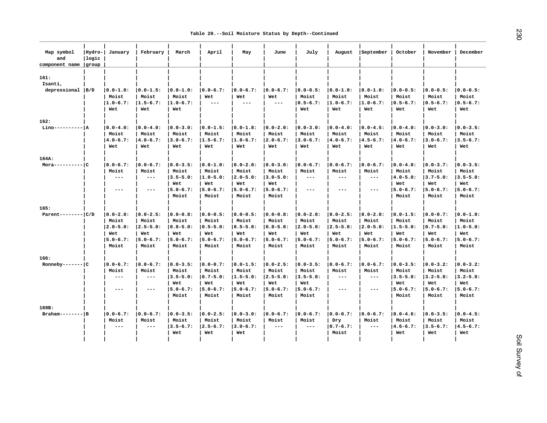| Map symbol<br>and<br>component name group | Hydro-<br>logic | January                | February               | March                  | April                | May                  | June                 | July                   | August                 | September              | October                | November               | December               |
|-------------------------------------------|-----------------|------------------------|------------------------|------------------------|----------------------|----------------------|----------------------|------------------------|------------------------|------------------------|------------------------|------------------------|------------------------|
| 161:<br>Isanti,                           |                 |                        |                        |                        |                      |                      |                      |                        |                        |                        |                        |                        |                        |
| depressional  B/D                         |                 | $ 0.0 - 1.0:$<br>Moist | $ 0.0 - 1.5:$<br>Moist | $ 0.0 - 1.0:$<br>Moist | $ 0.0 - 6.7:$<br>Wet | $ 0.0 - 6.7:$<br>Wet | $ 0.0 - 6.7:$<br>Wet | $ 0.0 - 0.5:$<br>Moist | $ 0.0 - 1.0:$<br>Moist | $ 0.0 - 1.0:$<br>Moist | $ 0.0 - 0.5:$<br>Moist | $10.0 - 0.5:$<br>Moist | $10.0 - 0.5:$<br>Moist |
|                                           |                 | $1.0 - 6.7:$<br>Wet    | $1.5 - 6.7:$<br>Wet    | $1.0 - 6.7:$<br>Wet    | $\frac{1}{2}$        | $---$                | $- -$                | $ 0.5 - 6.7:$<br>Wet   | $1.0 - 6.7:$<br>Wet    | $ 1.0 - 6.7:$<br>Wet   | $ 0.5 - 6.7:$<br>Wet   | $ 0.5 - 6.7:$<br>Wet   | $ 0.5 - 6.7:$<br>Wet   |
| 162:                                      |                 |                        |                        |                        |                      |                      |                      |                        |                        |                        |                        |                        |                        |
| Lino----------  A                         |                 | $ 0.0 - 4.0:$          | $ 0.0 - 4.0:$          | $ 0.0 - 3.0:$          | $ 0.0 - 1.5:$        | $ 0.0 - 1.8:$        | $ 0.0 - 2.0:$        | $ 0.0 - 3.0:$          | $ 0.0 - 4.0:$          | $ 0.0 - 4.5:$          | $ 0.0 - 4.0:$          | $ 0.0 - 3.0:$          | $10.0 - 3.5:$          |
|                                           |                 | Moist                  | Moist                  | Moist                  | Moist                | Moist                | Moist                | Moist                  | Moist                  | Moist                  | Moist                  | Moist                  | Moist                  |
|                                           |                 | $ 4.0 - 6.7:$          | $ 4.0 - 6.7:$          | $ 3.0 - 6.7:$          | $1.5 - 6.7:$         | $1.8 - 6.7:$         | $ 2.0 - 6.7:$        | $ 3.0 - 6.7:$          | $ 4.0 - 6.7:$          | $ 4.5 - 6.7:$          | $ 4.0 - 6.7:$          | $ 3.0 - 6.7:$          | $ 3.5 - 6.7:$          |
|                                           |                 | Wet                    | Wet                    | Wet                    | Wet                  | Wet                  | Wet                  | Wet                    | Wet                    | Wet                    | Wet                    | Wet                    | Wet                    |
| 164A:                                     |                 |                        |                        |                        |                      |                      |                      |                        |                        |                        |                        |                        |                        |
| $Mora------C$                             |                 | $ 0.0 - 6.7:$          | $ 0.0 - 6.7:$          | $ 0.0 - 3.5:$          | $ 0.0 - 1.0:$        | $ 0.0 - 2.0:$        | $ 0.0 - 3.0:$        | $ 0.0 - 6.7:$          | $ 0.0 - 6.7:$          | $ 0.0 - 6.7:$          | $ 0.0 - 4.0:$          | $ 0.0 - 3.7:$          | $ 0.0 - 3.5:$          |
|                                           |                 | Moist                  | Moist                  | Moist                  | Moist                | Moist                | Moist                | Moist                  | Moist                  | Moist                  | Moist                  | Moist                  | Moist                  |
|                                           |                 | $\sim$ $\sim$ $\sim$   | $\sim$ $\sim$ $\sim$   | $3.5 - 5.0:$           | $ 1.0 - 5.0:$        | $ 2.0 - 5.0:$        | $ 3.0 - 5.0:$        | $  -$                  | $---$                  | $  -$                  | $ 4.0 - 5.0:$          | $ 3.7 - 5.0:$          | $ 3.5 - 5.0:$          |
|                                           |                 |                        |                        | Wet                    | Wet                  | Wet                  | Wet                  |                        |                        |                        | Wet                    | Wet                    | Wet                    |
|                                           |                 | $---$                  | $---$                  | $ 5.0 - 6.7:$          | $ 5.0 - 6.7:$        | $ 5.0 - 6.7:$        | $ 5.0 - 6.7:$        | $- - -$                | $---$                  | $\frac{1}{2}$          | $ 5.0 - 6.7:$          | $ 5.0 - 6.7:$          | $ 5.0 - 6.7:$          |
|                                           |                 |                        |                        | Moist                  | Moist                | Moist                | Moist                |                        |                        |                        | Moist                  | Moist                  | Moist                  |
| 165:                                      |                 |                        |                        |                        |                      |                      |                      |                        |                        |                        |                        |                        |                        |
| Parent-------- $ C/D$                     |                 | $ 0.0 - 2.0:$          | $ 0.0 - 2.5:$          | $ 0.0 - 0.8:$          | $ 0.0 - 0.5:$        | $ 0.0 - 0.5:$        | $ 0.0 - 0.8:$        | $ 0.0 - 2.0:$          | $ 0.0 - 2.5:$          | $ 0.0 - 2.0:$          | $ 0.0 - 1.5:$          | $ 0.0 - 0.7:$          | $ 0.0 - 1.0:$          |
|                                           |                 | Moist                  | Moist                  | Moist                  | Moist                | Moist                | Moist                | Moist                  | Moist                  | Moist                  | Moist                  | Moist                  | Moist                  |
|                                           |                 | $ 2.0 - 5.0:$          | $ 2.5 - 5.0:$          | $ 0.8 - 5.0:$          | $ 0.5 - 5.0:$        | $ 0.5 - 5.0:$        | $ 0.8 - 5.0:$        | $ 2.0 - 5.0:$          | $ 2.5 - 5.0:$          | $ 2.0 - 5.0:$          | $ 1.5 - 5.0:$          | $ 0.7 - 5.0:$          | $1.0 - 5.0:$           |
|                                           |                 | Wet<br>$ 5.0 - 6.7:$   | Wet<br>$ 5.0 - 6.7:$   | Wet<br>$ 5.0 - 6.7:$   | Wet<br>$ 5.0 - 6.7:$ | Wet<br>$ 5.0 - 6.7:$ | Wet<br>$ 5.0 - 6.7:$ | Wet<br>$ 5.0 - 6.7:$   | Wet<br>$ 5.0 - 6.7:$   | Wet<br>$ 5.0 - 6.7:$   | Wet<br>$ 5.0 - 6.7:$   | Wet<br>$ 5.0 - 6.7:$   | Wet<br>$15.0 - 6.7:$   |
|                                           |                 | Moist                  | Moist                  | Moist                  | Moist                | Moist                | Moist                | Moist                  | Moist                  | Moist                  | Moist                  | Moist                  | Moist                  |
|                                           |                 |                        |                        |                        |                      |                      |                      |                        |                        |                        |                        |                        |                        |
| 166:<br>Ronneby------- C                  |                 | $ 0.0 - 6.7:$          | $ 0.0 - 6.7:$          | $ 0.0 - 3.5:$          | $ 0.0 - 0.7:$        | $ 0.0 - 1.5:$        | $ 0.0 - 2.5:$        | $ 0.0 - 3.5:$          | $ 0.0 - 6.7:$          | $ 0.0 - 6.7:$          | $ 0.0 - 3.5:$          | $ 0.0 - 3.2:$          | $ 0.0 - 3.2:$          |
|                                           |                 | Moist                  | Moist                  | Moist                  | Moist                | Moist                | Moist                | Moist                  | Moist                  | Moist                  | Moist                  | Moist                  | Moist                  |
|                                           |                 | $- -$                  | $- - -$                | $3.5 - 5.0:$           | $ 0.7 - 5.0:$        | $1.5 - 5.0:$         | $ 2.5 - 5.0:$        | $ 3.5 - 5.0:$          | $\qquad \qquad - -$    | $\qquad \qquad - -$    | $3.5 - 5.0:$           | $ 3.2 - 5.0:$          | $ 3.2 - 5.0:$          |
|                                           |                 |                        |                        | Wet                    | Wet                  | Wet                  | Wet                  | Wet                    |                        |                        | Wet                    | Wet                    | Wet                    |
|                                           |                 | $---$                  | $---$                  | $ 5.0 - 6.7:$          | $ 5.0 - 6.7:$        | $ 5.0 - 6.7:$        | $ 5.0 - 6.7:$        | $ 5.0 - 6.7:$          | $---$                  | $---$                  | $ 5.0 - 6.7:$          | $ 5.0 - 6.7:$          | $15.0 - 6.7:$          |
|                                           |                 |                        |                        | Moist                  | Moist                | Moist                | Moist                | Moist                  |                        |                        | Moist                  | Moist                  | Moist                  |
| 169B:                                     |                 |                        |                        |                        |                      |                      |                      |                        |                        |                        |                        |                        |                        |
| $Braham------$ B                          |                 | $ 0.0 - 6.7:$          | $ 0.0 - 6.7:$          | $ 0.0 - 3.5:$          | $ 0.0 - 2.5:$        | $ 0.0 - 3.0:$        | $ 0.0 - 6.7:$        | $ 0.0 - 6.7:$          | $ 0.0 - 0.7:$          | $ 0.0 - 6.7:$          | $ 0.0 - 4.6:$          | $ 0.0 - 3.5:$          | $10.0 - 4.5:$          |
|                                           |                 | Moist                  | Moist                  | Moist                  | Moist                | Moist                | Moist                | Moist                  | Dry                    | Moist                  | Moist                  | Moist                  | Moist                  |
|                                           |                 | $---$                  | $---$                  | $3.5 - 6.7:$           | $ 2.5 - 6.7:$        | $ 3.0 - 6.7:$        | $---$                | $- - -$                | $ 0.7 - 6.7:$          | $\qquad \qquad - -$    | $ 4.6 - 6.7:$          | $ 3.5 - 6.7:$          | $ 4.5 - 6.7:$          |
|                                           |                 |                        |                        | Wet                    | Wet                  | Wet                  |                      |                        | Moist                  |                        | Wet                    | Wet                    | Wet                    |
|                                           |                 |                        |                        |                        |                      |                      |                      |                        |                        |                        |                        |                        |                        |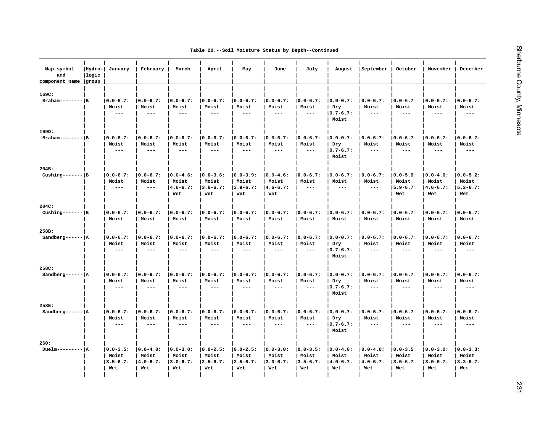|  |  |  |  |  |  | Table 20.--Soil Moisture Status by Depth--Continued |
|--|--|--|--|--|--|-----------------------------------------------------|
|--|--|--|--|--|--|-----------------------------------------------------|

| Map symbol<br>and<br>component name | Hydro- <br> logic<br>group | January                | February               | March                        | April                  | May                    | June                   | July                   | August                 | September                    | October                | November               | December               |
|-------------------------------------|----------------------------|------------------------|------------------------|------------------------------|------------------------|------------------------|------------------------|------------------------|------------------------|------------------------------|------------------------|------------------------|------------------------|
| 169C:<br>$Braham----$               |                            | $ 0.0 - 6.7:$<br>Moist | $ 0.0 - 6.7:$<br>Moist | $ 0.0 - 6.7:$<br>Moist       | $ 0.0 - 6.7:$<br>Moist | $ 0.0 - 6.7:$<br>Moist | $ 0.0 - 6.7:$<br>Moist | $ 0.0 - 6.7:$<br>Moist | $ 0.0 - 0.7:$<br>Dry   | $ 0.0 - 6.7:$<br>Moist       | $ 0.0 - 6.7:$<br>Moist | $ 0.0 - 6.7:$<br>Moist | $ 0.0 - 6.7:$<br>Moist |
|                                     |                            | $\frac{1}{2}$          | $\frac{1}{2}$          | $\frac{1}{2}$                | $  -$                  | $\frac{1}{2}$          | $\sim$ $\sim$ $\sim$   | $\sim$ $\sim$ $\sim$   | $ 0.7 - 6.7:$<br>Moist | $\frac{1}{2}$                | $---$                  | $---$                  | $\frac{1}{2}$          |
| 169D:                               |                            |                        |                        |                              |                        |                        |                        |                        |                        |                              |                        |                        |                        |
| $Braham-----$ B                     |                            | $ 0.0 - 6.7:$          | $ 0.0 - 6.7:$          | $ 0.0 - 6.7:$                | $ 0.0 - 6.7:$          | $ 0.0 - 6.7:$          | $ 0.0 - 6.7:$          | $ 0.0 - 6.7:$          | $ 0.0 - 0.7:$          | $ 0.0 - 6.7:$                | $ 0.0 - 6.7:$          | $ 0.0 - 6.7:$          | $ 0.0 - 6.7:$          |
|                                     |                            | Moist                  | Moist                  | Moist                        | Moist                  | Moist                  | Moist                  | Moist                  | Dry                    | Moist                        | Moist                  | Moist                  | Moist                  |
|                                     |                            | $\qquad \qquad - -$    | $- - -$                | $---$                        | $---$                  | $\qquad \qquad - -$    | $---$                  | $  -$                  | $ 0.7 - 6.7:$<br>Moist | $- - -$                      | $---$                  | $---$                  | $- - -$                |
| 204B:                               |                            |                        |                        |                              |                        |                        |                        |                        |                        |                              |                        |                        |                        |
| Cushing------- $ B $                |                            | $ 0.0 - 6.7:$          | $ 0.0 - 6.7:$          | $ 0.0 - 4.6:$                | $ 0.0 - 3.6:$          | $ 0.0 - 3.9:$          | $ 0.0 - 4.6:$          | $ 0.0 - 6.7:$          | $ 0.0 - 6.7:$          | $ 0.0 - 6.7:$                | $ 0.0 - 5.9:$          | $ 0.0 - 4.6:$          | $ 0.0 - 5.2:$          |
|                                     |                            | Moist                  | Moist                  | Moist                        | Moist                  | Moist                  | Moist                  | Moist                  | Moist                  | Moist                        | Moist                  | Moist                  | Moist                  |
|                                     |                            | $\qquad \qquad - -$    | $\frac{1}{2}$          | $14.6 - 6.7:$                | $ 3.6 - 6.7:$          | $13.9 - 6.7:$          | $14.6 - 6.7:$          | $  -$                  | $\frac{1}{2}$          | $---$                        | $ 5.9 - 6.7:$          | $14.6 - 6.7:$          | $15.2 - 6.7:$          |
|                                     |                            |                        |                        | Wet                          | Wet                    | Wet                    | Wet                    |                        |                        |                              | Wet                    | Wet                    | Wet                    |
| 204C:                               |                            |                        |                        |                              |                        |                        |                        |                        |                        |                              |                        |                        |                        |
| Cushing------- $ B $                |                            | $ 0.0 - 6.7:$          | $ 0.0 - 6.7:$          | $ 0.0 - 6.7:$                | $ 0.0 - 6.7:$          | $ 0.0 - 6.7:$          | $ 0.0 - 6.7:$          | $ 0.0 - 6.7:$          | $ 0.0 - 6.7:$          | $ 0.0 - 6.7:$                | $ 0.0 - 6.7:$          | $ 0.0 - 6.7:$          | $ 0.0 - 6.7:$          |
|                                     |                            | Moist                  | Moist                  | Moist                        | Moist                  | Moist                  | Moist                  | Moist                  | Moist                  | Moist                        | Moist                  | Moist                  | Moist                  |
| 258B:                               |                            |                        |                        |                              |                        |                        |                        |                        |                        |                              |                        |                        |                        |
| Sandberg------ $ A $                |                            | $10.0 - 6.7:$<br>Moist | $ 0.0 - 6.7:$          | $ 0.0 - 6.7:$                | $ 0.0 - 6.7:$          | $ 0.0 - 6.7:$          | $ 0.0 - 6.7:$          | $ 0.0 - 6.7:$          | $ 0.0 - 0.7:$          | $ 0.0 - 6.7:$                | $ 0.0 - 6.7:$<br>Moist | $10.0 - 6.7:$          | $10.0 - 6.7:$<br>Moist |
|                                     |                            | $\qquad \qquad - -$    | Moist<br>$\frac{1}{2}$ | Moist<br>$\qquad \qquad - -$ | Moist<br>$\frac{1}{2}$ | Moist<br>$\frac{1}{2}$ | Moist<br>$- - -$       | Moist<br>$- - -$       | Dry<br>$ 0.7 - 6.7:$   | Moist<br>$\qquad \qquad - -$ | $---$                  | Moist<br>$---$         | $\frac{1}{2}$          |
|                                     |                            |                        |                        |                              |                        |                        |                        |                        | Moist                  |                              |                        |                        |                        |
| 258C:                               |                            |                        |                        |                              |                        |                        |                        |                        |                        |                              |                        |                        |                        |
| Sandberg------ $ A $                |                            | $ 0.0 - 6.7:$          | $ 0.0 - 6.7:$          | $ 0.0 - 6.7:$                | $ 0.0 - 6.7:$          | $ 0.0 - 6.7:$          | $ 0.0 - 6.7:$          | $ 0.0 - 6.7:$          | $ 0.0 - 0.7:$          | $ 0.0 - 6.7:$                | $ 0.0 - 6.7:$          | $ 0.0 - 6.7:$          | $ 0.0 - 6.7:$          |
|                                     |                            | Moist                  | Moist                  | Moist                        | Moist                  | Moist                  | Moist                  | Moist                  | Dry                    | Moist                        | Moist                  | Moist                  | Moist                  |
|                                     |                            | $\frac{1}{2}$          | $- - -$                | $  -$                        | $---$                  | $---$                  | $\frac{1}{2}$          | $  -$                  | $ 0.7 - 6.7:$<br>Moist | $\frac{1}{2}$                | $- - -$                | $---$                  | $- - -$                |
| 258E:                               |                            |                        |                        |                              |                        |                        |                        |                        |                        |                              |                        |                        |                        |
| Sandberg------ $ A $                |                            | $ 0.0 - 6.7:$          | $ 0.0 - 6.7:$          | $ 0.0 - 6.7:$                | $ 0.0 - 6.7:$          | $ 0.0 - 6.7:$          | $ 0.0 - 6.7:$          | $ 0.0 - 6.7:$          | $ 0.0 - 0.7:$          | $ 0.0 - 6.7:$                | $ 0.0 - 6.7:$          | $ 0.0 - 6.7:$          | $ 0.0 - 6.7:$          |
|                                     |                            | Moist                  | Moist                  | Moist                        | Moist                  | Moist                  | Moist                  | Moist                  | Dry                    | Moist                        | Moist                  | Moist                  | Moist                  |
|                                     |                            | $- -$                  | $\frac{1}{2}$          | $\qquad \qquad - -$          | $  -$                  | $\qquad \qquad - -$    | $  -$                  | $- - -$                | $ 0.7 - 6.7:$<br>Moist | $\sim$ $\sim$ $\sim$         | $\frac{1}{2}$          | $\qquad \qquad - -$    | $\frac{1}{2}$          |
|                                     |                            |                        |                        |                              |                        |                        |                        |                        |                        |                              |                        |                        |                        |
| 260:<br>$Duelm------P$  A           |                            | $ 0.0 - 3.5:$          | $ 0.0 - 4.0:$          | $ 0.0 - 3.0:$                | $ 0.0 - 2.5:$          | $ 0.0 - 2.5:$          | $ 0.0 - 3.0:$          | $ 0.0 - 3.5:$          | $ 0.0 - 4.0:$          | $ 0.0 - 4.0:$                | $ 0.0 - 3.5:$          | $ 0.0 - 3.0:$          | $ 0.0 - 3.3:$          |
|                                     |                            | Moist                  | Moist                  | Moist                        | Moist                  | Moist                  | Moist                  | Moist                  | Moist                  | Moist                        | Moist                  | Moist                  | Moist                  |
|                                     |                            | $3.5 - 6.7:$           | $ 4.0 - 6.7:$          | $3.0 - 6.7:$                 | $ 2.5 - 6.7:$          | $ 2.5 - 6.7:$          | $3.0 - 6.7:$           | $3.5 - 6.7:$           | $ 4.0 - 6.7:$          | $ 4.0 - 6.7:$                | $ 3.5 - 6.7:$          | $ 3.0 - 6.7:$          | $ 3.3 - 6.7:$          |
|                                     |                            | Wet                    | Wet                    | Wet                          | Wet                    | Wet                    | Wet                    | Wet                    | Wet                    | Wet                          | Wet                    | Wet                    | Wet                    |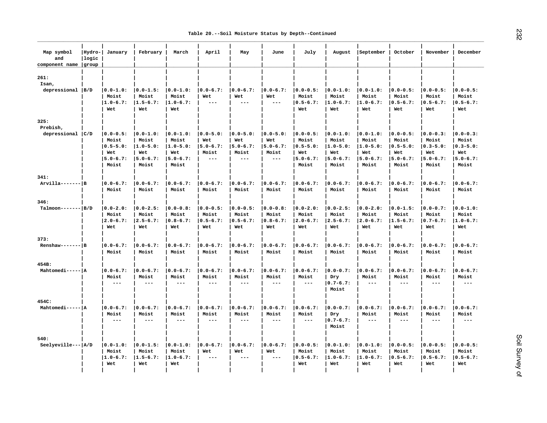| Map symbol<br>and<br>component name | Hydro-<br> logic<br>group | January       | February      | March         | April               | May           | June                | July          | August                 | September           | October       | November      | December      |
|-------------------------------------|---------------------------|---------------|---------------|---------------|---------------------|---------------|---------------------|---------------|------------------------|---------------------|---------------|---------------|---------------|
| 261:<br>Isan,                       |                           |               |               |               |                     |               |                     |               |                        |                     |               |               |               |
| $depressed$  B/D                    |                           | $ 0.0 - 1.0:$ | $ 0.0 - 1.5:$ | $ 0.0 - 1.0:$ | $ 0.0 - 6.7:$       | $ 0.0 - 6.7:$ | $ 0.0 - 6.7:$       | $ 0.0 - 0.5:$ | $ 0.0 - 1.0:$          | $ 0.0 - 1.0:$       | $ 0.0 - 0.5:$ | $ 0.0 - 0.5:$ | $10.0 - 0.5:$ |
|                                     |                           | Moist         | Moist         | Moist         | Wet                 | Wet           | Wet                 | Moist         | Moist                  | Moist               | Moist         | Moist         | Moist         |
|                                     |                           | $1.0 - 6.7:$  | $1.5 - 6.7:$  | $ 1.0 - 6.7:$ | $- - -$             | $- - -$       | $---$               | $ 0.5 - 6.7:$ | $1.0 - 6.7:$           | $ 1.0 - 6.7:$       | $ 0.5 - 6.7:$ | $ 0.5 - 6.7:$ | $ 0.5 - 6.7:$ |
|                                     |                           | Wet           | Wet           | Wet           |                     |               |                     | Wet           | Wet                    | Wet                 | Wet           | Wet           | Wet           |
| 325:                                |                           |               |               |               |                     |               |                     |               |                        |                     |               |               |               |
| Prebish,<br>depressional $ C/D $    |                           | $ 0.0 - 0.5:$ | $ 0.0 - 1.0:$ | $ 0.0 - 1.0:$ | $ 0.0 - 5.0:$       | $ 0.0 - 5.0:$ | $ 0.0 - 5.0:$       | $ 0.0 - 0.5:$ | $ 0.0 - 1.0:$          | $ 0.0 - 1.0:$       | $ 0.0 - 0.5:$ | $ 0.0 - 0.3:$ | $ 0.0 - 0.3:$ |
|                                     |                           | Moist         | Moist         | Moist         | Wet                 | Wet           | Wet                 | Moist         | Moist                  | Moist               | Moist         | Moist         | Moist         |
|                                     |                           | $ 0.5 - 5.0:$ | $1.0 - 5.0:$  | $1.0 - 5.0:$  | $ 5.0 - 6.7:$       | $ 5.0 - 6.7:$ | $ 5.0 - 6.7:$       | $ 0.5 - 5.0:$ | $1.0 - 5.0:$           | $1.0 - 5.0:$        | $ 0.5 - 5.0:$ | $ 0.3 - 5.0:$ | $ 0.3 - 5.0:$ |
|                                     |                           | Wet           | Wet           | Wet           | Moist               | Moist         | Moist               | Wet           | Wet                    | Wet                 | Wet           | Wet           | Wet           |
|                                     |                           | $15.0 - 6.7:$ | $ 5.0 - 6.7:$ | $ 5.0 - 6.7:$ | $---$               | $- - -$       | $---$               | $ 5.0 - 6.7:$ | $ 5.0 - 6.7:$          | $ 5.0 - 6.7:$       | $ 5.0 - 6.7:$ | $ 5.0 - 6.7:$ | $ 5.0 - 6.7:$ |
|                                     |                           | Moist         | Moist         | Moist         |                     |               |                     | Moist         | Moist                  | Moist               | Moist         | Moist         | Moist         |
| 341:                                |                           |               |               |               |                     |               |                     |               |                        |                     |               |               |               |
| $Arvilla----P$                      |                           | $ 0.0 - 6.7:$ | $ 0.0 - 6.7:$ | $ 0.0 - 6.7:$ | $ 0.0 - 6.7:$       | $ 0.0 - 6.7:$ | $ 0.0 - 6.7:$       | $ 0.0 - 6.7:$ | $ 0.0 - 6.7:$          | $ 0.0 - 6.7:$       | $ 0.0 - 6.7:$ | $ 0.0 - 6.7:$ | $ 0.0 - 6.7:$ |
|                                     |                           | Moist         | Moist         | Moist         | Moist               | Moist         | Moist               | Moist         | Moist                  | Moist               | Moist         | Moist         | Moist         |
| 346:                                |                           |               |               |               |                     |               |                     |               |                        |                     |               |               |               |
| $Talmoon--- B/D$                    |                           | $ 0.0 - 2.0:$ | $ 0.0 - 2.5:$ | $ 0.0 - 0.8:$ | $ 0.0 - 0.5:$       | $ 0.0 - 0.5:$ | $ 0.0 - 0.8:$       | $ 0.0 - 2.0:$ | $ 0.0 - 2.5:$          | $ 0.0 - 2.0:$       | $ 0.0 - 1.5:$ | $ 0.0 - 0.7:$ | $ 0.0 - 1.0:$ |
|                                     |                           | Moist         | Moist         | Moist         | Moist               | Moist         | Moist               | Moist         | Moist                  | Moist               | Moist         | Moist         | Moist         |
|                                     |                           | $12.0 - 6.7:$ | $12.5 - 6.7:$ | $10.8 - 6.7:$ | $ 0.5 - 6.7:$       | $10.5 - 6.7:$ | $10.8 - 6.7:$       | $12.0 - 6.7:$ | $12.5 - 6.7:$          | $ 2.0 - 6.7:$       | $1.5 - 6.7:$  | $0.7 - 6.7:$  | $11.0 - 6.7:$ |
|                                     |                           | Wet           | Wet           | Wet           | Wet                 | Wet           | Wet                 | Wet           | Wet                    | Wet                 | Wet           | Wet           | Wet           |
| 373:                                |                           |               |               |               |                     |               |                     |               |                        |                     |               |               |               |
| $Renshaw----- B$                    |                           | $ 0.0 - 6.7:$ | $ 0.0 - 6.7:$ | $ 0.0 - 6.7:$ | $ 0.0 - 6.7:$       | $ 0.0 - 6.7:$ | $ 0.0 - 6.7:$       | $ 0.0 - 6.7:$ | $ 0.0 - 6.7:$          | $ 0.0 - 6.7:$       | $ 0.0 - 6.7:$ | $ 0.0 - 6.7:$ | $ 0.0 - 6.7:$ |
|                                     |                           | Moist         | Moist         | Moist         | Moist               | Moist         | Moist               | Moist         | Moist                  | Moist               | Moist         | Moist         | Moist         |
| 454B:                               |                           |               |               |               |                     |               |                     |               |                        |                     |               |               |               |
| Mahtomedi----- A                    |                           | $ 0.0 - 6.7:$ | $ 0.0 - 6.7:$ | $ 0.0 - 6.7:$ | $ 0.0 - 6.7:$       | $ 0.0 - 6.7:$ | $ 0.0 - 6.7:$       | $ 0.0 - 6.7:$ | $ 0.0 - 0.7:$          | $ 0.0 - 6.7:$       | $ 0.0 - 6.7:$ | $ 0.0 - 6.7:$ | $ 0.0 - 6.7:$ |
|                                     |                           | Moist         | Moist         | Moist         | Moist               | Moist         | Moist               | Moist         | Dry                    | Moist               | Moist         | Moist         | Moist         |
|                                     |                           | $---$         | $- - -$       | $---$         | ---                 | $---$         | $---$               | $- - -$       | $ 0.7 - 6.7:$<br>Moist | $---$               | $---$         | $---$         | $\frac{1}{2}$ |
| 454C:                               |                           |               |               |               |                     |               |                     |               |                        |                     |               |               |               |
| Mahtomedi----- A                    |                           | $ 0.0 - 6.7:$ | $ 0.0 - 6.7:$ | $ 0.0 - 6.7:$ | $ 0.0 - 6.7:$       | $ 0.0 - 6.7:$ | $ 0.0 - 6.7:$       | $ 0.0 - 6.7:$ | $ 0.0 - 0.7:$          | $ 0.0 - 6.7:$       | $ 0.0 - 6.7:$ | $ 0.0 - 6.7:$ | $ 0.0 - 6.7:$ |
|                                     |                           | Moist         | Moist         | Moist         | Moist               | Moist         | Moist               | Moist         | Dry                    | Moist               | Moist         | Moist         | Moist         |
|                                     |                           | $---$         | $- - -$       | $---$         | ---                 | $---$         | $\qquad \qquad - -$ | $---$         | $ 0.7 - 6.7:$          | $\qquad \qquad - -$ | $---$         | $---$         | $- - -$       |
|                                     |                           |               |               |               |                     |               |                     |               | Moist                  |                     |               |               |               |
| 540:                                |                           |               |               |               |                     |               |                     |               |                        |                     |               |               |               |
| Seelyeville ---   A/D               |                           | $ 0.0 - 1.0:$ | $ 0.0 - 1.5:$ | $ 0.0 - 1.0:$ | $ 0.0 - 6.7:$       | $ 0.0 - 6.7:$ | $ 0.0 - 6.7:$       | $ 0.0 - 0.5:$ | $ 0.0 - 1.0:$          | $ 0.0 - 1.0:$       | $ 0.0 - 0.5:$ | $ 0.0 - 0.5:$ | $ 0.0 - 0.5:$ |
|                                     |                           | Moist         | Moist         | Moist         | Wet                 | Wet           | Wet                 | Moist         | Moist                  | Moist               | Moist         | Moist         | Moist         |
|                                     |                           | $1.0 - 6.7:$  | $1.5 - 6.7:$  | $1.0 - 6.7:$  | $\qquad \qquad - -$ | $- - -$       | $---$               | $ 0.5 - 6.7:$ | $1.0 - 6.7:$           | $1.0 - 6.7:$        | $ 0.5 - 6.7:$ | $0.5 - 6.7:$  | $ 0.5 - 6.7:$ |
|                                     |                           | Wet           | Wet           | Wet           |                     |               |                     | Wet           | Wet                    | Wet                 | Wet           | Wet           | Wet           |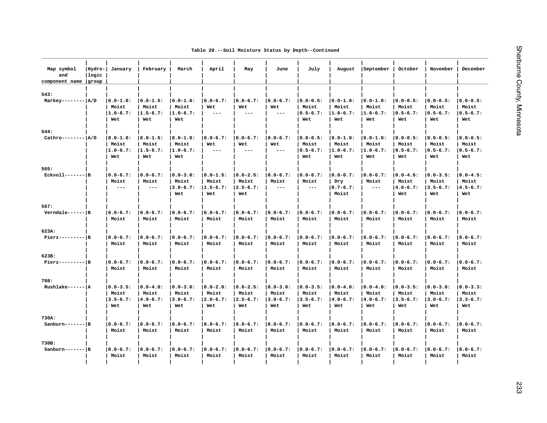| Table 20.--Soil Moisture Status by Depth--Continued |  |  |  |  |  |  |
|-----------------------------------------------------|--|--|--|--|--|--|
|-----------------------------------------------------|--|--|--|--|--|--|

| Map symbol<br>and<br>component name | Hydro-<br>llogic<br>group | January                                       | February                                      | March                                         | April                                         | May                                            | June                                           | July                                           | August                                         | September                                                                                                                                                                                                                                                                                                                                                                                                              | October                                        | November                                       | December                                       |
|-------------------------------------|---------------------------|-----------------------------------------------|-----------------------------------------------|-----------------------------------------------|-----------------------------------------------|------------------------------------------------|------------------------------------------------|------------------------------------------------|------------------------------------------------|------------------------------------------------------------------------------------------------------------------------------------------------------------------------------------------------------------------------------------------------------------------------------------------------------------------------------------------------------------------------------------------------------------------------|------------------------------------------------|------------------------------------------------|------------------------------------------------|
| 543:                                |                           |                                               |                                               |                                               |                                               |                                                |                                                |                                                |                                                |                                                                                                                                                                                                                                                                                                                                                                                                                        |                                                |                                                |                                                |
| Markey-------- $ A/D $              |                           | $ 0.0 - 1.0:$<br>Moist<br>$1.0 - 6.7:$<br>Wet | $ 0.0 - 1.5:$<br>Moist<br>$1.5 - 6.7:$<br>Wet | $ 0.0 - 1.0:$<br>Moist<br>$1.0 - 6.7:$<br>Wet | $ 0.0 - 6.7:$<br>Wet<br>$---$                 | $ 0.0 - 6.7:$<br>Wet<br>$---$                  | $ 0.0 - 6.7:$<br>Wet<br>$---$                  | $ 0.0 - 0.5:$<br>Moist<br>$ 0.5 - 6.7:$<br>Wet | $ 0.0 - 1.0:$<br>Moist<br>$ 1.0 - 6.7:$<br>Wet | $ 0.0 - 1.0:$<br>Moist<br>$1.0 - 6.7:$<br>Wet                                                                                                                                                                                                                                                                                                                                                                          | $ 0.0 - 0.5:$<br>Moist<br>$ 0.5 - 6.7:$<br>Wet | $ 0.0 - 0.5:$<br>Moist<br>$ 0.5 - 6.7:$<br>Wet | $ 0.0 - 0.5:$<br>Moist<br>$ 0.5 - 6.7:$<br>Wet |
| 544:                                |                           |                                               |                                               |                                               |                                               |                                                |                                                |                                                |                                                |                                                                                                                                                                                                                                                                                                                                                                                                                        |                                                |                                                |                                                |
| $Cathro------ A/D$                  |                           | $ 0.0 - 1.0:$<br>Moist<br>$1.0 - 6.7:$<br>Wet | $ 0.0 - 1.5:$<br>Moist<br>$1.5 - 6.7:$<br>Wet | $ 0.0 - 1.0:$<br>Moist<br>$1.0 - 6.7:$<br>Wet | $ 0.0 - 6.7:$<br>Wet<br>$---$                 | $ 0.0 - 6.7:$<br>Wet<br>$---$                  | $ 0.0 - 6.7:$<br>Wet<br>$---$                  | $ 0.0 - 0.5:$<br>Moist<br>$ 0.5 - 6.7:$<br>Wet | $ 0.0 - 1.0:$<br>Moist<br>$1.0 - 6.7:$<br>Wet  | $ 0.0 - 1.0:$<br>Moist<br>$1.0 - 6.7:$<br>Wet                                                                                                                                                                                                                                                                                                                                                                          | $ 0.0 - 0.5:$<br>Moist<br>$ 0.5 - 6.7:$<br>Wet | $ 0.0 - 0.5:$<br>Moist<br>$ 0.5 - 6.7:$<br>Wet | $ 0.0 - 0.5:$<br>Moist<br>$ 0.5 - 6.7:$<br>Wet |
| 565:                                |                           |                                               |                                               |                                               |                                               |                                                |                                                |                                                |                                                |                                                                                                                                                                                                                                                                                                                                                                                                                        |                                                |                                                |                                                |
| $Ekvol1----$                        |                           | $ 0.0 - 6.7:$<br>Moist<br>$- -$               | $ 0.0 - 6.7:$<br>Moist<br>$\qquad \qquad - -$ | $ 0.0 - 3.0:$<br>Moist<br>$3.0 - 6.7:$<br>Wet | $ 0.0 - 1.5:$<br>Moist<br>$1.5 - 6.7:$<br>Wet | $ 0.0 - 2.5:$<br>Moist<br>$ 2.5 - 6.7:$<br>Wet | $ 0.0 - 6.7:$<br>Moist<br>$---$                | $ 0.0 - 6.7:$<br>Moist<br>$- - -$              | $ 0.0 - 0.7:$<br>Dry<br>$ 0.7 - 6.7:$<br>Moist | $ 0.0 - 6.7:$<br>Moist<br>$\frac{1}{2} \frac{1}{2} \frac{1}{2} \frac{1}{2} \frac{1}{2} \frac{1}{2} \frac{1}{2} \frac{1}{2} \frac{1}{2} \frac{1}{2} \frac{1}{2} \frac{1}{2} \frac{1}{2} \frac{1}{2} \frac{1}{2} \frac{1}{2} \frac{1}{2} \frac{1}{2} \frac{1}{2} \frac{1}{2} \frac{1}{2} \frac{1}{2} \frac{1}{2} \frac{1}{2} \frac{1}{2} \frac{1}{2} \frac{1}{2} \frac{1}{2} \frac{1}{2} \frac{1}{2} \frac{1}{2} \frac{$ | $ 0.0 - 4.6:$<br>Moist<br>$ 4.6 - 6.7:$<br>Wet | $ 0.0 - 3.5:$<br>Moist<br>$13.5 - 6.7:$<br>Wet | $ 0.0 - 4.5:$<br>Moist<br>$14.5 - 6.7:$<br>Wet |
| 567:                                |                           |                                               |                                               |                                               |                                               |                                                |                                                |                                                |                                                |                                                                                                                                                                                                                                                                                                                                                                                                                        |                                                |                                                |                                                |
| $Verndale----$  B                   |                           | $ 0.0 - 6.7:$<br>Moist                        | $ 0.0 - 6.7:$<br>Moist                        | $ 0.0 - 6.7:$<br>Moist                        | $ 0.0 - 6.7:$<br>Moist                        | $ 0.0 - 6.7:$<br>Moist                         | $ 0.0 - 6.7:$<br>Moist                         | $ 0.0 - 6.7:$<br>Moist                         | $ 0.0 - 6.7:$<br>Moist                         | $ 0.0 - 6.7:$<br>Moist                                                                                                                                                                                                                                                                                                                                                                                                 | $ 0.0 - 6.7:$<br>Moist                         | $ 0.0 - 6.7:$<br>Moist                         | $ 0.0 - 6.7:$<br>Moist                         |
| 623A:                               |                           |                                               |                                               |                                               |                                               |                                                |                                                |                                                |                                                |                                                                                                                                                                                                                                                                                                                                                                                                                        |                                                |                                                |                                                |
| $Pierz-----B$                       |                           | $ 0.0 - 6.7:$<br>Moist                        | $ 0.0 - 6.7:$<br>Moist                        | $ 0.0 - 6.7:$<br>Moist                        | $ 0.0 - 6.7:$<br>Moist                        | $ 0.0 - 6.7:$<br>Moist                         | $ 0.0 - 6.7:$<br>Moist                         | $ 0.0 - 6.7:$<br>Moist                         | $ 0.0 - 6.7:$<br>Moist                         | $ 0.0 - 6.7:$<br>Moist                                                                                                                                                                                                                                                                                                                                                                                                 | $ 0.0 - 6.7:$<br>Moist                         | $10.0 - 6.7:$<br>Moist                         | $10.0 - 6.7:$<br>Moist                         |
| 623B:                               |                           |                                               |                                               |                                               |                                               |                                                |                                                |                                                |                                                |                                                                                                                                                                                                                                                                                                                                                                                                                        |                                                |                                                |                                                |
| $Pierz-----B$                       |                           | $ 0.0 - 6.7:$<br>Moist                        | $0.0 - 6.7:$<br>Moist                         | $ 0.0 - 6.7:$<br>Moist                        | $ 0.0 - 6.7:$<br>Moist                        | $ 0.0 - 6.7:$<br>Moist                         | $ 0.0 - 6.7:$<br>Moist                         | $ 0.0 - 6.7:$<br>Moist                         | $ 0.0 - 6.7:$<br>Moist                         | $ 0.0 - 6.7:$<br>Moist                                                                                                                                                                                                                                                                                                                                                                                                 | $ 0.0 - 6.7:$<br>Moist                         | $ 0.0 - 6.7:$<br>Moist                         | $ 0.0 - 6.7:$<br>Moist                         |
| 708:                                |                           |                                               |                                               |                                               |                                               |                                                |                                                |                                                |                                                |                                                                                                                                                                                                                                                                                                                                                                                                                        |                                                |                                                |                                                |
| $RushTake----$  A                   |                           | $ 0.0 - 3.5:$<br>Moist<br>$3.5 - 6.7:$<br>Wet | $ 0.0 - 4.0:$<br>Moist<br>$4.0 - 6.7:$<br>Wet | $ 0.0 - 3.0:$<br>Moist<br>$3.0 - 6.7:$<br>Wet | $ 0.0 - 2.0:$<br>Moist<br>$2.0 - 6.7:$<br>Wet | $ 0.0 - 2.5:$<br>Moist<br>$ 2.5 - 6.7:$<br>Wet | $ 0.0 - 3.0:$<br>Moist<br>$ 3.0 - 6.7:$<br>Wet | $ 0.0 - 3.5:$<br>Moist<br>$ 3.5 - 6.7:$<br>Wet | $ 0.0 - 4.0:$<br>Moist<br>$ 4.0 - 6.7:$<br>Wet | $ 0.0 - 4.0:$<br>Moist<br>$ 4.0 - 6.7:$<br>Wet                                                                                                                                                                                                                                                                                                                                                                         | $ 0.0 - 3.5:$<br>Moist<br>$ 3.5 - 6.7:$<br>Wet | $ 0.0 - 3.0:$<br>Moist<br>$13.0 - 6.7:$<br>Wet | $10.0 - 3.3:$<br>Moist<br>$13.3 - 6.7:$<br>Wet |
| 730A:                               |                           |                                               |                                               |                                               |                                               |                                                |                                                |                                                |                                                |                                                                                                                                                                                                                                                                                                                                                                                                                        |                                                |                                                |                                                |
| $Sanhurn---IB$                      |                           | $ 0.0 - 6.7:$<br>Moist                        | $ 0.0 - 6.7:$<br>Moist                        | $ 0.0 - 6.7:$<br>Moist                        | $ 0.0 - 6.7:$<br>Moist                        | $ 0.0 - 6.7:$<br>Moist                         | $ 0.0 - 6.7:$<br>Moist                         | $ 0.0 - 6.7:$<br>Moist                         | $ 0.0 - 6.7:$<br>Moist                         | $ 0.0 - 6.7:$<br>Moist                                                                                                                                                                                                                                                                                                                                                                                                 | $ 0.0 - 6.7:$<br>Moist                         | $ 0.0 - 6.7:$<br>Moist                         | $ 0.0 - 6.7:$<br>Moist                         |
| 730B:                               |                           |                                               |                                               |                                               |                                               |                                                |                                                |                                                |                                                |                                                                                                                                                                                                                                                                                                                                                                                                                        |                                                |                                                |                                                |
| $Sanhurn---IB$                      |                           | $ 0.0 - 6.7:$<br>Moist                        | $ 0.0 - 6.7:$<br>Moist                        | $ 0.0 - 6.7:$<br>Moist                        | $ 0.0 - 6.7:$<br>Moist                        | $ 0.0 - 6.7:$<br>Moist                         | $ 0.0 - 6.7:$<br>Moist                         | $ 0.0 - 6.7:$<br>Moist                         | $ 0.0 - 6.7:$<br>Moist                         | $ 0.0 - 6.7:$<br>Moist                                                                                                                                                                                                                                                                                                                                                                                                 | $ 0.0 - 6.7:$<br>Moist                         | $ 0.0 - 6.7:$<br>Moist                         | $ 0.0 - 6.7:$<br>Moist                         |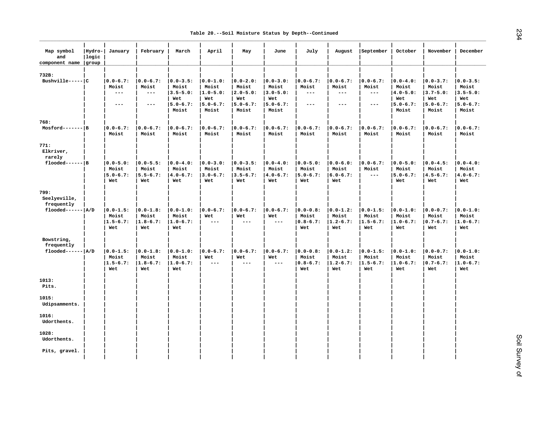| Map symbol<br>and<br>component name | Hydro-<br> logic<br>  group | January                                       | February                                      | March                                         | April                        | May                           | June                            | July                                           | August                                        | September                                     | October                                       | November                                       | December                                       |
|-------------------------------------|-----------------------------|-----------------------------------------------|-----------------------------------------------|-----------------------------------------------|------------------------------|-------------------------------|---------------------------------|------------------------------------------------|-----------------------------------------------|-----------------------------------------------|-----------------------------------------------|------------------------------------------------|------------------------------------------------|
| 732B:<br>$Bushville---C$            |                             | $ 0.0 - 6.7:$                                 | $ 0.0 - 6.7:$                                 | $10.0 - 3.5:$                                 | $10.0 - 1.0$ :               | $10.0 - 2.0:$                 | $10.0 - 3.0:$                   | $10.0 - 6.7:$                                  | $ 0.0 - 6.7:$                                 | $10.0 - 6.7:$                                 | $10.0 - 4.0:$                                 | $ 0.0 - 3.7:$                                  | $10.0 - 3.5:$                                  |
|                                     |                             | Moist<br>$---$                                | Moist<br>$\frac{1}{2}$                        | Moist<br>$3.5 - 5.0:$<br>Wet                  | Moist<br>$1.0 - 5.0:$<br>Wet | Moist<br>$ 2.0 - 5.0:$<br>Wet | Moist<br>$ 3.0 - 5.0:$<br>Wet   | Moist<br>$- - -$                               | Moist<br>$---$                                | Moist<br>$\qquad \qquad - -$                  | Moist<br>$ 4.0 - 5.0:$<br>Wet                 | Moist<br>$ 3.7 - 5.0:$<br>Wet                  | Moist<br>$ 3.5 - 5.0:$<br>Wet                  |
|                                     |                             | $---$                                         | $---$                                         | $ 5.0 - 6.7:$<br>Moist                        | $ 5.0 - 6.7:$<br>Moist       | $ 5.0 - 6.7:$<br>Moist        | $ 5.0 - 6.7:$<br>Moist          | $- - -$                                        | $---$                                         | $---$                                         | $ 5.0 - 6.7:$<br>Moist                        | $ 5.0 - 6.7:$<br>Moist                         | $5.0 - 6.7:$<br>Moist                          |
| 768:<br>$Mostord----$               |                             | $ 0.0 - 6.7:$                                 | $ 0.0 - 6.7:$                                 | $ 0.0 - 6.7:$                                 | $ 0.0 - 6.7:$                | $ 0.0 - 6.7:$                 | $ 0.0 - 6.7:$                   | $ 0.0 - 6.7:$                                  | $ 0.0 - 6.7:$                                 | $ 0.0 - 6.7:$                                 | $ 0.0 - 6.7:$                                 | $ 0.0 - 6.7:$                                  | $ 0.0 - 6.7:$                                  |
|                                     |                             | Moist                                         | Moist                                         | Moist                                         | Moist                        | Moist                         | Moist                           | Moist                                          | Moist                                         | Moist                                         | Moist                                         | Moist                                          | Moist                                          |
| 771:<br>Elkriver,<br>rarely         |                             |                                               |                                               |                                               |                              |                               |                                 |                                                |                                               |                                               |                                               |                                                |                                                |
| $f$ looded------ B                  |                             | $ 0.0 - 5.0:$<br>Moist                        | $ 0.0 - 5.5:$<br>Moist                        | $ 0.0 - 4.0:$<br>Moist                        | $ 0.0 - 3.0:$<br>Moist       | $ 0.0 - 3.5:$<br>Moist        | $ 0.0 - 4.0:$<br>Moist          | $ 0.0 - 5.0:$<br>Moist                         | $ 0.0 - 6.0:$<br>Moist                        | $ 0.0 - 6.7:$<br>Moist                        | $ 0.0 - 5.0:$<br>Moist                        | $ 0.0 - 4.5:$<br>Moist                         | $ 0.0 - 4.0:$<br>Moist                         |
|                                     |                             | $5.0 - 6.7:$<br>Wet                           | $5.5 - 6.7:$<br>Wet                           | $ 4.0 - 6.7:$<br>Wet                          | $ 3.0 - 6.7:$<br>Wet         | $ 3.5 - 6.7:$<br>Wet          | $ 4.0 - 6.7:$<br>Wet            | $ 5.0 - 6.7:$<br>Wet                           | $6.0 - 6.7:$<br>Wet                           | $  -$                                         | $5.0 - 6.7:$<br>Wet                           | $ 4.5 - 6.7:$<br>Wet                           | $14.0 - 6.7:$<br>Wet                           |
| 799:<br>Seelyeville,<br>frequently  |                             |                                               |                                               |                                               |                              |                               |                                 |                                                |                                               |                                               |                                               |                                                |                                                |
| flooded------   A/D                 |                             | $ 0.0 - 1.5:$                                 | $ 0.0 - 1.8:$                                 | $ 0.0 - 1.0:$                                 | $ 0.0 - 6.7:$                | $ 0.0 - 6.7:$                 | $ 0.0 - 6.7:$                   | $ 0.0 - 0.8:$                                  | $ 0.0 - 1.2:$                                 | $10.0 - 1.5:$                                 | $ 0.0 - 1.0:$                                 | $ 0.0 - 0.7:$                                  | $10.0 - 1.0$ :                                 |
|                                     |                             | Moist<br>$1.5 - 6.7:$<br>Wet                  | Moist<br>$1.8 - 6.7:$<br>Wet                  | Moist<br>$1.0 - 6.7:$<br>Wet                  | Wet<br>$---$                 | Wet<br>$---$                  | Wet<br>$---$                    | Moist<br>$ 0.8 - 6.7:$<br>Wet                  | Moist<br>$1.2 - 6.7:$<br>Wet                  | Moist<br>$1.5 - 6.7:$<br>Wet                  | Moist<br>$1.0 - 6.7:$<br>Wet                  | Moist<br>$ 0.7 - 6.7:$<br>Wet                  | Moist<br>$1.0 - 6.7:$<br>Wet                   |
| Bowstring,<br>frequently            |                             |                                               |                                               |                                               |                              |                               |                                 |                                                |                                               |                                               |                                               |                                                |                                                |
| $f$ looded------ $ A/D$             |                             | $ 0.0 - 1.5:$<br>Moist<br>$1.5 - 6.7:$<br>Wet | $ 0.0 - 1.8:$<br>Moist<br>$1.8 - 6.7:$<br>Wet | $ 0.0 - 1.0:$<br>Moist<br>$1.0 - 6.7:$<br>Wet | $ 0.0 - 6.7:$<br>Wet<br>$--$ | $ 0.0 - 6.7:$<br>Wet<br>$---$ | $ 0.0 - 6.7:$<br>Wet<br>$- - -$ | $ 0.0 - 0.8:$<br>Moist<br>$ 0.8 - 6.7:$<br>Wet | $ 0.0 - 1.2:$<br>Moist<br>$1.2 - 6.7:$<br>Wet | $ 0.0 - 1.5:$<br>Moist<br>$1.5 - 6.7:$<br>Wet | $ 0.0 - 1.0:$<br>Moist<br>$1.0 - 6.7:$<br>Wet | $ 0.0 - 0.7:$<br>Moist<br>$ 0.7 - 6.7:$<br>Wet | $10.0 - 1.0$ :<br>Moist<br>$1.0 - 6.7:$<br>Wet |
| 1013:<br>Pits.                      |                             |                                               |                                               |                                               |                              |                               |                                 |                                                |                                               |                                               |                                               |                                                |                                                |
| 1015:<br>Udipsamments.              |                             |                                               |                                               |                                               |                              |                               |                                 |                                                |                                               |                                               |                                               |                                                |                                                |
| 1016:<br>Udorthents.                |                             |                                               |                                               |                                               |                              |                               |                                 |                                                |                                               |                                               |                                               |                                                |                                                |
| 1028:<br>Udorthents.                |                             |                                               |                                               |                                               |                              |                               |                                 |                                                |                                               |                                               |                                               |                                                |                                                |
| Pits, gravel.                       |                             |                                               |                                               |                                               |                              |                               |                                 |                                                |                                               |                                               |                                               |                                                |                                                |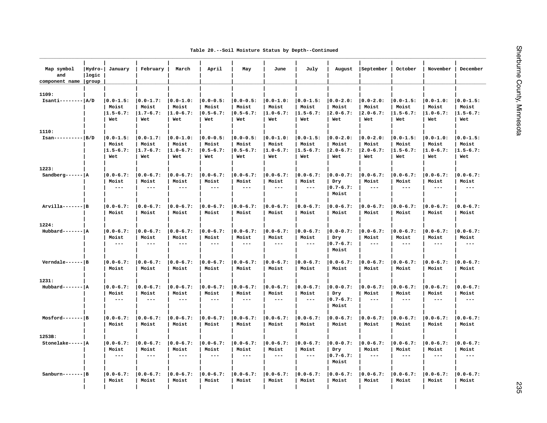|  |  |  |  |  |  | Table 20.--Soil Moisture Status by Depth--Continued |
|--|--|--|--|--|--|-----------------------------------------------------|
|--|--|--|--|--|--|-----------------------------------------------------|

| Map symbol<br>and<br>component name | Hydro- <br> logic<br>group | January                                        | February                                       | March                                          | April                                   | May                                           | June                                           | July                                          | August                                         | September                                     | October                                       | November                                | December                                |
|-------------------------------------|----------------------------|------------------------------------------------|------------------------------------------------|------------------------------------------------|-----------------------------------------|-----------------------------------------------|------------------------------------------------|-----------------------------------------------|------------------------------------------------|-----------------------------------------------|-----------------------------------------------|-----------------------------------------|-----------------------------------------|
| 1109:                               |                            |                                                |                                                |                                                |                                         |                                               |                                                |                                               |                                                |                                               |                                               |                                         |                                         |
| $Isanti----- A/D$                   |                            | $ 0.0 - 1.5:$<br>Moist<br>$1.5 - 6.7:$         | $ 0.0 - 1.7:$<br>Moist<br>$1.7 - 6.7:$         | $ 0.0 - 1.0:$<br>Moist<br>$ 1.0 - 6.7:$        | $ 0.0 - 0.5:$<br>Moist<br>$ 0.5 - 6.7:$ | $ 0.0 - 0.5:$<br>Moist<br>$ 0.5 - 6.7:$       | $ 0.0 - 1.0:$<br>Moist<br>$1.0 - 6.7:$         | $ 0.0 - 1.5:$<br>Moist<br>$1.5 - 6.7:$        | $ 0.0 - 2.0:$<br>Moist<br>$ 2.0 - 6.7:$        | $ 0.0 - 2.0:$<br>Moist<br>$ 2.0 - 6.7:$       | $ 0.0 - 1.5:$<br>Moist<br>$1.5 - 6.7:$        | $ 0.0 - 1.0:$<br>Moist<br>$1.0 - 6.7:$  | $ 0.0 - 1.5:$<br>Moist<br>$1.5 - 6.7:$  |
|                                     |                            | Wet                                            | Wet                                            | Wet                                            | Wet                                     | Wet                                           | Wet                                            | Wet                                           | Wet                                            | Wet                                           | Wet                                           | Wet                                     | Wet                                     |
| 1110:                               |                            |                                                |                                                |                                                |                                         |                                               |                                                |                                               |                                                |                                               |                                               |                                         |                                         |
| $Isan------ B/D$                    |                            | $ 0.0 - 1.5:$<br>Moist<br>$1.5 - 6.7:$         | $ 0.0-1.7:$<br>Moist<br>$1.7 - 6.7:$           | $ 0.0 - 1.0:$<br>Moist<br>$1.0 - 6.7:$         | $ 0.0 - 0.5:$<br>Moist<br>$ 0.5 - 6.7:$ | $ 0.0 - 0.5:$<br>Moist<br>$ 0.5 - 6.7:$       | $ 0.0 - 1.0:$<br>Moist<br>$1.0 - 6.7:$         | $ 0.0 - 1.5:$<br>Moist<br>$1.5 - 6.7:$        | $ 0.0 - 2.0:$<br>Moist<br>$ 2.0 - 6.7:$        | $ 0.0 - 2.0:$<br>Moist<br>$ 2.0 - 6.7:$       | $ 0.0 - 1.5:$<br>Moist<br>$1.5 - 6.7:$        | $ 0.0 - 1.0:$<br>Moist<br>$1.0 - 6.7:$  | $ 0.0 - 1.5:$<br>Moist<br>$1.5 - 6.7:$  |
|                                     |                            | Wet                                            | Wet                                            | Wet                                            | Wet                                     | Wet                                           | Wet                                            | Wet                                           | Wet                                            | Wet                                           | Wet                                           | Wet                                     | Wet                                     |
| 1223:                               |                            |                                                |                                                |                                                |                                         |                                               |                                                |                                               |                                                |                                               |                                               |                                         |                                         |
| Sandberg------ $ A $                |                            | $ 0.0 - 6.7:$<br>Moist<br>$---$                | $0.0 - 6.7:$<br>Moist<br>$- - -$               | $ 0.0 - 6.7:$<br>Moist<br>$- - -$              | $ 0.0 - 6.7:$<br>Moist<br>$---$         | $ 0.0 - 6.7:$<br>Moist<br>$---$               | $ 0.0 - 6.7:$<br>Moist<br>$---$                | $ 0.0 - 6.7:$<br>Moist<br>$- - -$             | $ 0.0 - 0.7:$<br>Dry<br>$ 0.7 - 6.7:$<br>Moist | $ 0.0 - 6.7:$<br>Moist<br>$---$               | $ 0.0 - 6.7:$<br>Moist<br>$---$               | $ 0.0 - 6.7:$<br>Moist<br>$---$         | $ 0.0 - 6.7:$<br>Moist<br>$---$         |
| $Arvilla----P$                      |                            | $ 0.0 - 6.7:$                                  | $ 0.0 - 6.7:$                                  | $ 0.0 - 6.7:$                                  | $ 0.0 - 6.7:$                           | $ 0.0 - 6.7:$                                 | $ 0.0 - 6.7:$                                  | $ 0.0 - 6.7:$                                 | $ 0.0 - 6.7:$                                  | $ 0.0 - 6.7:$                                 | $ 0.0 - 6.7:$                                 | $ 0.0 - 6.7:$                           | $ 0.0 - 6.7:$                           |
|                                     |                            | Moist                                          | Moist                                          | Moist                                          | Moist                                   | Moist                                         | Moist                                          | Moist                                         | Moist                                          | Moist                                         | Moist                                         | Moist                                   | Moist                                   |
| 1224:                               |                            |                                                |                                                |                                                |                                         |                                               |                                                |                                               |                                                |                                               |                                               |                                         |                                         |
| $Hubbard----- A$                    |                            | $ 0.0 - 6.7:$<br>Moist<br>$\qquad \qquad - -$  | $ 0.0 - 6.7:$<br>Moist<br>$- - -$              | $ 0.0 - 6.7:$<br>Moist<br>$\qquad \qquad - -$  | $ 0.0 - 6.7:$<br>Moist<br>$- - -$       | $ 0.0 - 6.7:$<br>Moist<br>$\qquad \qquad - -$ | $ 0.0 - 6.7:$<br>Moist<br>$---$                | $ 0.0 - 6.7:$<br>Moist<br>$\qquad \qquad - -$ | $ 0.0 - 0.7:$<br>Dry<br>$ 0.7 - 6.7:$<br>Moist | $ 0.0 - 6.7:$<br>Moist<br>$---$               | $ 0.0 - 6.7:$<br>Moist<br>$---$               | $ 0.0 - 6.7:$<br>Moist<br>$--$          | $ 0.0 - 6.7:$<br>Moist<br>$\frac{1}{2}$ |
| $Verndale--- B$                     |                            | $ 0.0 - 6.7:$<br>Moist                         | $ 0.0 - 6.7:$<br>Moist                         | $ 0.0 - 6.7:$<br>Moist                         | $ 0.0 - 6.7:$<br>Moist                  | $ 0.0 - 6.7:$<br>Moist                        | $ 0.0 - 6.7:$<br>Moist                         | $ 0.0 - 6.7:$<br>Moist                        | $ 0.0 - 6.7:$<br>Moist                         | $ 0.0 - 6.7:$<br>Moist                        | $ 0.0 - 6.7:$<br>Moist                        | $ 0.0 - 6.7:$<br>Moist                  | $ 0.0 - 6.7:$<br>Moist                  |
| 1231:                               |                            |                                                |                                                |                                                |                                         |                                               |                                                |                                               |                                                |                                               |                                               |                                         |                                         |
| $Hubbard-----A$                     |                            | $ 0.0 - 6.7:$<br>Moist<br>$- - -$              | $ 0.0 - 6.7:$<br>Moist<br>$- - -$              | $ 0.0 - 6.7:$<br>Moist<br>$\qquad \qquad - -$  | $ 0.0 - 6.7:$<br>Moist<br>$---$         | $ 0.0 - 6.7:$<br>Moist<br>$---$               | $ 0.0 - 6.7:$<br>Moist<br>$\qquad \qquad - -$  | $ 0.0 - 6.7:$<br>Moist<br>$\qquad \qquad - -$ | $ 0.0 - 0.7:$<br>Dry<br>$ 0.7 - 6.7:$<br>Moist | $ 0.0 - 6.7:$<br>Moist<br>$---$               | $ 0.0 - 6.7:$<br>Moist<br>$---$               | $10.0 - 6.7:$<br>Moist<br>$\frac{1}{2}$ | $10.0 - 6.7:$<br>Moist<br>$\frac{1}{2}$ |
| Mosford------- B                    |                            | $ 0.0 - 6.7:$<br>Moist                         | $0.0 - 6.7:$<br>Moist                          | $ 0.0 - 6.7:$<br>Moist                         | $ 0.0 - 6.7:$<br>Moist                  | $ 0.0 - 6.7:$<br>Moist                        | $ 0.0 - 6.7:$<br>Moist                         | $ 0.0 - 6.7:$<br>Moist                        | $ 0.0 - 6.7:$<br>Moist                         | $ 0.0 - 6.7:$<br>Moist                        | $ 0.0 - 6.7:$<br>Moist                        | $ 0.0 - 6.7:$<br>Moist                  | $ 0.0 - 6.7:$<br>Moist                  |
| 1253B:                              |                            |                                                |                                                |                                                |                                         |                                               |                                                |                                               |                                                |                                               |                                               |                                         |                                         |
| Stonelake-----   A                  |                            | $ 0.0 - 6.7:$<br>Moist<br>$\sim$ $\sim$ $\sim$ | $ 0.0 - 6.7:$<br>Moist<br>$\sim$ $\sim$ $\sim$ | $ 0.0 - 6.7:$<br>Moist<br>$\sim$ $\sim$ $\sim$ | $ 0.0 - 6.7:$<br>Moist<br>$- - -$       | $ 0.0 - 6.7:$<br>Moist<br>$- - -$             | $ 0.0 - 6.7:$<br>Moist<br>$\sim$ $\sim$ $\sim$ | $ 0.0 - 6.7:$<br>Moist<br>$- -$               | $ 0.0 - 0.7:$<br>Dry<br>$ 0.7 - 6.7:$          | $ 0.0 - 6.7:$<br>Moist<br>$\qquad \qquad - -$ | $ 0.0 - 6.7:$<br>Moist<br>$\qquad \qquad - -$ | $ 0.0 - 6.7:$<br>Moist<br>$---$         | $ 0.0 - 6.7:$<br>Moist<br>$\frac{1}{2}$ |
| $Sanhurn----$                       |                            | $ 0.0 - 6.7:$                                  | $ 0.0 - 6.7:$                                  | $ 0.0 - 6.7:$                                  | $ 0.0 - 6.7:$                           | $ 0.0 - 6.7:$                                 | $ 0.0 - 6.7:$                                  | $ 0.0 - 6.7:$                                 | Moist<br>$ 0.0 - 6.7:$                         | $ 0.0 - 6.7:$                                 | $ 0.0 - 6.7:$                                 | $ 0.0 - 6.7:$                           | $ 0.0 - 6.7:$                           |
|                                     |                            | Moist                                          | Moist                                          | Moist                                          | Moist                                   | Moist                                         | Moist                                          | Moist                                         | Moist                                          | Moist                                         | Moist                                         | Moist                                   | Moist                                   |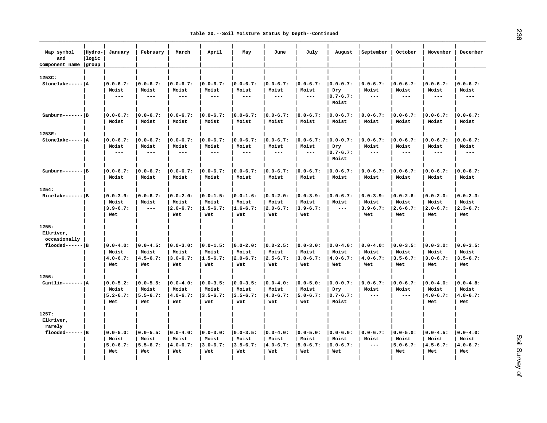| Map symbol<br>and<br>component name group | Hydro-<br> logic | January                                        | February                                       | March                                          | April                                          | May                                            | June                                           | July                                           | August                                         | September                                      | October                                        | November                                       | December                                       |
|-------------------------------------------|------------------|------------------------------------------------|------------------------------------------------|------------------------------------------------|------------------------------------------------|------------------------------------------------|------------------------------------------------|------------------------------------------------|------------------------------------------------|------------------------------------------------|------------------------------------------------|------------------------------------------------|------------------------------------------------|
| 1253C:                                    |                  |                                                |                                                |                                                |                                                |                                                |                                                |                                                |                                                |                                                |                                                |                                                |                                                |
| Stonelake-----   A                        |                  | $ 0.0 - 6.7:$<br>Moist<br>$\frac{1}{2}$        | $0.0 - 6.7:$<br>Moist<br>$- - -$               | $ 0.0 - 6.7:$<br>Moist<br>$\sim$ $\sim$ $\sim$ | $ 0.0 - 6.7:$<br>Moist<br>$\frac{1}{2}$        | $ 0.0 - 6.7:$<br>Moist<br>$  -$                | $0.0 - 6.7:$<br>Moist<br>$\sim$ $\sim$ $\sim$  | $ 0.0 - 6.7:$<br>Moist<br>$- -$                | $ 0.0 - 0.7:$<br>Dry<br>$ 0.7 - 6.7:$<br>Moist | $ 0.0 - 6.7:$<br>Moist<br>$\frac{1}{2}$        | $ 0.0 - 6.7:$<br>Moist<br>$\frac{1}{2}$        | $10.0 - 6.7:$<br>Moist<br>$---$                | $10.0 - 6.7:$<br>Moist<br>$- - -$              |
| $Sanhurn---IB$                            |                  | $ 0.0 - 6.7:$<br>Moist                         | $ 0.0 - 6.7:$<br>Moist                         | $ 0.0 - 6.7:$<br>Moist                         | $ 0.0 - 6.7:$<br>Moist                         | $ 0.0 - 6.7:$<br>Moist                         | $ 0.0 - 6.7:$<br>Moist                         | $ 0.0 - 6.7:$<br>Moist                         | $ 0.0 - 6.7:$<br>Moist                         | $ 0.0 - 6.7:$<br>Moist                         | $ 0.0 - 6.7:$<br>Moist                         | $10.0 - 6.7:$<br>Moist                         | $10.0 - 6.7:$<br>Moist                         |
| 1253E:                                    |                  |                                                |                                                |                                                |                                                |                                                |                                                |                                                |                                                |                                                |                                                |                                                |                                                |
| Stonelake-----   A                        |                  | $ 0.0 - 6.7:$<br>Moist<br>$\qquad \qquad - -$  | $ 0.0 - 6.7:$<br>Moist<br>$---$                | $ 0.0 - 6.7:$<br>Moist<br>$\qquad \qquad - -$  | $ 0.0 - 6.7:$<br>Moist<br>$\qquad \qquad - -$  | $ 0.0 - 6.7:$<br>Moist<br>$\qquad \qquad - -$  | $0.0 - 6.7:$<br>Moist<br>$- - -$               | $ 0.0 - 6.7:$<br>Moist<br>$- -$                | $ 0.0 - 0.7:$<br>Dry<br>$ 0.7 - 6.7:$<br>Moist | $ 0.0 - 6.7:$<br>Moist<br>$\frac{1}{2}$        | $ 0.0 - 6.7:$<br>Moist<br>$---$                | $ 0.0 - 6.7:$<br>Moist<br>$- - -$              | $ 0.0 - 6.7:$<br>Moist<br>$  -$                |
| $Sanburn---IB$                            |                  | $ 0.0 - 6.7:$<br>Moist                         | $ 0.0 - 6.7:$<br>Moist                         | $10.0 - 6.7:$<br>Moist                         | $10.0 - 6.7:$<br>Moist                         | $10.0 - 6.7:$<br>Moist                         | $ 0.0 - 6.7:$<br>Moist                         | $10.0 - 6.7:$<br>Moist                         | $10.0 - 6.7:$<br>Moist                         | $ 0.0 - 6.7:$<br>Moist                         | $10.0 - 6.7:$<br>Moist                         | $10.0 - 6.7:$<br>Moist                         | $10.0 - 6.7:$<br>Moist                         |
| 1254:                                     |                  |                                                |                                                |                                                |                                                |                                                |                                                |                                                |                                                |                                                |                                                |                                                |                                                |
| $Ricelake---- B $                         |                  | $ 0.0 - 3.9:$<br>Moist<br>$3.9 - 6.7:$<br>Wet  | $ 0.0 - 6.7:$<br>Moist<br>$\frac{1}{2}$        | $ 0.0 - 2.0:$<br>Moist<br>$ 2.0 - 6.7:$<br>Wet | $ 0.0 - 1.5:$<br>Moist<br>$1.5 - 6.7:$<br>Wet  | $ 0.0 - 1.6:$<br>Moist<br>$1.6 - 6.7:$<br>Wet  | $ 0.0 - 2.0:$<br>Moist<br>$2.0 - 6.7:$<br>Wet  | $ 0.0 - 3.9:$<br>Moist<br>$ 3.9 - 6.7:$<br>Wet | $ 0.0 - 6.7:$<br>Moist<br>$\frac{1}{2}$        | $ 0.0 - 3.9:$<br>Moist<br>$3.9 - 6.7:$<br>Wet  | $ 0.0 - 2.6:$<br>Moist<br>$ 2.6 - 6.7:$<br>Wet | $ 0.0 - 2.0:$<br>Moist<br>$ 2.0 - 6.7:$<br>Wet | $ 0.0 - 2.3:$<br>Moist<br>$ 2.3 - 6.7:$<br>Wet |
| 1255:<br>Elkriver,<br>occasionally        |                  |                                                |                                                |                                                |                                                |                                                |                                                |                                                |                                                |                                                |                                                |                                                |                                                |
| $f$ looded------ B                        |                  | $ 0.0 - 4.0:$<br>Moist<br>$4.0 - 6.7:$<br>Wet  | $ 0.0 - 4.5:$<br>Moist<br>$4.5 - 6.7:$<br>Wet  | $ 0.0 - 3.0:$<br>Moist<br>$ 3.0 - 6.7:$<br>Wet | $ 0.0 - 1.5:$<br>Moist<br>$ 1.5 - 6.7:$<br>Wet | $ 0.0 - 2.0:$<br>Moist<br>$ 2.0 - 6.7:$<br>Wet | $ 0.0 - 2.5:$<br>Moist<br>$2.5 - 6.7:$<br>Wet  | $ 0.0 - 3.0:$<br>Moist<br>$ 3.0 - 6.7:$<br>Wet | $ 0.0 - 4.0:$<br>Moist<br>$ 4.0 - 6.7:$<br>Wet | $ 0.0 - 4.0:$<br>Moist<br>$ 4.0 - 6.7:$<br>Wet | $ 0.0 - 3.5:$<br>Moist<br>$ 3.5 - 6.7:$<br>Wet | $ 0.0 - 3.0:$<br>Moist<br>$3.0 - 6.7:$<br>Wet  | $ 0.0 - 3.5:$<br>Moist<br>$3.5 - 6.7:$<br>Wet  |
| 1256:                                     |                  |                                                |                                                |                                                |                                                |                                                |                                                |                                                |                                                |                                                |                                                |                                                |                                                |
| $Cantlin---A$                             |                  | $ 0.0 - 5.2:$<br>Moist<br>$15.2 - 6.7:$<br>Wet | $ 0.0 - 5.5:$<br>Moist<br>$5.5 - 6.7:$<br>Wet  | $ 0.0 - 4.0:$<br>Moist<br>$14.0 - 6.7:$<br>Wet | $ 0.0 - 3.5:$<br>Moist<br>$ 3.5 - 6.7:$<br>Wet | $ 0.0 - 3.5:$<br>Moist<br>$13.5 - 6.7:$<br>Wet | $ 0.0 - 4.0:$<br>Moist<br>$4.0 - 6.7:$<br>Wet  | $ 0.0 - 5.0:$<br>Moist<br>$15.0 - 6.7:$<br>Wet | $ 0.0 - 0.7:$<br>Dry<br>$10.7 - 6.7:$<br>Moist | $ 0.0 - 6.7:$<br>Moist<br>$---$                | $ 0.0 - 6.7:$<br>Moist<br>$\qquad \qquad - -$  | $ 0.0 - 4.0:$<br>Moist<br>$ 4.0 - 6.7:$<br>Wet | $ 0.0 - 4.8:$<br>Moist<br>$14.8 - 6.7:$<br>Wet |
| 1257:<br>Elkriver,<br>rarely              |                  |                                                |                                                |                                                |                                                |                                                |                                                |                                                |                                                |                                                |                                                |                                                |                                                |
| $f$ looded------ B                        |                  | $ 0.0 - 5.0:$<br>Moist<br>$5.0 - 6.7:$<br>Wet  | $ 0.0 - 5.5:$<br>Moist<br>$ 5.5 - 6.7:$<br>Wet | $ 0.0 - 4.0:$<br>Moist<br>$ 4.0 - 6.7:$<br>Wet | $ 0.0 - 3.0:$<br>Moist<br>$ 3.0 - 6.7:$<br>Wet | $ 0.0 - 3.5:$<br>Moist<br>$3.5 - 6.7:$<br>Wet  | $ 0.0 - 4.0:$<br>Moist<br>$ 4.0 - 6.7:$<br>Wet | $ 0.0 - 5.0:$<br>Moist<br>$ 5.0 - 6.7:$<br>Wet | $ 0.0 - 6.0:$<br>Moist<br>$ 6.0 - 6.7:$<br>Wet | $ 0.0 - 6.7:$<br>Moist<br>$\frac{1}{2}$        | $ 0.0 - 5.0:$<br>Moist<br>$15.0 - 6.7:$<br>Wet | $ 0.0 - 4.5:$<br>Moist<br>$ 4.5 - 6.7:$<br>Wet | $ 0.0 - 4.0:$<br>Moist<br>$ 4.0 - 6.7:$<br>Wet |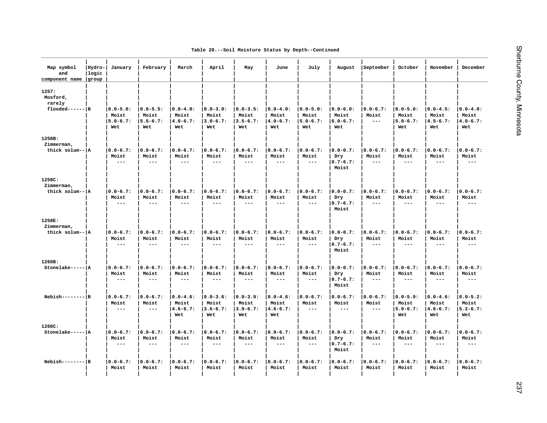|  |  | Table 20.--Soil Moisture Status by Depth--Continued |
|--|--|-----------------------------------------------------|
|  |  |                                                     |

| Map symbol<br>and<br>component name | Hydro- <br>logic<br>group | January                                       | February                                      | March                                          | April                                         | May                                           | June                                          | July                                           | August                                         | September                               | October                                        | November                                       | December                                        |
|-------------------------------------|---------------------------|-----------------------------------------------|-----------------------------------------------|------------------------------------------------|-----------------------------------------------|-----------------------------------------------|-----------------------------------------------|------------------------------------------------|------------------------------------------------|-----------------------------------------|------------------------------------------------|------------------------------------------------|-------------------------------------------------|
| 1257:<br>Mosford,<br>rarely         |                           |                                               |                                               |                                                |                                               |                                               |                                               |                                                |                                                |                                         |                                                |                                                |                                                 |
| $f$ looded------ B                  |                           | $ 0.0 - 5.0:$<br>Moist<br>$5.0 - 6.7:$<br>Wet | $ 0.0 - 5.5:$<br>Moist<br>$5.5 - 6.7:$<br>Wet | $ 0.0 - 4.0:$<br>Moist<br>$4.0 - 6.7:$<br>Wet  | $ 0.0 - 3.0:$<br>Moist<br>$3.0 - 6.7:$<br>Wet | $ 0.0 - 3.5:$<br>Moist<br>$3.5 - 6.7:$<br>Wet | $ 0.0 - 4.0:$<br>Moist<br>$4.0 - 6.7:$<br>Wet | $ 0.0 - 5.0:$<br>Moist<br>$15.0 - 6.7:$<br>Wet | $ 0.0 - 6.0:$<br>Moist<br>$16.0 - 6.7:$<br>Wet | $ 0.0 - 6.7:$<br>Moist<br>$---$         | $ 0.0 - 5.0:$<br>Moist<br>$15.0 - 6.7:$<br>Wet | $ 0.0 - 4.5:$<br>Moist<br>$14.5 - 6.7:$<br>Wet | $ 0.0 - 4.0:$<br>Moist<br>$14.0 - 6.7:$<br>Wet  |
| 1258B:                              |                           |                                               |                                               |                                                |                                               |                                               |                                               |                                                |                                                |                                         |                                                |                                                |                                                 |
| Zimmerman,<br>thick solum--   A     |                           | $ 0.0 - 6.7:$<br>Moist<br>$- -$               | $ 0.0 - 6.7:$<br>Moist<br>$\qquad \qquad - -$ | $ 0.0 - 6.7:$<br>Moist<br>$- - -$              | $ 0.0 - 6.7:$<br>Moist<br>$\frac{1}{2}$       | $ 0.0 - 6.7:$<br>Moist<br>$- - -$             | $ 0.0 - 6.7:$<br>Moist<br>$\qquad \qquad - -$ | $ 0.0 - 6.7:$<br>Moist<br>$- - -$              | $ 0.0 - 0.7:$<br>Dry<br>$ 0.7 - 6.7:$<br>Moist | $ 0.0 - 6.7:$<br>Moist<br>$- - -$       | $ 0.0 - 6.7:$<br>Moist<br>$---$                | $ 0.0 - 6.7:$<br>Moist<br>$\frac{1}{2}$        | $ 0.0 - 6.7:$<br>Moist<br>$- - -$               |
| 1258C:                              |                           |                                               |                                               |                                                |                                               |                                               |                                               |                                                |                                                |                                         |                                                |                                                |                                                 |
| Zimmerman,<br>thick solum--   A     |                           | $ 0.0 - 6.7:$<br>Moist<br>$- -$               | $ 0.0 - 6.7:$<br>Moist<br>$\qquad \qquad - -$ | $ 0.0 - 6.7:$<br>Moist<br>$- - -$              | $ 0.0 - 6.7:$<br>Moist<br>$\frac{1}{2}$       | $ 0.0 - 6.7:$<br>Moist<br>$---$               | $ 0.0 - 6.7:$<br>Moist<br>$\frac{1}{2}$       | $ 0.0 - 6.7:$<br>Moist<br>$- -$                | $ 0.0 - 0.7:$<br>Dry<br>$ 0.7 - 6.7:$<br>Moist | $ 0.0 - 6.7:$<br>Moist<br>$- - -$       | $ 0.0 - 6.7:$<br>Moist<br>$- - -$              | $ 0.0 - 6.7:$<br>Moist<br>$---$                | $10.0 - 6.7:$<br>Moist<br>$---$                 |
| 1258E:                              |                           |                                               |                                               |                                                |                                               |                                               |                                               |                                                |                                                |                                         |                                                |                                                |                                                 |
| Zimmerman,<br>thick solum--lA       |                           | $ 0.0 - 6.7:$<br>Moist<br>$- -$               | $ 0.0 - 6.7:$<br>Moist<br>$\qquad \qquad - -$ | $ 0.0 - 6.7:$<br>Moist<br>$\sim$ $\sim$ $\sim$ | $ 0.0 - 6.7:$<br>Moist<br>$\frac{1}{2}$       | $ 0.0 - 6.7:$<br>Moist<br>$\qquad \qquad - -$ | $ 0.0 - 6.7:$<br>Moist<br>$\qquad \qquad - -$ | $ 0.0 - 6.7:$<br>Moist<br>$- - -$              | $ 0.0 - 0.7:$<br>Dry<br>$ 0.7 - 6.7:$<br>Moist | $ 0.0 - 6.7:$<br>Moist<br>$\frac{1}{2}$ | $ 0.0 - 6.7:$<br>Moist<br>$---$                | $ 0.0 - 6.7:$<br>Moist<br>$\frac{1}{2}$        | $10.0 - 6.7:$<br>Moist<br>$- - -$               |
| 1260B:                              |                           |                                               |                                               |                                                |                                               |                                               |                                               |                                                |                                                |                                         |                                                |                                                |                                                 |
| Stonelake----- A                    |                           | $ 0.0 - 6.7:$<br>Moist<br>$- - -$             | $ 0.0 - 6.7:$<br>Moist<br>$- - -$             | $ 0.0 - 6.7:$<br>Moist<br>$- - -$              | $ 0.0 - 6.7:$<br>Moist<br>$---$               | $ 0.0 - 6.7:$<br>Moist<br>$- -$               | $10.0 - 6.7:$<br>Moist<br>$---$               | $ 0.0 - 6.7:$<br>Moist<br>$- -$                | $ 0.0 - 0.7:$<br>Dry<br>$0.7 - 6.7:$<br>Moist  | $ 0.0 - 6.7:$<br>Moist<br>$- - -$       | $10.0 - 6.7:$<br>Moist<br>$--$                 | $10.0 - 6.7:$<br>Moist<br>$---$                | $10.0 - 6.7:$<br>Moist<br>$- - -$               |
| $Nebish-----B$                      |                           | $ 0.0 - 6.7:$<br>Moist<br>$---$               | $ 0.0 - 6.7:$<br>Moist<br>$- - -$             | $ 0.0 - 4.6:$<br>Moist<br>$4.6 - 6.7:$<br>Wet  | $ 0.0 - 3.6:$<br>Moist<br>$3.6 - 6.7:$<br>Wet | $ 0.0 - 3.9:$<br>Moist<br>$3.9 - 6.7:$<br>Wet | $ 0.0 - 4.6:$<br>Moist<br>$4.6 - 6.7:$<br>Wet | $ 0.0 - 6.7:$<br>Moist<br>$\sim$ $\sim$ $\sim$ | $ 0.0 - 6.7:$<br>Moist<br>$---$                | $ 0.0 - 6.7:$<br>Moist<br>$---$         | $ 0.0 - 5.9:$<br>Moist<br>$15.9 - 6.7:$<br>Wet | $ 0.0 - 4.6:$<br>Moist<br>$ 4.6 - 6.7:$<br>Wet | $10.0 - 5.2$ :<br>Moist<br>$15.2 - 6.7:$<br>Wet |
| 1260C:                              |                           |                                               |                                               |                                                |                                               |                                               |                                               |                                                |                                                |                                         |                                                |                                                |                                                 |
| Stonelake----- A                    |                           | $ 0.0 - 6.7:$<br>Moist<br>$\frac{1}{2}$       | $0.0 - 6.7:$<br>Moist<br>$--$                 | $ 0.0 - 6.7:$<br>Moist<br>$---$                | $0.0 - 6.7:$<br>Moist<br>$---$                | $ 0.0 - 6.7:$<br>Moist<br>$---$               | $ 0.0 - 6.7:$<br>Moist<br>$- - -$             | $ 0.0 - 6.7:$<br>Moist<br>$--$                 | $ 0.0 - 0.7:$<br>Dry<br>$ 0.7 - 6.7:$<br>Moist | $ 0.0 - 6.7:$<br>Moist<br>$\frac{1}{2}$ | $ 0.0 - 6.7:$<br>Moist<br>$---$                | $10.0 - 6.7:$<br>Moist<br>$---$                | $10.0 - 6.7:$<br>Moist<br>$- - -$               |
| $Nebish-----B$                      |                           | $ 0.0 - 6.7:$<br>Moist                        | $ 0.0 - 6.7:$<br>Moist                        | $ 0.0 - 6.7:$<br>Moist                         | $ 0.0 - 6.7:$<br>Moist                        | $ 0.0 - 6.7:$<br>Moist                        | $ 0.0 - 6.7:$<br>Moist                        | $ 0.0 - 6.7:$<br>Moist                         | $ 0.0 - 6.7:$<br>Moist                         | $ 0.0 - 6.7:$<br>Moist                  | $ 0.0 - 6.7:$<br>Moist                         | $ 0.0 - 6.7:$<br>Moist                         | $10.0 - 6.7:$<br>Moist                          |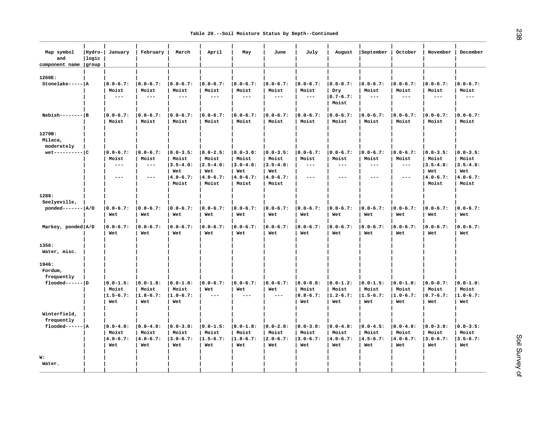| Map symbol<br>and<br>component name group  | Hydro-<br>llogic | January                                       | February                                      | March                                                                    | April                                                                    | May                                                                      | June                                                                    | July                                           | August                                         | September                                      | October                                                  | November                                                                 | December                                                                 |
|--------------------------------------------|------------------|-----------------------------------------------|-----------------------------------------------|--------------------------------------------------------------------------|--------------------------------------------------------------------------|--------------------------------------------------------------------------|-------------------------------------------------------------------------|------------------------------------------------|------------------------------------------------|------------------------------------------------|----------------------------------------------------------|--------------------------------------------------------------------------|--------------------------------------------------------------------------|
| 1260E:<br>Stonelake----- A                 |                  | $ 0.0 - 6.7:$<br>Moist<br>$---$               | $0.0 - 6.7:$<br>Moist<br>$- - -$              | $ 0.0 - 6.7:$<br>Moist<br>$---$                                          | $ 0.0 - 6.7:$<br>Moist<br>$\frac{1}{2}$                                  | $ 0.0 - 6.7:$<br>Moist<br>$  -$                                          | $0.0 - 6.7:$<br>Moist<br>$\sim$ $\sim$ $\sim$                           | $ 0.0 - 6.7:$<br>Moist<br>$- - -$              | $ 0.0 - 0.7:$<br>Dry<br>$ 0.7 - 6.7:$<br>Moist | $ 0.0 - 6.7:$<br>Moist<br>$\frac{1}{2}$        | $ 0.0 - 6.7:$<br>Moist<br>$---$                          | $10.0 - 6.7:$<br>Moist<br>$--$                                           | $10.0 - 6.7:$<br>Moist<br>$- - -$                                        |
| $Nebish-----B$                             |                  | $ 0.0 - 6.7:$<br>Moist                        | $ 0.0 - 6.7:$<br>Moist                        | $ 0.0 - 6.7:$<br>Moist                                                   | $ 0.0 - 6.7:$<br>Moist                                                   | $ 0.0 - 6.7:$<br>Moist                                                   | $ 0.0 - 6.7:$<br>Moist                                                  | $ 0.0 - 6.7:$<br>Moist                         | $ 0.0 - 6.7:$<br>Moist                         | $ 0.0 - 6.7:$<br>Moist                         | $ 0.0 - 6.7:$<br>Moist                                   | $10.0 - 6.7:$<br>Moist                                                   | $10.0 - 6.7:$<br>Moist                                                   |
| 1270B:<br>Milaca,<br>moderately            |                  |                                               |                                               |                                                                          |                                                                          |                                                                          |                                                                         |                                                |                                                |                                                |                                                          |                                                                          |                                                                          |
| $wet$ ---------- $ C $                     |                  | $ 0.0 - 6.7:$<br>Moist<br>$---$<br>$- - -$    | $ 0.0 - 6.7:$<br>Moist<br>$  -$<br>$- - -$    | $ 0.0 - 3.5:$<br>Moist<br>$ 3.5 - 4.0:$<br>Wet<br>$ 4.0 - 6.7:$<br>Moist | $ 0.0 - 2.5:$<br>Moist<br>$ 2.5 - 4.0:$<br>Wet<br>$ 4.0 - 6.7:$<br>Moist | $ 0.0 - 3.0:$<br>Moist<br>$ 3.0 - 4.0:$<br>Wet<br>$ 4.0 - 6.7:$<br>Moist | $ 0.0 - 3.5:$<br>Moist<br>$ 3.5 - 4.0:$<br>Wet<br>$4.0 - 6.7:$<br>Moist | $ 0.0 - 6.7:$<br>Moist<br>$- - -$<br>$- - -$   | $ 0.0 - 6.7:$<br>Moist<br>$---$<br>$---$       | $ 0.0 - 6.7:$<br>Moist<br>$---$<br>$- - -$     | $10.0 - 6.7:$<br>Moist<br>$\qquad \qquad - -$<br>$- - -$ | $ 0.0 - 3.5:$<br>Moist<br>$ 3.5 - 4.0:$<br>Wet<br>$ 4.0 - 6.7:$<br>Moist | $10.0 - 3.5:$<br>Moist<br>$ 3.5 - 4.0:$<br>Wet<br>$ 4.0 - 6.7:$<br>Moist |
| 1288:<br>Seelyeville,<br>$ponded----- A/D$ |                  | $0.0 - 6.7:$                                  | $0.0 - 6.7:$                                  | $ 0.0 - 6.7:$                                                            | $ 0.0 - 6.7:$                                                            | $ 0.0 - 6.7:$                                                            | $0.0 - 6.7:$                                                            | $ 0.0 - 6.7:$                                  | $ 0.0 - 6.7:$                                  | $ 0.0 - 6.7:$                                  | $ 0.0 - 6.7:$                                            | $ 0.0 - 6.7:$                                                            | $ 0.0 - 6.7:$                                                            |
| Markey, ponded   A/D                       |                  | Wet<br>$0.0 - 6.7:$<br>Wet                    | Wet<br>$0.0 - 6.7:$<br>Wet                    | Wet<br>$ 0.0 - 6.7:$<br>Wet                                              | Wet<br>$ 0.0 - 6.7:$<br>Wet                                              | Wet<br>$ 0.0 - 6.7:$<br>Wet                                              | Wet<br>$0.0 - 6.7:$<br>Wet                                              | Wet<br>$ 0.0 - 6.7:$<br>Wet                    | Wet<br>$ 0.0 - 6.7:$<br>Wet                    | Wet<br>$ 0.0 - 6.7:$<br>Wet                    | Wet<br>$ 0.0 - 6.7:$<br>Wet                              | Wet<br>$ 0.0 - 6.7:$<br>Wet                                              | Wet<br>$ 0.0 - 6.7:$<br>Wet                                              |
| 1356:<br>Water, misc.                      |                  |                                               |                                               |                                                                          |                                                                          |                                                                          |                                                                         |                                                |                                                |                                                |                                                          |                                                                          |                                                                          |
| 1946:<br>Fordum,<br>frequently             |                  |                                               |                                               |                                                                          |                                                                          |                                                                          |                                                                         |                                                |                                                |                                                |                                                          |                                                                          |                                                                          |
| $f$ looded------ D                         |                  | $ 0.0 - 1.5:$<br>Moist<br>$1.5 - 6.7:$<br>Wet | $ 0.0 - 1.8:$<br>Moist<br>$1.8 - 6.7:$<br>Wet | $10.0 - 1.0$ :<br>Moist<br>$11.0 - 6.7:$<br>Wet                          | $10.0 - 6.7:$<br>Wet<br>$---$                                            | $10.0 - 6.7:$<br>Wet<br>$---$                                            | $ 0.0 - 6.7:$<br>Wet<br>$- - -$                                         | $ 0.0 - 0.8:$<br>Moist<br>$ 0.8 - 6.7:$<br>Wet | $ 0.0 - 1.2:$<br>Moist<br>$1.2 - 6.7:$<br>Wet  | $ 0.0 - 1.5:$<br>Moist<br>$1.5 - 6.7:$<br>Wet  | $ 0.0 - 1.0:$<br>Moist<br>$1.0 - 6.7:$<br>Wet            | $ 0.0 - 0.7:$<br>Moist<br>$10.7 - 6.7:$<br>Wet                           | $10.0 - 1.0$ :<br>Moist<br>$11.0 - 6.7:$<br>Wet                          |
| Winterfield,<br>frequently                 |                  |                                               |                                               |                                                                          |                                                                          |                                                                          |                                                                         |                                                |                                                |                                                |                                                          |                                                                          |                                                                          |
| $f$ looded------ $ A$                      |                  | $ 0.0 - 4.0:$<br>Moist<br>$4.0 - 6.7:$<br>Wet | $ 0.0 - 4.0:$<br>Moist<br>$4.0 - 6.7:$<br>Wet | $10.0 - 3.0:$<br>Moist<br>$ 3.0 - 6.7:$<br>Wet                           | $ 0.0 - 1.5:$<br>Moist<br>$ 1.5 - 6.7:$<br>Wet                           | $ 0.0 - 1.8:$<br>Moist<br>$1.8 - 6.7:$<br>Wet                            | $ 0.0 - 2.0:$<br>Moist<br>$2.0 - 6.7:$<br>Wet                           | $10.0 - 3.0:$<br>Moist<br>$ 3.0 - 6.7:$<br>Wet | $ 0.0 - 4.0:$<br>Moist<br>$ 4.0 - 6.7:$<br>Wet | $ 0.0 - 4.5:$<br>Moist<br>$ 4.5 - 6.7:$<br>Wet | $ 0.0 - 4.0:$<br>Moist<br>$ 4.0 - 6.7:$<br>Wet           | $10.0 - 3.0:$<br>Moist<br>$3.0 - 6.7:$<br>Wet                            | $10.0 - 3.5:$<br>Moist<br>$3.5 - 6.7:$<br>Wet                            |
| w:<br>Water.                               |                  |                                               |                                               |                                                                          |                                                                          |                                                                          |                                                                         |                                                |                                                |                                                |                                                          |                                                                          |                                                                          |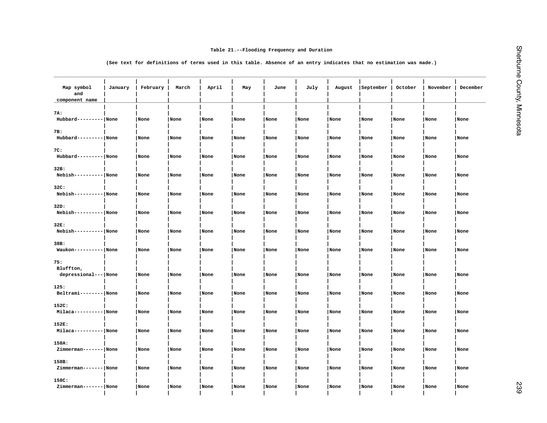|                                          |         |                                                                                                                    |       |       | Table 21.--Flooding Frequency and Duration |      |      |        |           |         |          |          |
|------------------------------------------|---------|--------------------------------------------------------------------------------------------------------------------|-------|-------|--------------------------------------------|------|------|--------|-----------|---------|----------|----------|
|                                          |         | (See text for definitions of terms used in this table. Absence of an entry indicates that no estimation was made.) |       |       |                                            |      |      |        |           |         |          |          |
| Map symbol<br>and<br>component name      | January | February                                                                                                           | March | April | May                                        | June | July | August | September | October | November | December |
| 7A:                                      |         |                                                                                                                    |       |       |                                            |      |      |        |           |         |          |          |
| Hubbard--------- None                    |         | None                                                                                                               | None  | None  | None                                       | None | None | None   | None      | None    | None     | None     |
| 7B:<br>Hubbard--------- None             |         | None                                                                                                               | None  | None  | None                                       | None | None | None   | None      | None    | None     | None     |
| 7C:<br>Hubbard--------- None             |         | None                                                                                                               | None  | None  | None                                       | None | None | None   | None      | None    | None     | None     |
| 32B:<br>Nebish----------   None          |         | None                                                                                                               | None  | None  | None                                       | None | None | None   | None      | None    | None     | None     |
| 32C:<br>Nebish---------- None            |         | None                                                                                                               | None  | None  | None                                       | None | None | None   | None      | None    | None     | None     |
| 32D:<br>Nebish---------- None            |         | None                                                                                                               | None  | None  | None                                       | None | None | None   | None      | None    | None     | None     |
| 32E:<br>Nebish---------- None            |         | None                                                                                                               | None  | None  | None                                       | None | None | None   | None      | None    | None     | None     |
| 38B:<br>$Waukon----- None$               |         | None                                                                                                               | None  | None  | None                                       | None | None | None   | None      | None    | None     | None     |
| 75:<br>Bluffton,<br>depressional--- None |         | None                                                                                                               | None  | None  | None                                       | None | None | None   | None      | None    | None     | None     |
| 125:<br>Beltrami-------- None            |         | None                                                                                                               | None  | None  | None                                       | None | None | None   | None      | None    | None     | None     |
| 152C:<br>Milaca---------- None           |         | None                                                                                                               | None  | None  | None                                       | None | None | None   | None      | None    | None     | None     |
| 152E:<br>Milaca---------- None           |         | None                                                                                                               | None  | None  | None                                       | None | None | None   | None      | None    | None     | None     |
| 158A:<br>Zimmerman------- None           |         | None                                                                                                               | None  | None  | None                                       | None | None | None   | None      | None    | None     | None     |
| 158B:<br>Zimmerman------- None           |         | None                                                                                                               | None  | None  | None                                       | None | None | None   | None      | None    | None     | None     |
| 158C:<br>Zimmerman------- None           |         | None                                                                                                               | None  | None  | None                                       | None | None | None   | None      | None    | None     | None     |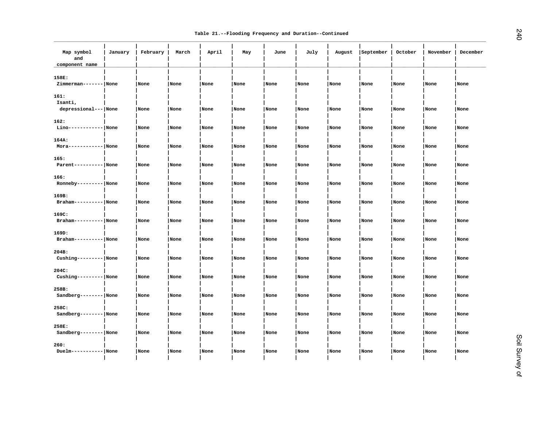| Map symbol<br>and<br>component name       | January | February | March | April | May  | June | July | August | September | October | November | December |
|-------------------------------------------|---------|----------|-------|-------|------|------|------|--------|-----------|---------|----------|----------|
| 158E:<br>Zimmerman------- None            |         | None     | None  | None  | None | None | None | None   | None      | None    | None     | None     |
| 161:<br>Isanti,<br>depressional---   None |         | None     | None  | None  | None | None | None | None   | None      | None    | None     | None     |
| 162:<br>Lino------------ None             |         | None     | None  | None  | None | None | None | None   | None      | None    | None     | None     |
| 164A:<br>$Mora----- None$                 |         | None     | None  | None  | None | None | None | None   | None      | None    | None     | None     |
| 165:<br>Parent---------- None             |         | None     | None  | None  | None | None | None | None   | None      | None    | None     | None     |
| 166:<br>$Ronneby------ None$              |         | None     | None  | None  | None | None | None | None   | None      | None    | None     | None     |
| 169B:<br>Braham---------- None            |         | None     | None  | None  | None | None | None | None   | None      | None    | None     | None     |
| 169C:<br>$Braham------ None$              |         | None     | None  | None  | None | None | None | None   | None      | None    | None     | None     |
| 169D:<br>Braham---------- None            |         | None     | None  | None  | None | None | None | None   | None      | None    | None     | None     |
| 204B:<br>Cushing--------- None            |         | None     | None  | None  | None | None | None | None   | None      | None    | None     | None     |
| 204C:<br>Cushing--------- None            |         | None     | None  | None  | None | None | None | None   | None      | None    | None     | None     |
| 258B:<br>Sandberg-------- None            |         | None     | None  | None  | None | None | None | None   | None      | None    | None     | None     |
| 258C:<br>Sandberg-------- None            |         | None     | None  | None  | None | None | None | None   | None      | None    | None     | None     |
| 258E:<br>Sandberg-------- None            |         | None     | None  | None  | None | None | None | None   | None      | None    | None     | None     |
| 260:<br>$Duelm------ None$                |         | None     | None  | None  | None | None | None | None   | None      | None    | None     | None     |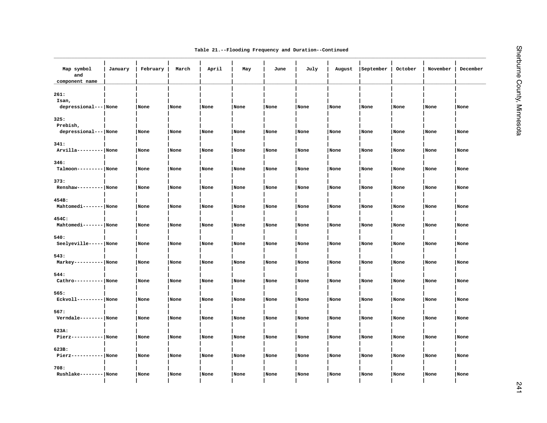|  |  | Table 21.--Flooding Frequency and Duration--Continued |
|--|--|-------------------------------------------------------|
|  |  |                                                       |

| Map symbol<br>and<br>component name      | January | February | March | April | May  | June | July | August | September | October | November | December |
|------------------------------------------|---------|----------|-------|-------|------|------|------|--------|-----------|---------|----------|----------|
| 261:<br>Isan,<br>depressional--- None    |         | None     | None  | None  | None | None | None | None   | None      | None    | None     | None     |
| 325:<br>Prebish,<br>depressional--- None |         | None     | None  | None  | None | None | None | None   | None      | None    | None     | None     |
| 341:<br>Arvilla--------- None            |         | None     | None  | None  | None | None | None | None   | None      | None    | None     | None     |
| 346:<br>Talmoon--------- None            |         | None     | None  | None  | None | None | None | None   | None      | None    | None     | None     |
| 373:<br>$Renshaw------ None$             |         | None     | None  | None  | None | None | None | None   | None      | None    | None     | None     |
| 454B:<br>Mahtomedi------- None           |         | None     | None  | None  | None | None | None | None   | None      | None    | None     | None     |
| 454C:<br>Mahtomedi------- None           |         | None     | None  | None  | None | None | None | None   | None      | None    | None     | None     |
| 540:<br>Seelyeville----- None            |         | None     | None  | None  | None | None | None | None   | None      | None    | None     | None     |
| 543:<br>Markey---------- None            |         | None     | None  | None  | None | None | None | None   | None      | None    | None     | None     |
| 544:<br>Cathro---------- None            |         | None     | None  | None  | None | None | None | None   | None      | None    | None     | None     |
| 565:<br>Eckvoll--------- None            |         | None     | None  | None  | None | None | None | None   | None      | None    | None     | None     |
| 567:<br>Verndale --------   None         |         | None     | None  | None  | None | None | None | None   | None      | None    | None     | None     |
| 623A:<br>$Pierz----- None$               |         | None     | None  | None  | None | None | None | None   | None      | None    | None     | None     |
| 623B:<br>$Pierz----- None$               |         | None     | None  | None  | None | None | None | None   | None      | None    | None     | None     |
| 708:<br>Rushlake-------- None            |         | None     | None  | None  | None | None | None | None   | None      | None    | None     | None     |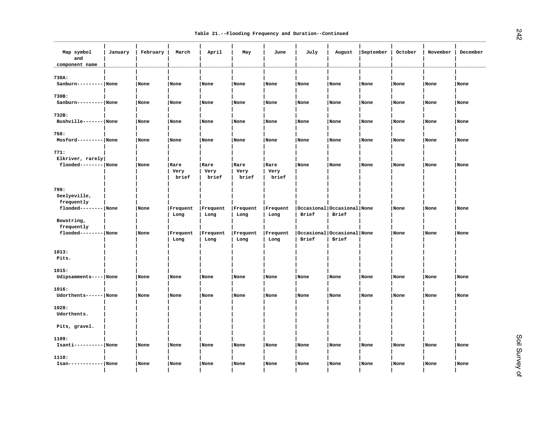| Map symbol<br>and<br>component name | January | February | March                 | April                 | May                   | June                  | July  | August                              | September | October | November | December |
|-------------------------------------|---------|----------|-----------------------|-----------------------|-----------------------|-----------------------|-------|-------------------------------------|-----------|---------|----------|----------|
| 730A:                               |         |          |                       |                       |                       |                       |       |                                     |           |         |          |          |
| Sanburn--------- None               |         | None     | None                  | None                  | None                  | None                  | None  | None                                | None      | None    | None     | None     |
| 730B:                               |         |          |                       |                       |                       |                       |       |                                     |           |         |          |          |
| Sanburn--------- None               |         | None     | None                  | None                  | None                  | None                  | None  | None                                | None      | None    | None     | None     |
| 732B:                               |         |          |                       |                       |                       |                       |       |                                     |           |         |          |          |
| Bushville------- None               |         | None     | None                  | None                  | None                  | None                  | None  | None                                | None      | None    | None     | None     |
| 768:                                |         |          |                       |                       |                       |                       |       |                                     |           |         |          |          |
| Mosford--------- None               |         | None     | None                  | None                  | None                  | None                  | None  | None                                | None      | None    | None     | None     |
| 771:                                |         |          |                       |                       |                       |                       |       |                                     |           |         |          |          |
| Elkriver, rarely                    |         |          |                       |                       |                       |                       |       |                                     |           |         |          |          |
| flooded-------- None                |         | None     | Rare<br>Very<br>brief | Rare<br>Very<br>brief | Rare<br>Very<br>brief | Rare<br>Very<br>brief | None  | None                                | None      | None    | None     | None     |
| 799:                                |         |          |                       |                       |                       |                       |       |                                     |           |         |          |          |
| Seelyeville,<br>frequently          |         |          |                       |                       |                       |                       |       |                                     |           |         |          |          |
| flooded-------- None                |         | None     | Frequent              | Frequent              | Frequent              | Frequent              |       | Occasional Occasional None          |           | None    | None     | None     |
| Bowstring,                          |         |          | Long                  | Long                  | Long                  | Long                  | Brief | Brief                               |           |         |          |          |
| frequently                          |         |          |                       |                       |                       |                       |       |                                     |           |         |          |          |
| flooded-------- None                |         | None     | Frequent<br>Long      | Frequent<br>Long      | Frequent<br>Long      | Frequent<br>Long      | Brief | Occasional Occasional None<br>Brief |           | None    | None     | None     |
| 1013:                               |         |          |                       |                       |                       |                       |       |                                     |           |         |          |          |
| Pits.                               |         |          |                       |                       |                       |                       |       |                                     |           |         |          |          |
| 1015:                               |         |          |                       |                       |                       |                       |       |                                     |           |         |          |          |
| Udipsamments---- None               |         | None     | None                  | None                  | None                  | None                  | None  | None                                | None      | None    | None     | None     |
| 1016:                               |         |          |                       |                       |                       |                       |       |                                     |           |         |          |          |
| Udorthents------ None               |         | None     | None                  | None                  | None                  | None                  | None  | None                                | None      | None    | None     | None     |
| 1028:                               |         |          |                       |                       |                       |                       |       |                                     |           |         |          |          |
| Udorthents.                         |         |          |                       |                       |                       |                       |       |                                     |           |         |          |          |
| Pits, gravel.                       |         |          |                       |                       |                       |                       |       |                                     |           |         |          |          |
| 1109:                               |         |          |                       |                       |                       |                       |       |                                     |           |         |          |          |
| Isanti---------- None               |         | None     | None                  | None                  | None                  | None                  | None  | None                                | None      | None    | None     | None     |
| 1110:                               |         |          |                       |                       |                       |                       |       |                                     |           |         |          |          |
| $Isan----- None$                    |         | None     | None                  | None                  | None                  | None                  | None  | None                                | None      | None    | None     | None     |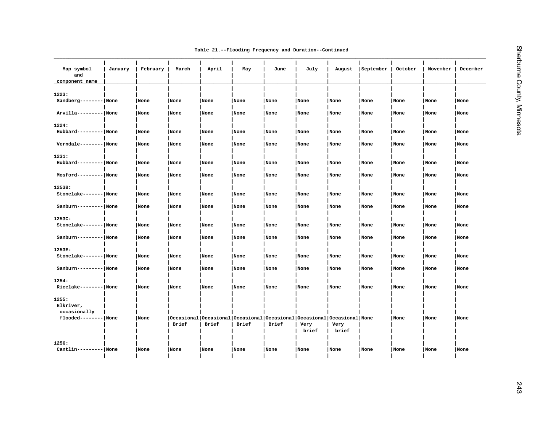|  |  |  |  | Table 21.--Flooding Frequency and Duration--Continued |
|--|--|--|--|-------------------------------------------------------|
|--|--|--|--|-------------------------------------------------------|

| Map symbol<br>and<br>component name | January | February | March                                                                           | April | May   | June  | July          | August        | September | October | November | December |
|-------------------------------------|---------|----------|---------------------------------------------------------------------------------|-------|-------|-------|---------------|---------------|-----------|---------|----------|----------|
| 1223:<br>Sandberg-------- None      |         | None     | None                                                                            | None  | None  | None  | None          | None          | None      | None    | None     | None     |
| Arvilla--------- None               |         | None     | None                                                                            | None  | None  | None  | None          | None          | None      | None    | None     | None     |
| 1224:<br>Hubbard--------- None      |         | None     | None                                                                            | None  | None  | None  | None          | None          | None      | None    | None     | None     |
| Verndale-------- None               |         | None     | None                                                                            | None  | None  | None  | None          | None          | None      | None    | None     | None     |
| 1231:<br>Hubbard--------- None      |         | None     | None                                                                            | None  | None  | None  | None          | None          | None      | None    | None     | None     |
| Mosford--------- None               |         | None     | None                                                                            | None  | None  | None  | None          | None          | None      | None    | None     | None     |
| 1253B:<br>Stonelake------- None     |         | None     | None                                                                            | None  | None  | None  | None          | None          | None      | None    | None     | None     |
| Sanburn--------- None               |         | None     | None                                                                            | None  | None  | None  | None          | None          | None      | None    | None     | None     |
| 1253C:<br>Stonelake------- None     |         | None     | None                                                                            | None  | None  | None  | None          | None          | None      | None    | None     | None     |
| Sanburn--------- None               |         | None     | None                                                                            | None  | None  | None  | None          | None          | None      | None    | None     | None     |
| 1253E:                              |         |          |                                                                                 |       |       |       |               |               |           |         |          |          |
| Stonelake------- None               |         | None     | None                                                                            | None  | None  | None  | None          | None          | None      | None    | None     | None     |
| Sanburn--------- None               |         | None     | None                                                                            | None  | None  | None  | None          | None          | None      | None    | None     | None     |
| 1254:<br>Ricelake-------- None      |         | None     | None                                                                            | None  | None  | None  | None          | None          | None      | None    | None     | None     |
| 1255:<br>Elkriver,<br>occasionally  |         |          |                                                                                 |       |       |       |               |               |           |         |          |          |
| flooded-------- None                |         | None     | Occasional Occasional Occasional Occasional Occasional Occasional None<br>Brief | Brief | Brief | Brief | Very<br>brief | Very<br>brief |           | None    | None     | None     |
| 1256:<br>Cantlin--------- None      |         | None     | None                                                                            | None  | None  | None  | None          | None          | None      | None    | None     | None     |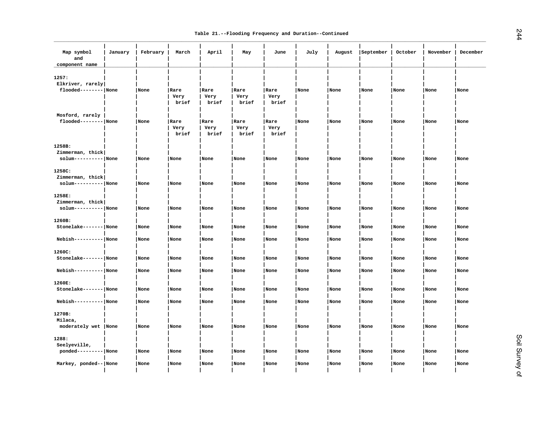| Map symbol<br>and<br>component name | January | February | March                 | April                 | May                   | June                  | July | August | September | October | November | December |
|-------------------------------------|---------|----------|-----------------------|-----------------------|-----------------------|-----------------------|------|--------|-----------|---------|----------|----------|
| 1257:<br>Elkriver, rarely           |         |          |                       |                       |                       |                       |      |        |           |         |          |          |
| flooded-------- None                |         | None     | Rare<br>Very<br>brief | Rare<br>Very<br>brief | Rare<br>Very<br>brief | Rare<br>Very<br>brief | None | None   | None      | None    | None     | None     |
| Mosford, rarely                     |         |          |                       |                       |                       |                       |      |        |           |         |          |          |
| flooded-------- None                |         | None     | Rare<br>Very<br>brief | Rare<br>Very<br>brief | Rare<br>Very<br>brief | Rare<br>Very<br>brief | None | None   | None      | None    | None     | None     |
| 1258B:                              |         |          |                       |                       |                       |                       |      |        |           |         |          |          |
| Zimmerman, thick                    |         |          |                       |                       |                       |                       |      |        |           |         |          |          |
| solum---------- None                |         | None     | None                  | None                  | None                  | None                  | None | None   | None      | None    | None     | None     |
| 1258C:                              |         |          |                       |                       |                       |                       |      |        |           |         |          |          |
| Zimmerman, thick                    |         |          |                       |                       |                       |                       |      |        |           |         |          |          |
| solum---------- None                |         | None     | None                  | None                  | None                  | None                  | None | None   | None      | None    | None     | None     |
| 1258E:                              |         |          |                       |                       |                       |                       |      |        |           |         |          |          |
| Zimmerman, thick                    |         |          |                       |                       |                       |                       |      |        |           |         |          |          |
| solum---------- None                |         | None     | None                  | None                  | None                  | None                  | None | None   | None      | None    | None     | None     |
|                                     |         |          |                       |                       |                       |                       |      |        |           |         |          |          |
| 1260B:<br>Stonelake------- None     |         | None     | None                  | None                  | None                  | None                  | None | None   | None      | None    | None     | None     |
|                                     |         |          |                       |                       |                       |                       |      |        |           |         |          |          |
| Nebish---------- None               |         | None     | None                  | None                  | None                  | None                  | None | None   | None      | None    | None     | None     |
|                                     |         |          |                       |                       |                       |                       |      |        |           |         |          |          |
| 1260C:<br>Stonelake------- None     |         | None     | None                  | None                  | None                  | None                  | None | None   | None      | None    | None     | None     |
|                                     |         |          |                       |                       |                       |                       |      |        |           |         |          |          |
| Nebish---------- None               |         | None     | None                  | None                  | None                  | None                  | None | None   | None      | None    | None     | None     |
|                                     |         |          |                       |                       |                       |                       |      |        |           |         |          |          |
| 1260E:<br>Stonelake------- None     |         | None     | None                  | None                  | None                  | None                  | None | None   | None      | None    | None     | None     |
|                                     |         |          |                       |                       |                       |                       |      |        |           |         |          |          |
| Nebish---------- None               |         | None     | None                  | None                  | None                  | None                  | None | None   | None      | None    | None     | None     |
|                                     |         |          |                       |                       |                       |                       |      |        |           |         |          |          |
| 1270B:<br>Milaca,                   |         |          |                       |                       |                       |                       |      |        |           |         |          |          |
| moderately wet  None                |         | None     | None                  | None                  | None                  | None                  | None | None   | None      | None    | None     | None     |
|                                     |         |          |                       |                       |                       |                       |      |        |           |         |          |          |
| 1288:                               |         |          |                       |                       |                       |                       |      |        |           |         |          |          |
| Seelyeville,                        |         |          |                       |                       |                       |                       |      |        |           |         |          |          |
| ponded--------- None                |         | None     | None                  | None                  | None                  | None                  | None | None   | None      | None    | None     | None     |
|                                     |         |          |                       |                       |                       |                       |      |        |           |         |          |          |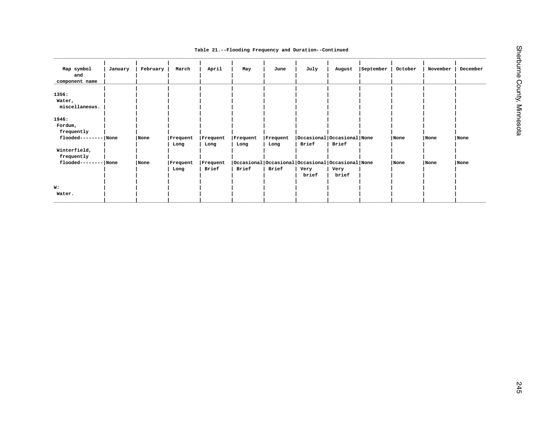|  |  | Table 21.--Flooding Frequency and Duration--Continued |
|--|--|-------------------------------------------------------|
|  |  |                                                       |

| Map symbol<br>and<br>component name                    | January | February | March            | April                            | May                                                       | June     | July                       | August        | September | October | November | December |
|--------------------------------------------------------|---------|----------|------------------|----------------------------------|-----------------------------------------------------------|----------|----------------------------|---------------|-----------|---------|----------|----------|
| 1356:<br>Water,<br>miscellaneous.                      |         |          |                  |                                  |                                                           |          |                            |               |           |         |          |          |
| 1946:<br>Fordum,<br>frequently<br>flooded-------- None |         | None     | Frequent         | Frequent                         | Frequent                                                  | Frequent | Occasional Occasional None |               |           | None    | None     | None     |
| Winterfield,                                           |         |          | Long             | Long                             | Long                                                      | Long     | Brief                      | Brief         |           |         |          |          |
| frequently<br>flooded-------- None                     |         | None     | Frequent<br>Long | $ \,\mathtt{Frequency}$<br>Brief | Occasional Occasional Occasional Occasional None<br>Brief | Brief    | Very<br>brief              | Very<br>brief |           | None    | None     | None     |
| W:<br>Water.                                           |         |          |                  |                                  |                                                           |          |                            |               |           |         |          |          |
|                                                        |         |          |                  |                                  |                                                           |          |                            |               |           |         |          |          |
|                                                        |         |          |                  |                                  |                                                           |          |                            |               |           |         |          |          |
|                                                        |         |          |                  |                                  |                                                           |          |                            |               |           |         |          |          |
|                                                        |         |          |                  |                                  |                                                           |          |                            |               |           |         |          |          |
|                                                        |         |          |                  |                                  |                                                           |          |                            |               |           |         |          |          |
|                                                        |         |          |                  |                                  |                                                           |          |                            |               |           |         |          |          |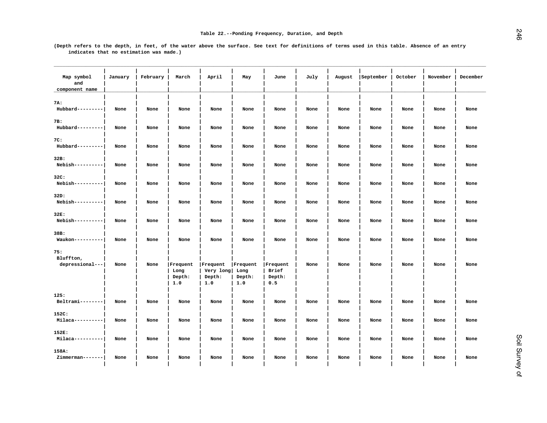| Map symbol<br>and         | January | February | March          | April               | May            | June            | July | August | September | October | November | December |
|---------------------------|---------|----------|----------------|---------------------|----------------|-----------------|------|--------|-----------|---------|----------|----------|
| component name            |         |          |                |                     |                |                 |      |        |           |         |          |          |
| 7A:<br>Hubbard---------   | None    | None     | None           | None                | None           | None            | None | None   | None      | None    | None     | None     |
|                           |         |          |                |                     |                |                 |      |        |           |         |          |          |
| 7B:<br>Hubbard---------   | None    | None     | None           | None                | None           | None            | None | None   | None      | None    | None     | None     |
| 7C:                       |         |          |                |                     |                |                 |      |        |           |         |          |          |
| Hubbard---------          | None    | None     | None           | None                | None           | None            | None | None   | None      | None    | None     | None     |
| 32B:                      |         |          |                |                     |                |                 |      |        |           |         |          |          |
| Nebish----------          | None    | None     | None           | None                | None           | None            | None | None   | None      | None    | None     | None     |
| 32C:                      |         |          |                |                     |                |                 |      |        |           |         |          |          |
| Nebish----------          | None    | None     | None           | None                | None           | None            | None | None   | None      | None    | None     | None     |
| 32D:                      |         |          |                |                     |                |                 |      |        |           |         |          |          |
| Nebish----------          | None    | None     | None           | None                | None           | None            | None | None   | None      | None    | None     | None     |
| 32E:                      |         |          |                |                     |                |                 |      |        |           |         |          |          |
| Nebish----------          | None    | None     | None           | None                | None           | None            | None | None   | None      | None    | None     | None     |
| 38B:                      |         |          |                |                     |                |                 |      |        |           |         |          |          |
| Waukon----------          | None    | None     | None           | None                | None           | None            | None | None   | None      | None    | None     | None     |
|                           |         |          |                |                     |                |                 |      |        |           |         |          |          |
| 75:<br>Bluffton,          |         |          |                |                     |                |                 |      |        |           |         |          |          |
| depressional---           | None    | None     | Frequent       | Frequent            | Frequent       | Frequent        | None | None   | None      | None    | None     | None     |
|                           |         |          | Long<br>Depth: | Very long<br>Depth: | Long<br>Depth: | Brief<br>Depth: |      |        |           |         |          |          |
|                           |         |          | 1.0            | 1.0                 | 1.0            | 0.5             |      |        |           |         |          |          |
| 125:                      |         |          |                |                     |                |                 |      |        |           |         |          |          |
| Beltrami--------          | None    | None     | None           | None                | None           | None            | None | None   | None      | None    | None     | None     |
| 152C:                     |         |          |                |                     |                |                 |      |        |           |         |          |          |
| Milaca----------          | None    | None     | None           | None                | None           | None            | None | None   | None      | None    | None     | None     |
|                           |         |          |                |                     |                |                 |      |        |           |         |          |          |
| 152E:<br>Milaca---------- | None    | None     | None           | None                | None           | None            | None | None   | None      | None    | None     | None     |
|                           |         |          |                |                     |                |                 |      |        |           |         |          |          |
| 158A:<br>Zimmerman------- | None    | None     | None           | None                | None           | None            | None | None   | None      | None    | None     | None     |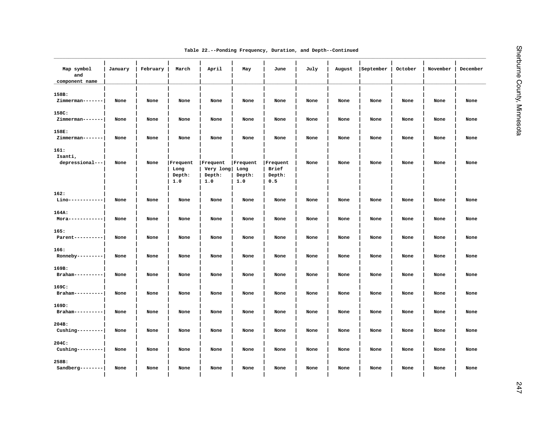| Table 22.--Ponding Frequency, Duration, and Depth--Continued |  |  |  |  |  |  |
|--------------------------------------------------------------|--|--|--|--|--|--|
|--------------------------------------------------------------|--|--|--|--|--|--|

| Map symbol<br>and<br>component name | January | February | March                             | April                                       | May                       | June                               | July | August | September | October | November | December |
|-------------------------------------|---------|----------|-----------------------------------|---------------------------------------------|---------------------------|------------------------------------|------|--------|-----------|---------|----------|----------|
| 158B:<br>Zimmerman-------           | None    | None     | None                              | None                                        | None                      | None                               | None | None   | None      | None    | None     | None     |
| 158C:<br>Zimmerman-------           | None    | None     | None                              | None                                        | None                      | None                               | None | None   | None      | None    | None     | None     |
| 158E:<br>Zimmerman-------           | None    | None     | None                              | None                                        | None                      | None                               | None | None   | None      | None    | None     | None     |
| 161:<br>Isanti,<br>depressional---  | None    | None     | Frequent<br>Long<br>Depth:<br>1.0 | Frequent<br>Very long Long<br>Depth:<br>1.0 | Frequent<br>Depth:<br>1.0 | Frequent<br>Brief<br>Depth:<br>0.5 | None | None   | None      | None    | None     | None     |
| 162:<br>Lino------------            | None    | None     | None                              | None                                        | None                      | None                               | None | None   | None      | None    | None     | None     |
| 164A:<br>$Mora----------$           | None    | None     | None                              | None                                        | None                      | None                               | None | None   | None      | None    | None     | None     |
| 165:<br>Parent----------            | None    | None     | None                              | None                                        | None                      | None                               | None | None   | None      | None    | None     | None     |
| 166:<br>Ronneby---------            | None    | None     | None                              | None                                        | None                      | None                               | None | None   | None      | None    | None     | None     |
| 169B:<br>Braham----------           | None    | None     | None                              | None                                        | None                      | None                               | None | None   | None      | None    | None     | None     |
| 169C:<br>$Braham---------$          | None    | None     | None                              | None                                        | None                      | None                               | None | None   | None      | None    | None     | None     |
| 169D:<br>Braham----------           | None    | None     | None                              | None                                        | None                      | None                               | None | None   | None      | None    | None     | None     |
| 204B:<br>$Cushing-------$           | None    | None     | None                              | None                                        | None                      | None                               | None | None   | None      | None    | None     | None     |
| 204C:<br>$Cushing-------$           | None    | None     | None                              | None                                        | None                      | None                               | None | None   | None      | None    | None     | None     |
| 258B:<br>$Sandberg-----$            | None    | None     | None                              | None                                        | None                      | None                               | None | None   | None      | None    | None     | None     |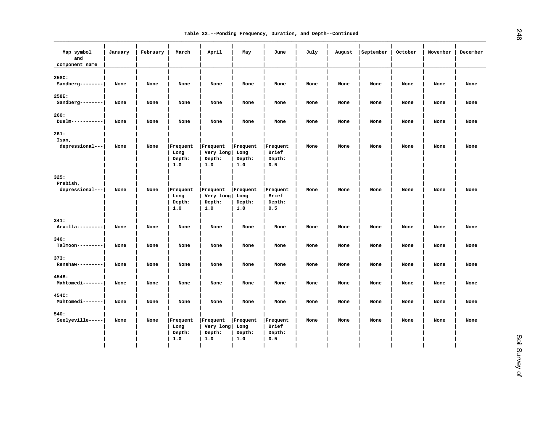|  |  |  |  |  | Table 22.--Ponding Frequency, Duration, and Depth--Continued |
|--|--|--|--|--|--------------------------------------------------------------|
|--|--|--|--|--|--------------------------------------------------------------|

| Map symbol<br>and<br>component name | January | February | March                             | April                                       | May                                      | June                               | July | August | September | October | November | December |
|-------------------------------------|---------|----------|-----------------------------------|---------------------------------------------|------------------------------------------|------------------------------------|------|--------|-----------|---------|----------|----------|
| 258C:<br>Sandberg--------           | None    | None     | None                              | None                                        | None                                     | None                               | None | None   | None      | None    | None     | None     |
| 258E:<br>Sandberg--------           | None    | None     | None                              | None                                        | None                                     | None                               | None | None   | None      | None    | None     | None     |
| 260:<br>$Duelm-------$              | None    | None     | None                              | None                                        | None                                     | None                               | None | None   | None      | None    | None     | None     |
| 261:<br>Isan,<br>depressional---    | None    | None     | Frequent<br>Long<br>Depth:<br>1.0 | Frequent<br>Very long<br>Depth:<br>1.0      | Frequent<br>Long<br>Depth:<br>1.0        | Frequent<br>Brief<br>Depth:<br>0.5 | None | None   | None      | None    | None     | None     |
| 325:<br>Prebish,<br>depressional--- | None    | None     | Frequent<br>Long<br>Depth:<br>1.0 | Frequent<br>Very long<br>Depth:<br>1.0      | <b>Frequent</b><br>Long<br>Depth:<br>1.0 | Frequent<br>Brief<br>Depth:<br>0.5 | None | None   | None      | None    | None     | None     |
| 341:<br>Arvilla---------            | None    | None     | None                              | None                                        | None                                     | None                               | None | None   | None      | None    | None     | None     |
| 346:<br>Talmoon---------            | None    | None     | None                              | None                                        | None                                     | None                               | None | None   | None      | None    | None     | None     |
| 373:<br>Renshaw---------            | None    | None     | None                              | None                                        | None                                     | None                               | None | None   | None      | None    | None     | None     |
| 454B:<br>Mahtomedi-------           | None    | None     | None                              | None                                        | None                                     | None                               | None | None   | None      | None    | None     | None     |
| 454C:<br>Mahtomedi-------           | None    | None     | None                              | None                                        | None                                     | None                               | None | None   | None      | None    | None     | None     |
| 540:<br>Seelyeville-----            | None    | None     | Frequent<br>Long<br>Depth:<br>1.0 | Frequent<br>Very long Long<br>Depth:<br>1.0 | Frequent<br>Depth:<br>1.0                | Frequent<br>Brief<br>Depth:<br>0.5 | None | None   | None      | None    | None     | None     |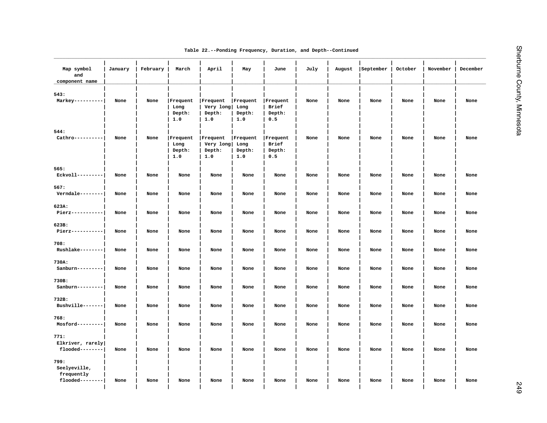|  |  |  |  |  |  | Table 22.--Ponding Frequency, Duration, and Depth--Continued |
|--|--|--|--|--|--|--------------------------------------------------------------|
|--|--|--|--|--|--|--------------------------------------------------------------|

| Map symbol<br>and<br>component name                   | January | February | March                             | April                                  | May                               | June                               | July | August | September | October | November | December |
|-------------------------------------------------------|---------|----------|-----------------------------------|----------------------------------------|-----------------------------------|------------------------------------|------|--------|-----------|---------|----------|----------|
| 543:<br>Markey----------                              | None    | None     | Frequent<br>Long<br>Depth:<br>1.0 | Frequent<br>Very long<br>Depth:<br>1.0 | Frequent<br>Long<br>Depth:<br>1.0 | Frequent<br>Brief<br>Depth:<br>0.5 | None | None   | None      | None    | None     | None     |
| 544:<br>Cathro----------                              | None    | None     | Frequent<br>Long<br>Depth:<br>1.0 | Frequent<br>Very long<br>Depth:<br>1.0 | Frequent<br>Long<br>Depth:<br>1.0 | Frequent<br>Brief<br>Depth:<br>0.5 | None | None   | None      | None    | None     | None     |
| 565:<br>$Exvol1$ --------                             | None    | None     | None                              | None                                   | None                              | None                               | None | None   | None      | None    | None     | None     |
| 567:<br>Verndale--------                              | None    | None     | None                              | None                                   | None                              | None                               | None | None   | None      | None    | None     | None     |
| 623A:<br>Pierz-----------                             | None    | None     | None                              | None                                   | None                              | None                               | None | None   | None      | None    | None     | None     |
| 623B:<br>Pierz-----------                             | None    | None     | None                              | None                                   | None                              | None                               | None | None   | None      | None    | None     | None     |
| 708:<br>Rushlake--------                              | None    | None     | None                              | None                                   | None                              | None                               | None | None   | None      | None    | None     | None     |
| 730A:<br>Sanburn---------                             | None    | None     | None                              | None                                   | None                              | None                               | None | None   | None      | None    | None     | None     |
| 730B:<br>Sanburn---------                             | None    | None     | None                              | None                                   | None                              | None                               | None | None   | None      | None    | None     | None     |
| 732B:<br>Bushville-------                             | None    | None     | None                              | None                                   | None                              | None                               | None | None   | None      | None    | None     | None     |
| 768:<br>Mosford---------                              | None    | None     | None                              | None                                   | None                              | None                               | None | None   | None      | None    | None     | None     |
| 771:<br>Elkriver, rarely<br>flooded--------           | None    | None     | None                              | None                                   | None                              | None                               | None | None   | None      | None    | None     | None     |
| 799:<br>Seelyeville,<br>frequently<br>flooded-------- | None    | None     | None                              | None                                   | None                              | None                               | None | None   | None      | None    | None     | None     |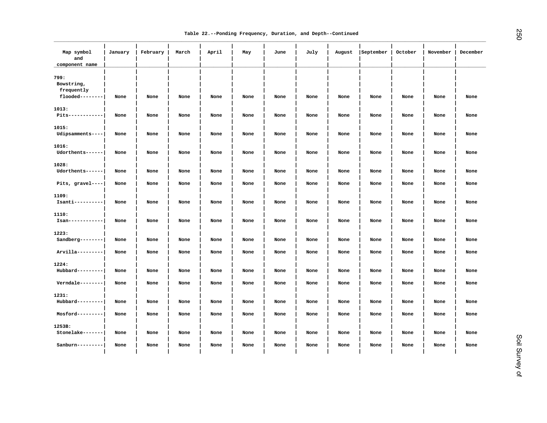| Map symbol<br>and<br>component name | January | February | March | April | May  | June | July | August | September | October | November | December |
|-------------------------------------|---------|----------|-------|-------|------|------|------|--------|-----------|---------|----------|----------|
| 799:<br>Bowstring,<br>frequently    |         |          |       |       |      |      |      |        |           |         |          |          |
| flooded--------                     | None    | None     | None  | None  | None | None | None | None   | None      | None    | None     | None     |
| 1013:<br>Pits------------           | None    | None     | None  | None  | None | None | None | None   | None      | None    | None     | None     |
| 1015:<br>Udipsamments----           | None    | None     | None  | None  | None | None | None | None   | None      | None    | None     | None     |
| 1016:<br>Udorthents------           | None    | None     | None  | None  | None | None | None | None   | None      | None    | None     | None     |
| 1028:<br>Udorthents------           | None    | None     | None  | None  | None | None | None | None   | None      | None    | None     | None     |
| Pits, gravel----                    | None    | None     | None  | None  | None | None | None | None   | None      | None    | None     | None     |
| 1109:<br>Isanti----------           | None    | None     | None  | None  | None | None | None | None   | None      | None    | None     | None     |
| 1110:<br>$Isan----------$           | None    | None     | None  | None  | None | None | None | None   | None      | None    | None     | None     |
| 1223:                               |         |          |       |       |      |      |      |        |           |         |          |          |
| Sandberg--------                    | None    | None     | None  | None  | None | None | None | None   | None      | None    | None     | None     |
| Arvilla---------                    | None    | None     | None  | None  | None | None | None | None   | None      | None    | None     | None     |
| 1224:<br>$Hubbard-----$             | None    | None     | None  | None  | None | None | None | None   | None      | None    | None     | None     |
| Verndale--------                    | None    | None     | None  | None  | None | None | None | None   | None      | None    | None     | None     |
| 1231:                               |         |          |       |       |      |      |      |        |           |         |          |          |
| Hubbard---------                    | None    | None     | None  | None  | None | None | None | None   | None      | None    | None     | None     |
| Mosford---------                    | None    | None     | None  | None  | None | None | None | None   | None      | None    | None     | None     |
| 1253B:<br>Stonelake-------          | None    | None     | None  | None  | None | None | None | None   | None      | None    | None     | None     |
| Sanburn---------                    | None    | None     | None  | None  | None | None | None | None   | None      | None    | None     | None     |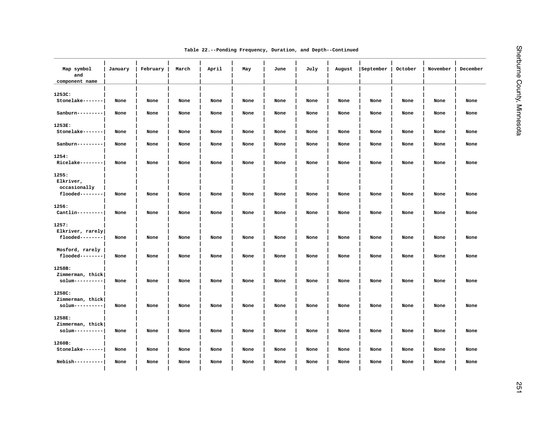| Table 22.--Ponding Frequency, Duration, and Depth--Continued |  |  |
|--------------------------------------------------------------|--|--|
|--------------------------------------------------------------|--|--|

| Map symbol<br>and<br>component name | January | February | March | April | May  | June | July | August | September | October | November | December |
|-------------------------------------|---------|----------|-------|-------|------|------|------|--------|-----------|---------|----------|----------|
| 1253C:                              |         |          |       |       |      |      |      |        |           |         |          |          |
| Stonelake-------                    | None    | None     | None  | None  | None | None | None | None   | None      | None    | None     | None     |
| Sanburn---------                    | None    | None     | None  | None  | None | None | None | None   | None      | None    | None     | None     |
| 1253E:                              |         |          |       |       |      |      |      |        |           |         |          |          |
| Stonelake-------                    | None    | None     | None  | None  | None | None | None | None   | None      | None    | None     | None     |
| Sanburn---------                    | None    | None     | None  | None  | None | None | None | None   | None      | None    | None     | None     |
| 1254:                               |         |          |       |       |      |      |      |        |           |         |          |          |
| $Ricelake------$                    | None    | None     | None  | None  | None | None | None | None   | None      | None    | None     | None     |
| 1255:                               |         |          |       |       |      |      |      |        |           |         |          |          |
| Elkriver,                           |         |          |       |       |      |      |      |        |           |         |          |          |
| occasionally                        |         |          |       |       |      |      |      |        |           |         |          |          |
| flooded--------                     | None    | None     | None  | None  | None | None | None | None   | None      | None    | None     | None     |
| 1256:                               |         |          |       |       |      |      |      |        |           |         |          |          |
| $Cantlin-------$                    | None    | None     | None  | None  | None | None | None | None   | None      | None    | None     | None     |
| 1257:                               |         |          |       |       |      |      |      |        |           |         |          |          |
| Elkriver, rarely                    |         |          |       |       |      |      |      |        |           |         |          |          |
| flooded--------                     | None    | None     | None  | None  | None | None | None | None   | None      | None    | None     | None     |
| Mosford, rarely                     |         |          |       |       |      |      |      |        |           |         |          |          |
| flooded--------                     | None    | None     | None  | None  | None | None | None | None   | None      | None    | None     | None     |
| 1258B:                              |         |          |       |       |      |      |      |        |           |         |          |          |
| Zimmerman, thick                    |         |          |       |       |      |      |      |        |           |         |          |          |
| $s$ olum----------                  | None    | None     | None  | None  | None | None | None | None   | None      | None    | None     | None     |
| 1258C:                              |         |          |       |       |      |      |      |        |           |         |          |          |
| Zimmerman, thick                    |         |          |       |       |      |      |      |        |           |         |          |          |
| $solum---------$                    | None    | None     | None  | None  | None | None | None | None   | None      | None    | None     | None     |
| 1258E:                              |         |          |       |       |      |      |      |        |           |         |          |          |
| Zimmerman, thick                    |         |          |       |       |      |      |      |        |           |         |          |          |
| $s$ olum----------                  | None    | None     | None  | None  | None | None | None | None   | None      | None    | None     | None     |
| 1260B:                              |         |          |       |       |      |      |      |        |           |         |          |          |
| Stonelake-------                    | None    | None     | None  | None  | None | None | None | None   | None      | None    | None     | None     |
| Nebish----------                    | None    | None     | None  | None  | None | None | None | None   | None      | None    | None     | None     |
|                                     |         |          |       |       |      |      |      |        |           |         |          |          |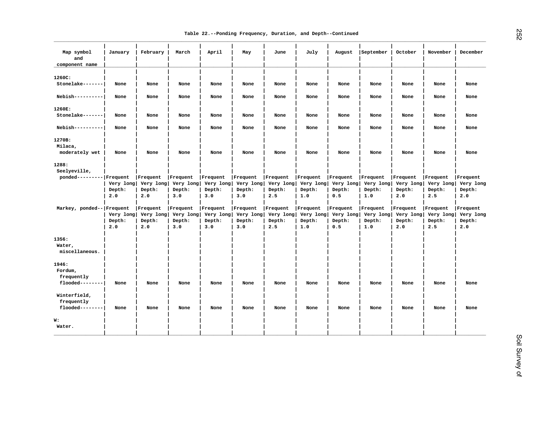| Map symbol<br>and<br>component name           | January                    | February                               | March                                  | April                                         | May                                           | June                                   | July                                   | August                                 | September                              | October                                | November                               | December                               |
|-----------------------------------------------|----------------------------|----------------------------------------|----------------------------------------|-----------------------------------------------|-----------------------------------------------|----------------------------------------|----------------------------------------|----------------------------------------|----------------------------------------|----------------------------------------|----------------------------------------|----------------------------------------|
| 1260C:<br>Stonelake-------                    | None                       | None                                   | None                                   | None                                          | None                                          | None                                   | None                                   | None                                   | None                                   | None                                   | None                                   | None                                   |
| Nebish----------                              | None                       | None                                   | None                                   | None                                          | None                                          | None                                   | None                                   | None                                   | None                                   | None                                   | None                                   | None                                   |
| 1260E:<br>Stonelake-------                    | None                       | None                                   | None                                   | None                                          | None                                          | None                                   | None                                   | None                                   | None                                   | None                                   | None                                   | None                                   |
| $Nebish-----$                                 | None                       | None                                   | None                                   | None                                          | None                                          | None                                   | None                                   | None                                   | None                                   | None                                   | None                                   | None                                   |
| 1270B:<br>Milaca,                             |                            |                                        |                                        |                                               |                                               |                                        |                                        |                                        |                                        |                                        |                                        |                                        |
| moderately wet                                | None                       | None                                   | None                                   | None                                          | None                                          | None                                   | None                                   | None                                   | None                                   | None                                   | None                                   | None                                   |
| 1288:                                         |                            |                                        |                                        |                                               |                                               |                                        |                                        |                                        |                                        |                                        |                                        |                                        |
| Seelyeville,<br>ponded--------- Frequent      | Very long<br>Depth:<br>2.0 | Frequent<br>Very long<br>Depth:<br>2.0 | Frequent<br>Very long<br>Depth:<br>3.0 | Frequent<br>Very long<br>Depth:<br>3.0        | Frequent<br>Very long<br>Depth:<br>3.0        | Frequent<br>Very long<br>Depth:<br>2.5 | Frequent<br>Very long<br>Depth:<br>1.0 | Frequent<br>Very long<br>Depth:<br>0.5 | Frequent<br>Very long<br>Depth:<br>1.0 | Frequent<br>Very long<br>Depth:<br>2.0 | Frequent<br>Very long<br>Depth:<br>2.5 | Frequent<br>Very long<br>Depth:<br>2.0 |
| Markey, ponded-- Frequent                     | Very long<br>Depth:<br>2.0 | Frequent<br>Very long<br>Depth:<br>2.0 | Frequent<br>Very long<br>Depth:<br>3.0 | <b>Frequent</b><br>Very long<br>Depth:<br>3.0 | <b>Frequent</b><br>Very long<br>Depth:<br>3.0 | Frequent<br>Very long<br>Depth:<br>2.5 | Frequent<br>Very long<br>Depth:<br>1.0 | Frequent<br>Very long<br>Depth:<br>0.5 | Frequent<br>Very long<br>Depth:<br>1.0 | Frequent<br>Very long<br>Depth:<br>2.0 | Frequent<br>Very long<br>Depth:<br>2.5 | Frequent<br>Very long<br>Depth:<br>2.0 |
| 1356:<br>Water,<br>miscellaneous.             |                            |                                        |                                        |                                               |                                               |                                        |                                        |                                        |                                        |                                        |                                        |                                        |
| 1946:<br>Fordum,<br>frequently                |                            |                                        |                                        |                                               |                                               |                                        |                                        |                                        |                                        |                                        |                                        |                                        |
| $f$ looded--------                            | None                       | None                                   | None                                   | None                                          | None                                          | None                                   | None                                   | None                                   | None                                   | None                                   | None                                   | None                                   |
| Winterfield,<br>frequently<br>flooded-------- | None                       | None                                   | None                                   | None                                          | None                                          | None                                   | None                                   | None                                   | None                                   | None                                   | None                                   | None                                   |
| W:<br>Water.                                  |                            |                                        |                                        |                                               |                                               |                                        |                                        |                                        |                                        |                                        |                                        |                                        |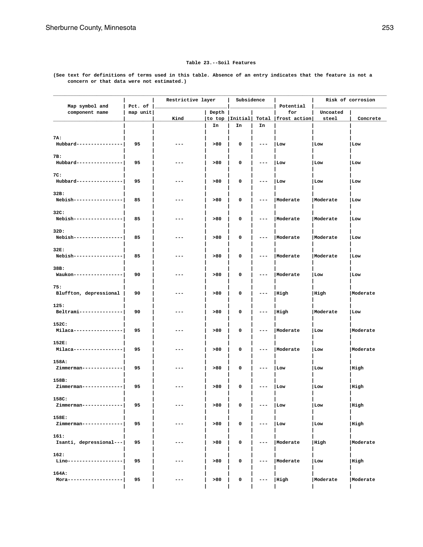### **Table 23.--Soil Features**

**(See text for definitions of terms used in this table. Absence of an entry indicates that the feature is not a concern or that data were not estimated.)**

| Map symbol and          | Pct. of  | Restrictive layer |       | Subsidence      |       | Potential       |          | Risk of corrosion |
|-------------------------|----------|-------------------|-------|-----------------|-------|-----------------|----------|-------------------|
| component name          | map unit |                   | Depth |                 |       | for             | Uncoated |                   |
|                         |          | Kind              |       | to top  Initial | Total | frost action    | steel    | Concrete          |
|                         |          |                   | In    | In              | In    |                 |          |                   |
|                         |          |                   |       |                 |       |                 |          |                   |
| 7A:                     |          |                   |       |                 |       |                 |          |                   |
| Hubbard---------------- | 95       | ---               | > 80  | 0               | ---   | Low             | Low      | Low               |
|                         |          |                   |       |                 |       |                 |          |                   |
| 7B:                     |          |                   |       |                 |       |                 |          |                   |
| Hubbard---------------- | 95       | ---               | >80   | 0               | ---   | Low             | Low      | Low               |
|                         |          |                   |       |                 |       |                 |          |                   |
| 7C:                     |          |                   |       |                 |       |                 |          |                   |
| Hubbard---------------- | 95       | ---               | >80   | 0               | ---   | Low             | Low      | Low               |
|                         |          |                   |       |                 |       |                 |          |                   |
| 32B:                    |          |                   |       |                 |       |                 |          |                   |
| Nebish----------------- | 85       | ---               | >80   | 0               |       | Moderate        | Moderate | Low               |
|                         |          |                   |       |                 |       |                 |          |                   |
| 32C:                    |          |                   |       |                 |       |                 |          |                   |
| Nebish----------------- | 85       | ---               | >80   | 0               |       | Moderate        | Moderate | Low               |
| 32D:                    |          |                   |       |                 |       |                 |          |                   |
| Nebish----------------- | 85       | ---               | >80   | 0               | ---   | <i>Noderate</i> | Moderate | Low               |
|                         |          |                   |       |                 |       |                 |          |                   |
| 32E:                    |          |                   |       |                 |       |                 |          |                   |
| Nebish----------------- | 85       | ---               | >80   | 0               | ---   | <i>Noderate</i> | Moderate | Low               |
|                         |          |                   |       |                 |       |                 |          |                   |
| 38B:                    |          |                   |       |                 |       |                 |          |                   |
| Waukon----------------- | 90       | ---               | >80   | 0               | ---   | Moderate        | Low      | Low               |
|                         |          |                   |       |                 |       |                 |          |                   |
| 75:                     |          |                   |       |                 |       |                 |          |                   |
| Bluffton, depressional  | 90       | ---               | >80   | 0               | ---   | High            | High     | Moderate          |
|                         |          |                   |       |                 |       |                 |          |                   |
| 125:                    |          |                   |       |                 |       |                 |          |                   |
| Beltrami--------------- | 90       | ---               | >80   | 0               | ---   | High            | Moderate | Low               |
|                         |          |                   |       |                 |       |                 |          |                   |
| 152C:                   |          |                   |       |                 |       |                 |          |                   |
| Milaca----------------- | 95       | ---               | >80   | 0               |       | Moderate        | Low      | Moderate          |
|                         |          |                   |       |                 |       |                 |          |                   |
| 152E:                   |          |                   |       |                 |       |                 |          |                   |
| Milaca----------------- | 95       | ---               | >80   | 0               | ---   | Moderate        | Low      | Moderate          |
|                         |          |                   |       |                 |       |                 |          |                   |
| 158A:                   |          |                   |       |                 |       |                 |          |                   |
| Zimmerman-------------- | 95       | ---               | >80   | 0               |       | Low             | Low      | High              |
|                         |          |                   |       |                 |       |                 |          |                   |
| 158B:                   |          | ---               |       |                 | ---   |                 |          |                   |
| Zimmerman-------------- | 95       |                   | >80   | 0               |       | Low             | Low      | High              |
| 158C:                   |          |                   |       |                 |       |                 |          |                   |
| Zimmerman-------------- | 95       | ---               | >80   | 0               |       | Low             | Low      | High              |
|                         |          |                   |       |                 |       |                 |          |                   |
| 158E:                   |          |                   |       |                 |       |                 |          |                   |
| Zimmerman-------------- | 95       | ---               | >80   | 0               | ---   | Low             | Low      | High              |
|                         |          |                   |       |                 |       |                 |          |                   |
| 161:                    |          |                   |       |                 |       |                 |          |                   |
| Isanti, depressional--- | 95       | ---               | > 80  | 0               | ---   | Moderate        | High     | Moderate          |
|                         |          |                   |       |                 |       |                 |          |                   |
| 162:                    |          |                   |       |                 |       |                 |          |                   |
| Lino------------------- | 95       | ---               | > 80  | 0               | ---   | Moderate        | Low      | High              |
|                         |          |                   |       |                 |       |                 |          |                   |
| 164A:                   |          |                   |       |                 |       |                 |          |                   |
| Mora------------------- | 95       | ---               | >80   | 0               | ---   | High            | Moderate | Moderate          |
|                         |          |                   |       |                 |       |                 |          |                   |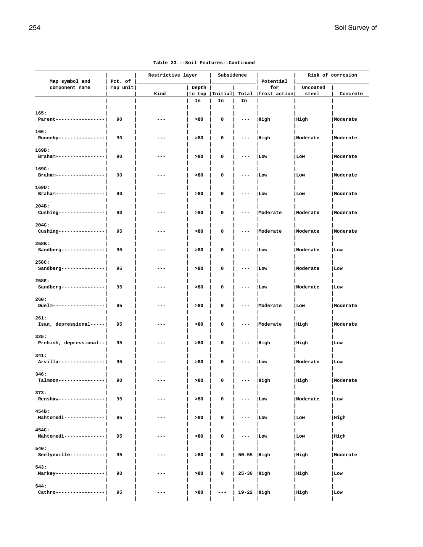| Map symbol and                   | Pct. of  | Restrictive layer |                 | Subsidence |              | Potential           | Risk of corrosion |                 |
|----------------------------------|----------|-------------------|-----------------|------------|--------------|---------------------|-------------------|-----------------|
| component name                   | map unit | Kind              | Depth<br>to top | Initial    | Total        | for<br>frost action | Uncoated<br>steel | Concrete        |
|                                  |          |                   | In              | In         | In           |                     |                   |                 |
| 165:<br>Parent-----------------  | 90       |                   | >80             | 0          | ---          | High                | High              | Moderate        |
| 166:<br>Ronneby----------------  | 90       | ---               | >80             | 0          | ---          | High                | Moderate          | Moderate        |
| 169B:<br>Braham----------------- | 90       | ---               | >80             | 0          | ---          | Low                 | Low               | <i>Moderate</i> |
| 169C:<br>Braham----------------- | 90       | ---               | >80             | 0          |              | Low                 | Low               | Moderate        |
| 169D:<br>Braham----------------- | 90       |                   | >80             | 0          |              | Low                 | Low               | Moderate        |
| 204B:<br>Cushing---------------- | 90       | ---               | >80             | 0          | ---          | Moderate            | Moderate          | Moderate        |
| 204C:<br>Cushing---------------- | 95       | ---               | >80             | 0          | $--$         | Moderate            | Moderate          | Moderate        |
| 258B:<br>Sandberg--------------- | 95       | ---               | >80             | 0          | ---          | Low                 | Moderate          | Low             |
| 258C:<br>Sandberg--------------- | 95       | ---               | >80             | 0          |              | Low                 | Moderate          | Low             |
| 258E:<br>Sandberg--------------- | 95       | ---               | >80             | 0          |              | Low                 | Moderate          | Low             |
| 260:<br>Duelm------------------  | 95       | ---               | >80             | 0          |              | Moderate            | Low               | Moderate        |
| 261:<br>Isan, depressional-----  | 95       |                   | >80             | 0          |              | Moderate            | High              | Moderate        |
| 325:<br>Prebish, depressional--  | 95       | ---               | >80             | 0          | $--$         | High                | High              | Low             |
| 341:<br>Arvilla----------------  | 95       | ---               | >80             | 0          | ---          | Low                 | Moderate          | Low             |
| 346:<br>Talmoon----------------  | 90       | ---               | >80             | 0          | ---          | High                | High              | Moderate        |
| 373:<br>Renshaw----------------  | 95       |                   | >80             | 0          |              | Low                 | Moderate          | Low             |
| 454B:<br>Mahtomedi-------------- | 95       | ---               | > 80            | 0          | ---          | Low                 | Low               | High            |
| 454C:<br>Mahtomedi-------------- | 95       | ---               | >80             | 0          |              | Low                 | Low               | High            |
| 540:<br>Seelyeville------------  | 95       | ---               | > 80            | 0          | 50-55   High |                     | High              | Moderate        |
| 543:<br>Markey-----------------  | 90       | ---               | >80             | 0          | 25-30 High   |                     | High              | Low             |
| 544:<br>Cathro-----------------  | 95       | $---$             | > 80            | $- -$      | 19-22   High |                     | High              | Low             |

 **| | | | | | | |**

|  |  | Table 23.--Soil Features--Continued |
|--|--|-------------------------------------|
|--|--|-------------------------------------|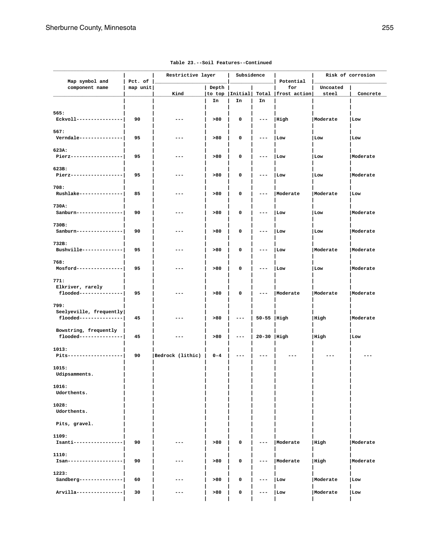| Map symbol and                                            | Pct. of  | Restrictive layer |         | Subsidence       |               | Potential           | Risk of corrosion |                 |
|-----------------------------------------------------------|----------|-------------------|---------|------------------|---------------|---------------------|-------------------|-----------------|
| component name                                            | map unit | Kind              | Depth   | to top   Initial | Total         | for<br>frost action | Uncoated<br>steel | Concrete        |
|                                                           |          |                   | In      | In               | In            |                     |                   |                 |
| 565:<br>Eckvoll----------------                           | 90       | ---               | > 80    | 0                | ---           | High                | Moderate          | Low             |
| 567:<br>$Verndale$ --------------                         | 95       | ---               | >80     | 0                | ---           | Low                 | Low               | Low             |
| 623A:<br>Pierz-------------------                         | 95       | ---               | >80     | 0                |               | Low                 | Low               | Moderate        |
| 623B:<br>Pierz-------------------                         | 95       | ---               | > 80    | 0                |               | Low                 | Low               | Moderate        |
| 708:<br>Rushlake---------------                           | 85       | ---               | > 80    | 0                |               | Moderate            | Moderate          | Low             |
| 730A:<br>Sanburn----------------                          | 90       | ---               | > 80    | 0                | ---           | Low                 | Low               | Moderate        |
| 730B:<br>Sanburn----------------                          | 90       | ---               | >80     | 0                |               | Low                 | Low               | <i>Noderate</i> |
| 732B:<br>Bushville--------------                          | 95       | ---               | >80     | 0                |               | Low                 | Moderate          | Moderate        |
| 768:<br>Mosford----------------                           | 95       | ---               | > 80    | 0                |               | Low                 | Low               | Moderate        |
| 771:<br>Elkriver, rarely<br>$f$ looded---------------     | 95       | ---               | >80     | 0                | ---           | Moderate            | Moderate          | Moderate        |
| 799:<br>Seelyeville, frequently<br>flooded--------------- | 45       | ---               | > 80    | $---$            | $50-55$  High |                     | High              | Moderate        |
| Bowstring, frequently<br>flooded---------------           | 45       | ---               | >80     | $---$            | $20-30$  High |                     | High              | Low             |
| 1013:<br>Pits-------------------                          | 90       | Bedrock (lithic)  | $0 - 4$ | ---              |               |                     |                   |                 |
| 1015:<br>Udipsamments.                                    |          |                   |         |                  |               |                     |                   |                 |
| 1016:<br>Udorthents.                                      |          |                   |         |                  |               |                     |                   |                 |
| 1028:<br>Udorthents.                                      |          |                   |         |                  |               |                     |                   |                 |
| Pits, gravel.                                             |          |                   |         |                  |               |                     |                   |                 |
| 1109:<br>Isanti-----------------                          | 90       |                   | >80     | 0                |               | Moderate            | High              | Moderate        |
| 1110:<br>Isan-------------------                          | 90       | ---               | >80     | 0                | ---           | <i>Noderate</i>     | High              | Moderate        |
| 1223:<br>Sandberg---------------                          | 60       | ---               | >80     | 0                |               | Low                 | Moderate          | Low             |
| Arvilla----------------                                   | 30       | ---               | >80     | 0                | ---           | Low                 | Moderate          | Low             |
|                                                           |          |                   |         |                  |               |                     |                   |                 |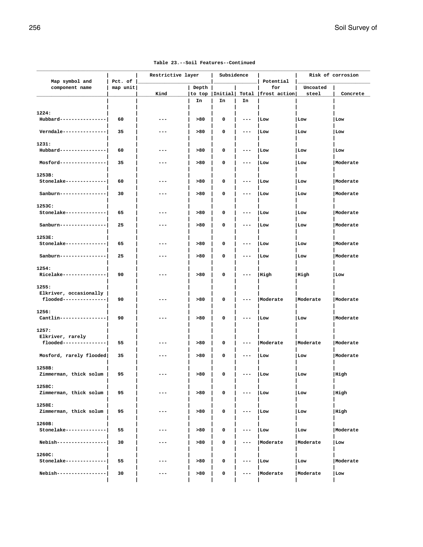| Map symbol and           | Pct. of  | Restrictive layer |       | Subsidence      |       | Potential       |          | Risk of corrosion |
|--------------------------|----------|-------------------|-------|-----------------|-------|-----------------|----------|-------------------|
| component name           | map unit |                   | Depth |                 |       | for             | Uncoated |                   |
|                          |          | Kind              |       | to top  Initial | Total | frost action    | steel    | Concrete          |
|                          |          |                   | In    | In              | In    |                 |          |                   |
|                          |          |                   |       |                 |       |                 |          |                   |
| 1224:                    |          |                   |       |                 |       |                 |          |                   |
| Hubbard----------------  | 60       | ---               | >80   | 0               | ---   | Low             | Low      | Low               |
|                          |          |                   |       |                 |       |                 |          |                   |
| Verndale --------------- | 35       | ---               | >80   | 0               |       | Low             | Low      | Low               |
|                          |          |                   |       |                 |       |                 |          |                   |
| 1231:                    |          |                   |       |                 |       |                 |          |                   |
| Hubbard----------------  | 60       | ---               | >80   | 0               |       | Low             | Low      | Low               |
|                          |          |                   |       |                 |       |                 |          |                   |
| Mosford----------------  | 35       | ---               | >80   | 0               | ---   | Low             | Low      | Moderate          |
|                          |          |                   |       |                 |       |                 |          |                   |
| 1253B:                   |          |                   |       |                 |       |                 |          |                   |
| Stonelake--------------  | 60       | ---               | >80   | 0               | ---   | Low             | Low      | Moderate          |
|                          |          |                   |       |                 |       |                 |          |                   |
| Sanburn----------------  | 30       | ---               | >80   | 0               |       | Low             | Low      | Moderate          |
|                          |          |                   |       |                 |       |                 |          |                   |
| 1253C:                   |          |                   |       |                 |       |                 |          | Moderate          |
| Stonelake--------------  | 65       | ---               | >80   | 0               | ---   | Low             | Low      |                   |
| Sanburn----------------  | 25       | ---               | >80   | 0               | ---   | Low             | Low      | Moderate          |
|                          |          |                   |       |                 |       |                 |          |                   |
| 1253E:                   |          |                   |       |                 |       |                 |          |                   |
| Stonelake--------------  | 65       | ---               | >80   | 0               |       | Low             | Low      | Moderate          |
|                          |          |                   |       |                 |       |                 |          |                   |
| Sanburn----------------  | 25       | ---               | >80   | 0               |       | Low             | Low      | <i>Noderate</i>   |
|                          |          |                   |       |                 |       |                 |          |                   |
| 1254:                    |          |                   |       |                 |       |                 |          |                   |
| Ricelake---------------  | 90       | ---               | >80   | 0               |       | High            | High     | Low               |
|                          |          |                   |       |                 |       |                 |          |                   |
| 1255:                    |          |                   |       |                 |       |                 |          |                   |
| Elkriver, occasionally   |          |                   |       |                 |       |                 |          |                   |
| flooded---------------   | 90       | ---               | >80   | 0               | ---   | Moderate        | Moderate | Moderate          |
|                          |          |                   |       |                 |       |                 |          |                   |
| 1256:                    |          |                   |       |                 |       |                 |          |                   |
| Cantlin----------------  | 90       | ---               | >80   | 0               |       | Low             | Low      | Moderate          |
|                          |          |                   |       |                 |       |                 |          |                   |
| 1257:                    |          |                   |       |                 |       |                 |          |                   |
| Elkriver, rarely         |          |                   |       |                 |       |                 |          |                   |
| flooded---------------   | 55       | ---               | >80   | 0               | ---   | Moderate        | Moderate | Moderate          |
|                          |          |                   |       |                 |       |                 |          | <i>Noderate</i>   |
| Mosford, rarely flooded  | 35       | ---               | >80   | 0               |       | Low             | Low      |                   |
| 1258B:                   |          |                   |       |                 |       |                 |          |                   |
| Zimmerman, thick solum   | 95       |                   | >80   | 0               |       | Low             | Low      | High              |
|                          |          |                   |       |                 |       |                 |          |                   |
| 1258C:                   |          |                   |       |                 |       |                 |          |                   |
| Zimmerman, thick solum   | 95       |                   | >80   | 0               |       | Low             | Low      | High              |
|                          |          |                   |       |                 |       |                 |          |                   |
| 1258E:                   |          |                   |       |                 |       |                 |          |                   |
| Zimmerman, thick solum   | 95       | ---               | >80   | 0               |       | Low             | Low      | High              |
|                          |          |                   |       |                 |       |                 |          |                   |
| 1260B:                   |          |                   |       |                 |       |                 |          |                   |
| Stonelake--------------  | 55       | ---               | >80   | 0               |       | Low             | Low      | Moderate          |
|                          |          |                   |       |                 |       |                 |          |                   |
| Nebish-----------------  | 30       | ---               | >80   | 0               |       | <i>Noderate</i> | Moderate | Low               |
|                          |          |                   |       |                 |       |                 |          |                   |
| 1260C:                   |          |                   |       |                 |       |                 |          |                   |
| Stonelake--------------  | 55       |                   | >80   | 0               |       | Low             | Low      | Moderate          |
|                          |          |                   |       |                 |       |                 |          |                   |
| Nebish-----------------  | 30       | ---               | >80   | 0               | ---   | Moderate        | Moderate | Low               |
|                          |          |                   |       |                 |       |                 |          |                   |

### **Table 23.--Soil Features--Continued**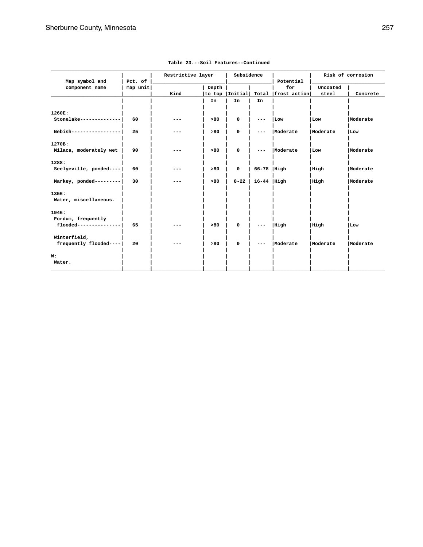|                         |          |                   |       | Subsidence       |                |              |          | Risk of corrosion |
|-------------------------|----------|-------------------|-------|------------------|----------------|--------------|----------|-------------------|
| Map symbol and          | Pct. of  | Restrictive layer |       |                  |                | Potential    |          |                   |
| component name          | map unit |                   | Depth |                  |                | for          | Uncoated |                   |
|                         |          | Kind              |       | to top   Initial | Total          | frost action | steel    | Concrete          |
|                         |          |                   |       |                  |                |              |          |                   |
|                         |          |                   | In    | In               | In             |              |          |                   |
| 1260E:                  |          |                   |       |                  |                |              |          |                   |
| Stonelake-------------- | 60       |                   | >80   | 0                | ---            | Low          | Low      | Moderate          |
| Nebish----------------  | 25       |                   | >80   | 0                |                | Moderate     | Moderate | Low               |
| 1270B:                  |          |                   |       |                  |                |              |          |                   |
| Milaca, moderately wet  | 90       |                   | >80   | $\mathbf 0$      |                | Moderate     | Low      | Moderate          |
| 1288:                   |          |                   |       |                  |                |              |          |                   |
| Seelyeville, ponded---- | 60       |                   | >80   | $\mathbf 0$      | $66-78$  High  |              | High     | Moderate          |
| Markey, ponded--------- | 30       |                   | >80   | $8 - 22$         | $16-44$   High |              | High     | Moderate          |
| 1356:                   |          |                   |       |                  |                |              |          |                   |
| Water, miscellaneous.   |          |                   |       |                  |                |              |          |                   |
| 1946:                   |          |                   |       |                  |                |              |          |                   |
| Fordum, frequently      |          |                   |       |                  |                |              |          |                   |
| flooded---------------  | 65       |                   | >80   | 0                |                | High         | High     | Low               |
| Winterfield,            |          |                   |       |                  |                |              |          |                   |
| frequently flooded----  | 20       |                   | >80   | 0                |                | Moderate     | Moderate | Moderate          |
| W:                      |          |                   |       |                  |                |              |          |                   |
| Water.                  |          |                   |       |                  |                |              |          |                   |
|                         |          |                   |       |                  |                |              |          |                   |

### **Table 23.--Soil Features--Continued**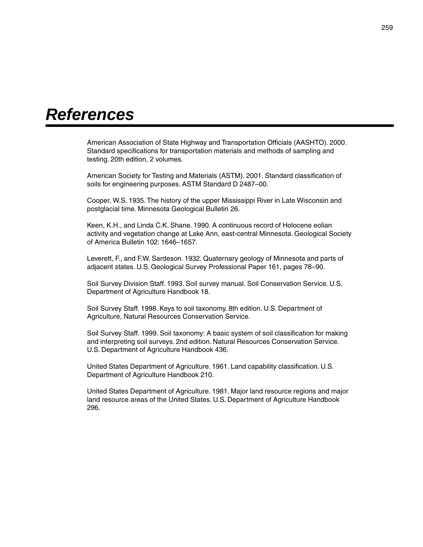## *References*

American Association of State Highway and Transportation Officials (AASHTO). 2000. Standard specifications for transportation materials and methods of sampling and testing. 20th edition, 2 volumes.

American Society for Testing and Materials (ASTM). 2001. Standard classification of soils for engineering purposes. ASTM Standard D 2487–00.

Cooper, W.S. 1935. The history of the upper Mississippi River in Late Wisconsin and postglacial time. Minnesota Geological Bulletin 26.

Keen, K.H., and Linda C.K. Shane. 1990. A continuous record of Holocene eolian activity and vegetation change at Lake Ann, east-central Minnesota. Geological Society of America Bulletin 102: 1646–1657.

Leverett, F., and F.W. Sardeson. 1932. Quaternary geology of Minnesota and parts of adjacent states. U.S. Geological Survey Professional Paper 161, pages 78–90.

Soil Survey Division Staff. 1993. Soil survey manual. Soil Conservation Service. U.S. Department of Agriculture Handbook 18.

Soil Survey Staff. 1998. Keys to soil taxonomy. 8th edition. U.S. Department of Agriculture, Natural Resources Conservation Service.

Soil Survey Staff. 1999. Soil taxonomy: A basic system of soil classification for making and interpreting soil surveys. 2nd edition. Natural Resources Conservation Service. U.S. Department of Agriculture Handbook 436.

United States Department of Agriculture. 1961. Land capability classification. U.S. Department of Agriculture Handbook 210.

United States Department of Agriculture. 1981. Major land resource regions and major land resource areas of the United States. U.S. Department of Agriculture Handbook 296.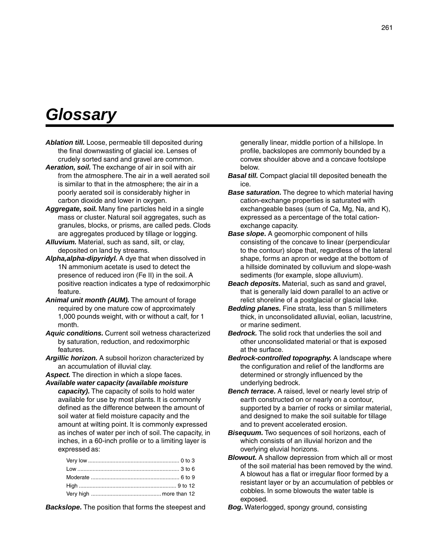# *Glossary*

- *Ablation till.* Loose, permeable till deposited during the final downwasting of glacial ice. Lenses of crudely sorted sand and gravel are common.
- *Aeration, soil.* The exchange of air in soil with air from the atmosphere. The air in a well aerated soil is similar to that in the atmosphere; the air in a poorly aerated soil is considerably higher in carbon dioxide and lower in oxygen.
- *Aggregate, soil.* Many fine particles held in a single mass or cluster. Natural soil aggregates, such as granules, blocks, or prisms, are called peds. Clods are aggregates produced by tillage or logging.
- *Alluvium.* Material, such as sand, silt, or clay, deposited on land by streams.
- *Alpha,alpha-dipyridyl.* A dye that when dissolved in 1N ammonium acetate is used to detect the presence of reduced iron (Fe II) in the soil. A positive reaction indicates a type of redoximorphic feature.
- *Animal unit month (AUM).* The amount of forage required by one mature cow of approximately 1,000 pounds weight, with or without a calf, for 1 month.
- *Aquic conditions.* Current soil wetness characterized by saturation, reduction, and redoximorphic features.
- *Argillic horizon.* A subsoil horizon characterized by an accumulation of illuvial clay.
- *Aspect.* The direction in which a slope faces.
- *Available water capacity (available moisture capacity).* The capacity of soils to hold water available for use by most plants. It is commonly defined as the difference between the amount of soil water at field moisture capacity and the amount at wilting point. It is commonly expressed as inches of water per inch of soil. The capacity, in inches, in a 60-inch profile or to a limiting layer is expressed as:

*Backslope.* The position that forms the steepest and

generally linear, middle portion of a hillslope. In profile, backslopes are commonly bounded by a convex shoulder above and a concave footslope below.

- *Basal till.* Compact glacial till deposited beneath the ice.
- *Base saturation.* The degree to which material having cation-exchange properties is saturated with exchangeable bases (sum of Ca, Mg, Na, and K), expressed as a percentage of the total cationexchange capacity.
- *Base slope.* A geomorphic component of hills consisting of the concave to linear (perpendicular to the contour) slope that, regardless of the lateral shape, forms an apron or wedge at the bottom of a hillside dominated by colluvium and slope-wash sediments (for example, slope alluvium).
- *Beach deposits.* Material, such as sand and gravel, that is generally laid down parallel to an active or relict shoreline of a postglacial or glacial lake.
- *Bedding planes.* Fine strata, less than 5 millimeters thick, in unconsolidated alluvial, eolian, lacustrine, or marine sediment.
- *Bedrock.* The solid rock that underlies the soil and other unconsolidated material or that is exposed at the surface.
- *Bedrock-controlled topography.* A landscape where the configuration and relief of the landforms are determined or strongly influenced by the underlying bedrock.
- *Bench terrace.* A raised, level or nearly level strip of earth constructed on or nearly on a contour, supported by a barrier of rocks or similar material, and designed to make the soil suitable for tillage and to prevent accelerated erosion.
- *Bisequum.* Two sequences of soil horizons, each of which consists of an illuvial horizon and the overlying eluvial horizons.
- *Blowout.* A shallow depression from which all or most of the soil material has been removed by the wind. A blowout has a flat or irregular floor formed by a resistant layer or by an accumulation of pebbles or cobbles. In some blowouts the water table is exposed.

*Bog.* Waterlogged, spongy ground, consisting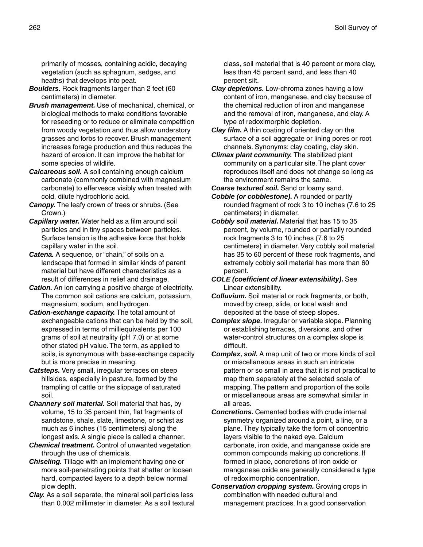primarily of mosses, containing acidic, decaying vegetation (such as sphagnum, sedges, and heaths) that develops into peat.

- *Boulders.* Rock fragments larger than 2 feet (60 centimeters) in diameter.
- *Brush management.* Use of mechanical, chemical, or biological methods to make conditions favorable for reseeding or to reduce or eliminate competition from woody vegetation and thus allow understory grasses and forbs to recover. Brush management increases forage production and thus reduces the hazard of erosion. It can improve the habitat for some species of wildlife.
- *Calcareous soil.* A soil containing enough calcium carbonate (commonly combined with magnesium carbonate) to effervesce visibly when treated with cold, dilute hydrochloric acid.
- *Canopy.* The leafy crown of trees or shrubs. (See Crown.)
- *Capillary water.* Water held as a film around soil particles and in tiny spaces between particles. Surface tension is the adhesive force that holds capillary water in the soil.
- *Catena.* A sequence, or "chain," of soils on a landscape that formed in similar kinds of parent material but have different characteristics as a result of differences in relief and drainage.
- **Cation.** An ion carrying a positive charge of electricity. The common soil cations are calcium, potassium, magnesium, sodium, and hydrogen.
- *Cation-exchange capacity.* The total amount of exchangeable cations that can be held by the soil, expressed in terms of milliequivalents per 100 grams of soil at neutrality (pH 7.0) or at some other stated pH value. The term, as applied to soils, is synonymous with base-exchange capacity but is more precise in meaning.
- *Catsteps.* Very small, irregular terraces on steep hillsides, especially in pasture, formed by the trampling of cattle or the slippage of saturated soil.
- *Channery soil material.* Soil material that has, by volume, 15 to 35 percent thin, flat fragments of sandstone, shale, slate, limestone, or schist as much as 6 inches (15 centimeters) along the longest axis. A single piece is called a channer.
- *Chemical treatment.* Control of unwanted vegetation through the use of chemicals.
- *Chiseling.* Tillage with an implement having one or more soil-penetrating points that shatter or loosen hard, compacted layers to a depth below normal plow depth.
- *Clay.* As a soil separate, the mineral soil particles less than 0.002 millimeter in diameter. As a soil textural

class, soil material that is 40 percent or more clay, less than 45 percent sand, and less than 40 percent silt.

- *Clay depletions.* Low-chroma zones having a low content of iron, manganese, and clay because of the chemical reduction of iron and manganese and the removal of iron, manganese, and clay. A type of redoximorphic depletion.
- *Clay film.* A thin coating of oriented clay on the surface of a soil aggregate or lining pores or root channels. Synonyms: clay coating, clay skin.
- *Climax plant community.* The stabilized plant community on a particular site. The plant cover reproduces itself and does not change so long as the environment remains the same.

*Coarse textured soil.* Sand or loamy sand.

- *Cobble (or cobblestone).* A rounded or partly rounded fragment of rock 3 to 10 inches (7.6 to 25 centimeters) in diameter.
- *Cobbly soil material.* Material that has 15 to 35 percent, by volume, rounded or partially rounded rock fragments 3 to 10 inches (7.6 to 25 centimeters) in diameter. Very cobbly soil material has 35 to 60 percent of these rock fragments, and extremely cobbly soil material has more than 60 percent.
- *COLE (coefficient of linear extensibility).* See Linear extensibility.
- *Colluvium.* Soil material or rock fragments, or both, moved by creep, slide, or local wash and deposited at the base of steep slopes.
- *Complex slope.* Irregular or variable slope. Planning or establishing terraces, diversions, and other water-control structures on a complex slope is difficult.
- *Complex, soil.* A map unit of two or more kinds of soil or miscellaneous areas in such an intricate pattern or so small in area that it is not practical to map them separately at the selected scale of mapping. The pattern and proportion of the soils or miscellaneous areas are somewhat similar in all areas.
- *Concretions.* Cemented bodies with crude internal symmetry organized around a point, a line, or a plane. They typically take the form of concentric layers visible to the naked eye. Calcium carbonate, iron oxide, and manganese oxide are common compounds making up concretions. If formed in place, concretions of iron oxide or manganese oxide are generally considered a type of redoximorphic concentration.
- *Conservation cropping system.* Growing crops in combination with needed cultural and management practices. In a good conservation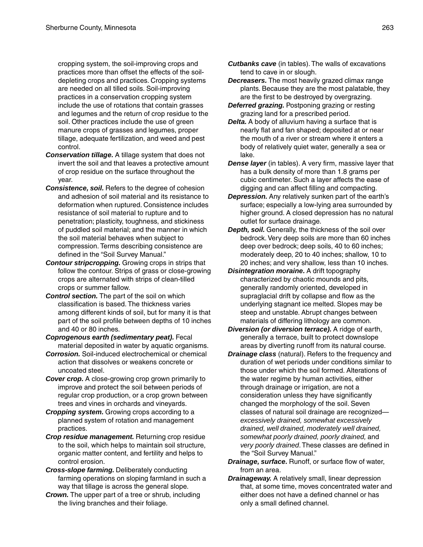cropping system, the soil-improving crops and practices more than offset the effects of the soildepleting crops and practices. Cropping systems are needed on all tilled soils. Soil-improving practices in a conservation cropping system include the use of rotations that contain grasses and legumes and the return of crop residue to the soil. Other practices include the use of green manure crops of grasses and legumes, proper tillage, adequate fertilization, and weed and pest control.

- *Conservation tillage.* A tillage system that does not invert the soil and that leaves a protective amount of crop residue on the surface throughout the year.
- **Consistence, soil.** Refers to the degree of cohesion and adhesion of soil material and its resistance to deformation when ruptured. Consistence includes resistance of soil material to rupture and to penetration; plasticity, toughness, and stickiness of puddled soil material; and the manner in which the soil material behaves when subject to compression. Terms describing consistence are defined in the "Soil Survey Manual."
- *Contour stripcropping.* Growing crops in strips that follow the contour. Strips of grass or close-growing crops are alternated with strips of clean-tilled crops or summer fallow.
- *Control section.* The part of the soil on which classification is based. The thickness varies among different kinds of soil, but for many it is that part of the soil profile between depths of 10 inches and 40 or 80 inches.
- *Coprogenous earth (sedimentary peat).* Fecal material deposited in water by aquatic organisms.
- *Corrosion.* Soil-induced electrochemical or chemical action that dissolves or weakens concrete or uncoated steel.
- *Cover crop.* A close-growing crop grown primarily to improve and protect the soil between periods of regular crop production, or a crop grown between trees and vines in orchards and vineyards.
- *Cropping system.* Growing crops according to a planned system of rotation and management practices.
- *Crop residue management.* Returning crop residue to the soil, which helps to maintain soil structure, organic matter content, and fertility and helps to control erosion.
- *Cross-slope farming.* Deliberately conducting farming operations on sloping farmland in such a way that tillage is across the general slope.
- *Crown.* The upper part of a tree or shrub, including the living branches and their foliage.
- *Cutbanks cave* (in tables). The walls of excavations tend to cave in or slough.
- *Decreasers.* The most heavily grazed climax range plants. Because they are the most palatable, they are the first to be destroyed by overgrazing.
- *Deferred grazing.* Postponing grazing or resting grazing land for a prescribed period.
- *Delta.* A body of alluvium having a surface that is nearly flat and fan shaped; deposited at or near the mouth of a river or stream where it enters a body of relatively quiet water, generally a sea or lake.
- *Dense layer* (in tables). A very firm, massive layer that has a bulk density of more than 1.8 grams per cubic centimeter. Such a layer affects the ease of digging and can affect filling and compacting.
- *Depression.* Any relatively sunken part of the earth's surface; especially a low-lying area surrounded by higher ground. A closed depression has no natural outlet for surface drainage.
- *Depth, soil.* Generally, the thickness of the soil over bedrock. Very deep soils are more than 60 inches deep over bedrock; deep soils, 40 to 60 inches; moderately deep, 20 to 40 inches; shallow, 10 to 20 inches; and very shallow, less than 10 inches.
- *Disintegration moraine.* A drift topography characterized by chaotic mounds and pits, generally randomly oriented, developed in supraglacial drift by collapse and flow as the underlying stagnant ice melted. Slopes may be steep and unstable. Abrupt changes between materials of differing lithology are common.
- *Diversion (or diversion terrace).* A ridge of earth, generally a terrace, built to protect downslope areas by diverting runoff from its natural course.
- *Drainage class* (natural). Refers to the frequency and duration of wet periods under conditions similar to those under which the soil formed. Alterations of the water regime by human activities, either through drainage or irrigation, are not a consideration unless they have significantly changed the morphology of the soil. Seven classes of natural soil drainage are recognized *excessively drained, somewhat excessively drained, well drained, moderately well drained, somewhat poorly drained, poorly drained,* and *very poorly drained*. These classes are defined in the "Soil Survey Manual."
- *Drainage, surface.* Runoff, or surface flow of water, from an area.
- *Drainageway.* A relatively small, linear depression that, at some time, moves concentrated water and either does not have a defined channel or has only a small defined channel.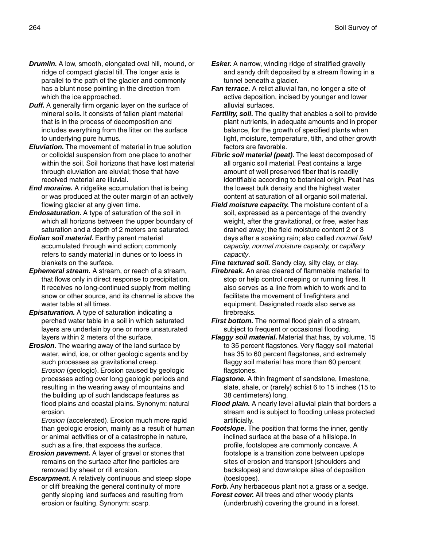- *Drumlin.* A low, smooth, elongated oval hill, mound, or ridge of compact glacial till. The longer axis is parallel to the path of the glacier and commonly has a blunt nose pointing in the direction from which the ice approached.
- *Duff.* A generally firm organic layer on the surface of mineral soils. It consists of fallen plant material that is in the process of decomposition and includes everything from the litter on the surface to underlying pure humus.
- *Eluviation.* The movement of material in true solution or colloidal suspension from one place to another within the soil. Soil horizons that have lost material through eluviation are eluvial; those that have received material are illuvial.
- *End moraine.* A ridgelike accumulation that is being or was produced at the outer margin of an actively flowing glacier at any given time.
- *Endosaturation.* A type of saturation of the soil in which all horizons between the upper boundary of saturation and a depth of 2 meters are saturated.
- *Eolian soil material.* Earthy parent material accumulated through wind action; commonly refers to sandy material in dunes or to loess in blankets on the surface.
- *Ephemeral stream.* A stream, or reach of a stream, that flows only in direct response to precipitation. It receives no long-continued supply from melting snow or other source, and its channel is above the water table at all times.
- *Episaturation.* A type of saturation indicating a perched water table in a soil in which saturated layers are underlain by one or more unsaturated layers within 2 meters of the surface.
- *Erosion.* The wearing away of the land surface by water, wind, ice, or other geologic agents and by such processes as gravitational creep. *Erosion* (geologic). Erosion caused by geologic processes acting over long geologic periods and resulting in the wearing away of mountains and the building up of such landscape features as flood plains and coastal plains. Synonym: natural erosion.

*Erosion* (accelerated). Erosion much more rapid than geologic erosion, mainly as a result of human or animal activities or of a catastrophe in nature, such as a fire, that exposes the surface.

- *Erosion pavement.* A layer of gravel or stones that remains on the surface after fine particles are removed by sheet or rill erosion.
- *Escarpment.* A relatively continuous and steep slope or cliff breaking the general continuity of more gently sloping land surfaces and resulting from erosion or faulting. Synonym: scarp.
- **Esker.** A narrow, winding ridge of stratified gravelly and sandy drift deposited by a stream flowing in a tunnel beneath a glacier.
- *Fan terrace.* A relict alluvial fan, no longer a site of active deposition, incised by younger and lower alluvial surfaces.
- *Fertility, soil.* The quality that enables a soil to provide plant nutrients, in adequate amounts and in proper balance, for the growth of specified plants when light, moisture, temperature, tilth, and other growth factors are favorable.
- *Fibric soil material (peat).* The least decomposed of all organic soil material. Peat contains a large amount of well preserved fiber that is readily identifiable according to botanical origin. Peat has the lowest bulk density and the highest water content at saturation of all organic soil material.
- *Field moisture capacity.* The moisture content of a soil, expressed as a percentage of the ovendry weight, after the gravitational, or free, water has drained away; the field moisture content 2 or 3 days after a soaking rain; also called *normal field capacity, normal moisture capacity,* or *capillary capacity*.

**Fine textured soil.** Sandy clay, silty clay, or clay.

*Firebreak.* An area cleared of flammable material to stop or help control creeping or running fires. It also serves as a line from which to work and to facilitate the movement of firefighters and equipment. Designated roads also serve as firebreaks.

- *First bottom.* The normal flood plain of a stream, subject to frequent or occasional flooding.
- *Flaggy soil material.* Material that has, by volume, 15 to 35 percent flagstones. Very flaggy soil material has 35 to 60 percent flagstones, and extremely flaggy soil material has more than 60 percent flagstones.
- *Flagstone.* A thin fragment of sandstone, limestone, slate, shale, or (rarely) schist 6 to 15 inches (15 to 38 centimeters) long.
- *Flood plain.* A nearly level alluvial plain that borders a stream and is subject to flooding unless protected artificially.
- **Footslope.** The position that forms the inner, gently inclined surface at the base of a hillslope. In profile, footslopes are commonly concave. A footslope is a transition zone between upslope sites of erosion and transport (shoulders and backslopes) and downslope sites of deposition (toeslopes).

**Forb.** Any herbaceous plant not a grass or a sedge.

*Forest cover.* All trees and other woody plants (underbrush) covering the ground in a forest.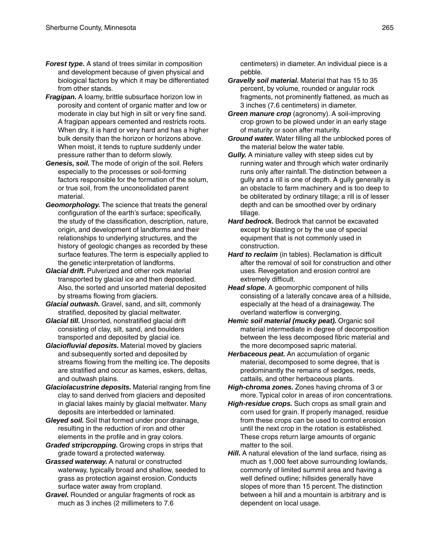- *Forest type.* A stand of trees similar in composition and development because of given physical and biological factors by which it may be differentiated from other stands.
- *Fragipan.* A loamy, brittle subsurface horizon low in porosity and content of organic matter and low or moderate in clay but high in silt or very fine sand. A fragipan appears cemented and restricts roots. When dry, it is hard or very hard and has a higher bulk density than the horizon or horizons above. When moist, it tends to rupture suddenly under pressure rather than to deform slowly.
- *Genesis, soil.* The mode of origin of the soil. Refers especially to the processes or soil-forming factors responsible for the formation of the solum, or true soil, from the unconsolidated parent material.
- *Geomorphology.* The science that treats the general configuration of the earth's surface; specifically, the study of the classification, description, nature, origin, and development of landforms and their relationships to underlying structures, and the history of geologic changes as recorded by these surface features. The term is especially applied to the genetic interpretation of landforms.
- *Glacial drift.* Pulverized and other rock material transported by glacial ice and then deposited. Also, the sorted and unsorted material deposited by streams flowing from glaciers.
- *Glacial outwash.* Gravel, sand, and silt, commonly stratified, deposited by glacial meltwater.
- *Glacial till.* Unsorted, nonstratified glacial drift consisting of clay, silt, sand, and boulders transported and deposited by glacial ice.
- *Glaciofluvial deposits.* Material moved by glaciers and subsequently sorted and deposited by streams flowing from the melting ice. The deposits are stratified and occur as kames, eskers, deltas, and outwash plains.
- *Glaciolacustrine deposits.* Material ranging from fine clay to sand derived from glaciers and deposited in glacial lakes mainly by glacial meltwater. Many deposits are interbedded or laminated.
- *Gleyed soil.* Soil that formed under poor drainage, resulting in the reduction of iron and other elements in the profile and in gray colors.
- *Graded stripcropping.* Growing crops in strips that grade toward a protected waterway.
- *Grassed waterway.* A natural or constructed waterway, typically broad and shallow, seeded to grass as protection against erosion. Conducts surface water away from cropland.
- *Gravel.* Rounded or angular fragments of rock as much as 3 inches (2 millimeters to 7.6

centimeters) in diameter. An individual piece is a pebble.

- *Gravelly soil material.* Material that has 15 to 35 percent, by volume, rounded or angular rock fragments, not prominently flattened, as much as 3 inches (7.6 centimeters) in diameter.
- *Green manure crop* (agronomy). A soil-improving crop grown to be plowed under in an early stage of maturity or soon after maturity.
- *Ground water.* Water filling all the unblocked pores of the material below the water table.
- *Gully.* A miniature valley with steep sides cut by running water and through which water ordinarily runs only after rainfall. The distinction between a gully and a rill is one of depth. A gully generally is an obstacle to farm machinery and is too deep to be obliterated by ordinary tillage; a rill is of lesser depth and can be smoothed over by ordinary tillage.
- *Hard bedrock.* Bedrock that cannot be excavated except by blasting or by the use of special equipment that is not commonly used in construction.
- *Hard to reclaim* (in tables). Reclamation is difficult after the removal of soil for construction and other uses. Revegetation and erosion control are extremely difficult.
- *Head slope.* A geomorphic component of hills consisting of a laterally concave area of a hillside, especially at the head of a drainageway. The overland waterflow is converging.
- *Hemic soil material (mucky peat).* Organic soil material intermediate in degree of decomposition between the less decomposed fibric material and the more decomposed sapric material.
- *Herbaceous peat.* An accumulation of organic material, decomposed to some degree, that is predominantly the remains of sedges, reeds, cattails, and other herbaceous plants.
- *High-chroma zones.* Zones having chroma of 3 or more. Typical color in areas of iron concentrations.
- *High-residue crops.* Such crops as small grain and corn used for grain. If properly managed, residue from these crops can be used to control erosion until the next crop in the rotation is established. These crops return large amounts of organic matter to the soil.
- **Hill.** A natural elevation of the land surface, rising as much as 1,000 feet above surrounding lowlands, commonly of limited summit area and having a well defined outline; hillsides generally have slopes of more than 15 percent. The distinction between a hill and a mountain is arbitrary and is dependent on local usage.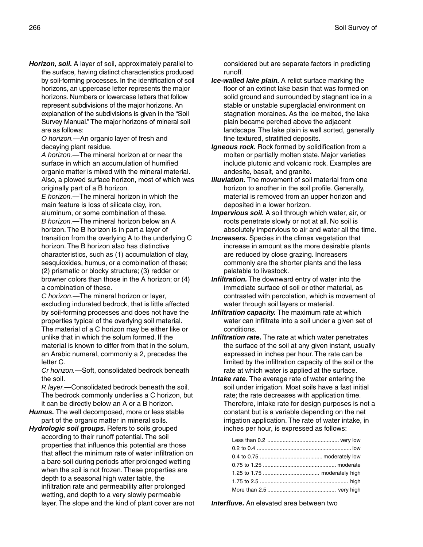*Horizon, soil.* A layer of soil, approximately parallel to the surface, having distinct characteristics produced by soil-forming processes. In the identification of soil horizons, an uppercase letter represents the major horizons. Numbers or lowercase letters that follow represent subdivisions of the major horizons. An explanation of the subdivisions is given in the "Soil Survey Manual." The major horizons of mineral soil are as follows:

*O horizon.*—An organic layer of fresh and decaying plant residue.

*A horizon.*—The mineral horizon at or near the surface in which an accumulation of humified organic matter is mixed with the mineral material. Also, a plowed surface horizon, most of which was originally part of a B horizon.

*E horizon.*—The mineral horizon in which the main feature is loss of silicate clay, iron, aluminum, or some combination of these. *B horizon.*—The mineral horizon below an A horizon. The B horizon is in part a layer of transition from the overlying A to the underlying C horizon. The B horizon also has distinctive characteristics, such as (1) accumulation of clay, sesquioxides, humus, or a combination of these; (2) prismatic or blocky structure; (3) redder or browner colors than those in the A horizon; or (4) a combination of these.

*C horizon.*—The mineral horizon or layer, excluding indurated bedrock, that is little affected by soil-forming processes and does not have the properties typical of the overlying soil material. The material of a C horizon may be either like or unlike that in which the solum formed. If the material is known to differ from that in the solum, an Arabic numeral, commonly a 2, precedes the letter C.

*Cr horizon.*—Soft, consolidated bedrock beneath the soil.

*R layer.*—Consolidated bedrock beneath the soil. The bedrock commonly underlies a C horizon, but it can be directly below an A or a B horizon.

- *Humus.* The well decomposed, more or less stable part of the organic matter in mineral soils.
- *Hydrologic soil groups.* Refers to soils grouped according to their runoff potential. The soil properties that influence this potential are those that affect the minimum rate of water infiltration on a bare soil during periods after prolonged wetting when the soil is not frozen. These properties are depth to a seasonal high water table, the infiltration rate and permeability after prolonged wetting, and depth to a very slowly permeable layer. The slope and the kind of plant cover are not

considered but are separate factors in predicting runoff.

- *Ice-walled lake plain.* A relict surface marking the floor of an extinct lake basin that was formed on solid ground and surrounded by stagnant ice in a stable or unstable superglacial environment on stagnation moraines. As the ice melted, the lake plain became perched above the adjacent landscape. The lake plain is well sorted, generally fine textured, stratified deposits.
- *Igneous rock.* Rock formed by solidification from a molten or partially molten state. Major varieties include plutonic and volcanic rock. Examples are andesite, basalt, and granite.
- *Illuviation.* The movement of soil material from one horizon to another in the soil profile. Generally, material is removed from an upper horizon and deposited in a lower horizon.
- *Impervious soil.* A soil through which water, air, or roots penetrate slowly or not at all. No soil is absolutely impervious to air and water all the time.
- *Increasers.* Species in the climax vegetation that increase in amount as the more desirable plants are reduced by close grazing. Increasers commonly are the shorter plants and the less palatable to livestock.
- *Infiltration.* The downward entry of water into the immediate surface of soil or other material, as contrasted with percolation, which is movement of water through soil layers or material.
- *Infiltration capacity.* The maximum rate at which water can infiltrate into a soil under a given set of conditions.
- *Infiltration rate.* The rate at which water penetrates the surface of the soil at any given instant, usually expressed in inches per hour. The rate can be limited by the infiltration capacity of the soil or the rate at which water is applied at the surface.
- *Intake rate.* The average rate of water entering the soil under irrigation. Most soils have a fast initial rate; the rate decreases with application time. Therefore, intake rate for design purposes is not a constant but is a variable depending on the net irrigation application. The rate of water intake, in inches per hour, is expressed as follows:

*Interfluve.* An elevated area between two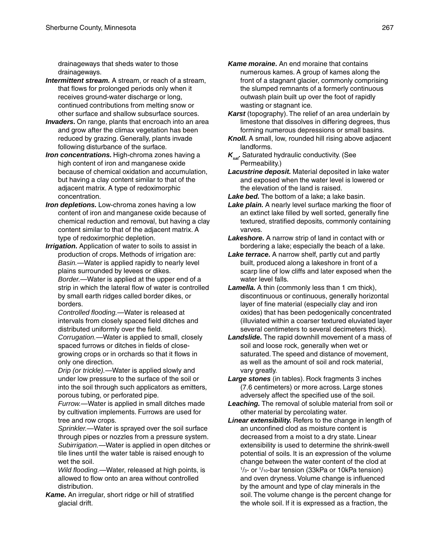drainageways that sheds water to those drainageways.

- *Intermittent stream.* A stream, or reach of a stream, that flows for prolonged periods only when it receives ground-water discharge or long, continued contributions from melting snow or other surface and shallow subsurface sources.
- *Invaders.* On range, plants that encroach into an area and grow after the climax vegetation has been reduced by grazing. Generally, plants invade following disturbance of the surface.
- **Iron concentrations.** High-chroma zones having a high content of iron and manganese oxide because of chemical oxidation and accumulation, but having a clay content similar to that of the adjacent matrix. A type of redoximorphic concentration.
- *Iron depletions.* Low-chroma zones having a low content of iron and manganese oxide because of chemical reduction and removal, but having a clay content similar to that of the adjacent matrix. A type of redoximorphic depletion.
- *Irrigation.* Application of water to soils to assist in production of crops. Methods of irrigation are: *Basin.*—Water is applied rapidly to nearly level plains surrounded by levees or dikes. *Border.*—Water is applied at the upper end of a strip in which the lateral flow of water is controlled by small earth ridges called border dikes, or borders.

*Controlled flooding.*—Water is released at intervals from closely spaced field ditches and distributed uniformly over the field.

*Corrugation.*—Water is applied to small, closely spaced furrows or ditches in fields of closegrowing crops or in orchards so that it flows in only one direction.

*Drip (or trickle).*—Water is applied slowly and under low pressure to the surface of the soil or into the soil through such applicators as emitters, porous tubing, or perforated pipe.

*Furrow.*—Water is applied in small ditches made by cultivation implements. Furrows are used for tree and row crops.

*Sprinkler.*—Water is sprayed over the soil surface through pipes or nozzles from a pressure system. *Subirrigation.*—Water is applied in open ditches or tile lines until the water table is raised enough to wet the soil.

*Wild flooding.*—Water, released at high points, is allowed to flow onto an area without controlled distribution.

*Kame.* An irregular, short ridge or hill of stratified glacial drift.

- *Kame moraine.* An end moraine that contains numerous kames. A group of kames along the front of a stagnant glacier, commonly comprising the slumped remnants of a formerly continuous outwash plain built up over the foot of rapidly wasting or stagnant ice.
- Karst (topography). The relief of an area underlain by limestone that dissolves in differing degrees, thus forming numerous depressions or small basins.
- *Knoll.* A small, low, rounded hill rising above adjacent landforms.
- *Ksat.* Saturated hydraulic conductivity. (See Permeability.)
- *Lacustrine deposit.* Material deposited in lake water and exposed when the water level is lowered or the elevation of the land is raised.
- *Lake bed.* The bottom of a lake; a lake basin.
- *Lake plain.* A nearly level surface marking the floor of an extinct lake filled by well sorted, generally fine textured, stratified deposits, commonly containing varves.
- *Lakeshore.* A narrow strip of land in contact with or bordering a lake; especially the beach of a lake.
- *Lake terrace.* A narrow shelf, partly cut and partly built, produced along a lakeshore in front of a scarp line of low cliffs and later exposed when the water level falls.
- *Lamella.* A thin (commonly less than 1 cm thick), discontinuous or continuous, generally horizontal layer of fine material (especially clay and iron oxides) that has been pedogenically concentrated (illuviated within a coarser textured eluviated layer several centimeters to several decimeters thick).
- *Landslide.* The rapid downhill movement of a mass of soil and loose rock, generally when wet or saturated. The speed and distance of movement, as well as the amount of soil and rock material, vary greatly.
- *Large stones* (in tables). Rock fragments 3 inches (7.6 centimeters) or more across. Large stones adversely affect the specified use of the soil.
- *Leaching.* The removal of soluble material from soil or other material by percolating water.
- *Linear extensibility.* Refers to the change in length of an unconfined clod as moisture content is decreased from a moist to a dry state. Linear extensibility is used to determine the shrink-swell potential of soils. It is an expression of the volume change between the water content of the clod at 1 /3- or 1 /10-bar tension (33kPa or 10kPa tension) and oven dryness. Volume change is influenced by the amount and type of clay minerals in the soil. The volume change is the percent change for the whole soil. If it is expressed as a fraction, the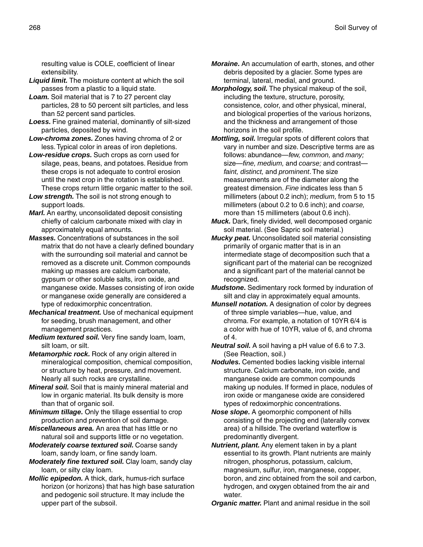resulting value is COLE, coefficient of linear extensibility.

- *Liquid limit.* The moisture content at which the soil passes from a plastic to a liquid state.
- **Loam.** Soil material that is 7 to 27 percent clay particles, 28 to 50 percent silt particles, and less than 52 percent sand particles.
- *Loess.* Fine grained material, dominantly of silt-sized particles, deposited by wind.
- *Low-chroma zones.* Zones having chroma of 2 or less. Typical color in areas of iron depletions.
- *Low-residue crops.* Such crops as corn used for silage, peas, beans, and potatoes. Residue from these crops is not adequate to control erosion until the next crop in the rotation is established. These crops return little organic matter to the soil.
- Low strength. The soil is not strong enough to support loads.
- *Marl.* An earthy, unconsolidated deposit consisting chiefly of calcium carbonate mixed with clay in approximately equal amounts.
- *Masses.* Concentrations of substances in the soil matrix that do not have a clearly defined boundary with the surrounding soil material and cannot be removed as a discrete unit. Common compounds making up masses are calcium carbonate, gypsum or other soluble salts, iron oxide, and manganese oxide. Masses consisting of iron oxide or manganese oxide generally are considered a type of redoximorphic concentration.
- *Mechanical treatment.* Use of mechanical equipment for seeding, brush management, and other management practices.
- *Medium textured soil.* Very fine sandy loam, loam, silt loam, or silt.
- **Metamorphic rock.** Rock of any origin altered in mineralogical composition, chemical composition, or structure by heat, pressure, and movement. Nearly all such rocks are crystalline.
- *Mineral soil.* Soil that is mainly mineral material and low in organic material. Its bulk density is more than that of organic soil.
- *Minimum tillage.* Only the tillage essential to crop production and prevention of soil damage.
- *Miscellaneous area.* An area that has little or no natural soil and supports little or no vegetation.
- *Moderately coarse textured soil.* Coarse sandy loam, sandy loam, or fine sandy loam.
- *Moderately fine textured soil.* Clay loam, sandy clay loam, or silty clay loam.
- *Mollic epipedon.* A thick, dark, humus-rich surface horizon (or horizons) that has high base saturation and pedogenic soil structure. It may include the upper part of the subsoil.
- *Moraine.* An accumulation of earth, stones, and other debris deposited by a glacier. Some types are terminal, lateral, medial, and ground.
- *Morphology, soil.* The physical makeup of the soil, including the texture, structure, porosity, consistence, color, and other physical, mineral, and biological properties of the various horizons, and the thickness and arrangement of those horizons in the soil profile.
- *Mottling, soil.* Irregular spots of different colors that vary in number and size. Descriptive terms are as follows: abundance—*few, common,* and *many;* size—*fine, medium,* and *coarse;* and contrast *faint, distinct,* and *prominent*. The size measurements are of the diameter along the greatest dimension. *Fine* indicates less than 5 millimeters (about 0.2 inch); *medium,* from 5 to 15 millimeters (about 0.2 to 0.6 inch); and *coarse,* more than 15 millimeters (about 0.6 inch).
- *Muck.* Dark, finely divided, well decomposed organic soil material. (See Sapric soil material.)
- *Mucky peat.* Unconsolidated soil material consisting primarily of organic matter that is in an intermediate stage of decomposition such that a significant part of the material can be recognized and a significant part of the material cannot be recognized.
- *Mudstone.* Sedimentary rock formed by induration of silt and clay in approximately equal amounts.
- *Munsell notation.* A designation of color by degrees of three simple variables—hue, value, and chroma. For example, a notation of 10YR 6/4 is a color with hue of 10YR, value of 6, and chroma of 4.
- *Neutral soil.* A soil having a pH value of 6.6 to 7.3. (See Reaction, soil.)
- *Nodules.* Cemented bodies lacking visible internal structure. Calcium carbonate, iron oxide, and manganese oxide are common compounds making up nodules. If formed in place, nodules of iron oxide or manganese oxide are considered types of redoximorphic concentrations.
- *Nose slope.* A geomorphic component of hills consisting of the projecting end (laterally convex area) of a hillside. The overland waterflow is predominantly divergent.
- *Nutrient, plant.* Any element taken in by a plant essential to its growth. Plant nutrients are mainly nitrogen, phosphorus, potassium, calcium, magnesium, sulfur, iron, manganese, copper, boron, and zinc obtained from the soil and carbon, hydrogen, and oxygen obtained from the air and water.

*Organic matter.* Plant and animal residue in the soil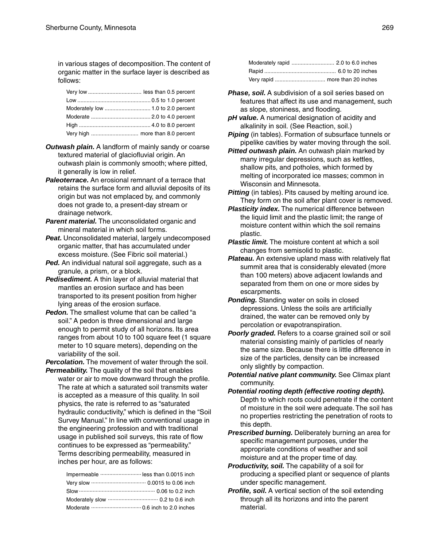in various stages of decomposition. The content of organic matter in the surface layer is described as follows:

- *Outwash plain.* A landform of mainly sandy or coarse textured material of glaciofluvial origin. An outwash plain is commonly smooth; where pitted, it generally is low in relief.
- *Paleoterrace.* An erosional remnant of a terrace that retains the surface form and alluvial deposits of its origin but was not emplaced by, and commonly does not grade to, a present-day stream or drainage network.
- **Parent material.** The unconsolidated organic and mineral material in which soil forms.
- **Peat.** Unconsolidated material, largely undecomposed organic matter, that has accumulated under excess moisture. (See Fibric soil material.)
- Ped. An individual natural soil aggregate, such as a granule, a prism, or a block.
- *Pedisediment.* A thin layer of alluvial material that mantles an erosion surface and has been transported to its present position from higher lying areas of the erosion surface.
- **Pedon.** The smallest volume that can be called "a soil." A pedon is three dimensional and large enough to permit study of all horizons. Its area ranges from about 10 to 100 square feet (1 square meter to 10 square meters), depending on the variability of the soil.

*Percolation.* The movement of water through the soil.

*Permeability.* The quality of the soil that enables water or air to move downward through the profile. The rate at which a saturated soil transmits water is accepted as a measure of this quality. In soil physics, the rate is referred to as "saturated hydraulic conductivity," which is defined in the "Soil Survey Manual." In line with conventional usage in the engineering profession and with traditional usage in published soil surveys, this rate of flow continues to be expressed as "permeability." Terms describing permeability, measured in inches per hour, are as follows:

| Impermeable  less than 0.0015 inch |  |
|------------------------------------|--|
|                                    |  |
|                                    |  |
|                                    |  |
|                                    |  |

- **Phase, soil.** A subdivision of a soil series based on features that affect its use and management, such as slope, stoniness, and flooding.
- *pH value.* A numerical designation of acidity and alkalinity in soil. (See Reaction, soil.)
- **Piping** (in tables). Formation of subsurface tunnels or pipelike cavities by water moving through the soil.
- *Pitted outwash plain.* An outwash plain marked by many irregular depressions, such as kettles, shallow pits, and potholes, which formed by melting of incorporated ice masses; common in Wisconsin and Minnesota.
- **Pitting** (in tables). Pits caused by melting around ice. They form on the soil after plant cover is removed.
- *Plasticity index.* The numerical difference between the liquid limit and the plastic limit; the range of moisture content within which the soil remains plastic.
- *Plastic limit.* The moisture content at which a soil changes from semisolid to plastic.
- *Plateau.* An extensive upland mass with relatively flat summit area that is considerably elevated (more than 100 meters) above adjacent lowlands and separated from them on one or more sides by escarpments.
- *Ponding.* Standing water on soils in closed depressions. Unless the soils are artificially drained, the water can be removed only by percolation or evapotranspiration.
- **Poorly graded.** Refers to a coarse grained soil or soil material consisting mainly of particles of nearly the same size. Because there is little difference in size of the particles, density can be increased only slightly by compaction.
- *Potential native plant community.* See Climax plant community.
- *Potential rooting depth (effective rooting depth).* Depth to which roots could penetrate if the content of moisture in the soil were adequate. The soil has no properties restricting the penetration of roots to this depth.
- *Prescribed burning.* Deliberately burning an area for specific management purposes, under the appropriate conditions of weather and soil moisture and at the proper time of day.
- *Productivity, soil.* The capability of a soil for producing a specified plant or sequence of plants under specific management.
- *Profile, soil.* A vertical section of the soil extending through all its horizons and into the parent material.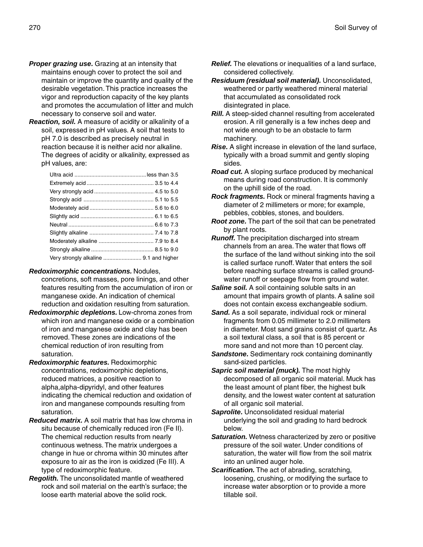- **Proper grazing use.** Grazing at an intensity that maintains enough cover to protect the soil and maintain or improve the quantity and quality of the desirable vegetation. This practice increases the vigor and reproduction capacity of the key plants and promotes the accumulation of litter and mulch necessary to conserve soil and water.
- *Reaction, soil.* A measure of acidity or alkalinity of a soil, expressed in pH values. A soil that tests to pH 7.0 is described as precisely neutral in reaction because it is neither acid nor alkaline. The degrees of acidity or alkalinity, expressed as pH values, are:

### *Redoximorphic concentrations.* Nodules,

- concretions, soft masses, pore linings, and other features resulting from the accumulation of iron or manganese oxide. An indication of chemical reduction and oxidation resulting from saturation.
- *Redoximorphic depletions.* Low-chroma zones from which iron and manganese oxide or a combination of iron and manganese oxide and clay has been removed. These zones are indications of the chemical reduction of iron resulting from saturation.
- *Redoximorphic features.* Redoximorphic concentrations, redoximorphic depletions, reduced matrices, a positive reaction to alpha,alpha-dipyridyl, and other features indicating the chemical reduction and oxidation of iron and manganese compounds resulting from saturation.
- *Reduced matrix.* A soil matrix that has low chroma in situ because of chemically reduced iron (Fe II). The chemical reduction results from nearly continuous wetness. The matrix undergoes a change in hue or chroma within 30 minutes after exposure to air as the iron is oxidized (Fe III). A type of redoximorphic feature.
- *Regolith.* The unconsolidated mantle of weathered rock and soil material on the earth's surface; the loose earth material above the solid rock.
- *Relief.* The elevations or inequalities of a land surface, considered collectively.
- *Residuum (residual soil material).* Unconsolidated, weathered or partly weathered mineral material that accumulated as consolidated rock disintegrated in place.
- *Rill.* A steep-sided channel resulting from accelerated erosion. A rill generally is a few inches deep and not wide enough to be an obstacle to farm machinery.
- *Rise.* A slight increase in elevation of the land surface, typically with a broad summit and gently sloping sides.
- *Road cut.* A sloping surface produced by mechanical means during road construction. It is commonly on the uphill side of the road.
- *Rock fragments.* Rock or mineral fragments having a diameter of 2 millimeters or more; for example, pebbles, cobbles, stones, and boulders.
- *Root zone.* The part of the soil that can be penetrated by plant roots.
- *Runoff.* The precipitation discharged into stream channels from an area. The water that flows off the surface of the land without sinking into the soil is called surface runoff. Water that enters the soil before reaching surface streams is called groundwater runoff or seepage flow from ground water.
- **Saline soil.** A soil containing soluble salts in an amount that impairs growth of plants. A saline soil does not contain excess exchangeable sodium.
- *Sand.* As a soil separate, individual rock or mineral fragments from 0.05 millimeter to 2.0 millimeters in diameter. Most sand grains consist of quartz. As a soil textural class, a soil that is 85 percent or more sand and not more than 10 percent clay.
- **Sandstone.** Sedimentary rock containing dominantly sand-sized particles.
- *Sapric soil material (muck).* The most highly decomposed of all organic soil material. Muck has the least amount of plant fiber, the highest bulk density, and the lowest water content at saturation of all organic soil material.
- **Saprolite.** Unconsolidated residual material underlying the soil and grading to hard bedrock below.
- *Saturation.* Wetness characterized by zero or positive pressure of the soil water. Under conditions of saturation, the water will flow from the soil matrix into an unlined auger hole.
- *Scarification.* The act of abrading, scratching, loosening, crushing, or modifying the surface to increase water absorption or to provide a more tillable soil.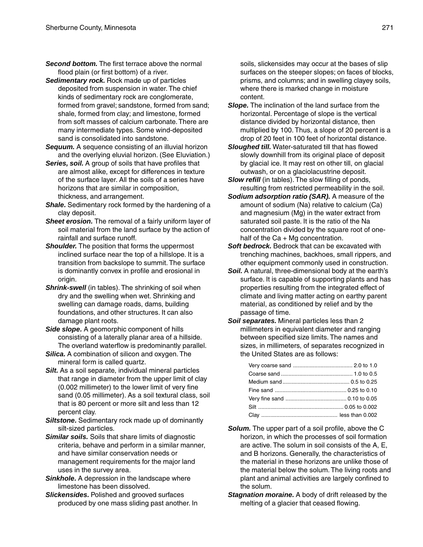- *Second bottom.* The first terrace above the normal flood plain (or first bottom) of a river.
- *Sedimentary rock.* Rock made up of particles deposited from suspension in water. The chief kinds of sedimentary rock are conglomerate, formed from gravel; sandstone, formed from sand; shale, formed from clay; and limestone, formed from soft masses of calcium carbonate. There are many intermediate types. Some wind-deposited sand is consolidated into sandstone.
- **Sequum.** A sequence consisting of an illuvial horizon and the overlying eluvial horizon. (See Eluviation.)
- *Series, soil.* A group of soils that have profiles that are almost alike, except for differences in texture of the surface layer. All the soils of a series have horizons that are similar in composition, thickness, and arrangement.
- *Shale.* Sedimentary rock formed by the hardening of a clay deposit.
- **Sheet erosion.** The removal of a fairly uniform layer of soil material from the land surface by the action of rainfall and surface runoff.
- *Shoulder.* The position that forms the uppermost inclined surface near the top of a hillslope. It is a transition from backslope to summit. The surface is dominantly convex in profile and erosional in origin.
- **Shrink-swell** (in tables). The shrinking of soil when dry and the swelling when wet. Shrinking and swelling can damage roads, dams, building foundations, and other structures. It can also damage plant roots.
- *Side slope.* A geomorphic component of hills consisting of a laterally planar area of a hillside. The overland waterflow is predominantly parallel.
- *Silica.* A combination of silicon and oxygen. The mineral form is called quartz.
- **Silt.** As a soil separate, individual mineral particles that range in diameter from the upper limit of clay (0.002 millimeter) to the lower limit of very fine sand (0.05 millimeter). As a soil textural class, soil that is 80 percent or more silt and less than 12 percent clay.
- *Siltstone.* Sedimentary rock made up of dominantly silt-sized particles.
- *Similar soils.* Soils that share limits of diagnostic criteria, behave and perform in a similar manner, and have similar conservation needs or management requirements for the major land uses in the survey area.
- *Sinkhole.* A depression in the landscape where limestone has been dissolved.
- *Slickensides.* Polished and grooved surfaces produced by one mass sliding past another. In

soils, slickensides may occur at the bases of slip surfaces on the steeper slopes; on faces of blocks, prisms, and columns; and in swelling clayey soils, where there is marked change in moisture content.

- *Slope.* The inclination of the land surface from the horizontal. Percentage of slope is the vertical distance divided by horizontal distance, then multiplied by 100. Thus, a slope of 20 percent is a drop of 20 feet in 100 feet of horizontal distance.
- *Sloughed till.* Water-saturated till that has flowed slowly downhill from its original place of deposit by glacial ice. It may rest on other till, on glacial outwash, or on a glaciolacustrine deposit.
- *Slow refill* (in tables). The slow filling of ponds, resulting from restricted permeability in the soil.
- *Sodium adsorption ratio (SAR).* A measure of the amount of sodium (Na) relative to calcium (Ca) and magnesium (Mg) in the water extract from saturated soil paste. It is the ratio of the Na concentration divided by the square root of onehalf of the  $Ca + Mg$  concentration.
- **Soft bedrock.** Bedrock that can be excavated with trenching machines, backhoes, small rippers, and other equipment commonly used in construction.
- **Soil.** A natural, three-dimensional body at the earth's surface. It is capable of supporting plants and has properties resulting from the integrated effect of climate and living matter acting on earthy parent material, as conditioned by relief and by the passage of time.
- *Soil separates.* Mineral particles less than 2 millimeters in equivalent diameter and ranging between specified size limits. The names and sizes, in millimeters, of separates recognized in the United States are as follows:

- *Solum.* The upper part of a soil profile, above the C horizon, in which the processes of soil formation are active. The solum in soil consists of the A, E, and B horizons. Generally, the characteristics of the material in these horizons are unlike those of the material below the solum. The living roots and plant and animal activities are largely confined to the solum.
- *Stagnation moraine.* A body of drift released by the melting of a glacier that ceased flowing.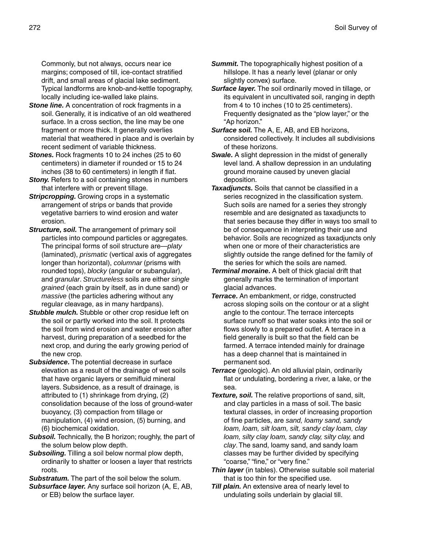Commonly, but not always, occurs near ice margins; composed of till, ice-contact stratified drift, and small areas of glacial lake sediment. Typical landforms are knob-and-kettle topography, locally including ice-walled lake plains.

- **Stone line.** A concentration of rock fragments in a soil. Generally, it is indicative of an old weathered surface. In a cross section, the line may be one fragment or more thick. It generally overlies material that weathered in place and is overlain by recent sediment of variable thickness.
- **Stones.** Rock fragments 10 to 24 inches (25 to 60) centimeters) in diameter if rounded or 15 to 24 inches (38 to 60 centimeters) in length if flat.
- **Stony.** Refers to a soil containing stones in numbers that interfere with or prevent tillage.
- **Stripcropping.** Growing crops in a systematic arrangement of strips or bands that provide vegetative barriers to wind erosion and water erosion.
- **Structure, soil.** The arrangement of primary soil particles into compound particles or aggregates. The principal forms of soil structure are—*platy* (laminated), *prismatic* (vertical axis of aggregates longer than horizontal), *columnar* (prisms with rounded tops), *blocky* (angular or subangular), and *granular*. *Structureless* soils are either *single grained* (each grain by itself, as in dune sand) or *massive* (the particles adhering without any regular cleavage, as in many hardpans).
- *Stubble mulch.* Stubble or other crop residue left on the soil or partly worked into the soil. It protects the soil from wind erosion and water erosion after harvest, during preparation of a seedbed for the next crop, and during the early growing period of the new crop.
- *Subsidence.* The potential decrease in surface elevation as a result of the drainage of wet soils that have organic layers or semifluid mineral layers. Subsidence, as a result of drainage, is attributed to (1) shrinkage from drying, (2) consolidation because of the loss of ground-water buoyancy, (3) compaction from tillage or manipulation, (4) wind erosion, (5) burning, and (6) biochemical oxidation.
- *Subsoil.* Technically, the B horizon; roughly, the part of the solum below plow depth.
- *Subsoiling.* Tilling a soil below normal plow depth, ordinarily to shatter or loosen a layer that restricts roots.

*Substratum.* The part of the soil below the solum.

*Subsurface layer.* Any surface soil horizon (A, E, AB, or EB) below the surface layer.

- **Summit.** The topographically highest position of a hillslope. It has a nearly level (planar or only slightly convex) surface.
- *Surface layer.* The soil ordinarily moved in tillage, or its equivalent in uncultivated soil, ranging in depth from 4 to 10 inches (10 to 25 centimeters). Frequently designated as the "plow layer," or the "Ap horizon."
- *Surface soil.* The A, E, AB, and EB horizons, considered collectively. It includes all subdivisions of these horizons.
- **Swale.** A slight depression in the midst of generally level land. A shallow depression in an undulating ground moraine caused by uneven glacial deposition.
- *Taxadjuncts.* Soils that cannot be classified in a series recognized in the classification system. Such soils are named for a series they strongly resemble and are designated as taxadjuncts to that series because they differ in ways too small to be of consequence in interpreting their use and behavior. Soils are recognized as taxadjuncts only when one or more of their characteristics are slightly outside the range defined for the family of the series for which the soils are named.
- *Terminal moraine.* A belt of thick glacial drift that generally marks the termination of important glacial advances.
- *Terrace.* An embankment, or ridge, constructed across sloping soils on the contour or at a slight angle to the contour. The terrace intercepts surface runoff so that water soaks into the soil or flows slowly to a prepared outlet. A terrace in a field generally is built so that the field can be farmed. A terrace intended mainly for drainage has a deep channel that is maintained in permanent sod.
- *Terrace* (geologic). An old alluvial plain, ordinarily flat or undulating, bordering a river, a lake, or the sea.
- *Texture, soil.* The relative proportions of sand, silt, and clay particles in a mass of soil. The basic textural classes, in order of increasing proportion of fine particles, are *sand, loamy sand, sandy loam, loam, silt loam, silt, sandy clay loam, clay loam, silty clay loam, sandy clay, silty clay,* and *clay*. The sand, loamy sand, and sandy loam classes may be further divided by specifying "coarse," "fine," or "very fine."
- *Thin layer* (in tables). Otherwise suitable soil material that is too thin for the specified use.
- *Till plain.* An extensive area of nearly level to undulating soils underlain by glacial till.